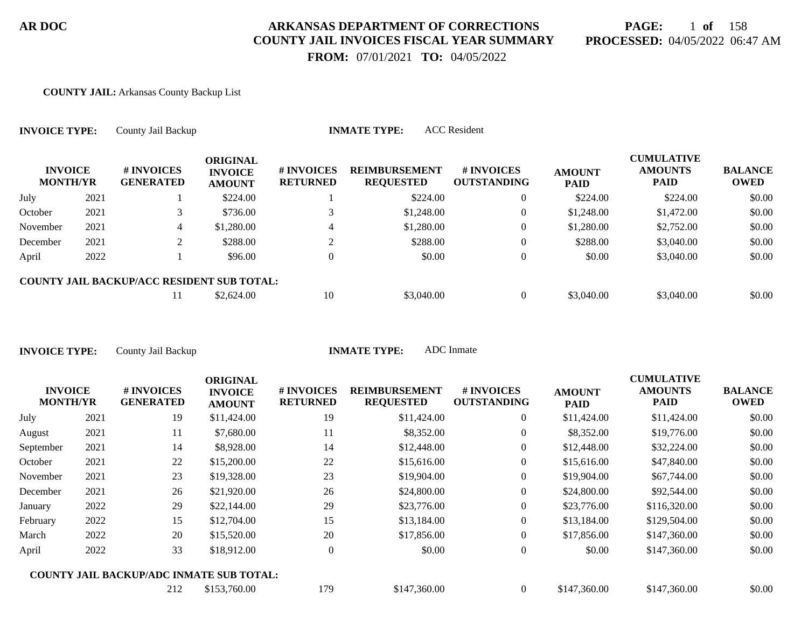# **PAGE:** 1 **of** 158 **PROCESSED:** 04/05/2022 06:47 AM

 **FROM:** 07/01/2021 **TO:** 04/05/2022

#### **COUNTY JAIL:** Arkansas County Backup List

| <b>INVOICE TYPE:</b>              |      | <b>ACC</b> Resident<br><b>INMATE TYPE:</b><br>County Jail Backup |                                                    |                               |                                          |                                  |                              |                                                    |                               |  |  |  |
|-----------------------------------|------|------------------------------------------------------------------|----------------------------------------------------|-------------------------------|------------------------------------------|----------------------------------|------------------------------|----------------------------------------------------|-------------------------------|--|--|--|
| <b>INVOICE</b><br><b>MONTH/YR</b> |      | # INVOICES<br><b>GENERATED</b>                                   | <b>ORIGINAL</b><br><b>INVOICE</b><br><b>AMOUNT</b> | # INVOICES<br><b>RETURNED</b> | <b>REIMBURSEMENT</b><br><b>REQUESTED</b> | # INVOICES<br><b>OUTSTANDING</b> | <b>AMOUNT</b><br><b>PAID</b> | <b>CUMULATIVE</b><br><b>AMOUNTS</b><br><b>PAID</b> | <b>BALANCE</b><br><b>OWED</b> |  |  |  |
| July                              | 2021 |                                                                  | \$224.00                                           |                               | \$224.00                                 | $\theta$                         | \$224.00                     | \$224.00                                           | \$0.00                        |  |  |  |
| October                           | 2021 | 3                                                                | \$736.00                                           |                               | \$1,248.00                               | $\overline{0}$                   | \$1,248.00                   | \$1,472.00                                         | \$0.00                        |  |  |  |
| November                          | 2021 | 4                                                                | \$1,280.00                                         | 4                             | \$1,280.00                               | $\theta$                         | \$1,280.00                   | \$2,752.00                                         | \$0.00                        |  |  |  |
| December                          | 2021 |                                                                  | \$288.00                                           |                               | \$288.00                                 | $\Omega$                         | \$288.00                     | \$3,040.00                                         | \$0.00                        |  |  |  |
| April                             | 2022 |                                                                  | \$96.00                                            |                               | \$0.00                                   | $\overline{0}$                   | \$0.00                       | \$3,040.00                                         | \$0.00                        |  |  |  |
|                                   |      | <b>COUNTY JAIL BACKUP/ACC RESIDENT SUB TOTAL:</b>                |                                                    |                               |                                          |                                  |                              |                                                    |                               |  |  |  |
|                                   |      | 11                                                               | \$2,624.00                                         | 10                            | \$3,040.00                               | $\theta$                         | \$3,040.00                   | \$3,040.00                                         | \$0.00                        |  |  |  |

|                                   |      |                                                 | <b>ORIGINAL</b>                 |                               |                                          |                                  |                              | <b>CUMULATIVE</b>             |                               |
|-----------------------------------|------|-------------------------------------------------|---------------------------------|-------------------------------|------------------------------------------|----------------------------------|------------------------------|-------------------------------|-------------------------------|
| <b>INVOICE</b><br><b>MONTH/YR</b> |      | # INVOICES<br><b>GENERATED</b>                  | <b>INVOICE</b><br><b>AMOUNT</b> | # INVOICES<br><b>RETURNED</b> | <b>REIMBURSEMENT</b><br><b>REQUESTED</b> | # INVOICES<br><b>OUTSTANDING</b> | <b>AMOUNT</b><br><b>PAID</b> | <b>AMOUNTS</b><br><b>PAID</b> | <b>BALANCE</b><br><b>OWED</b> |
| July                              | 2021 | 19                                              | \$11,424.00                     | 19                            | \$11,424.00                              | $\overline{0}$                   | \$11,424.00                  | \$11,424.00                   | \$0.00                        |
| August                            | 2021 | 11                                              | \$7,680.00                      | 11                            | \$8,352.00                               | $\overline{0}$                   | \$8,352.00                   | \$19,776.00                   | \$0.00                        |
| September                         | 2021 | 14                                              | \$8,928.00                      | 14                            | \$12,448.00                              | $\overline{0}$                   | \$12,448.00                  | \$32,224.00                   | \$0.00                        |
| October                           | 2021 | 22                                              | \$15,200.00                     | 22                            | \$15,616.00                              | $\overline{0}$                   | \$15,616.00                  | \$47,840.00                   | \$0.00                        |
| November                          | 2021 | 23                                              | \$19,328.00                     | 23                            | \$19,904.00                              | $\overline{0}$                   | \$19,904.00                  | \$67,744.00                   | \$0.00                        |
| December                          | 2021 | 26                                              | \$21,920.00                     | 26                            | \$24,800.00                              | $\overline{0}$                   | \$24,800.00                  | \$92,544.00                   | \$0.00                        |
| January                           | 2022 | 29                                              | \$22,144.00                     | 29                            | \$23,776.00                              | $\overline{0}$                   | \$23,776.00                  | \$116,320.00                  | \$0.00                        |
| February                          | 2022 | 15                                              | \$12,704.00                     | 15                            | \$13,184.00                              | $\boldsymbol{0}$                 | \$13,184.00                  | \$129,504.00                  | \$0.00                        |
| March                             | 2022 | 20                                              | \$15,520.00                     | 20                            | \$17,856.00                              | $\overline{0}$                   | \$17,856.00                  | \$147,360.00                  | \$0.00                        |
| April                             | 2022 | 33                                              | \$18,912.00                     | $\overline{0}$                | \$0.00                                   | $\overline{0}$                   | \$0.00                       | \$147,360.00                  | \$0.00                        |
|                                   |      | <b>COUNTY JAIL BACKUP/ADC INMATE SUB TOTAL:</b> |                                 |                               |                                          |                                  |                              |                               |                               |
|                                   |      | 212                                             | \$153,760.00                    | 179                           | \$147,360.00                             | $\Omega$                         | \$147,360.00                 | \$147,360.00                  | \$0.00                        |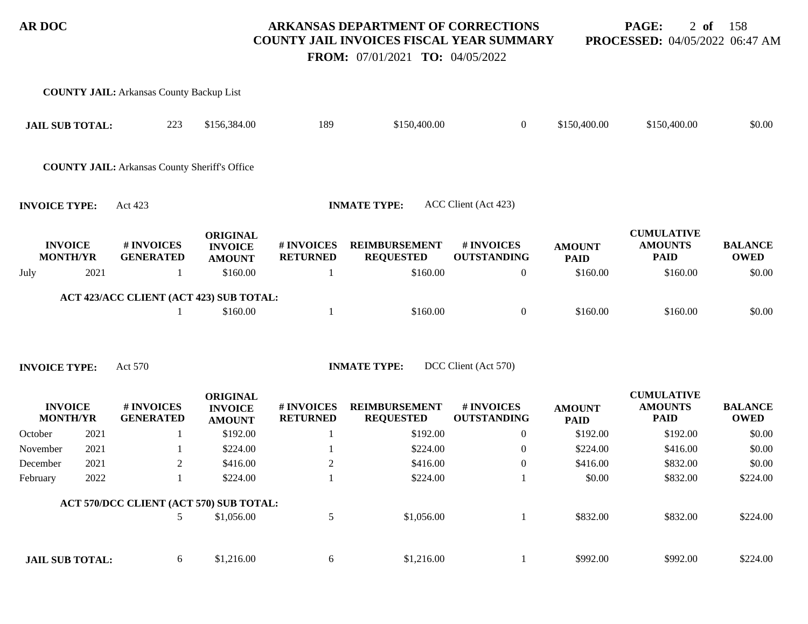**PAGE:** 2 **of** 158 **PROCESSED:** 04/05/2022 06:47 AM

 **FROM:** 07/01/2021 **TO:** 04/05/2022

|                                   |      | <b>COUNTY JAIL:</b> Arkansas County Backup List      |                                                    |                               |                                          |                                  |                              |                                                    |                               |
|-----------------------------------|------|------------------------------------------------------|----------------------------------------------------|-------------------------------|------------------------------------------|----------------------------------|------------------------------|----------------------------------------------------|-------------------------------|
| <b>JAIL SUB TOTAL:</b>            |      | 223                                                  | \$156,384.00                                       | 189                           | \$150,400.00                             | $\boldsymbol{0}$                 | \$150,400.00                 | \$150,400.00                                       | \$0.00                        |
|                                   |      | <b>COUNTY JAIL:</b> Arkansas County Sheriff's Office |                                                    |                               |                                          |                                  |                              |                                                    |                               |
| <b>INVOICE TYPE:</b>              |      | Act 423                                              |                                                    |                               | <b>INMATE TYPE:</b>                      | ACC Client (Act 423)             |                              |                                                    |                               |
| <b>INVOICE</b><br><b>MONTH/YR</b> |      | # INVOICES<br><b>GENERATED</b>                       | <b>ORIGINAL</b><br><b>INVOICE</b><br><b>AMOUNT</b> | # INVOICES<br><b>RETURNED</b> | <b>REIMBURSEMENT</b><br><b>REQUESTED</b> | # INVOICES<br><b>OUTSTANDING</b> | <b>AMOUNT</b><br><b>PAID</b> | <b>CUMULATIVE</b><br><b>AMOUNTS</b><br><b>PAID</b> | <b>BALANCE</b><br><b>OWED</b> |
| July                              | 2021 | -1                                                   | \$160.00                                           | 1                             | \$160.00                                 | $\mathbf{0}$                     | \$160.00                     | \$160.00                                           | \$0.00                        |
|                                   |      | ACT 423/ACC CLIENT (ACT 423) SUB TOTAL:              |                                                    |                               |                                          |                                  |                              |                                                    |                               |
|                                   |      |                                                      | \$160.00                                           | $\mathbf{1}$                  | \$160.00                                 | $\boldsymbol{0}$                 | \$160.00                     | \$160.00                                           | \$0.00                        |
| <b>INVOICE TYPE:</b>              |      | Act 570                                              | <b>ORIGINAL</b>                                    |                               | <b>INMATE TYPE:</b>                      | DCC Client (Act 570)             |                              | <b>CUMULATIVE</b>                                  |                               |
| <b>INVOICE</b><br><b>MONTH/YR</b> |      | # INVOICES<br><b>GENERATED</b>                       | <b>INVOICE</b><br><b>AMOUNT</b>                    | # INVOICES<br><b>RETURNED</b> | <b>REIMBURSEMENT</b><br><b>REQUESTED</b> | # INVOICES<br><b>OUTSTANDING</b> | <b>AMOUNT</b><br><b>PAID</b> | <b>AMOUNTS</b><br><b>PAID</b>                      | <b>BALANCE</b><br><b>OWED</b> |
| October                           | 2021 |                                                      | \$192.00                                           | -1                            | \$192.00                                 | $\boldsymbol{0}$                 | \$192.00                     | \$192.00                                           | \$0.00                        |
| November                          | 2021 |                                                      | \$224.00                                           |                               | \$224.00                                 | $\boldsymbol{0}$                 | \$224.00                     | \$416.00                                           | \$0.00                        |
| December                          | 2021 | $\overline{2}$                                       | \$416.00                                           | $\mathbf{2}$                  | \$416.00                                 | $\boldsymbol{0}$                 | \$416.00                     | \$832.00                                           | \$0.00                        |
| February                          | 2022 | $\mathbf{1}$                                         | \$224.00                                           |                               | \$224.00                                 | $\mathbf{1}$                     | \$0.00                       | \$832.00                                           | \$224.00                      |
|                                   |      | ACT 570/DCC CLIENT (ACT 570) SUB TOTAL:              |                                                    |                               |                                          |                                  |                              |                                                    |                               |
|                                   |      | 5                                                    | \$1,056.00                                         | 5                             | \$1,056.00                               | $\mathbf{1}$                     | \$832.00                     | \$832.00                                           | \$224.00                      |
| <b>JAIL SUB TOTAL:</b>            |      | 6                                                    | \$1,216.00                                         | 6                             | \$1,216.00                               | 1                                | \$992.00                     | \$992.00                                           | \$224.00                      |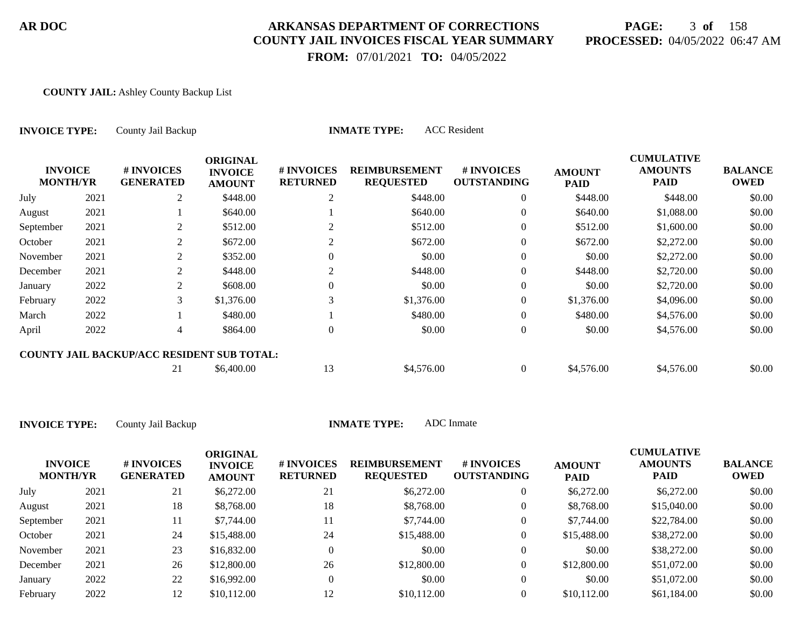# **PAGE:** 3 **of** 158 **PROCESSED:** 04/05/2022 06:47 AM

 **FROM:** 07/01/2021 **TO:** 04/05/2022

#### **COUNTY JAIL:** Ashley County Backup List

| <b>INVOICE TYPE:</b>              |      | County Jail Backup                                |                                                    | <b>INMATE TYPE:</b>           |                                          |                                  |                              |                                                    |                               |
|-----------------------------------|------|---------------------------------------------------|----------------------------------------------------|-------------------------------|------------------------------------------|----------------------------------|------------------------------|----------------------------------------------------|-------------------------------|
| <b>INVOICE</b><br><b>MONTH/YR</b> |      | # INVOICES<br><b>GENERATED</b>                    | <b>ORIGINAL</b><br><b>INVOICE</b><br><b>AMOUNT</b> | # INVOICES<br><b>RETURNED</b> | <b>REIMBURSEMENT</b><br><b>REQUESTED</b> | # INVOICES<br><b>OUTSTANDING</b> | <b>AMOUNT</b><br><b>PAID</b> | <b>CUMULATIVE</b><br><b>AMOUNTS</b><br><b>PAID</b> | <b>BALANCE</b><br><b>OWED</b> |
| July                              | 2021 | 2                                                 | \$448.00                                           | 2                             | \$448.00                                 | $\overline{0}$                   | \$448.00                     | \$448.00                                           | \$0.00                        |
| August                            | 2021 |                                                   | \$640.00                                           |                               | \$640.00                                 | $\overline{0}$                   | \$640.00                     | \$1,088.00                                         | \$0.00                        |
| September                         | 2021 | 2                                                 | \$512.00                                           | 2                             | \$512.00                                 | $\overline{0}$                   | \$512.00                     | \$1,600.00                                         | \$0.00                        |
| October                           | 2021 | 2                                                 | \$672.00                                           | 2                             | \$672.00                                 | $\overline{0}$                   | \$672.00                     | \$2,272.00                                         | \$0.00                        |
| November                          | 2021 | 2                                                 | \$352.00                                           | 0                             | \$0.00                                   | $\overline{0}$                   | \$0.00                       | \$2,272.00                                         | \$0.00                        |
| December                          | 2021 | 2                                                 | \$448.00                                           | 2                             | \$448.00                                 | $\overline{0}$                   | \$448.00                     | \$2,720.00                                         | \$0.00                        |
| January                           | 2022 | 2                                                 | \$608.00                                           |                               | \$0.00                                   | $\overline{0}$                   | \$0.00                       | \$2,720.00                                         | \$0.00                        |
| February                          | 2022 | 3                                                 | \$1,376.00                                         | 3                             | \$1,376.00                               | $\Omega$                         | \$1,376.00                   | \$4,096.00                                         | \$0.00                        |
| March                             | 2022 |                                                   | \$480.00                                           |                               | \$480.00                                 | $\overline{0}$                   | \$480.00                     | \$4,576.00                                         | \$0.00                        |
| April                             | 2022 | 4                                                 | \$864.00                                           | 0                             | \$0.00                                   | $\overline{0}$                   | \$0.00                       | \$4,576.00                                         | \$0.00                        |
|                                   |      | <b>COUNTY JAIL BACKUP/ACC RESIDENT SUB TOTAL:</b> |                                                    |                               |                                          |                                  |                              |                                                    |                               |
|                                   |      | 21                                                | \$6,400.00                                         | 13                            | \$4,576.00                               | $\overline{0}$                   | \$4,576.00                   | \$4,576.00                                         | \$0.00                        |

| <b>INVOICE</b><br><b>MONTH/YR</b> |      | <b>#INVOICES</b><br><b>GENERATED</b> | <b>ORIGINAL</b><br><b>INVOICE</b><br><b>AMOUNT</b> | # INVOICES<br><b>RETURNED</b> | <b>REIMBURSEMENT</b><br><b>REQUESTED</b> | <b># INVOICES</b><br><b>OUTSTANDING</b> | <b>AMOUNT</b><br><b>PAID</b> | <b>CUMULATIVE</b><br><b>AMOUNTS</b><br><b>PAID</b> | <b>BALANCE</b><br><b>OWED</b> |
|-----------------------------------|------|--------------------------------------|----------------------------------------------------|-------------------------------|------------------------------------------|-----------------------------------------|------------------------------|----------------------------------------------------|-------------------------------|
| July                              | 2021 | 21                                   | \$6,272.00                                         | 21                            | \$6,272.00                               | $\mathbf{0}$                            | \$6,272.00                   | \$6,272.00                                         | \$0.00                        |
| August                            | 2021 | 18                                   | \$8,768.00                                         | 18                            | \$8,768.00                               | $\overline{0}$                          | \$8,768.00                   | \$15,040.00                                        | \$0.00                        |
| September                         | 2021 | 11                                   | \$7,744.00                                         |                               | \$7,744.00                               | 0                                       | \$7,744.00                   | \$22,784.00                                        | \$0.00                        |
| October                           | 2021 | 24                                   | \$15,488.00                                        | 24                            | \$15,488.00                              | 0                                       | \$15,488.00                  | \$38,272.00                                        | \$0.00                        |
| November                          | 2021 | 23                                   | \$16,832.00                                        |                               | \$0.00                                   | $\overline{0}$                          | \$0.00                       | \$38,272.00                                        | \$0.00                        |
| December                          | 2021 | 26                                   | \$12,800.00                                        | 26                            | \$12,800.00                              | $\overline{0}$                          | \$12,800.00                  | \$51,072.00                                        | \$0.00                        |
| January                           | 2022 | 22                                   | \$16,992.00                                        |                               | \$0.00                                   | $\overline{0}$                          | \$0.00                       | \$51,072.00                                        | \$0.00                        |
| February                          | 2022 | 12                                   | \$10,112.00                                        |                               | \$10,112.00                              |                                         | \$10,112.00                  | \$61,184.00                                        | \$0.00                        |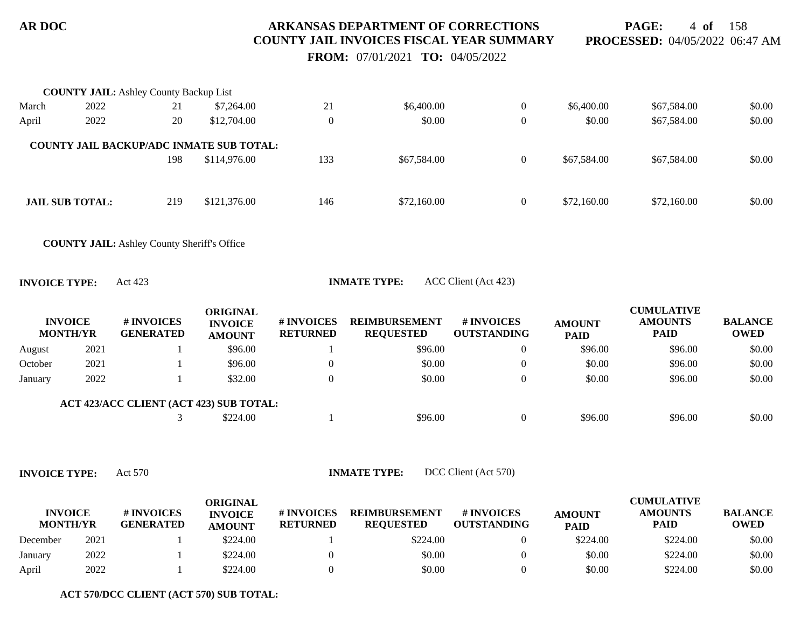**PAGE:** 4 **of** 158 **PROCESSED:** 04/05/2022 06:47 AM

 **FROM:** 07/01/2021 **TO:** 04/05/2022

|                      |                                   | <b>COUNTY JAIL:</b> Ashley County Backup List      |                                                    |                               |                                          |                                  |                              |                                                    |                               |
|----------------------|-----------------------------------|----------------------------------------------------|----------------------------------------------------|-------------------------------|------------------------------------------|----------------------------------|------------------------------|----------------------------------------------------|-------------------------------|
| March                | 2022                              | 21                                                 | \$7,264.00                                         | 21                            | \$6,400.00                               | $\overline{0}$                   | \$6,400.00                   | \$67,584.00                                        | \$0.00                        |
| April                | 2022                              | 20                                                 | \$12,704.00                                        | $\overline{0}$                | \$0.00                                   | $\boldsymbol{0}$                 | \$0.00                       | \$67,584.00                                        | \$0.00                        |
|                      |                                   | <b>COUNTY JAIL BACKUP/ADC INMATE SUB TOTAL:</b>    |                                                    |                               |                                          |                                  |                              |                                                    |                               |
|                      |                                   | 198                                                | \$114,976.00                                       | 133                           | \$67,584.00                              | $\overline{0}$                   | \$67,584.00                  | \$67,584.00                                        | \$0.00                        |
|                      | <b>JAIL SUB TOTAL:</b>            | 219                                                | \$121,376.00                                       | 146                           | \$72,160.00                              | $\boldsymbol{0}$                 | \$72,160.00                  | \$72,160.00                                        | \$0.00                        |
|                      |                                   |                                                    |                                                    |                               |                                          |                                  |                              |                                                    |                               |
|                      |                                   | <b>COUNTY JAIL:</b> Ashley County Sheriff's Office |                                                    |                               |                                          |                                  |                              |                                                    |                               |
| <b>INVOICE TYPE:</b> |                                   | Act 423                                            |                                                    |                               | <b>INMATE TYPE:</b>                      | ACC Client (Act 423)             |                              |                                                    |                               |
|                      | <b>INVOICE</b><br><b>MONTH/YR</b> | # INVOICES<br><b>GENERATED</b>                     | <b>ORIGINAL</b><br><b>INVOICE</b><br><b>AMOUNT</b> | # INVOICES<br><b>RETURNED</b> | <b>REIMBURSEMENT</b><br><b>REQUESTED</b> | # INVOICES<br><b>OUTSTANDING</b> | <b>AMOUNT</b><br><b>PAID</b> | <b>CUMULATIVE</b><br><b>AMOUNTS</b><br><b>PAID</b> | <b>BALANCE</b><br><b>OWED</b> |
| August               | 2021                              |                                                    | \$96.00                                            |                               | \$96.00                                  | $\boldsymbol{0}$                 | \$96.00                      | \$96.00                                            | \$0.00                        |
| October              | 2021                              |                                                    | \$96.00                                            | $\boldsymbol{0}$              | \$0.00                                   | $\boldsymbol{0}$                 | \$0.00                       | \$96.00                                            | \$0.00                        |
| January              | 2022                              |                                                    | \$32.00                                            | $\overline{0}$                | \$0.00                                   | $\boldsymbol{0}$                 | \$0.00                       | \$96.00                                            | \$0.00                        |
|                      |                                   | ACT 423/ACC CLIENT (ACT 423) SUB TOTAL:            |                                                    |                               |                                          |                                  |                              |                                                    |                               |
|                      |                                   | 3                                                  | \$224.00                                           |                               | \$96.00                                  | $\overline{0}$                   | \$96.00                      | \$96.00                                            | \$0.00                        |

**INVOICE TYPE:** Act 570 **INMATE TYPE:** DCC Client (Act 570)

| <b>INVOICE</b><br><b>MONTH/YR</b> |      | # INVOICES<br><b>GENERATED</b> | ORIGINAL<br><b>INVOICE</b><br><b>AMOUNT</b> | # INVOICES<br><b>RETURNED</b> | <b>REIMBURSEMENT</b><br><b>REOUESTED</b> | # INVOICES<br><b>OUTSTANDING</b> | <b>AMOUNT</b><br><b>PAID</b> | <b>CUMULATIVE</b><br><b>AMOUNTS</b><br><b>PAID</b> | <b>BALANCE</b><br><b>OWED</b> |
|-----------------------------------|------|--------------------------------|---------------------------------------------|-------------------------------|------------------------------------------|----------------------------------|------------------------------|----------------------------------------------------|-------------------------------|
| December                          | 2021 |                                | \$224.00                                    |                               | \$224.00                                 |                                  | \$224.00                     | \$224.00                                           | \$0.00                        |
| January                           | 2022 |                                | \$224.00                                    |                               | \$0.00                                   |                                  | \$0.00                       | \$224.00                                           | \$0.00                        |
| April                             | 2022 |                                | \$224.00                                    |                               | \$0.00                                   |                                  | \$0.00                       | \$224.00                                           | \$0.00                        |

**ACT 570/DCC CLIENT (ACT 570) SUB TOTAL:**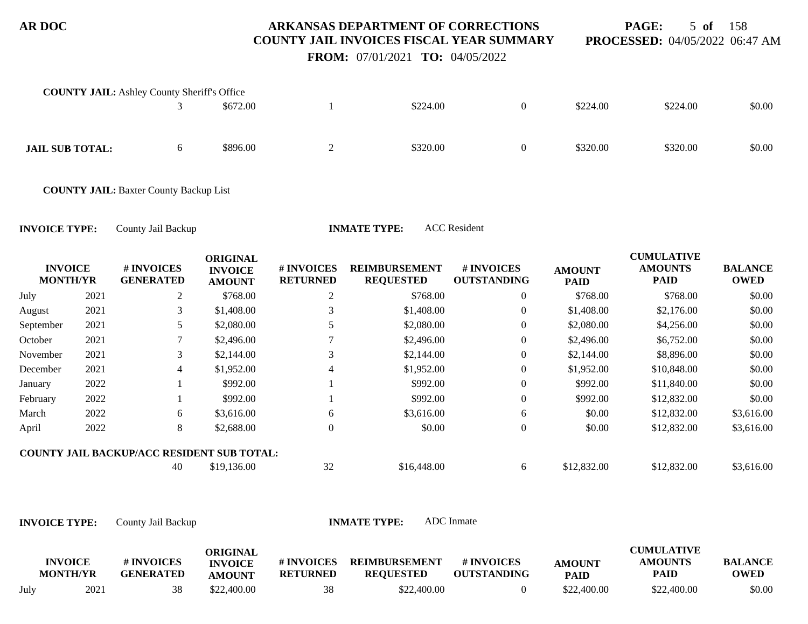**PAGE:** 5 **of** 158 **PROCESSED:** 04/05/2022 06:47 AM

**CUMULATIVE**

 **FROM:** 07/01/2021 **TO:** 04/05/2022

| <b>COUNTY JAIL:</b> Ashley County Sheriff's Office |    |          |   |          |          |          |        |
|----------------------------------------------------|----|----------|---|----------|----------|----------|--------|
|                                                    |    | \$672.00 |   | \$224.00 | \$224.00 | \$224.00 | \$0.00 |
| <b>JAIL SUB TOTAL:</b>                             | O. | \$896.00 | ∠ | \$320.00 | \$320.00 | \$320.00 | \$0.00 |

**COUNTY JAIL:** Baxter County Backup List

**INVOICE TYPE:** County Jail Backup **INMATE TYPE:** ACC Resident

|                                   |      |                                                   | <b>ORIGINAL</b>                 |                               |                                          |                                  |                              | <b>CUMULATIVE</b>             |                               |
|-----------------------------------|------|---------------------------------------------------|---------------------------------|-------------------------------|------------------------------------------|----------------------------------|------------------------------|-------------------------------|-------------------------------|
| <b>INVOICE</b><br><b>MONTH/YR</b> |      | # INVOICES<br><b>GENERATED</b>                    | <b>INVOICE</b><br><b>AMOUNT</b> | # INVOICES<br><b>RETURNED</b> | <b>REIMBURSEMENT</b><br><b>REQUESTED</b> | # INVOICES<br><b>OUTSTANDING</b> | <b>AMOUNT</b><br><b>PAID</b> | <b>AMOUNTS</b><br><b>PAID</b> | <b>BALANCE</b><br><b>OWED</b> |
| July                              | 2021 | 2                                                 | \$768.00                        | 2                             | \$768.00                                 | $\overline{0}$                   | \$768.00                     | \$768.00                      | \$0.00                        |
| August                            | 2021 | 3                                                 | \$1,408.00                      |                               | \$1,408.00                               | $\overline{0}$                   | \$1,408.00                   | \$2,176.00                    | \$0.00                        |
| September                         | 2021 | 5                                                 | \$2,080.00                      |                               | \$2,080.00                               | $\overline{0}$                   | \$2,080.00                   | \$4,256.00                    | \$0.00                        |
| October                           | 2021 |                                                   | \$2,496.00                      |                               | \$2,496.00                               | $\overline{0}$                   | \$2,496.00                   | \$6,752.00                    | \$0.00                        |
| November                          | 2021 | 3                                                 | \$2,144.00                      |                               | \$2,144.00                               | $\overline{0}$                   | \$2,144.00                   | \$8,896.00                    | \$0.00                        |
| December                          | 2021 | $\overline{4}$                                    | \$1,952.00                      | 4                             | \$1,952.00                               | $\overline{0}$                   | \$1,952.00                   | \$10,848.00                   | \$0.00                        |
| January                           | 2022 |                                                   | \$992.00                        |                               | \$992.00                                 | $\overline{0}$                   | \$992.00                     | \$11,840.00                   | \$0.00                        |
| February                          | 2022 |                                                   | \$992.00                        |                               | \$992.00                                 | $\overline{0}$                   | \$992.00                     | \$12,832.00                   | \$0.00                        |
| March                             | 2022 | 6                                                 | \$3,616.00                      | 6                             | \$3,616.00                               | 6                                | \$0.00                       | \$12,832.00                   | \$3,616.00                    |
| April                             | 2022 | 8                                                 | \$2,688.00                      | $\Omega$                      | \$0.00                                   | $\overline{0}$                   | \$0.00                       | \$12,832.00                   | \$3,616.00                    |
|                                   |      | <b>COUNTY JAIL BACKUP/ACC RESIDENT SUB TOTAL:</b> |                                 |                               |                                          |                                  |                              |                               |                               |
|                                   |      | 40                                                | \$19,136.00                     | 32                            | \$16,448.00                              | 6                                | \$12,832.00                  | \$12,832.00                   | \$3,616.00                    |

|      | <b>INVOICE</b><br><b>MONTH/YR</b> | # INVOICES<br><b>GENERATED</b> | ORIGINAL<br><b>INVOICE</b><br><b>AMOUNT</b> | # INVOICES<br><b>RETURNED</b> | <b>REIMBURSEMENT</b><br><b>REOUESTED</b> | # INVOICES<br><b>OUTSTANDING</b> | <b>AMOUNT</b><br><b>PAID</b> | <b>CUMULATIVE</b><br><b>AMOUNTS</b><br><b>PAID</b> | <b>BALANCE</b><br>OWED |
|------|-----------------------------------|--------------------------------|---------------------------------------------|-------------------------------|------------------------------------------|----------------------------------|------------------------------|----------------------------------------------------|------------------------|
|      |                                   |                                |                                             |                               |                                          |                                  |                              |                                                    |                        |
| July | 2021                              | 38                             | \$22,400.00                                 | 38                            | \$22,400.00                              |                                  | \$22,400.00                  | \$22,400.00                                        | \$0.00                 |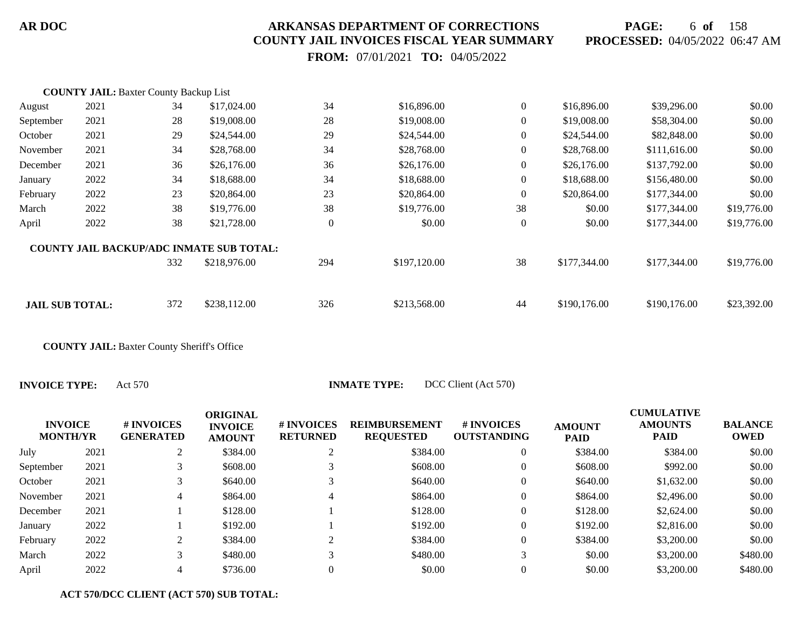**PAGE:** 6 **of** 158 **PROCESSED:** 04/05/2022 06:47 AM

 **FROM:** 07/01/2021 **TO:** 04/05/2022

| 2021                   | 34  | \$17,024.00  | 34                                                                                               | \$16,896.00  | $\boldsymbol{0}$ | \$16,896.00  | \$39,296.00  | \$0.00      |
|------------------------|-----|--------------|--------------------------------------------------------------------------------------------------|--------------|------------------|--------------|--------------|-------------|
| 2021                   | 28  | \$19,008.00  | 28                                                                                               | \$19,008.00  | $\overline{0}$   | \$19,008.00  | \$58,304.00  | \$0.00      |
| 2021                   | 29  | \$24,544.00  | 29                                                                                               | \$24,544.00  | $\overline{0}$   | \$24,544.00  | \$82,848.00  | \$0.00      |
| 2021                   | 34  | \$28,768.00  | 34                                                                                               | \$28,768.00  | $\overline{0}$   | \$28,768.00  | \$111,616.00 | \$0.00      |
| 2021                   | 36  | \$26,176.00  | 36                                                                                               | \$26,176.00  | $\overline{0}$   | \$26,176.00  | \$137,792.00 | \$0.00      |
| 2022                   | 34  | \$18,688.00  | 34                                                                                               | \$18,688.00  | $\overline{0}$   | \$18,688.00  | \$156,480.00 | \$0.00      |
| 2022                   | 23  | \$20,864.00  | 23                                                                                               | \$20,864.00  | $\boldsymbol{0}$ | \$20,864.00  | \$177,344.00 | \$0.00      |
| 2022                   | 38  | \$19,776.00  | 38                                                                                               | \$19,776.00  | 38               | \$0.00       | \$177,344.00 | \$19,776.00 |
| 2022                   | 38  | \$21,728.00  | $\boldsymbol{0}$                                                                                 | \$0.00       | $\boldsymbol{0}$ | \$0.00       | \$177,344.00 | \$19,776.00 |
|                        |     |              |                                                                                                  |              |                  |              |              |             |
|                        | 332 | \$218,976.00 | 294                                                                                              | \$197,120.00 | 38               | \$177,344.00 | \$177,344.00 | \$19,776.00 |
|                        |     |              |                                                                                                  |              |                  |              |              |             |
| <b>JAIL SUB TOTAL:</b> | 372 | \$238,112.00 | 326                                                                                              | \$213,568.00 | 44               | \$190,176.00 | \$190,176.00 | \$23,392.00 |
|                        |     |              | <b>COUNTY JAIL: Baxter County Backup List</b><br><b>COUNTY JAIL BACKUP/ADC INMATE SUB TOTAL:</b> |              |                  |              |              |             |

**COUNTY JAIL:** Baxter County Sheriff's Office

| <b>INVOICE</b><br><b>MONTH/YR</b> |      | # INVOICES<br><b>GENERATED</b> | <b>ORIGINAL</b><br><b>INVOICE</b><br><b>AMOUNT</b> | # INVOICES<br><b>RETURNED</b> | <b>REIMBURSEMENT</b><br><b>REQUESTED</b> | # INVOICES<br><b>OUTSTANDING</b> | <b>AMOUNT</b><br><b>PAID</b> | <b>CUMULATIVE</b><br><b>AMOUNTS</b><br><b>PAID</b> | <b>BALANCE</b><br><b>OWED</b> |
|-----------------------------------|------|--------------------------------|----------------------------------------------------|-------------------------------|------------------------------------------|----------------------------------|------------------------------|----------------------------------------------------|-------------------------------|
| July                              | 2021 |                                | \$384.00                                           |                               | \$384.00                                 |                                  | \$384.00                     | \$384.00                                           | \$0.00                        |
| September                         | 2021 |                                | \$608.00                                           |                               | \$608.00                                 |                                  | \$608.00                     | \$992.00                                           | \$0.00                        |
| October                           | 2021 |                                | \$640.00                                           |                               | \$640.00                                 |                                  | \$640.00                     | \$1,632.00                                         | \$0.00                        |
| November                          | 2021 | 4                              | \$864.00                                           | 4                             | \$864.00                                 |                                  | \$864.00                     | \$2,496.00                                         | \$0.00                        |
| December                          | 2021 |                                | \$128.00                                           |                               | \$128.00                                 |                                  | \$128.00                     | \$2,624.00                                         | \$0.00                        |
| January                           | 2022 |                                | \$192.00                                           |                               | \$192.00                                 |                                  | \$192.00                     | \$2,816.00                                         | \$0.00                        |
| February                          | 2022 |                                | \$384.00                                           |                               | \$384.00                                 |                                  | \$384.00                     | \$3,200.00                                         | \$0.00                        |
| March                             | 2022 |                                | \$480.00                                           |                               | \$480.00                                 |                                  | \$0.00                       | \$3,200.00                                         | \$480.00                      |
| April                             | 2022 |                                | \$736.00                                           |                               | \$0.00                                   |                                  | \$0.00                       | \$3,200.00                                         | \$480.00                      |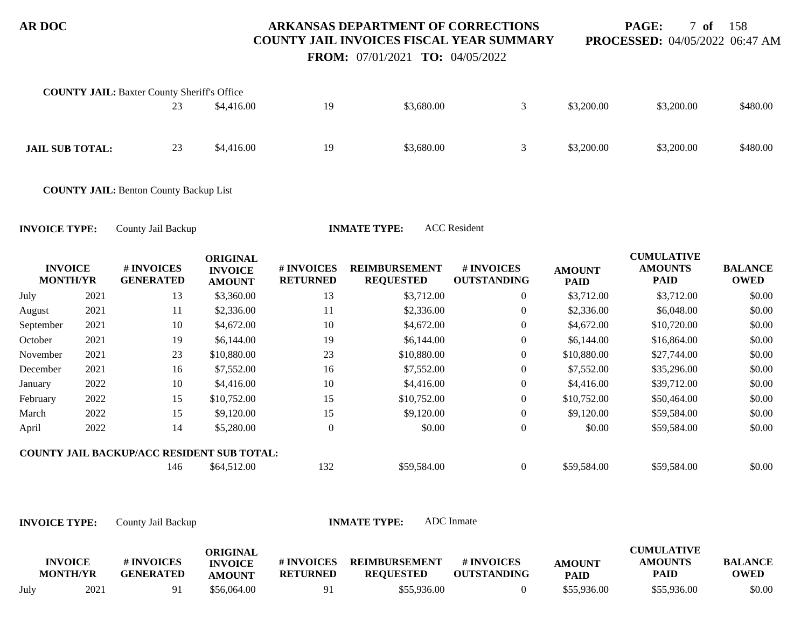**PAGE:** 7 **of** 158 **PROCESSED:** 04/05/2022 06:47 AM

 **FROM:** 07/01/2021 **TO:** 04/05/2022

| <b>COUNTY JAIL:</b> Baxter County Sheriff's Office | 23 | \$4,416.00 | 19 | \$3,680.00 | \$3,200.00 | \$3,200.00 | \$480.00 |
|----------------------------------------------------|----|------------|----|------------|------------|------------|----------|
| <b>JAIL SUB TOTAL:</b>                             | 23 | \$4,416.00 | 19 | \$3,680.00 | \$3,200.00 | \$3,200.00 | \$480.00 |

**COUNTY JAIL:** Benton County Backup List

**INVOICE TYPE:** County Jail Backup **INMATE TYPE:** ACC Resident

| <b>INVOICE</b><br><b>MONTH/YR</b> |      | # INVOICES<br><b>GENERATED</b>                    | <b>ORIGINAL</b><br><b>INVOICE</b><br><b>AMOUNT</b> | # INVOICES<br><b>RETURNED</b> | <b>REIMBURSEMENT</b><br><b>REQUESTED</b> | <b>#INVOICES</b><br><b>OUTSTANDING</b> | <b>AMOUNT</b><br><b>PAID</b> | <b>CUMULATIVE</b><br><b>AMOUNTS</b><br><b>PAID</b> | <b>BALANCE</b><br><b>OWED</b> |
|-----------------------------------|------|---------------------------------------------------|----------------------------------------------------|-------------------------------|------------------------------------------|----------------------------------------|------------------------------|----------------------------------------------------|-------------------------------|
| July                              | 2021 | 13                                                | \$3,360.00                                         | 13                            | \$3,712.00                               | $\overline{0}$                         | \$3,712.00                   | \$3,712.00                                         | \$0.00                        |
| August                            | 2021 | 11                                                | \$2,336.00                                         | 11                            | \$2,336.00                               | $\overline{0}$                         | \$2,336.00                   | \$6,048.00                                         | \$0.00                        |
| September                         | 2021 | 10                                                | \$4,672.00                                         | 10                            | \$4,672.00                               | $\overline{0}$                         | \$4,672.00                   | \$10,720.00                                        | \$0.00                        |
| October                           | 2021 | 19                                                | \$6,144.00                                         | 19                            | \$6,144.00                               | $\overline{0}$                         | \$6,144.00                   | \$16,864.00                                        | \$0.00                        |
| November                          | 2021 | 23                                                | \$10,880.00                                        | 23                            | \$10,880.00                              | $\overline{0}$                         | \$10,880.00                  | \$27,744.00                                        | \$0.00                        |
| December                          | 2021 | 16                                                | \$7,552.00                                         | 16                            | \$7,552.00                               | $\overline{0}$                         | \$7,552.00                   | \$35,296.00                                        | \$0.00                        |
| January                           | 2022 | 10                                                | \$4,416.00                                         | 10                            | \$4,416.00                               | $\overline{0}$                         | \$4,416.00                   | \$39,712.00                                        | \$0.00                        |
| February                          | 2022 | 15                                                | \$10,752.00                                        | 15                            | \$10,752.00                              | $\overline{0}$                         | \$10,752.00                  | \$50,464.00                                        | \$0.00                        |
| March                             | 2022 | 15                                                | \$9,120.00                                         | 15                            | \$9,120.00                               | $\overline{0}$                         | \$9,120.00                   | \$59,584.00                                        | \$0.00                        |
| April                             | 2022 | 14                                                | \$5,280.00                                         | $\overline{0}$                | \$0.00                                   | $\overline{0}$                         | \$0.00                       | \$59,584.00                                        | \$0.00                        |
|                                   |      | <b>COUNTY JAIL BACKUP/ACC RESIDENT SUB TOTAL:</b> |                                                    |                               |                                          |                                        |                              |                                                    |                               |
|                                   |      | 146                                               | \$64,512.00                                        | 132                           | \$59,584.00                              | $\overline{0}$                         | \$59,584.00                  | \$59,584.00                                        | \$0.00                        |

|      | <b>INVOICE</b><br><b>MONTH/YR</b> | # INVOICES<br><b>GENERATED</b> | ORIGINAL<br><b>INVOICE</b><br><b>AMOUNT</b> | # INVOICES<br><b>RETURNED</b> | <b>REIMBURSEMENT</b><br><b>REQUESTED</b> | # INVOICES<br><b>OUTSTANDING</b> | <b>AMOUNT</b><br><b>PAID</b> | <b>CUMULATIVE</b><br><b>AMOUNTS</b><br><b>PAID</b> | <b>BALANCE</b><br><b>OWED</b> |
|------|-----------------------------------|--------------------------------|---------------------------------------------|-------------------------------|------------------------------------------|----------------------------------|------------------------------|----------------------------------------------------|-------------------------------|
| July | 2021                              | 91                             | \$56,064.00                                 | 91                            | \$55,936.00                              |                                  | \$55,936.00                  | \$55,936.00                                        | \$0.00                        |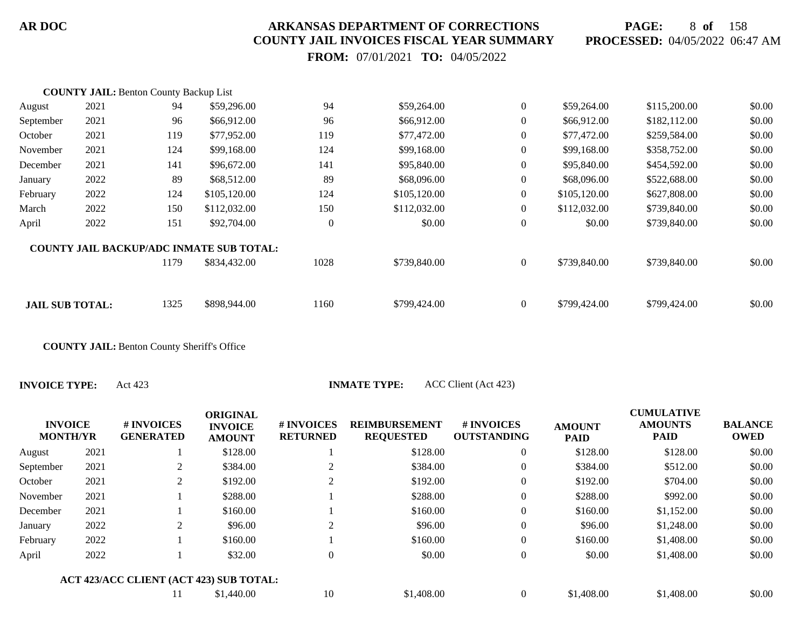**PAGE:** 8 **of** 158 **PROCESSED:** 04/05/2022 06:47 AM

 **FROM:** 07/01/2021 **TO:** 04/05/2022

|                        | <b>COUNTY JAIL: Benton County Backup List</b> |      |                                                 |          |              |                  |              |              |        |
|------------------------|-----------------------------------------------|------|-------------------------------------------------|----------|--------------|------------------|--------------|--------------|--------|
| August                 | 2021                                          | 94   | \$59,296.00                                     | 94       | \$59,264.00  | $\overline{0}$   | \$59,264.00  | \$115,200.00 | \$0.00 |
| September              | 2021                                          | 96   | \$66,912.00                                     | 96       | \$66,912.00  | $\overline{0}$   | \$66,912.00  | \$182,112.00 | \$0.00 |
| October                | 2021                                          | 119  | \$77,952.00                                     | 119      | \$77,472.00  | $\overline{0}$   | \$77,472.00  | \$259,584.00 | \$0.00 |
| November               | 2021                                          | 124  | \$99,168.00                                     | 124      | \$99,168.00  | $\overline{0}$   | \$99,168.00  | \$358,752.00 | \$0.00 |
| December               | 2021                                          | 141  | \$96,672.00                                     | 141      | \$95,840.00  | $\boldsymbol{0}$ | \$95,840.00  | \$454,592.00 | \$0.00 |
| January                | 2022                                          | 89   | \$68,512.00                                     | 89       | \$68,096.00  | $\overline{0}$   | \$68,096.00  | \$522,688.00 | \$0.00 |
| February               | 2022                                          | 124  | \$105,120.00                                    | 124      | \$105,120.00 | $\overline{0}$   | \$105,120.00 | \$627,808.00 | \$0.00 |
| March                  | 2022                                          | 150  | \$112,032.00                                    | 150      | \$112,032.00 | $\overline{0}$   | \$112,032.00 | \$739,840.00 | \$0.00 |
| April                  | 2022                                          | 151  | \$92,704.00                                     | $\theta$ | \$0.00       | $\overline{0}$   | \$0.00       | \$739,840.00 | \$0.00 |
|                        |                                               |      | <b>COUNTY JAIL BACKUP/ADC INMATE SUB TOTAL:</b> |          |              |                  |              |              |        |
|                        |                                               | 1179 | \$834,432.00                                    | 1028     | \$739,840.00 | $\overline{0}$   | \$739,840.00 | \$739,840.00 | \$0.00 |
|                        |                                               |      |                                                 |          |              |                  |              |              |        |
| <b>JAIL SUB TOTAL:</b> |                                               | 1325 | \$898,944.00                                    | 1160     | \$799,424.00 | $\overline{0}$   | \$799,424.00 | \$799,424.00 | \$0.00 |

**COUNTY JAIL:** Benton County Sheriff's Office

**INVOICE TYPE:** Act 423 **INMATE TYPE:** ACC Client (Act 423)

| <b>INVOICE</b><br><b>MONTH/YR</b> |      | <b>#INVOICES</b><br><b>GENERATED</b>    | <b>ORIGINAL</b><br><b>INVOICE</b><br><b>AMOUNT</b> | # INVOICES<br><b>RETURNED</b> | <b>REIMBURSEMENT</b><br><b>REQUESTED</b> | # INVOICES<br><b>OUTSTANDING</b> | <b>AMOUNT</b><br><b>PAID</b> | <b>CUMULATIVE</b><br><b>AMOUNTS</b><br><b>PAID</b> | <b>BALANCE</b><br><b>OWED</b> |
|-----------------------------------|------|-----------------------------------------|----------------------------------------------------|-------------------------------|------------------------------------------|----------------------------------|------------------------------|----------------------------------------------------|-------------------------------|
| August                            | 2021 |                                         | \$128.00                                           |                               | \$128.00                                 | 0                                | \$128.00                     | \$128.00                                           | \$0.00                        |
| September                         | 2021 | 2                                       | \$384.00                                           |                               | \$384.00                                 | $\overline{0}$                   | \$384.00                     | \$512.00                                           | \$0.00                        |
| October                           | 2021 | 2                                       | \$192.00                                           | $\gamma$                      | \$192.00                                 | $\overline{0}$                   | \$192.00                     | \$704.00                                           | \$0.00                        |
| November                          | 2021 |                                         | \$288.00                                           |                               | \$288.00                                 | $\theta$                         | \$288.00                     | \$992.00                                           | \$0.00                        |
| December                          | 2021 |                                         | \$160.00                                           |                               | \$160.00                                 | $\overline{0}$                   | \$160.00                     | \$1,152.00                                         | \$0.00                        |
| January                           | 2022 | 2                                       | \$96.00                                            | $\bigcap$                     | \$96.00                                  | $\overline{0}$                   | \$96.00                      | \$1,248.00                                         | \$0.00                        |
| February                          | 2022 |                                         | \$160.00                                           |                               | \$160.00                                 | $\overline{0}$                   | \$160.00                     | \$1,408.00                                         | \$0.00                        |
| April                             | 2022 |                                         | \$32.00                                            | 0                             | \$0.00                                   | $\overline{0}$                   | \$0.00                       | \$1,408.00                                         | \$0.00                        |
|                                   |      | ACT 423/ACC CLIENT (ACT 423) SUB TOTAL: |                                                    |                               |                                          |                                  |                              |                                                    |                               |
|                                   |      |                                         | \$1,440.00                                         | 10                            | \$1,408.00                               | $\theta$                         | \$1,408.00                   | \$1,408.00                                         | \$0.00                        |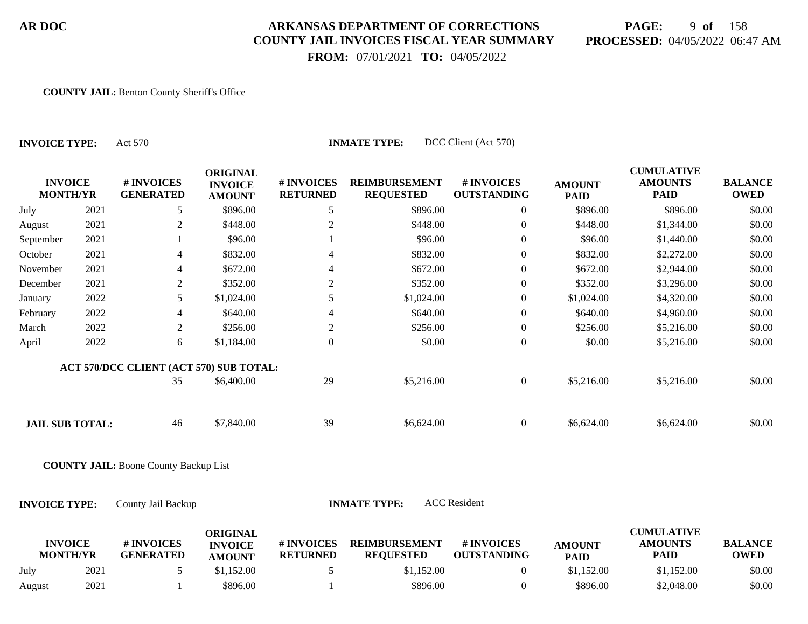# **PAGE:** 9 **of** 158 **PROCESSED:** 04/05/2022 06:47 AM

 **FROM:** 07/01/2021 **TO:** 04/05/2022

#### **COUNTY JAIL:** Benton County Sheriff's Office

**INVOICE TYPE:** Act 570 **INMATE TYPE:** DCC Client (Act 570)

| <b>INVOICE</b><br><b>MONTH/YR</b> | # INVOICES<br><b>GENERATED</b> | <b>ORIGINAL</b><br><b>INVOICE</b><br><b>AMOUNT</b> | # INVOICES<br><b>RETURNED</b> | <b>REIMBURSEMENT</b><br><b>REQUESTED</b> | # INVOICES<br><b>OUTSTANDING</b> | <b>AMOUNT</b><br><b>PAID</b> | <b>CUMULATIVE</b><br><b>AMOUNTS</b><br><b>PAID</b> | <b>BALANCE</b><br><b>OWED</b> |
|-----------------------------------|--------------------------------|----------------------------------------------------|-------------------------------|------------------------------------------|----------------------------------|------------------------------|----------------------------------------------------|-------------------------------|
| 2021                              | 5                              | \$896.00                                           | 5                             | \$896.00                                 | 0                                | \$896.00                     | \$896.00                                           | \$0.00                        |
| 2021                              | 2                              | \$448.00                                           | 2                             | \$448.00                                 | $\overline{0}$                   | \$448.00                     | \$1,344.00                                         | \$0.00                        |
| 2021                              |                                | \$96.00                                            |                               | \$96.00                                  | $\overline{0}$                   | \$96.00                      | \$1,440.00                                         | \$0.00                        |
| 2021                              | 4                              | \$832.00                                           | 4                             | \$832.00                                 | $\overline{0}$                   | \$832.00                     | \$2,272.00                                         | \$0.00                        |
| 2021                              | 4                              | \$672.00                                           | 4                             | \$672.00                                 | $\overline{0}$                   | \$672.00                     | \$2,944.00                                         | \$0.00                        |
| 2021                              | 2                              | \$352.00                                           | 2                             | \$352.00                                 | $\overline{0}$                   | \$352.00                     | \$3,296.00                                         | \$0.00                        |
| 2022                              | 5                              | \$1,024.00                                         |                               | \$1,024.00                               | $\overline{0}$                   | \$1,024.00                   | \$4,320.00                                         | \$0.00                        |
| 2022                              | 4                              | \$640.00                                           | 4                             | \$640.00                                 | $\overline{0}$                   | \$640.00                     | \$4,960.00                                         | \$0.00                        |
| 2022                              | 2                              | \$256.00                                           | $\overline{2}$                | \$256.00                                 | $\overline{0}$                   | \$256.00                     | \$5,216.00                                         | \$0.00                        |
| 2022                              | 6                              | \$1,184.00                                         | $\theta$                      | \$0.00                                   | $\overline{0}$                   | \$0.00                       | \$5,216.00                                         | \$0.00                        |
|                                   |                                |                                                    |                               |                                          |                                  |                              |                                                    |                               |
|                                   | 35                             | \$6,400.00                                         | 29                            | \$5,216.00                               | $\overline{0}$                   | \$5,216.00                   | \$5,216.00                                         | \$0.00                        |
|                                   | 46                             |                                                    | 39                            |                                          | $\overline{0}$                   |                              |                                                    | \$0.00                        |
|                                   |                                | <b>JAIL SUB TOTAL:</b>                             | \$7,840.00                    | ACT 570/DCC CLIENT (ACT 570) SUB TOTAL:  | \$6,624.00                       |                              | \$6,624.00                                         | \$6,624.00                    |

**COUNTY JAIL:** Boone County Backup List

**INVOICE TYPE:** County Jail Backup **INMATE TYPE:** ACC Resident

| <b>INVOICE</b><br><b>MONTH/YR</b> |      | # INVOICES<br><b>GENERATED</b> | ORIGINAL<br><b>INVOICE</b><br><b>AMOUNT</b> | # INVOICES<br><b>RETURNED</b> | <b>REIMBURSEMENT</b><br><b>REQUESTED</b> | # INVOICES<br><b>OUTSTANDING</b> | <b>AMOUNT</b><br><b>PAID</b> | <b>CUMULATIVE</b><br><b>AMOUNTS</b><br><b>PAID</b> | <b>BALANCE</b><br><b>OWED</b> |
|-----------------------------------|------|--------------------------------|---------------------------------------------|-------------------------------|------------------------------------------|----------------------------------|------------------------------|----------------------------------------------------|-------------------------------|
| July                              | 2021 |                                | \$1,152.00                                  |                               | \$1,152.00                               |                                  | \$1,152.00                   | \$1,152.00                                         | \$0.00                        |
| August                            | 2021 |                                | \$896.00                                    |                               | \$896.00                                 |                                  | \$896.00                     | \$2,048.00                                         | \$0.00                        |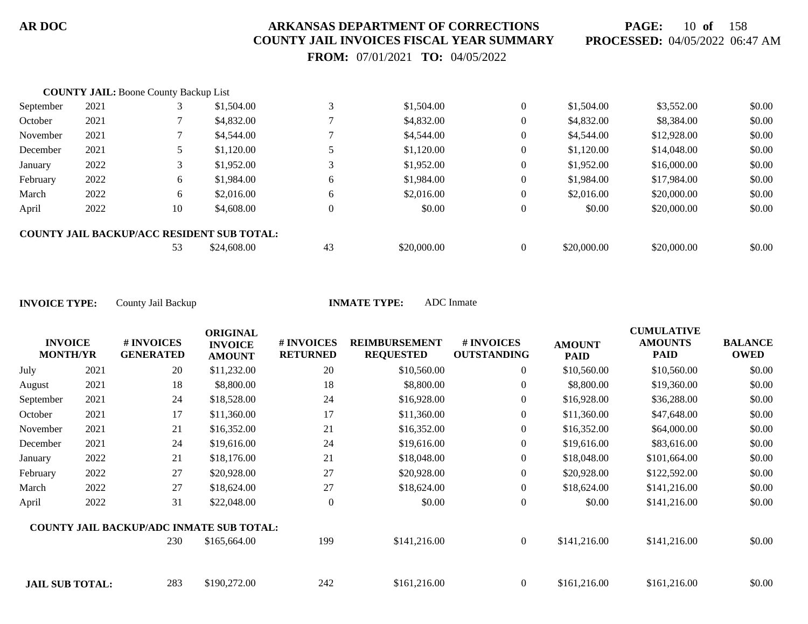**PAGE:** 10 **of** 158 **PROCESSED:** 04/05/2022 06:47 AM

 **FROM:** 07/01/2021 **TO:** 04/05/2022

|           | <b>COUNTY JAIL: Boone County Backup List</b> |    |                                                   |    |             |          |             |             |        |
|-----------|----------------------------------------------|----|---------------------------------------------------|----|-------------|----------|-------------|-------------|--------|
| September | 2021                                         |    | \$1,504.00                                        |    | \$1,504.00  | $\theta$ | \$1,504.00  | \$3,552.00  | \$0.00 |
| October   | 2021                                         |    | \$4,832.00                                        |    | \$4,832.00  | $\theta$ | \$4,832.00  | \$8,384.00  | \$0.00 |
| November  | 2021                                         |    | \$4,544.00                                        |    | \$4,544.00  | $\theta$ | \$4,544.00  | \$12,928.00 | \$0.00 |
| December  | 2021                                         |    | \$1,120.00                                        |    | \$1,120.00  | $\theta$ | \$1,120.00  | \$14,048.00 | \$0.00 |
| January   | 2022                                         |    | \$1,952.00                                        |    | \$1,952.00  | 0        | \$1,952.00  | \$16,000.00 | \$0.00 |
| February  | 2022                                         | 6  | \$1,984.00                                        | 6  | \$1,984.00  | 0        | \$1,984.00  | \$17,984.00 | \$0.00 |
| March     | 2022                                         | 6  | \$2,016.00                                        | 6  | \$2,016.00  | $\Omega$ | \$2,016.00  | \$20,000.00 | \$0.00 |
| April     | 2022                                         | 10 | \$4,608.00                                        |    | \$0.00      | $\theta$ | \$0.00      | \$20,000.00 | \$0.00 |
|           |                                              |    | <b>COUNTY JAIL BACKUP/ACC RESIDENT SUB TOTAL:</b> |    |             |          |             |             |        |
|           |                                              | 53 | \$24,608.00                                       | 43 | \$20,000.00 |          | \$20,000.00 | \$20,000.00 | \$0.00 |

| <b>INVOICE</b>         |      | # INVOICES                                      | <b>ORIGINAL</b><br><b>INVOICE</b> | <b>#INVOICES</b> | <b>REIMBURSEMENT</b> | # INVOICES         | <b>AMOUNT</b> | <b>CUMULATIVE</b><br><b>AMOUNTS</b> | <b>BALANCE</b> |
|------------------------|------|-------------------------------------------------|-----------------------------------|------------------|----------------------|--------------------|---------------|-------------------------------------|----------------|
| <b>MONTH/YR</b>        |      | <b>GENERATED</b>                                | <b>AMOUNT</b>                     | <b>RETURNED</b>  | <b>REQUESTED</b>     | <b>OUTSTANDING</b> | <b>PAID</b>   | <b>PAID</b>                         | <b>OWED</b>    |
| July                   | 2021 | 20                                              | \$11,232.00                       | 20               | \$10,560.00          | $\overline{0}$     | \$10,560.00   | \$10,560.00                         | \$0.00         |
| August                 | 2021 | 18                                              | \$8,800.00                        | 18               | \$8,800.00           | $\overline{0}$     | \$8,800.00    | \$19,360.00                         | \$0.00         |
| September              | 2021 | 24                                              | \$18,528.00                       | 24               | \$16,928.00          | $\overline{0}$     | \$16,928.00   | \$36,288.00                         | \$0.00         |
| October                | 2021 | 17                                              | \$11,360.00                       | 17               | \$11,360.00          | $\overline{0}$     | \$11,360.00   | \$47,648.00                         | \$0.00         |
| November               | 2021 | 21                                              | \$16,352.00                       | 21               | \$16,352.00          | $\overline{0}$     | \$16,352.00   | \$64,000.00                         | \$0.00         |
| December               | 2021 | 24                                              | \$19,616.00                       | 24               | \$19,616.00          | $\overline{0}$     | \$19,616.00   | \$83,616.00                         | \$0.00         |
| January                | 2022 | 21                                              | \$18,176.00                       | 21               | \$18,048.00          | 0                  | \$18,048.00   | \$101,664.00                        | \$0.00         |
| February               | 2022 | 27                                              | \$20,928.00                       | 27               | \$20,928.00          | $\overline{0}$     | \$20,928.00   | \$122,592.00                        | \$0.00         |
| March                  | 2022 | 27                                              | \$18,624.00                       | 27               | \$18,624.00          | $\overline{0}$     | \$18,624.00   | \$141,216.00                        | \$0.00         |
| April                  | 2022 | 31                                              | \$22,048.00                       | $\theta$         | \$0.00               | $\boldsymbol{0}$   | \$0.00        | \$141,216.00                        | \$0.00         |
|                        |      | <b>COUNTY JAIL BACKUP/ADC INMATE SUB TOTAL:</b> |                                   |                  |                      |                    |               |                                     |                |
|                        |      | 230                                             | \$165,664.00                      | 199              | \$141,216.00         | $\overline{0}$     | \$141,216.00  | \$141,216.00                        | \$0.00         |
| <b>JAIL SUB TOTAL:</b> |      | 283                                             | \$190,272.00                      | 242              | \$161,216.00         | $\overline{0}$     | \$161,216.00  | \$161,216.00                        | \$0.00         |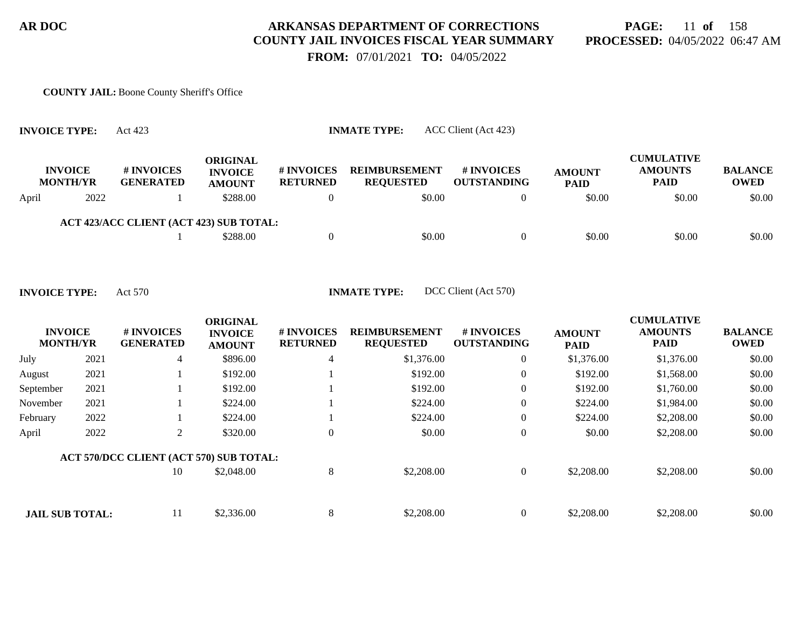# **PAGE:** 11 **of** 158 **PROCESSED:** 04/05/2022 06:47 AM

 **FROM:** 07/01/2021 **TO:** 04/05/2022

#### **COUNTY JAIL:** Boone County Sheriff's Office

|       | <b>INVOICE TYPE:</b>              | ACC Client (Act 423)<br><b>INMATE TYPE:</b><br>Act 423 |                                                    |                               |                                          |                                         |                              |                                                    |                               |  |  |  |  |
|-------|-----------------------------------|--------------------------------------------------------|----------------------------------------------------|-------------------------------|------------------------------------------|-----------------------------------------|------------------------------|----------------------------------------------------|-------------------------------|--|--|--|--|
|       | <b>INVOICE</b><br><b>MONTH/YR</b> | # INVOICES<br><b>GENERATED</b>                         | <b>ORIGINAL</b><br><b>INVOICE</b><br><b>AMOUNT</b> | # INVOICES<br><b>RETURNED</b> | <b>REIMBURSEMENT</b><br><b>REQUESTED</b> | <b># INVOICES</b><br><b>OUTSTANDING</b> | <b>AMOUNT</b><br><b>PAID</b> | <b>CUMULATIVE</b><br><b>AMOUNTS</b><br><b>PAID</b> | <b>BALANCE</b><br><b>OWED</b> |  |  |  |  |
| April | 2022                              |                                                        | \$288.00                                           | $\Omega$                      | \$0.00                                   | $\Omega$                                | \$0.00                       | \$0.00                                             | \$0.00                        |  |  |  |  |
|       |                                   | ACT 423/ACC CLIENT (ACT 423) SUB TOTAL:                |                                                    |                               |                                          |                                         |                              |                                                    |                               |  |  |  |  |
|       |                                   |                                                        | \$288.00                                           |                               | \$0.00                                   | $\Omega$                                | \$0.00                       | \$0.00                                             | \$0.00                        |  |  |  |  |

| <b>INVOICE</b><br><b>MONTH/YR</b> |      | # INVOICES<br><b>GENERATED</b>          | <b>ORIGINAL</b><br><b>INVOICE</b><br><b>AMOUNT</b> | # INVOICES<br><b>RETURNED</b> | <b>REIMBURSEMENT</b><br><b>REQUESTED</b> | # INVOICES<br><b>OUTSTANDING</b> | <b>AMOUNT</b><br><b>PAID</b> | <b>CUMULATIVE</b><br><b>AMOUNTS</b><br><b>PAID</b> | <b>BALANCE</b><br><b>OWED</b> |
|-----------------------------------|------|-----------------------------------------|----------------------------------------------------|-------------------------------|------------------------------------------|----------------------------------|------------------------------|----------------------------------------------------|-------------------------------|
| July                              | 2021 | 4                                       | \$896.00                                           | 4                             | \$1,376.00                               | $\overline{0}$                   | \$1,376.00                   | \$1,376.00                                         | \$0.00                        |
| August                            | 2021 |                                         | \$192.00                                           |                               | \$192.00                                 | $\boldsymbol{0}$                 | \$192.00                     | \$1,568.00                                         | \$0.00                        |
| September                         | 2021 |                                         | \$192.00                                           |                               | \$192.00                                 | $\overline{0}$                   | \$192.00                     | \$1,760.00                                         | \$0.00                        |
| November                          | 2021 |                                         | \$224.00                                           |                               | \$224.00                                 | $\overline{0}$                   | \$224.00                     | \$1,984.00                                         | \$0.00                        |
| February                          | 2022 |                                         | \$224.00                                           |                               | \$224.00                                 | $\overline{0}$                   | \$224.00                     | \$2,208.00                                         | \$0.00                        |
| April                             | 2022 | 2                                       | \$320.00                                           | $\overline{0}$                | \$0.00                                   | $\boldsymbol{0}$                 | \$0.00                       | \$2,208.00                                         | \$0.00                        |
|                                   |      | ACT 570/DCC CLIENT (ACT 570) SUB TOTAL: |                                                    |                               |                                          |                                  |                              |                                                    |                               |
|                                   |      | 10                                      | \$2,048.00                                         | 8                             | \$2,208.00                               | $\overline{0}$                   | \$2,208.00                   | \$2,208.00                                         | \$0.00                        |
|                                   |      |                                         |                                                    |                               |                                          |                                  |                              |                                                    |                               |
| <b>JAIL SUB TOTAL:</b>            |      | 11                                      | \$2,336.00                                         | 8                             | \$2,208.00                               | $\overline{0}$                   | \$2,208.00                   | \$2,208.00                                         | \$0.00                        |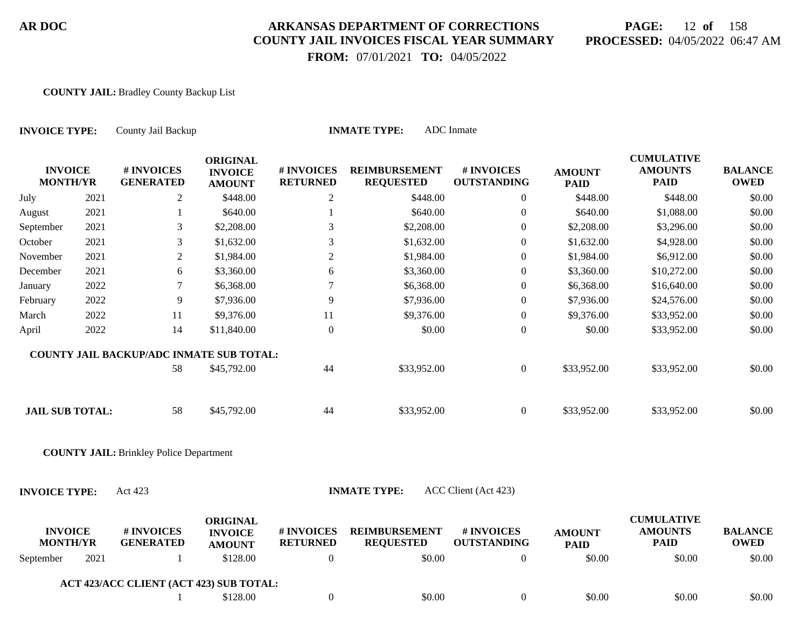# **PAGE:** 12 **of** 158 **PROCESSED:** 04/05/2022 06:47 AM

 **FROM:** 07/01/2021 **TO:** 04/05/2022

#### **COUNTY JAIL:** Bradley County Backup List

| ADC Inmate<br><b>INMATE TYPE:</b><br><b>INVOICE TYPE:</b><br>County Jail Backup |      |                                                |                                                    |                               |                                          |                                  |                              |                                                    |                               |
|---------------------------------------------------------------------------------|------|------------------------------------------------|----------------------------------------------------|-------------------------------|------------------------------------------|----------------------------------|------------------------------|----------------------------------------------------|-------------------------------|
| <b>INVOICE</b><br><b>MONTH/YR</b>                                               |      | # INVOICES<br><b>GENERATED</b>                 | <b>ORIGINAL</b><br><b>INVOICE</b><br><b>AMOUNT</b> | # INVOICES<br><b>RETURNED</b> | <b>REIMBURSEMENT</b><br><b>REQUESTED</b> | # INVOICES<br><b>OUTSTANDING</b> | <b>AMOUNT</b><br><b>PAID</b> | <b>CUMULATIVE</b><br><b>AMOUNTS</b><br><b>PAID</b> | <b>BALANCE</b><br><b>OWED</b> |
| July                                                                            | 2021 | $\overline{2}$                                 | \$448.00                                           | $\overline{2}$                | \$448.00                                 | $\overline{0}$                   | \$448.00                     | \$448.00                                           | \$0.00                        |
| August                                                                          | 2021 | 1                                              | \$640.00                                           |                               | \$640.00                                 | $\boldsymbol{0}$                 | \$640.00                     | \$1,088.00                                         | \$0.00                        |
| September                                                                       | 2021 | $\mathfrak{Z}$                                 | \$2,208.00                                         | 3                             | \$2,208.00                               | $\boldsymbol{0}$                 | \$2,208.00                   | \$3,296.00                                         | \$0.00                        |
| October                                                                         | 2021 | $\mathfrak{Z}$                                 | \$1,632.00                                         | 3                             | \$1,632.00                               | $\boldsymbol{0}$                 | \$1,632.00                   | \$4,928.00                                         | \$0.00                        |
| November                                                                        | 2021 | $\overline{2}$                                 | \$1,984.00                                         | $\overline{2}$                | \$1,984.00                               | $\boldsymbol{0}$                 | \$1,984.00                   | \$6,912.00                                         | \$0.00                        |
| December                                                                        | 2021 | 6                                              | \$3,360.00                                         | 6                             | \$3,360.00                               | $\mathbf{0}$                     | \$3,360.00                   | \$10,272.00                                        | \$0.00                        |
| January                                                                         | 2022 | $\tau$                                         | \$6,368.00                                         | 7                             | \$6,368.00                               | $\boldsymbol{0}$                 | \$6,368.00                   | \$16,640.00                                        | \$0.00                        |
| February                                                                        | 2022 | 9                                              | \$7,936.00                                         | 9                             | \$7,936.00                               | $\boldsymbol{0}$                 | \$7,936.00                   | \$24,576.00                                        | \$0.00                        |
| March                                                                           | 2022 | 11                                             | \$9,376.00                                         | 11                            | \$9,376.00                               | $\boldsymbol{0}$                 | \$9,376.00                   | \$33,952.00                                        | \$0.00                        |
| April                                                                           | 2022 | 14                                             | \$11,840.00                                        | $\boldsymbol{0}$              | \$0.00                                   | $\boldsymbol{0}$                 | \$0.00                       | \$33,952.00                                        | \$0.00                        |
|                                                                                 |      | COUNTY JAIL BACKUP/ADC INMATE SUB TOTAL:<br>58 | \$45,792.00                                        | 44                            | \$33,952.00                              | $\overline{0}$                   | \$33,952.00                  | \$33,952.00                                        | \$0.00                        |
| <b>JAIL SUB TOTAL:</b>                                                          |      | 58                                             | \$45,792.00                                        | 44                            | \$33,952.00                              | $\overline{0}$                   | \$33,952.00                  | \$33,952.00                                        | \$0.00                        |
|                                                                                 |      | <b>COUNTY JAIL: Brinkley Police Department</b> |                                                    |                               |                                          |                                  |                              |                                                    |                               |
| <b>INVOICE TYPE:</b>                                                            |      | Act 423                                        |                                                    |                               | <b>INMATE TYPE:</b>                      | ACC Client (Act 423)             |                              |                                                    |                               |
| <b>INVOICE</b><br><b>MONTH/YR</b>                                               |      | # INVOICES<br><b>GENERATED</b>                 | <b>ORIGINAL</b><br><b>INVOICE</b><br><b>AMOUNT</b> | # INVOICES<br><b>RETURNED</b> | <b>REIMBURSEMENT</b><br><b>REQUESTED</b> | # INVOICES<br><b>OUTSTANDING</b> | <b>AMOUNT</b><br><b>PAID</b> | <b>CUMULATIVE</b><br><b>AMOUNTS</b><br><b>PAID</b> | <b>BALANCE</b><br><b>OWED</b> |
| September                                                                       | 2021 | 1                                              | \$128.00                                           | $\boldsymbol{0}$              | \$0.00                                   | $\boldsymbol{0}$                 | \$0.00                       | \$0.00                                             | \$0.00                        |
|                                                                                 |      | ACT 423/ACC CLIENT (ACT 423) SUB TOTAL:        |                                                    |                               |                                          |                                  |                              |                                                    |                               |
|                                                                                 |      |                                                | \$128.00                                           | $\boldsymbol{0}$              | \$0.00                                   | $\boldsymbol{0}$                 | \$0.00                       | \$0.00                                             | \$0.00                        |
|                                                                                 |      |                                                |                                                    |                               |                                          |                                  |                              |                                                    |                               |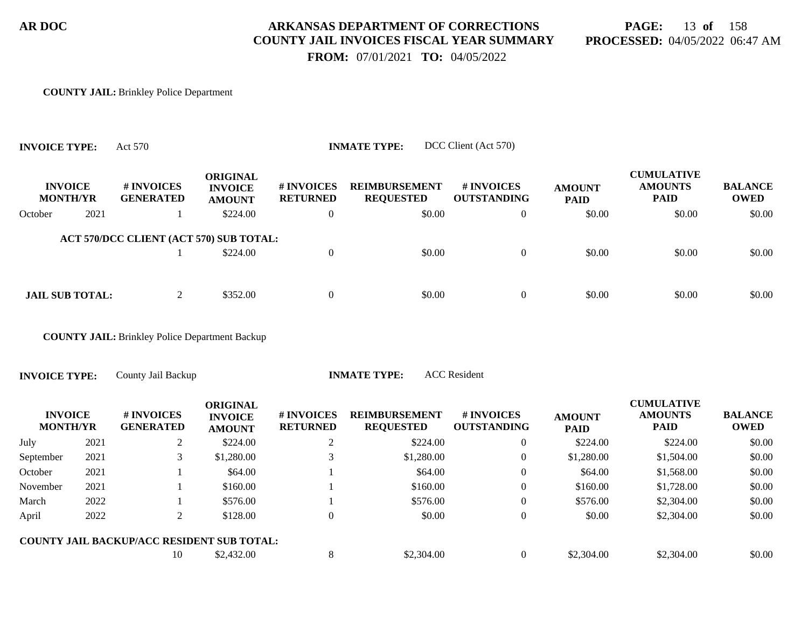**PAGE:** 13 **of** 158 **PROCESSED:** 04/05/2022 06:47 AM

 **FROM:** 07/01/2021 **TO:** 04/05/2022

#### **COUNTY JAIL:** Brinkley Police Department

**INVOICE TYPE:** Act 570 **INMATE TYPE:** DCC Client (Act 570)

|         | <b>INVOICE</b><br><b>MONTH/YR</b> | # INVOICES<br><b>GENERATED</b>          | <b>ORIGINAL</b><br><b>INVOICE</b><br><b>AMOUNT</b> | <b># INVOICES</b><br><b>RETURNED</b> | <b>REIMBURSEMENT</b><br><b>REQUESTED</b> | <b># INVOICES</b><br><b>OUTSTANDING</b> | <b>AMOUNT</b><br><b>PAID</b> | <b>CUMULATIVE</b><br><b>AMOUNTS</b><br><b>PAID</b> | <b>BALANCE</b><br><b>OWED</b> |
|---------|-----------------------------------|-----------------------------------------|----------------------------------------------------|--------------------------------------|------------------------------------------|-----------------------------------------|------------------------------|----------------------------------------------------|-------------------------------|
| October | 2021                              |                                         | \$224.00                                           | $\theta$                             | \$0.00                                   | $\overline{0}$                          | \$0.00                       | \$0.00                                             | \$0.00                        |
|         |                                   | ACT 570/DCC CLIENT (ACT 570) SUB TOTAL: | \$224.00                                           | $\theta$                             | \$0.00                                   | $\Omega$                                | \$0.00                       | \$0.00                                             | \$0.00                        |
|         | <b>JAIL SUB TOTAL:</b>            | 2                                       | \$352.00                                           | $\overline{0}$                       | \$0.00                                   | $\Omega$                                | \$0.00                       | \$0.00                                             | \$0.00                        |

**COUNTY JAIL:** Brinkley Police Department Backup

**INVOICE TYPE:** County Jail Backup **INMATE TYPE:** ACC Resident

| <b>INVOICE</b><br><b>MONTH/YR</b> |      | <b>#INVOICES</b><br><b>GENERATED</b>              | <b>ORIGINAL</b><br><b>INVOICE</b><br><b>AMOUNT</b> | <b># INVOICES</b><br><b>RETURNED</b> | <b>REIMBURSEMENT</b><br><b>REQUESTED</b> | # INVOICES<br><b>OUTSTANDING</b> | <b>AMOUNT</b><br><b>PAID</b> | <b>CUMULATIVE</b><br><b>AMOUNTS</b><br><b>PAID</b> | <b>BALANCE</b><br><b>OWED</b> |
|-----------------------------------|------|---------------------------------------------------|----------------------------------------------------|--------------------------------------|------------------------------------------|----------------------------------|------------------------------|----------------------------------------------------|-------------------------------|
| July                              | 2021 |                                                   | \$224.00                                           |                                      | \$224.00                                 | 0                                | \$224.00                     | \$224.00                                           | \$0.00                        |
| September                         | 2021 |                                                   | \$1,280.00                                         |                                      | \$1,280.00                               | 0                                | \$1,280.00                   | \$1,504.00                                         | \$0.00                        |
| October                           | 2021 |                                                   | \$64.00                                            |                                      | \$64.00                                  | 0                                | \$64.00                      | \$1,568.00                                         | \$0.00                        |
| November                          | 2021 |                                                   | \$160.00                                           |                                      | \$160.00                                 | 0                                | \$160.00                     | \$1,728.00                                         | \$0.00                        |
| March                             | 2022 |                                                   | \$576.00                                           |                                      | \$576.00                                 | 0                                | \$576.00                     | \$2,304.00                                         | \$0.00                        |
| April                             | 2022 |                                                   | \$128.00                                           |                                      | \$0.00                                   | 0                                | \$0.00                       | \$2,304.00                                         | \$0.00                        |
|                                   |      | <b>COUNTY JAIL BACKUP/ACC RESIDENT SUB TOTAL:</b> |                                                    |                                      |                                          |                                  |                              |                                                    |                               |
|                                   |      | 10                                                | \$2,432.00                                         | 8                                    | \$2,304.00                               | 0                                | \$2,304.00                   | \$2,304.00                                         | \$0.00                        |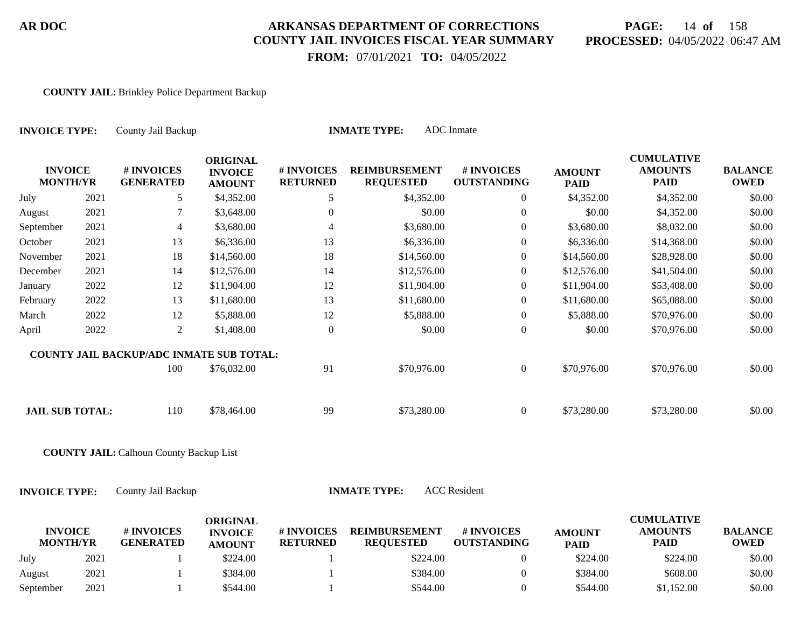# **PAGE:** 14 **of** 158 **PROCESSED:** 04/05/2022 06:47 AM

 **FROM:** 07/01/2021 **TO:** 04/05/2022

#### **COUNTY JAIL:** Brinkley Police Department Backup

| <b>INVOICE TYPE:</b>              |      | County Jail Backup                             |                                                    |                               | <b>INMATE TYPE:</b>                      | <b>ADC</b> Inmate                |                              |                                                    |                               |
|-----------------------------------|------|------------------------------------------------|----------------------------------------------------|-------------------------------|------------------------------------------|----------------------------------|------------------------------|----------------------------------------------------|-------------------------------|
| <b>INVOICE</b><br><b>MONTH/YR</b> |      | # INVOICES<br><b>GENERATED</b>                 | <b>ORIGINAL</b><br><b>INVOICE</b><br><b>AMOUNT</b> | # INVOICES<br><b>RETURNED</b> | <b>REIMBURSEMENT</b><br><b>REQUESTED</b> | # INVOICES<br><b>OUTSTANDING</b> | <b>AMOUNT</b><br><b>PAID</b> | <b>CUMULATIVE</b><br><b>AMOUNTS</b><br><b>PAID</b> | <b>BALANCE</b><br><b>OWED</b> |
| July                              | 2021 | 5                                              | \$4,352.00                                         | 5                             | \$4,352.00                               | $\theta$                         | \$4,352.00                   | \$4,352.00                                         | \$0.00                        |
| August                            | 2021 | 7                                              | \$3,648.00                                         | $\mathbf{0}$                  | \$0.00                                   | $\overline{0}$                   | \$0.00                       | \$4,352.00                                         | \$0.00                        |
| September                         | 2021 | 4                                              | \$3,680.00                                         | 4                             | \$3,680.00                               | $\theta$                         | \$3,680.00                   | \$8,032.00                                         | \$0.00                        |
| October                           | 2021 | 13                                             | \$6,336.00                                         | 13                            | \$6,336.00                               | $\overline{0}$                   | \$6,336.00                   | \$14,368.00                                        | \$0.00                        |
| November                          | 2021 | 18                                             | \$14,560.00                                        | 18                            | \$14,560.00                              | $\theta$                         | \$14,560.00                  | \$28,928.00                                        | \$0.00                        |
| December                          | 2021 | 14                                             | \$12,576.00                                        | 14                            | \$12,576.00                              | $\theta$                         | \$12,576.00                  | \$41,504.00                                        | \$0.00                        |
| January                           | 2022 | 12                                             | \$11,904.00                                        | 12                            | \$11,904.00                              | $\theta$                         | \$11,904.00                  | \$53,408.00                                        | \$0.00                        |
| February                          | 2022 | 13                                             | \$11,680.00                                        | 13                            | \$11,680.00                              | $\boldsymbol{0}$                 | \$11,680.00                  | \$65,088.00                                        | \$0.00                        |
| March                             | 2022 | 12                                             | \$5,888.00                                         | 12                            | \$5,888.00                               | $\boldsymbol{0}$                 | \$5,888.00                   | \$70,976.00                                        | \$0.00                        |
| April                             | 2022 | 2                                              | \$1,408.00                                         | $\boldsymbol{0}$              | \$0.00                                   | $\mathbf{0}$                     | \$0.00                       | \$70,976.00                                        | \$0.00                        |
|                                   |      | COUNTY JAIL BACKUP/ADC INMATE SUB TOTAL:       |                                                    |                               |                                          |                                  |                              |                                                    |                               |
|                                   |      | 100                                            | \$76,032.00                                        | 91                            | \$70,976.00                              | $\overline{0}$                   | \$70,976.00                  | \$70,976.00                                        | \$0.00                        |
| <b>JAIL SUB TOTAL:</b>            |      | 110                                            | \$78,464.00                                        | 99                            | \$73,280.00                              | $\overline{0}$                   | \$73,280.00                  | \$73,280.00                                        | \$0.00                        |
|                                   |      | <b>COUNTY JAIL: Calhoun County Backup List</b> |                                                    |                               |                                          |                                  |                              |                                                    |                               |
| <b>INVOICE TYPE:</b>              |      | County Jail Backup                             |                                                    |                               | <b>INMATE TYPE:</b>                      | <b>ACC</b> Resident              |                              |                                                    |                               |
| <b>INVOICE</b><br><b>MONTH/YR</b> |      | # INVOICES<br><b>GENERATED</b>                 | <b>ORIGINAL</b><br><b>INVOICE</b><br><b>AMOUNT</b> | # INVOICES<br><b>RETURNED</b> | <b>REIMBURSEMENT</b><br><b>REQUESTED</b> | # INVOICES<br><b>OUTSTANDING</b> | <b>AMOUNT</b><br><b>PAID</b> | <b>CUMULATIVE</b><br><b>AMOUNTS</b><br><b>PAID</b> | <b>BALANCE</b><br><b>OWED</b> |
| July                              | 2021 |                                                | \$224.00                                           |                               | \$224.00                                 | $\overline{0}$                   | \$224.00                     | \$224.00                                           | \$0.00                        |

August 2021 1 \$384.00 1 \$3884.00 0 \$384.00 \$608.00 \$0.00 September 2021 1 \$544.00 1 \$544.00 50.00 \$544.00 \$544.00 \$1,152.00 \$0.00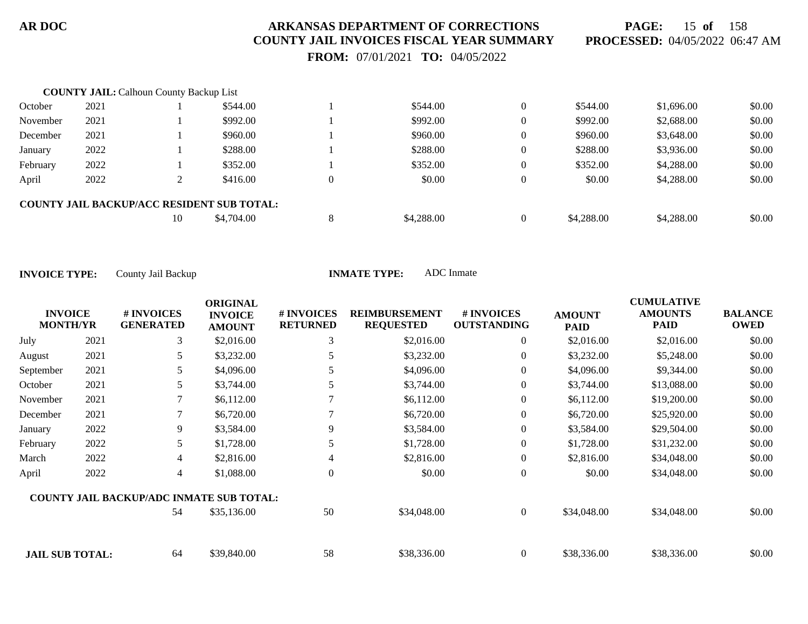**PAGE:** 15 **of** 158 **PROCESSED:** 04/05/2022 06:47 AM

 **FROM:** 07/01/2021 **TO:** 04/05/2022

|          | <b>COUNTY JAIL: Calhoun County Backup List</b> |    |                                                   |   |            |                |            |            |        |
|----------|------------------------------------------------|----|---------------------------------------------------|---|------------|----------------|------------|------------|--------|
| October  | 2021                                           |    | \$544.00                                          |   | \$544.00   | $\theta$       | \$544.00   | \$1,696.00 | \$0.00 |
| November | 2021                                           |    | \$992.00                                          |   | \$992.00   | $\overline{0}$ | \$992.00   | \$2,688.00 | \$0.00 |
| December | 2021                                           |    | \$960.00                                          |   | \$960.00   | $\overline{0}$ | \$960.00   | \$3,648.00 | \$0.00 |
| January  | 2022                                           |    | \$288.00                                          |   | \$288.00   | $\overline{0}$ | \$288.00   | \$3,936.00 | \$0.00 |
| February | 2022                                           |    | \$352.00                                          |   | \$352.00   | $\overline{0}$ | \$352.00   | \$4,288.00 | \$0.00 |
| April    | 2022                                           |    | \$416.00                                          |   | \$0.00     | $\overline{0}$ | \$0.00     | \$4,288.00 | \$0.00 |
|          |                                                |    | <b>COUNTY JAIL BACKUP/ACC RESIDENT SUB TOTAL:</b> |   |            |                |            |            |        |
|          |                                                | 10 | \$4,704.00                                        | 8 | \$4,288.00 | $\Omega$       | \$4,288.00 | \$4,288.00 | \$0.00 |

| <b>INVOICE</b><br><b>MONTH/YR</b> |      | # INVOICES<br><b>GENERATED</b>                  | <b>ORIGINAL</b><br><b>INVOICE</b><br><b>AMOUNT</b> | # INVOICES<br><b>RETURNED</b> | <b>REIMBURSEMENT</b><br><b>REQUESTED</b> | # INVOICES<br><b>OUTSTANDING</b> | <b>AMOUNT</b><br><b>PAID</b> | <b>CUMULATIVE</b><br><b>AMOUNTS</b><br><b>PAID</b> | <b>BALANCE</b><br><b>OWED</b> |
|-----------------------------------|------|-------------------------------------------------|----------------------------------------------------|-------------------------------|------------------------------------------|----------------------------------|------------------------------|----------------------------------------------------|-------------------------------|
| July                              | 2021 | 3                                               | \$2,016.00                                         | 3                             | \$2,016.00                               | 0                                | \$2,016.00                   | \$2,016.00                                         | \$0.00                        |
| August                            | 2021 | 5.                                              | \$3,232.00                                         |                               | \$3,232.00                               | 0                                | \$3,232.00                   | \$5,248.00                                         | \$0.00                        |
| September                         | 2021 | 5.                                              | \$4,096.00                                         |                               | \$4,096.00                               | $\overline{0}$                   | \$4,096.00                   | \$9,344.00                                         | \$0.00                        |
| October                           | 2021 | 5.                                              | \$3,744.00                                         | 5                             | \$3,744.00                               | $\overline{0}$                   | \$3,744.00                   | \$13,088.00                                        | \$0.00                        |
| November                          | 2021 | 7                                               | \$6,112.00                                         |                               | \$6,112.00                               | $\overline{0}$                   | \$6,112.00                   | \$19,200.00                                        | \$0.00                        |
| December                          | 2021 |                                                 | \$6,720.00                                         |                               | \$6,720.00                               | $\overline{0}$                   | \$6,720.00                   | \$25,920.00                                        | \$0.00                        |
| January                           | 2022 | 9.                                              | \$3,584.00                                         | 9                             | \$3,584.00                               | $\overline{0}$                   | \$3,584.00                   | \$29,504.00                                        | \$0.00                        |
| February                          | 2022 | 5                                               | \$1,728.00                                         |                               | \$1,728.00                               | $\boldsymbol{0}$                 | \$1,728.00                   | \$31,232.00                                        | \$0.00                        |
| March                             | 2022 | $\overline{4}$                                  | \$2,816.00                                         | 4                             | \$2,816.00                               | $\overline{0}$                   | \$2,816.00                   | \$34,048.00                                        | \$0.00                        |
| April                             | 2022 | $\overline{4}$                                  | \$1,088.00                                         | $\Omega$                      | \$0.00                                   | $\overline{0}$                   | \$0.00                       | \$34,048.00                                        | \$0.00                        |
|                                   |      | <b>COUNTY JAIL BACKUP/ADC INMATE SUB TOTAL:</b> |                                                    |                               |                                          |                                  |                              |                                                    |                               |
|                                   |      | 54                                              | \$35,136.00                                        | 50                            | \$34,048.00                              | $\overline{0}$                   | \$34,048.00                  | \$34,048.00                                        | \$0.00                        |
| <b>JAIL SUB TOTAL:</b>            |      | 64                                              | \$39,840.00                                        | 58                            | \$38,336.00                              | $\overline{0}$                   | \$38,336.00                  | \$38,336.00                                        | \$0.00                        |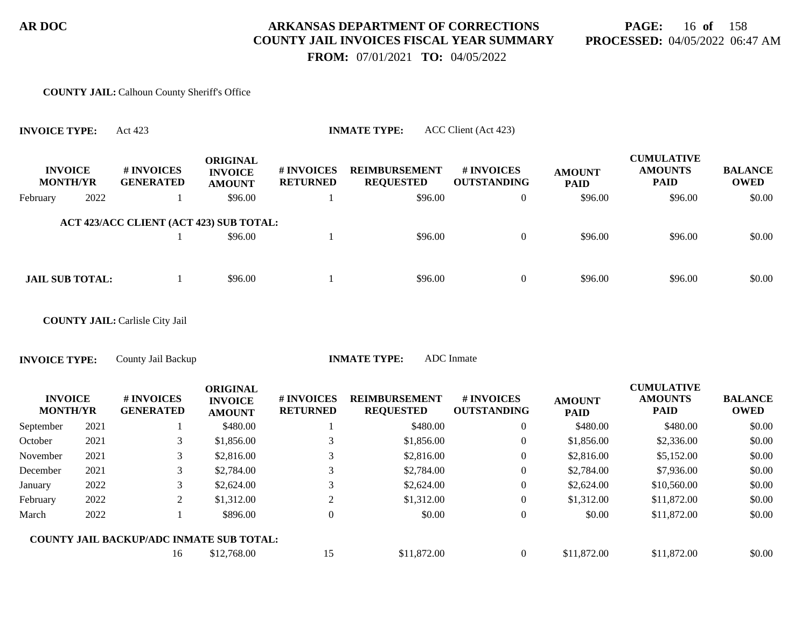**PAGE:** 16 **of** 158 **PROCESSED:** 04/05/2022 06:47 AM

 **FROM:** 07/01/2021 **TO:** 04/05/2022

#### **COUNTY JAIL:** Calhoun County Sheriff's Office

| <b>INVOICE TYPE:</b> |                                   | Act 423                                         |                                                    |                               | <b>INMATE TYPE:</b>                      | ACC Client (Act 423)             |                              |                                                    |                               |
|----------------------|-----------------------------------|-------------------------------------------------|----------------------------------------------------|-------------------------------|------------------------------------------|----------------------------------|------------------------------|----------------------------------------------------|-------------------------------|
|                      | <b>INVOICE</b><br><b>MONTH/YR</b> | # INVOICES<br><b>GENERATED</b>                  | <b>ORIGINAL</b><br><b>INVOICE</b><br><b>AMOUNT</b> | # INVOICES<br><b>RETURNED</b> | <b>REIMBURSEMENT</b><br><b>REQUESTED</b> | # INVOICES<br><b>OUTSTANDING</b> | <b>AMOUNT</b><br><b>PAID</b> | <b>CUMULATIVE</b><br><b>AMOUNTS</b><br><b>PAID</b> | <b>BALANCE</b><br><b>OWED</b> |
| February             | 2022                              | -1                                              | \$96.00                                            |                               | \$96.00                                  | $\overline{0}$                   | \$96.00                      | \$96.00                                            | \$0.00                        |
|                      |                                   | ACT 423/ACC CLIENT (ACT 423) SUB TOTAL:         |                                                    |                               |                                          |                                  |                              |                                                    |                               |
|                      |                                   |                                                 | \$96.00                                            |                               | \$96.00                                  | $\overline{0}$                   | \$96.00                      | \$96.00                                            | \$0.00                        |
|                      |                                   |                                                 |                                                    |                               |                                          |                                  |                              |                                                    |                               |
|                      | <b>JAIL SUB TOTAL:</b>            | 1                                               | \$96.00                                            |                               | \$96.00                                  | $\boldsymbol{0}$                 | \$96.00                      | \$96.00                                            | \$0.00                        |
|                      |                                   |                                                 |                                                    |                               |                                          |                                  |                              |                                                    |                               |
|                      |                                   | <b>COUNTY JAIL: Carlisle City Jail</b>          |                                                    |                               |                                          |                                  |                              |                                                    |                               |
| <b>INVOICE TYPE:</b> |                                   | County Jail Backup                              |                                                    |                               | <b>INMATE TYPE:</b>                      | ADC Inmate                       |                              |                                                    |                               |
|                      |                                   |                                                 |                                                    |                               |                                          |                                  |                              |                                                    |                               |
|                      | <b>INVOICE</b><br><b>MONTH/YR</b> | # INVOICES<br><b>GENERATED</b>                  | <b>ORIGINAL</b><br><b>INVOICE</b>                  | # INVOICES<br><b>RETURNED</b> | <b>REIMBURSEMENT</b><br><b>REQUESTED</b> | # INVOICES<br><b>OUTSTANDING</b> | <b>AMOUNT</b><br><b>PAID</b> | <b>CUMULATIVE</b><br><b>AMOUNTS</b><br><b>PAID</b> | <b>BALANCE</b><br><b>OWED</b> |
| September            | 2021                              | 1                                               | <b>AMOUNT</b><br>\$480.00                          |                               | \$480.00                                 | $\mathbf{0}$                     | \$480.00                     | \$480.00                                           | \$0.00                        |
| October              | 2021                              | 3                                               | \$1,856.00                                         | 3                             | \$1,856.00                               | $\boldsymbol{0}$                 | \$1,856.00                   | \$2,336.00                                         | \$0.00                        |
| November             | 2021                              | 3                                               | \$2,816.00                                         | 3                             | \$2,816.00                               | $\boldsymbol{0}$                 | \$2,816.00                   | \$5,152.00                                         | \$0.00                        |
| December             | 2021                              | 3                                               | \$2,784.00                                         | 3                             | \$2,784.00                               | $\boldsymbol{0}$                 | \$2,784.00                   | \$7,936.00                                         | \$0.00                        |
| January              | 2022                              | 3                                               | \$2,624.00                                         | 3                             | \$2,624.00                               | $\overline{0}$                   | \$2,624.00                   | \$10,560.00                                        | \$0.00                        |
| February             | 2022                              | $\sqrt{2}$                                      | \$1,312.00                                         | $\overline{2}$                | \$1,312.00                               | $\boldsymbol{0}$                 | \$1,312.00                   | \$11,872.00                                        | \$0.00                        |
| March                | 2022                              | 1                                               | \$896.00                                           | $\overline{0}$                | \$0.00                                   | $\overline{0}$                   | \$0.00                       | \$11,872.00                                        | \$0.00                        |
|                      |                                   | <b>COUNTY JAIL BACKUP/ADC INMATE SUB TOTAL:</b> |                                                    |                               |                                          |                                  |                              |                                                    |                               |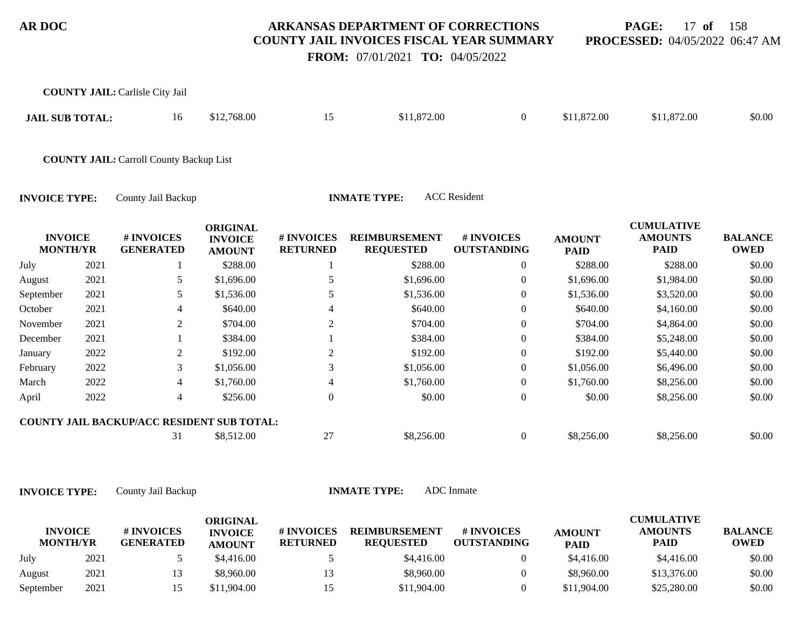**PAGE:** 17 **of** 158 **PROCESSED:** 04/05/2022 06:47 AM

 **FROM:** 07/01/2021 **TO:** 04/05/2022

|                                   |      | <b>COUNTY JAIL: Carlisle City Jail</b>                             |                                                    |                               |                                          |                                  |                              |                                                    |                               |
|-----------------------------------|------|--------------------------------------------------------------------|----------------------------------------------------|-------------------------------|------------------------------------------|----------------------------------|------------------------------|----------------------------------------------------|-------------------------------|
| <b>JAIL SUB TOTAL:</b>            |      | 16                                                                 | \$12,768.00                                        | 15                            | \$11,872.00                              | $\overline{0}$                   | \$11,872.00                  | \$11,872.00                                        | \$0.00                        |
|                                   |      | <b>COUNTY JAIL: Carroll County Backup List</b>                     |                                                    |                               |                                          |                                  |                              |                                                    |                               |
| <b>INVOICE TYPE:</b>              |      | County Jail Backup                                                 |                                                    |                               | <b>INMATE TYPE:</b>                      | <b>ACC</b> Resident              |                              |                                                    |                               |
| <b>INVOICE</b><br><b>MONTH/YR</b> |      | # INVOICES<br><b>GENERATED</b>                                     | <b>ORIGINAL</b><br><b>INVOICE</b><br><b>AMOUNT</b> | # INVOICES<br><b>RETURNED</b> | <b>REIMBURSEMENT</b><br><b>REQUESTED</b> | # INVOICES<br><b>OUTSTANDING</b> | <b>AMOUNT</b><br><b>PAID</b> | <b>CUMULATIVE</b><br><b>AMOUNTS</b><br><b>PAID</b> | <b>BALANCE</b><br><b>OWED</b> |
| July                              | 2021 |                                                                    | \$288.00                                           |                               | \$288.00                                 | $\overline{0}$                   | \$288.00                     | \$288.00                                           | \$0.00                        |
| August                            | 2021 |                                                                    | \$1,696.00                                         | 5                             | \$1,696.00                               | 0                                | \$1,696.00                   | \$1,984.00                                         | \$0.00                        |
| September                         | 2021 | 5                                                                  | \$1,536.00                                         | 5                             | \$1,536.00                               | $\overline{0}$                   | \$1,536.00                   | \$3,520.00                                         | \$0.00                        |
| October                           | 2021 |                                                                    | \$640.00                                           |                               | \$640.00                                 | $\overline{0}$                   | \$640.00                     | \$4,160.00                                         | \$0.00                        |
| November                          | 2021 | 2                                                                  | \$704.00                                           | 2                             | \$704.00                                 | $\overline{0}$                   | \$704.00                     | \$4,864.00                                         | \$0.00                        |
| December                          | 2021 |                                                                    | \$384.00                                           |                               | \$384.00                                 | $\overline{0}$                   | \$384.00                     | \$5,248.00                                         | \$0.00                        |
| January                           | 2022 | $\overline{c}$                                                     | \$192.00                                           | $\overline{c}$                | \$192.00                                 | $\overline{0}$                   | \$192.00                     | \$5,440.00                                         | \$0.00                        |
| February                          | 2022 | 3                                                                  | \$1,056.00                                         | 3                             | \$1,056.00                               | $\overline{0}$                   | \$1,056.00                   | \$6,496.00                                         | \$0.00                        |
| March                             | 2022 | 4                                                                  | \$1,760.00                                         | $\overline{4}$                | \$1,760.00                               | $\overline{0}$                   | \$1,760.00                   | \$8,256.00                                         | \$0.00                        |
| April                             | 2022 | $\overline{4}$                                                     | \$256.00                                           | $\boldsymbol{0}$              | \$0.00                                   | $\overline{0}$                   | \$0.00                       | \$8,256.00                                         | \$0.00                        |
|                                   |      | $OOFINIINI I I II. D I OIFID II. OCI DERIDINIINI ONID. RODI I. I.$ |                                                    |                               |                                          |                                  |                              |                                                    |                               |

|  | <b>COUNTY JAIL BACKUP/ACC RESIDENT SUB TOTAL:</b> |  |
|--|---------------------------------------------------|--|
|  | $\cdots$                                          |  |

31 \$8,512.00 27 \$8,256.00 0 \$8,256.00 \$8,256.00 \$0.00

|                                   |      |                                | ORIGINAL                        |                               |                                          |                                  |                              | <b>CUMULATIVE</b>             |                               |
|-----------------------------------|------|--------------------------------|---------------------------------|-------------------------------|------------------------------------------|----------------------------------|------------------------------|-------------------------------|-------------------------------|
| <b>INVOICE</b><br><b>MONTH/YR</b> |      | # INVOICES<br><b>GENERATED</b> | <b>INVOICE</b><br><b>AMOUNT</b> | # INVOICES<br><b>RETURNED</b> | <b>REIMBURSEMENT</b><br><b>REOUESTED</b> | # INVOICES<br><b>OUTSTANDING</b> | <b>AMOUNT</b><br><b>PAID</b> | <b>AMOUNTS</b><br><b>PAID</b> | <b>BALANCE</b><br><b>OWED</b> |
| July                              | 2021 |                                | \$4,416.00                      |                               | \$4,416.00                               |                                  | \$4,416.00                   | \$4,416.00                    | \$0.00                        |
| August                            | 2021 |                                | \$8,960.00                      |                               | \$8,960.00                               |                                  | \$8,960.00                   | \$13,376.00                   | \$0.00                        |
| September                         | 2021 |                                | \$11,904.00                     |                               | \$11,904.00                              |                                  | \$11,904.00                  | \$25,280.00                   | \$0.00                        |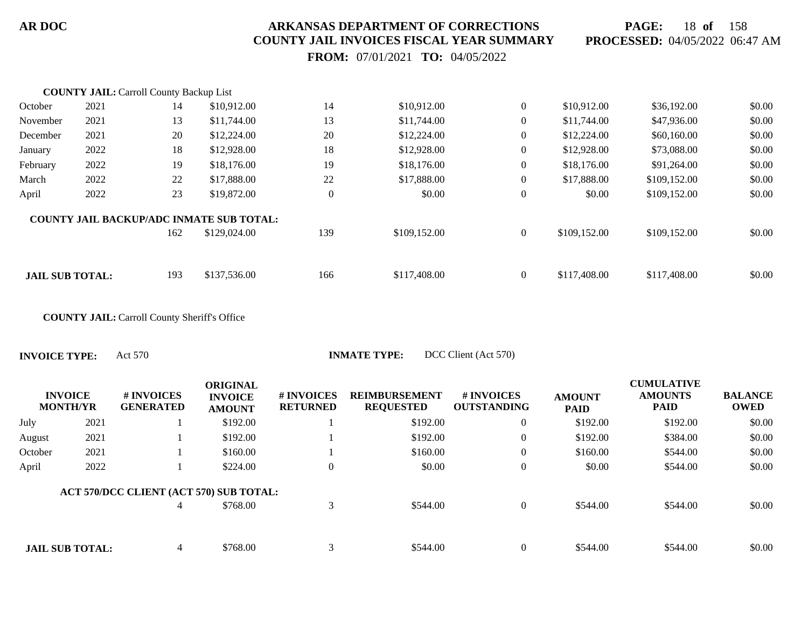**PAGE:** 18 **of** 158 **PROCESSED:** 04/05/2022 06:47 AM

 **FROM:** 07/01/2021 **TO:** 04/05/2022

|                        | <b>COUNTY JAIL: Carroll County Backup List</b> |     |                                                 |                |              |                  |              |              |        |
|------------------------|------------------------------------------------|-----|-------------------------------------------------|----------------|--------------|------------------|--------------|--------------|--------|
| October                | 2021                                           | 14  | \$10,912.00                                     | 14             | \$10,912.00  | $\mathbf{0}$     | \$10,912.00  | \$36,192.00  | \$0.00 |
| November               | 2021                                           | 13  | \$11,744.00                                     | 13             | \$11,744.00  | $\overline{0}$   | \$11,744.00  | \$47,936.00  | \$0.00 |
| December               | 2021                                           | 20  | \$12,224.00                                     | 20             | \$12,224.00  | $\boldsymbol{0}$ | \$12,224.00  | \$60,160.00  | \$0.00 |
| January                | 2022                                           | 18  | \$12,928.00                                     | 18             | \$12,928.00  | $\overline{0}$   | \$12,928.00  | \$73,088.00  | \$0.00 |
| February               | 2022                                           | 19  | \$18,176.00                                     | 19             | \$18,176.00  | $\mathbf{0}$     | \$18,176.00  | \$91,264.00  | \$0.00 |
| March                  | 2022                                           | 22  | \$17,888.00                                     | 22             | \$17,888.00  | $\overline{0}$   | \$17,888.00  | \$109,152.00 | \$0.00 |
| April                  | 2022                                           | 23  | \$19,872.00                                     | $\overline{0}$ | \$0.00       | $\mathbf{0}$     | \$0.00       | \$109,152.00 | \$0.00 |
|                        |                                                |     | <b>COUNTY JAIL BACKUP/ADC INMATE SUB TOTAL:</b> |                |              |                  |              |              |        |
|                        |                                                | 162 | \$129,024.00                                    | 139            | \$109,152.00 | $\mathbf{0}$     | \$109,152.00 | \$109,152.00 | \$0.00 |
|                        |                                                |     |                                                 |                |              |                  |              |              |        |
| <b>JAIL SUB TOTAL:</b> |                                                | 193 | \$137,536.00                                    | 166            | \$117,408.00 | $\Omega$         | \$117,408.00 | \$117,408.00 | \$0.00 |

**COUNTY JAIL:** Carroll County Sheriff's Office

| <b>INVOICE</b><br><b>MONTH/YR</b> |      | # INVOICES<br><b>GENERATED</b>          | <b>ORIGINAL</b><br><b>INVOICE</b><br><b>AMOUNT</b> | # INVOICES<br><b>RETURNED</b> | <b>REIMBURSEMENT</b><br><b>REQUESTED</b> | # INVOICES<br><b>OUTSTANDING</b> | <b>AMOUNT</b><br><b>PAID</b> | <b>CUMULATIVE</b><br><b>AMOUNTS</b><br><b>PAID</b> | <b>BALANCE</b><br><b>OWED</b> |
|-----------------------------------|------|-----------------------------------------|----------------------------------------------------|-------------------------------|------------------------------------------|----------------------------------|------------------------------|----------------------------------------------------|-------------------------------|
| July                              | 2021 |                                         | \$192.00                                           |                               | \$192.00                                 | $\overline{0}$                   | \$192.00                     | \$192.00                                           | \$0.00                        |
| August                            | 2021 |                                         | \$192.00                                           |                               | \$192.00                                 | $\overline{0}$                   | \$192.00                     | \$384.00                                           | \$0.00                        |
| October                           | 2021 |                                         | \$160.00                                           |                               | \$160.00                                 | $\overline{0}$                   | \$160.00                     | \$544.00                                           | \$0.00                        |
| April                             | 2022 |                                         | \$224.00                                           | $\boldsymbol{0}$              | \$0.00                                   | $\boldsymbol{0}$                 | \$0.00                       | \$544.00                                           | \$0.00                        |
|                                   |      | ACT 570/DCC CLIENT (ACT 570) SUB TOTAL: |                                                    |                               |                                          |                                  |                              |                                                    |                               |
|                                   |      | 4                                       | \$768.00                                           | 3                             | \$544.00                                 | $\overline{0}$                   | \$544.00                     | \$544.00                                           | \$0.00                        |
|                                   |      |                                         |                                                    |                               |                                          |                                  |                              |                                                    |                               |
| <b>JAIL SUB TOTAL:</b>            |      | $\overline{4}$                          | \$768.00                                           | 3                             | \$544.00                                 | $\overline{0}$                   | \$544.00                     | \$544.00                                           | \$0.00                        |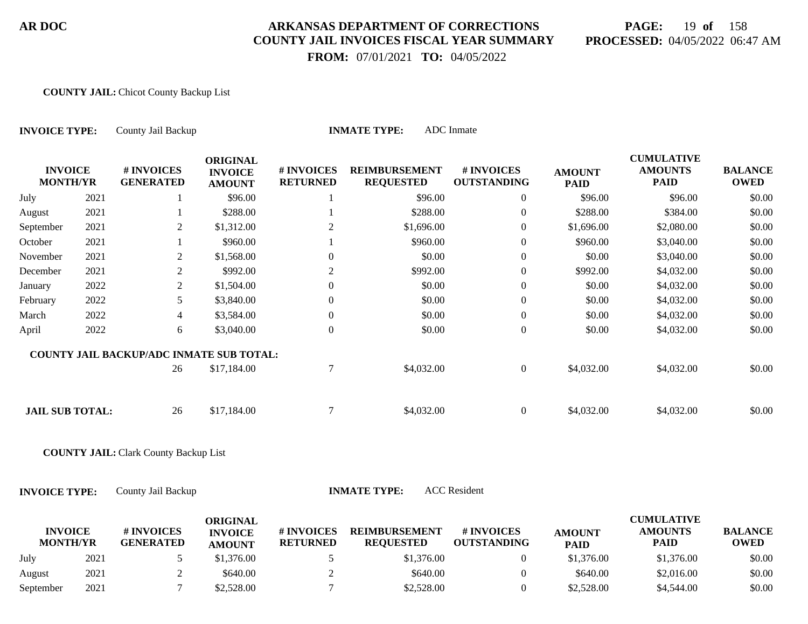# **PAGE:** 19 **of** 158 **PROCESSED:** 04/05/2022 06:47 AM

 **FROM:** 07/01/2021 **TO:** 04/05/2022

#### **COUNTY JAIL:** Chicot County Backup List

| <b>INVOICE TYPE:</b>              |      | County Jail Backup                           |                                                    |                               | <b>INMATE TYPE:</b>                      | <b>ADC</b> Inmate                |                              |                                                    |                               |
|-----------------------------------|------|----------------------------------------------|----------------------------------------------------|-------------------------------|------------------------------------------|----------------------------------|------------------------------|----------------------------------------------------|-------------------------------|
| <b>INVOICE</b><br><b>MONTH/YR</b> |      | # INVOICES<br><b>GENERATED</b>               | <b>ORIGINAL</b><br><b>INVOICE</b><br><b>AMOUNT</b> | # INVOICES<br><b>RETURNED</b> | <b>REIMBURSEMENT</b><br><b>REQUESTED</b> | # INVOICES<br><b>OUTSTANDING</b> | <b>AMOUNT</b><br><b>PAID</b> | <b>CUMULATIVE</b><br><b>AMOUNTS</b><br><b>PAID</b> | <b>BALANCE</b><br><b>OWED</b> |
| July                              | 2021 | 1                                            | \$96.00                                            |                               | \$96.00                                  | $\mathbf{0}$                     | \$96.00                      | \$96.00                                            | \$0.00                        |
| August                            | 2021 | 1                                            | \$288.00                                           |                               | \$288.00                                 | $\boldsymbol{0}$                 | \$288.00                     | \$384.00                                           | \$0.00                        |
| September                         | 2021 | $\overline{2}$                               | \$1,312.00                                         | $\overline{2}$                | \$1,696.00                               | $\boldsymbol{0}$                 | \$1,696.00                   | \$2,080.00                                         | \$0.00                        |
| October                           | 2021 | $\mathbf{1}$                                 | \$960.00                                           |                               | \$960.00                                 | $\boldsymbol{0}$                 | \$960.00                     | \$3,040.00                                         | \$0.00                        |
| November                          | 2021 | $\overline{2}$                               | \$1,568.00                                         | $\theta$                      | \$0.00                                   | $\boldsymbol{0}$                 | \$0.00                       | \$3,040.00                                         | \$0.00                        |
| December                          | 2021 | $\overline{2}$                               | \$992.00                                           | $\overline{2}$                | \$992.00                                 | $\boldsymbol{0}$                 | \$992.00                     | \$4,032.00                                         | \$0.00                        |
| January                           | 2022 | $\mathbf{2}$                                 | \$1,504.00                                         | $\overline{0}$                | \$0.00                                   | $\boldsymbol{0}$                 | \$0.00                       | \$4,032.00                                         | \$0.00                        |
| February                          | 2022 | 5                                            | \$3,840.00                                         | $\overline{0}$                | \$0.00                                   | $\boldsymbol{0}$                 | \$0.00                       | \$4,032.00                                         | \$0.00                        |
| March                             | 2022 | $\overline{4}$                               | \$3,584.00                                         | $\overline{0}$                | \$0.00                                   | $\boldsymbol{0}$                 | \$0.00                       | \$4,032.00                                         | \$0.00                        |
| April                             | 2022 | $6\,$                                        | \$3,040.00                                         | $\overline{0}$                | \$0.00                                   | $\boldsymbol{0}$                 | \$0.00                       | \$4,032.00                                         | \$0.00                        |
|                                   |      | COUNTY JAIL BACKUP/ADC INMATE SUB TOTAL:     |                                                    |                               |                                          |                                  |                              |                                                    |                               |
|                                   |      | 26                                           | \$17,184.00                                        | $\boldsymbol{7}$              | \$4,032.00                               | $\boldsymbol{0}$                 | \$4,032.00                   | \$4,032.00                                         | \$0.00                        |
| <b>JAIL SUB TOTAL:</b>            |      | 26                                           | \$17,184.00                                        | $\tau$                        | \$4,032.00                               | $\boldsymbol{0}$                 | \$4,032.00                   | \$4,032.00                                         | \$0.00                        |
|                                   |      | <b>COUNTY JAIL: Clark County Backup List</b> |                                                    |                               |                                          |                                  |                              |                                                    |                               |
| <b>INVOICE TYPE:</b>              |      | County Jail Backup                           |                                                    |                               | <b>INMATE TYPE:</b>                      | <b>ACC</b> Resident              |                              |                                                    |                               |
| <b>INVOICE</b><br><b>MONTH/YR</b> |      | # INVOICES<br><b>GENERATED</b>               | <b>ORIGINAL</b><br><b>INVOICE</b><br><b>AMOUNT</b> | # INVOICES<br><b>RETURNED</b> | <b>REIMBURSEMENT</b><br><b>REQUESTED</b> | # INVOICES<br><b>OUTSTANDING</b> | <b>AMOUNT</b><br><b>PAID</b> | <b>CUMULATIVE</b><br><b>AMOUNTS</b><br><b>PAID</b> | <b>BALANCE</b><br><b>OWED</b> |
| July                              | 2021 | 5                                            | \$1,376.00                                         | 5                             | \$1,376.00                               | $\boldsymbol{0}$                 | \$1,376.00                   | \$1,376.00                                         | \$0.00                        |
| August                            | 2021 | $\overline{2}$                               | \$640.00                                           | $\overline{2}$                | \$640.00                                 | $\boldsymbol{0}$                 | \$640.00                     | \$2,016.00                                         | \$0.00                        |

September 2021 7 \$2,528.00 7 \$2,528.00 7 \$2,528.00 \$4,544.00 \$0.00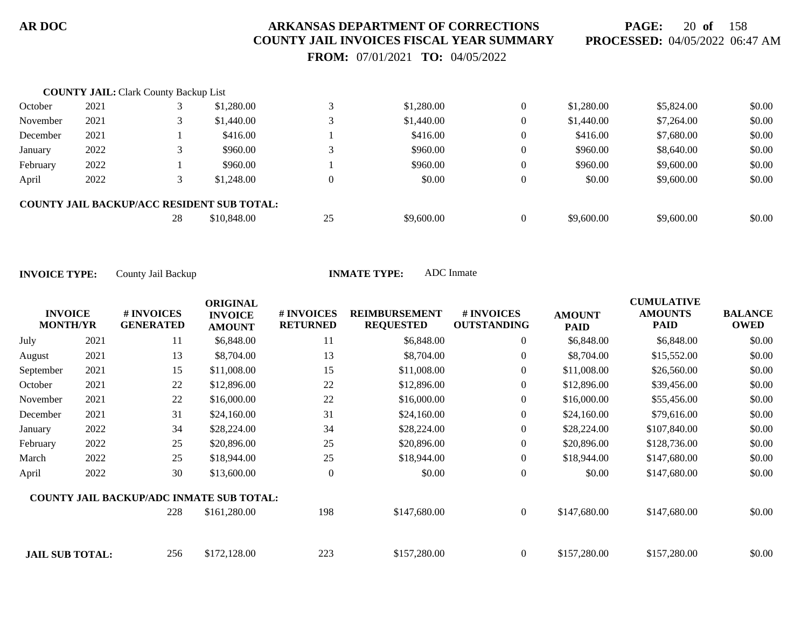**PAGE:** 20 **of** 158 **PROCESSED:** 04/05/2022 06:47 AM

 **FROM:** 07/01/2021 **TO:** 04/05/2022

|          | <b>COUNTY JAIL:</b> Clark County Backup List |    |                                                   |          |            |                |            |            |        |
|----------|----------------------------------------------|----|---------------------------------------------------|----------|------------|----------------|------------|------------|--------|
| October  | 2021                                         |    | \$1,280.00                                        |          | \$1,280.00 | $\overline{0}$ | \$1,280.00 | \$5,824.00 | \$0.00 |
| November | 2021                                         |    | \$1,440.00                                        |          | \$1,440.00 | $\overline{0}$ | \$1,440.00 | \$7,264.00 | \$0.00 |
| December | 2021                                         |    | \$416.00                                          |          | \$416.00   | $\overline{0}$ | \$416.00   | \$7,680.00 | \$0.00 |
| January  | 2022                                         |    | \$960.00                                          | 3        | \$960.00   | $\overline{0}$ | \$960.00   | \$8,640.00 | \$0.00 |
| February | 2022                                         |    | \$960.00                                          |          | \$960.00   | $\overline{0}$ | \$960.00   | \$9,600.00 | \$0.00 |
| April    | 2022                                         |    | \$1,248.00                                        | $\theta$ | \$0.00     | $\overline{0}$ | \$0.00     | \$9,600.00 | \$0.00 |
|          |                                              |    | <b>COUNTY JAIL BACKUP/ACC RESIDENT SUB TOTAL:</b> |          |            |                |            |            |        |
|          |                                              | 28 | \$10,848.00                                       | 25       | \$9,600.00 | $\Omega$       | \$9,600.00 | \$9,600.00 | \$0.00 |

| <b>INVOICE</b><br><b>MONTH/YR</b> |      | <b>#INVOICES</b><br><b>GENERATED</b>            | <b>ORIGINAL</b><br><b>INVOICE</b><br><b>AMOUNT</b> | # INVOICES<br><b>RETURNED</b> | <b>REIMBURSEMENT</b><br><b>REQUESTED</b> | # INVOICES<br><b>OUTSTANDING</b> | <b>AMOUNT</b><br><b>PAID</b> | <b>CUMULATIVE</b><br><b>AMOUNTS</b><br><b>PAID</b> | <b>BALANCE</b><br><b>OWED</b> |
|-----------------------------------|------|-------------------------------------------------|----------------------------------------------------|-------------------------------|------------------------------------------|----------------------------------|------------------------------|----------------------------------------------------|-------------------------------|
| July                              | 2021 | 11                                              | \$6,848.00                                         | 11                            | \$6,848.00                               | 0                                | \$6,848.00                   | \$6,848.00                                         | \$0.00                        |
| August                            | 2021 | 13                                              | \$8,704.00                                         | 13                            | \$8,704.00                               | $\overline{0}$                   | \$8,704.00                   | \$15,552.00                                        | \$0.00                        |
| September                         | 2021 | 15                                              | \$11,008.00                                        | 15                            | \$11,008.00                              | $\overline{0}$                   | \$11,008.00                  | \$26,560.00                                        | \$0.00                        |
| October                           | 2021 | 22                                              | \$12,896.00                                        | 22                            | \$12,896.00                              | $\overline{0}$                   | \$12,896.00                  | \$39,456.00                                        | \$0.00                        |
| November                          | 2021 | 22                                              | \$16,000.00                                        | 22                            | \$16,000.00                              | $\overline{0}$                   | \$16,000.00                  | \$55,456.00                                        | \$0.00                        |
| December                          | 2021 | 31                                              | \$24,160.00                                        | 31                            | \$24,160.00                              | $\overline{0}$                   | \$24,160.00                  | \$79,616.00                                        | \$0.00                        |
| January                           | 2022 | 34                                              | \$28,224.00                                        | 34                            | \$28,224.00                              | $\overline{0}$                   | \$28,224.00                  | \$107,840.00                                       | \$0.00                        |
| February                          | 2022 | 25                                              | \$20,896.00                                        | 25                            | \$20,896.00                              | $\overline{0}$                   | \$20,896.00                  | \$128,736.00                                       | \$0.00                        |
| March                             | 2022 | 25                                              | \$18,944.00                                        | 25                            | \$18,944.00                              | $\overline{0}$                   | \$18,944.00                  | \$147,680.00                                       | \$0.00                        |
| April                             | 2022 | 30                                              | \$13,600.00                                        | $\overline{0}$                | \$0.00                                   | $\boldsymbol{0}$                 | \$0.00                       | \$147,680.00                                       | \$0.00                        |
|                                   |      | <b>COUNTY JAIL BACKUP/ADC INMATE SUB TOTAL:</b> |                                                    |                               |                                          |                                  |                              |                                                    |                               |
|                                   |      | 228                                             | \$161,280.00                                       | 198                           | \$147,680.00                             | $\overline{0}$                   | \$147,680.00                 | \$147,680.00                                       | \$0.00                        |
| <b>JAIL SUB TOTAL:</b>            |      | 256                                             | \$172,128.00                                       | 223                           | \$157,280.00                             | $\overline{0}$                   | \$157,280.00                 | \$157,280.00                                       | \$0.00                        |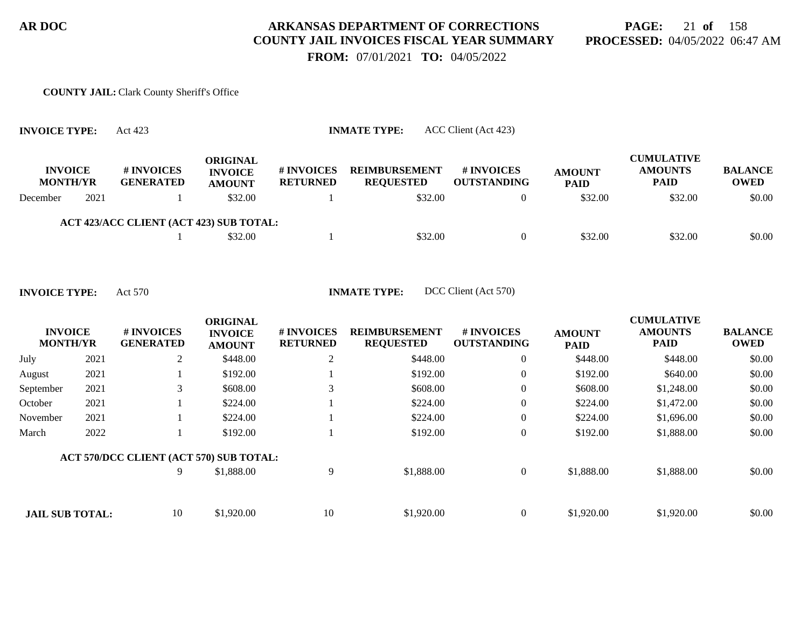# **PAGE:** 21 **of** 158 **PROCESSED:** 04/05/2022 06:47 AM

 **FROM:** 07/01/2021 **TO:** 04/05/2022

# **COUNTY JAIL:** Clark County Sheriff's Office

| <b>INVOICE TYPE:</b>              |      | Act 423                                 |                                             | <b>INMATE TYPE:</b>           |                                          |                                         |                              |                                                    |                               |
|-----------------------------------|------|-----------------------------------------|---------------------------------------------|-------------------------------|------------------------------------------|-----------------------------------------|------------------------------|----------------------------------------------------|-------------------------------|
| <b>INVOICE</b><br><b>MONTH/YR</b> |      | # INVOICES<br><b>GENERATED</b>          | ORIGINAL<br><b>INVOICE</b><br><b>AMOUNT</b> | # INVOICES<br><b>RETURNED</b> | <b>REIMBURSEMENT</b><br><b>REQUESTED</b> | <b># INVOICES</b><br><b>OUTSTANDING</b> | <b>AMOUNT</b><br><b>PAID</b> | <b>CUMULATIVE</b><br><b>AMOUNTS</b><br><b>PAID</b> | <b>BALANCE</b><br><b>OWED</b> |
| December                          | 2021 |                                         | \$32.00                                     |                               | \$32.00                                  | 0                                       | \$32.00                      | \$32.00                                            | \$0.00                        |
|                                   |      | ACT 423/ACC CLIENT (ACT 423) SUB TOTAL: |                                             |                               |                                          |                                         |                              |                                                    |                               |
|                                   |      |                                         | \$32.00                                     |                               | \$32.00                                  | $\Omega$                                | \$32.00                      | \$32.00                                            | \$0.00                        |

|                                   |      |                                         | <b>ORIGINAL</b>                 |                               |                                          |                                        |                              | <b>CUMULATIVE</b>             |                               |
|-----------------------------------|------|-----------------------------------------|---------------------------------|-------------------------------|------------------------------------------|----------------------------------------|------------------------------|-------------------------------|-------------------------------|
| <b>INVOICE</b><br><b>MONTH/YR</b> |      | <b>#INVOICES</b><br><b>GENERATED</b>    | <b>INVOICE</b><br><b>AMOUNT</b> | # INVOICES<br><b>RETURNED</b> | <b>REIMBURSEMENT</b><br><b>REQUESTED</b> | <b>#INVOICES</b><br><b>OUTSTANDING</b> | <b>AMOUNT</b><br><b>PAID</b> | <b>AMOUNTS</b><br><b>PAID</b> | <b>BALANCE</b><br><b>OWED</b> |
| July                              | 2021 | 2                                       | \$448.00                        | $\overline{2}$                | \$448.00                                 | $\overline{0}$                         | \$448.00                     | \$448.00                      | \$0.00                        |
| August                            | 2021 |                                         | \$192.00                        |                               | \$192.00                                 | $\boldsymbol{0}$                       | \$192.00                     | \$640.00                      | \$0.00                        |
| September                         | 2021 | 3                                       | \$608.00                        | 3                             | \$608.00                                 | $\overline{0}$                         | \$608.00                     | \$1,248.00                    | \$0.00                        |
| October                           | 2021 |                                         | \$224.00                        |                               | \$224.00                                 | $\overline{0}$                         | \$224.00                     | \$1,472.00                    | \$0.00                        |
| November                          | 2021 |                                         | \$224.00                        |                               | \$224.00                                 | $\overline{0}$                         | \$224.00                     | \$1,696.00                    | \$0.00                        |
| March                             | 2022 |                                         | \$192.00                        |                               | \$192.00                                 | $\overline{0}$                         | \$192.00                     | \$1,888.00                    | \$0.00                        |
|                                   |      | ACT 570/DCC CLIENT (ACT 570) SUB TOTAL: |                                 |                               |                                          |                                        |                              |                               |                               |
|                                   |      | 9                                       | \$1,888.00                      | 9                             | \$1,888.00                               | $\overline{0}$                         | \$1,888.00                   | \$1,888.00                    | \$0.00                        |
|                                   |      |                                         |                                 |                               |                                          |                                        |                              |                               |                               |
| <b>JAIL SUB TOTAL:</b>            |      | 10                                      | \$1,920.00                      | 10                            | \$1,920.00                               | $\overline{0}$                         | \$1,920.00                   | \$1,920.00                    | \$0.00                        |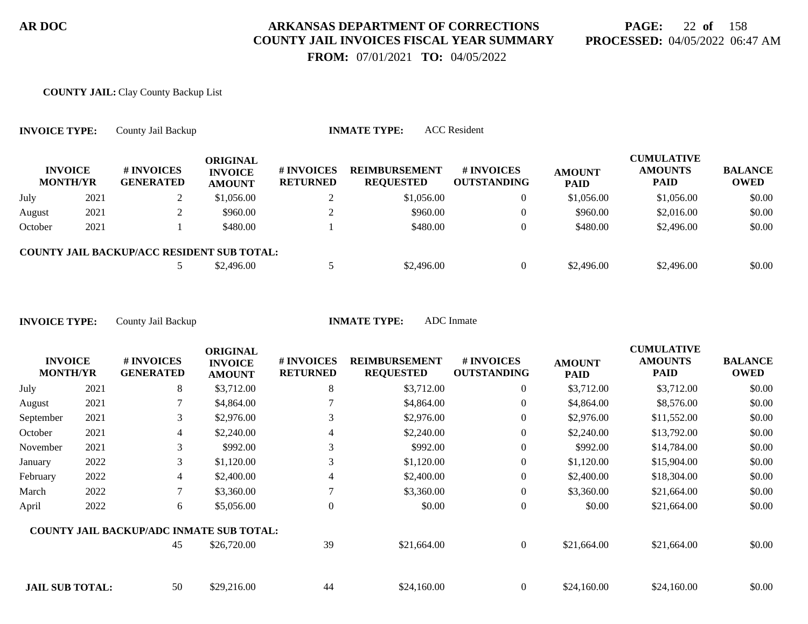**PAGE:** 22 **of** 158 **PROCESSED:** 04/05/2022 06:47 AM

 **FROM:** 07/01/2021 **TO:** 04/05/2022

#### **COUNTY JAIL:** Clay County Backup List

| <b>INVOICE TYPE:</b> |                                   | County Jail Backup                                |                                             |                                     | <b>INMATE TYPE:</b>                      | <b>ACC</b> Resident              |                              |                                                    |                        |
|----------------------|-----------------------------------|---------------------------------------------------|---------------------------------------------|-------------------------------------|------------------------------------------|----------------------------------|------------------------------|----------------------------------------------------|------------------------|
|                      | <b>INVOICE</b><br><b>MONTH/YR</b> | # INVOICES<br><b>GENERATED</b>                    | ORIGINAL<br><b>INVOICE</b><br><b>AMOUNT</b> | <b>#INVOICES</b><br><b>RETURNED</b> | <b>REIMBURSEMENT</b><br><b>REQUESTED</b> | # INVOICES<br><b>OUTSTANDING</b> | <b>AMOUNT</b><br><b>PAID</b> | <b>CUMULATIVE</b><br><b>AMOUNTS</b><br><b>PAID</b> | <b>BALANCE</b><br>OWED |
| July                 | 2021                              | ∠                                                 | \$1,056.00                                  |                                     | \$1,056.00                               | $\boldsymbol{0}$                 | \$1,056.00                   | \$1,056.00                                         | \$0.00                 |
| August               | 2021                              |                                                   | \$960.00                                    |                                     | \$960.00                                 | $\overline{0}$                   | \$960.00                     | \$2,016.00                                         | \$0.00                 |
| October              | 2021                              |                                                   | \$480.00                                    |                                     | \$480.00                                 | $\overline{0}$                   | \$480.00                     | \$2,496.00                                         | \$0.00                 |
|                      |                                   | <b>COUNTY JAIL BACKUP/ACC RESIDENT SUB TOTAL:</b> |                                             |                                     |                                          |                                  |                              |                                                    |                        |
|                      |                                   |                                                   | \$2,496.00                                  |                                     | \$2,496.00                               | $\overline{0}$                   | \$2,496.00                   | \$2,496.00                                         | \$0.00                 |

| <b>INVOICE</b><br><b>MONTH/YR</b> |      | # INVOICES<br><b>GENERATED</b>                  | <b>ORIGINAL</b><br><b>INVOICE</b><br><b>AMOUNT</b> | # INVOICES<br><b>RETURNED</b> | <b>REIMBURSEMENT</b><br><b>REQUESTED</b> | <b>#INVOICES</b><br><b>OUTSTANDING</b> | <b>AMOUNT</b><br><b>PAID</b> | <b>CUMULATIVE</b><br><b>AMOUNTS</b><br><b>PAID</b> | <b>BALANCE</b><br><b>OWED</b> |
|-----------------------------------|------|-------------------------------------------------|----------------------------------------------------|-------------------------------|------------------------------------------|----------------------------------------|------------------------------|----------------------------------------------------|-------------------------------|
| July                              | 2021 | 8                                               | \$3,712.00                                         | 8                             | \$3,712.00                               | $\overline{0}$                         | \$3,712.00                   | \$3,712.00                                         | \$0.00                        |
| August                            | 2021 |                                                 | \$4,864.00                                         |                               | \$4,864.00                               | 0                                      | \$4,864.00                   | \$8,576.00                                         | \$0.00                        |
| September                         | 2021 | 3                                               | \$2,976.00                                         | 3                             | \$2,976.00                               | 0                                      | \$2,976.00                   | \$11,552.00                                        | \$0.00                        |
| October                           | 2021 | 4                                               | \$2,240.00                                         | 4                             | \$2,240.00                               | 0                                      | \$2,240.00                   | \$13,792.00                                        | \$0.00                        |
| November                          | 2021 | 3                                               | \$992.00                                           | 3                             | \$992.00                                 | $\overline{0}$                         | \$992.00                     | \$14,784.00                                        | \$0.00                        |
| January                           | 2022 | 3                                               | \$1,120.00                                         | 3                             | \$1,120.00                               | 0                                      | \$1,120.00                   | \$15,904.00                                        | \$0.00                        |
| February                          | 2022 | 4                                               | \$2,400.00                                         | 4                             | \$2,400.00                               | $\overline{0}$                         | \$2,400.00                   | \$18,304.00                                        | \$0.00                        |
| March                             | 2022 | $\tau$                                          | \$3,360.00                                         |                               | \$3,360.00                               | $\overline{0}$                         | \$3,360.00                   | \$21,664.00                                        | \$0.00                        |
| April                             | 2022 | 6                                               | \$5,056.00                                         | $\overline{0}$                | \$0.00                                   | 0                                      | \$0.00                       | \$21,664.00                                        | \$0.00                        |
|                                   |      | <b>COUNTY JAIL BACKUP/ADC INMATE SUB TOTAL:</b> |                                                    |                               |                                          |                                        |                              |                                                    |                               |
|                                   |      | 45                                              | \$26,720.00                                        | 39                            | \$21,664.00                              | $\overline{0}$                         | \$21,664.00                  | \$21,664.00                                        | \$0.00                        |
| <b>JAIL SUB TOTAL:</b>            |      | 50                                              | \$29,216.00                                        | 44                            | \$24,160.00                              | $\overline{0}$                         | \$24,160.00                  | \$24,160.00                                        | \$0.00                        |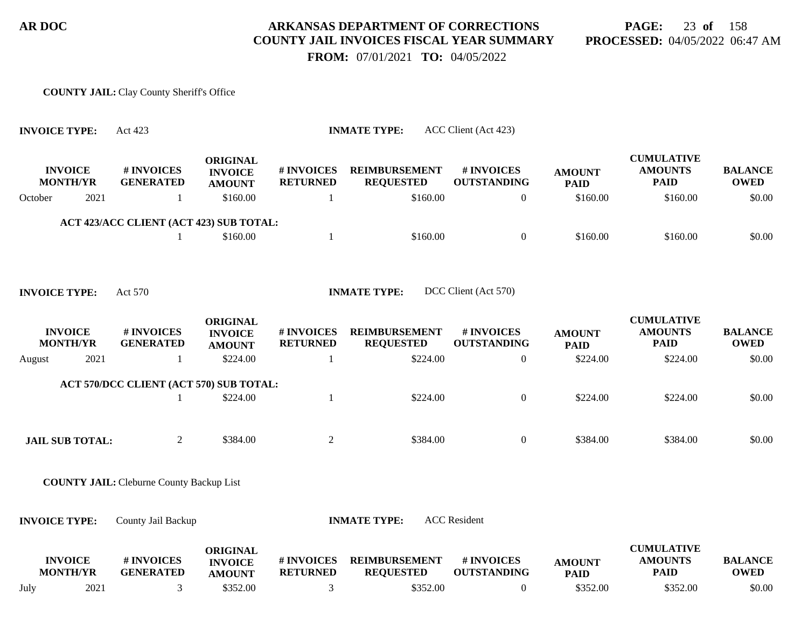**PAGE:** 23 **of** 158 **PROCESSED:** 04/05/2022 06:47 AM

 **FROM:** 07/01/2021 **TO:** 04/05/2022

#### **COUNTY JAIL:** Clay County Sheriff's Office

| <b>INVOICE TYPE:</b>              | Act 423                                         |                                                    |                               | <b>INMATE TYPE:</b>                      | ACC Client (Act 423)             |                              |                                                    |                               |
|-----------------------------------|-------------------------------------------------|----------------------------------------------------|-------------------------------|------------------------------------------|----------------------------------|------------------------------|----------------------------------------------------|-------------------------------|
| <b>INVOICE</b><br><b>MONTH/YR</b> | # INVOICES<br><b>GENERATED</b>                  | <b>ORIGINAL</b><br><b>INVOICE</b><br><b>AMOUNT</b> | # INVOICES<br><b>RETURNED</b> | <b>REIMBURSEMENT</b><br><b>REQUESTED</b> | # INVOICES<br><b>OUTSTANDING</b> | <b>AMOUNT</b><br><b>PAID</b> | <b>CUMULATIVE</b><br><b>AMOUNTS</b><br><b>PAID</b> | <b>BALANCE</b><br><b>OWED</b> |
| 2021<br>October                   | -1                                              | \$160.00                                           | 1                             | \$160.00                                 | $\overline{0}$                   | \$160.00                     | \$160.00                                           | \$0.00                        |
|                                   | ACT 423/ACC CLIENT (ACT 423) SUB TOTAL:         |                                                    |                               |                                          |                                  |                              |                                                    |                               |
|                                   | 1                                               | \$160.00                                           | 1                             | \$160.00                                 | $\overline{0}$                   | \$160.00                     | \$160.00                                           | \$0.00                        |
| <b>INVOICE TYPE:</b>              | Act 570                                         |                                                    |                               | <b>INMATE TYPE:</b>                      | DCC Client (Act 570)             |                              |                                                    |                               |
| <b>INVOICE</b><br><b>MONTH/YR</b> | # INVOICES<br><b>GENERATED</b>                  | <b>ORIGINAL</b><br><b>INVOICE</b><br><b>AMOUNT</b> | # INVOICES<br><b>RETURNED</b> | <b>REIMBURSEMENT</b><br><b>REQUESTED</b> | # INVOICES<br><b>OUTSTANDING</b> | <b>AMOUNT</b><br><b>PAID</b> | <b>CUMULATIVE</b><br><b>AMOUNTS</b><br><b>PAID</b> | <b>BALANCE</b><br><b>OWED</b> |
| 2021<br>August                    | -1                                              | \$224.00                                           | 1                             | \$224.00                                 | $\theta$                         | \$224.00                     | \$224.00                                           | \$0.00                        |
|                                   | ACT 570/DCC CLIENT (ACT 570) SUB TOTAL:         |                                                    |                               |                                          |                                  |                              |                                                    |                               |
|                                   |                                                 | \$224.00                                           | 1                             | \$224.00                                 | $\overline{0}$                   | \$224.00                     | \$224.00                                           | \$0.00                        |
|                                   |                                                 |                                                    |                               |                                          |                                  |                              |                                                    |                               |
| <b>JAIL SUB TOTAL:</b>            | $\overline{2}$                                  | \$384.00                                           | $\overline{c}$                | \$384.00                                 | $\overline{0}$                   | \$384.00                     | \$384.00                                           | \$0.00                        |
|                                   | <b>COUNTY JAIL: Cleburne County Backup List</b> |                                                    |                               |                                          |                                  |                              |                                                    |                               |
| <b>INVOICE TYPE:</b>              | County Jail Backup                              |                                                    |                               | <b>INMATE TYPE:</b>                      | <b>ACC</b> Resident              |                              |                                                    |                               |
| <b>INVOICE</b><br><b>MONTH/YR</b> | # INVOICES<br><b>GENERATED</b>                  | <b>ORIGINAL</b><br><b>INVOICE</b><br><b>AMOUNT</b> | # INVOICES<br><b>RETURNED</b> | <b>REIMBURSEMENT</b><br><b>REQUESTED</b> | # INVOICES<br><b>OUTSTANDING</b> | <b>AMOUNT</b><br><b>PAID</b> | <b>CUMULATIVE</b><br><b>AMOUNTS</b><br><b>PAID</b> | <b>BALANCE</b><br><b>OWED</b> |

July 2021 3 \$352.00 3 \$352.00 3 \$352.00 \$352.00 \$352.00 \$352.00 \$0.00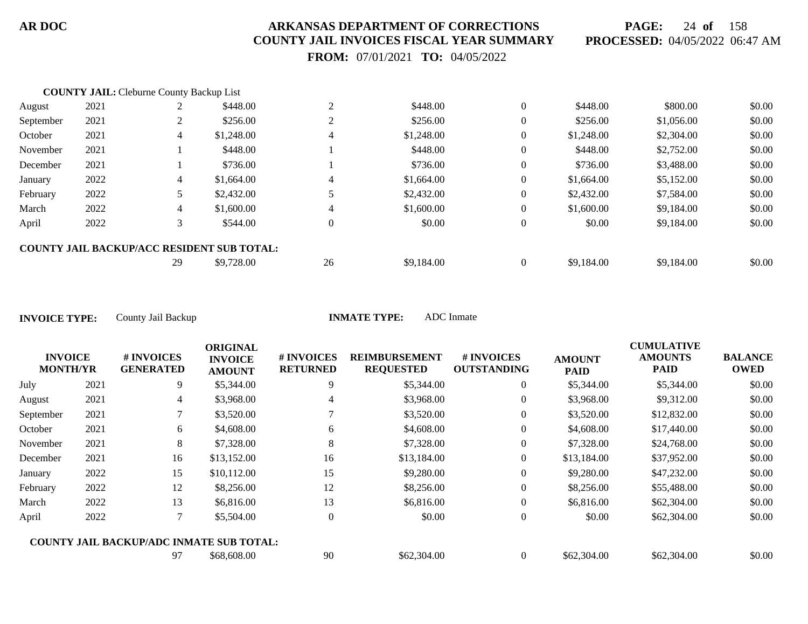**PAGE:** 24 **of** 158 **PROCESSED:** 04/05/2022 06:47 AM

 **FROM:** 07/01/2021 **TO:** 04/05/2022

|           | <b>COUNTY JAIL: Cleburne County Backup List</b> |    |                                                   |          |            |                |            |            |        |
|-----------|-------------------------------------------------|----|---------------------------------------------------|----------|------------|----------------|------------|------------|--------|
| August    | 2021                                            |    | \$448.00                                          | ↑        | \$448.00   | $\overline{0}$ | \$448.00   | \$800.00   | \$0.00 |
| September | 2021                                            |    | \$256.00                                          |          | \$256.00   | $\overline{0}$ | \$256.00   | \$1,056.00 | \$0.00 |
| October   | 2021                                            | 4  | \$1,248.00                                        | 4        | \$1,248.00 | $\overline{0}$ | \$1,248.00 | \$2,304.00 | \$0.00 |
| November  | 2021                                            |    | \$448.00                                          |          | \$448.00   | $\overline{0}$ | \$448.00   | \$2,752.00 | \$0.00 |
| December  | 2021                                            |    | \$736.00                                          |          | \$736.00   | $\overline{0}$ | \$736.00   | \$3,488.00 | \$0.00 |
| January   | 2022                                            | 4  | \$1,664.00                                        | 4        | \$1,664.00 | $\overline{0}$ | \$1,664.00 | \$5,152.00 | \$0.00 |
| February  | 2022                                            |    | \$2,432.00                                        |          | \$2,432.00 | $\overline{0}$ | \$2,432.00 | \$7,584.00 | \$0.00 |
| March     | 2022                                            | 4  | \$1,600.00                                        | 4        | \$1,600.00 | $\overline{0}$ | \$1,600.00 | \$9,184.00 | \$0.00 |
| April     | 2022                                            |    | \$544.00                                          | $\theta$ | \$0.00     | $\overline{0}$ | \$0.00     | \$9,184.00 | \$0.00 |
|           |                                                 |    | <b>COUNTY JAIL BACKUP/ACC RESIDENT SUB TOTAL:</b> |          |            |                |            |            |        |
|           |                                                 | 29 | \$9,728.00                                        | 26       | \$9,184.00 | $\overline{0}$ | \$9,184.00 | \$9,184.00 | \$0.00 |

| <b>INVOICE</b><br><b>MONTH/YR</b> |      | # INVOICES<br><b>GENERATED</b>                  | <b>ORIGINAL</b><br><b>INVOICE</b><br><b>AMOUNT</b> | <b>#INVOICES</b><br><b>RETURNED</b> | <b>REIMBURSEMENT</b><br><b>REQUESTED</b> | # INVOICES<br><b>OUTSTANDING</b> | <b>AMOUNT</b><br><b>PAID</b> | <b>CUMULATIVE</b><br><b>AMOUNTS</b><br><b>PAID</b> | <b>BALANCE</b><br><b>OWED</b> |
|-----------------------------------|------|-------------------------------------------------|----------------------------------------------------|-------------------------------------|------------------------------------------|----------------------------------|------------------------------|----------------------------------------------------|-------------------------------|
| July                              | 2021 | 9                                               | \$5,344.00                                         | 9                                   | \$5,344.00                               | $\overline{0}$                   | \$5,344.00                   | \$5,344.00                                         | \$0.00                        |
| August                            | 2021 | 4                                               | \$3,968.00                                         | 4                                   | \$3,968.00                               | $\overline{0}$                   | \$3,968.00                   | \$9,312.00                                         | \$0.00                        |
| September                         | 2021 |                                                 | \$3,520.00                                         |                                     | \$3,520.00                               | $\overline{0}$                   | \$3,520.00                   | \$12,832.00                                        | \$0.00                        |
| October                           | 2021 | 6                                               | \$4,608.00                                         | 6                                   | \$4,608.00                               | $\overline{0}$                   | \$4,608.00                   | \$17,440.00                                        | \$0.00                        |
| November                          | 2021 | 8                                               | \$7,328.00                                         | 8                                   | \$7,328.00                               | $\overline{0}$                   | \$7,328.00                   | \$24,768.00                                        | \$0.00                        |
| December                          | 2021 | 16                                              | \$13,152.00                                        | 16                                  | \$13,184.00                              | $\overline{0}$                   | \$13,184.00                  | \$37,952.00                                        | \$0.00                        |
| January                           | 2022 | 15                                              | \$10,112.00                                        | 15                                  | \$9,280.00                               | $\overline{0}$                   | \$9,280.00                   | \$47,232.00                                        | \$0.00                        |
| February                          | 2022 | 12                                              | \$8,256.00                                         | 12                                  | \$8,256.00                               | $\overline{0}$                   | \$8,256.00                   | \$55,488.00                                        | \$0.00                        |
| March                             | 2022 | 13                                              | \$6,816.00                                         | 13                                  | \$6,816.00                               | $\theta$                         | \$6,816.00                   | \$62,304.00                                        | \$0.00                        |
| April                             | 2022 |                                                 | \$5,504.00                                         | $\Omega$                            | \$0.00                                   | $\theta$                         | \$0.00                       | \$62,304.00                                        | \$0.00                        |
|                                   |      | <b>COUNTY JAIL BACKUP/ADC INMATE SUB TOTAL:</b> |                                                    |                                     |                                          |                                  |                              |                                                    |                               |
|                                   |      | 97                                              | \$68,608.00                                        | 90                                  | \$62,304.00                              | $\overline{0}$                   | \$62,304.00                  | \$62,304.00                                        | \$0.00                        |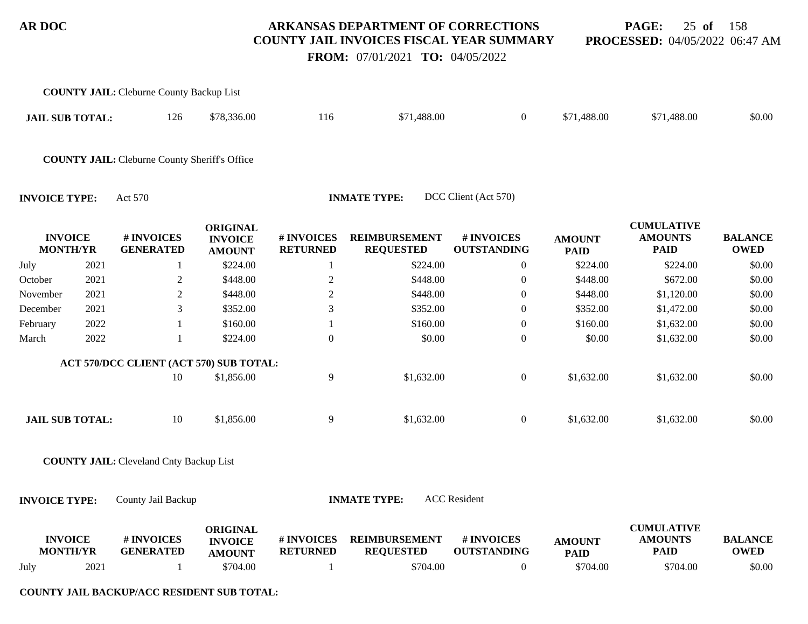**PAGE:** 25 **of** 158 **PROCESSED:** 04/05/2022 06:47 AM

 **FROM:** 07/01/2021 **TO:** 04/05/2022

|                        |                 | <b>COUNTY JAIL: Cleburne County Backup List</b>      |                                                    |                               |                                          |                                  |                              |                                                    |                               |
|------------------------|-----------------|------------------------------------------------------|----------------------------------------------------|-------------------------------|------------------------------------------|----------------------------------|------------------------------|----------------------------------------------------|-------------------------------|
| <b>JAIL SUB TOTAL:</b> |                 | 126                                                  | \$78,336.00                                        | 116                           | \$71,488.00                              | $\overline{0}$                   | \$71,488.00                  | \$71,488.00                                        | \$0.00                        |
|                        |                 | <b>COUNTY JAIL:</b> Cleburne County Sheriff's Office |                                                    |                               |                                          |                                  |                              |                                                    |                               |
| <b>INVOICE TYPE:</b>   |                 | Act 570                                              |                                                    |                               | <b>INMATE TYPE:</b>                      | DCC Client (Act 570)             |                              |                                                    |                               |
| <b>INVOICE</b>         | <b>MONTH/YR</b> | # INVOICES<br><b>GENERATED</b>                       | <b>ORIGINAL</b><br><b>INVOICE</b><br><b>AMOUNT</b> | # INVOICES<br><b>RETURNED</b> | <b>REIMBURSEMENT</b><br><b>REQUESTED</b> | # INVOICES<br><b>OUTSTANDING</b> | <b>AMOUNT</b><br><b>PAID</b> | <b>CUMULATIVE</b><br><b>AMOUNTS</b><br><b>PAID</b> | <b>BALANCE</b><br><b>OWED</b> |
| July                   | 2021            | 1                                                    | \$224.00                                           | -1                            | \$224.00                                 | $\boldsymbol{0}$                 | \$224.00                     | \$224.00                                           | \$0.00                        |
| October                | 2021            | $\boldsymbol{2}$                                     | \$448.00                                           | $\sqrt{2}$                    | \$448.00                                 | $\boldsymbol{0}$                 | \$448.00                     | \$672.00                                           | \$0.00                        |
| November               | 2021            | $\overline{c}$                                       | \$448.00                                           | $\boldsymbol{2}$              | \$448.00                                 | $\theta$                         | \$448.00                     | \$1,120.00                                         | \$0.00                        |
| December               | 2021            | 3                                                    | \$352.00                                           | 3                             | \$352.00                                 | $\theta$                         | \$352.00                     | \$1,472.00                                         | \$0.00                        |
| February               | 2022            |                                                      | \$160.00                                           |                               | \$160.00                                 | $\boldsymbol{0}$                 | \$160.00                     | \$1,632.00                                         | \$0.00                        |
| March                  | 2022            | 1                                                    | \$224.00                                           | $\mathbf{0}$                  | \$0.00                                   | $\boldsymbol{0}$                 | \$0.00                       | \$1,632.00                                         | \$0.00                        |
|                        |                 | ACT 570/DCC CLIENT (ACT 570) SUB TOTAL:              |                                                    |                               |                                          |                                  |                              |                                                    |                               |
|                        |                 | 10                                                   | \$1,856.00                                         | 9                             | \$1,632.00                               | $\boldsymbol{0}$                 | \$1,632.00                   | \$1,632.00                                         | \$0.00                        |
| <b>JAIL SUB TOTAL:</b> |                 | 10                                                   | \$1,856.00                                         | 9                             | \$1,632.00                               | $\boldsymbol{0}$                 | \$1,632.00                   | \$1,632.00                                         | \$0.00                        |
|                        |                 | <b>COUNTY JAIL: Cleveland Cnty Backup List</b>       |                                                    |                               |                                          |                                  |                              |                                                    |                               |
| <b>INVOICE TYPE:</b>   |                 | County Jail Backup                                   |                                                    |                               | <b>INMATE TYPE:</b>                      | <b>ACC</b> Resident              |                              |                                                    |                               |
| <b>INVOICE</b>         | <b>MONTH/YR</b> | # INVOICES<br><b>GENERATED</b>                       | <b>ORIGINAL</b><br><b>INVOICE</b><br><b>AMOUNT</b> | # INVOICES<br><b>RETURNED</b> | <b>REIMBURSEMENT</b><br><b>REQUESTED</b> | # INVOICES<br><b>OUTSTANDING</b> | <b>AMOUNT</b><br><b>PAID</b> | <b>CUMULATIVE</b><br><b>AMOUNTS</b><br><b>PAID</b> | <b>BALANCE</b><br><b>OWED</b> |
| July                   | 2021            | 1                                                    | \$704.00                                           | -1                            | \$704.00                                 | $\boldsymbol{0}$                 | \$704.00                     | \$704.00                                           | \$0.00                        |

**COUNTY JAIL BACKUP/ACC RESIDENT SUB TOTAL:**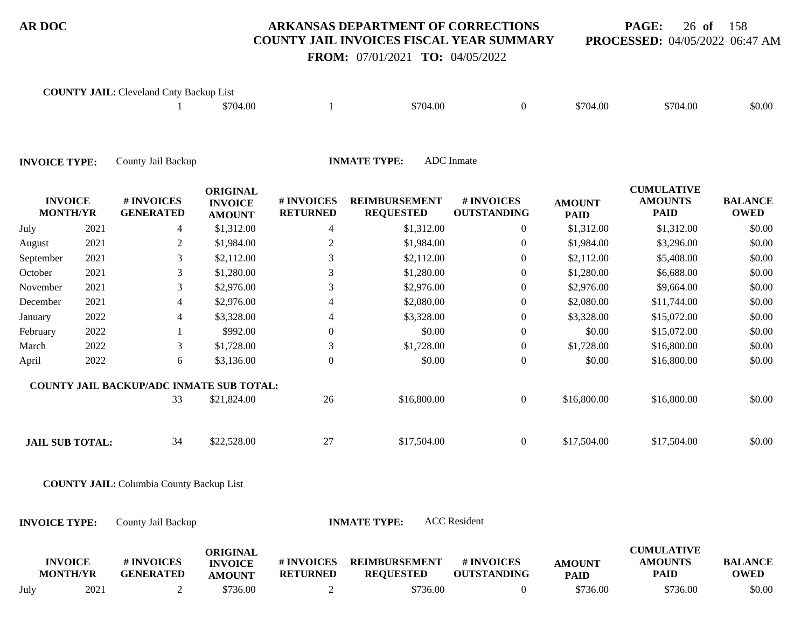**PAGE:** 26 **of** 158 **PROCESSED:** 04/05/2022 06:47 AM

# **FROM:** 07/01/2021 **TO:** 04/05/2022

|                                   |      | <b>COUNTY JAIL:</b> Cleveland Cnty Backup List  |                                                    |                               |                                          |                                  |                              |                                                    |                               |
|-----------------------------------|------|-------------------------------------------------|----------------------------------------------------|-------------------------------|------------------------------------------|----------------------------------|------------------------------|----------------------------------------------------|-------------------------------|
|                                   |      |                                                 | \$704.00                                           | -1                            | \$704.00                                 | $\overline{0}$                   | \$704.00                     | \$704.00                                           | \$0.00                        |
| <b>INVOICE TYPE:</b>              |      | County Jail Backup                              |                                                    |                               | <b>INMATE TYPE:</b>                      | <b>ADC</b> Inmate                |                              |                                                    |                               |
| <b>INVOICE</b><br><b>MONTH/YR</b> |      | # INVOICES<br><b>GENERATED</b>                  | <b>ORIGINAL</b><br><b>INVOICE</b><br><b>AMOUNT</b> | # INVOICES<br><b>RETURNED</b> | <b>REIMBURSEMENT</b><br><b>REQUESTED</b> | # INVOICES<br><b>OUTSTANDING</b> | <b>AMOUNT</b><br><b>PAID</b> | <b>CUMULATIVE</b><br><b>AMOUNTS</b><br><b>PAID</b> | <b>BALANCE</b><br><b>OWED</b> |
| July                              | 2021 | $\overline{4}$                                  | \$1,312.00                                         | 4                             | \$1,312.00                               | $\overline{0}$                   | \$1,312.00                   | \$1,312.00                                         | \$0.00                        |
| August                            | 2021 | $\overline{2}$                                  | \$1,984.00                                         | $\mathbf{2}$                  | \$1,984.00                               | 0                                | \$1,984.00                   | \$3,296.00                                         | \$0.00                        |
| September                         | 2021 | 3                                               | \$2,112.00                                         | 3                             | \$2,112.00                               | $\mathbf{0}$                     | \$2,112.00                   | \$5,408.00                                         | \$0.00                        |
| October                           | 2021 | 3                                               | \$1,280.00                                         | 3                             | \$1,280.00                               | $\Omega$                         | \$1,280.00                   | \$6,688.00                                         | \$0.00                        |
| November                          | 2021 | 3                                               | \$2,976.00                                         | 3                             | \$2,976.00                               | 0                                | \$2,976.00                   | \$9,664.00                                         | \$0.00                        |
| December                          | 2021 | 4                                               | \$2,976.00                                         |                               | \$2,080.00                               | $\overline{0}$                   | \$2,080.00                   | \$11,744.00                                        | \$0.00                        |
| January                           | 2022 | 4                                               | \$3,328.00                                         | 4                             | \$3,328.00                               | $\mathbf{0}$                     | \$3,328.00                   | \$15,072.00                                        | \$0.00                        |
| February                          | 2022 |                                                 | \$992.00                                           | $\Omega$                      | \$0.00                                   | $\Omega$                         | \$0.00                       | \$15,072.00                                        | \$0.00                        |
| March                             | 2022 | 3                                               | \$1,728.00                                         | 3                             | \$1,728.00                               | $\theta$                         | \$1,728.00                   | \$16,800.00                                        | \$0.00                        |
| April                             | 2022 | 6                                               | \$3,136.00                                         | $\overline{0}$                | \$0.00                                   | $\overline{0}$                   | \$0.00                       | \$16,800.00                                        | \$0.00                        |
|                                   |      | <b>COUNTY JAIL BACKUP/ADC INMATE SUB TOTAL:</b> |                                                    |                               |                                          |                                  |                              |                                                    |                               |
|                                   |      | 33                                              | \$21,824.00                                        | 26                            | \$16,800.00                              | $\overline{0}$                   | \$16,800.00                  | \$16,800.00                                        | \$0.00                        |
| <b>JAIL SUB TOTAL:</b>            |      | 34                                              | \$22,528.00                                        | 27                            | \$17,504.00                              | $\overline{0}$                   | \$17,504.00                  | \$17,504.00                                        | \$0.00                        |
|                                   |      | <b>COUNTY JAIL:</b> Columbia County Backup List |                                                    |                               |                                          |                                  |                              |                                                    |                               |
| <b>INVOICE TYPE:</b>              |      | County Jail Backup                              |                                                    |                               | <b>INMATE TYPE:</b>                      | <b>ACC</b> Resident              |                              |                                                    |                               |
| <b>INVOICE</b><br><b>MONTH/YR</b> |      | # INVOICES<br><b>GENERATED</b>                  | <b>ORIGINAL</b><br><b>INVOICE</b><br><b>AMOUNT</b> | # INVOICES<br><b>RETURNED</b> | <b>REIMBURSEMENT</b><br><b>REQUESTED</b> | # INVOICES<br><b>OUTSTANDING</b> | <b>AMOUNT</b><br><b>PAID</b> | <b>CUMULATIVE</b><br><b>AMOUNTS</b><br><b>PAID</b> | <b>BALANCE</b><br><b>OWED</b> |

July 2021 2 \$736.00 2 \$736.00 2 \$736.00 \$736.00 \$736.00 \$736.00 \$0.00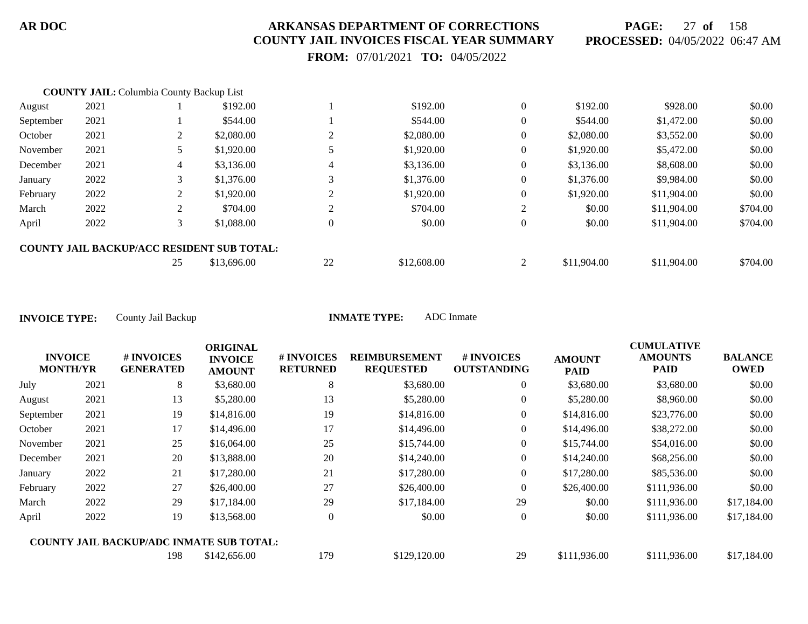**PAGE:** 27 **of** 158 **PROCESSED:** 04/05/2022 06:47 AM

 **FROM:** 07/01/2021 **TO:** 04/05/2022

|           | <b>COUNTY JAIL:</b> Columbia County Backup List |                |                                                   |          |             |                |             |             |          |
|-----------|-------------------------------------------------|----------------|---------------------------------------------------|----------|-------------|----------------|-------------|-------------|----------|
| August    | 2021                                            |                | \$192.00                                          |          | \$192.00    | $\overline{0}$ | \$192.00    | \$928.00    | \$0.00   |
| September | 2021                                            |                | \$544.00                                          |          | \$544.00    | $\overline{0}$ | \$544.00    | \$1,472.00  | \$0.00   |
| October   | 2021                                            | 2              | \$2,080.00                                        |          | \$2,080.00  | $\overline{0}$ | \$2,080.00  | \$3,552.00  | \$0.00   |
| November  | 2021                                            |                | \$1,920.00                                        |          | \$1,920.00  | $\overline{0}$ | \$1,920.00  | \$5,472.00  | \$0.00   |
| December  | 2021                                            | $\overline{4}$ | \$3,136.00                                        | 4        | \$3,136.00  | $\overline{0}$ | \$3,136.00  | \$8,608.00  | \$0.00   |
| January   | 2022                                            | 3              | \$1,376.00                                        |          | \$1,376.00  | $\overline{0}$ | \$1,376.00  | \$9,984.00  | \$0.00   |
| February  | 2022                                            | 2              | \$1,920.00                                        |          | \$1,920.00  | $\overline{0}$ | \$1,920.00  | \$11,904.00 | \$0.00   |
| March     | 2022                                            | 2              | \$704.00                                          |          | \$704.00    | 2              | \$0.00      | \$11,904.00 | \$704.00 |
| April     | 2022                                            | 3              | \$1,088.00                                        | $\theta$ | \$0.00      | $\overline{0}$ | \$0.00      | \$11,904.00 | \$704.00 |
|           |                                                 |                | <b>COUNTY JAIL BACKUP/ACC RESIDENT SUB TOTAL:</b> |          |             |                |             |             |          |
|           |                                                 | 25             | \$13,696.00                                       | 22       | \$12,608.00 | 2              | \$11,904.00 | \$11,904.00 | \$704.00 |

**INVOICE TYPE:** County Jail Backup **INMATE TYPE:** ADC Inmate

**INVOICE MONTH/YR # INVOICES GENERATED ORIGINAL INVOICE AMOUNT # INVOICES RETURNED REIMBURSEMENT REQUESTED # INVOICES OUTSTANDING AMOUNT PAID CUMULATIVE AMOUNTS PAID BALANCE OWED** July 2021 8 \$3,680.00 8 \$3,680.00 0 \$3,680.00 \$3,680.00 \$0.00 August 2021 13 \$5,280.00 13 \$5,280.00 13 \$5,280.00 0 \$5,280.00 \$8,960.00 \$0.00 September 2021 19 \$14,816.00 19 \$14,816.00 \$14,816.00 \$23,776.00 \$0.00 October 2021 17 \$14,496.00 17 \$14,496.00 538,272.00 \$0.00 November 2021 25 \$16,064.00 25 \$15,744.00 0 \$15,744.00 \$54,016.00 \$0.00 December 2021 20 \$13,888.00 20 \$14,240.00 0 \$14,240.00 \$68,256.00 \$0.00 January 2022 21 \$17,280.00 21 \$17,280.00 0 \$17,280.00 \$85,536.00 \$0.00 February 2022 27 \$26,400.00 27 \$26,400.00 0 \$26,400.00 \$111,936.00 \$0.00 March 2022 29 \$17,184.00 29 \$17,184.00 29 \$0.00 \$111,936.00 \$17,184.00 April 2022 19 \$13,568.00 0 \$0.00 0 \$0.00 \$111,936.00 \$17,184.00 198 \$142,656.00 179 \$129,120.00 29 \$111,936.00 \$111,936.00 \$17,184.00 **COUNTY JAIL BACKUP/ADC INMATE SUB TOTAL:**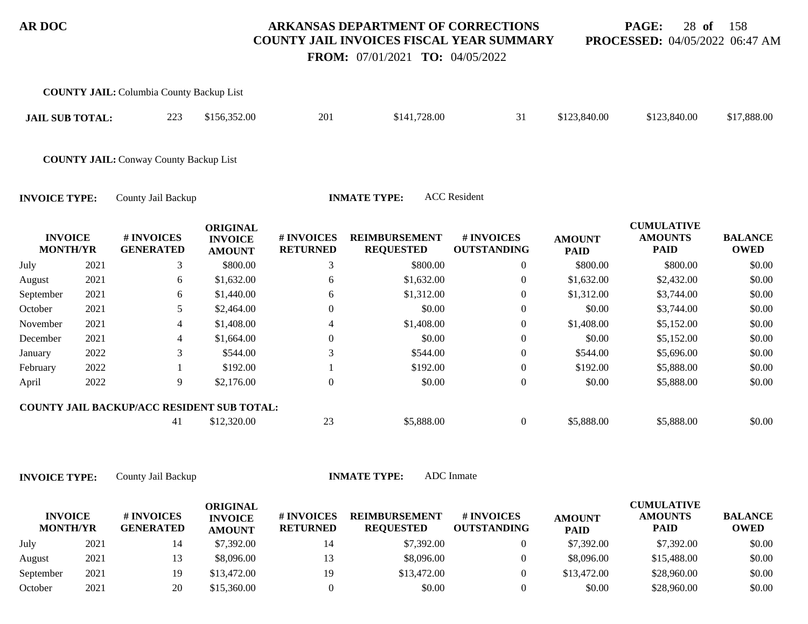**PAGE:** 28 **of** 158 **PROCESSED:** 04/05/2022 06:47 AM

 **FROM:** 07/01/2021 **TO:** 04/05/2022

|                                   |      | <b>COUNTY JAIL:</b> Columbia County Backup List   |                                                    |                               |                                          |                                  |                              |                                                    |                               |
|-----------------------------------|------|---------------------------------------------------|----------------------------------------------------|-------------------------------|------------------------------------------|----------------------------------|------------------------------|----------------------------------------------------|-------------------------------|
| <b>JAIL SUB TOTAL:</b>            |      | 223                                               | \$156,352.00                                       | 201                           | \$141,728.00                             | 31                               | \$123,840.00                 | \$123,840.00                                       | \$17,888.00                   |
|                                   |      | <b>COUNTY JAIL: Conway County Backup List</b>     |                                                    |                               |                                          |                                  |                              |                                                    |                               |
| <b>INVOICE TYPE:</b>              |      | County Jail Backup                                |                                                    |                               | <b>INMATE TYPE:</b>                      | <b>ACC</b> Resident              |                              |                                                    |                               |
| <b>INVOICE</b><br><b>MONTH/YR</b> |      | # INVOICES<br><b>GENERATED</b>                    | <b>ORIGINAL</b><br><b>INVOICE</b><br><b>AMOUNT</b> | # INVOICES<br><b>RETURNED</b> | <b>REIMBURSEMENT</b><br><b>REQUESTED</b> | # INVOICES<br><b>OUTSTANDING</b> | <b>AMOUNT</b><br><b>PAID</b> | <b>CUMULATIVE</b><br><b>AMOUNTS</b><br><b>PAID</b> | <b>BALANCE</b><br><b>OWED</b> |
| July                              | 2021 | 3                                                 | \$800.00                                           | 3                             | \$800.00                                 | $\overline{0}$                   | \$800.00                     | \$800.00                                           | \$0.00                        |
| August                            | 2021 | 6                                                 | \$1,632.00                                         | 6                             | \$1,632.00                               | $\overline{0}$                   | \$1,632.00                   | \$2,432.00                                         | \$0.00                        |
| September                         | 2021 | 6                                                 | \$1,440.00                                         | 6                             | \$1,312.00                               | $\overline{0}$                   | \$1,312.00                   | \$3,744.00                                         | \$0.00                        |
| October                           | 2021 | 5                                                 | \$2,464.00                                         | $\theta$                      | \$0.00                                   | $\mathbf{0}$                     | \$0.00                       | \$3,744.00                                         | \$0.00                        |
| November                          | 2021 | 4                                                 | \$1,408.00                                         | 4                             | \$1,408.00                               | $\overline{0}$                   | \$1,408.00                   | \$5,152.00                                         | \$0.00                        |
| December                          | 2021 | 4                                                 | \$1,664.00                                         | $\overline{0}$                | \$0.00                                   | $\theta$                         | \$0.00                       | \$5,152.00                                         | \$0.00                        |
| January                           | 2022 | 3                                                 | \$544.00                                           | 3                             | \$544.00                                 | $\overline{0}$                   | \$544.00                     | \$5,696.00                                         | \$0.00                        |
| February                          | 2022 |                                                   | \$192.00                                           |                               | \$192.00                                 | $\overline{0}$                   | \$192.00                     | \$5,888.00                                         | \$0.00                        |
| April                             | 2022 | 9                                                 | \$2,176.00                                         | $\overline{0}$                | \$0.00                                   | $\overline{0}$                   | \$0.00                       | \$5,888.00                                         | \$0.00                        |
|                                   |      | <b>COUNTY JAIL BACKUP/ACC RESIDENT SUB TOTAL:</b> |                                                    |                               |                                          |                                  |                              |                                                    |                               |
|                                   |      | -41                                               | \$12,320.00                                        | 23                            | \$5,888.00                               | $\overline{0}$                   | \$5,888.00                   | \$5,888.00                                         | \$0.00                        |

| <b>INVOICE</b><br><b>MONTH/YR</b> |      | # INVOICES<br><b>GENERATED</b> | ORIGINAL<br><b>INVOICE</b><br><b>AMOUNT</b> | # INVOICES<br><b>RETURNED</b> | <b>REIMBURSEMENT</b><br><b>REQUESTED</b> | <b>#INVOICES</b><br><b>OUTSTANDING</b> | <b>AMOUNT</b><br><b>PAID</b> | <b>CUMULATIVE</b><br><b>AMOUNTS</b><br><b>PAID</b> | <b>BALANCE</b><br><b>OWED</b> |
|-----------------------------------|------|--------------------------------|---------------------------------------------|-------------------------------|------------------------------------------|----------------------------------------|------------------------------|----------------------------------------------------|-------------------------------|
| July                              | 2021 |                                | \$7,392.00                                  |                               | \$7,392.00                               |                                        | \$7,392.00                   | \$7,392.00                                         | \$0.00                        |
| August                            | 2021 |                                | \$8,096.00                                  |                               | \$8,096.00                               |                                        | \$8,096.00                   | \$15,488.00                                        | \$0.00                        |
| September                         | 2021 | 19                             | \$13,472.00                                 | 19                            | \$13,472.00                              |                                        | \$13,472.00                  | \$28,960.00                                        | \$0.00                        |
| October                           | 2021 | 20                             | \$15,360.00                                 |                               | \$0.00                                   |                                        | \$0.00                       | \$28,960.00                                        | \$0.00                        |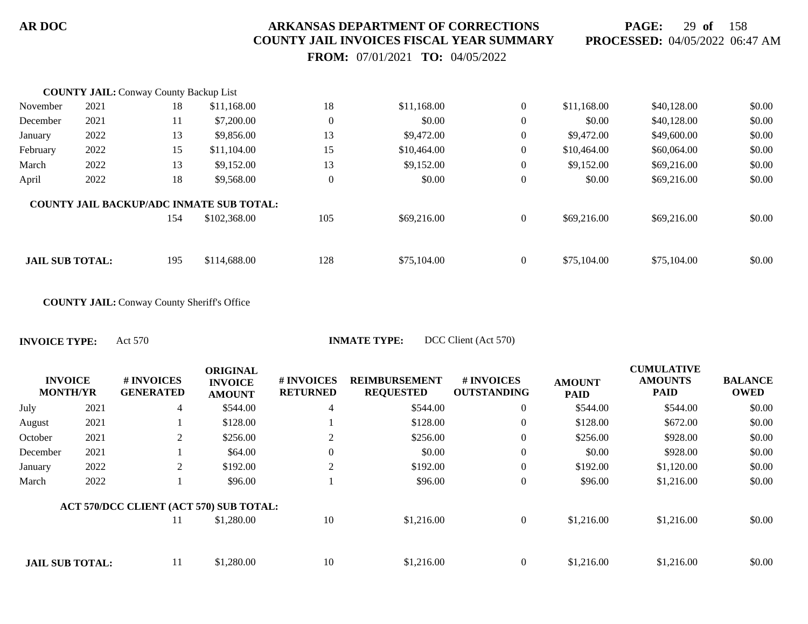**PAGE:** 29 **of** 158 **PROCESSED:** 04/05/2022 06:47 AM

 **FROM:** 07/01/2021 **TO:** 04/05/2022

|                        | <b>COUNTY JAIL: Conway County Backup List</b> |     |                                                 |                  |             |                  |             |             |        |
|------------------------|-----------------------------------------------|-----|-------------------------------------------------|------------------|-------------|------------------|-------------|-------------|--------|
| November               | 2021                                          | 18  | \$11,168.00                                     | 18               | \$11,168.00 | $\boldsymbol{0}$ | \$11,168.00 | \$40,128.00 | \$0.00 |
| December               | 2021                                          | 11  | \$7,200.00                                      | $\mathbf{0}$     | \$0.00      | $\theta$         | \$0.00      | \$40,128.00 | \$0.00 |
| January                | 2022                                          | 13  | \$9,856.00                                      | 13               | \$9,472.00  | $\overline{0}$   | \$9,472.00  | \$49,600.00 | \$0.00 |
| February               | 2022                                          | 15  | \$11,104.00                                     | 15               | \$10,464.00 | $\boldsymbol{0}$ | \$10,464.00 | \$60,064.00 | \$0.00 |
| March                  | 2022                                          | 13  | \$9,152.00                                      | 13               | \$9,152.00  | $\mathbf{0}$     | \$9,152.00  | \$69,216.00 | \$0.00 |
| April                  | 2022                                          | 18  | \$9,568.00                                      | $\boldsymbol{0}$ | \$0.00      | $\overline{0}$   | \$0.00      | \$69,216.00 | \$0.00 |
|                        |                                               |     | <b>COUNTY JAIL BACKUP/ADC INMATE SUB TOTAL:</b> |                  |             |                  |             |             |        |
|                        |                                               | 154 | \$102,368.00                                    | 105              | \$69,216.00 | $\overline{0}$   | \$69,216.00 | \$69,216.00 | \$0.00 |
|                        |                                               |     |                                                 |                  |             |                  |             |             |        |
| <b>JAIL SUB TOTAL:</b> |                                               | 195 | \$114,688.00                                    | 128              | \$75,104.00 | $\overline{0}$   | \$75,104.00 | \$75,104.00 | \$0.00 |

**COUNTY JAIL:** Conway County Sheriff's Office

|                                   |      |                                         | <b>ORIGINAL</b>                 |                               |                                          |                                  |                              | <b>CUMULATIVE</b>             |                               |
|-----------------------------------|------|-----------------------------------------|---------------------------------|-------------------------------|------------------------------------------|----------------------------------|------------------------------|-------------------------------|-------------------------------|
| <b>INVOICE</b><br><b>MONTH/YR</b> |      | # INVOICES<br><b>GENERATED</b><br>4     | <b>INVOICE</b><br><b>AMOUNT</b> | # INVOICES<br><b>RETURNED</b> | <b>REIMBURSEMENT</b><br><b>REQUESTED</b> | # INVOICES<br><b>OUTSTANDING</b> | <b>AMOUNT</b><br><b>PAID</b> | <b>AMOUNTS</b><br><b>PAID</b> | <b>BALANCE</b><br><b>OWED</b> |
| July                              | 2021 |                                         | \$544.00                        | 4                             | \$544.00                                 | $\overline{0}$                   | \$544.00                     | \$544.00                      | \$0.00                        |
| August                            | 2021 |                                         | \$128.00                        |                               | \$128.00                                 | $\mathbf{0}$                     | \$128.00                     | \$672.00                      | \$0.00                        |
| October                           | 2021 | 2                                       | \$256.00                        | 2                             | \$256.00                                 | $\overline{0}$                   | \$256.00                     | \$928.00                      | \$0.00                        |
| December                          | 2021 |                                         | \$64.00                         | $\Omega$                      | \$0.00                                   | $\overline{0}$                   | \$0.00                       | \$928.00                      | \$0.00                        |
| January                           | 2022 | 2                                       | \$192.00                        | $\overline{2}$                | \$192.00                                 | $\overline{0}$                   | \$192.00                     | \$1,120.00                    | \$0.00                        |
| March                             | 2022 |                                         | \$96.00                         |                               | \$96.00                                  | $\overline{0}$                   | \$96.00                      | \$1,216.00                    | \$0.00                        |
|                                   |      | ACT 570/DCC CLIENT (ACT 570) SUB TOTAL: |                                 |                               |                                          |                                  |                              |                               |                               |
|                                   |      | 11                                      | \$1,280.00                      | 10                            | \$1,216.00                               | $\mathbf{0}$                     | \$1,216.00                   | \$1,216.00                    | \$0.00                        |
|                                   |      |                                         |                                 |                               |                                          |                                  |                              |                               |                               |
| <b>JAIL SUB TOTAL:</b>            |      | 11                                      | \$1,280.00                      | 10                            | \$1,216.00                               | $\Omega$                         | \$1,216.00                   | \$1,216.00                    | \$0.00                        |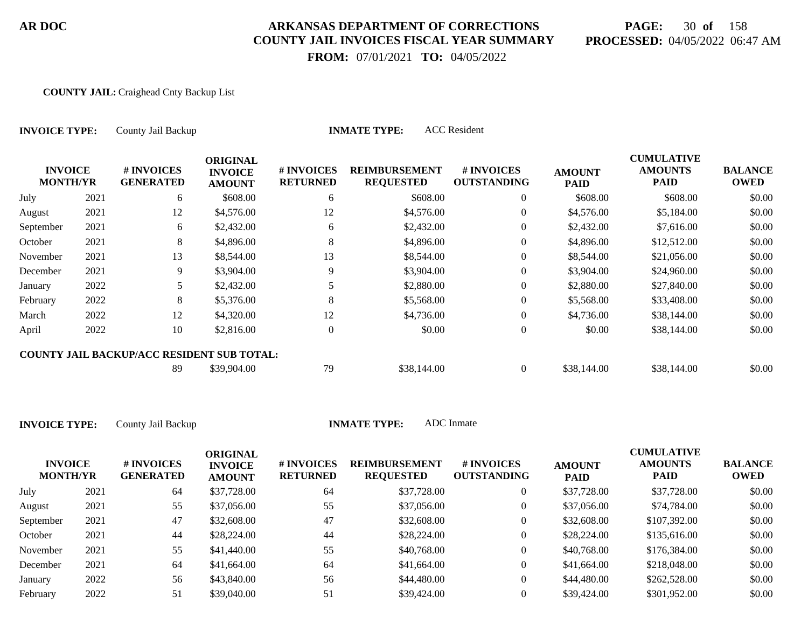# **PAGE:** 30 **of** 158 **PROCESSED:** 04/05/2022 06:47 AM

 **FROM:** 07/01/2021 **TO:** 04/05/2022

#### **COUNTY JAIL:** Craighead Cnty Backup List

| <b>INVOICE TYPE:</b><br><b>INVOICE</b><br><b>MONTH/YR</b> |      | County Jail Backup                                |                                                    |                               | <b>ACC</b> Resident<br><b>INMATE TYPE:</b> |                                  |                              |                                                    |                               |
|-----------------------------------------------------------|------|---------------------------------------------------|----------------------------------------------------|-------------------------------|--------------------------------------------|----------------------------------|------------------------------|----------------------------------------------------|-------------------------------|
|                                                           |      | # INVOICES<br><b>GENERATED</b>                    | <b>ORIGINAL</b><br><b>INVOICE</b><br><b>AMOUNT</b> | # INVOICES<br><b>RETURNED</b> | <b>REIMBURSEMENT</b><br><b>REQUESTED</b>   | # INVOICES<br><b>OUTSTANDING</b> | <b>AMOUNT</b><br><b>PAID</b> | <b>CUMULATIVE</b><br><b>AMOUNTS</b><br><b>PAID</b> | <b>BALANCE</b><br><b>OWED</b> |
| July                                                      | 2021 | 6                                                 | \$608.00                                           | 6                             | \$608.00                                   | $\overline{0}$                   | \$608.00                     | \$608.00                                           | \$0.00                        |
| August                                                    | 2021 | 12                                                | \$4,576.00                                         | 12                            | \$4,576.00                                 | $\overline{0}$                   | \$4,576.00                   | \$5,184.00                                         | \$0.00                        |
| September                                                 | 2021 | 6                                                 | \$2,432.00                                         | 6                             | \$2,432.00                                 | $\overline{0}$                   | \$2,432.00                   | \$7,616.00                                         | \$0.00                        |
| October                                                   | 2021 | 8                                                 | \$4,896.00                                         | 8                             | \$4,896.00                                 | $\overline{0}$                   | \$4,896.00                   | \$12,512.00                                        | \$0.00                        |
| November                                                  | 2021 | 13                                                | \$8,544.00                                         | 13                            | \$8,544.00                                 | $\boldsymbol{0}$                 | \$8,544.00                   | \$21,056.00                                        | \$0.00                        |
| December                                                  | 2021 | 9                                                 | \$3,904.00                                         | 9                             | \$3,904.00                                 | $\overline{0}$                   | \$3,904.00                   | \$24,960.00                                        | \$0.00                        |
| January                                                   | 2022 | 5.                                                | \$2,432.00                                         |                               | \$2,880.00                                 | $\overline{0}$                   | \$2,880.00                   | \$27,840.00                                        | \$0.00                        |
| February                                                  | 2022 | 8                                                 | \$5,376.00                                         | 8                             | \$5,568.00                                 | $\Omega$                         | \$5,568.00                   | \$33,408.00                                        | \$0.00                        |
| March                                                     | 2022 | 12                                                | \$4,320.00                                         | 12                            | \$4,736.00                                 | $\overline{0}$                   | \$4,736.00                   | \$38,144.00                                        | \$0.00                        |
| April                                                     | 2022 | 10                                                | \$2,816.00                                         | $\theta$                      | \$0.00                                     | 0                                | \$0.00                       | \$38,144.00                                        | \$0.00                        |
|                                                           |      | <b>COUNTY JAIL BACKUP/ACC RESIDENT SUB TOTAL:</b> |                                                    |                               |                                            |                                  |                              |                                                    |                               |
|                                                           |      | 89                                                | \$39,904.00                                        | 79                            | \$38,144.00                                | $\overline{0}$                   | \$38,144.00                  | \$38,144.00                                        | \$0.00                        |

| <b>INVOICE</b><br><b>MONTH/YR</b> |      | # INVOICES<br><b>GENERATED</b> | <b>ORIGINAL</b><br><b>INVOICE</b><br><b>AMOUNT</b> | # INVOICES<br><b>RETURNED</b> | <b>REIMBURSEMENT</b><br><b>REQUESTED</b> | <b># INVOICES</b><br><b>OUTSTANDING</b> | <b>AMOUNT</b><br><b>PAID</b> | <b>CUMULATIVE</b><br><b>AMOUNTS</b><br><b>PAID</b> | <b>BALANCE</b><br><b>OWED</b> |
|-----------------------------------|------|--------------------------------|----------------------------------------------------|-------------------------------|------------------------------------------|-----------------------------------------|------------------------------|----------------------------------------------------|-------------------------------|
| July                              | 2021 | 64                             | \$37,728.00                                        | 64                            | \$37,728.00                              | 0                                       | \$37,728.00                  | \$37,728.00                                        | \$0.00                        |
| August                            | 2021 | 55                             | \$37,056.00                                        | 55                            | \$37,056.00                              | 0                                       | \$37,056.00                  | \$74,784.00                                        | \$0.00                        |
| September                         | 2021 | 47                             | \$32,608.00                                        | 47                            | \$32,608.00                              | 0                                       | \$32,608.00                  | \$107,392.00                                       | \$0.00                        |
| October                           | 2021 | 44                             | \$28,224.00                                        | 44                            | \$28,224.00                              | 0                                       | \$28,224.00                  | \$135,616.00                                       | \$0.00                        |
| November                          | 2021 | 55                             | \$41,440.00                                        | 55                            | \$40,768.00                              | 0                                       | \$40,768.00                  | \$176,384.00                                       | \$0.00                        |
| December                          | 2021 | 64                             | \$41,664.00                                        | 64                            | \$41,664.00                              | 0                                       | \$41,664.00                  | \$218,048.00                                       | \$0.00                        |
| January                           | 2022 | 56                             | \$43,840.00                                        | 56                            | \$44,480.00                              | $\overline{0}$                          | \$44,480.00                  | \$262,528.00                                       | \$0.00                        |
| February                          | 2022 | 51                             | \$39,040.00                                        | 51                            | \$39,424.00                              |                                         | \$39,424.00                  | \$301,952.00                                       | \$0.00                        |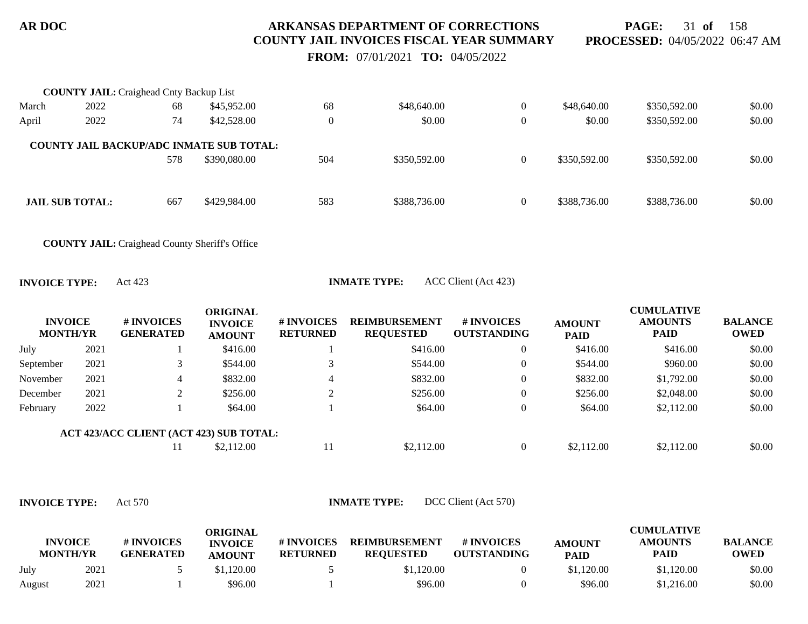**PAGE:** 31 **of** 158 **PROCESSED:** 04/05/2022 06:47 AM

 **FROM:** 07/01/2021 **TO:** 04/05/2022

|       | <b>COUNTY JAIL:</b> Craighead Cnty Backup List  |     |              |          |              |                |              |              |        |
|-------|-------------------------------------------------|-----|--------------|----------|--------------|----------------|--------------|--------------|--------|
| March | 2022                                            | 68  | \$45,952.00  | 68       | \$48,640.00  | $\overline{0}$ | \$48,640.00  | \$350,592.00 | \$0.00 |
| April | 2022                                            | 74  | \$42,528.00  | $\theta$ | \$0.00       | $\overline{0}$ | \$0.00       | \$350,592.00 | \$0.00 |
|       | <b>COUNTY JAIL BACKUP/ADC INMATE SUB TOTAL:</b> | 578 | \$390,080.00 | 504      | \$350,592.00 | $\theta$       | \$350,592.00 | \$350,592.00 | \$0.00 |
|       | <b>JAIL SUB TOTAL:</b>                          | 667 | \$429,984.00 | 583      | \$388,736.00 | $\Omega$       | \$388,736.00 | \$388,736.00 | \$0.00 |

**COUNTY JAIL:** Craighead County Sheriff's Office

**INVOICE TYPE:** Act 423 **INMATE TYPE:** ACC Client (Act 423)

|                                                                                       | <b>OWED</b> |
|---------------------------------------------------------------------------------------|-------------|
| July<br>\$416.00<br>2021<br>\$416.00<br>\$416.00<br>$\overline{0}$<br>\$416.00        | \$0.00      |
| September<br>\$960.00<br>\$544.00<br>\$544.00<br>\$544.00<br>2021<br>$\boldsymbol{0}$ | \$0.00      |
| \$832.00<br>\$832.00<br>\$832.00<br>\$1,792.00<br>November<br>2021<br>$\theta$<br>4   | \$0.00      |
| \$256.00<br>\$256.00<br>\$256.00<br>$\theta$<br>\$2,048.00<br>2021<br>December        | \$0.00      |
| February<br>\$64.00<br>2022<br>\$64.00<br>\$2,112.00<br>\$64.00<br>$\theta$           | \$0.00      |
| ACT 423/ACC CLIENT (ACT 423) SUB TOTAL:                                               |             |
| \$2,112.00<br>\$2,112.00<br>\$2,112.00<br>\$2,112.00<br>11<br>$\theta$                | \$0.00      |

| <b>INVOICE</b><br><b>MONTH/YR</b> |      | # INVOICES<br><b>GENERATED</b> | ORIGINAL<br><b>INVOICE</b><br><b>AMOUNT</b> | # INVOICES<br><b>RETURNED</b> | <b>REIMBURSEMENT</b><br><b>REQUESTED</b> | # INVOICES<br><b>OUTSTANDING</b> | <b>AMOUNT</b><br><b>PAID</b> | CUMULATIVE<br><b>AMOUNTS</b><br><b>PAID</b> | <b>BALANCE</b><br><b>OWED</b> |
|-----------------------------------|------|--------------------------------|---------------------------------------------|-------------------------------|------------------------------------------|----------------------------------|------------------------------|---------------------------------------------|-------------------------------|
| July                              | 2021 |                                | \$1.120.00                                  |                               | \$1,120.00                               |                                  | \$1,120.00                   | \$1,120.00                                  | \$0.00                        |
| August                            | 2021 |                                | \$96.00                                     |                               | \$96.00                                  |                                  | \$96.00                      | \$1,216.00                                  | \$0.00                        |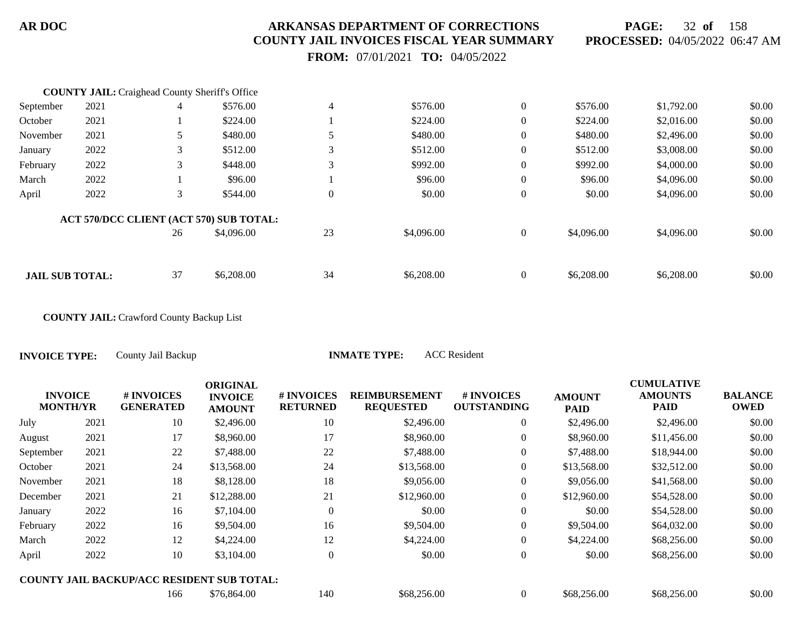**PAGE:** 32 **of** 158 **PROCESSED:** 04/05/2022 06:47 AM

 **FROM:** 07/01/2021 **TO:** 04/05/2022

|                        | <b>COUNTY JAIL:</b> Craighead County Sheriff's Office |    |                                         |                |            |                  |            |            |        |
|------------------------|-------------------------------------------------------|----|-----------------------------------------|----------------|------------|------------------|------------|------------|--------|
| September              | 2021                                                  | 4  | \$576.00                                | 4              | \$576.00   | $\mathbf{0}$     | \$576.00   | \$1,792.00 | \$0.00 |
| October                | 2021                                                  |    | \$224.00                                |                | \$224.00   | $\boldsymbol{0}$ | \$224.00   | \$2,016.00 | \$0.00 |
| November               | 2021                                                  | 5  | \$480.00                                |                | \$480.00   | $\mathbf{0}$     | \$480.00   | \$2,496.00 | \$0.00 |
| January                | 2022                                                  | 3  | \$512.00                                |                | \$512.00   | $\mathbf{0}$     | \$512.00   | \$3,008.00 | \$0.00 |
| February               | 2022                                                  | 3  | \$448.00                                | 3              | \$992.00   | $\mathbf{0}$     | \$992.00   | \$4,000.00 | \$0.00 |
| March                  | 2022                                                  |    | \$96.00                                 |                | \$96.00    | $\mathbf{0}$     | \$96.00    | \$4,096.00 | \$0.00 |
| April                  | 2022                                                  | 3  | \$544.00                                | $\overline{0}$ | \$0.00     | $\boldsymbol{0}$ | \$0.00     | \$4,096.00 | \$0.00 |
|                        |                                                       |    | ACT 570/DCC CLIENT (ACT 570) SUB TOTAL: |                |            |                  |            |            |        |
|                        |                                                       | 26 | \$4,096.00                              | 23             | \$4,096.00 | $\mathbf{0}$     | \$4,096.00 | \$4,096.00 | \$0.00 |
|                        |                                                       |    |                                         |                |            |                  |            |            |        |
| <b>JAIL SUB TOTAL:</b> |                                                       | 37 | \$6,208,00                              | 34             | \$6,208,00 | $\theta$         | \$6,208.00 | \$6,208,00 | \$0.00 |

**COUNTY JAIL:** Crawford County Backup List

**INVOICE TYPE:** County Jail Backup **INMATE TYPE:** ACC Resident

|                                   |      |                                                   | <b>ORIGINAL</b>                 |                               |                                          |                                  |                              | <b>CUMULATIVE</b>             |                               |
|-----------------------------------|------|---------------------------------------------------|---------------------------------|-------------------------------|------------------------------------------|----------------------------------|------------------------------|-------------------------------|-------------------------------|
| <b>INVOICE</b><br><b>MONTH/YR</b> |      | # INVOICES<br><b>GENERATED</b>                    | <b>INVOICE</b><br><b>AMOUNT</b> | # INVOICES<br><b>RETURNED</b> | <b>REIMBURSEMENT</b><br><b>REQUESTED</b> | # INVOICES<br><b>OUTSTANDING</b> | <b>AMOUNT</b><br><b>PAID</b> | <b>AMOUNTS</b><br><b>PAID</b> | <b>BALANCE</b><br><b>OWED</b> |
| July                              | 2021 | 10                                                | \$2,496.00                      | 10                            | \$2,496.00                               | $\overline{0}$                   | \$2,496.00                   | \$2,496.00                    | \$0.00                        |
| August                            | 2021 | 17                                                | \$8,960.00                      | 17                            | \$8,960.00                               | $\boldsymbol{0}$                 | \$8,960.00                   | \$11,456.00                   | \$0.00                        |
| September                         | 2021 | 22                                                | \$7,488.00                      | 22                            | \$7,488.00                               | $\overline{0}$                   | \$7,488.00                   | \$18,944.00                   | \$0.00                        |
| October                           | 2021 | 24                                                | \$13,568.00                     | 24                            | \$13,568.00                              | $\overline{0}$                   | \$13,568.00                  | \$32,512.00                   | \$0.00                        |
| November                          | 2021 | 18                                                | \$8,128.00                      | 18                            | \$9,056.00                               | $\overline{0}$                   | \$9,056.00                   | \$41,568.00                   | \$0.00                        |
| December                          | 2021 | 21                                                | \$12,288.00                     | 21                            | \$12,960.00                              | $\boldsymbol{0}$                 | \$12,960.00                  | \$54,528.00                   | \$0.00                        |
| January                           | 2022 | 16                                                | \$7,104.00                      | $\Omega$                      | \$0.00                                   | $\mathbf{0}$                     | \$0.00                       | \$54,528.00                   | \$0.00                        |
| February                          | 2022 | 16                                                | \$9,504.00                      | 16                            | \$9,504.00                               | $\boldsymbol{0}$                 | \$9,504.00                   | \$64,032.00                   | \$0.00                        |
| March                             | 2022 | 12                                                | \$4,224.00                      | 12                            | \$4,224.00                               | $\overline{0}$                   | \$4,224.00                   | \$68,256.00                   | \$0.00                        |
| April                             | 2022 | 10                                                | \$3,104.00                      | $\theta$                      | \$0.00                                   | $\boldsymbol{0}$                 | \$0.00                       | \$68,256.00                   | \$0.00                        |
|                                   |      | <b>COUNTY JAIL BACKUP/ACC RESIDENT SUB TOTAL:</b> |                                 |                               |                                          |                                  |                              |                               |                               |
|                                   |      | 166                                               | \$76,864.00                     | 140                           | \$68,256.00                              | $\overline{0}$                   | \$68,256.00                  | \$68,256.00                   | \$0.00                        |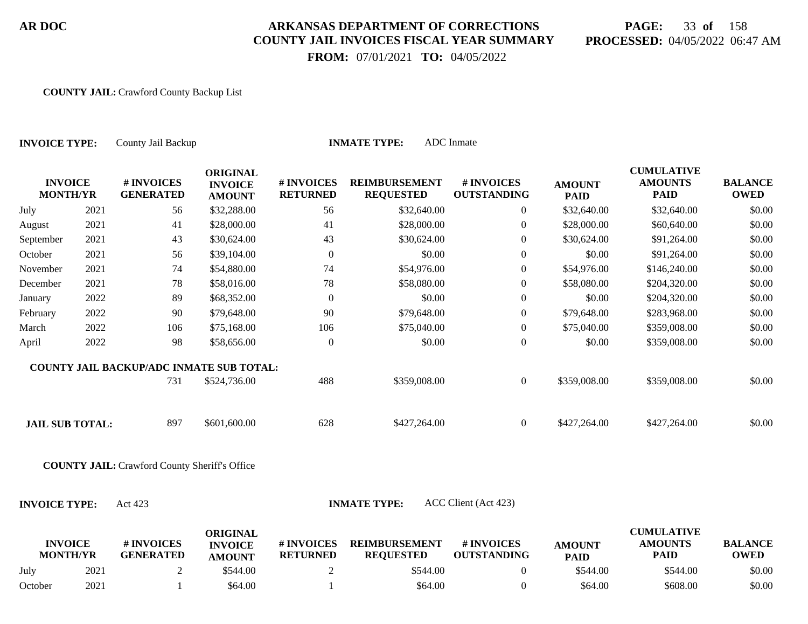# **PAGE:** 33 **of** 158 **PROCESSED:** 04/05/2022 06:47 AM

 **FROM:** 07/01/2021 **TO:** 04/05/2022

#### **COUNTY JAIL:** Crawford County Backup List

| <b>INVOICE TYPE:</b>              |      | County Jail Backup                                   |                                                    | <b>INMATE TYPE:</b>           |                                          |                                  |                              |                                                    |                               |
|-----------------------------------|------|------------------------------------------------------|----------------------------------------------------|-------------------------------|------------------------------------------|----------------------------------|------------------------------|----------------------------------------------------|-------------------------------|
| <b>INVOICE</b><br><b>MONTH/YR</b> |      | # INVOICES<br><b>GENERATED</b>                       | <b>ORIGINAL</b><br><b>INVOICE</b><br><b>AMOUNT</b> | # INVOICES<br><b>RETURNED</b> | <b>REIMBURSEMENT</b><br><b>REQUESTED</b> | # INVOICES<br><b>OUTSTANDING</b> | <b>AMOUNT</b><br><b>PAID</b> | <b>CUMULATIVE</b><br><b>AMOUNTS</b><br><b>PAID</b> | <b>BALANCE</b><br><b>OWED</b> |
| July                              | 2021 | 56                                                   | \$32,288.00                                        | 56                            | \$32,640.00                              | $\overline{0}$                   | \$32,640.00                  | \$32,640.00                                        | \$0.00                        |
| August                            | 2021 | 41                                                   | \$28,000.00                                        | 41                            | \$28,000.00                              | $\mathbf{0}$                     | \$28,000.00                  | \$60,640.00                                        | \$0.00                        |
| September                         | 2021 | 43                                                   | \$30,624.00                                        | 43                            | \$30,624.00                              | $\mathbf{0}$                     | \$30,624.00                  | \$91,264.00                                        | \$0.00                        |
| October                           | 2021 | 56                                                   | \$39,104.00                                        | $\boldsymbol{0}$              | \$0.00                                   | $\boldsymbol{0}$                 | \$0.00                       | \$91,264.00                                        | \$0.00                        |
| November                          | 2021 | 74                                                   | \$54,880.00                                        | 74                            | \$54,976.00                              | $\mathbf{0}$                     | \$54,976.00                  | \$146,240.00                                       | \$0.00                        |
| December                          | 2021 | 78                                                   | \$58,016.00                                        | 78                            | \$58,080.00                              | $\boldsymbol{0}$                 | \$58,080.00                  | \$204,320.00                                       | \$0.00                        |
| January                           | 2022 | 89                                                   | \$68,352.00                                        | $\Omega$                      | \$0.00                                   | $\mathbf{0}$                     | \$0.00                       | \$204,320.00                                       | \$0.00                        |
| February                          | 2022 | 90                                                   | \$79,648.00                                        | 90                            | \$79,648.00                              | $\boldsymbol{0}$                 | \$79,648.00                  | \$283,968.00                                       | \$0.00                        |
| March                             | 2022 | 106                                                  | \$75,168.00                                        | 106                           | \$75,040.00                              | $\boldsymbol{0}$                 | \$75,040.00                  | \$359,008.00                                       | \$0.00                        |
| April                             | 2022 | 98                                                   | \$58,656.00                                        | $\theta$                      | \$0.00                                   | $\boldsymbol{0}$                 | \$0.00                       | \$359,008.00                                       | \$0.00                        |
|                                   |      | <b>COUNTY JAIL BACKUP/ADC INMATE SUB TOTAL:</b>      |                                                    |                               |                                          |                                  |                              |                                                    |                               |
|                                   |      | 731                                                  | \$524,736.00                                       | 488                           | \$359,008.00                             | $\overline{0}$                   | \$359,008.00                 | \$359,008.00                                       | \$0.00                        |
| <b>JAIL SUB TOTAL:</b>            |      | 897                                                  | \$601,600.00                                       | 628                           | \$427,264.00                             | $\overline{0}$                   | \$427,264.00                 | \$427,264.00                                       | \$0.00                        |
|                                   |      | <b>COUNTY JAIL:</b> Crawford County Sheriff's Office |                                                    |                               |                                          |                                  |                              |                                                    |                               |
| <b>INVOICE TYPE:</b>              |      | Act 423                                              |                                                    |                               | <b>INMATE TYPE:</b>                      | ACC Client (Act 423)             |                              |                                                    |                               |
| <b>INVOICE</b><br><b>MONTH/YR</b> |      | # INVOICES<br><b>GENERATED</b>                       | <b>ORIGINAL</b><br><b>INVOICE</b><br><b>AMOUNT</b> | # INVOICES<br><b>RETURNED</b> | <b>REIMBURSEMENT</b><br><b>REQUESTED</b> | # INVOICES<br><b>OUTSTANDING</b> | <b>AMOUNT</b><br><b>PAID</b> | <b>CUMULATIVE</b><br><b>AMOUNTS</b><br><b>PAID</b> | <b>BALANCE</b><br><b>OWED</b> |
| July                              | 2021 | 2                                                    | \$544.00                                           | 2                             | \$544.00                                 | $\overline{0}$                   | \$544.00                     | \$544.00                                           | \$0.00                        |

October 2021 1 \$64.00 1 \$64.00 0 \$64.00 \$608.00 \$0.00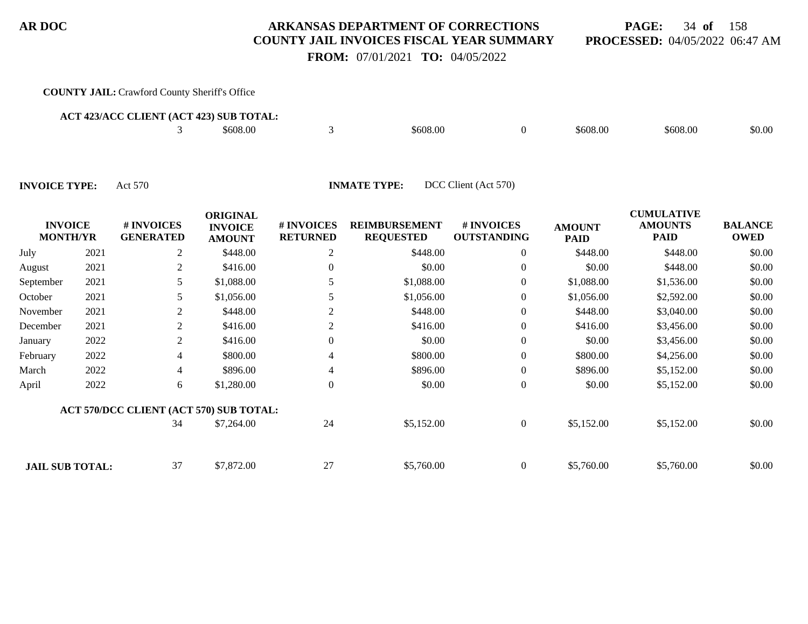**PAGE:** 34 **of** 158 **PROCESSED:** 04/05/2022 06:47 AM

 **FROM:** 07/01/2021 **TO:** 04/05/2022

#### **COUNTY JAIL:** Crawford County Sheriff's Office

| <b>ACT 423/ACC CLIENT (ACT 423) SUB TOTAL:</b> |  |          |  |          |  |          |          |        |  |  |
|------------------------------------------------|--|----------|--|----------|--|----------|----------|--------|--|--|
|                                                |  | \$608.00 |  | \$608.00 |  | \$608.00 | \$608.00 | \$0.00 |  |  |
|                                                |  |          |  |          |  |          |          |        |  |  |

| <b>INVOICE</b><br><b>MONTH/YR</b> |      | # INVOICES<br><b>GENERATED</b>          | <b>ORIGINAL</b><br><b>INVOICE</b><br><b>AMOUNT</b> | # INVOICES<br><b>RETURNED</b> | <b>REIMBURSEMENT</b><br><b>REQUESTED</b> | # INVOICES<br><b>OUTSTANDING</b> | <b>AMOUNT</b><br><b>PAID</b> | <b>CUMULATIVE</b><br><b>AMOUNTS</b><br><b>PAID</b> | <b>BALANCE</b><br><b>OWED</b> |
|-----------------------------------|------|-----------------------------------------|----------------------------------------------------|-------------------------------|------------------------------------------|----------------------------------|------------------------------|----------------------------------------------------|-------------------------------|
| July                              | 2021 | 2                                       | \$448.00                                           | 2                             | \$448.00                                 | $\overline{0}$                   | \$448.00                     | \$448.00                                           | \$0.00                        |
| August                            | 2021 | 2                                       | \$416.00                                           | $\theta$                      | \$0.00                                   | $\overline{0}$                   | \$0.00                       | \$448.00                                           | \$0.00                        |
| September                         | 2021 | 5                                       | \$1,088.00                                         |                               | \$1,088.00                               | $\overline{0}$                   | \$1,088.00                   | \$1,536.00                                         | \$0.00                        |
| October                           | 2021 | 5                                       | \$1,056.00                                         |                               | \$1,056.00                               | $\overline{0}$                   | \$1,056.00                   | \$2,592.00                                         | \$0.00                        |
| November                          | 2021 | 2                                       | \$448.00                                           | 2                             | \$448.00                                 | $\overline{0}$                   | \$448.00                     | \$3,040.00                                         | \$0.00                        |
| December                          | 2021 | $\overline{2}$                          | \$416.00                                           | 2                             | \$416.00                                 | $\boldsymbol{0}$                 | \$416.00                     | \$3,456.00                                         | \$0.00                        |
| January                           | 2022 | $\overline{2}$                          | \$416.00                                           | $\Omega$                      | \$0.00                                   | $\overline{0}$                   | \$0.00                       | \$3,456.00                                         | \$0.00                        |
| February                          | 2022 | 4                                       | \$800.00                                           | 4                             | \$800.00                                 | $\boldsymbol{0}$                 | \$800.00                     | \$4,256.00                                         | \$0.00                        |
| March                             | 2022 | 4                                       | \$896.00                                           | 4                             | \$896.00                                 | $\boldsymbol{0}$                 | \$896.00                     | \$5,152.00                                         | \$0.00                        |
| April                             | 2022 | 6                                       | \$1,280.00                                         | $\overline{0}$                | \$0.00                                   | $\overline{0}$                   | \$0.00                       | \$5,152.00                                         | \$0.00                        |
|                                   |      | ACT 570/DCC CLIENT (ACT 570) SUB TOTAL: |                                                    |                               |                                          |                                  |                              |                                                    |                               |
|                                   |      | 34                                      | \$7,264.00                                         | 24                            | \$5,152.00                               | $\overline{0}$                   | \$5,152.00                   | \$5,152.00                                         | \$0.00                        |
| <b>JAIL SUB TOTAL:</b>            |      | 37                                      | \$7,872.00                                         | 27                            | \$5,760.00                               | $\overline{0}$                   | \$5,760.00                   | \$5,760.00                                         | \$0.00                        |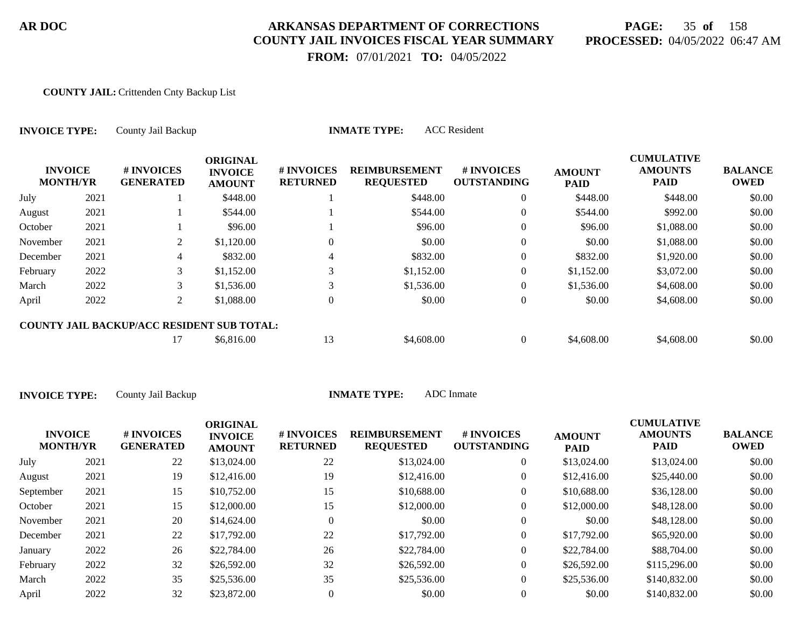# **PAGE:** 35 **of** 158 **PROCESSED:** 04/05/2022 06:47 AM

 **FROM:** 07/01/2021 **TO:** 04/05/2022

#### **COUNTY JAIL:** Crittenden Cnty Backup List

| <b>INVOICE TYPE:</b><br><b>INVOICE</b><br><b>MONTH/YR</b> |      | County Jail Backup                                |                                                    |                               | <b>ACC</b> Resident<br><b>INMATE TYPE:</b> |                                  |                              |                                             |                               |
|-----------------------------------------------------------|------|---------------------------------------------------|----------------------------------------------------|-------------------------------|--------------------------------------------|----------------------------------|------------------------------|---------------------------------------------|-------------------------------|
|                                                           |      | # INVOICES<br><b>GENERATED</b>                    | <b>ORIGINAL</b><br><b>INVOICE</b><br><b>AMOUNT</b> | # INVOICES<br><b>RETURNED</b> | <b>REIMBURSEMENT</b><br><b>REQUESTED</b>   | # INVOICES<br><b>OUTSTANDING</b> | <b>AMOUNT</b><br><b>PAID</b> | <b>CUMULATIVE</b><br><b>AMOUNTS</b><br>PAID | <b>BALANCE</b><br><b>OWED</b> |
| July                                                      | 2021 |                                                   | \$448.00                                           |                               | \$448.00                                   | $\overline{0}$                   | \$448.00                     | \$448.00                                    | \$0.00                        |
| August                                                    | 2021 |                                                   | \$544.00                                           |                               | \$544.00                                   | $\mathbf{0}$                     | \$544.00                     | \$992.00                                    | \$0.00                        |
| October                                                   | 2021 |                                                   | \$96.00                                            |                               | \$96.00                                    | $\boldsymbol{0}$                 | \$96.00                      | \$1,088.00                                  | \$0.00                        |
| November                                                  | 2021 | 2                                                 | \$1,120.00                                         | 0                             | \$0.00                                     | $\theta$                         | \$0.00                       | \$1,088.00                                  | \$0.00                        |
| December                                                  | 2021 | 4                                                 | \$832.00                                           | 4                             | \$832.00                                   | $\mathbf{0}$                     | \$832.00                     | \$1,920.00                                  | \$0.00                        |
| February                                                  | 2022 | 3                                                 | \$1,152.00                                         | 3                             | \$1,152.00                                 | $\overline{0}$                   | \$1,152.00                   | \$3,072.00                                  | \$0.00                        |
| March                                                     | 2022 | 3                                                 | \$1,536.00                                         | 3                             | \$1,536.00                                 | $\mathbf{0}$                     | \$1,536.00                   | \$4,608.00                                  | \$0.00                        |
| April                                                     | 2022 | 2                                                 | \$1,088.00                                         | $\theta$                      | \$0.00                                     | $\mathbf{0}$                     | \$0.00                       | \$4,608.00                                  | \$0.00                        |
|                                                           |      | <b>COUNTY JAIL BACKUP/ACC RESIDENT SUB TOTAL:</b> |                                                    |                               |                                            |                                  |                              |                                             |                               |
|                                                           |      | 17                                                | \$6,816.00                                         | 13                            | \$4,608.00                                 | $\overline{0}$                   | \$4,608.00                   | \$4,608.00                                  | \$0.00                        |

| <b>INVOICE</b><br><b>MONTH/YR</b> |      | # INVOICES<br><b>GENERATED</b> | <b>ORIGINAL</b><br><b>INVOICE</b><br><b>AMOUNT</b> | # INVOICES<br><b>RETURNED</b> | <b>REIMBURSEMENT</b><br><b>REQUESTED</b> | # INVOICES<br><b>OUTSTANDING</b> | <b>AMOUNT</b><br><b>PAID</b> | <b>CUMULATIVE</b><br><b>AMOUNTS</b><br>PAID | <b>BALANCE</b><br><b>OWED</b> |
|-----------------------------------|------|--------------------------------|----------------------------------------------------|-------------------------------|------------------------------------------|----------------------------------|------------------------------|---------------------------------------------|-------------------------------|
| July                              | 2021 | 22                             | \$13,024.00                                        | 22                            | \$13,024.00                              | $\theta$                         | \$13,024.00                  | \$13,024.00                                 | \$0.00                        |
| August                            | 2021 | 19                             | \$12,416.00                                        | 19                            | \$12,416.00                              | $\theta$                         | \$12,416.00                  | \$25,440.00                                 | \$0.00                        |
| September                         | 2021 | 15                             | \$10,752.00                                        | 15                            | \$10,688.00                              | $\theta$                         | \$10,688.00                  | \$36,128.00                                 | \$0.00                        |
| October                           | 2021 | 15                             | \$12,000.00                                        | 15                            | \$12,000.00                              | $\theta$                         | \$12,000.00                  | \$48,128,00                                 | \$0.00                        |
| November                          | 2021 | 20                             | \$14,624.00                                        | $\Omega$                      | \$0.00                                   | $\theta$                         | \$0.00                       | \$48,128,00                                 | \$0.00                        |
| December                          | 2021 | 22                             | \$17,792.00                                        | 22                            | \$17,792.00                              | $\theta$                         | \$17,792.00                  | \$65,920.00                                 | \$0.00                        |
| January                           | 2022 | 26                             | \$22,784.00                                        | 26                            | \$22,784.00                              | $\theta$                         | \$22,784.00                  | \$88,704.00                                 | \$0.00                        |
| February                          | 2022 | 32                             | \$26,592.00                                        | 32                            | \$26,592.00                              | $\mathbf{0}$                     | \$26,592.00                  | \$115,296.00                                | \$0.00                        |
| March                             | 2022 | 35                             | \$25,536.00                                        | 35                            | \$25,536.00                              | $\theta$                         | \$25,536.00                  | \$140,832.00                                | \$0.00                        |
| April                             | 2022 | 32                             | \$23,872.00                                        | $\overline{0}$                | \$0.00                                   | $\Omega$                         | \$0.00                       | \$140,832.00                                | \$0.00                        |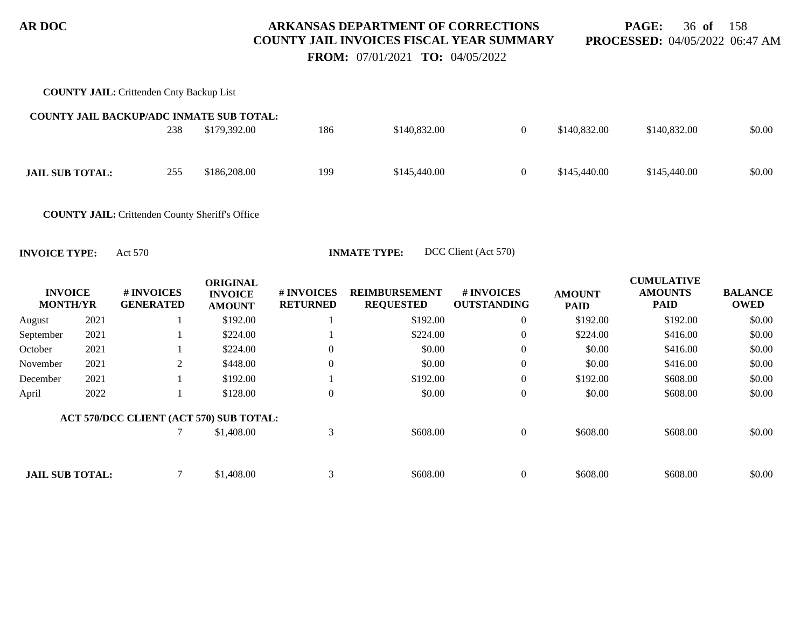**PAGE:** 36 **of** 158 **PROCESSED:** 04/05/2022 06:47 AM

 **FROM:** 07/01/2021 **TO:** 04/05/2022

| <b>COUNTY JAIL: Crittenden Cnty Backup List</b>        |     |              |     |              |          |              |              |        |
|--------------------------------------------------------|-----|--------------|-----|--------------|----------|--------------|--------------|--------|
| <b>COUNTY JAIL BACKUP/ADC INMATE SUB TOTAL:</b>        |     |              |     |              |          |              |              |        |
|                                                        | 238 | \$179,392.00 | 186 | \$140,832.00 | $\theta$ | \$140,832.00 | \$140,832.00 | \$0.00 |
| <b>JAIL SUB TOTAL:</b>                                 | 255 | \$186,208.00 | 199 | \$145,440.00 | $\theta$ | \$145,440.00 | \$145,440.00 | \$0.00 |
| <b>COUNTY JAIL:</b> Crittenden County Sheriff's Office |     |              |     |              |          |              |              |        |

|                                   |      |                                         | <b>ORIGINAL</b>                 |                               |                                          |                                  |                              | <b>CUMULATIVE</b>             |                               |
|-----------------------------------|------|-----------------------------------------|---------------------------------|-------------------------------|------------------------------------------|----------------------------------|------------------------------|-------------------------------|-------------------------------|
| <b>INVOICE</b><br><b>MONTH/YR</b> |      | # INVOICES<br><b>GENERATED</b>          | <b>INVOICE</b><br><b>AMOUNT</b> | # INVOICES<br><b>RETURNED</b> | <b>REIMBURSEMENT</b><br><b>REQUESTED</b> | # INVOICES<br><b>OUTSTANDING</b> | <b>AMOUNT</b><br><b>PAID</b> | <b>AMOUNTS</b><br><b>PAID</b> | <b>BALANCE</b><br><b>OWED</b> |
| August                            | 2021 |                                         | \$192.00                        |                               | \$192.00                                 | $\overline{0}$                   | \$192.00                     | \$192.00                      | \$0.00                        |
| September                         | 2021 |                                         | \$224.00                        |                               | \$224.00                                 | $\boldsymbol{0}$                 | \$224.00                     | \$416.00                      | \$0.00                        |
| October                           | 2021 |                                         | \$224.00                        | $\Omega$                      | \$0.00                                   | $\overline{0}$                   | \$0.00                       | \$416.00                      | \$0.00                        |
| November                          | 2021 | 2                                       | \$448.00                        | $\theta$                      | \$0.00                                   | $\overline{0}$                   | \$0.00                       | \$416.00                      | \$0.00                        |
| December                          | 2021 |                                         | \$192.00                        |                               | \$192.00                                 | $\overline{0}$                   | \$192.00                     | \$608.00                      | \$0.00                        |
| April                             | 2022 |                                         | \$128.00                        | $\overline{0}$                | \$0.00                                   | $\overline{0}$                   | \$0.00                       | \$608.00                      | \$0.00                        |
|                                   |      | ACT 570/DCC CLIENT (ACT 570) SUB TOTAL: |                                 |                               |                                          |                                  |                              |                               |                               |
|                                   |      |                                         | \$1,408.00                      | 3                             | \$608.00                                 | $\overline{0}$                   | \$608.00                     | \$608.00                      | \$0.00                        |
|                                   |      |                                         |                                 |                               |                                          |                                  |                              |                               |                               |
| <b>JAIL SUB TOTAL:</b>            |      |                                         | \$1,408.00                      | 3                             | \$608.00                                 | $\theta$                         | \$608.00                     | \$608.00                      | \$0.00                        |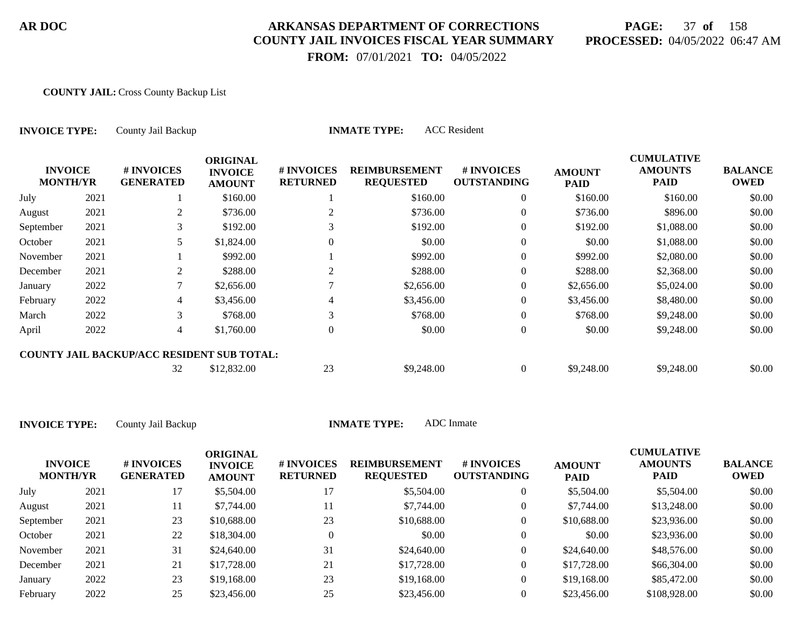# **PAGE:** 37 **of** 158 **PROCESSED:** 04/05/2022 06:47 AM

**CUMULATIVE**

 **FROM:** 07/01/2021 **TO:** 04/05/2022

#### **COUNTY JAIL:** Cross County Backup List

| <b>INVOICE TYPE:</b>              |      | County Jail Backup                                |                                                    |                               | <b>INMATE TYPE:</b>                      | <b>ACC</b> Resident              |                              |                                                    |                               |
|-----------------------------------|------|---------------------------------------------------|----------------------------------------------------|-------------------------------|------------------------------------------|----------------------------------|------------------------------|----------------------------------------------------|-------------------------------|
| <b>INVOICE</b><br><b>MONTH/YR</b> |      | # INVOICES<br><b>GENERATED</b>                    | <b>ORIGINAL</b><br><b>INVOICE</b><br><b>AMOUNT</b> | # INVOICES<br><b>RETURNED</b> | <b>REIMBURSEMENT</b><br><b>REQUESTED</b> | # INVOICES<br><b>OUTSTANDING</b> | <b>AMOUNT</b><br><b>PAID</b> | <b>CUMULATIVE</b><br><b>AMOUNTS</b><br><b>PAID</b> | <b>BALANCE</b><br><b>OWED</b> |
| July                              | 2021 |                                                   | \$160.00                                           |                               | \$160.00                                 | $\overline{0}$                   | \$160.00                     | \$160.00                                           | \$0.00                        |
| August                            | 2021 | 2                                                 | \$736.00                                           |                               | \$736.00                                 | $\overline{0}$                   | \$736.00                     | \$896.00                                           | \$0.00                        |
| September                         | 2021 | 3                                                 | \$192.00                                           |                               | \$192.00                                 | $\overline{0}$                   | \$192.00                     | \$1,088.00                                         | \$0.00                        |
| October                           | 2021 | 5                                                 | \$1,824.00                                         | $\Omega$                      | \$0.00                                   | $\overline{0}$                   | \$0.00                       | \$1,088.00                                         | \$0.00                        |
| November                          | 2021 |                                                   | \$992.00                                           |                               | \$992.00                                 | $\overline{0}$                   | \$992.00                     | \$2,080.00                                         | \$0.00                        |
| December                          | 2021 | 2                                                 | \$288.00                                           | 2                             | \$288.00                                 | $\overline{0}$                   | \$288.00                     | \$2,368.00                                         | \$0.00                        |
| January                           | 2022 | 7                                                 | \$2,656.00                                         |                               | \$2,656.00                               | $\overline{0}$                   | \$2,656.00                   | \$5,024.00                                         | \$0.00                        |
| February                          | 2022 | 4                                                 | \$3,456.00                                         |                               | \$3,456.00                               | $\overline{0}$                   | \$3,456.00                   | \$8,480.00                                         | \$0.00                        |
| March                             | 2022 | 3                                                 | \$768.00                                           | 3                             | \$768.00                                 | $\overline{0}$                   | \$768.00                     | \$9,248.00                                         | \$0.00                        |
| April                             | 2022 | $\overline{4}$                                    | \$1,760.00                                         | $\theta$                      | \$0.00                                   | $\overline{0}$                   | \$0.00                       | \$9,248.00                                         | \$0.00                        |
|                                   |      | <b>COUNTY JAIL BACKUP/ACC RESIDENT SUB TOTAL:</b> |                                                    |                               |                                          |                                  |                              |                                                    |                               |
|                                   |      | 32                                                | \$12,832.00                                        | 23                            | \$9,248.00                               | $\overline{0}$                   | \$9,248.00                   | \$9,248.00                                         | \$0.00                        |

| <b>INVOICE</b><br><b>MONTH/YR</b> |      | # INVOICES<br><b>GENERATED</b> | <b>ORIGINAL</b><br><b>INVOICE</b><br><b>AMOUNT</b> | # INVOICES<br><b>RETURNED</b> | <b>REIMBURSEMENT</b><br><b>REQUESTED</b> | # INVOICES<br><b>OUTSTANDING</b> | <b>AMOUNT</b><br><b>PAID</b> | <b>CUMULATIVE</b><br><b>AMOUNTS</b><br><b>PAID</b> | <b>BALANCE</b><br><b>OWED</b> |
|-----------------------------------|------|--------------------------------|----------------------------------------------------|-------------------------------|------------------------------------------|----------------------------------|------------------------------|----------------------------------------------------|-------------------------------|
| July                              | 2021 |                                | \$5,504.00                                         |                               | \$5,504.00                               | 0                                | \$5,504.00                   | \$5,504.00                                         | \$0.00                        |
| August                            | 2021 | 11                             | \$7,744.00                                         | 11                            | \$7,744.00                               | 0                                | \$7,744.00                   | \$13,248.00                                        | \$0.00                        |
| September                         | 2021 | 23                             | \$10,688.00                                        | 23                            | \$10,688.00                              | 0                                | \$10,688.00                  | \$23,936.00                                        | \$0.00                        |
| October                           | 2021 | 22                             | \$18,304.00                                        | 0                             | \$0.00                                   | $\overline{0}$                   | \$0.00                       | \$23,936.00                                        | \$0.00                        |
| November                          | 2021 | 31                             | \$24,640.00                                        | 31                            | \$24,640.00                              | 0                                | \$24,640.00                  | \$48,576.00                                        | \$0.00                        |
| December                          | 2021 | 21                             | \$17,728.00                                        | 21                            | \$17,728.00                              | $\overline{0}$                   | \$17,728.00                  | \$66,304.00                                        | \$0.00                        |
| January                           | 2022 | 23                             | \$19,168.00                                        | 23                            | \$19,168.00                              | $\overline{0}$                   | \$19,168.00                  | \$85,472.00                                        | \$0.00                        |
| February                          | 2022 | 25                             | \$23,456.00                                        | 25                            | \$23,456.00                              |                                  | \$23,456.00                  | \$108,928,00                                       | \$0.00                        |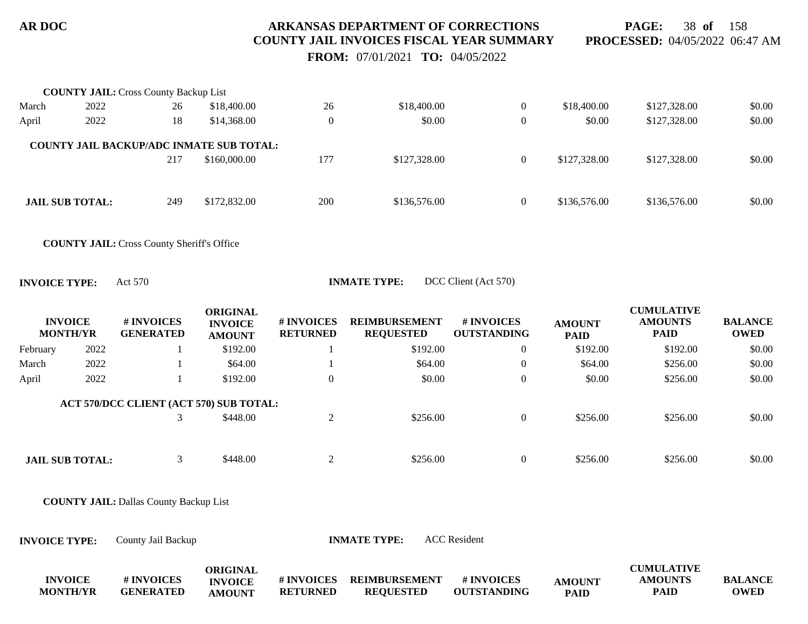**PAGE:** 38 **of** 158 **PROCESSED:** 04/05/2022 06:47 AM

 **FROM:** 07/01/2021 **TO:** 04/05/2022

| 2022 | 26                     | \$18,400.00  | 26                                                                                              | \$18,400.00  | $\overline{0}$ | \$18,400.00  | \$127,328.00 | \$0.00 |
|------|------------------------|--------------|-------------------------------------------------------------------------------------------------|--------------|----------------|--------------|--------------|--------|
| 2022 | 18                     | \$14,368.00  | $\theta$                                                                                        | \$0.00       | $\theta$       | \$0.00       | \$127,328.00 | \$0.00 |
|      |                        |              |                                                                                                 |              |                |              |              |        |
|      | 217                    | \$160,000.00 | 177                                                                                             | \$127,328.00 | $\Omega$       | \$127,328.00 | \$127,328.00 | \$0.00 |
|      |                        |              |                                                                                                 |              |                |              |              |        |
|      | 249                    | \$172,832.00 | 200                                                                                             | \$136,576.00 | $\overline{0}$ | \$136,576.00 | \$136,576.00 | \$0.00 |
|      | <b>JAIL SUB TOTAL:</b> |              | <b>COUNTY JAIL:</b> Cross County Backup List<br><b>COUNTY JAIL BACKUP/ADC INMATE SUB TOTAL:</b> |              |                |              |              |        |

**COUNTY JAIL:** Cross County Sheriff's Office

**INVOICE TYPE:** Act 570 **INMATE TYPE:** DCC Client (Act 570)

|          | <b>INVOICE</b><br><b>MONTH/YR</b> | # INVOICES<br><b>GENERATED</b>          | <b>ORIGINAL</b><br><b>INVOICE</b><br><b>AMOUNT</b> | # INVOICES<br><b>RETURNED</b> | <b>REIMBURSEMENT</b><br><b>REQUESTED</b> | <b># INVOICES</b><br><b>OUTSTANDING</b> | <b>AMOUNT</b><br><b>PAID</b> | <b>CUMULATIVE</b><br><b>AMOUNTS</b><br><b>PAID</b> | <b>BALANCE</b><br><b>OWED</b> |
|----------|-----------------------------------|-----------------------------------------|----------------------------------------------------|-------------------------------|------------------------------------------|-----------------------------------------|------------------------------|----------------------------------------------------|-------------------------------|
| February | 2022                              |                                         | \$192.00                                           |                               | \$192.00                                 | $\overline{0}$                          | \$192.00                     | \$192.00                                           | \$0.00                        |
| March    | 2022                              |                                         | \$64.00                                            |                               | \$64.00                                  | $\overline{0}$                          | \$64.00                      | \$256.00                                           | \$0.00                        |
| April    | 2022                              |                                         | \$192.00                                           | $\theta$                      | \$0.00                                   | $\mathbf{0}$                            | \$0.00                       | \$256.00                                           | \$0.00                        |
|          |                                   | ACT 570/DCC CLIENT (ACT 570) SUB TOTAL: |                                                    |                               |                                          |                                         |                              |                                                    |                               |
|          |                                   |                                         | \$448.00                                           |                               | \$256.00                                 | $\overline{0}$                          | \$256.00                     | \$256.00                                           | \$0.00                        |
|          |                                   |                                         |                                                    |                               |                                          |                                         |                              |                                                    |                               |
|          | <b>JAIL SUB TOTAL:</b>            |                                         | \$448.00                                           |                               | \$256.00                                 | $\mathbf{0}$                            | \$256.00                     | \$256.00                                           | \$0.00                        |

**COUNTY JAIL:** Dallas County Backup List

**INVOICE TYPE:** County Jail Backup **INMATE TYPE:** ACC Resident

|                 |                  | ORIGINAL       |                  |                      |                    |               | <b>CUMULATIVE</b> |                |
|-----------------|------------------|----------------|------------------|----------------------|--------------------|---------------|-------------------|----------------|
| <b>INVOICE</b>  | # INVOICES       | <b>INVOICE</b> | <b>#INVOICES</b> | <b>REIMBURSEMENT</b> | # INVOICES         | <b>AMOUNT</b> | <b>AMOUNTS</b>    | <b>BALANCE</b> |
| <b>MONTH/YR</b> | <b>GENERATED</b> | <b>AMOUNT</b>  | <b>RETURNED</b>  | <b>REOUESTED</b>     | <b>OUTSTANDING</b> | PAID          | PAID              | <b>OWED</b>    |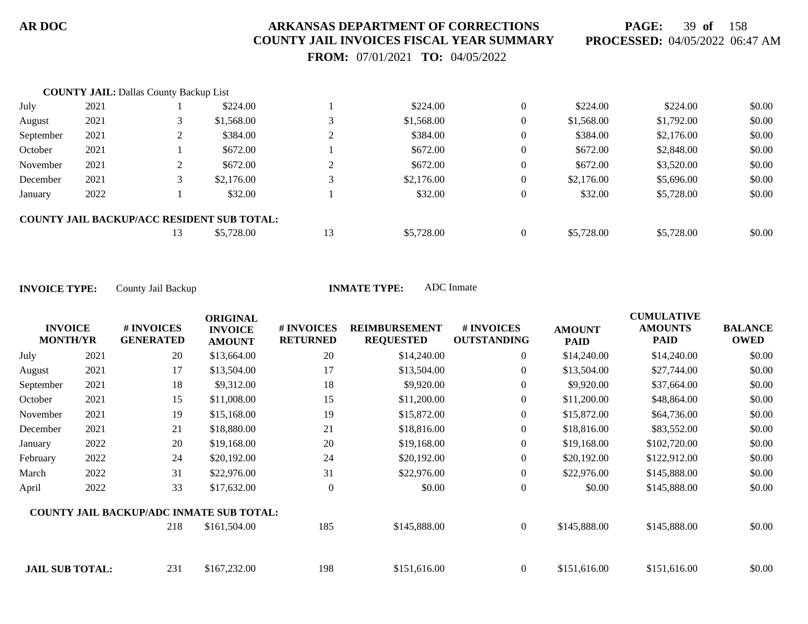**PAGE:** 39 **of** 158 **PROCESSED:** 04/05/2022 06:47 AM

 **FROM:** 07/01/2021 **TO:** 04/05/2022

|           | <b>COUNTY JAIL: Dallas County Backup List</b> |    |                                                   |           |            |                |            |            |        |
|-----------|-----------------------------------------------|----|---------------------------------------------------|-----------|------------|----------------|------------|------------|--------|
| July      | 2021                                          |    | \$224.00                                          |           | \$224.00   | $\overline{0}$ | \$224.00   | \$224.00   | \$0.00 |
| August    | 2021                                          |    | \$1,568.00                                        |           | \$1,568.00 | $\overline{0}$ | \$1,568.00 | \$1,792.00 | \$0.00 |
| September | 2021                                          |    | \$384.00                                          | $\bigcap$ | \$384.00   | $\overline{0}$ | \$384.00   | \$2,176.00 | \$0.00 |
| October   | 2021                                          |    | \$672.00                                          |           | \$672.00   | $\overline{0}$ | \$672.00   | \$2,848.00 | \$0.00 |
| November  | 2021                                          |    | \$672.00                                          | $\gamma$  | \$672.00   | $\overline{0}$ | \$672.00   | \$3,520.00 | \$0.00 |
| December  | 2021                                          |    | \$2,176.00                                        |           | \$2,176.00 | $\overline{0}$ | \$2,176.00 | \$5,696.00 | \$0.00 |
| January   | 2022                                          |    | \$32.00                                           |           | \$32.00    | $\overline{0}$ | \$32.00    | \$5,728.00 | \$0.00 |
|           |                                               |    | <b>COUNTY JAIL BACKUP/ACC RESIDENT SUB TOTAL:</b> |           |            |                |            |            |        |
|           |                                               | 13 | \$5,728.00                                        | 13        | \$5,728.00 | $\Omega$       | \$5,728.00 | \$5,728.00 | \$0.00 |

| <b>INVOICE</b><br><b>MONTH/YR</b> |      | # INVOICES<br><b>GENERATED</b>                  | <b>ORIGINAL</b><br><b>INVOICE</b><br><b>AMOUNT</b> | # INVOICES<br><b>RETURNED</b> | <b>REIMBURSEMENT</b><br><b>REQUESTED</b> | # INVOICES<br><b>OUTSTANDING</b> | <b>AMOUNT</b><br><b>PAID</b> | <b>CUMULATIVE</b><br><b>AMOUNTS</b><br><b>PAID</b> | <b>BALANCE</b><br><b>OWED</b> |
|-----------------------------------|------|-------------------------------------------------|----------------------------------------------------|-------------------------------|------------------------------------------|----------------------------------|------------------------------|----------------------------------------------------|-------------------------------|
| July                              | 2021 | 20                                              | \$13,664.00                                        | 20                            | \$14,240.00                              | $\overline{0}$                   | \$14,240.00                  | \$14,240.00                                        | \$0.00                        |
| August                            | 2021 | 17                                              | \$13,504.00                                        | 17                            | \$13,504.00                              | $\overline{0}$                   | \$13,504.00                  | \$27,744.00                                        | \$0.00                        |
| September                         | 2021 | 18                                              | \$9,312.00                                         | 18                            | \$9,920.00                               | $\overline{0}$                   | \$9,920.00                   | \$37,664.00                                        | \$0.00                        |
| October                           | 2021 | 15                                              | \$11,008.00                                        | 15                            | \$11,200.00                              | $\overline{0}$                   | \$11,200.00                  | \$48,864.00                                        | \$0.00                        |
| November                          | 2021 | 19                                              | \$15,168.00                                        | 19                            | \$15,872.00                              | $\overline{0}$                   | \$15,872.00                  | \$64,736.00                                        | \$0.00                        |
| December                          | 2021 | 21                                              | \$18,880.00                                        | 21                            | \$18,816.00                              | 0                                | \$18,816.00                  | \$83,552.00                                        | \$0.00                        |
| January                           | 2022 | 20                                              | \$19,168.00                                        | 20                            | \$19,168.00                              | $\overline{0}$                   | \$19,168.00                  | \$102,720.00                                       | \$0.00                        |
| February                          | 2022 | 24                                              | \$20,192.00                                        | 24                            | \$20,192.00                              | $\overline{0}$                   | \$20,192.00                  | \$122,912.00                                       | \$0.00                        |
| March                             | 2022 | 31                                              | \$22,976.00                                        | 31                            | \$22,976.00                              | $\overline{0}$                   | \$22,976.00                  | \$145,888.00                                       | \$0.00                        |
| April                             | 2022 | 33                                              | \$17,632.00                                        | $\overline{0}$                | \$0.00                                   | $\boldsymbol{0}$                 | \$0.00                       | \$145,888.00                                       | \$0.00                        |
|                                   |      | <b>COUNTY JAIL BACKUP/ADC INMATE SUB TOTAL:</b> |                                                    |                               |                                          |                                  |                              |                                                    |                               |
|                                   |      | 218                                             | \$161,504.00                                       | 185                           | \$145,888.00                             | $\overline{0}$                   | \$145,888.00                 | \$145,888.00                                       | \$0.00                        |
| <b>JAIL SUB TOTAL:</b>            |      | 231                                             | \$167,232.00                                       | 198                           | \$151,616.00                             | $\overline{0}$                   | \$151,616.00                 | \$151,616.00                                       | \$0.00                        |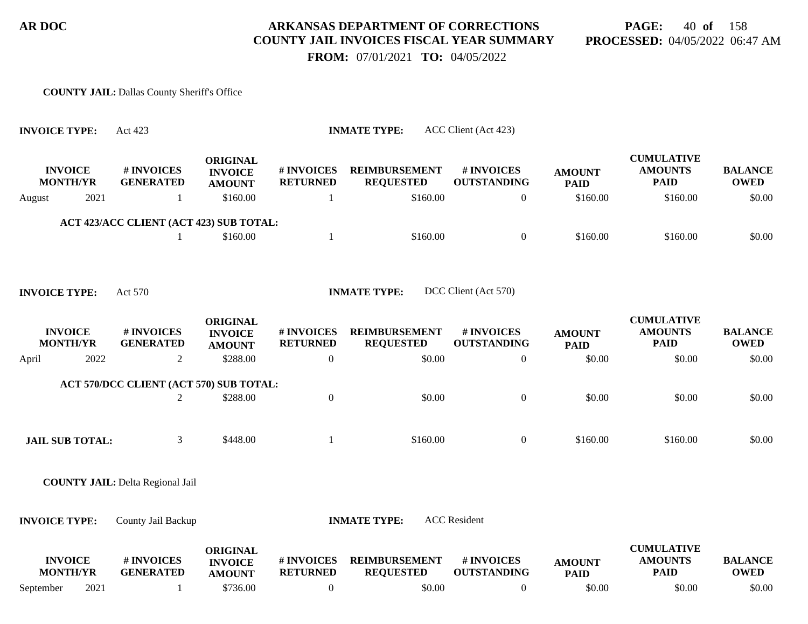**PAGE:** 40 **of** 158 **PROCESSED:** 04/05/2022 06:47 AM

 **FROM:** 07/01/2021 **TO:** 04/05/2022

#### **COUNTY JAIL:** Dallas County Sheriff's Office

| <b>INVOICE TYPE:</b> |                                   | Act 423                                 |                                                    |                               | <b>INMATE TYPE:</b>                      | ACC Client (Act 423)             |                              |                                                    |                               |
|----------------------|-----------------------------------|-----------------------------------------|----------------------------------------------------|-------------------------------|------------------------------------------|----------------------------------|------------------------------|----------------------------------------------------|-------------------------------|
|                      | <b>INVOICE</b><br><b>MONTH/YR</b> | # INVOICES<br><b>GENERATED</b>          | <b>ORIGINAL</b><br><b>INVOICE</b><br><b>AMOUNT</b> | # INVOICES<br><b>RETURNED</b> | <b>REIMBURSEMENT</b><br><b>REQUESTED</b> | # INVOICES<br><b>OUTSTANDING</b> | <b>AMOUNT</b><br><b>PAID</b> | <b>CUMULATIVE</b><br><b>AMOUNTS</b><br><b>PAID</b> | <b>BALANCE</b><br><b>OWED</b> |
| August               | 2021                              | 1                                       | \$160.00                                           |                               | \$160.00                                 | $\overline{0}$                   | \$160.00                     | \$160.00                                           | \$0.00                        |
|                      |                                   | ACT 423/ACC CLIENT (ACT 423) SUB TOTAL: |                                                    |                               |                                          |                                  |                              |                                                    |                               |
|                      |                                   | 1                                       | \$160.00                                           | 1                             | \$160.00                                 | $\overline{0}$                   | \$160.00                     | \$160.00                                           | \$0.00                        |
|                      |                                   |                                         |                                                    |                               |                                          |                                  |                              |                                                    |                               |
| <b>INVOICE TYPE:</b> |                                   | Act 570                                 |                                                    |                               | <b>INMATE TYPE:</b>                      | DCC Client (Act 570)             |                              |                                                    |                               |
|                      | <b>INVOICE</b><br><b>MONTH/YR</b> | # INVOICES<br><b>GENERATED</b>          | <b>ORIGINAL</b><br><b>INVOICE</b><br><b>AMOUNT</b> | # INVOICES<br><b>RETURNED</b> | <b>REIMBURSEMENT</b><br><b>REQUESTED</b> | # INVOICES<br><b>OUTSTANDING</b> | <b>AMOUNT</b><br><b>PAID</b> | <b>CUMULATIVE</b><br><b>AMOUNTS</b><br><b>PAID</b> | <b>BALANCE</b><br><b>OWED</b> |
| April                | 2022                              | $\overline{2}$                          | \$288.00                                           | $\boldsymbol{0}$              | \$0.00                                   | $\mathbf{0}$                     | \$0.00                       | \$0.00                                             | \$0.00                        |
|                      |                                   | ACT 570/DCC CLIENT (ACT 570) SUB TOTAL: |                                                    |                               |                                          |                                  |                              |                                                    |                               |
|                      |                                   | $\overline{2}$                          | \$288.00                                           | $\boldsymbol{0}$              | \$0.00                                   | $\boldsymbol{0}$                 | \$0.00                       | \$0.00                                             | \$0.00                        |
|                      |                                   |                                         |                                                    |                               |                                          |                                  |                              |                                                    |                               |
|                      | <b>JAIL SUB TOTAL:</b>            | 3                                       | \$448.00                                           | 1                             | \$160.00                                 | $\boldsymbol{0}$                 | \$160.00                     | \$160.00                                           | \$0.00                        |
|                      |                                   |                                         |                                                    |                               |                                          |                                  |                              |                                                    |                               |
|                      |                                   | <b>COUNTY JAIL: Delta Regional Jail</b> |                                                    |                               |                                          |                                  |                              |                                                    |                               |
|                      |                                   |                                         |                                                    |                               |                                          |                                  |                              |                                                    |                               |
| <b>INVOICE TYPE:</b> |                                   | County Jail Backup                      |                                                    |                               | <b>INMATE TYPE:</b>                      | <b>ACC</b> Resident              |                              |                                                    |                               |
|                      | <b>INVOICE</b><br><b>MONTH/YR</b> | # INVOICES<br><b>GENERATED</b>          | <b>ORIGINAL</b><br><b>INVOICE</b><br><b>AMOUNT</b> | # INVOICES<br><b>RETURNED</b> | <b>REIMBURSEMENT</b><br><b>REQUESTED</b> | # INVOICES<br><b>OUTSTANDING</b> | <b>AMOUNT</b><br><b>PAID</b> | <b>CUMULATIVE</b><br><b>AMOUNTS</b><br><b>PAID</b> | <b>BALANCE</b><br><b>OWED</b> |
| September            | 2021                              | 1                                       | \$736.00                                           | $\boldsymbol{0}$              | \$0.00                                   | $\overline{0}$                   | \$0.00                       | \$0.00                                             | \$0.00                        |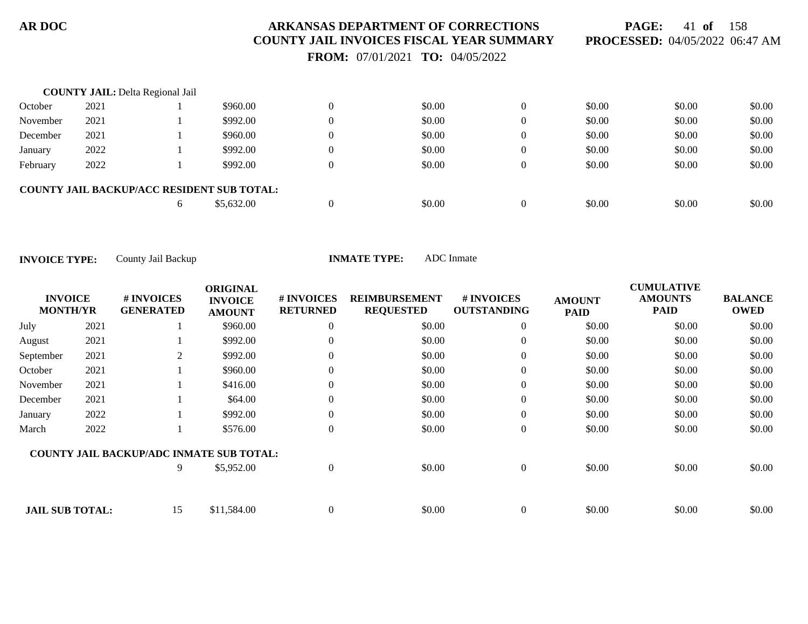**PAGE:** 41 **of** 158 **PROCESSED:** 04/05/2022 06:47 AM

 **FROM:** 07/01/2021 **TO:** 04/05/2022

|          | <b>COUNTY JAIL: Delta Regional Jail</b> |    |                                                   |                |        |              |        |        |        |
|----------|-----------------------------------------|----|---------------------------------------------------|----------------|--------|--------------|--------|--------|--------|
| October  | 2021                                    |    | \$960.00                                          |                | \$0.00 | $\mathbf{0}$ | \$0.00 | \$0.00 | \$0.00 |
| November | 2021                                    |    | \$992.00                                          |                | \$0.00 | $\Omega$     | \$0.00 | \$0.00 | \$0.00 |
| December | 2021                                    |    | \$960.00                                          | $\overline{0}$ | \$0.00 | $\Omega$     | \$0.00 | \$0.00 | \$0.00 |
| January  | 2022                                    |    | \$992.00                                          | $\overline{0}$ | \$0.00 | $\Omega$     | \$0.00 | \$0.00 | \$0.00 |
| February | 2022                                    |    | \$992.00                                          |                | \$0.00 | $\Omega$     | \$0.00 | \$0.00 | \$0.00 |
|          |                                         |    | <b>COUNTY JAIL BACKUP/ACC RESIDENT SUB TOTAL:</b> |                |        |              |        |        |        |
|          |                                         | h. | \$5,632.00                                        |                | \$0.00 | $\Omega$     | \$0.00 | \$0.00 | \$0.00 |

| <b>INVOICE</b><br><b>MONTH/YR</b> |      | # INVOICES<br><b>GENERATED</b>                  | <b>ORIGINAL</b><br><b>INVOICE</b><br><b>AMOUNT</b> | # INVOICES<br><b>RETURNED</b> | <b>REIMBURSEMENT</b><br><b>REQUESTED</b> | # INVOICES<br><b>OUTSTANDING</b> | <b>AMOUNT</b><br><b>PAID</b> | <b>CUMULATIVE</b><br><b>AMOUNTS</b><br><b>PAID</b> | <b>BALANCE</b><br><b>OWED</b> |
|-----------------------------------|------|-------------------------------------------------|----------------------------------------------------|-------------------------------|------------------------------------------|----------------------------------|------------------------------|----------------------------------------------------|-------------------------------|
| July                              | 2021 |                                                 | \$960.00                                           | $\theta$                      | \$0.00                                   | $\overline{0}$                   | \$0.00                       | \$0.00                                             | \$0.00                        |
| August                            | 2021 |                                                 | \$992.00                                           | $\theta$                      | \$0.00                                   | $\theta$                         | \$0.00                       | \$0.00                                             | \$0.00                        |
| September                         | 2021 | 2                                               | \$992.00                                           | $\theta$                      | \$0.00                                   | $\overline{0}$                   | \$0.00                       | \$0.00                                             | \$0.00                        |
| October                           | 2021 |                                                 | \$960.00                                           | $\theta$                      | \$0.00                                   | $\theta$                         | \$0.00                       | \$0.00                                             | \$0.00                        |
| November                          | 2021 |                                                 | \$416.00                                           | $\Omega$                      | \$0.00                                   | $\overline{0}$                   | \$0.00                       | \$0.00                                             | \$0.00                        |
| December                          | 2021 |                                                 | \$64.00                                            | $\theta$                      | \$0.00                                   | $\theta$                         | \$0.00                       | \$0.00                                             | \$0.00                        |
| January                           | 2022 |                                                 | \$992.00                                           | $\Omega$                      | \$0.00                                   | $\theta$                         | \$0.00                       | \$0.00                                             | \$0.00                        |
| March                             | 2022 |                                                 | \$576.00                                           | $\Omega$                      | \$0.00                                   | $\theta$                         | \$0.00                       | \$0.00                                             | \$0.00                        |
|                                   |      | <b>COUNTY JAIL BACKUP/ADC INMATE SUB TOTAL:</b> |                                                    |                               |                                          |                                  |                              |                                                    |                               |
|                                   |      | 9                                               | \$5,952.00                                         | $\Omega$                      | \$0.00                                   | $\overline{0}$                   | \$0.00                       | \$0.00                                             | \$0.00                        |
| <b>JAIL SUB TOTAL:</b>            |      | 15                                              | \$11,584.00                                        | $\theta$                      | \$0.00                                   | $\overline{0}$                   | \$0.00                       | \$0.00                                             | \$0.00                        |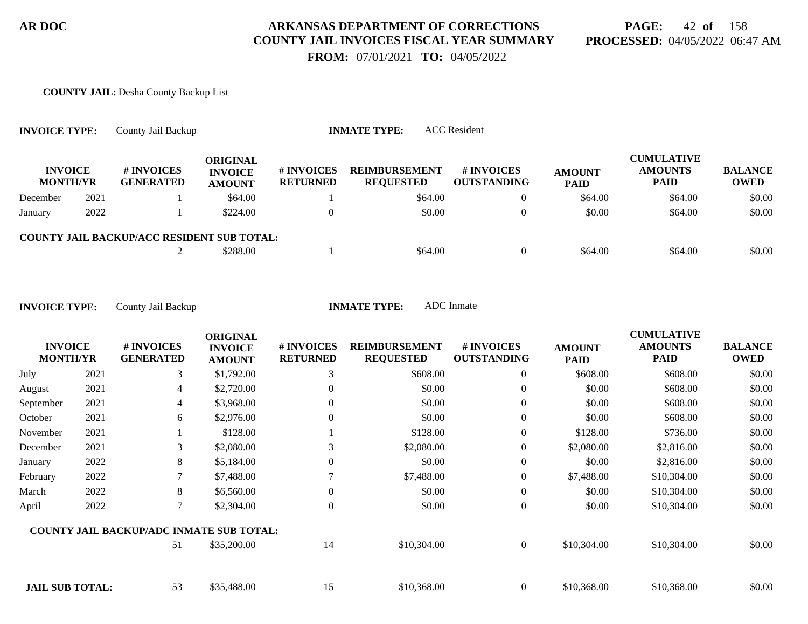# **PAGE:** 42 **of** 158 **PROCESSED:** 04/05/2022 06:47 AM

 **FROM:** 07/01/2021 **TO:** 04/05/2022

#### **COUNTY JAIL:** Desha County Backup List

| <b>INVOICE TYPE:</b>              |      | County Jail Backup                                |                                             |                                      | <b>INMATE TYPE:</b>                      | <b>ACC</b> Resident              |                              |                                                    |                               |
|-----------------------------------|------|---------------------------------------------------|---------------------------------------------|--------------------------------------|------------------------------------------|----------------------------------|------------------------------|----------------------------------------------------|-------------------------------|
| <b>INVOICE</b><br><b>MONTH/YR</b> |      | # INVOICES<br><b>GENERATED</b>                    | ORIGINAL<br><b>INVOICE</b><br><b>AMOUNT</b> | <b># INVOICES</b><br><b>RETURNED</b> | <b>REIMBURSEMENT</b><br><b>REQUESTED</b> | # INVOICES<br><b>OUTSTANDING</b> | <b>AMOUNT</b><br><b>PAID</b> | <b>CUMULATIVE</b><br><b>AMOUNTS</b><br><b>PAID</b> | <b>BALANCE</b><br><b>OWED</b> |
| December                          | 2021 |                                                   | \$64.00                                     |                                      | \$64.00                                  | $\theta$                         | \$64.00                      | \$64.00                                            | \$0.00                        |
| January                           | 2022 |                                                   | \$224.00                                    |                                      | \$0.00                                   | $\Omega$                         | \$0.00                       | \$64.00                                            | \$0.00                        |
|                                   |      | <b>COUNTY JAIL BACKUP/ACC RESIDENT SUB TOTAL:</b> |                                             |                                      |                                          |                                  |                              |                                                    |                               |
|                                   |      |                                                   | \$288.00                                    |                                      | \$64.00                                  | $\theta$                         | \$64.00                      | \$64.00                                            | \$0.00                        |

| <b>INVOICE</b><br><b>MONTH/YR</b> |      | # INVOICES<br><b>GENERATED</b>                  | <b>ORIGINAL</b><br><b>INVOICE</b><br><b>AMOUNT</b> | <b>#INVOICES</b><br><b>RETURNED</b> | <b>REIMBURSEMENT</b><br><b>REQUESTED</b> | # INVOICES<br><b>OUTSTANDING</b> | <b>AMOUNT</b><br><b>PAID</b> | <b>CUMULATIVE</b><br><b>AMOUNTS</b><br><b>PAID</b> | <b>BALANCE</b><br><b>OWED</b> |
|-----------------------------------|------|-------------------------------------------------|----------------------------------------------------|-------------------------------------|------------------------------------------|----------------------------------|------------------------------|----------------------------------------------------|-------------------------------|
| July                              | 2021 | 3                                               | \$1,792.00                                         | 3                                   | \$608.00                                 | $\overline{0}$                   | \$608.00                     | \$608.00                                           | \$0.00                        |
| August                            | 2021 | 4                                               | \$2,720.00                                         | 0                                   | \$0.00                                   | 0                                | \$0.00                       | \$608.00                                           | \$0.00                        |
| September                         | 2021 | 4                                               | \$3,968.00                                         | 0                                   | \$0.00                                   | $\overline{0}$                   | \$0.00                       | \$608.00                                           | \$0.00                        |
| October                           | 2021 | 6                                               | \$2,976.00                                         | $\theta$                            | \$0.00                                   | $\boldsymbol{0}$                 | \$0.00                       | \$608.00                                           | \$0.00                        |
| November                          | 2021 |                                                 | \$128.00                                           |                                     | \$128.00                                 | $\overline{0}$                   | \$128.00                     | \$736.00                                           | \$0.00                        |
| December                          | 2021 | 3                                               | \$2,080.00                                         | 3                                   | \$2,080.00                               | $\boldsymbol{0}$                 | \$2,080.00                   | \$2,816.00                                         | \$0.00                        |
| January                           | 2022 | 8                                               | \$5,184.00                                         | 0                                   | \$0.00                                   | $\overline{0}$                   | \$0.00                       | \$2,816.00                                         | \$0.00                        |
| February                          | 2022 | 7                                               | \$7,488.00                                         |                                     | \$7,488.00                               | $\overline{0}$                   | \$7,488.00                   | \$10,304.00                                        | \$0.00                        |
| March                             | 2022 | 8                                               | \$6,560.00                                         | 0                                   | \$0.00                                   | $\boldsymbol{0}$                 | \$0.00                       | \$10,304.00                                        | \$0.00                        |
| April                             | 2022 | 7                                               | \$2,304.00                                         | $\theta$                            | \$0.00                                   | $\boldsymbol{0}$                 | \$0.00                       | \$10,304.00                                        | \$0.00                        |
|                                   |      | <b>COUNTY JAIL BACKUP/ADC INMATE SUB TOTAL:</b> |                                                    |                                     |                                          |                                  |                              |                                                    |                               |
|                                   |      | 51                                              | \$35,200.00                                        | 14                                  | \$10,304.00                              | $\overline{0}$                   | \$10,304.00                  | \$10,304.00                                        | \$0.00                        |
| <b>JAIL SUB TOTAL:</b>            |      | 53                                              | \$35,488.00                                        | 15                                  | \$10,368.00                              | $\overline{0}$                   | \$10,368.00                  | \$10,368.00                                        | \$0.00                        |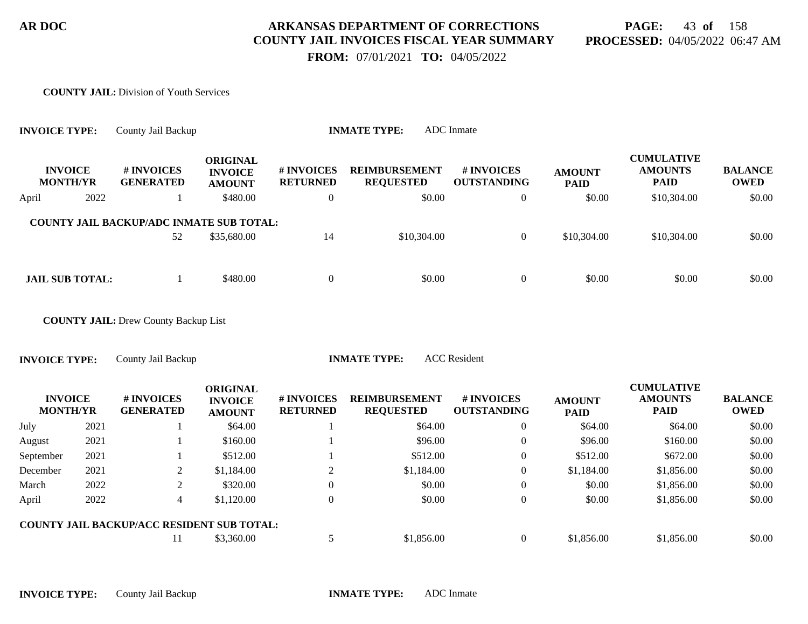# **PAGE:** 43 **of** 158 **PROCESSED:** 04/05/2022 06:47 AM

 **FROM:** 07/01/2021 **TO:** 04/05/2022

#### **COUNTY JAIL:** Division of Youth Services

| <b>INVOICE TYPE:</b> |                                   | County Jail Backup                              |                                                    |                               | <b>INMATE TYPE:</b>                      | <b>ADC</b> Inmate                |                              |                                                    |                               |
|----------------------|-----------------------------------|-------------------------------------------------|----------------------------------------------------|-------------------------------|------------------------------------------|----------------------------------|------------------------------|----------------------------------------------------|-------------------------------|
|                      | <b>INVOICE</b><br><b>MONTH/YR</b> | # INVOICES<br><b>GENERATED</b>                  | <b>ORIGINAL</b><br><b>INVOICE</b><br><b>AMOUNT</b> | # INVOICES<br><b>RETURNED</b> | <b>REIMBURSEMENT</b><br><b>REQUESTED</b> | # INVOICES<br><b>OUTSTANDING</b> | <b>AMOUNT</b><br><b>PAID</b> | <b>CUMULATIVE</b><br><b>AMOUNTS</b><br><b>PAID</b> | <b>BALANCE</b><br><b>OWED</b> |
| April                | 2022                              |                                                 | \$480.00                                           | $\boldsymbol{0}$              | \$0.00                                   | $\overline{0}$                   | \$0.00                       | \$10,304.00                                        | \$0.00                        |
|                      |                                   | <b>COUNTY JAIL BACKUP/ADC INMATE SUB TOTAL:</b> |                                                    |                               |                                          |                                  |                              |                                                    |                               |
|                      |                                   | 52                                              | \$35,680.00                                        | 14                            | \$10,304.00                              | $\overline{0}$                   | \$10,304.00                  | \$10,304.00                                        | \$0.00                        |
|                      | <b>JAIL SUB TOTAL:</b>            |                                                 | \$480.00                                           | $\boldsymbol{0}$              | \$0.00                                   | $\overline{0}$                   | \$0.00                       | \$0.00                                             | \$0.00                        |
|                      |                                   | <b>COUNTY JAIL: Drew County Backup List</b>     |                                                    |                               |                                          |                                  |                              |                                                    |                               |
| <b>INVOICE TYPE:</b> |                                   | County Jail Backup                              |                                                    |                               | <b>INMATE TYPE:</b>                      | <b>ACC</b> Resident              |                              |                                                    |                               |
|                      | <b>INVOICE</b><br><b>MONTH/YR</b> | # INVOICES<br><b>GENERATED</b>                  | <b>ORIGINAL</b><br><b>INVOICE</b><br><b>AMOUNT</b> | # INVOICES<br><b>RETURNED</b> | <b>REIMBURSEMENT</b><br><b>REQUESTED</b> | # INVOICES<br><b>OUTSTANDING</b> | <b>AMOUNT</b><br><b>PAID</b> | <b>CUMULATIVE</b><br><b>AMOUNTS</b><br><b>PAID</b> | <b>BALANCE</b><br><b>OWED</b> |
| July                 | 2021                              |                                                 | \$64.00                                            |                               | \$64.00                                  | $\boldsymbol{0}$                 | \$64.00                      | \$64.00                                            | \$0.00                        |
| August               | 2021                              |                                                 | \$160.00                                           |                               | \$96.00                                  | $\Omega$                         | \$96.00                      | \$160.00                                           | \$0.00                        |
| September            | 2021                              |                                                 | \$512.00                                           |                               | \$512.00                                 | $\overline{0}$                   | \$512.00                     | \$672.00                                           | \$0.00                        |
| December             | 2021                              | 2                                               | \$1,184.00                                         | 2                             | \$1,184.00                               | $\overline{0}$                   | \$1,184.00                   | \$1,856.00                                         | \$0.00                        |
| March                | 2022                              | $\boldsymbol{2}$                                | \$320.00                                           | $\overline{0}$                | \$0.00                                   | $\boldsymbol{0}$                 | \$0.00                       | \$1,856.00                                         | \$0.00                        |
| April                | 2022                              | 4                                               | \$1,120.00                                         | $\overline{0}$                | \$0.00                                   | $\overline{0}$                   | \$0.00                       | \$1,856.00                                         | \$0.00                        |
|                      |                                   | COUNTY JAIL BACKUP/ACC RESIDENT SUB TOTAL:      |                                                    |                               |                                          |                                  |                              |                                                    |                               |
|                      |                                   | 11                                              | \$3,360.00                                         | 5                             | \$1,856.00                               | $\overline{0}$                   | \$1,856.00                   | \$1,856.00                                         | \$0.00                        |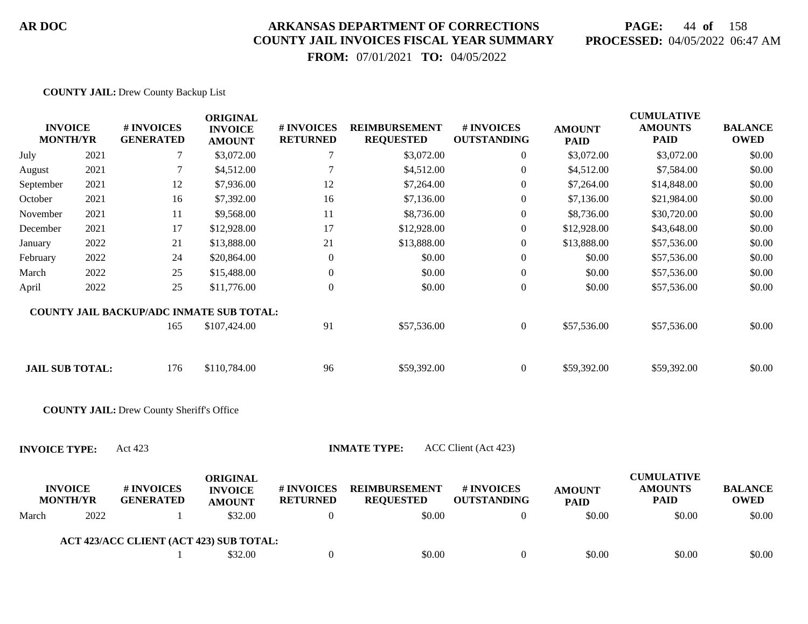# **PAGE:** 44 **of** 158 **PROCESSED:** 04/05/2022 06:47 AM

 **FROM:** 07/01/2021 **TO:** 04/05/2022

#### **COUNTY JAIL:** Drew County Backup List

| <b>INVOICE</b><br><b>MONTH/YR</b> |      | # INVOICES<br><b>GENERATED</b>                   | <b>ORIGINAL</b><br><b>INVOICE</b><br><b>AMOUNT</b> | # INVOICES<br><b>RETURNED</b> | <b>REIMBURSEMENT</b><br><b>REQUESTED</b> | # INVOICES<br><b>OUTSTANDING</b> | <b>AMOUNT</b><br><b>PAID</b> | <b>CUMULATIVE</b><br><b>AMOUNTS</b><br><b>PAID</b> | <b>BALANCE</b><br><b>OWED</b> |
|-----------------------------------|------|--------------------------------------------------|----------------------------------------------------|-------------------------------|------------------------------------------|----------------------------------|------------------------------|----------------------------------------------------|-------------------------------|
| July                              | 2021 | 7                                                | \$3,072.00                                         | 7                             | \$3,072.00                               | $\overline{0}$                   | \$3,072.00                   | \$3,072.00                                         | \$0.00                        |
| August                            | 2021 | 7                                                | \$4,512.00                                         | 7                             | \$4,512.00                               | $\theta$                         | \$4,512.00                   | \$7,584.00                                         | \$0.00                        |
| September                         | 2021 | 12                                               | \$7,936.00                                         | 12                            | \$7,264.00                               | $\theta$                         | \$7,264.00                   | \$14,848.00                                        | \$0.00                        |
| October                           | 2021 | 16                                               | \$7,392.00                                         | 16                            | \$7,136.00                               | $\theta$                         | \$7,136.00                   | \$21,984.00                                        | \$0.00                        |
| November                          | 2021 | 11                                               | \$9,568.00                                         | 11                            | \$8,736.00                               | $\theta$                         | \$8,736.00                   | \$30,720.00                                        | \$0.00                        |
| December                          | 2021 | 17                                               | \$12,928.00                                        | 17                            | \$12,928.00                              | $\theta$                         | \$12,928.00                  | \$43,648.00                                        | \$0.00                        |
| January                           | 2022 | 21                                               | \$13,888.00                                        | 21                            | \$13,888.00                              | $\theta$                         | \$13,888.00                  | \$57,536.00                                        | \$0.00                        |
| February                          | 2022 | 24                                               | \$20,864.00                                        | $\mathbf{0}$                  | \$0.00                                   | $\theta$                         | \$0.00                       | \$57,536.00                                        | \$0.00                        |
| March                             | 2022 | 25                                               | \$15,488.00                                        | $\overline{0}$                | \$0.00                                   | $\overline{0}$                   | \$0.00                       | \$57,536.00                                        | \$0.00                        |
| April                             | 2022 | 25                                               | \$11,776.00                                        | $\overline{0}$                | \$0.00                                   | $\overline{0}$                   | \$0.00                       | \$57,536.00                                        | \$0.00                        |
|                                   |      | <b>COUNTY JAIL BACKUP/ADC INMATE SUB TOTAL:</b>  |                                                    |                               |                                          |                                  |                              |                                                    |                               |
|                                   |      | 165                                              | \$107,424.00                                       | 91                            | \$57,536.00                              | $\overline{0}$                   | \$57,536.00                  | \$57,536.00                                        | \$0.00                        |
| <b>JAIL SUB TOTAL:</b>            |      | 176                                              | \$110,784.00                                       | 96                            | \$59,392.00                              | $\overline{0}$                   | \$59,392.00                  | \$59,392.00                                        | \$0.00                        |
|                                   |      | <b>COUNTY JAIL: Drew County Sheriff's Office</b> |                                                    |                               |                                          |                                  |                              |                                                    |                               |
| <b>INVOICE TYPE:</b>              |      | Act 423                                          |                                                    |                               | <b>INMATE TYPE:</b>                      | ACC Client (Act 423)             |                              |                                                    |                               |
| <b>INVOICE</b><br><b>MONTH/YR</b> |      | # INVOICES<br><b>GENERATED</b>                   | <b>ORIGINAL</b><br><b>INVOICE</b><br><b>AMOUNT</b> | # INVOICES<br><b>RETURNED</b> | <b>REIMBURSEMENT</b><br><b>REQUESTED</b> | # INVOICES<br><b>OUTSTANDING</b> | <b>AMOUNT</b><br><b>PAID</b> | <b>CUMULATIVE</b><br><b>AMOUNTS</b><br><b>PAID</b> | <b>BALANCE</b><br><b>OWED</b> |
| March                             | 2022 |                                                  | \$32.00                                            | $\theta$                      | \$0.00                                   | $\theta$                         | \$0.00                       | \$0.00                                             | \$0.00                        |

| ACT 423/ACC CLIENT (ACT 423) SUB TOTAL: |  |
|-----------------------------------------|--|
|-----------------------------------------|--|

| \$32.00<br>\$0.00 | \$0.00 | \$0.00 | \$0.00 |
|-------------------|--------|--------|--------|
|-------------------|--------|--------|--------|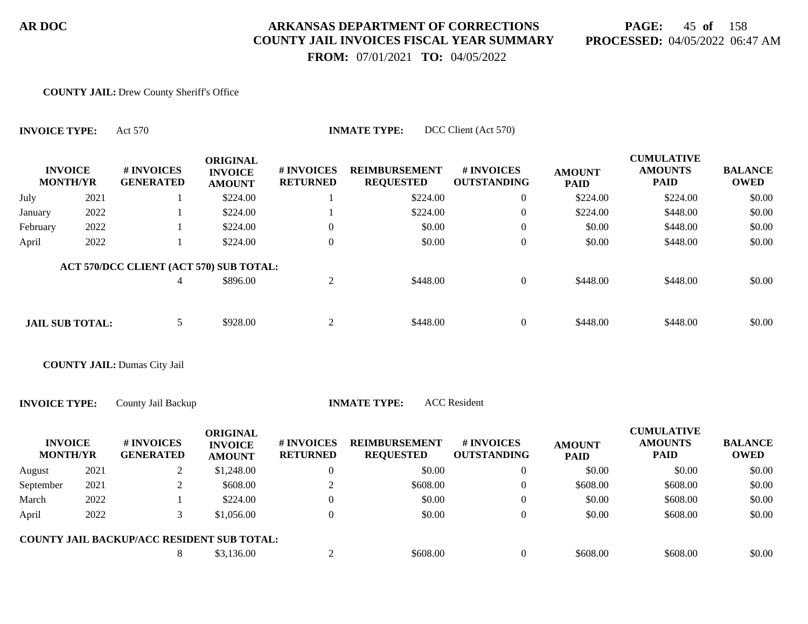# **PAGE:** 45 **of** 158 **PROCESSED:** 04/05/2022 06:47 AM

 **FROM:** 07/01/2021 **TO:** 04/05/2022

#### **COUNTY JAIL:** Drew County Sheriff's Office

**INVOICE TYPE:** Act 570 **INMATE TYPE:** DCC Client (Act 570)

| <b>INVOICE</b><br><b>MONTH/YR</b> |      | # INVOICES<br><b>GENERATED</b>             | <b>ORIGINAL</b><br><b>INVOICE</b><br><b>AMOUNT</b> | # INVOICES<br><b>RETURNED</b> | <b>REIMBURSEMENT</b><br><b>REQUESTED</b> | # INVOICES<br><b>OUTSTANDING</b> | <b>AMOUNT</b><br><b>PAID</b> | <b>CUMULATIVE</b><br><b>AMOUNTS</b><br><b>PAID</b> | <b>BALANCE</b><br><b>OWED</b> |
|-----------------------------------|------|--------------------------------------------|----------------------------------------------------|-------------------------------|------------------------------------------|----------------------------------|------------------------------|----------------------------------------------------|-------------------------------|
| July                              | 2021 |                                            | \$224.00                                           |                               | \$224.00                                 | $\overline{0}$                   | \$224.00                     | \$224.00                                           | \$0.00                        |
| January                           | 2022 |                                            | \$224.00                                           |                               | \$224.00                                 | $\overline{0}$                   | \$224.00                     | \$448.00                                           | \$0.00                        |
| February                          | 2022 |                                            | \$224.00                                           | $\overline{0}$                | \$0.00                                   | $\overline{0}$                   | \$0.00                       | \$448.00                                           | \$0.00                        |
| April                             | 2022 |                                            | \$224.00                                           | $\Omega$                      | \$0.00                                   | $\theta$                         | \$0.00                       | \$448.00                                           | \$0.00                        |
|                                   |      | ACT 570/DCC CLIENT (ACT 570) SUB TOTAL:    |                                                    |                               |                                          |                                  |                              |                                                    |                               |
|                                   |      | 4                                          | \$896.00                                           | $\overline{2}$                | \$448.00                                 | $\overline{0}$                   | \$448.00                     | \$448.00                                           | \$0.00                        |
| <b>JAIL SUB TOTAL:</b>            |      | 5                                          | \$928.00                                           | 2                             | \$448.00                                 | $\overline{0}$                   | \$448.00                     | \$448.00                                           | \$0.00                        |
|                                   |      | <b>COUNTY JAIL: Dumas City Jail</b>        |                                                    |                               |                                          |                                  |                              |                                                    |                               |
| <b>INVOICE TYPE:</b>              |      | County Jail Backup                         |                                                    |                               | <b>INMATE TYPE:</b>                      | <b>ACC</b> Resident              |                              |                                                    |                               |
| <b>INVOICE</b><br><b>MONTH/YR</b> |      | # INVOICES<br><b>GENERATED</b>             | <b>ORIGINAL</b><br><b>INVOICE</b><br><b>AMOUNT</b> | # INVOICES<br><b>RETURNED</b> | <b>REIMBURSEMENT</b><br><b>REQUESTED</b> | # INVOICES<br><b>OUTSTANDING</b> | <b>AMOUNT</b><br><b>PAID</b> | <b>CUMULATIVE</b><br><b>AMOUNTS</b><br><b>PAID</b> | <b>BALANCE</b><br><b>OWED</b> |
| August                            | 2021 | 2                                          | \$1,248.00                                         | $\overline{0}$                | \$0.00                                   | $\overline{0}$                   | \$0.00                       | \$0.00                                             | \$0.00                        |
| September                         | 2021 | $\mathbf{2}$                               | \$608.00                                           | $\overline{2}$                | \$608.00                                 | $\overline{0}$                   | \$608.00                     | \$608.00                                           | \$0.00                        |
| March                             | 2022 |                                            | \$224.00                                           | $\overline{0}$                | \$0.00                                   | $\overline{0}$                   | \$0.00                       | \$608.00                                           | \$0.00                        |
| April                             | 2022 | 3                                          | \$1,056.00                                         | $\overline{0}$                | \$0.00                                   | $\overline{0}$                   | \$0.00                       | \$608.00                                           | \$0.00                        |
|                                   |      | COUNTY JAIL BACKUP/ACC RESIDENT SUB TOTAL: |                                                    |                               |                                          |                                  |                              |                                                    |                               |
|                                   |      | 8                                          | \$3,136.00                                         | 2                             | \$608.00                                 | $\overline{0}$                   | \$608.00                     | \$608.00                                           | \$0.00                        |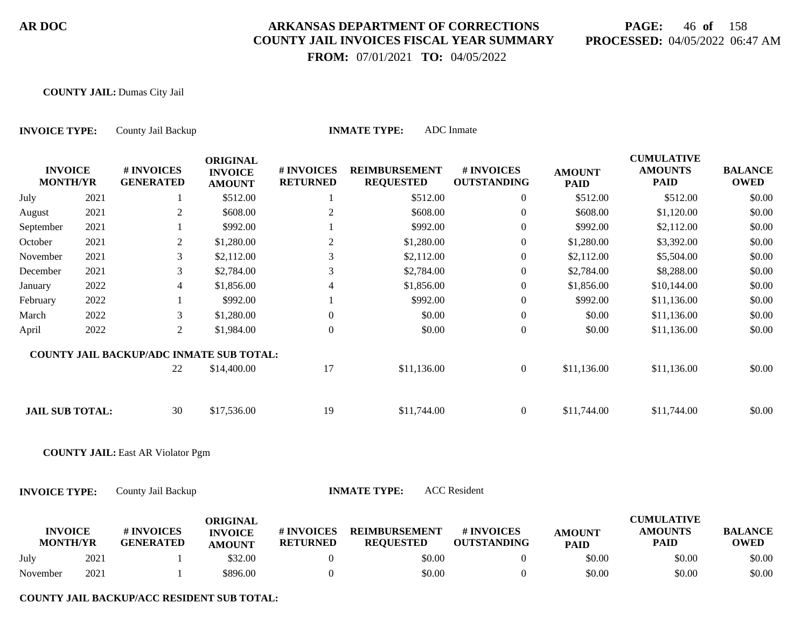# **PAGE:** 46 **of** 158 **PROCESSED:** 04/05/2022 06:47 AM

 **FROM:** 07/01/2021 **TO:** 04/05/2022

#### **COUNTY JAIL:** Dumas City Jail

| <b>INVOICE TYPE:</b>              |      | County Jail Backup                              |                                                    |                               | <b>INMATE TYPE:</b>                      | <b>ADC</b> Inmate                |                              |                                                    |                               |
|-----------------------------------|------|-------------------------------------------------|----------------------------------------------------|-------------------------------|------------------------------------------|----------------------------------|------------------------------|----------------------------------------------------|-------------------------------|
| <b>INVOICE</b><br><b>MONTH/YR</b> |      | # INVOICES<br><b>GENERATED</b>                  | <b>ORIGINAL</b><br><b>INVOICE</b><br><b>AMOUNT</b> | # INVOICES<br><b>RETURNED</b> | <b>REIMBURSEMENT</b><br><b>REQUESTED</b> | # INVOICES<br><b>OUTSTANDING</b> | <b>AMOUNT</b><br><b>PAID</b> | <b>CUMULATIVE</b><br><b>AMOUNTS</b><br><b>PAID</b> | <b>BALANCE</b><br><b>OWED</b> |
| July                              | 2021 | 1                                               | \$512.00                                           | 1                             | \$512.00                                 | $\boldsymbol{0}$                 | \$512.00                     | \$512.00                                           | \$0.00                        |
| August                            | 2021 | $\overline{2}$                                  | \$608.00                                           | $\mathbf{2}$                  | \$608.00                                 | $\overline{0}$                   | \$608.00                     | \$1,120.00                                         | \$0.00                        |
| September                         | 2021 |                                                 | \$992.00                                           |                               | \$992.00                                 | $\boldsymbol{0}$                 | \$992.00                     | \$2,112.00                                         | \$0.00                        |
| October                           | 2021 | $\overline{2}$                                  | \$1,280.00                                         | $\mathbf{2}$                  | \$1,280.00                               | $\mathbf{0}$                     | \$1,280.00                   | \$3,392.00                                         | \$0.00                        |
| November                          | 2021 | 3                                               | \$2,112.00                                         | 3                             | \$2,112.00                               | $\boldsymbol{0}$                 | \$2,112.00                   | \$5,504.00                                         | \$0.00                        |
| December                          | 2021 | 3                                               | \$2,784.00                                         | 3                             | \$2,784.00                               | $\mathbf{0}$                     | \$2,784.00                   | \$8,288.00                                         | \$0.00                        |
| January                           | 2022 | $\overline{\mathcal{L}}$                        | \$1,856.00                                         | 4                             | \$1,856.00                               | $\boldsymbol{0}$                 | \$1,856.00                   | \$10,144.00                                        | \$0.00                        |
| February                          | 2022 |                                                 | \$992.00                                           |                               | \$992.00                                 | $\boldsymbol{0}$                 | \$992.00                     | \$11,136.00                                        | \$0.00                        |
| March                             | 2022 | 3                                               | \$1,280.00                                         | $\boldsymbol{0}$              | \$0.00                                   | $\boldsymbol{0}$                 | \$0.00                       | \$11,136.00                                        | \$0.00                        |
| April                             | 2022 | $\overline{2}$                                  | \$1,984.00                                         | $\boldsymbol{0}$              | \$0.00                                   | $\boldsymbol{0}$                 | \$0.00                       | \$11,136.00                                        | \$0.00                        |
|                                   |      | <b>COUNTY JAIL BACKUP/ADC INMATE SUB TOTAL:</b> |                                                    |                               |                                          |                                  |                              |                                                    |                               |
|                                   |      | 22                                              | \$14,400.00                                        | 17                            | \$11,136.00                              | $\boldsymbol{0}$                 | \$11,136.00                  | \$11,136.00                                        | \$0.00                        |
| <b>JAIL SUB TOTAL:</b>            |      | 30                                              | \$17,536.00                                        | 19                            | \$11,744.00                              | $\overline{0}$                   | \$11,744.00                  | \$11,744.00                                        | \$0.00                        |
|                                   |      | <b>COUNTY JAIL: East AR Violator Pgm</b>        |                                                    |                               |                                          |                                  |                              |                                                    |                               |
| <b>INVOICE TYPE:</b>              |      | County Jail Backup                              |                                                    |                               | <b>INMATE TYPE:</b>                      | <b>ACC</b> Resident              |                              |                                                    |                               |
| <b>INVOICE</b><br><b>MONTH/YR</b> |      | # INVOICES<br><b>GENERATED</b>                  | <b>ORIGINAL</b><br><b>INVOICE</b><br><b>AMOUNT</b> | # INVOICES<br><b>RETURNED</b> | <b>REIMBURSEMENT</b><br><b>REQUESTED</b> | # INVOICES<br><b>OUTSTANDING</b> | <b>AMOUNT</b><br><b>PAID</b> | <b>CUMULATIVE</b><br><b>AMOUNTS</b><br><b>PAID</b> | <b>BALANCE</b><br><b>OWED</b> |
| July                              | 2021 |                                                 | \$32.00                                            | $\mathbf{0}$                  | \$0.00                                   | $\boldsymbol{0}$                 | \$0.00                       | \$0.00                                             | \$0.00                        |
| November                          | 2021 |                                                 | \$896.00                                           | $\mathbf{0}$                  | \$0.00                                   | $\overline{0}$                   | \$0.00                       | \$0.00                                             | \$0.00                        |

**COUNTY JAIL BACKUP/ACC RESIDENT SUB TOTAL:**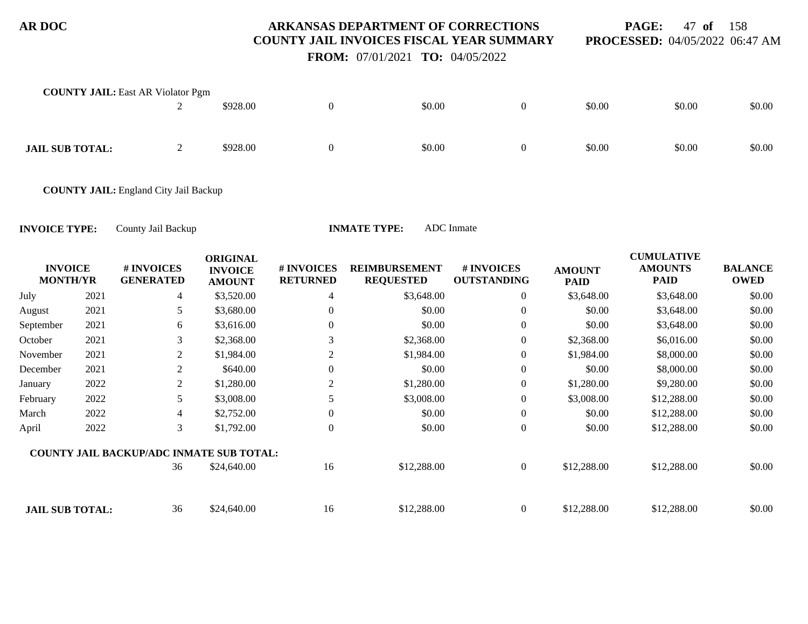**PAGE:** 47 **of** 158 **PROCESSED:** 04/05/2022 06:47 AM

 **FROM:** 07/01/2021 **TO:** 04/05/2022

| <b>COUNTY JAIL:</b> East AR Violator Pgm |                |          |        |   |        |        |        |
|------------------------------------------|----------------|----------|--------|---|--------|--------|--------|
|                                          | $\bigcap$<br>∠ | \$928.00 | \$0.00 | 0 | \$0.00 | \$0.00 | \$0.00 |
|                                          |                |          |        |   |        |        |        |
|                                          |                |          |        |   |        |        |        |
| <b>JAIL SUB TOTAL:</b>                   | $\bigcap$      | \$928.00 | \$0.00 | 0 | \$0.00 | \$0.00 | \$0.00 |
|                                          | ∸              |          |        |   |        |        |        |
|                                          |                |          |        |   |        |        |        |

**COUNTY JAIL:** England City Jail Backup

| <b>INVOICE</b><br><b>MONTH/YR</b> |      | # INVOICES<br><b>GENERATED</b>                  | <b>ORIGINAL</b><br><b>INVOICE</b><br><b>AMOUNT</b> | # INVOICES<br><b>RETURNED</b> | <b>REIMBURSEMENT</b><br><b>REQUESTED</b> | # INVOICES<br><b>OUTSTANDING</b> | <b>AMOUNT</b><br><b>PAID</b> | <b>CUMULATIVE</b><br><b>AMOUNTS</b><br><b>PAID</b> | <b>BALANCE</b><br><b>OWED</b> |
|-----------------------------------|------|-------------------------------------------------|----------------------------------------------------|-------------------------------|------------------------------------------|----------------------------------|------------------------------|----------------------------------------------------|-------------------------------|
| July                              | 2021 | 4                                               | \$3,520.00                                         | 4                             | \$3,648.00                               | $\overline{0}$                   | \$3,648.00                   | \$3,648.00                                         | \$0.00                        |
| August                            | 2021 | 5                                               | \$3,680.00                                         | $\Omega$                      | \$0.00                                   | $\overline{0}$                   | \$0.00                       | \$3,648.00                                         | \$0.00                        |
| September                         | 2021 | 6                                               | \$3,616.00                                         | $\Omega$                      | \$0.00                                   | $\theta$                         | \$0.00                       | \$3,648.00                                         | \$0.00                        |
| October                           | 2021 | 3                                               | \$2,368.00                                         | 3                             | \$2,368.00                               | $\overline{0}$                   | \$2,368.00                   | \$6,016.00                                         | \$0.00                        |
| November                          | 2021 | 2                                               | \$1,984.00                                         | $\overline{c}$                | \$1,984.00                               | $\overline{0}$                   | \$1,984.00                   | \$8,000.00                                         | \$0.00                        |
| December                          | 2021 | 2                                               | \$640.00                                           | $\mathbf{0}$                  | \$0.00                                   | $\overline{0}$                   | \$0.00                       | \$8,000.00                                         | \$0.00                        |
| January                           | 2022 | 2                                               | \$1,280.00                                         | $\overline{c}$                | \$1,280.00                               | $\overline{0}$                   | \$1,280.00                   | \$9,280.00                                         | \$0.00                        |
| February                          | 2022 | 5                                               | \$3,008.00                                         | 5                             | \$3,008.00                               | $\overline{0}$                   | \$3,008.00                   | \$12,288.00                                        | \$0.00                        |
| March                             | 2022 | 4                                               | \$2,752.00                                         | $\overline{0}$                | \$0.00                                   | $\overline{0}$                   | \$0.00                       | \$12,288.00                                        | \$0.00                        |
| April                             | 2022 | 3                                               | \$1,792.00                                         | $\overline{0}$                | \$0.00                                   | $\overline{0}$                   | \$0.00                       | \$12,288.00                                        | \$0.00                        |
|                                   |      | <b>COUNTY JAIL BACKUP/ADC INMATE SUB TOTAL:</b> |                                                    |                               |                                          |                                  |                              |                                                    |                               |
|                                   |      | 36                                              | \$24,640.00                                        | 16                            | \$12,288.00                              | $\overline{0}$                   | \$12,288.00                  | \$12,288.00                                        | \$0.00                        |
| <b>JAIL SUB TOTAL:</b>            |      | 36                                              | \$24,640.00                                        | 16                            | \$12,288.00                              | $\overline{0}$                   | \$12,288.00                  | \$12,288.00                                        | \$0.00                        |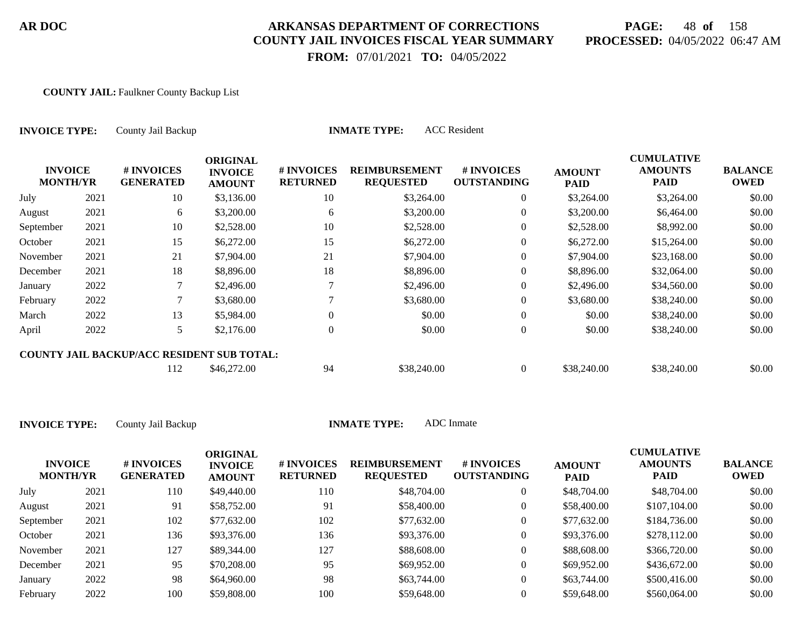# **PAGE:** 48 **of** 158 **PROCESSED:** 04/05/2022 06:47 AM

 **FROM:** 07/01/2021 **TO:** 04/05/2022

#### **COUNTY JAIL:** Faulkner County Backup List

| <b>INVOICE TYPE:</b>              |      | County Jail Backup                         |                                                    |                               | <b>ACC</b> Resident<br><b>INMATE TYPE:</b> |                                  |                              |                                                    |                               |
|-----------------------------------|------|--------------------------------------------|----------------------------------------------------|-------------------------------|--------------------------------------------|----------------------------------|------------------------------|----------------------------------------------------|-------------------------------|
| <b>INVOICE</b><br><b>MONTH/YR</b> |      | # INVOICES<br><b>GENERATED</b>             | <b>ORIGINAL</b><br><b>INVOICE</b><br><b>AMOUNT</b> | # INVOICES<br><b>RETURNED</b> | <b>REIMBURSEMENT</b><br><b>REQUESTED</b>   | # INVOICES<br><b>OUTSTANDING</b> | <b>AMOUNT</b><br><b>PAID</b> | <b>CUMULATIVE</b><br><b>AMOUNTS</b><br><b>PAID</b> | <b>BALANCE</b><br><b>OWED</b> |
| July                              | 2021 | 10                                         | \$3,136.00                                         | 10                            | \$3,264.00                                 | $\overline{0}$                   | \$3,264.00                   | \$3,264.00                                         | \$0.00                        |
| August                            | 2021 | 6                                          | \$3,200.00                                         | 6                             | \$3,200.00                                 | 0                                | \$3,200.00                   | \$6,464.00                                         | \$0.00                        |
| September                         | 2021 | 10                                         | \$2,528.00                                         | 10                            | \$2,528.00                                 | $\overline{0}$                   | \$2,528.00                   | \$8,992.00                                         | \$0.00                        |
| October                           | 2021 | 15                                         | \$6,272.00                                         | 15                            | \$6,272.00                                 | $\overline{0}$                   | \$6,272.00                   | \$15,264.00                                        | \$0.00                        |
| November                          | 2021 | 21                                         | \$7,904.00                                         | 21                            | \$7,904.00                                 | $\overline{0}$                   | \$7,904.00                   | \$23,168.00                                        | \$0.00                        |
| December                          | 2021 | 18                                         | \$8,896.00                                         | 18                            | \$8,896.00                                 | 0                                | \$8,896.00                   | \$32,064.00                                        | \$0.00                        |
| January                           | 2022 |                                            | \$2,496.00                                         |                               | \$2,496.00                                 | $\overline{0}$                   | \$2,496.00                   | \$34,560.00                                        | \$0.00                        |
| February                          | 2022 |                                            | \$3,680.00                                         |                               | \$3,680.00                                 | $\overline{0}$                   | \$3,680.00                   | \$38,240.00                                        | \$0.00                        |
| March                             | 2022 | 13                                         | \$5,984.00                                         | $\theta$                      | \$0.00                                     | $\overline{0}$                   | \$0.00                       | \$38,240.00                                        | \$0.00                        |
| April                             | 2022 | 5                                          | \$2,176.00                                         | $\overline{0}$                | \$0.00                                     | $\theta$                         | \$0.00                       | \$38,240.00                                        | \$0.00                        |
|                                   |      | COUNTY JAIL BACKUP/ACC RESIDENT SUB TOTAL: |                                                    |                               |                                            |                                  |                              |                                                    |                               |
|                                   |      | 112                                        | \$46,272.00                                        | 94                            | \$38,240.00                                | $\overline{0}$                   | \$38,240.00                  | \$38,240.00                                        | \$0.00                        |

| <b>INVOICE</b><br><b>MONTH/YR</b> |      | # INVOICES<br><b>GENERATED</b> | ORIGINAL<br><b>INVOICE</b><br><b>AMOUNT</b> | # INVOICES<br><b>RETURNED</b> | <b>REIMBURSEMENT</b><br><b>REQUESTED</b> | <b># INVOICES</b><br><b>OUTSTANDING</b> | <b>AMOUNT</b><br><b>PAID</b> | <b>CUMULATIVE</b><br><b>AMOUNTS</b><br>PAID | <b>BALANCE</b><br><b>OWED</b> |
|-----------------------------------|------|--------------------------------|---------------------------------------------|-------------------------------|------------------------------------------|-----------------------------------------|------------------------------|---------------------------------------------|-------------------------------|
| July                              | 2021 | 110                            | \$49,440.00                                 | 110                           | \$48,704.00                              | $\overline{0}$                          | \$48,704.00                  | \$48,704.00                                 | \$0.00                        |
| August                            | 2021 | 91                             | \$58,752.00                                 | 91                            | \$58,400.00                              | $\overline{0}$                          | \$58,400.00                  | \$107,104.00                                | \$0.00                        |
| September                         | 2021 | 102                            | \$77,632.00                                 | 102                           | \$77,632.00                              | 0                                       | \$77,632.00                  | \$184,736.00                                | \$0.00                        |
| October                           | 2021 | 136                            | \$93,376.00                                 | 136                           | \$93,376.00                              | 0                                       | \$93,376.00                  | \$278,112.00                                | \$0.00                        |
| November                          | 2021 | 127                            | \$89,344.00                                 | 127                           | \$88,608.00                              | $\overline{0}$                          | \$88,608.00                  | \$366,720.00                                | \$0.00                        |
| December                          | 2021 | 95                             | \$70,208.00                                 | 95                            | \$69,952.00                              | $\overline{0}$                          | \$69,952.00                  | \$436,672.00                                | \$0.00                        |
| January                           | 2022 | 98                             | \$64,960.00                                 | 98                            | \$63,744.00                              | $\overline{0}$                          | \$63,744.00                  | \$500,416.00                                | \$0.00                        |
| February                          | 2022 | 100                            | \$59,808.00                                 | 100                           | \$59,648.00                              |                                         | \$59,648.00                  | \$560,064.00                                | \$0.00                        |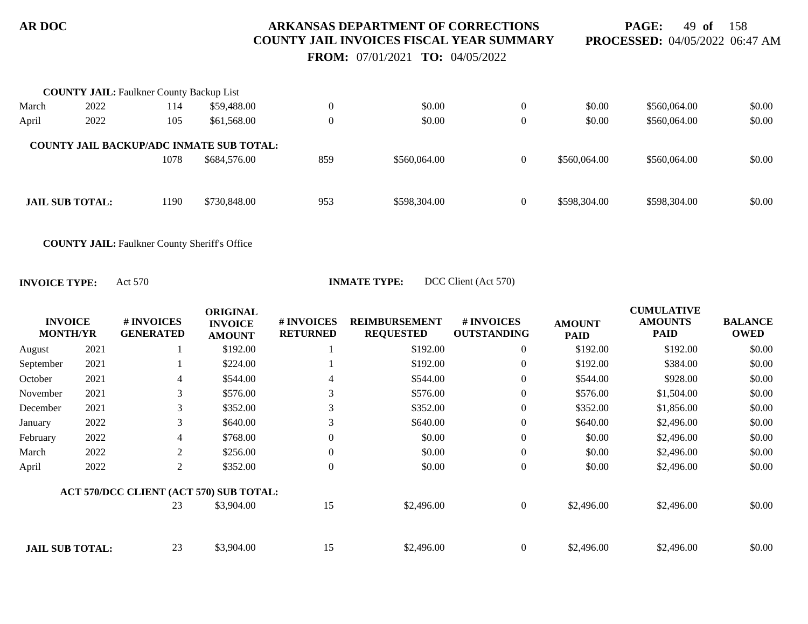**PAGE:** 49 **of** 158 **PROCESSED:** 04/05/2022 06:47 AM

 **FROM:** 07/01/2021 **TO:** 04/05/2022

|       | <b>COUNTY JAIL: Faulkner County Backup List</b> |      |                                                 |          |              |                |              |              |        |
|-------|-------------------------------------------------|------|-------------------------------------------------|----------|--------------|----------------|--------------|--------------|--------|
| March | 2022                                            | 114  | \$59,488.00                                     | $\theta$ | \$0.00       | $\overline{0}$ | \$0.00       | \$560,064.00 | \$0.00 |
| April | 2022                                            | 105  | \$61,568.00                                     | $\theta$ | \$0.00       | $\theta$       | \$0.00       | \$560,064.00 | \$0.00 |
|       |                                                 |      | <b>COUNTY JAIL BACKUP/ADC INMATE SUB TOTAL:</b> |          |              |                |              |              |        |
|       |                                                 | 1078 | \$684,576.00                                    | 859      | \$560,064.00 | $\theta$       | \$560,064.00 | \$560,064.00 | \$0.00 |
|       |                                                 |      |                                                 |          |              |                |              |              |        |
|       | <b>JAIL SUB TOTAL:</b>                          | 1190 | \$730,848.00                                    | 953      | \$598,304.00 | $\theta$       | \$598,304.00 | \$598,304.00 | \$0.00 |
|       |                                                 |      |                                                 |          |              |                |              |              |        |

**COUNTY JAIL:** Faulkner County Sheriff's Office

**INVOICE TYPE:** Act 570 **INMATE TYPE:** DCC Client (Act 570)

| <b>INVOICE</b><br><b>MONTH/YR</b> |      | # INVOICES<br><b>GENERATED</b>          | <b>ORIGINAL</b><br><b>INVOICE</b><br><b>AMOUNT</b> | # INVOICES<br><b>RETURNED</b> | <b>REIMBURSEMENT</b><br><b>REQUESTED</b> | # INVOICES<br><b>OUTSTANDING</b> | <b>AMOUNT</b><br><b>PAID</b> | <b>CUMULATIVE</b><br><b>AMOUNTS</b><br><b>PAID</b> | <b>BALANCE</b><br><b>OWED</b> |
|-----------------------------------|------|-----------------------------------------|----------------------------------------------------|-------------------------------|------------------------------------------|----------------------------------|------------------------------|----------------------------------------------------|-------------------------------|
| August                            | 2021 |                                         | \$192.00                                           |                               | \$192.00                                 | $\boldsymbol{0}$                 | \$192.00                     | \$192.00                                           | \$0.00                        |
| September                         | 2021 |                                         | \$224.00                                           |                               | \$192.00                                 | $\overline{0}$                   | \$192.00                     | \$384.00                                           | \$0.00                        |
| October                           | 2021 | 4                                       | \$544.00                                           | 4                             | \$544.00                                 | $\boldsymbol{0}$                 | \$544.00                     | \$928.00                                           | \$0.00                        |
| November                          | 2021 | 3                                       | \$576.00                                           | 3                             | \$576.00                                 | $\boldsymbol{0}$                 | \$576.00                     | \$1,504.00                                         | \$0.00                        |
| December                          | 2021 | 3                                       | \$352.00                                           | 3                             | \$352.00                                 | $\boldsymbol{0}$                 | \$352.00                     | \$1,856.00                                         | \$0.00                        |
| January                           | 2022 | 3                                       | \$640.00                                           | 3                             | \$640.00                                 | $\overline{0}$                   | \$640.00                     | \$2,496.00                                         | \$0.00                        |
| February                          | 2022 | 4                                       | \$768.00                                           | $\Omega$                      | \$0.00                                   | $\boldsymbol{0}$                 | \$0.00                       | \$2,496.00                                         | \$0.00                        |
| March                             | 2022 | 2                                       | \$256.00                                           | $\theta$                      | \$0.00                                   | $\boldsymbol{0}$                 | \$0.00                       | \$2,496.00                                         | \$0.00                        |
| April                             | 2022 | $\overline{2}$                          | \$352.00                                           | $\Omega$                      | \$0.00                                   | $\boldsymbol{0}$                 | \$0.00                       | \$2,496.00                                         | \$0.00                        |
|                                   |      | ACT 570/DCC CLIENT (ACT 570) SUB TOTAL: |                                                    |                               |                                          |                                  |                              |                                                    |                               |
|                                   |      | 23                                      | \$3,904.00                                         | 15                            | \$2,496.00                               | $\mathbf{0}$                     | \$2,496.00                   | \$2,496.00                                         | \$0.00                        |
|                                   |      |                                         |                                                    |                               |                                          |                                  |                              |                                                    |                               |
| <b>JAIL SUB TOTAL:</b>            |      | 23                                      | \$3,904.00                                         | 15                            | \$2,496.00                               | $\overline{0}$                   | \$2,496.00                   | \$2,496.00                                         | \$0.00                        |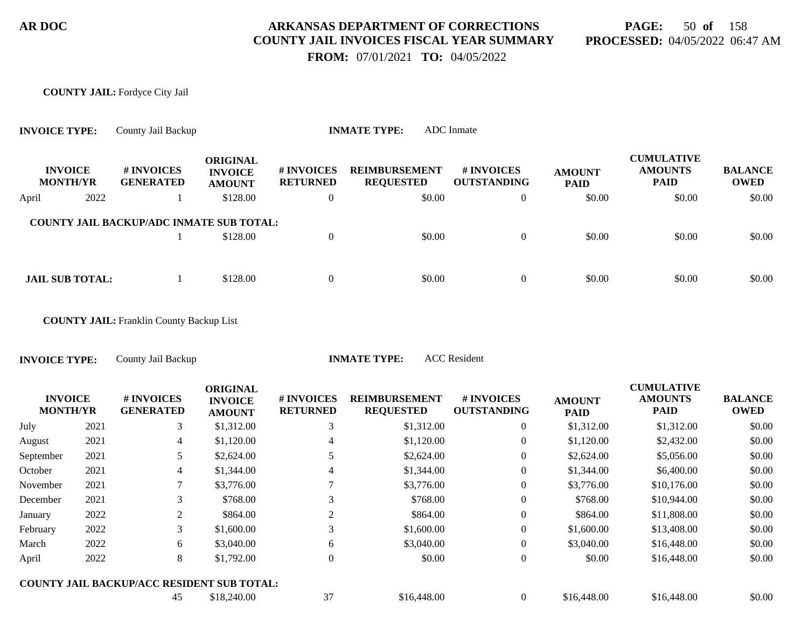# **PAGE:** 50 **of** 158 **PROCESSED:** 04/05/2022 06:47 AM

 **FROM:** 07/01/2021 **TO:** 04/05/2022

#### **COUNTY JAIL:** Fordyce City Jail

| <b>INVOICE TYPE:</b>              | County Jail Backup                              |                                                    | <b>ADC</b> Inmate<br><b>INMATE TYPE:</b> |                                          |                                  |                              |                                                    |                               |
|-----------------------------------|-------------------------------------------------|----------------------------------------------------|------------------------------------------|------------------------------------------|----------------------------------|------------------------------|----------------------------------------------------|-------------------------------|
| <b>INVOICE</b><br><b>MONTH/YR</b> | # INVOICES<br><b>GENERATED</b>                  | <b>ORIGINAL</b><br><b>INVOICE</b><br><b>AMOUNT</b> | <b>#INVOICES</b><br><b>RETURNED</b>      | <b>REIMBURSEMENT</b><br><b>REQUESTED</b> | # INVOICES<br><b>OUTSTANDING</b> | <b>AMOUNT</b><br><b>PAID</b> | <b>CUMULATIVE</b><br><b>AMOUNTS</b><br><b>PAID</b> | <b>BALANCE</b><br><b>OWED</b> |
| 2022<br>April                     |                                                 | \$128.00                                           | $\overline{0}$                           | \$0.00                                   | $\overline{0}$                   | \$0.00                       | \$0.00                                             | \$0.00                        |
|                                   | <b>COUNTY JAIL BACKUP/ADC INMATE SUB TOTAL:</b> | \$128.00                                           | $\overline{0}$                           | \$0.00                                   | $\overline{0}$                   | \$0.00                       | \$0.00                                             | \$0.00                        |
| <b>JAIL SUB TOTAL:</b>            |                                                 | \$128.00                                           | $\overline{0}$                           | \$0.00                                   | $\overline{0}$                   | \$0.00                       | \$0.00                                             | \$0.00                        |
|                                   | <b>COUNTY JAIL:</b> Franklin County Backup List |                                                    |                                          |                                          |                                  |                              |                                                    |                               |

**INVOICE TYPE:** County Jail Backup **INMATE TYPE:** ACC Resident

|                                   |      |                                            | <b>ORIGINAL</b>                 |                               |                                          |                                  |                              | <b>CUMULATIVE</b>             |                               |
|-----------------------------------|------|--------------------------------------------|---------------------------------|-------------------------------|------------------------------------------|----------------------------------|------------------------------|-------------------------------|-------------------------------|
| <b>INVOICE</b><br><b>MONTH/YR</b> |      | # INVOICES<br><b>GENERATED</b>             | <b>INVOICE</b><br><b>AMOUNT</b> | # INVOICES<br><b>RETURNED</b> | <b>REIMBURSEMENT</b><br><b>REQUESTED</b> | # INVOICES<br><b>OUTSTANDING</b> | <b>AMOUNT</b><br><b>PAID</b> | <b>AMOUNTS</b><br><b>PAID</b> | <b>BALANCE</b><br><b>OWED</b> |
| July                              | 2021 | 3                                          | \$1,312.00                      | 3                             | \$1,312.00                               | $\theta$                         | \$1,312.00                   | \$1,312.00                    | \$0.00                        |
| August                            | 2021 | $\overline{4}$                             | \$1,120.00                      | 4                             | \$1,120.00                               | $\overline{0}$                   | \$1,120.00                   | \$2,432.00                    | \$0.00                        |
| September                         | 2021 |                                            | \$2,624.00                      |                               | \$2,624.00                               | $\overline{0}$                   | \$2,624.00                   | \$5,056.00                    | \$0.00                        |
| October                           | 2021 | $\overline{4}$                             | \$1,344.00                      | 4                             | \$1,344.00                               | $\overline{0}$                   | \$1,344.00                   | \$6,400.00                    | \$0.00                        |
| November                          | 2021 | 7                                          | \$3,776.00                      |                               | \$3,776.00                               | $\theta$                         | \$3,776.00                   | \$10,176.00                   | \$0.00                        |
| December                          | 2021 | 3                                          | \$768.00                        | 3                             | \$768.00                                 | $\overline{0}$                   | \$768.00                     | \$10,944.00                   | \$0.00                        |
| January                           | 2022 | 2                                          | \$864.00                        | 2                             | \$864.00                                 | $\mathbf{0}$                     | \$864.00                     | \$11,808.00                   | \$0.00                        |
| February                          | 2022 | 3                                          | \$1,600.00                      | 3                             | \$1,600.00                               | $\overline{0}$                   | \$1,600.00                   | \$13,408.00                   | \$0.00                        |
| March                             | 2022 | 6                                          | \$3,040.00                      | 6                             | \$3,040.00                               | $\overline{0}$                   | \$3,040.00                   | \$16,448.00                   | \$0.00                        |
| April                             | 2022 | 8                                          | \$1,792.00                      | $\theta$                      | \$0.00                                   | $\overline{0}$                   | \$0.00                       | \$16,448.00                   | \$0.00                        |
|                                   |      | COUNTY JAIL BACKUP/ACC RESIDENT SUB TOTAL: |                                 |                               |                                          |                                  |                              |                               |                               |
|                                   |      | 45                                         | \$18,240.00                     | 37                            | \$16,448.00                              | $\overline{0}$                   | \$16,448.00                  | \$16,448.00                   | \$0.00                        |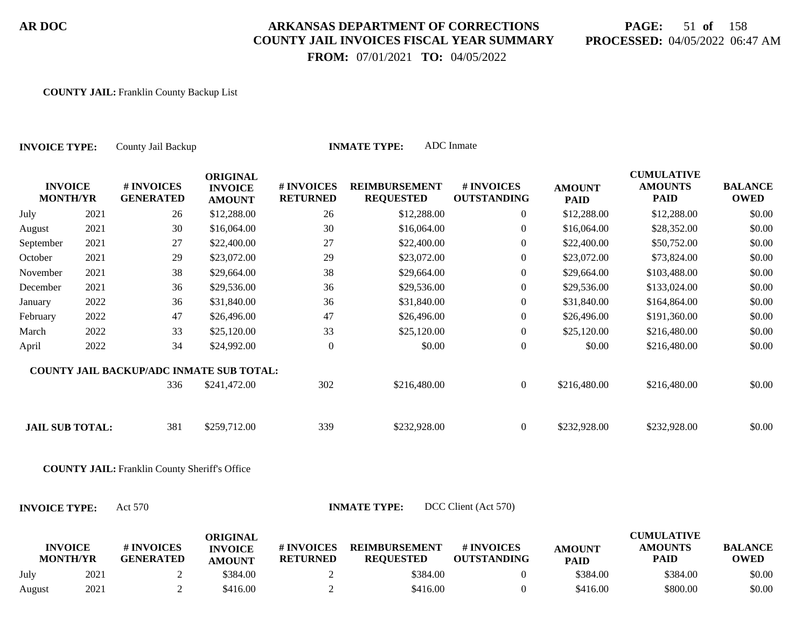# **PAGE:** 51 **of** 158 **PROCESSED:** 04/05/2022 06:47 AM

 **FROM:** 07/01/2021 **TO:** 04/05/2022

#### **COUNTY JAIL:** Franklin County Backup List

| <b>INVOICE TYPE:</b>              |      | County Jail Backup                                   |                                                    |                               | <b>INMATE TYPE:</b>                      | <b>ADC</b> Inmate                |                              |                                                    |                               |
|-----------------------------------|------|------------------------------------------------------|----------------------------------------------------|-------------------------------|------------------------------------------|----------------------------------|------------------------------|----------------------------------------------------|-------------------------------|
| <b>INVOICE</b><br><b>MONTH/YR</b> |      | # INVOICES<br><b>GENERATED</b>                       | <b>ORIGINAL</b><br><b>INVOICE</b><br><b>AMOUNT</b> | # INVOICES<br><b>RETURNED</b> | <b>REIMBURSEMENT</b><br><b>REQUESTED</b> | # INVOICES<br><b>OUTSTANDING</b> | <b>AMOUNT</b><br><b>PAID</b> | <b>CUMULATIVE</b><br><b>AMOUNTS</b><br><b>PAID</b> | <b>BALANCE</b><br><b>OWED</b> |
| July                              | 2021 | 26                                                   | \$12,288.00                                        | 26                            | \$12,288.00                              | $\overline{0}$                   | \$12,288.00                  | \$12,288.00                                        | \$0.00                        |
| August                            | 2021 | 30                                                   | \$16,064.00                                        | 30                            | \$16,064.00                              | $\boldsymbol{0}$                 | \$16,064.00                  | \$28,352.00                                        | \$0.00                        |
| September                         | 2021 | 27                                                   | \$22,400.00                                        | 27                            | \$22,400.00                              | $\boldsymbol{0}$                 | \$22,400.00                  | \$50,752.00                                        | \$0.00                        |
| October                           | 2021 | 29                                                   | \$23,072.00                                        | 29                            | \$23,072.00                              | $\boldsymbol{0}$                 | \$23,072.00                  | \$73,824.00                                        | \$0.00                        |
| November                          | 2021 | 38                                                   | \$29,664.00                                        | 38                            | \$29,664.00                              | $\boldsymbol{0}$                 | \$29,664.00                  | \$103,488.00                                       | \$0.00                        |
| December                          | 2021 | 36                                                   | \$29,536.00                                        | 36                            | \$29,536.00                              | $\boldsymbol{0}$                 | \$29,536.00                  | \$133,024.00                                       | \$0.00                        |
| January                           | 2022 | 36                                                   | \$31,840.00                                        | 36                            | \$31,840.00                              | $\boldsymbol{0}$                 | \$31,840.00                  | \$164,864.00                                       | \$0.00                        |
| February                          | 2022 | 47                                                   | \$26,496.00                                        | 47                            | \$26,496.00                              | $\boldsymbol{0}$                 | \$26,496.00                  | \$191,360.00                                       | \$0.00                        |
| March                             | 2022 | 33                                                   | \$25,120.00                                        | 33                            | \$25,120.00                              | $\boldsymbol{0}$                 | \$25,120.00                  | \$216,480.00                                       | \$0.00                        |
| April                             | 2022 | 34                                                   | \$24,992.00                                        | $\boldsymbol{0}$              | \$0.00                                   | $\overline{0}$                   | \$0.00                       | \$216,480.00                                       | \$0.00                        |
|                                   |      | COUNTY JAIL BACKUP/ADC INMATE SUB TOTAL:             |                                                    |                               |                                          |                                  |                              |                                                    |                               |
|                                   |      | 336                                                  | \$241,472.00                                       | 302                           | \$216,480.00                             | $\overline{0}$                   | \$216,480.00                 | \$216,480.00                                       | \$0.00                        |
| <b>JAIL SUB TOTAL:</b>            |      | 381                                                  | \$259,712.00                                       | 339                           | \$232,928.00                             | $\overline{0}$                   | \$232,928.00                 | \$232,928.00                                       | \$0.00                        |
|                                   |      | <b>COUNTY JAIL:</b> Franklin County Sheriff's Office |                                                    |                               |                                          |                                  |                              |                                                    |                               |
| <b>INVOICE TYPE:</b>              |      | Act 570                                              |                                                    |                               | <b>INMATE TYPE:</b>                      | DCC Client (Act 570)             |                              |                                                    |                               |
| <b>INVOICE</b><br><b>MONTH/YR</b> |      | # INVOICES<br><b>GENERATED</b>                       | <b>ORIGINAL</b><br><b>INVOICE</b><br><b>AMOUNT</b> | # INVOICES<br><b>RETURNED</b> | <b>REIMBURSEMENT</b><br><b>REQUESTED</b> | # INVOICES<br><b>OUTSTANDING</b> | <b>AMOUNT</b><br><b>PAID</b> | <b>CUMULATIVE</b><br><b>AMOUNTS</b><br><b>PAID</b> | <b>BALANCE</b><br><b>OWED</b> |
| July                              | 2021 | $\overline{2}$                                       | \$384.00                                           | $\overline{2}$                | \$384.00                                 | $\boldsymbol{0}$                 | \$384.00                     | \$384.00                                           | \$0.00                        |

August 2021 2 \$416.00 2 \$416.00 2 \$416.00 \$800.00 \$800.00 \$0.00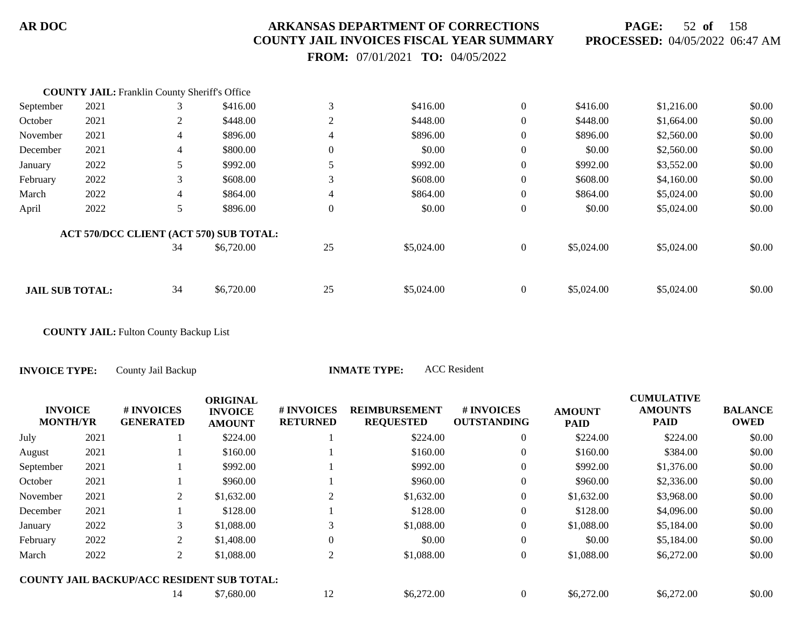**PAGE:** 52 **of** 158 **PROCESSED:** 04/05/2022 06:47 AM

 **FROM:** 07/01/2021 **TO:** 04/05/2022

|                        | <b>COUNTY JAIL:</b> Franklin County Sheriff's Office |                |                                         |                |            |                  |            |            |        |
|------------------------|------------------------------------------------------|----------------|-----------------------------------------|----------------|------------|------------------|------------|------------|--------|
| September              | 2021                                                 | 3              | \$416.00                                | 3              | \$416.00   | $\overline{0}$   | \$416.00   | \$1,216.00 | \$0.00 |
| October                | 2021                                                 | 2              | \$448.00                                | 2              | \$448.00   | $\mathbf{0}$     | \$448.00   | \$1,664.00 | \$0.00 |
| November               | 2021                                                 | $\overline{4}$ | \$896.00                                | 4              | \$896.00   | $\boldsymbol{0}$ | \$896.00   | \$2,560.00 | \$0.00 |
| December               | 2021                                                 | $\overline{4}$ | \$800.00                                | $\overline{0}$ | \$0.00     | $\mathbf{0}$     | \$0.00     | \$2,560.00 | \$0.00 |
| January                | 2022                                                 | 5              | \$992.00                                |                | \$992.00   | $\boldsymbol{0}$ | \$992.00   | \$3,552.00 | \$0.00 |
| February               | 2022                                                 | 3              | \$608.00                                | 3              | \$608.00   | $\mathbf{0}$     | \$608.00   | \$4,160.00 | \$0.00 |
| March                  | 2022                                                 | $\overline{4}$ | \$864.00                                | 4              | \$864.00   | $\mathbf{0}$     | \$864.00   | \$5,024.00 | \$0.00 |
| April                  | 2022                                                 | 5              | \$896.00                                | $\overline{0}$ | \$0.00     | $\boldsymbol{0}$ | \$0.00     | \$5,024.00 | \$0.00 |
|                        |                                                      |                | ACT 570/DCC CLIENT (ACT 570) SUB TOTAL: |                |            |                  |            |            |        |
|                        |                                                      | 34             | \$6,720.00                              | 25             | \$5,024.00 | $\mathbf{0}$     | \$5,024.00 | \$5,024.00 | \$0.00 |
|                        |                                                      |                |                                         |                |            |                  |            |            |        |
| <b>JAIL SUB TOTAL:</b> |                                                      | 34             | \$6,720.00                              | 25             | \$5,024.00 | $\overline{0}$   | \$5,024.00 | \$5,024.00 | \$0.00 |

**COUNTY JAIL:** Fulton County Backup List

**INVOICE TYPE:** County Jail Backup **INMATE TYPE:** ACC Resident

|                                   |      |                                            | <b>ORIGINAL</b>                 |                               |                                          |                                  |                              | <b>CUMULATIVE</b>             |                               |
|-----------------------------------|------|--------------------------------------------|---------------------------------|-------------------------------|------------------------------------------|----------------------------------|------------------------------|-------------------------------|-------------------------------|
| <b>INVOICE</b><br><b>MONTH/YR</b> |      | <b>#INVOICES</b><br><b>GENERATED</b>       | <b>INVOICE</b><br><b>AMOUNT</b> | # INVOICES<br><b>RETURNED</b> | <b>REIMBURSEMENT</b><br><b>REQUESTED</b> | # INVOICES<br><b>OUTSTANDING</b> | <b>AMOUNT</b><br><b>PAID</b> | <b>AMOUNTS</b><br><b>PAID</b> | <b>BALANCE</b><br><b>OWED</b> |
| July                              | 2021 |                                            | \$224.00                        |                               | \$224.00                                 | $\overline{0}$                   | \$224.00                     | \$224.00                      | \$0.00                        |
| August                            | 2021 |                                            | \$160.00                        |                               | \$160.00                                 | $\overline{0}$                   | \$160.00                     | \$384.00                      | \$0.00                        |
| September                         | 2021 |                                            | \$992.00                        |                               | \$992.00                                 | $\overline{0}$                   | \$992.00                     | \$1,376.00                    | \$0.00                        |
| October                           | 2021 |                                            | \$960.00                        |                               | \$960.00                                 | $\overline{0}$                   | \$960.00                     | \$2,336.00                    | \$0.00                        |
| November                          | 2021 | 2                                          | \$1,632.00                      | 2                             | \$1,632.00                               | $\overline{0}$                   | \$1,632.00                   | \$3,968.00                    | \$0.00                        |
| December                          | 2021 |                                            | \$128.00                        |                               | \$128.00                                 | $\overline{0}$                   | \$128.00                     | \$4,096.00                    | \$0.00                        |
| January                           | 2022 | 3                                          | \$1,088.00                      |                               | \$1,088.00                               | $\overline{0}$                   | \$1,088.00                   | \$5,184.00                    | \$0.00                        |
| February                          | 2022 | 2                                          | \$1,408.00                      | 0                             | \$0.00                                   | $\mathbf{0}$                     | \$0.00                       | \$5,184.00                    | \$0.00                        |
| March                             | 2022 | 2                                          | \$1,088.00                      | 2                             | \$1,088.00                               | $\overline{0}$                   | \$1,088.00                   | \$6,272.00                    | \$0.00                        |
|                                   |      | COUNTY JAIL BACKUP/ACC RESIDENT SUB TOTAL: |                                 |                               |                                          |                                  |                              |                               |                               |
|                                   |      | 14                                         | \$7,680.00                      | 12                            | \$6,272.00                               | $\overline{0}$                   | \$6,272.00                   | \$6,272.00                    | \$0.00                        |
|                                   |      |                                            |                                 |                               |                                          |                                  |                              |                               |                               |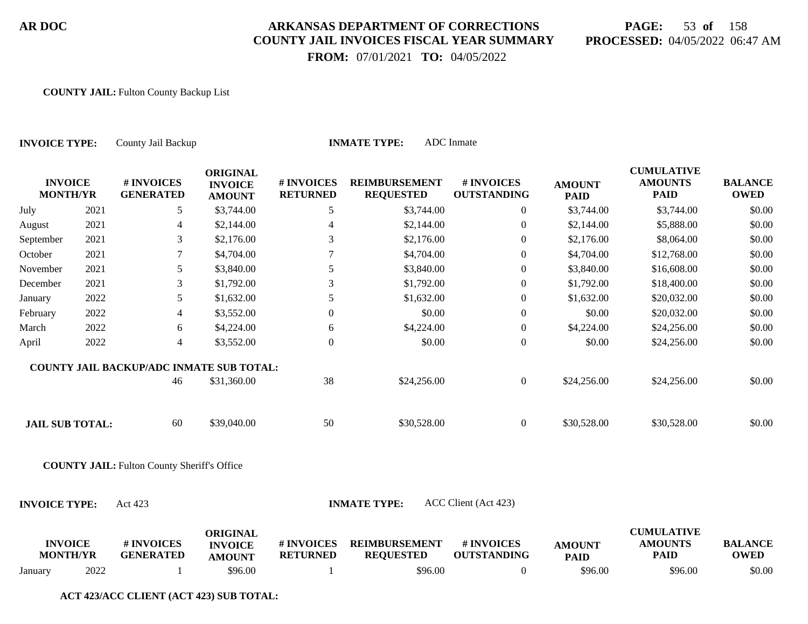# **PAGE:** 53 **of** 158 **PROCESSED:** 04/05/2022 06:47 AM

 **FROM:** 07/01/2021 **TO:** 04/05/2022

#### **COUNTY JAIL:** Fulton County Backup List

| <b>INVOICE TYPE:</b>              |      | County Jail Backup                                 |                                                    |                               | <b>INMATE TYPE:</b>                      | ADC Inmate                       |                              |                                                    |                               |
|-----------------------------------|------|----------------------------------------------------|----------------------------------------------------|-------------------------------|------------------------------------------|----------------------------------|------------------------------|----------------------------------------------------|-------------------------------|
| <b>INVOICE</b><br><b>MONTH/YR</b> |      | # INVOICES<br><b>GENERATED</b>                     | <b>ORIGINAL</b><br><b>INVOICE</b><br><b>AMOUNT</b> | # INVOICES<br><b>RETURNED</b> | <b>REIMBURSEMENT</b><br><b>REQUESTED</b> | # INVOICES<br><b>OUTSTANDING</b> | <b>AMOUNT</b><br><b>PAID</b> | <b>CUMULATIVE</b><br><b>AMOUNTS</b><br><b>PAID</b> | <b>BALANCE</b><br><b>OWED</b> |
| July                              | 2021 | 5                                                  | \$3,744.00                                         | 5                             | \$3,744.00                               | $\overline{0}$                   | \$3,744.00                   | \$3,744.00                                         | \$0.00                        |
| August                            | 2021 | 4                                                  | \$2,144.00                                         | 4                             | \$2,144.00                               | $\overline{0}$                   | \$2,144.00                   | \$5,888.00                                         | \$0.00                        |
| September                         | 2021 | 3                                                  | \$2,176.00                                         | 3                             | \$2,176.00                               | $\overline{0}$                   | \$2,176.00                   | \$8,064.00                                         | \$0.00                        |
| October                           | 2021 | $\tau$                                             | \$4,704.00                                         |                               | \$4,704.00                               | $\overline{0}$                   | \$4,704.00                   | \$12,768.00                                        | \$0.00                        |
| November                          | 2021 | 5                                                  | \$3,840.00                                         | 5                             | \$3,840.00                               | $\overline{0}$                   | \$3,840.00                   | \$16,608.00                                        | \$0.00                        |
| December                          | 2021 | 3                                                  | \$1,792.00                                         | 3                             | \$1,792.00                               | $\overline{0}$                   | \$1,792.00                   | \$18,400.00                                        | \$0.00                        |
| January                           | 2022 | 5                                                  | \$1,632.00                                         | 5                             | \$1,632.00                               | $\overline{0}$                   | \$1,632.00                   | \$20,032.00                                        | \$0.00                        |
| February                          | 2022 | $\overline{\mathcal{L}}$                           | \$3,552.00                                         | $\boldsymbol{0}$              | \$0.00                                   | $\boldsymbol{0}$                 | \$0.00                       | \$20,032.00                                        | \$0.00                        |
| March                             | 2022 | 6                                                  | \$4,224.00                                         | 6                             | \$4,224.00                               | $\boldsymbol{0}$                 | \$4,224.00                   | \$24,256.00                                        | \$0.00                        |
| April                             | 2022 | $\overline{4}$                                     | \$3,552.00                                         | $\overline{0}$                | \$0.00                                   | $\boldsymbol{0}$                 | \$0.00                       | \$24,256.00                                        | \$0.00                        |
|                                   |      | <b>COUNTY JAIL BACKUP/ADC INMATE SUB TOTAL:</b>    |                                                    |                               |                                          |                                  |                              |                                                    |                               |
|                                   |      | 46                                                 | \$31,360.00                                        | 38                            | \$24,256.00                              | $\overline{0}$                   | \$24,256.00                  | \$24,256.00                                        | \$0.00                        |
| <b>JAIL SUB TOTAL:</b>            |      | 60                                                 | \$39,040.00                                        | 50                            | \$30,528.00                              | $\overline{0}$                   | \$30,528.00                  | \$30,528.00                                        | \$0.00                        |
|                                   |      | <b>COUNTY JAIL:</b> Fulton County Sheriff's Office |                                                    |                               |                                          |                                  |                              |                                                    |                               |
| <b>INVOICE TYPE:</b>              |      | Act 423                                            |                                                    |                               | <b>INMATE TYPE:</b>                      | ACC Client (Act 423)             |                              |                                                    |                               |
| <b>INVOICE</b><br><b>MONTH/YR</b> |      | # INVOICES<br><b>GENERATED</b>                     | <b>ORIGINAL</b><br><b>INVOICE</b><br><b>AMOUNT</b> | # INVOICES<br><b>RETURNED</b> | <b>REIMBURSEMENT</b><br><b>REQUESTED</b> | # INVOICES<br><b>OUTSTANDING</b> | <b>AMOUNT</b><br><b>PAID</b> | <b>CUMULATIVE</b><br><b>AMOUNTS</b><br><b>PAID</b> | <b>BALANCE</b><br><b>OWED</b> |
| January                           | 2022 |                                                    | \$96.00                                            |                               | \$96.00                                  | $\overline{0}$                   | \$96.00                      | \$96.00                                            | \$0.00                        |

**ACT 423/ACC CLIENT (ACT 423) SUB TOTAL:**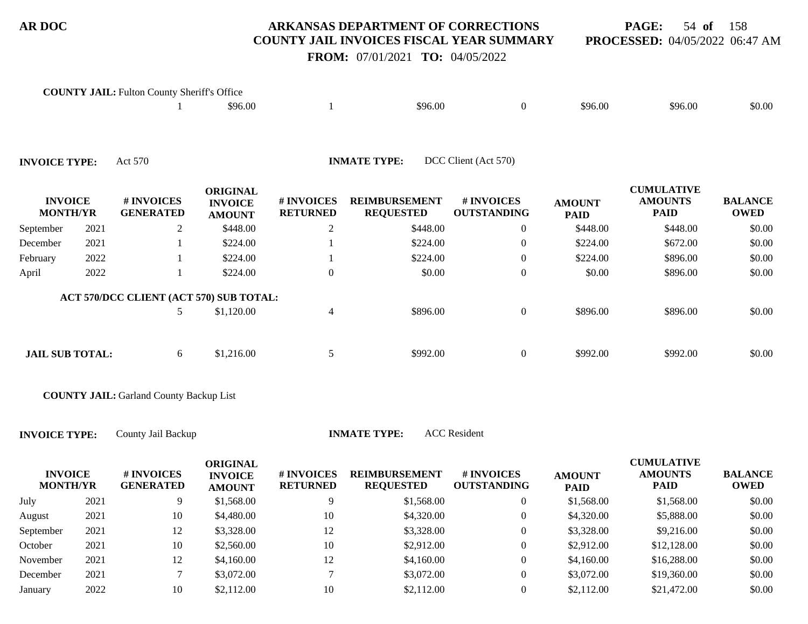**PAGE:** 54 **of** 158 **PROCESSED:** 04/05/2022 06:47 AM

# **FROM:** 07/01/2021 **TO:** 04/05/2022

|                                   |      | <b>COUNTY JAIL:</b> Fulton County Sheriff's Office | \$96.00                                            |                                     | \$96.00                                  | $\overline{0}$                   | \$96.00                      | \$96.00                                            | \$0.00                        |
|-----------------------------------|------|----------------------------------------------------|----------------------------------------------------|-------------------------------------|------------------------------------------|----------------------------------|------------------------------|----------------------------------------------------|-------------------------------|
| <b>INVOICE TYPE:</b>              |      | Act 570                                            |                                                    |                                     | <b>INMATE TYPE:</b>                      | DCC Client (Act 570)             |                              |                                                    |                               |
| <b>INVOICE</b><br><b>MONTH/YR</b> |      | # INVOICES<br><b>GENERATED</b>                     | <b>ORIGINAL</b><br><b>INVOICE</b><br><b>AMOUNT</b> | <b>#INVOICES</b><br><b>RETURNED</b> | <b>REIMBURSEMENT</b><br><b>REQUESTED</b> | # INVOICES<br><b>OUTSTANDING</b> | <b>AMOUNT</b><br><b>PAID</b> | <b>CUMULATIVE</b><br><b>AMOUNTS</b><br><b>PAID</b> | <b>BALANCE</b><br><b>OWED</b> |
| September                         | 2021 | $\overline{2}$                                     | \$448.00                                           | $\overline{2}$                      | \$448.00                                 | $\overline{0}$                   | \$448.00                     | \$448.00                                           | \$0.00                        |
| December                          | 2021 |                                                    | \$224.00                                           |                                     | \$224.00                                 | $\overline{0}$                   | \$224.00                     | \$672.00                                           | \$0.00                        |
| February                          | 2022 |                                                    | \$224.00                                           |                                     | \$224.00                                 | $\overline{0}$                   | \$224.00                     | \$896.00                                           | \$0.00                        |
| April                             | 2022 |                                                    | \$224.00                                           | $\mathbf{0}$                        | \$0.00                                   | $\overline{0}$                   | \$0.00                       | \$896.00                                           | \$0.00                        |
|                                   |      | ACT 570/DCC CLIENT (ACT 570) SUB TOTAL:            |                                                    |                                     |                                          |                                  |                              |                                                    |                               |
|                                   |      | 5                                                  | \$1,120.00                                         | $\overline{4}$                      | \$896.00                                 | $\boldsymbol{0}$                 | \$896.00                     | \$896.00                                           | \$0.00                        |
| <b>JAIL SUB TOTAL:</b>            |      | 6                                                  | \$1,216.00                                         | 5                                   | \$992.00                                 | $\overline{0}$                   | \$992.00                     | \$992.00                                           | \$0.00                        |

**COUNTY JAIL:** Garland County Backup List

**INVOICE TYPE:** County Jail Backup **INMATE TYPE:** ACC Resident

| <b>INVOICE</b><br><b>MONTH/YR</b> |      | <b># INVOICES</b><br><b>GENERATED</b> | ORIGINAL<br><b>INVOICE</b><br><b>AMOUNT</b> | # INVOICES<br><b>RETURNED</b> | <b>REIMBURSEMENT</b><br><b>REQUESTED</b> | # INVOICES<br><b>OUTSTANDING</b> | <b>AMOUNT</b><br><b>PAID</b> | <b>CUMULATIVE</b><br><b>AMOUNTS</b><br><b>PAID</b> | <b>BALANCE</b><br><b>OWED</b> |
|-----------------------------------|------|---------------------------------------|---------------------------------------------|-------------------------------|------------------------------------------|----------------------------------|------------------------------|----------------------------------------------------|-------------------------------|
| July                              | 2021 | 9                                     | \$1,568.00                                  |                               | \$1,568.00                               |                                  | \$1,568.00                   | \$1,568.00                                         | \$0.00                        |
| August                            | 2021 | 10                                    | \$4,480.00                                  | 10                            | \$4,320.00                               |                                  | \$4,320.00                   | \$5,888.00                                         | \$0.00                        |
| September                         | 2021 | 12                                    | \$3,328.00                                  | 12                            | \$3,328.00                               | 0                                | \$3,328.00                   | \$9,216.00                                         | \$0.00                        |
| October                           | 2021 | 10                                    | \$2,560.00                                  | 10                            | \$2,912.00                               | 0                                | \$2,912.00                   | \$12,128.00                                        | \$0.00                        |
| November                          | 2021 | 12                                    | \$4,160.00                                  | 12                            | \$4,160.00                               | 0                                | \$4,160.00                   | \$16,288.00                                        | \$0.00                        |
| December                          | 2021 |                                       | \$3,072.00                                  |                               | \$3,072.00                               |                                  | \$3,072.00                   | \$19,360.00                                        | \$0.00                        |
| January                           | 2022 | 10                                    | \$2,112.00                                  | 10                            | \$2,112.00                               |                                  | \$2,112.00                   | \$21,472.00                                        | \$0.00                        |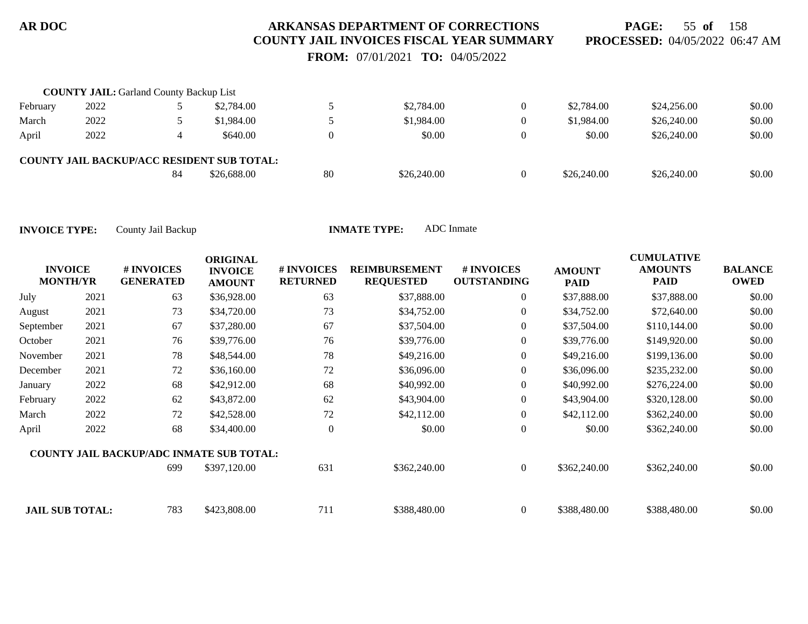**PAGE:** 55 **of** 158 **PROCESSED:** 04/05/2022 06:47 AM

 **FROM:** 07/01/2021 **TO:** 04/05/2022

|          | <b>COUNTY JAIL: Garland County Backup List</b> |    |                                                   |    |             |                |             |             |        |
|----------|------------------------------------------------|----|---------------------------------------------------|----|-------------|----------------|-------------|-------------|--------|
| February | 2022                                           |    | \$2,784.00                                        |    | \$2,784.00  | $\Omega$       | \$2,784.00  | \$24,256.00 | \$0.00 |
| March    | 2022                                           |    | \$1,984.00                                        |    | \$1,984.00  | $\overline{0}$ | \$1,984.00  | \$26,240.00 | \$0.00 |
| April    | 2022                                           |    | \$640.00                                          |    | \$0.00      | $\Omega$       | \$0.00      | \$26,240.00 | \$0.00 |
|          |                                                |    | <b>COUNTY JAIL BACKUP/ACC RESIDENT SUB TOTAL:</b> |    |             |                |             |             |        |
|          |                                                | 84 | \$26,688.00                                       | 80 | \$26,240.00 | $\Omega$       | \$26,240.00 | \$26,240.00 | \$0.00 |

| <b>INVOICE</b><br><b>MONTH/YR</b> |      | # INVOICES<br><b>GENERATED</b>                  | <b>ORIGINAL</b><br><b>INVOICE</b><br><b>AMOUNT</b> | <b>#INVOICES</b><br><b>RETURNED</b> | <b>REIMBURSEMENT</b><br><b>REQUESTED</b> | # INVOICES<br><b>OUTSTANDING</b> | <b>AMOUNT</b><br><b>PAID</b> | <b>CUMULATIVE</b><br><b>AMOUNTS</b><br><b>PAID</b> | <b>BALANCE</b><br><b>OWED</b> |
|-----------------------------------|------|-------------------------------------------------|----------------------------------------------------|-------------------------------------|------------------------------------------|----------------------------------|------------------------------|----------------------------------------------------|-------------------------------|
| July                              | 2021 | 63                                              | \$36,928.00                                        | 63                                  | \$37,888.00                              | $\overline{0}$                   | \$37,888.00                  | \$37,888.00                                        | \$0.00                        |
| August                            | 2021 | 73                                              | \$34,720.00                                        | 73                                  | \$34,752.00                              | $\overline{0}$                   | \$34,752.00                  | \$72,640.00                                        | \$0.00                        |
| September                         | 2021 | 67                                              | \$37,280.00                                        | 67                                  | \$37,504.00                              | $\overline{0}$                   | \$37,504.00                  | \$110,144.00                                       | \$0.00                        |
| October                           | 2021 | 76                                              | \$39,776.00                                        | 76                                  | \$39,776.00                              | $\overline{0}$                   | \$39,776.00                  | \$149,920.00                                       | \$0.00                        |
| November                          | 2021 | 78                                              | \$48,544.00                                        | 78                                  | \$49,216.00                              | $\overline{0}$                   | \$49,216.00                  | \$199,136.00                                       | \$0.00                        |
| December                          | 2021 | 72                                              | \$36,160.00                                        | 72                                  | \$36,096.00                              | $\overline{0}$                   | \$36,096.00                  | \$235,232.00                                       | \$0.00                        |
| January                           | 2022 | 68                                              | \$42,912.00                                        | 68                                  | \$40,992.00                              | $\overline{0}$                   | \$40,992.00                  | \$276,224.00                                       | \$0.00                        |
| February                          | 2022 | 62                                              | \$43,872.00                                        | 62                                  | \$43,904.00                              | $\overline{0}$                   | \$43,904.00                  | \$320,128.00                                       | \$0.00                        |
| March                             | 2022 | 72                                              | \$42,528.00                                        | 72                                  | \$42,112.00                              | $\overline{0}$                   | \$42,112.00                  | \$362,240.00                                       | \$0.00                        |
| April                             | 2022 | 68                                              | \$34,400.00                                        | $\overline{0}$                      | \$0.00                                   | $\overline{0}$                   | \$0.00                       | \$362,240.00                                       | \$0.00                        |
|                                   |      | <b>COUNTY JAIL BACKUP/ADC INMATE SUB TOTAL:</b> |                                                    |                                     |                                          |                                  |                              |                                                    |                               |
|                                   |      | 699                                             | \$397,120.00                                       | 631                                 | \$362,240.00                             | $\overline{0}$                   | \$362,240.00                 | \$362,240.00                                       | \$0.00                        |
| <b>JAIL SUB TOTAL:</b>            |      | 783                                             | \$423,808.00                                       | 711                                 | \$388,480.00                             | $\overline{0}$                   | \$388,480.00                 | \$388,480.00                                       | \$0.00                        |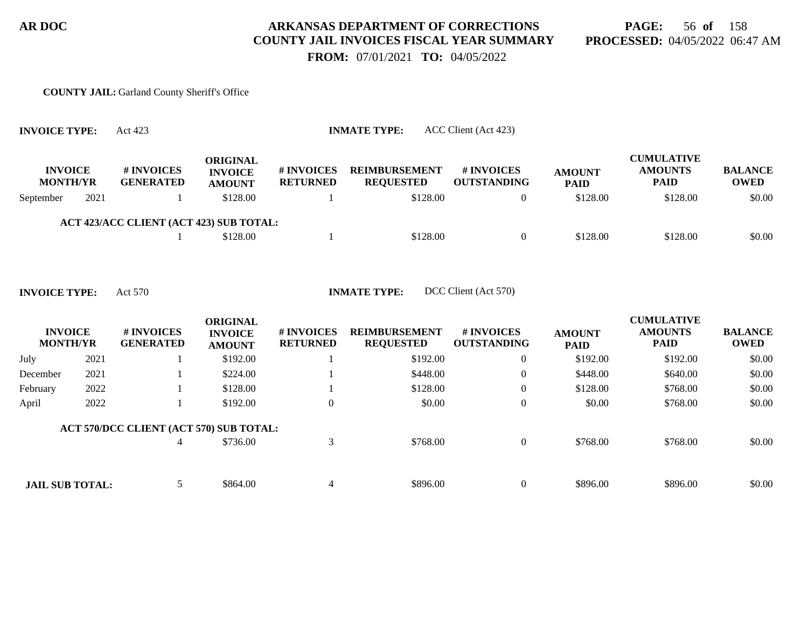# **PAGE:** 56 **of** 158 **PROCESSED:** 04/05/2022 06:47 AM

 **FROM:** 07/01/2021 **TO:** 04/05/2022

#### **COUNTY JAIL:** Garland County Sheriff's Office

| <b>INVOICE TYPE:</b>              |      | ACC Client (Act 423)<br><b>INMATE TYPE:</b><br>Act 423 |                                                    |                               |                                          |                                         |                              |                                                    |                               |  |  |  |
|-----------------------------------|------|--------------------------------------------------------|----------------------------------------------------|-------------------------------|------------------------------------------|-----------------------------------------|------------------------------|----------------------------------------------------|-------------------------------|--|--|--|
| <b>INVOICE</b><br><b>MONTH/YR</b> |      | # INVOICES<br><b>GENERATED</b>                         | <b>ORIGINAL</b><br><b>INVOICE</b><br><b>AMOUNT</b> | # INVOICES<br><b>RETURNED</b> | <b>REIMBURSEMENT</b><br><b>REQUESTED</b> | <b># INVOICES</b><br><b>OUTSTANDING</b> | <b>AMOUNT</b><br><b>PAID</b> | <b>CUMULATIVE</b><br><b>AMOUNTS</b><br><b>PAID</b> | <b>BALANCE</b><br><b>OWED</b> |  |  |  |
| September                         | 2021 |                                                        | \$128.00                                           |                               | \$128.00                                 |                                         | \$128.00                     | \$128.00                                           | \$0.00                        |  |  |  |
|                                   |      | ACT 423/ACC CLIENT (ACT 423) SUB TOTAL:                |                                                    |                               |                                          |                                         |                              |                                                    |                               |  |  |  |
|                                   |      |                                                        | \$128.00                                           |                               | \$128.00                                 |                                         | \$128.00                     | \$128.00                                           | \$0.00                        |  |  |  |

**INVOICE TYPE:** Act 570 **INMATE TYPE:** DCC Client (Act 570)

| <b>INVOICE</b><br><b>MONTH/YR</b> |      | # INVOICES<br><b>GENERATED</b>          | <b>ORIGINAL</b><br><b>INVOICE</b><br><b>AMOUNT</b> | # INVOICES<br><b>RETURNED</b> | <b>REIMBURSEMENT</b><br><b>REQUESTED</b> | <b>#INVOICES</b><br><b>OUTSTANDING</b> | <b>AMOUNT</b><br><b>PAID</b> | <b>CUMULATIVE</b><br><b>AMOUNTS</b><br><b>PAID</b> | <b>BALANCE</b><br><b>OWED</b> |
|-----------------------------------|------|-----------------------------------------|----------------------------------------------------|-------------------------------|------------------------------------------|----------------------------------------|------------------------------|----------------------------------------------------|-------------------------------|
| July                              | 2021 |                                         | \$192.00                                           |                               | \$192.00                                 | $\overline{0}$                         | \$192.00                     | \$192.00                                           | \$0.00                        |
| December                          | 2021 |                                         | \$224.00                                           |                               | \$448.00                                 | $\overline{0}$                         | \$448.00                     | \$640.00                                           | \$0.00                        |
| February                          | 2022 |                                         | \$128.00                                           |                               | \$128.00                                 | $\overline{0}$                         | \$128.00                     | \$768.00                                           | \$0.00                        |
| April                             | 2022 |                                         | \$192.00                                           | $\theta$                      | \$0.00                                   | $\overline{0}$                         | \$0.00                       | \$768.00                                           | \$0.00                        |
|                                   |      | ACT 570/DCC CLIENT (ACT 570) SUB TOTAL: |                                                    |                               |                                          |                                        |                              |                                                    |                               |
|                                   |      | 4                                       | \$736.00                                           |                               | \$768.00                                 | $\overline{0}$                         | \$768.00                     | \$768.00                                           | \$0.00                        |
|                                   |      |                                         |                                                    |                               |                                          |                                        |                              |                                                    |                               |
| <b>JAIL SUB TOTAL:</b>            |      |                                         | \$864.00                                           |                               | \$896.00                                 | $\Omega$                               | \$896.00                     | \$896.00                                           | \$0.00                        |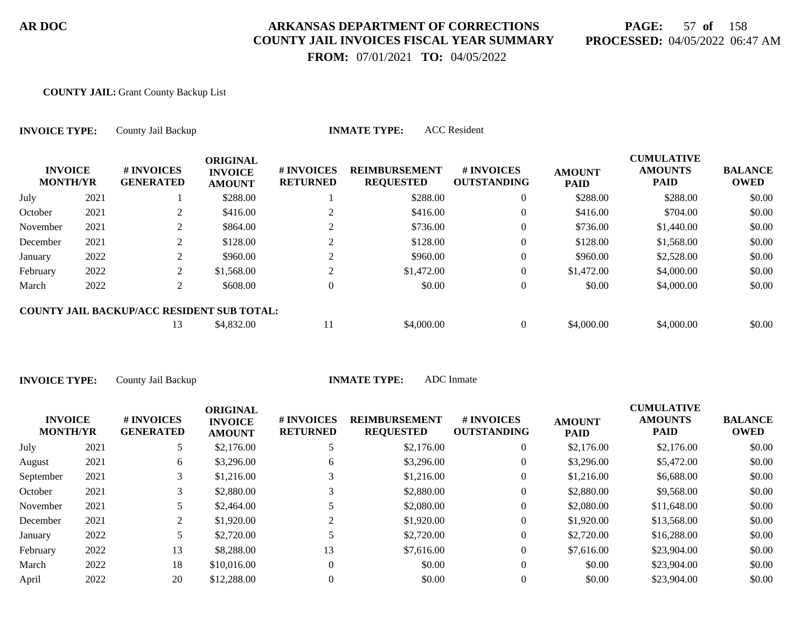# **PAGE:** 57 **of** 158 **PROCESSED:** 04/05/2022 06:47 AM

 **FROM:** 07/01/2021 **TO:** 04/05/2022

#### **COUNTY JAIL:** Grant County Backup List

| <b>INVOICE TYPE:</b><br><b>INVOICE</b><br><b>MONTH/YR</b> |      | County Jail Backup                                |                                                    |                               | <b>INMATE TYPE:</b>                      | <b>ACC</b> Resident              |                              |                                                    |                               |
|-----------------------------------------------------------|------|---------------------------------------------------|----------------------------------------------------|-------------------------------|------------------------------------------|----------------------------------|------------------------------|----------------------------------------------------|-------------------------------|
|                                                           |      | # INVOICES<br><b>GENERATED</b>                    | <b>ORIGINAL</b><br><b>INVOICE</b><br><b>AMOUNT</b> | # INVOICES<br><b>RETURNED</b> | <b>REIMBURSEMENT</b><br><b>REQUESTED</b> | # INVOICES<br><b>OUTSTANDING</b> | <b>AMOUNT</b><br><b>PAID</b> | <b>CUMULATIVE</b><br><b>AMOUNTS</b><br><b>PAID</b> | <b>BALANCE</b><br><b>OWED</b> |
| July                                                      | 2021 |                                                   | \$288.00                                           |                               | \$288.00                                 | $\overline{0}$                   | \$288.00                     | \$288.00                                           | \$0.00                        |
| October                                                   | 2021 | 2                                                 | \$416.00                                           |                               | \$416.00                                 | $\overline{0}$                   | \$416.00                     | \$704.00                                           | \$0.00                        |
| November                                                  | 2021 | 2                                                 | \$864.00                                           |                               | \$736.00                                 | $\overline{0}$                   | \$736.00                     | \$1,440.00                                         | \$0.00                        |
| December                                                  | 2021 | 2                                                 | \$128.00                                           |                               | \$128.00                                 | $\boldsymbol{0}$                 | \$128.00                     | \$1,568.00                                         | \$0.00                        |
| January                                                   | 2022 | 2                                                 | \$960.00                                           | 2                             | \$960.00                                 | $\theta$                         | \$960.00                     | \$2,528.00                                         | \$0.00                        |
| February                                                  | 2022 | 2                                                 | \$1,568.00                                         | 2                             | \$1,472.00                               | $\overline{0}$                   | \$1,472.00                   | \$4,000.00                                         | \$0.00                        |
| March                                                     | 2022 | 2                                                 | \$608.00                                           | $\overline{0}$                | \$0.00                                   | $\boldsymbol{0}$                 | \$0.00                       | \$4,000.00                                         | \$0.00                        |
|                                                           |      | <b>COUNTY JAIL BACKUP/ACC RESIDENT SUB TOTAL:</b> |                                                    |                               |                                          |                                  |                              |                                                    |                               |
|                                                           |      | 13                                                | \$4,832.00                                         | 11                            | \$4,000.00                               | $\overline{0}$                   | \$4,000.00                   | \$4,000.00                                         | \$0.00                        |

| <b>INVOICE</b><br><b>MONTH/YR</b> |      | # INVOICES<br><b>GENERATED</b> | <b>ORIGINAL</b><br><b>INVOICE</b><br><b>AMOUNT</b> | # INVOICES<br><b>RETURNED</b> | <b>REIMBURSEMENT</b><br><b>REQUESTED</b> | <b>#INVOICES</b><br><b>OUTSTANDING</b> | <b>AMOUNT</b><br><b>PAID</b> | <b>CUMULATIVE</b><br><b>AMOUNTS</b><br><b>PAID</b> | <b>BALANCE</b><br><b>OWED</b> |
|-----------------------------------|------|--------------------------------|----------------------------------------------------|-------------------------------|------------------------------------------|----------------------------------------|------------------------------|----------------------------------------------------|-------------------------------|
| July                              | 2021 |                                | \$2,176.00                                         |                               | \$2,176.00                               | $\theta$                               | \$2,176.00                   | \$2,176.00                                         | \$0.00                        |
| August                            | 2021 | 6                              | \$3,296.00                                         | 6                             | \$3,296.00                               | $\theta$                               | \$3,296.00                   | \$5,472.00                                         | \$0.00                        |
| September                         | 2021 |                                | \$1,216.00                                         |                               | \$1,216.00                               | $\theta$                               | \$1,216.00                   | \$6,688.00                                         | \$0.00                        |
| October                           | 2021 |                                | \$2,880.00                                         |                               | \$2,880.00                               | $\theta$                               | \$2,880.00                   | \$9,568.00                                         | \$0.00                        |
| November                          | 2021 |                                | \$2,464.00                                         |                               | \$2,080.00                               | $\theta$                               | \$2,080.00                   | \$11,648.00                                        | \$0.00                        |
| December                          | 2021 | 2                              | \$1,920.00                                         |                               | \$1,920.00                               | $\theta$                               | \$1,920.00                   | \$13,568.00                                        | \$0.00                        |
| January                           | 2022 |                                | \$2,720.00                                         |                               | \$2,720.00                               | $\theta$                               | \$2,720.00                   | \$16,288.00                                        | \$0.00                        |
| February                          | 2022 | 13                             | \$8,288.00                                         | 13                            | \$7,616.00                               | $\theta$                               | \$7,616.00                   | \$23,904.00                                        | \$0.00                        |
| March                             | 2022 | 18                             | \$10,016.00                                        |                               | \$0.00                                   | $\theta$                               | \$0.00                       | \$23,904.00                                        | \$0.00                        |
| April                             | 2022 | 20                             | \$12,288.00                                        |                               | \$0.00                                   | 0                                      | \$0.00                       | \$23,904.00                                        | \$0.00                        |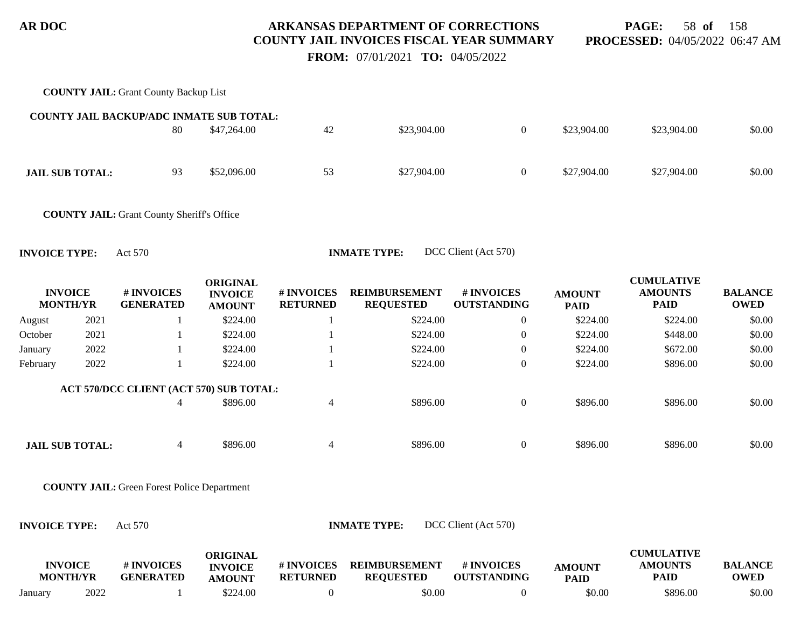**PAGE:** 58 **of** 158 **PROCESSED:** 04/05/2022 06:47 AM

 **FROM:** 07/01/2021 **TO:** 04/05/2022

|                                   |      | <b>COUNTY JAIL: Grant County Backup List</b>       |                                                    |                               |                                          |                                  |                              |                                                    |                               |
|-----------------------------------|------|----------------------------------------------------|----------------------------------------------------|-------------------------------|------------------------------------------|----------------------------------|------------------------------|----------------------------------------------------|-------------------------------|
|                                   |      | <b>COUNTY JAIL BACKUP/ADC INMATE SUB TOTAL:</b>    |                                                    |                               |                                          |                                  |                              |                                                    |                               |
|                                   |      | 80                                                 | \$47,264.00                                        | 42                            | \$23,904.00                              | $\boldsymbol{0}$                 | \$23,904.00                  | \$23,904.00                                        | \$0.00                        |
| <b>JAIL SUB TOTAL:</b>            |      | 93                                                 | \$52,096.00                                        | 53                            | \$27,904.00                              | $\boldsymbol{0}$                 | \$27,904.00                  | \$27,904.00                                        | \$0.00                        |
|                                   |      | <b>COUNTY JAIL: Grant County Sheriff's Office</b>  |                                                    |                               |                                          |                                  |                              |                                                    |                               |
| <b>INVOICE TYPE:</b>              |      | Act 570                                            |                                                    |                               | <b>INMATE TYPE:</b>                      | DCC Client (Act 570)             |                              |                                                    |                               |
| <b>INVOICE</b><br><b>MONTH/YR</b> |      | # INVOICES<br><b>GENERATED</b>                     | <b>ORIGINAL</b><br><b>INVOICE</b><br><b>AMOUNT</b> | # INVOICES<br><b>RETURNED</b> | <b>REIMBURSEMENT</b><br><b>REQUESTED</b> | # INVOICES<br><b>OUTSTANDING</b> | <b>AMOUNT</b><br><b>PAID</b> | <b>CUMULATIVE</b><br><b>AMOUNTS</b><br><b>PAID</b> | <b>BALANCE</b><br><b>OWED</b> |
| August                            | 2021 | -1                                                 | \$224.00                                           | -1                            | \$224.00                                 | $\boldsymbol{0}$                 | \$224.00                     | \$224.00                                           | \$0.00                        |
| October                           | 2021 | -1                                                 | \$224.00                                           | $\mathbf{1}$                  | \$224.00                                 | $\boldsymbol{0}$                 | \$224.00                     | \$448.00                                           | \$0.00                        |
| January                           | 2022 | 1                                                  | \$224.00                                           | -1                            | \$224.00                                 | $\boldsymbol{0}$                 | \$224.00                     | \$672.00                                           | \$0.00                        |
| February                          | 2022 | $\mathbf{1}$                                       | \$224.00                                           | $\mathbf{1}$                  | \$224.00                                 | $\boldsymbol{0}$                 | \$224.00                     | \$896.00                                           | \$0.00                        |
|                                   |      | ACT 570/DCC CLIENT (ACT 570) SUB TOTAL:            |                                                    |                               |                                          |                                  |                              |                                                    |                               |
|                                   |      | $\overline{4}$                                     | \$896.00                                           | $\overline{4}$                | \$896.00                                 | $\boldsymbol{0}$                 | \$896.00                     | \$896.00                                           | \$0.00                        |
| <b>JAIL SUB TOTAL:</b>            |      | $\overline{4}$                                     | \$896.00                                           | $\overline{4}$                | \$896.00                                 | $\boldsymbol{0}$                 | \$896.00                     | \$896.00                                           | \$0.00                        |
|                                   |      | <b>COUNTY JAIL:</b> Green Forest Police Department |                                                    |                               |                                          |                                  |                              |                                                    |                               |
| <b>INVOICE TYPE:</b>              |      | Act 570                                            |                                                    |                               | <b>INMATE TYPE:</b>                      | DCC Client (Act 570)             |                              |                                                    |                               |
| <b>INVOICE</b><br><b>MONTH/YR</b> |      | # INVOICES<br><b>GENERATED</b>                     | <b>ORIGINAL</b><br><b>INVOICE</b><br><b>AMOUNT</b> | # INVOICES<br><b>RETURNED</b> | <b>REIMBURSEMENT</b><br><b>REQUESTED</b> | # INVOICES<br><b>OUTSTANDING</b> | <b>AMOUNT</b><br><b>PAID</b> | <b>CUMULATIVE</b><br><b>AMOUNTS</b><br><b>PAID</b> | <b>BALANCE</b><br><b>OWED</b> |

January 2022 1 \$224.00 0 \$0.00 0 \$0.00 \$896.00 \$0.00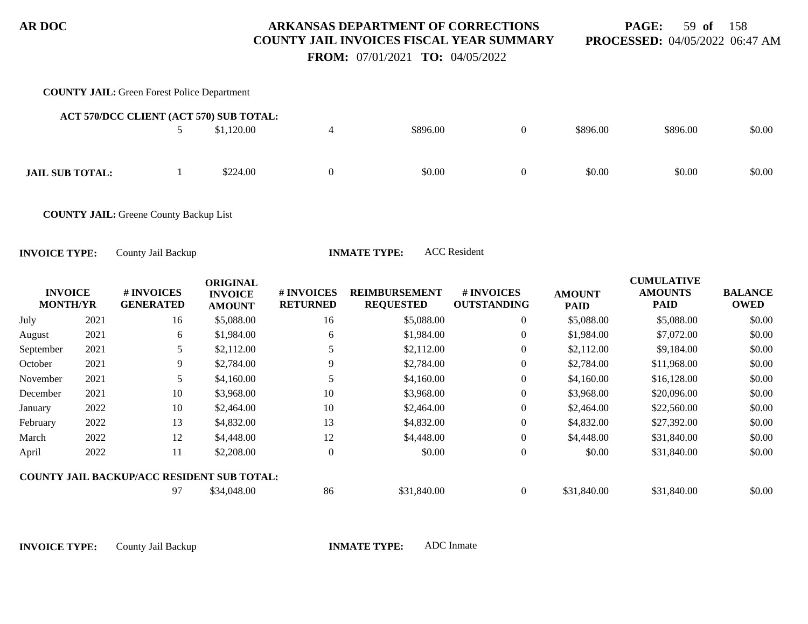**PAGE:** 59 **of** 158 **PROCESSED:** 04/05/2022 06:47 AM

 **FROM:** 07/01/2021 **TO:** 04/05/2022

#### **COUNTY JAIL:** Green Forest Police Department 5 \$1,120.00 4 \$896.00 0 \$896.00 \$896.00 \$0.00 **ACT 570/DCC CLIENT (ACT 570) SUB TOTAL: JAIL SUB TOTAL:** 1 \$224.00 0 \$0.00 \$0.00 \$0.00 \$0.00 \$0.00 \$0.00 \$0.00 **COUNTY JAIL:** Greene County Backup List **INVOICE MONTH/YR # INVOICES GENERATED ORIGINAL INVOICE AMOUNT # INVOICES RETURNED REIMBURSEMENT REQUESTED # INVOICES OUTSTANDING AMOUNT PAID CUMULATIVE AMOUNTS PAID BALANCE OWED INVOICE TYPE:** County Jail Backup **INMATE TYPE:** ACC Resident July 2021 16 \$5,088.00 16 \$5,088.00 0 \$5,088.00 \$5,088.00 \$0.00 August 2021 6 \$1,984.00 6 \$1,984.00 6 \$1,984.00 0 \$1,984.00 \$7,072.00 \$0.00 September 2021 5 \$2,112.00 5 \$2,112.00 5 \$2,112.00 \$2,112.00 \$9,184.00 \$0.00

| October  | 2021 | Q  | \$2,784.00                                        |          | \$2,784.00  |   | \$2,784.00  | \$11,968.00 | \$0.00 |
|----------|------|----|---------------------------------------------------|----------|-------------|---|-------------|-------------|--------|
| November | 2021 |    | \$4,160.00                                        |          | \$4,160.00  |   | \$4,160.00  | \$16,128.00 | \$0.00 |
| December | 2021 | 10 | \$3,968.00                                        | 10       | \$3,968.00  |   | \$3,968.00  | \$20,096.00 | \$0.00 |
| January  | 2022 | 10 | \$2,464.00                                        | 10       | \$2,464.00  |   | \$2,464.00  | \$22,560.00 | \$0.00 |
| February | 2022 | 13 | \$4,832.00                                        | 12<br>10 | \$4,832.00  | 0 | \$4,832.00  | \$27,392.00 | \$0.00 |
| March    | 2022 | 12 | \$4,448.00                                        | 12       | \$4,448.00  | 0 | \$4,448.00  | \$31,840.00 | \$0.00 |
| April    | 2022 |    | \$2,208.00                                        |          | \$0.00      | 0 | \$0.00      | \$31,840.00 | \$0.00 |
|          |      |    | <b>COUNTY JAIL BACKUP/ACC RESIDENT SUB TOTAL:</b> |          |             |   |             |             |        |
|          |      | 97 | \$34,048.00                                       | 86       | \$31,840.00 |   | \$31,840.00 | \$31,840.00 | \$0.00 |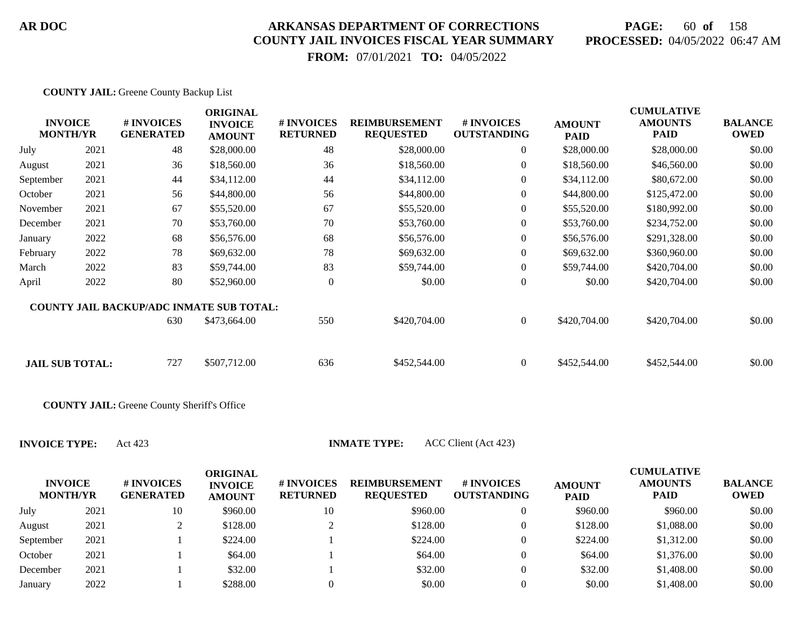# **PAGE:** 60 **of** 158 **PROCESSED:** 04/05/2022 06:47 AM

 **FROM:** 07/01/2021 **TO:** 04/05/2022

| <b>INVOICE</b><br><b>MONTH/YR</b> |      | # INVOICES<br><b>GENERATED</b>                  | <b>ORIGINAL</b><br><b>INVOICE</b><br><b>AMOUNT</b> | # INVOICES<br><b>RETURNED</b> | <b>REIMBURSEMENT</b><br><b>REQUESTED</b> | <b>#INVOICES</b><br><b>OUTSTANDING</b> | <b>AMOUNT</b><br><b>PAID</b> | <b>CUMULATIVE</b><br><b>AMOUNTS</b><br><b>PAID</b> | <b>BALANCE</b><br><b>OWED</b> |
|-----------------------------------|------|-------------------------------------------------|----------------------------------------------------|-------------------------------|------------------------------------------|----------------------------------------|------------------------------|----------------------------------------------------|-------------------------------|
| July                              | 2021 | 48                                              | \$28,000.00                                        | 48                            | \$28,000.00                              | $\overline{0}$                         | \$28,000.00                  | \$28,000.00                                        | \$0.00                        |
| August                            | 2021 | 36                                              | \$18,560.00                                        | 36                            | \$18,560.00                              | $\overline{0}$                         | \$18,560.00                  | \$46,560.00                                        | \$0.00                        |
| September                         | 2021 | 44                                              | \$34,112.00                                        | 44                            | \$34,112.00                              | $\overline{0}$                         | \$34,112.00                  | \$80,672.00                                        | \$0.00                        |
| October                           | 2021 | 56                                              | \$44,800.00                                        | 56                            | \$44,800.00                              | $\boldsymbol{0}$                       | \$44,800.00                  | \$125,472.00                                       | \$0.00                        |
| November                          | 2021 | 67                                              | \$55,520.00                                        | 67                            | \$55,520.00                              | $\boldsymbol{0}$                       | \$55,520.00                  | \$180,992.00                                       | \$0.00                        |
| December                          | 2021 | 70                                              | \$53,760.00                                        | 70                            | \$53,760.00                              | $\boldsymbol{0}$                       | \$53,760.00                  | \$234,752.00                                       | \$0.00                        |
| January                           | 2022 | 68                                              | \$56,576.00                                        | 68                            | \$56,576.00                              | $\overline{0}$                         | \$56,576.00                  | \$291,328.00                                       | \$0.00                        |
| February                          | 2022 | 78                                              | \$69,632.00                                        | 78                            | \$69,632.00                              | $\Omega$                               | \$69,632.00                  | \$360,960.00                                       | \$0.00                        |
| March                             | 2022 | 83                                              | \$59,744.00                                        | 83                            | \$59,744.00                              | $\overline{0}$                         | \$59,744.00                  | \$420,704.00                                       | \$0.00                        |
| April                             | 2022 | 80                                              | \$52,960.00                                        | $\theta$                      | \$0.00                                   | $\boldsymbol{0}$                       | \$0.00                       | \$420,704.00                                       | \$0.00                        |
|                                   |      | <b>COUNTY JAIL BACKUP/ADC INMATE SUB TOTAL:</b> |                                                    |                               |                                          |                                        |                              |                                                    |                               |
|                                   |      | 630                                             | \$473,664.00                                       | 550                           | \$420,704.00                             | $\overline{0}$                         | \$420,704.00                 | \$420,704.00                                       | \$0.00                        |
|                                   |      |                                                 |                                                    |                               |                                          |                                        |                              |                                                    |                               |
| <b>JAIL SUB TOTAL:</b>            |      | 727                                             | \$507,712.00                                       | 636                           | \$452,544.00                             | $\overline{0}$                         | \$452,544.00                 | \$452,544.00                                       | \$0.00                        |

**COUNTY JAIL:** Greene County Sheriff's Office

**INVOICE TYPE:** Act 423 **INMATE TYPE:** ACC Client (Act 423)

| <b>INVOICE</b><br><b>MONTH/YR</b> |      | # INVOICES<br><b>GENERATED</b> | ORIGINAL<br><b>INVOICE</b><br><b>AMOUNT</b> | <b>#INVOICES</b><br><b>RETURNED</b> | <b>REIMBURSEMENT</b><br><b>REQUESTED</b> | <b># INVOICES</b><br><b>OUTSTANDING</b> | <b>AMOUNT</b><br><b>PAID</b> | <b>CUMULATIVE</b><br><b>AMOUNTS</b><br><b>PAID</b> | <b>BALANCE</b><br><b>OWED</b> |
|-----------------------------------|------|--------------------------------|---------------------------------------------|-------------------------------------|------------------------------------------|-----------------------------------------|------------------------------|----------------------------------------------------|-------------------------------|
| July                              | 2021 | 10                             | \$960.00                                    | 10                                  | \$960.00                                 | 0                                       | \$960.00                     | \$960.00                                           | \$0.00                        |
| August                            | 2021 |                                | \$128.00                                    |                                     | \$128.00                                 | 0                                       | \$128.00                     | \$1,088.00                                         | \$0.00                        |
| September                         | 2021 |                                | \$224.00                                    |                                     | \$224.00                                 | 0                                       | \$224.00                     | \$1,312.00                                         | \$0.00                        |
| October                           | 2021 |                                | \$64.00                                     |                                     | \$64.00                                  | 0                                       | \$64.00                      | \$1,376.00                                         | \$0.00                        |
| December                          | 2021 |                                | \$32.00                                     |                                     | \$32.00                                  |                                         | \$32.00                      | \$1,408.00                                         | \$0.00                        |
| January                           | 2022 |                                | \$288.00                                    |                                     | \$0.00                                   |                                         | \$0.00                       | \$1,408.00                                         | \$0.00                        |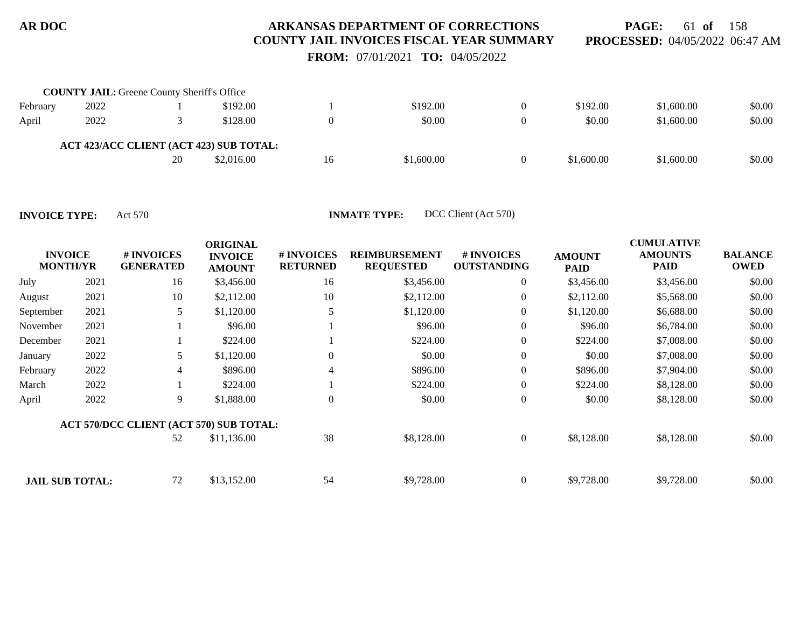**PAGE:** 61 **of** 158 **PROCESSED:** 04/05/2022 06:47 AM

 **FROM:** 07/01/2021 **TO:** 04/05/2022

|          | <b>COUNTY JAIL:</b> Greene County Sheriff's Office |    |                                         |    |            |            |            |        |
|----------|----------------------------------------------------|----|-----------------------------------------|----|------------|------------|------------|--------|
| February | 2022                                               |    | \$192.00                                |    | \$192.00   | \$192.00   | \$1,600.00 | \$0.00 |
| April    | 2022                                               |    | \$128.00                                |    | \$0.00     | \$0.00     | \$1,600.00 | \$0.00 |
|          |                                                    |    | ACT 423/ACC CLIENT (ACT 423) SUB TOTAL: |    |            |            |            |        |
|          |                                                    | 20 | \$2,016.00                              | 16 | \$1,600.00 | \$1,600.00 | \$1,600.00 | \$0.00 |

**INVOICE TYPE:** Act 570 **INMATE TYPE:** DCC Client (Act 570)

| <b>INVOICE</b><br><b>MONTH/YR</b> |      | # INVOICES<br><b>GENERATED</b>          | <b>ORIGINAL</b><br><b>INVOICE</b><br><b>AMOUNT</b> | # INVOICES<br><b>RETURNED</b> | <b>REIMBURSEMENT</b><br><b>REQUESTED</b> | # INVOICES<br><b>OUTSTANDING</b> | <b>AMOUNT</b><br><b>PAID</b> | <b>CUMULATIVE</b><br><b>AMOUNTS</b><br><b>PAID</b> | <b>BALANCE</b><br><b>OWED</b> |
|-----------------------------------|------|-----------------------------------------|----------------------------------------------------|-------------------------------|------------------------------------------|----------------------------------|------------------------------|----------------------------------------------------|-------------------------------|
| July                              | 2021 | 16                                      | \$3,456.00                                         | 16                            | \$3,456.00                               | $\overline{0}$                   | \$3,456.00                   | \$3,456.00                                         | \$0.00                        |
| August                            | 2021 | 10                                      | \$2,112.00                                         | 10                            | \$2,112.00                               | $\overline{0}$                   | \$2,112.00                   | \$5,568.00                                         | \$0.00                        |
| September                         | 2021 | 5                                       | \$1,120.00                                         |                               | \$1,120.00                               | $\overline{0}$                   | \$1,120.00                   | \$6,688.00                                         | \$0.00                        |
| November                          | 2021 |                                         | \$96.00                                            |                               | \$96.00                                  | $\overline{0}$                   | \$96.00                      | \$6,784.00                                         | \$0.00                        |
| December                          | 2021 |                                         | \$224.00                                           |                               | \$224.00                                 | $\overline{0}$                   | \$224.00                     | \$7,008.00                                         | \$0.00                        |
| January                           | 2022 | 5                                       | \$1,120.00                                         | $\Omega$                      | \$0.00                                   | $\boldsymbol{0}$                 | \$0.00                       | \$7,008.00                                         | \$0.00                        |
| February                          | 2022 | $\overline{4}$                          | \$896.00                                           | 4                             | \$896.00                                 | $\boldsymbol{0}$                 | \$896.00                     | \$7,904.00                                         | \$0.00                        |
| March                             | 2022 |                                         | \$224.00                                           |                               | \$224.00                                 | $\overline{0}$                   | \$224.00                     | \$8,128.00                                         | \$0.00                        |
| April                             | 2022 | 9                                       | \$1,888.00                                         | $\Omega$                      | \$0.00                                   | $\boldsymbol{0}$                 | \$0.00                       | \$8,128.00                                         | \$0.00                        |
|                                   |      | ACT 570/DCC CLIENT (ACT 570) SUB TOTAL: |                                                    |                               |                                          |                                  |                              |                                                    |                               |
|                                   |      | 52                                      | \$11,136.00                                        | 38                            | \$8,128.00                               | $\overline{0}$                   | \$8,128.00                   | \$8,128.00                                         | \$0.00                        |
| <b>JAIL SUB TOTAL:</b>            |      | 72                                      | \$13,152.00                                        | 54                            | \$9,728.00                               | $\overline{0}$                   | \$9,728.00                   | \$9,728.00                                         | \$0.00                        |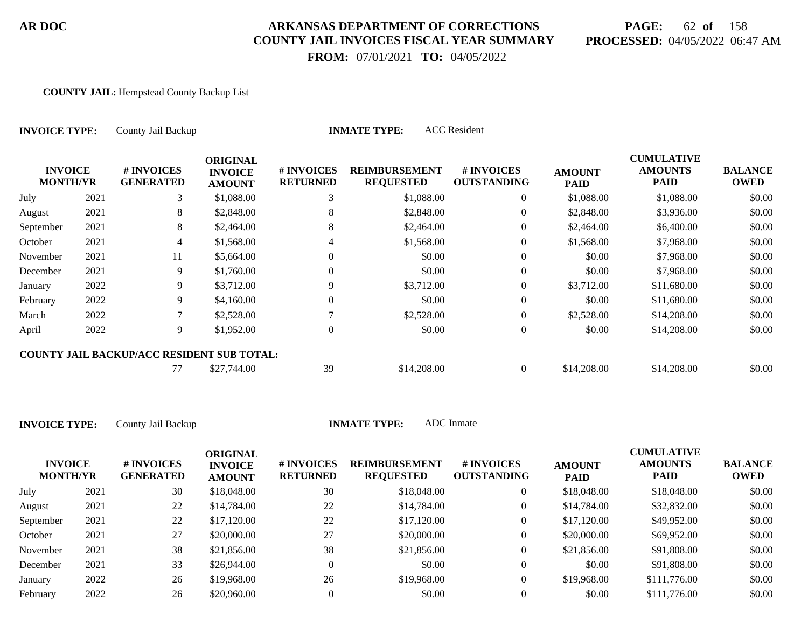# **PAGE:** 62 **of** 158 **PROCESSED:** 04/05/2022 06:47 AM

**CUMULATIVE**

 **FROM:** 07/01/2021 **TO:** 04/05/2022

#### **COUNTY JAIL:** Hempstead County Backup List

| <b>INVOICE TYPE:</b>              |      | County Jail Backup                                |                                                    | <b>INMATE TYPE:</b>           |                                          |                                  |                              |                                                    |                               |
|-----------------------------------|------|---------------------------------------------------|----------------------------------------------------|-------------------------------|------------------------------------------|----------------------------------|------------------------------|----------------------------------------------------|-------------------------------|
| <b>INVOICE</b><br><b>MONTH/YR</b> |      | # INVOICES<br><b>GENERATED</b>                    | <b>ORIGINAL</b><br><b>INVOICE</b><br><b>AMOUNT</b> | # INVOICES<br><b>RETURNED</b> | <b>REIMBURSEMENT</b><br><b>REQUESTED</b> | # INVOICES<br><b>OUTSTANDING</b> | <b>AMOUNT</b><br><b>PAID</b> | <b>CUMULATIVE</b><br><b>AMOUNTS</b><br><b>PAID</b> | <b>BALANCE</b><br><b>OWED</b> |
| July                              | 2021 | 3                                                 | \$1,088.00                                         | 3                             | \$1,088.00                               | $\overline{0}$                   | \$1,088.00                   | \$1,088.00                                         | \$0.00                        |
| August                            | 2021 | 8.                                                | \$2,848.00                                         | 8                             | \$2,848.00                               | $\overline{0}$                   | \$2,848.00                   | \$3,936.00                                         | \$0.00                        |
| September                         | 2021 | 8                                                 | \$2,464.00                                         | 8                             | \$2,464.00                               | $\overline{0}$                   | \$2,464.00                   | \$6,400.00                                         | \$0.00                        |
| October                           | 2021 | 4                                                 | \$1,568.00                                         |                               | \$1,568.00                               | $\overline{0}$                   | \$1,568.00                   | \$7,968.00                                         | \$0.00                        |
| November                          | 2021 | 11                                                | \$5,664.00                                         | 0                             | \$0.00                                   | $\overline{0}$                   | \$0.00                       | \$7,968.00                                         | \$0.00                        |
| December                          | 2021 | 9.                                                | \$1,760.00                                         | 0                             | \$0.00                                   | $\overline{0}$                   | \$0.00                       | \$7,968.00                                         | \$0.00                        |
| January                           | 2022 | 9.                                                | \$3,712.00                                         | 9                             | \$3,712.00                               | $\overline{0}$                   | \$3,712.00                   | \$11,680.00                                        | \$0.00                        |
| February                          | 2022 | 9.                                                | \$4,160.00                                         | $\Omega$                      | \$0.00                                   | $\overline{0}$                   | \$0.00                       | \$11,680.00                                        | \$0.00                        |
| March                             | 2022 |                                                   | \$2,528.00                                         |                               | \$2,528.00                               | $\overline{0}$                   | \$2,528.00                   | \$14,208.00                                        | \$0.00                        |
| April                             | 2022 | 9                                                 | \$1,952.00                                         | $\mathbf{0}$                  | \$0.00                                   | $\overline{0}$                   | \$0.00                       | \$14,208.00                                        | \$0.00                        |
|                                   |      | <b>COUNTY JAIL BACKUP/ACC RESIDENT SUB TOTAL:</b> |                                                    |                               |                                          |                                  |                              |                                                    |                               |
|                                   |      | 77                                                | \$27,744.00                                        | 39                            | \$14,208.00                              | $\overline{0}$                   | \$14,208.00                  | \$14,208.00                                        | \$0.00                        |

| <b>INVOICE</b><br><b>MONTH/YR</b> |      | # INVOICES<br><b>GENERATED</b> | ORIGINAL<br><b>INVOICE</b><br><b>AMOUNT</b> | # INVOICES<br><b>RETURNED</b> | <b>REIMBURSEMENT</b><br><b>REQUESTED</b> | <b>#INVOICES</b><br><b>OUTSTANDING</b> | <b>AMOUNT</b><br><b>PAID</b> | CUMULATIVE<br><b>AMOUNTS</b><br><b>PAID</b> | <b>BALANCE</b><br><b>OWED</b> |
|-----------------------------------|------|--------------------------------|---------------------------------------------|-------------------------------|------------------------------------------|----------------------------------------|------------------------------|---------------------------------------------|-------------------------------|
| July                              | 2021 | 30                             | \$18,048.00                                 | 30                            | \$18,048.00                              | $\overline{0}$                         | \$18,048.00                  | \$18,048.00                                 | \$0.00                        |
| August                            | 2021 | 22                             | \$14,784.00                                 | 22                            | \$14,784.00                              | $\overline{0}$                         | \$14,784.00                  | \$32,832.00                                 | \$0.00                        |
| September                         | 2021 | 22                             | \$17,120.00                                 | 22                            | \$17,120.00                              | $\overline{0}$                         | \$17,120.00                  | \$49,952.00                                 | \$0.00                        |
| October                           | 2021 | 27                             | \$20,000.00                                 | 27                            | \$20,000.00                              | $\overline{0}$                         | \$20,000.00                  | \$69,952.00                                 | \$0.00                        |
| November                          | 2021 | 38                             | \$21,856.00                                 | 38                            | \$21,856.00                              | $\overline{0}$                         | \$21,856.00                  | \$91,808.00                                 | \$0.00                        |
| December                          | 2021 | 33                             | \$26,944.00                                 | $\Omega$                      | \$0.00                                   | $\Omega$                               | \$0.00                       | \$91,808.00                                 | \$0.00                        |
| January                           | 2022 | 26                             | \$19,968.00                                 | 26                            | \$19,968.00                              | $\overline{0}$                         | \$19,968.00                  | \$111,776.00                                | \$0.00                        |
| February                          | 2022 | 26                             | \$20,960.00                                 |                               | \$0.00                                   |                                        | \$0.00                       | \$111,776.00                                | \$0.00                        |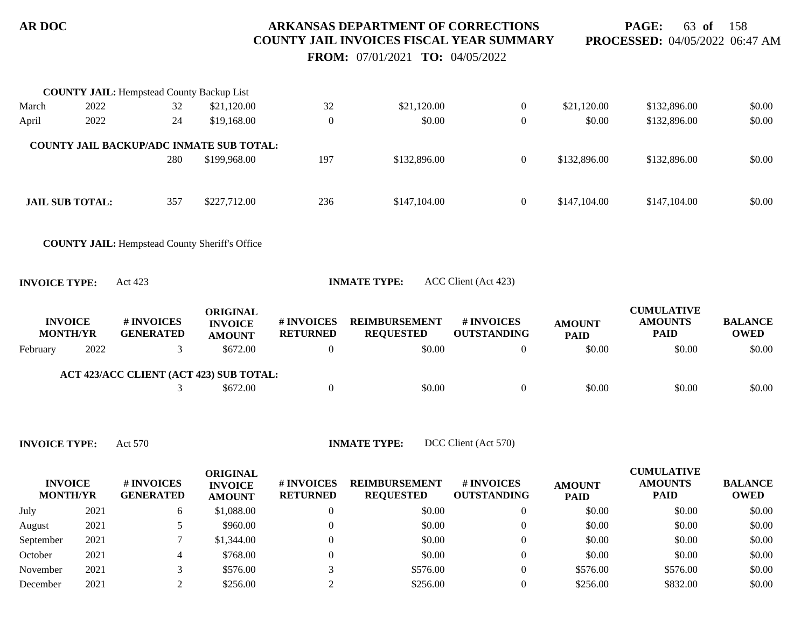**PAGE:** 63 **of** 158 **PROCESSED:** 04/05/2022 06:47 AM

 **FROM:** 07/01/2021 **TO:** 04/05/2022

|                      |                                   | <b>COUNTY JAIL: Hempstead County Backup List</b>      |                                                    |                               |                                          |                                  |                              |                                                    |                               |
|----------------------|-----------------------------------|-------------------------------------------------------|----------------------------------------------------|-------------------------------|------------------------------------------|----------------------------------|------------------------------|----------------------------------------------------|-------------------------------|
| March                | 2022                              | 32                                                    | \$21,120.00                                        | 32                            | \$21,120.00                              | $\overline{0}$                   | \$21,120.00                  | \$132,896.00                                       | \$0.00                        |
| April                | 2022                              | 24                                                    | \$19,168.00                                        | $\mathbf{0}$                  | \$0.00                                   | $\boldsymbol{0}$                 | \$0.00                       | \$132,896.00                                       | \$0.00                        |
|                      |                                   | <b>COUNTY JAIL BACKUP/ADC INMATE SUB TOTAL:</b>       |                                                    |                               |                                          |                                  |                              |                                                    |                               |
|                      |                                   | 280                                                   | \$199,968.00                                       | 197                           | \$132,896.00                             | $\overline{0}$                   | \$132,896.00                 | \$132,896.00                                       | \$0.00                        |
|                      | <b>JAIL SUB TOTAL:</b>            | 357                                                   | \$227,712.00                                       | 236                           | \$147,104.00                             | $\overline{0}$                   | \$147,104.00                 | \$147,104.00                                       | \$0.00                        |
|                      |                                   | <b>COUNTY JAIL:</b> Hempstead County Sheriff's Office |                                                    |                               |                                          |                                  |                              |                                                    |                               |
| <b>INVOICE TYPE:</b> |                                   | Act 423                                               |                                                    |                               | <b>INMATE TYPE:</b>                      | ACC Client (Act 423)             |                              |                                                    |                               |
|                      | <b>INVOICE</b><br><b>MONTH/YR</b> | # INVOICES<br><b>GENERATED</b>                        | <b>ORIGINAL</b><br><b>INVOICE</b><br><b>AMOUNT</b> | # INVOICES<br><b>RETURNED</b> | <b>REIMBURSEMENT</b><br><b>REQUESTED</b> | # INVOICES<br><b>OUTSTANDING</b> | <b>AMOUNT</b><br><b>PAID</b> | <b>CUMULATIVE</b><br><b>AMOUNTS</b><br><b>PAID</b> | <b>BALANCE</b><br><b>OWED</b> |
| February             | 2022                              | 3                                                     | \$672.00                                           | $\overline{0}$                | \$0.00                                   | $\overline{0}$                   | \$0.00                       | \$0.00                                             | \$0.00                        |
|                      |                                   | ACT 423/ACC CLIENT (ACT 423) SUB TOTAL:               |                                                    |                               |                                          |                                  |                              |                                                    |                               |
|                      |                                   | 3                                                     | \$672.00                                           | $\boldsymbol{0}$              | \$0.00                                   | $\boldsymbol{0}$                 | \$0.00                       | \$0.00                                             | \$0.00                        |
|                      |                                   |                                                       |                                                    |                               |                                          |                                  |                              |                                                    |                               |

**INVOICE TYPE:** Act 570 **INMATE TYPE:** DCC Client (Act 570)

| <b>INVOICE</b><br><b>MONTH/YR</b> |      | # INVOICES<br><b>GENERATED</b> | ORIGINAL<br><b>INVOICE</b><br><b>AMOUNT</b> | # INVOICES<br><b>RETURNED</b> | <b>REIMBURSEMENT</b><br><b>REQUESTED</b> | <b>#INVOICES</b><br><b>OUTSTANDING</b> | <b>AMOUNT</b><br><b>PAID</b> | <b>CUMULATIVE</b><br><b>AMOUNTS</b><br><b>PAID</b> | <b>BALANCE</b><br><b>OWED</b> |
|-----------------------------------|------|--------------------------------|---------------------------------------------|-------------------------------|------------------------------------------|----------------------------------------|------------------------------|----------------------------------------------------|-------------------------------|
| July                              | 2021 | 6                              | \$1,088.00                                  |                               | \$0.00                                   |                                        | \$0.00                       | \$0.00                                             | \$0.00                        |
| August                            | 2021 |                                | \$960.00                                    |                               | \$0.00                                   |                                        | \$0.00                       | \$0.00                                             | \$0.00                        |
| September                         | 2021 |                                | \$1,344.00                                  |                               | \$0.00                                   |                                        | \$0.00                       | \$0.00                                             | \$0.00                        |
| October                           | 2021 |                                | \$768.00                                    |                               | \$0.00                                   |                                        | \$0.00                       | \$0.00                                             | \$0.00                        |
| November                          | 2021 |                                | \$576.00                                    |                               | \$576.00                                 |                                        | \$576.00                     | \$576.00                                           | \$0.00                        |
| December                          | 2021 |                                | \$256.00                                    |                               | \$256.00                                 |                                        | \$256.00                     | \$832.00                                           | \$0.00                        |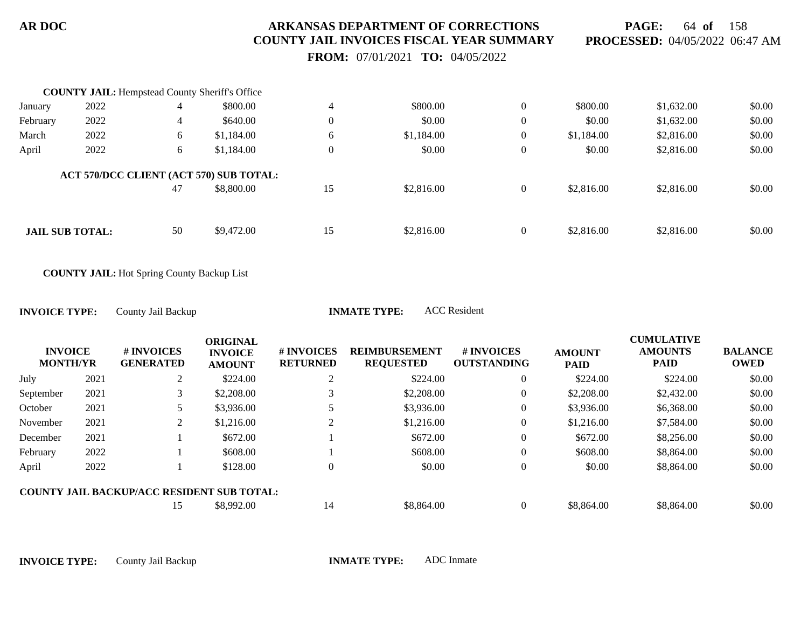**PAGE:** 64 **of** 158 **PROCESSED:** 04/05/2022 06:47 AM

 **FROM:** 07/01/2021 **TO:** 04/05/2022

|          | <b>COUNTY JAIL:</b> Hempstead County Sheriff's Office |    |                                         |              |            |                |            |            |        |
|----------|-------------------------------------------------------|----|-----------------------------------------|--------------|------------|----------------|------------|------------|--------|
| January  | 2022                                                  | 4  | \$800.00                                |              | \$800.00   | $\overline{0}$ | \$800.00   | \$1,632.00 | \$0.00 |
| February | 2022                                                  | 4  | \$640.00                                | $\mathbf{0}$ | \$0.00     | $\theta$       | \$0.00     | \$1,632.00 | \$0.00 |
| March    | 2022                                                  | 6  | \$1,184.00                              | 6            | \$1,184.00 | $\overline{0}$ | \$1,184.00 | \$2,816.00 | \$0.00 |
| April    | 2022                                                  | 6  | \$1,184.00                              | $\mathbf{0}$ | \$0.00     |                | \$0.00     | \$2,816.00 | \$0.00 |
|          |                                                       |    | ACT 570/DCC CLIENT (ACT 570) SUB TOTAL: |              |            |                |            |            |        |
|          |                                                       | 47 | \$8,800.00                              | 15           | \$2,816.00 |                | \$2,816.00 | \$2,816.00 | \$0.00 |
|          |                                                       |    |                                         |              |            |                |            |            |        |
|          | <b>JAIL SUB TOTAL:</b>                                | 50 | \$9,472.00                              | 15           | \$2,816.00 | $\theta$       | \$2,816.00 | \$2,816.00 | \$0.00 |
|          |                                                       |    |                                         |              |            |                |            |            |        |

**COUNTY JAIL:** Hot Spring County Backup List

| County Jail Backup<br><b>INVOICE TYPE:</b> | <b>INMATE TYPE:</b> | <b>ACC</b> Resident |
|--------------------------------------------|---------------------|---------------------|
|--------------------------------------------|---------------------|---------------------|

| <b>INVOICE</b><br><b>MONTH/YR</b> |      | # INVOICES<br><b>GENERATED</b>                    | <b>ORIGINAL</b><br><b>INVOICE</b><br><b>AMOUNT</b> | <b>#INVOICES</b><br><b>RETURNED</b> | <b>REIMBURSEMENT</b><br><b>REQUESTED</b> | # INVOICES<br><b>OUTSTANDING</b> | <b>AMOUNT</b><br><b>PAID</b> | <b>CUMULATIVE</b><br><b>AMOUNTS</b><br><b>PAID</b> | <b>BALANCE</b><br><b>OWED</b> |
|-----------------------------------|------|---------------------------------------------------|----------------------------------------------------|-------------------------------------|------------------------------------------|----------------------------------|------------------------------|----------------------------------------------------|-------------------------------|
| July                              | 2021 | $\gamma$<br>∠                                     | \$224.00                                           |                                     | \$224.00                                 | 0                                | \$224.00                     | \$224.00                                           | \$0.00                        |
| September                         | 2021 | 3                                                 | \$2,208.00                                         |                                     | \$2,208.00                               | 0                                | \$2,208.00                   | \$2,432.00                                         | \$0.00                        |
| October                           | 2021 |                                                   | \$3,936.00                                         |                                     | \$3,936.00                               | 0                                | \$3,936.00                   | \$6,368.00                                         | \$0.00                        |
| November                          | 2021 | 2                                                 | \$1,216.00                                         |                                     | \$1,216.00                               | 0                                | \$1,216.00                   | \$7,584.00                                         | \$0.00                        |
| December                          | 2021 |                                                   | \$672.00                                           |                                     | \$672.00                                 | $\theta$                         | \$672.00                     | \$8,256.00                                         | \$0.00                        |
| February                          | 2022 |                                                   | \$608.00                                           |                                     | \$608.00                                 | 0                                | \$608.00                     | \$8,864.00                                         | \$0.00                        |
| April                             | 2022 |                                                   | \$128.00                                           |                                     | \$0.00                                   | $\overline{0}$                   | \$0.00                       | \$8,864.00                                         | \$0.00                        |
|                                   |      | <b>COUNTY JAIL BACKUP/ACC RESIDENT SUB TOTAL:</b> |                                                    |                                     |                                          |                                  |                              |                                                    |                               |
|                                   |      |                                                   | \$8,992.00                                         | 14                                  | \$8,864.00                               |                                  | \$8,864.00                   | \$8,864.00                                         | \$0.00                        |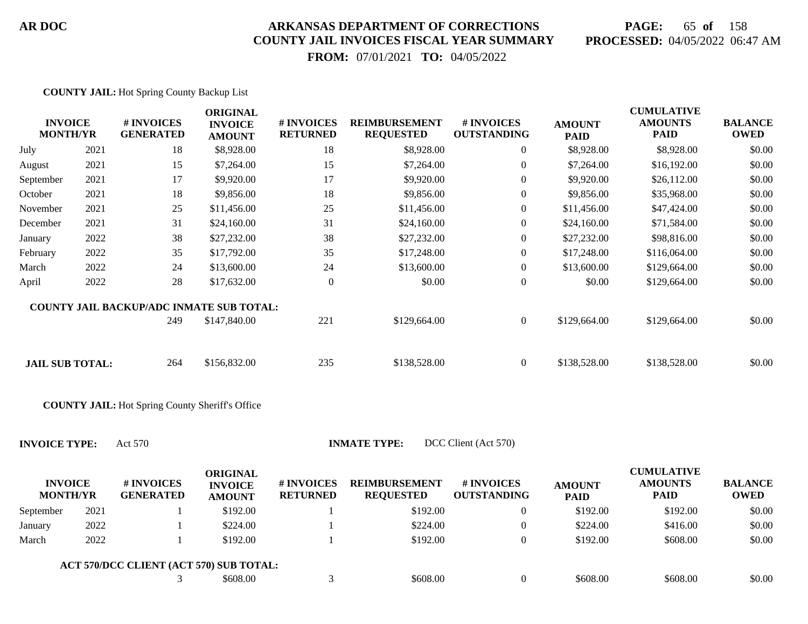# **PAGE:** 65 **of** 158 **PROCESSED:** 04/05/2022 06:47 AM

 **FROM:** 07/01/2021 **TO:** 04/05/2022

|                                   |      | <b>COUNTY JAIL:</b> Hot Spring County Backup List      |                                                    |                               |                                          |                                  |                              |                                                    |                               |
|-----------------------------------|------|--------------------------------------------------------|----------------------------------------------------|-------------------------------|------------------------------------------|----------------------------------|------------------------------|----------------------------------------------------|-------------------------------|
| <b>INVOICE</b><br><b>MONTH/YR</b> |      | # INVOICES<br><b>GENERATED</b>                         | <b>ORIGINAL</b><br><b>INVOICE</b><br><b>AMOUNT</b> | # INVOICES<br><b>RETURNED</b> | <b>REIMBURSEMENT</b><br><b>REQUESTED</b> | # INVOICES<br><b>OUTSTANDING</b> | <b>AMOUNT</b><br><b>PAID</b> | <b>CUMULATIVE</b><br><b>AMOUNTS</b><br><b>PAID</b> | <b>BALANCE</b><br><b>OWED</b> |
| July                              | 2021 | 18                                                     | \$8,928.00                                         | 18                            | \$8,928.00                               | $\overline{0}$                   | \$8,928.00                   | \$8,928.00                                         | \$0.00                        |
| August                            | 2021 | 15                                                     | \$7,264.00                                         | 15                            | \$7,264.00                               | 0                                | \$7,264.00                   | \$16,192.00                                        | \$0.00                        |
| September                         | 2021 | 17                                                     | \$9,920.00                                         | 17                            | \$9,920.00                               | 0                                | \$9,920.00                   | \$26,112.00                                        | \$0.00                        |
| October                           | 2021 | 18                                                     | \$9,856.00                                         | 18                            | \$9,856.00                               | 0                                | \$9,856.00                   | \$35,968.00                                        | \$0.00                        |
| November                          | 2021 | 25                                                     | \$11,456.00                                        | 25                            | \$11,456.00                              | $\boldsymbol{0}$                 | \$11,456.00                  | \$47,424.00                                        | \$0.00                        |
| December                          | 2021 | 31                                                     | \$24,160.00                                        | 31                            | \$24,160.00                              | 0                                | \$24,160.00                  | \$71,584.00                                        | \$0.00                        |
| January                           | 2022 | 38                                                     | \$27,232.00                                        | 38                            | \$27,232.00                              | $\boldsymbol{0}$                 | \$27,232.00                  | \$98,816.00                                        | \$0.00                        |
| February                          | 2022 | 35                                                     | \$17,792.00                                        | 35                            | \$17,248.00                              | $\boldsymbol{0}$                 | \$17,248.00                  | \$116,064.00                                       | \$0.00                        |
| March                             | 2022 | 24                                                     | \$13,600.00                                        | 24                            | \$13,600.00                              | $\boldsymbol{0}$                 | \$13,600.00                  | \$129,664.00                                       | \$0.00                        |
| April                             | 2022 | 28                                                     | \$17,632.00                                        | $\overline{0}$                | \$0.00                                   | $\boldsymbol{0}$                 | \$0.00                       | \$129,664.00                                       | \$0.00                        |
|                                   |      | COUNTY JAIL BACKUP/ADC INMATE SUB TOTAL:               |                                                    |                               |                                          |                                  |                              |                                                    |                               |
|                                   |      | 249                                                    | \$147,840.00                                       | 221                           | \$129,664.00                             | $\boldsymbol{0}$                 | \$129,664.00                 | \$129,664.00                                       | \$0.00                        |
| <b>JAIL SUB TOTAL:</b>            |      | 264                                                    | \$156,832.00                                       | 235                           | \$138,528.00                             | $\boldsymbol{0}$                 | \$138,528.00                 | \$138,528.00                                       | \$0.00                        |
|                                   |      | <b>COUNTY JAIL:</b> Hot Spring County Sheriff's Office |                                                    |                               |                                          |                                  |                              |                                                    |                               |
| <b>INVOICE TYPE:</b>              |      | Act 570                                                |                                                    |                               | <b>INMATE TYPE:</b>                      | DCC Client (Act 570)             |                              |                                                    |                               |
| <b>INVOICE</b><br><b>MONTH/YR</b> |      | # INVOICES<br><b>GENERATED</b>                         | <b>ORIGINAL</b><br><b>INVOICE</b><br><b>AMOUNT</b> | # INVOICES<br><b>RETURNED</b> | <b>REIMBURSEMENT</b><br><b>REQUESTED</b> | # INVOICES<br><b>OUTSTANDING</b> | <b>AMOUNT</b><br><b>PAID</b> | <b>CUMULATIVE</b><br><b>AMOUNTS</b><br><b>PAID</b> | <b>BALANCE</b><br><b>OWED</b> |
| September                         | 2021 |                                                        | \$192.00                                           |                               | \$192.00                                 | $\boldsymbol{0}$                 | \$192.00                     | \$192.00                                           | \$0.00                        |
| January                           | 2022 |                                                        | \$224.00                                           |                               | \$224.00                                 | $\mathbf{0}$                     | \$224.00                     | \$416.00                                           | \$0.00                        |

March 2022 1 \$192.00 1 \$192.00 0 \$192.00 \$608.00 \$0.00

 $3 \qquad \begin{array}{cccc} 3608.00 \qquad \qquad & 3 \end{array}$   $\begin{array}{cccc} 3608.00 \qquad \qquad & 0 \end{array}$  \$608.00 \$608.00 \$0.00 **ACT 570/DCC CLIENT (ACT 570) SUB TOTAL:**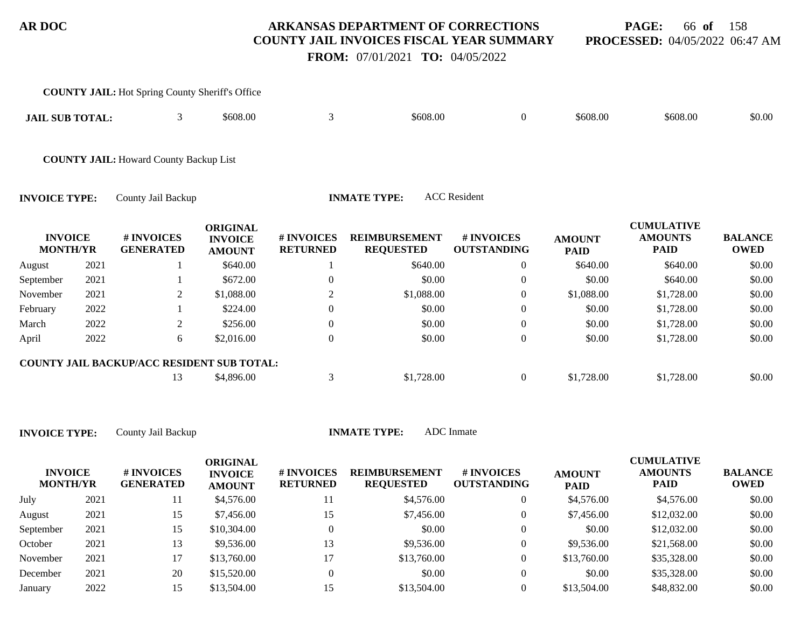# **PAGE:** 66 **of** 158 **PROCESSED:** 04/05/2022 06:47 AM

 **FROM:** 07/01/2021 **TO:** 04/05/2022

|                                   |      | <b>COUNTY JAIL:</b> Hot Spring County Sheriff's Office |                                                    |                               |                                          |                                  |                              |                                                    |                               |
|-----------------------------------|------|--------------------------------------------------------|----------------------------------------------------|-------------------------------|------------------------------------------|----------------------------------|------------------------------|----------------------------------------------------|-------------------------------|
| <b>JAIL SUB TOTAL:</b>            |      | 3                                                      | \$608.00                                           | 3                             | \$608.00                                 | $\overline{0}$                   | \$608.00                     | \$608.00                                           | \$0.00                        |
|                                   |      | <b>COUNTY JAIL: Howard County Backup List</b>          |                                                    |                               |                                          |                                  |                              |                                                    |                               |
| <b>INVOICE TYPE:</b>              |      | County Jail Backup                                     |                                                    |                               | <b>INMATE TYPE:</b>                      | <b>ACC</b> Resident              |                              |                                                    |                               |
| <b>INVOICE</b><br><b>MONTH/YR</b> |      | # INVOICES<br><b>GENERATED</b>                         | <b>ORIGINAL</b><br><b>INVOICE</b><br><b>AMOUNT</b> | # INVOICES<br><b>RETURNED</b> | <b>REIMBURSEMENT</b><br><b>REQUESTED</b> | # INVOICES<br><b>OUTSTANDING</b> | <b>AMOUNT</b><br><b>PAID</b> | <b>CUMULATIVE</b><br><b>AMOUNTS</b><br><b>PAID</b> | <b>BALANCE</b><br><b>OWED</b> |
| August                            | 2021 |                                                        | \$640.00                                           |                               | \$640.00                                 | $\overline{0}$                   | \$640.00                     | \$640.00                                           | \$0.00                        |
| September                         | 2021 |                                                        | \$672.00                                           | $\overline{0}$                | \$0.00                                   | $\boldsymbol{0}$                 | \$0.00                       | \$640.00                                           | \$0.00                        |
| November                          | 2021 | 2                                                      | \$1,088.00                                         | $\overline{2}$                | \$1,088.00                               | $\mathbf{0}$                     | \$1,088.00                   | \$1,728.00                                         | \$0.00                        |
| February                          | 2022 |                                                        | \$224.00                                           | $\theta$                      | \$0.00                                   | $\Omega$                         | \$0.00                       | \$1,728.00                                         | \$0.00                        |
| March                             | 2022 | 2                                                      | \$256.00                                           | $\overline{0}$                | \$0.00                                   | $\overline{0}$                   | \$0.00                       | \$1,728.00                                         | \$0.00                        |
| April                             | 2022 | 6                                                      | \$2,016.00                                         | $\overline{0}$                | \$0.00                                   | $\boldsymbol{0}$                 | \$0.00                       | \$1,728.00                                         | \$0.00                        |
|                                   |      | <b>COUNTY JAIL BACKUP/ACC RESIDENT SUB TOTAL:</b>      |                                                    |                               |                                          |                                  |                              |                                                    |                               |
|                                   |      | 13                                                     | \$4,896.00                                         | 3                             | \$1,728.00                               | $\overline{0}$                   | \$1,728.00                   | \$1,728.00                                         | \$0.00                        |

| <b>INVOICE</b><br><b>MONTH/YR</b> |      | # INVOICES<br><b>GENERATED</b> | ORIGINAL<br><b>INVOICE</b><br><b>AMOUNT</b> | # INVOICES<br><b>RETURNED</b> | <b>REIMBURSEMENT</b><br><b>REQUESTED</b> | <b># INVOICES</b><br><b>OUTSTANDING</b> | <b>AMOUNT</b><br><b>PAID</b> | <b>CUMULATIVE</b><br><b>AMOUNTS</b><br><b>PAID</b> | <b>BALANCE</b><br><b>OWED</b> |
|-----------------------------------|------|--------------------------------|---------------------------------------------|-------------------------------|------------------------------------------|-----------------------------------------|------------------------------|----------------------------------------------------|-------------------------------|
| July                              | 2021 | 11                             | \$4,576.00                                  |                               | \$4,576.00                               | 0                                       | \$4,576.00                   | \$4,576.00                                         | \$0.00                        |
| August                            | 2021 | 15                             | \$7,456.00                                  | 15                            | \$7,456.00                               | 0                                       | \$7,456.00                   | \$12,032.00                                        | \$0.00                        |
| September                         | 2021 | 15                             | \$10,304.00                                 |                               | \$0.00                                   | 0                                       | \$0.00                       | \$12,032.00                                        | \$0.00                        |
| October                           | 2021 | 13                             | \$9,536.00                                  | 13                            | \$9,536.00                               | 0                                       | \$9,536.00                   | \$21,568.00                                        | \$0.00                        |
| November                          | 2021 |                                | \$13,760.00                                 |                               | \$13,760.00                              | 0                                       | \$13,760.00                  | \$35,328.00                                        | \$0.00                        |
| December                          | 2021 | 20                             | \$15,520.00                                 |                               | \$0.00                                   | 0                                       | \$0.00                       | \$35,328.00                                        | \$0.00                        |
| January                           | 2022 | 15                             | \$13,504.00                                 |                               | \$13,504.00                              |                                         | \$13,504.00                  | \$48,832.00                                        | \$0.00                        |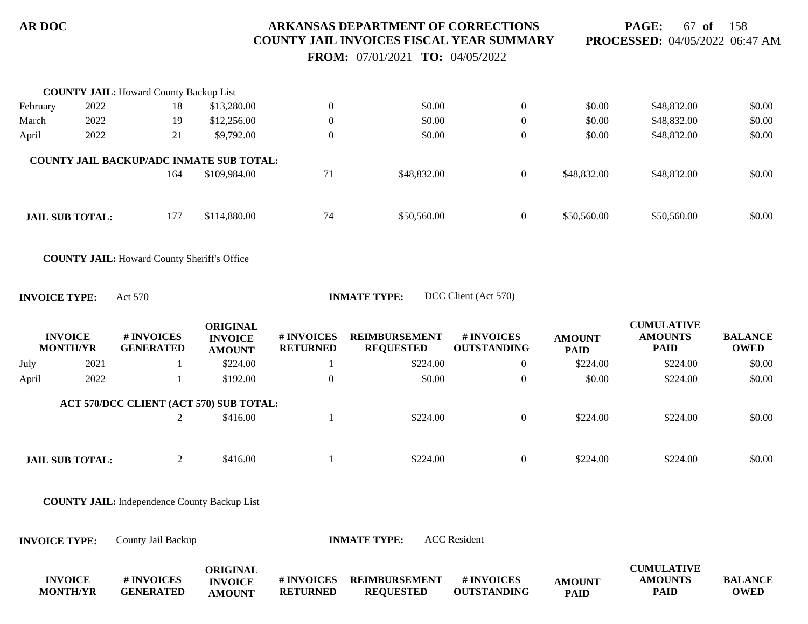**PAGE:** 67 **of** 158 **PROCESSED:** 04/05/2022 06:47 AM

 **FROM:** 07/01/2021 **TO:** 04/05/2022

|                        | <b>COUNTY JAIL:</b> Howard County Backup List |     |                                                 |                  |             |                |             |             |        |
|------------------------|-----------------------------------------------|-----|-------------------------------------------------|------------------|-------------|----------------|-------------|-------------|--------|
| February               | 2022                                          | 18  | \$13,280.00                                     | $\overline{0}$   | \$0.00      | $\overline{0}$ | \$0.00      | \$48,832.00 | \$0.00 |
| March                  | 2022                                          | 19  | \$12,256.00                                     | $\overline{0}$   | \$0.00      | $\overline{0}$ | \$0.00      | \$48,832.00 | \$0.00 |
| April                  | 2022                                          | 21  | \$9,792.00                                      | $\boldsymbol{0}$ | \$0.00      | $\mathbf{0}$   | \$0.00      | \$48,832.00 | \$0.00 |
|                        |                                               |     | <b>COUNTY JAIL BACKUP/ADC INMATE SUB TOTAL:</b> |                  |             |                |             |             |        |
|                        |                                               | 164 | \$109,984.00                                    | 71               | \$48,832.00 | $\overline{0}$ | \$48,832.00 | \$48,832.00 | \$0.00 |
|                        |                                               |     |                                                 |                  |             |                |             |             |        |
| <b>JAIL SUB TOTAL:</b> |                                               | 177 | \$114,880.00                                    | 74               | \$50,560.00 | $\overline{0}$ | \$50,560.00 | \$50,560.00 | \$0.00 |
|                        |                                               |     |                                                 |                  |             |                |             |             |        |
|                        |                                               |     |                                                 |                  |             |                |             |             |        |

**COUNTY JAIL:** Howard County Sheriff's Office

**INVOICE TYPE:** Act 570 **INMATE TYPE:** DCC Client (Act 570)

|       | <b>INVOICE</b><br><b>MONTH/YR</b> | # INVOICES<br><b>GENERATED</b> | <b>ORIGINAL</b><br><b>INVOICE</b><br><b>AMOUNT</b> | # INVOICES<br><b>RETURNED</b> | <b>REIMBURSEMENT</b><br><b>REQUESTED</b> | # INVOICES<br><b>OUTSTANDING</b> | <b>AMOUNT</b><br><b>PAID</b> | <b>CUMULATIVE</b><br><b>AMOUNTS</b><br><b>PAID</b> | <b>BALANCE</b><br><b>OWED</b> |
|-------|-----------------------------------|--------------------------------|----------------------------------------------------|-------------------------------|------------------------------------------|----------------------------------|------------------------------|----------------------------------------------------|-------------------------------|
| July  | 2021                              |                                | \$224.00                                           |                               | \$224.00                                 |                                  | \$224.00                     | \$224.00                                           | \$0.00                        |
| April | 2022                              |                                | \$192.00                                           | $\overline{0}$                | \$0.00                                   |                                  | \$0.00                       | \$224.00                                           | \$0.00                        |
|       |                                   |                                | ACT 570/DCC CLIENT (ACT 570) SUB TOTAL:            |                               |                                          |                                  |                              |                                                    |                               |
|       |                                   |                                | \$416.00                                           |                               | \$224.00                                 |                                  | \$224.00                     | \$224.00                                           | \$0.00                        |
|       |                                   |                                |                                                    |                               |                                          |                                  |                              |                                                    |                               |
|       | <b>JAIL SUB TOTAL:</b>            |                                | \$416.00                                           |                               | \$224.00                                 |                                  | \$224.00                     | \$224.00                                           | \$0.00                        |

**COUNTY JAIL:** Independence County Backup List

**INVOICE TYPE:** County Jail Backup **INMATE TYPE:** ACC Resident

|                 |                  | ORIGINAL       |                   |                  |                    |               | <b>CUMULATIVE</b> |                |
|-----------------|------------------|----------------|-------------------|------------------|--------------------|---------------|-------------------|----------------|
| <b>INVOICE</b>  | # INVOICES       | <b>INVOICE</b> | <b># INVOICES</b> | REIMBURSEMENT    | # INVOICES         | <b>AMOUNT</b> | <b>AMOUNTS</b>    | <b>BALANCE</b> |
| <b>MONTH/YR</b> | <b>GENERATED</b> | <b>AMOUNT</b>  | <b>RETURNED</b>   | <b>REOUESTED</b> | <b>OUTSTANDING</b> | <b>PAID</b>   | PAID              | <b>OWED</b>    |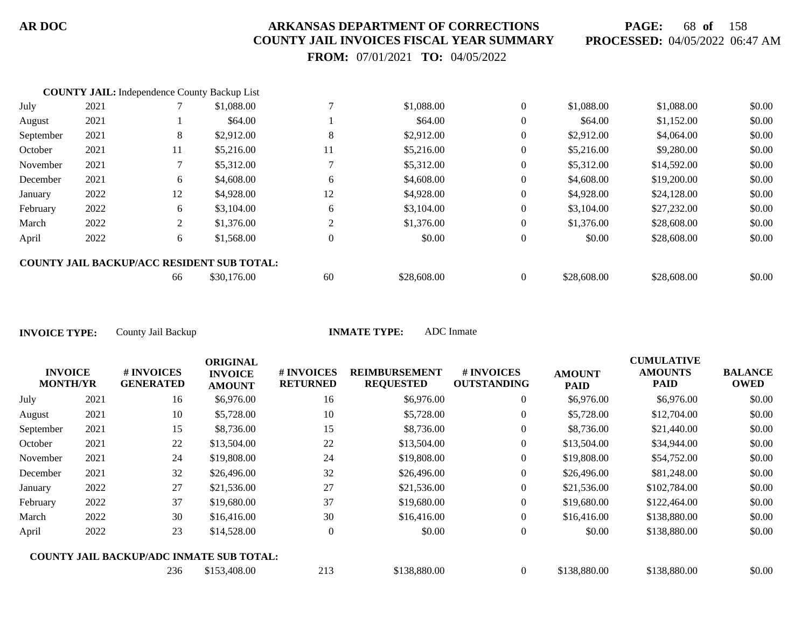**PAGE:** 68 **of** 158 **PROCESSED:** 04/05/2022 06:47 AM

 **FROM:** 07/01/2021 **TO:** 04/05/2022

|           | <b>COUNTY JAIL:</b> Independence County Backup List |    |                                                   |    |             |                |             |             |        |
|-----------|-----------------------------------------------------|----|---------------------------------------------------|----|-------------|----------------|-------------|-------------|--------|
| July      | 2021                                                |    | \$1,088.00                                        |    | \$1,088.00  | $\mathbf{0}$   | \$1,088.00  | \$1,088.00  | \$0.00 |
| August    | 2021                                                |    | \$64.00                                           |    | \$64.00     | $\theta$       | \$64.00     | \$1,152.00  | \$0.00 |
| September | 2021                                                | 8  | \$2,912.00                                        | 8  | \$2,912.00  | $\theta$       | \$2,912.00  | \$4,064.00  | \$0.00 |
| October   | 2021                                                | 11 | \$5,216.00                                        | 11 | \$5,216.00  | $\theta$       | \$5,216.00  | \$9,280.00  | \$0.00 |
| November  | 2021                                                |    | \$5,312.00                                        |    | \$5,312.00  | $\theta$       | \$5,312.00  | \$14,592.00 | \$0.00 |
| December  | 2021                                                | 6  | \$4,608.00                                        | 6  | \$4,608.00  | $\theta$       | \$4,608.00  | \$19,200.00 | \$0.00 |
| January   | 2022                                                | 12 | \$4,928.00                                        | 12 | \$4,928.00  | $\theta$       | \$4,928.00  | \$24,128.00 | \$0.00 |
| February  | 2022                                                | 6  | \$3,104.00                                        | 6  | \$3,104.00  | $\theta$       | \$3,104.00  | \$27,232.00 | \$0.00 |
| March     | 2022                                                | 2  | \$1,376.00                                        | 2  | \$1,376.00  | $\theta$       | \$1,376.00  | \$28,608.00 | \$0.00 |
| April     | 2022                                                | 6  | \$1,568.00                                        |    | \$0.00      | $\overline{0}$ | \$0.00      | \$28,608.00 | \$0.00 |
|           |                                                     |    | <b>COUNTY JAIL BACKUP/ACC RESIDENT SUB TOTAL:</b> |    |             |                |             |             |        |
|           |                                                     | 66 | \$30,176.00                                       | 60 | \$28,608.00 |                | \$28,608.00 | \$28,608.00 | \$0.00 |

|                                   |      |                                                 | <b>ORIGINAL</b>                 |                               |                                          |                                  |                              | <b>CUMULATIVE</b>      |                               |
|-----------------------------------|------|-------------------------------------------------|---------------------------------|-------------------------------|------------------------------------------|----------------------------------|------------------------------|------------------------|-------------------------------|
| <b>INVOICE</b><br><b>MONTH/YR</b> |      | # INVOICES<br><b>GENERATED</b>                  | <b>INVOICE</b><br><b>AMOUNT</b> | # INVOICES<br><b>RETURNED</b> | <b>REIMBURSEMENT</b><br><b>REQUESTED</b> | # INVOICES<br><b>OUTSTANDING</b> | <b>AMOUNT</b><br><b>PAID</b> | <b>AMOUNTS</b><br>PAID | <b>BALANCE</b><br><b>OWED</b> |
| July                              | 2021 | 16                                              | \$6,976.00                      | 16                            | \$6,976.00                               | $\overline{0}$                   | \$6,976.00                   | \$6,976.00             | \$0.00                        |
| August                            | 2021 | 10                                              | \$5,728.00                      | 10                            | \$5,728.00                               | $\overline{0}$                   | \$5,728.00                   | \$12,704.00            | \$0.00                        |
| September                         | 2021 | 15                                              | \$8,736.00                      | 15                            | \$8,736.00                               | $\theta$                         | \$8,736.00                   | \$21,440.00            | \$0.00                        |
| October                           | 2021 | 22                                              | \$13,504.00                     | 22                            | \$13,504.00                              | $\boldsymbol{0}$                 | \$13,504.00                  | \$34,944.00            | \$0.00                        |
| November                          | 2021 | 24                                              | \$19,808.00                     | 24                            | \$19,808.00                              | $\overline{0}$                   | \$19,808.00                  | \$54,752.00            | \$0.00                        |
| December                          | 2021 | 32                                              | \$26,496.00                     | 32                            | \$26,496.00                              | $\overline{0}$                   | \$26,496.00                  | \$81,248.00            | \$0.00                        |
| January                           | 2022 | 27                                              | \$21,536.00                     | 27                            | \$21,536.00                              | $\overline{0}$                   | \$21,536.00                  | \$102,784.00           | \$0.00                        |
| February                          | 2022 | 37                                              | \$19,680.00                     | 37                            | \$19,680.00                              | $\overline{0}$                   | \$19,680.00                  | \$122,464.00           | \$0.00                        |
| March                             | 2022 | 30                                              | \$16,416.00                     | 30                            | \$16,416.00                              | $\overline{0}$                   | \$16,416.00                  | \$138,880.00           | \$0.00                        |
| April                             | 2022 | 23                                              | \$14,528.00                     | $\mathbf{0}$                  | \$0.00                                   | $\boldsymbol{0}$                 | \$0.00                       | \$138,880.00           | \$0.00                        |
|                                   |      | <b>COUNTY JAIL BACKUP/ADC INMATE SUB TOTAL:</b> |                                 |                               |                                          |                                  |                              |                        |                               |
|                                   |      | 236                                             | \$153,408.00                    | 213                           | \$138,880.00                             | $\overline{0}$                   | \$138,880.00                 | \$138,880.00           | \$0.00                        |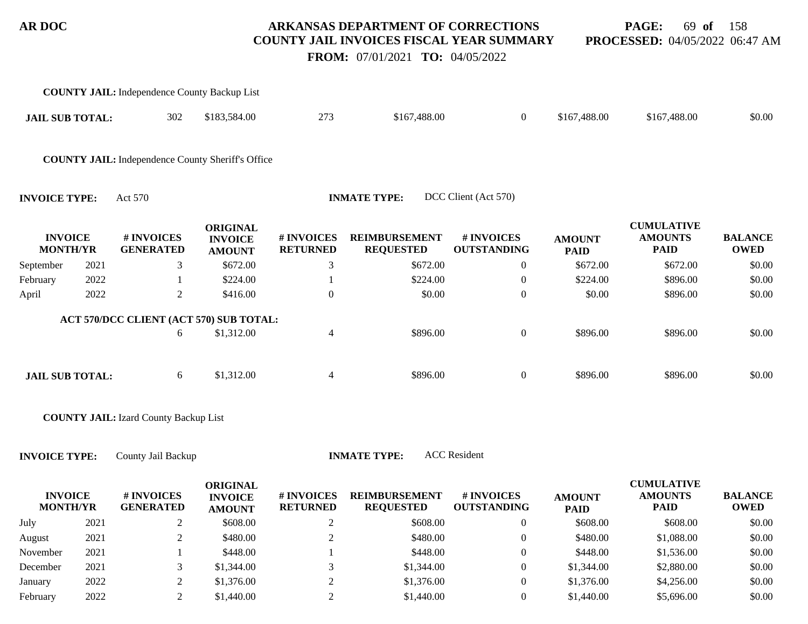**PAGE:** 69 **of** 158 **PROCESSED:** 04/05/2022 06:47 AM

 **FROM:** 07/01/2021 **TO:** 04/05/2022

|                                   |      | <b>COUNTY JAIL:</b> Independence County Backup List      |                                                    |                               |                                          |                                  |                              |                                                    |                               |
|-----------------------------------|------|----------------------------------------------------------|----------------------------------------------------|-------------------------------|------------------------------------------|----------------------------------|------------------------------|----------------------------------------------------|-------------------------------|
| <b>JAIL SUB TOTAL:</b>            |      | 302                                                      | \$183,584.00                                       | 273                           | \$167,488.00                             | $\overline{0}$                   | \$167,488.00                 | \$167,488.00                                       | \$0.00                        |
|                                   |      | <b>COUNTY JAIL:</b> Independence County Sheriff's Office |                                                    |                               |                                          |                                  |                              |                                                    |                               |
| <b>INVOICE TYPE:</b>              |      | Act 570                                                  |                                                    |                               | <b>INMATE TYPE:</b>                      | DCC Client (Act 570)             |                              |                                                    |                               |
| <b>INVOICE</b><br><b>MONTH/YR</b> |      | # INVOICES<br><b>GENERATED</b>                           | <b>ORIGINAL</b><br><b>INVOICE</b><br><b>AMOUNT</b> | # INVOICES<br><b>RETURNED</b> | <b>REIMBURSEMENT</b><br><b>REQUESTED</b> | # INVOICES<br><b>OUTSTANDING</b> | <b>AMOUNT</b><br><b>PAID</b> | <b>CUMULATIVE</b><br><b>AMOUNTS</b><br><b>PAID</b> | <b>BALANCE</b><br><b>OWED</b> |
| September                         | 2021 | 3                                                        | \$672.00                                           | 3                             | \$672.00                                 | $\overline{0}$                   | \$672.00                     | \$672.00                                           | \$0.00                        |
| February                          | 2022 |                                                          | \$224.00                                           |                               | \$224.00                                 | $\boldsymbol{0}$                 | \$224.00                     | \$896.00                                           | \$0.00                        |
| April                             | 2022 | $\overline{2}$                                           | \$416.00                                           | $\mathbf{0}$                  | \$0.00                                   | $\boldsymbol{0}$                 | \$0.00                       | \$896.00                                           | \$0.00                        |
|                                   |      | ACT 570/DCC CLIENT (ACT 570) SUB TOTAL:                  |                                                    |                               |                                          |                                  |                              |                                                    |                               |
|                                   |      | 6                                                        | \$1,312.00                                         | $\overline{4}$                | \$896.00                                 | $\mathbf{0}$                     | \$896.00                     | \$896.00                                           | \$0.00                        |
| <b>JAIL SUB TOTAL:</b>            |      | 6                                                        | \$1,312.00                                         | $\overline{4}$                | \$896.00                                 | $\overline{0}$                   | \$896.00                     | \$896.00                                           | \$0.00                        |
|                                   |      | <b>COUNTY JAIL: Izard County Backup List</b>             |                                                    |                               |                                          |                                  |                              |                                                    |                               |
| <b>INVOICE TYPE:</b>              |      | County Jail Backup                                       |                                                    |                               | <b>INMATE TYPE:</b>                      | <b>ACC</b> Resident              |                              |                                                    |                               |
| <b>INVOICE</b><br><b>MONTH/YR</b> |      | # INVOICES<br><b>GENERATED</b>                           | <b>ORIGINAL</b><br><b>INVOICE</b><br><b>AMOUNT</b> | # INVOICES<br><b>RETURNED</b> | <b>REIMBURSEMENT</b><br><b>REQUESTED</b> | # INVOICES<br><b>OUTSTANDING</b> | <b>AMOUNT</b><br><b>DAID</b> | <b>CUMULATIVE</b><br><b>AMOUNTS</b><br><b>PAID</b> | <b>BALANCE</b><br><b>OWED</b> |

| -- - - - - - -<br><b>MONTH/YR</b> |      | .<br><b>GENERATED</b> | итторо<br><b>AMOUNT</b> | <b>RETURNED</b> | <b>REQUESTED</b> | <b>OUTSTANDING</b> | <b>ARIVULLE</b><br><b>PAID</b> | .<br><b>PAID</b> | ---------<br><b>OWED</b> |
|-----------------------------------|------|-----------------------|-------------------------|-----------------|------------------|--------------------|--------------------------------|------------------|--------------------------|
| July                              | 2021 |                       | \$608.00                |                 | \$608.00         |                    | \$608.00                       | \$608.00         | \$0.00                   |
| August                            | 2021 |                       | \$480.00                |                 | \$480.00         |                    | \$480.00                       | \$1,088.00       | \$0.00                   |
| November                          | 2021 |                       | \$448.00                |                 | \$448.00         |                    | \$448.00                       | \$1,536.00       | \$0.00                   |
| December                          | 2021 |                       | \$1.344.00              |                 | \$1,344.00       |                    | \$1,344.00                     | \$2,880.00       | \$0.00                   |
| January                           | 2022 |                       | \$1,376.00              |                 | \$1,376.00       |                    | \$1,376.00                     | \$4,256.00       | \$0.00                   |
| February                          | 2022 |                       | \$1,440.00              |                 | \$1,440.00       |                    | \$1,440.00                     | \$5,696.00       | \$0.00                   |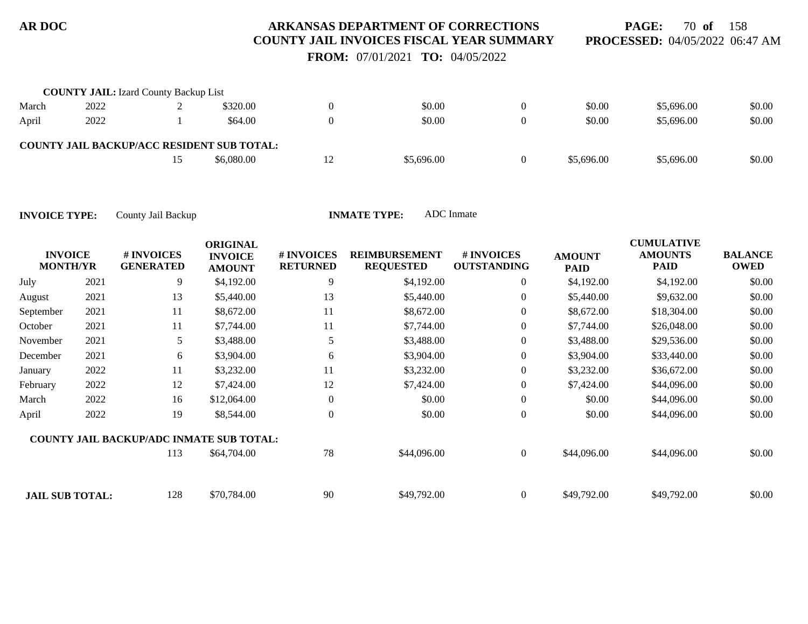**PAGE:** 70 **of** 158 **PROCESSED:** 04/05/2022 06:47 AM

 **FROM:** 07/01/2021 **TO:** 04/05/2022

|       | <b>COUNTY JAIL:</b> Izard County Backup List |                                                   |                |            |            |            |        |
|-------|----------------------------------------------|---------------------------------------------------|----------------|------------|------------|------------|--------|
| March | 2022                                         | \$320.00                                          |                | \$0.00     | \$0.00     | \$5,696.00 | \$0.00 |
| April | 2022                                         | \$64.00                                           |                | \$0.00     | \$0.00     | \$5,696.00 | \$0.00 |
|       |                                              | <b>COUNTY JAIL BACKUP/ACC RESIDENT SUB TOTAL:</b> |                |            |            |            |        |
|       |                                              | \$6.080.00                                        | $\overline{1}$ | \$5,696.00 | \$5,696.00 | \$5,696.00 | \$0.00 |

| <b>INVOICE</b><br><b>MONTH/YR</b> |      | # INVOICES<br><b>GENERATED</b>                  | <b>ORIGINAL</b><br><b>INVOICE</b><br><b>AMOUNT</b> | # INVOICES<br><b>RETURNED</b> | <b>REIMBURSEMENT</b><br><b>REQUESTED</b> | # INVOICES<br><b>OUTSTANDING</b> | <b>AMOUNT</b><br><b>PAID</b> | <b>CUMULATIVE</b><br><b>AMOUNTS</b><br><b>PAID</b> | <b>BALANCE</b><br><b>OWED</b> |
|-----------------------------------|------|-------------------------------------------------|----------------------------------------------------|-------------------------------|------------------------------------------|----------------------------------|------------------------------|----------------------------------------------------|-------------------------------|
| July                              | 2021 | 9                                               | \$4,192.00                                         | 9                             | \$4,192.00                               | $\overline{0}$                   | \$4,192.00                   | \$4,192.00                                         | \$0.00                        |
| August                            | 2021 | 13                                              | \$5,440.00                                         | 13                            | \$5,440.00                               | $\overline{0}$                   | \$5,440.00                   | \$9,632.00                                         | \$0.00                        |
| September                         | 2021 | 11                                              | \$8,672.00                                         | 11                            | \$8,672.00                               | $\boldsymbol{0}$                 | \$8,672.00                   | \$18,304.00                                        | \$0.00                        |
| October                           | 2021 | 11                                              | \$7,744.00                                         | 11                            | \$7,744.00                               | $\overline{0}$                   | \$7,744.00                   | \$26,048.00                                        | \$0.00                        |
| November                          | 2021 | 5                                               | \$3,488.00                                         | 5                             | \$3,488.00                               | $\overline{0}$                   | \$3,488.00                   | \$29,536.00                                        | \$0.00                        |
| December                          | 2021 | 6                                               | \$3,904.00                                         | 6                             | \$3,904.00                               | $\mathbf{0}$                     | \$3,904.00                   | \$33,440.00                                        | \$0.00                        |
| January                           | 2022 | 11                                              | \$3,232.00                                         | 11                            | \$3,232.00                               | $\boldsymbol{0}$                 | \$3,232.00                   | \$36,672.00                                        | \$0.00                        |
| February                          | 2022 | 12                                              | \$7,424.00                                         | 12                            | \$7,424.00                               | $\boldsymbol{0}$                 | \$7,424.00                   | \$44,096.00                                        | \$0.00                        |
| March                             | 2022 | 16                                              | \$12,064.00                                        | $\overline{0}$                | \$0.00                                   | $\mathbf{0}$                     | \$0.00                       | \$44,096.00                                        | \$0.00                        |
| April                             | 2022 | 19                                              | \$8,544.00                                         | $\Omega$                      | \$0.00                                   | $\mathbf{0}$                     | \$0.00                       | \$44,096.00                                        | \$0.00                        |
|                                   |      | <b>COUNTY JAIL BACKUP/ADC INMATE SUB TOTAL:</b> |                                                    |                               |                                          |                                  |                              |                                                    |                               |
|                                   |      | 113                                             | \$64,704.00                                        | 78                            | \$44,096.00                              | $\boldsymbol{0}$                 | \$44,096.00                  | \$44,096.00                                        | \$0.00                        |
| <b>JAIL SUB TOTAL:</b>            |      | 128                                             | \$70,784.00                                        | 90                            | \$49,792.00                              | $\overline{0}$                   | \$49,792.00                  | \$49,792.00                                        | \$0.00                        |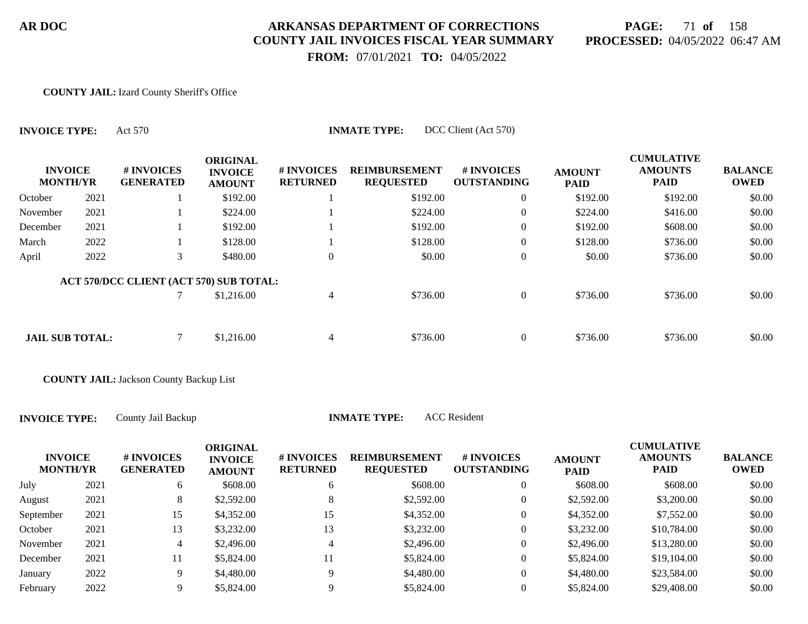# **PAGE:** 71 **of** 158 **PROCESSED:** 04/05/2022 06:47 AM

 **FROM:** 07/01/2021 **TO:** 04/05/2022

#### **COUNTY JAIL:** Izard County Sheriff's Office

| <b>INVOICE TYPE:</b>              |      | DCC Client (Act 570)<br><b>INMATE TYPE:</b><br>Act 570 |                                                    |                               |                                          |                                  |                              |                                                    |                               |  |
|-----------------------------------|------|--------------------------------------------------------|----------------------------------------------------|-------------------------------|------------------------------------------|----------------------------------|------------------------------|----------------------------------------------------|-------------------------------|--|
| <b>INVOICE</b><br><b>MONTH/YR</b> |      | # INVOICES<br><b>GENERATED</b>                         | <b>ORIGINAL</b><br><b>INVOICE</b><br><b>AMOUNT</b> | # INVOICES<br><b>RETURNED</b> | <b>REIMBURSEMENT</b><br><b>REQUESTED</b> | # INVOICES<br><b>OUTSTANDING</b> | <b>AMOUNT</b><br><b>PAID</b> | <b>CUMULATIVE</b><br><b>AMOUNTS</b><br><b>PAID</b> | <b>BALANCE</b><br><b>OWED</b> |  |
| October                           | 2021 |                                                        | \$192.00                                           |                               | \$192.00                                 | $\boldsymbol{0}$                 | \$192.00                     | \$192.00                                           | \$0.00                        |  |
| November                          | 2021 |                                                        | \$224.00                                           |                               | \$224.00                                 | $\overline{0}$                   | \$224.00                     | \$416.00                                           | \$0.00                        |  |
| December                          | 2021 |                                                        | \$192.00                                           |                               | \$192.00                                 | $\overline{0}$                   | \$192.00                     | \$608.00                                           | \$0.00                        |  |
| March                             | 2022 |                                                        | \$128.00                                           |                               | \$128.00                                 | $\overline{0}$                   | \$128.00                     | \$736.00                                           | \$0.00                        |  |
| April                             | 2022 | 3                                                      | \$480.00                                           | 0                             | \$0.00                                   | $\boldsymbol{0}$                 | \$0.00                       | \$736.00                                           | \$0.00                        |  |
|                                   |      | ACT 570/DCC CLIENT (ACT 570) SUB TOTAL:                |                                                    |                               |                                          |                                  |                              |                                                    |                               |  |
|                                   |      |                                                        | \$1,216.00                                         | $\overline{4}$                | \$736.00                                 | $\overline{0}$                   | \$736.00                     | \$736.00                                           | \$0.00                        |  |
|                                   |      |                                                        |                                                    |                               |                                          |                                  |                              |                                                    |                               |  |
| <b>JAIL SUB TOTAL:</b>            |      |                                                        | \$1,216.00                                         | $\overline{4}$                | \$736.00                                 | $\overline{0}$                   | \$736.00                     | \$736.00                                           | \$0.00                        |  |

**COUNTY JAIL:** Jackson County Backup List

**INVOICE TYPE:** County Jail Backup **INMATE TYPE** 

| E: | <b>ACC</b> Resident |
|----|---------------------|
|----|---------------------|

| <b>INVOICE</b><br><b>MONTH/YR</b> |      | # INVOICES<br><b>GENERATED</b> | <b>ORIGINAL</b><br><b>INVOICE</b><br><b>AMOUNT</b> | <b># INVOICES</b><br><b>RETURNED</b> | <b>REIMBURSEMENT</b><br><b>REQUESTED</b> | # INVOICES<br><b>OUTSTANDING</b> | <b>AMOUNT</b><br><b>PAID</b> | <b>CUMULATIVE</b><br><b>AMOUNTS</b><br><b>PAID</b> | <b>BALANCE</b><br>OWED |
|-----------------------------------|------|--------------------------------|----------------------------------------------------|--------------------------------------|------------------------------------------|----------------------------------|------------------------------|----------------------------------------------------|------------------------|
| July                              | 2021 | 6                              | \$608.00                                           | <sub>0</sub>                         | \$608.00                                 | 0                                | \$608.00                     | \$608.00                                           | \$0.00                 |
| August                            | 2021 | 8                              | \$2,592.00                                         | 8                                    | \$2,592.00                               | 0                                | \$2,592.00                   | \$3,200.00                                         | \$0.00                 |
| September                         | 2021 | 15                             | \$4,352.00                                         | 15                                   | \$4,352.00                               | $\theta$                         | \$4,352.00                   | \$7,552.00                                         | \$0.00                 |
| October                           | 2021 | 13                             | \$3,232.00                                         | 13                                   | \$3,232.00                               | 0                                | \$3,232.00                   | \$10,784.00                                        | \$0.00                 |
| November                          | 2021 | 4                              | \$2,496.00                                         |                                      | \$2,496.00                               | 0                                | \$2,496.00                   | \$13,280.00                                        | \$0.00                 |
| December                          | 2021 | 11                             | \$5,824.00                                         |                                      | \$5,824.00                               | 0                                | \$5,824.00                   | \$19,104.00                                        | \$0.00                 |
| January                           | 2022 | 9                              | \$4,480.00                                         | Q                                    | \$4,480.00                               | $\overline{0}$                   | \$4,480.00                   | \$23,584.00                                        | \$0.00                 |
| February                          | 2022 | 9                              | \$5,824.00                                         |                                      | \$5,824.00                               |                                  | \$5,824.00                   | \$29,408.00                                        | \$0.00                 |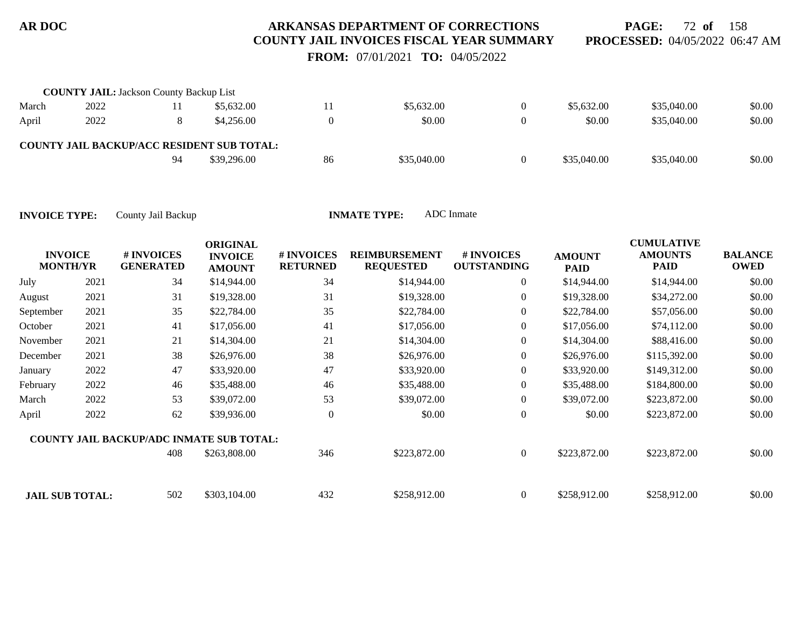**PAGE:** 72 **of** 158 **PROCESSED:** 04/05/2022 06:47 AM

 **FROM:** 07/01/2021 **TO:** 04/05/2022

|       | <b>COUNTY JAIL: Jackson County Backup List</b> |    |                                                   |    |             |             |             |        |
|-------|------------------------------------------------|----|---------------------------------------------------|----|-------------|-------------|-------------|--------|
| March | 2022                                           |    | \$5,632.00                                        |    | \$5,632.00  | \$5,632.00  | \$35,040.00 | \$0.00 |
| April | 2022                                           |    | \$4,256.00                                        |    | \$0.00      | \$0.00      | \$35,040.00 | \$0.00 |
|       |                                                |    | <b>COUNTY JAIL BACKUP/ACC RESIDENT SUB TOTAL:</b> |    |             |             |             |        |
|       |                                                | 94 | \$39,296.00                                       | 86 | \$35,040.00 | \$35,040.00 | \$35,040.00 | \$0.00 |

| <b>INVOICE</b><br><b>MONTH/YR</b> |      | # INVOICES<br><b>GENERATED</b>                  | <b>ORIGINAL</b><br><b>INVOICE</b><br><b>AMOUNT</b> | # INVOICES<br><b>RETURNED</b> | <b>REIMBURSEMENT</b><br><b>REQUESTED</b> | # INVOICES<br><b>OUTSTANDING</b> | <b>AMOUNT</b><br><b>PAID</b> | <b>CUMULATIVE</b><br><b>AMOUNTS</b><br><b>PAID</b> | <b>BALANCE</b><br><b>OWED</b> |
|-----------------------------------|------|-------------------------------------------------|----------------------------------------------------|-------------------------------|------------------------------------------|----------------------------------|------------------------------|----------------------------------------------------|-------------------------------|
| July                              | 2021 | 34                                              | \$14,944.00                                        | 34                            | \$14,944.00                              | $\overline{0}$                   | \$14,944.00                  | \$14,944.00                                        | \$0.00                        |
| August                            | 2021 | 31                                              | \$19,328.00                                        | 31                            | \$19,328.00                              | $\overline{0}$                   | \$19,328.00                  | \$34,272.00                                        | \$0.00                        |
| September                         | 2021 | 35                                              | \$22,784.00                                        | 35                            | \$22,784.00                              | $\boldsymbol{0}$                 | \$22,784.00                  | \$57,056.00                                        | \$0.00                        |
| October                           | 2021 | 41                                              | \$17,056.00                                        | 41                            | \$17,056.00                              | $\overline{0}$                   | \$17,056.00                  | \$74,112.00                                        | \$0.00                        |
| November                          | 2021 | 21                                              | \$14,304.00                                        | 21                            | \$14,304.00                              | $\overline{0}$                   | \$14,304.00                  | \$88,416.00                                        | \$0.00                        |
| December                          | 2021 | 38                                              | \$26,976.00                                        | 38                            | \$26,976.00                              | $\overline{0}$                   | \$26,976.00                  | \$115,392.00                                       | \$0.00                        |
| January                           | 2022 | 47                                              | \$33,920.00                                        | 47                            | \$33,920.00                              | $\overline{0}$                   | \$33,920.00                  | \$149,312.00                                       | \$0.00                        |
| February                          | 2022 | 46                                              | \$35,488.00                                        | 46                            | \$35,488.00                              | $\boldsymbol{0}$                 | \$35,488.00                  | \$184,800.00                                       | \$0.00                        |
| March                             | 2022 | 53                                              | \$39,072.00                                        | 53                            | \$39,072.00                              | $\overline{0}$                   | \$39,072.00                  | \$223,872.00                                       | \$0.00                        |
| April                             | 2022 | 62                                              | \$39,936.00                                        | $\theta$                      | \$0.00                                   | $\mathbf{0}$                     | \$0.00                       | \$223,872.00                                       | \$0.00                        |
|                                   |      | <b>COUNTY JAIL BACKUP/ADC INMATE SUB TOTAL:</b> |                                                    |                               |                                          |                                  |                              |                                                    |                               |
|                                   |      | 408                                             | \$263,808.00                                       | 346                           | \$223,872.00                             | $\overline{0}$                   | \$223,872.00                 | \$223,872.00                                       | \$0.00                        |
| <b>JAIL SUB TOTAL:</b>            |      | 502                                             | \$303,104.00                                       | 432                           | \$258,912.00                             | $\Omega$                         | \$258,912.00                 | \$258,912.00                                       | \$0.00                        |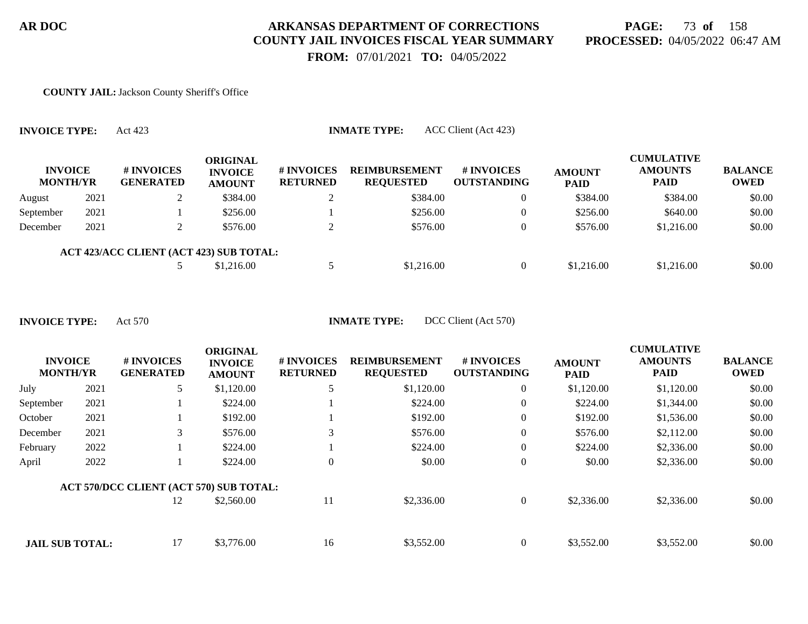# **PAGE:** 73 **of** 158 **PROCESSED:** 04/05/2022 06:47 AM

 **FROM:** 07/01/2021 **TO:** 04/05/2022

#### **COUNTY JAIL:** Jackson County Sheriff's Office

| <b>INVOICE</b><br><b>MONTH/YR</b> |      | # INVOICES<br><b>GENERATED</b>          | ORIGINAL<br><b>INVOICE</b><br><b>AMOUNT</b> | # INVOICES<br><b>RETURNED</b> | <b>REIMBURSEMENT</b><br><b>REQUESTED</b> | # INVOICES<br><b>OUTSTANDING</b> | <b>AMOUNT</b><br><b>PAID</b> | <b>CUMULATIVE</b><br><b>AMOUNTS</b><br><b>PAID</b> | <b>BALANCE</b><br><b>OWED</b> |
|-----------------------------------|------|-----------------------------------------|---------------------------------------------|-------------------------------|------------------------------------------|----------------------------------|------------------------------|----------------------------------------------------|-------------------------------|
| August                            | 2021 |                                         | \$384.00                                    |                               | \$384.00                                 |                                  | \$384.00                     | \$384.00                                           | \$0.00                        |
| September                         | 2021 |                                         | \$256.00                                    |                               | \$256.00                                 |                                  | \$256.00                     | \$640.00                                           | \$0.00                        |
| December                          | 2021 |                                         | \$576.00                                    |                               | \$576.00                                 |                                  | \$576.00                     | \$1,216.00                                         | \$0.00                        |
|                                   |      | ACT 423/ACC CLIENT (ACT 423) SUB TOTAL: |                                             |                               |                                          |                                  |                              |                                                    |                               |
|                                   |      |                                         | \$1,216.00                                  |                               | \$1,216.00                               |                                  | \$1,216.00                   | \$1,216.00                                         | \$0.00                        |

**INVOICE TYPE:** Act 423 **INMATE TYPE:** ACC Client (Act 423)

|                                   |      |                                         | <b>ORIGINAL</b>                 |                                      |                                          |                                  |                              | <b>CUMULATIVE</b>             |                               |
|-----------------------------------|------|-----------------------------------------|---------------------------------|--------------------------------------|------------------------------------------|----------------------------------|------------------------------|-------------------------------|-------------------------------|
| <b>INVOICE</b><br><b>MONTH/YR</b> |      | # INVOICES<br><b>GENERATED</b>          | <b>INVOICE</b><br><b>AMOUNT</b> | <b># INVOICES</b><br><b>RETURNED</b> | <b>REIMBURSEMENT</b><br><b>REQUESTED</b> | # INVOICES<br><b>OUTSTANDING</b> | <b>AMOUNT</b><br><b>PAID</b> | <b>AMOUNTS</b><br><b>PAID</b> | <b>BALANCE</b><br><b>OWED</b> |
| July                              | 2021 | 5                                       | \$1,120.00                      |                                      | \$1,120.00                               | $\overline{0}$                   | \$1,120.00                   | \$1,120.00                    | \$0.00                        |
| September                         | 2021 |                                         | \$224.00                        |                                      | \$224.00                                 | $\overline{0}$                   | \$224.00                     | \$1,344.00                    | \$0.00                        |
| October                           | 2021 |                                         | \$192.00                        |                                      | \$192.00                                 | $\overline{0}$                   | \$192.00                     | \$1,536.00                    | \$0.00                        |
| December                          | 2021 | 3                                       | \$576.00                        |                                      | \$576.00                                 | $\overline{0}$                   | \$576.00                     | \$2,112.00                    | \$0.00                        |
| February                          | 2022 |                                         | \$224.00                        |                                      | \$224.00                                 | $\overline{0}$                   | \$224.00                     | \$2,336.00                    | \$0.00                        |
| April                             | 2022 |                                         | \$224.00                        | $\overline{0}$                       | \$0.00                                   | $\overline{0}$                   | \$0.00                       | \$2,336.00                    | \$0.00                        |
|                                   |      | ACT 570/DCC CLIENT (ACT 570) SUB TOTAL: |                                 |                                      |                                          |                                  |                              |                               |                               |
|                                   |      | 12                                      | \$2,560.00                      | 11                                   | \$2,336.00                               | $\overline{0}$                   | \$2,336.00                   | \$2,336.00                    | \$0.00                        |
|                                   |      |                                         |                                 |                                      |                                          |                                  |                              |                               |                               |
| <b>JAIL SUB TOTAL:</b>            |      | 17                                      | \$3,776.00                      | 16                                   | \$3,552.00                               | $\Omega$                         | \$3,552.00                   | \$3,552.00                    | \$0.00                        |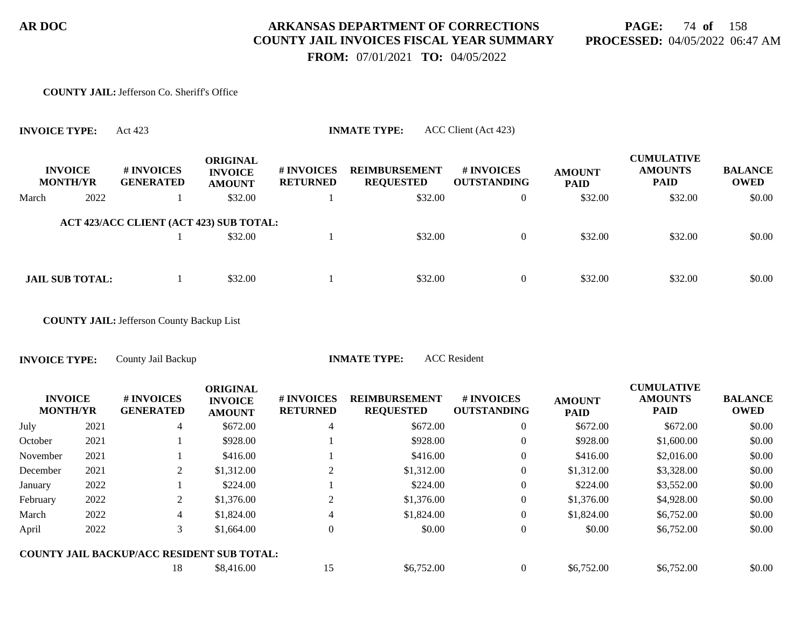# **PAGE:** 74 **of** 158 **PROCESSED:** 04/05/2022 06:47 AM

 **FROM:** 07/01/2021 **TO:** 04/05/2022

#### **COUNTY JAIL:** Jefferson Co. Sheriff's Office

|       | <b>INVOICE TYPE:</b>              | ACC Client (Act 423)<br><b>INMATE TYPE:</b><br>Act 423 |                                                    |                               |                                          |                                  |                              |                                                    |                               |  |  |  |
|-------|-----------------------------------|--------------------------------------------------------|----------------------------------------------------|-------------------------------|------------------------------------------|----------------------------------|------------------------------|----------------------------------------------------|-------------------------------|--|--|--|
|       | <b>INVOICE</b><br><b>MONTH/YR</b> | # INVOICES<br><b>GENERATED</b>                         | <b>ORIGINAL</b><br><b>INVOICE</b><br><b>AMOUNT</b> | # INVOICES<br><b>RETURNED</b> | <b>REIMBURSEMENT</b><br><b>REQUESTED</b> | # INVOICES<br><b>OUTSTANDING</b> | <b>AMOUNT</b><br><b>PAID</b> | <b>CUMULATIVE</b><br><b>AMOUNTS</b><br><b>PAID</b> | <b>BALANCE</b><br><b>OWED</b> |  |  |  |
| March | 2022                              |                                                        | \$32.00                                            |                               | \$32.00                                  | $\overline{0}$                   | \$32.00                      | \$32.00                                            | \$0.00                        |  |  |  |
|       |                                   | ACT 423/ACC CLIENT (ACT 423) SUB TOTAL:                | \$32.00                                            |                               | \$32.00                                  | $\overline{0}$                   |                              | \$32.00                                            | \$0.00                        |  |  |  |
|       |                                   |                                                        |                                                    |                               |                                          |                                  | \$32.00                      |                                                    |                               |  |  |  |
|       | <b>JAIL SUB TOTAL:</b>            |                                                        | \$32.00                                            |                               | \$32.00                                  | $\overline{0}$                   | \$32.00                      | \$32.00                                            | \$0.00                        |  |  |  |

**COUNTY JAIL:** Jefferson County Backup List

**INVOICE TYPE:** County Jail Backup **INMATE TYPE:** ACC Resident

|          | <b>INVOICE</b><br><b>MONTH/YR</b> | # INVOICES<br><b>GENERATED</b>                    | <b>ORIGINAL</b><br><b>INVOICE</b><br><b>AMOUNT</b> | # INVOICES<br><b>RETURNED</b> | <b>REIMBURSEMENT</b><br><b>REQUESTED</b> | <b>#INVOICES</b><br><b>OUTSTANDING</b> | <b>AMOUNT</b><br><b>PAID</b> | <b>CUMULATIVE</b><br><b>AMOUNTS</b><br><b>PAID</b> | <b>BALANCE</b><br><b>OWED</b> |
|----------|-----------------------------------|---------------------------------------------------|----------------------------------------------------|-------------------------------|------------------------------------------|----------------------------------------|------------------------------|----------------------------------------------------|-------------------------------|
| July     | 2021                              | 4                                                 | \$672.00                                           | 4                             | \$672.00                                 | $\overline{0}$                         | \$672.00                     | \$672.00                                           | \$0.00                        |
| October  | 2021                              |                                                   | \$928.00                                           |                               | \$928.00                                 | $\overline{0}$                         | \$928.00                     | \$1,600.00                                         | \$0.00                        |
| November | 2021                              |                                                   | \$416.00                                           |                               | \$416.00                                 | $\overline{0}$                         | \$416.00                     | \$2,016.00                                         | \$0.00                        |
| December | 2021                              | 2                                                 | \$1,312.00                                         |                               | \$1,312.00                               | $\overline{0}$                         | \$1,312.00                   | \$3,328.00                                         | \$0.00                        |
| January  | 2022                              |                                                   | \$224.00                                           |                               | \$224.00                                 | $\overline{0}$                         | \$224.00                     | \$3,552.00                                         | \$0.00                        |
| February | 2022                              | 2                                                 | \$1,376.00                                         | 2                             | \$1,376.00                               | $\overline{0}$                         | \$1,376.00                   | \$4,928.00                                         | \$0.00                        |
| March    | 2022                              | 4                                                 | \$1,824.00                                         | 4                             | \$1,824.00                               | $\overline{0}$                         | \$1,824.00                   | \$6,752.00                                         | \$0.00                        |
| April    | 2022                              | 3                                                 | \$1,664.00                                         | $\overline{0}$                | \$0.00                                   | $\overline{0}$                         | \$0.00                       | \$6,752.00                                         | \$0.00                        |
|          |                                   | <b>COUNTY JAIL BACKUP/ACC RESIDENT SUB TOTAL:</b> |                                                    |                               |                                          |                                        |                              |                                                    |                               |
|          |                                   | 18                                                | \$8,416.00                                         | 15                            | \$6,752.00                               | $\theta$                               | \$6,752.00                   | \$6,752.00                                         | \$0.00                        |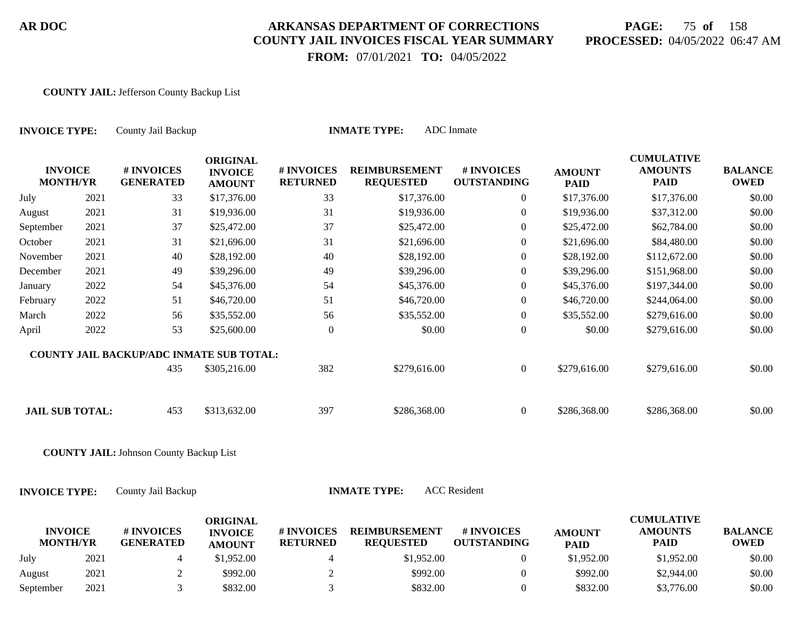# **PAGE:** 75 **of** 158 **PROCESSED:** 04/05/2022 06:47 AM

 **FROM:** 07/01/2021 **TO:** 04/05/2022

#### **COUNTY JAIL:** Jefferson County Backup List

| <b>INVOICE TYPE:</b>              |      | County Jail Backup                             |                                                       |                               | <b>INMATE TYPE:</b>                      | ADC Inmate                       |                              |                                                    |                               |
|-----------------------------------|------|------------------------------------------------|-------------------------------------------------------|-------------------------------|------------------------------------------|----------------------------------|------------------------------|----------------------------------------------------|-------------------------------|
| <b>INVOICE</b><br><b>MONTH/YR</b> |      | # INVOICES<br><b>GENERATED</b>                 | <b>ORIGINAL</b><br><b>INVOICE</b><br><b>AMOUNT</b>    | # INVOICES<br><b>RETURNED</b> | <b>REIMBURSEMENT</b><br><b>REQUESTED</b> | # INVOICES<br><b>OUTSTANDING</b> | <b>AMOUNT</b><br><b>PAID</b> | <b>CUMULATIVE</b><br><b>AMOUNTS</b><br><b>PAID</b> | <b>BALANCE</b><br><b>OWED</b> |
| July                              | 2021 | 33                                             | \$17,376.00                                           | 33                            | \$17,376.00                              | $\theta$                         | \$17,376.00                  | \$17,376.00                                        | \$0.00                        |
| August                            | 2021 | 31                                             | \$19,936.00                                           | 31                            | \$19,936.00                              | $\overline{0}$                   | \$19,936.00                  | \$37,312.00                                        | \$0.00                        |
| September                         | 2021 | 37                                             | \$25,472.00                                           | 37                            | \$25,472.00                              | $\Omega$                         | \$25,472.00                  | \$62,784.00                                        | \$0.00                        |
| October                           | 2021 | 31                                             | \$21,696.00                                           | 31                            | \$21,696.00                              | $\overline{0}$                   | \$21,696.00                  | \$84,480.00                                        | \$0.00                        |
| November                          | 2021 | 40                                             | \$28,192.00                                           | 40                            | \$28,192.00                              | $\overline{0}$                   | \$28,192.00                  | \$112,672.00                                       | \$0.00                        |
| December                          | 2021 | 49                                             | \$39,296.00                                           | 49                            | \$39,296.00                              | $\Omega$                         | \$39,296.00                  | \$151,968.00                                       | \$0.00                        |
| January                           | 2022 | 54                                             | \$45,376.00                                           | 54                            | \$45,376.00                              | $\overline{0}$                   | \$45,376.00                  | \$197,344.00                                       | \$0.00                        |
| February                          | 2022 | 51                                             | \$46,720.00                                           | 51                            | \$46,720.00                              | $\theta$                         | \$46,720.00                  | \$244,064.00                                       | \$0.00                        |
| March                             | 2022 | 56                                             | \$35,552.00                                           | 56                            | \$35,552.00                              | $\overline{0}$                   | \$35,552.00                  | \$279,616.00                                       | \$0.00                        |
| April                             | 2022 | 53                                             | \$25,600.00                                           | $\theta$                      | \$0.00                                   | $\overline{0}$                   | \$0.00                       | \$279,616.00                                       | \$0.00                        |
|                                   |      | COUNTY JAIL BACKUP/ADC INMATE SUB TOTAL:       |                                                       |                               |                                          |                                  |                              |                                                    |                               |
|                                   |      | 435                                            | \$305,216.00                                          | 382                           | \$279,616.00                             | $\overline{0}$                   | \$279,616.00                 | \$279,616.00                                       | \$0.00                        |
| <b>JAIL SUB TOTAL:</b>            |      | 453                                            | \$313,632.00                                          | 397                           | \$286,368.00                             | $\overline{0}$                   | \$286,368.00                 | \$286,368.00                                       | \$0.00                        |
|                                   |      | <b>COUNTY JAIL: Johnson County Backup List</b> |                                                       |                               |                                          |                                  |                              |                                                    |                               |
| <b>INVOICE TYPE:</b>              |      | County Jail Backup                             |                                                       |                               | <b>INMATE TYPE:</b>                      | <b>ACC</b> Resident              |                              |                                                    |                               |
| <b>INVOICE</b><br><b>MONTH/VR</b> |      | # INVOICES<br><b>CENERATED</b>                 | <b>ORIGINAL</b><br><b>INVOICE</b><br><b>A MATINTE</b> | # INVOICES<br><b>RETHRNED</b> | <b>REIMBURSEMENT</b><br><b>REQUESTED</b> | # INVOICES<br><b>OUTSTANDING</b> | <b>AMOUNT</b><br><b>DAID</b> | <b>CUMULATIVE</b><br><b>AMOUNTS</b><br><b>PAID</b> | <b>BALANCE</b><br><b>OWED</b> |

| <b>MONTH/YR</b> |      | <b>GENERATED</b> | <b>AMOUNT</b> | <b>RETURNED</b> | <b>REOUESTED</b> | <b>OUTSTANDING</b> | <b>PAID</b> | <b>PAID</b> | <b>OWED</b> |
|-----------------|------|------------------|---------------|-----------------|------------------|--------------------|-------------|-------------|-------------|
| July            | 2021 |                  | \$1.952.00    |                 | \$1.952.00       |                    | \$1.952.00  | \$1,952.00  | \$0.00      |
| August          | 2021 |                  | \$992.00      |                 | \$992.00         |                    | \$992.00    | \$2,944.00  | \$0.00      |
| September       | 2021 |                  | \$832.00      |                 | \$832.00         |                    | \$832.00    | \$3,776.00  | \$0.00      |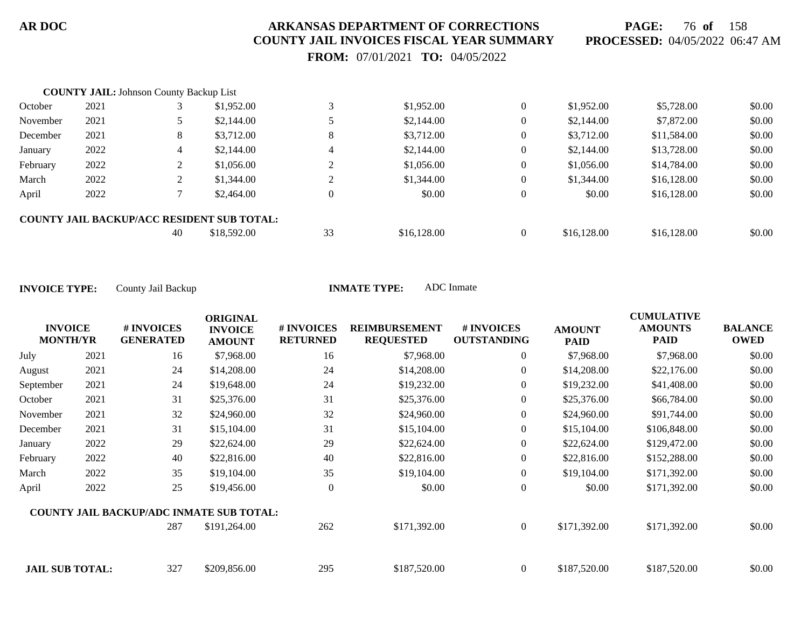**PAGE:** 76 **of** 158 **PROCESSED:** 04/05/2022 06:47 AM

 **FROM:** 07/01/2021 **TO:** 04/05/2022

|          | <b>COUNTY JAIL: Johnson County Backup List</b> |    |                                                   |                |             |                |             |             |        |
|----------|------------------------------------------------|----|---------------------------------------------------|----------------|-------------|----------------|-------------|-------------|--------|
| October  | 2021                                           |    | \$1,952.00                                        | 3              | \$1,952.00  | $\overline{0}$ | \$1,952.00  | \$5,728.00  | \$0.00 |
| November | 2021                                           |    | \$2,144.00                                        |                | \$2,144.00  | $\overline{0}$ | \$2,144.00  | \$7,872.00  | \$0.00 |
| December | 2021                                           | 8  | \$3,712.00                                        | 8              | \$3,712.00  | $\overline{0}$ | \$3,712.00  | \$11,584.00 | \$0.00 |
| January  | 2022                                           | 4  | \$2,144.00                                        | $\overline{4}$ | \$2,144.00  | $\overline{0}$ | \$2,144.00  | \$13,728.00 | \$0.00 |
| February | 2022                                           |    | \$1,056.00                                        | $\gamma$       | \$1,056.00  | $\overline{0}$ | \$1,056.00  | \$14,784.00 | \$0.00 |
| March    | 2022                                           |    | \$1,344.00                                        |                | \$1,344.00  | $\overline{0}$ | \$1,344.00  | \$16,128.00 | \$0.00 |
| April    | 2022                                           |    | \$2,464.00                                        | $\overline{0}$ | \$0.00      | $\overline{0}$ | \$0.00      | \$16,128.00 | \$0.00 |
|          |                                                |    | <b>COUNTY JAIL BACKUP/ACC RESIDENT SUB TOTAL:</b> |                |             |                |             |             |        |
|          |                                                | 40 | \$18,592.00                                       | 33             | \$16,128.00 | $\overline{0}$ | \$16,128.00 | \$16,128.00 | \$0.00 |

|                                   |      |                                                 | <b>ORIGINAL</b>                 |                               |                                          |                                  |                       | <b>CUMULATIVE</b>             |                               |
|-----------------------------------|------|-------------------------------------------------|---------------------------------|-------------------------------|------------------------------------------|----------------------------------|-----------------------|-------------------------------|-------------------------------|
| <b>INVOICE</b><br><b>MONTH/YR</b> |      | # INVOICES<br><b>GENERATED</b>                  | <b>INVOICE</b><br><b>AMOUNT</b> | # INVOICES<br><b>RETURNED</b> | <b>REIMBURSEMENT</b><br><b>REQUESTED</b> | # INVOICES<br><b>OUTSTANDING</b> | <b>AMOUNT</b><br>PAID | <b>AMOUNTS</b><br><b>PAID</b> | <b>BALANCE</b><br><b>OWED</b> |
| July                              | 2021 | 16                                              | \$7,968.00                      | 16                            | \$7,968.00                               | $\overline{0}$                   | \$7,968.00            | \$7,968.00                    | \$0.00                        |
| August                            | 2021 | 24                                              | \$14,208.00                     | 24                            | \$14,208.00                              | $\overline{0}$                   | \$14,208.00           | \$22,176.00                   | \$0.00                        |
| September                         | 2021 | 24                                              | \$19,648.00                     | 24                            | \$19,232.00                              | $\overline{0}$                   | \$19,232.00           | \$41,408.00                   | \$0.00                        |
| October                           | 2021 | 31                                              | \$25,376.00                     | 31                            | \$25,376.00                              | $\boldsymbol{0}$                 | \$25,376.00           | \$66,784.00                   | \$0.00                        |
| November                          | 2021 | 32                                              | \$24,960.00                     | 32                            | \$24,960.00                              | $\overline{0}$                   | \$24,960.00           | \$91,744.00                   | \$0.00                        |
| December                          | 2021 | 31                                              | \$15,104.00                     | 31                            | \$15,104.00                              | $\overline{0}$                   | \$15,104.00           | \$106,848.00                  | \$0.00                        |
| January                           | 2022 | 29                                              | \$22,624.00                     | 29                            | \$22,624.00                              | $\overline{0}$                   | \$22,624.00           | \$129,472.00                  | \$0.00                        |
| February                          | 2022 | 40                                              | \$22,816.00                     | 40                            | \$22,816.00                              | $\boldsymbol{0}$                 | \$22,816.00           | \$152,288.00                  | \$0.00                        |
| March                             | 2022 | 35                                              | \$19,104.00                     | 35                            | \$19,104.00                              | $\boldsymbol{0}$                 | \$19,104.00           | \$171,392.00                  | \$0.00                        |
| April                             | 2022 | 25                                              | \$19,456.00                     | $\overline{0}$                | \$0.00                                   | $\boldsymbol{0}$                 | \$0.00                | \$171,392.00                  | \$0.00                        |
|                                   |      | <b>COUNTY JAIL BACKUP/ADC INMATE SUB TOTAL:</b> |                                 |                               |                                          |                                  |                       |                               |                               |
|                                   |      | 287                                             | \$191,264.00                    | 262                           | \$171,392.00                             | $\overline{0}$                   | \$171,392.00          | \$171,392.00                  | \$0.00                        |
| <b>JAIL SUB TOTAL:</b>            |      | 327                                             | \$209,856.00                    | 295                           | \$187,520.00                             | $\overline{0}$                   | \$187,520.00          | \$187,520.00                  | \$0.00                        |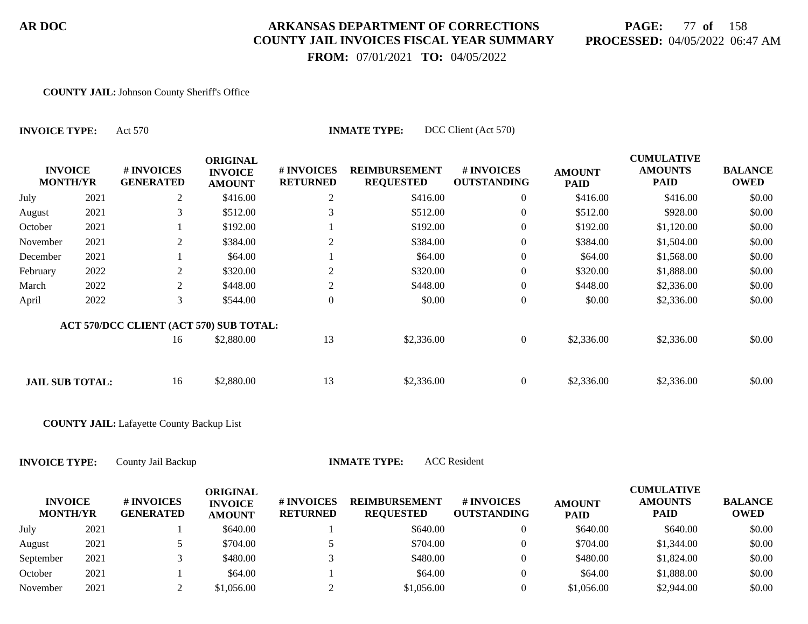## **PAGE:** 77 **of** 158 **PROCESSED:** 04/05/2022 06:47 AM

 **FROM:** 07/01/2021 **TO:** 04/05/2022

#### **COUNTY JAIL:** Johnson County Sheriff's Office

| <b>INVOICE TYPE:</b>              |      | Act 570                                 | DCC Client (Act 570)<br><b>INMATE TYPE:</b>        |                               |                                          |                                  |                              |                                                    |                               |  |  |  |  |  |
|-----------------------------------|------|-----------------------------------------|----------------------------------------------------|-------------------------------|------------------------------------------|----------------------------------|------------------------------|----------------------------------------------------|-------------------------------|--|--|--|--|--|
| <b>INVOICE</b><br><b>MONTH/YR</b> |      | # INVOICES<br><b>GENERATED</b>          | <b>ORIGINAL</b><br><b>INVOICE</b><br><b>AMOUNT</b> | # INVOICES<br><b>RETURNED</b> | <b>REIMBURSEMENT</b><br><b>REQUESTED</b> | # INVOICES<br><b>OUTSTANDING</b> | <b>AMOUNT</b><br><b>PAID</b> | <b>CUMULATIVE</b><br><b>AMOUNTS</b><br><b>PAID</b> | <b>BALANCE</b><br><b>OWED</b> |  |  |  |  |  |
| July                              | 2021 | 2                                       | \$416.00                                           | 2                             | \$416.00                                 | $\overline{0}$                   | \$416.00                     | \$416.00                                           | \$0.00                        |  |  |  |  |  |
| August                            | 2021 | 3                                       | \$512.00                                           | 3                             | \$512.00                                 | $\overline{0}$                   | \$512.00                     | \$928.00                                           | \$0.00                        |  |  |  |  |  |
| October                           | 2021 |                                         | \$192.00                                           |                               | \$192.00                                 | $\overline{0}$                   | \$192.00                     | \$1,120.00                                         | \$0.00                        |  |  |  |  |  |
| November                          | 2021 | 2                                       | \$384.00                                           | 2                             | \$384.00                                 | $\overline{0}$                   | \$384.00                     | \$1,504.00                                         | \$0.00                        |  |  |  |  |  |
| December                          | 2021 |                                         | \$64.00                                            |                               | \$64.00                                  | $\mathbf{0}$                     | \$64.00                      | \$1,568.00                                         | \$0.00                        |  |  |  |  |  |
| February                          | 2022 | 2                                       | \$320.00                                           | $\overline{c}$                | \$320.00                                 | $\overline{0}$                   | \$320.00                     | \$1,888.00                                         | \$0.00                        |  |  |  |  |  |
| March                             | 2022 | 2                                       | \$448.00                                           | 2                             | \$448.00                                 | $\overline{0}$                   | \$448.00                     | \$2,336.00                                         | \$0.00                        |  |  |  |  |  |
| April                             | 2022 | 3                                       | \$544.00                                           | $\Omega$                      | \$0.00                                   | $\mathbf{0}$                     | \$0.00                       | \$2,336.00                                         | \$0.00                        |  |  |  |  |  |
|                                   |      | ACT 570/DCC CLIENT (ACT 570) SUB TOTAL: |                                                    |                               |                                          |                                  |                              |                                                    |                               |  |  |  |  |  |
|                                   |      | 16                                      | \$2,880.00                                         | 13                            | \$2,336.00                               | $\overline{0}$                   | \$2,336.00                   | \$2,336.00                                         | \$0.00                        |  |  |  |  |  |
|                                   |      | 16                                      | \$2,880.00                                         | 13                            | \$2,336.00                               | $\overline{0}$                   | \$2,336.00                   | \$2,336.00                                         | \$0.00                        |  |  |  |  |  |
| <b>JAIL SUB TOTAL:</b>            |      |                                         |                                                    |                               |                                          |                                  |                              |                                                    |                               |  |  |  |  |  |

#### **COUNTY JAIL:** Lafayette County Backup List

**INVOICE TYPE:** County Jail Backup **INMATE TYPE:** ACC Resident

**INVOICE MONTH/YR # INVOICES GENERATED ORIGINAL INVOICE AMOUNT # INVOICES RETURNED REIMBURSEMENT REQUESTED # INVOICES OUTSTANDING AMOUNT PAID CUMULATIVE AMOUNTS PAID BALANCE OWED** July 2021 1 \$640.00 1 \$640.00 0 \$640.00 \$640.00 \$640.00 \$640.00 August 2021 5 \$704.00 5 \$704.00 5 \$704.00 \$704.00 \$704.00 \$1,344.00 \$0.00 September 2021 3 \$480.00 3 \$480.00 3 \$480.00 \$1,824.00 \$0.00 October 2021 1 \$64.00 1 \$64.00 0 \$64.00 \$1,888.00 \$0.00 November 2021 2 \$1,056.00 2 \$1,056.00 0 \$1,056.00 \$2,944.00 \$0.00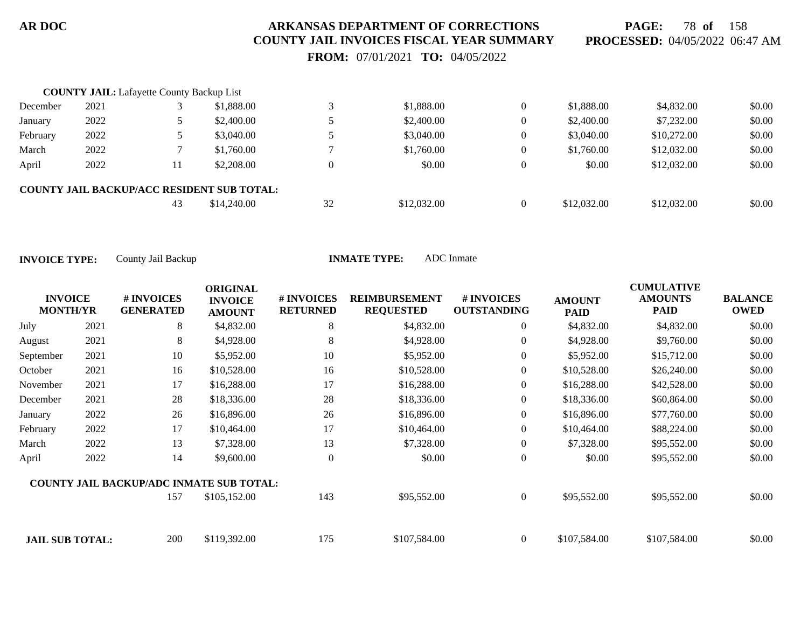**PAGE:** 78 **of** 158 **PROCESSED:** 04/05/2022 06:47 AM

 **FROM:** 07/01/2021 **TO:** 04/05/2022

|          | <b>COUNTY JAIL:</b> Lafayette County Backup List |    |                                                   |          |             |          |             |             |        |
|----------|--------------------------------------------------|----|---------------------------------------------------|----------|-------------|----------|-------------|-------------|--------|
| December | 2021                                             |    | \$1,888.00                                        |          | \$1,888.00  | $\Omega$ | \$1,888.00  | \$4,832.00  | \$0.00 |
| January  | 2022                                             |    | \$2,400.00                                        |          | \$2,400.00  | 0        | \$2,400.00  | \$7,232.00  | \$0.00 |
| February | 2022                                             |    | \$3,040.00                                        |          | \$3,040.00  | 0        | \$3,040.00  | \$10,272.00 | \$0.00 |
| March    | 2022                                             |    | \$1,760.00                                        |          | \$1,760.00  | 0        | \$1,760.00  | \$12,032.00 | \$0.00 |
| April    | 2022                                             | 11 | \$2,208.00                                        | $\Omega$ | \$0.00      | $\Omega$ | \$0.00      | \$12,032.00 | \$0.00 |
|          |                                                  |    | <b>COUNTY JAIL BACKUP/ACC RESIDENT SUB TOTAL:</b> |          |             |          |             |             |        |
|          |                                                  | 43 | \$14,240.00                                       | 32       | \$12,032.00 | $\Omega$ | \$12,032.00 | \$12,032.00 | \$0.00 |

| <b>INVOICE</b><br><b>MONTH/YR</b> |      | # INVOICES<br><b>GENERATED</b>                  | <b>ORIGINAL</b><br><b>INVOICE</b><br><b>AMOUNT</b> | <b>#INVOICES</b><br><b>RETURNED</b> | <b>REIMBURSEMENT</b><br><b>REQUESTED</b> | # INVOICES<br><b>OUTSTANDING</b> | <b>AMOUNT</b><br><b>PAID</b> | <b>CUMULATIVE</b><br><b>AMOUNTS</b><br><b>PAID</b> | <b>BALANCE</b><br><b>OWED</b> |
|-----------------------------------|------|-------------------------------------------------|----------------------------------------------------|-------------------------------------|------------------------------------------|----------------------------------|------------------------------|----------------------------------------------------|-------------------------------|
| July                              | 2021 | 8                                               | \$4,832.00                                         | 8                                   | \$4,832.00                               | $\overline{0}$                   | \$4,832.00                   | \$4,832.00                                         | \$0.00                        |
| August                            | 2021 | 8                                               | \$4,928.00                                         | 8                                   | \$4,928.00                               | $\overline{0}$                   | \$4,928.00                   | \$9,760.00                                         | \$0.00                        |
| September                         | 2021 | 10                                              | \$5,952.00                                         | 10                                  | \$5,952.00                               | $\overline{0}$                   | \$5,952.00                   | \$15,712.00                                        | \$0.00                        |
| October                           | 2021 | 16                                              | \$10,528.00                                        | 16                                  | \$10,528.00                              | 0                                | \$10,528.00                  | \$26,240.00                                        | \$0.00                        |
| November                          | 2021 | 17                                              | \$16,288.00                                        | 17                                  | \$16,288.00                              | $\overline{0}$                   | \$16,288.00                  | \$42,528.00                                        | \$0.00                        |
| December                          | 2021 | 28                                              | \$18,336.00                                        | 28                                  | \$18,336.00                              | $\overline{0}$                   | \$18,336.00                  | \$60,864.00                                        | \$0.00                        |
| January                           | 2022 | 26                                              | \$16,896.00                                        | 26                                  | \$16,896.00                              | $\overline{0}$                   | \$16,896.00                  | \$77,760.00                                        | \$0.00                        |
| February                          | 2022 | 17                                              | \$10,464.00                                        | 17                                  | \$10,464.00                              | $\overline{0}$                   | \$10,464.00                  | \$88,224.00                                        | \$0.00                        |
| March                             | 2022 | 13                                              | \$7,328.00                                         | 13                                  | \$7,328.00                               | $\overline{0}$                   | \$7,328.00                   | \$95,552.00                                        | \$0.00                        |
| April                             | 2022 | 14                                              | \$9,600.00                                         | $\overline{0}$                      | \$0.00                                   | $\boldsymbol{0}$                 | \$0.00                       | \$95,552.00                                        | \$0.00                        |
|                                   |      | <b>COUNTY JAIL BACKUP/ADC INMATE SUB TOTAL:</b> |                                                    |                                     |                                          |                                  |                              |                                                    |                               |
|                                   |      | 157                                             | \$105,152.00                                       | 143                                 | \$95,552.00                              | $\overline{0}$                   | \$95,552.00                  | \$95,552.00                                        | \$0.00                        |
| <b>JAIL SUB TOTAL:</b>            |      | 200                                             | \$119,392.00                                       | 175                                 | \$107,584.00                             | $\theta$                         | \$107,584.00                 | \$107,584.00                                       | \$0.00                        |
|                                   |      |                                                 |                                                    |                                     |                                          |                                  |                              |                                                    |                               |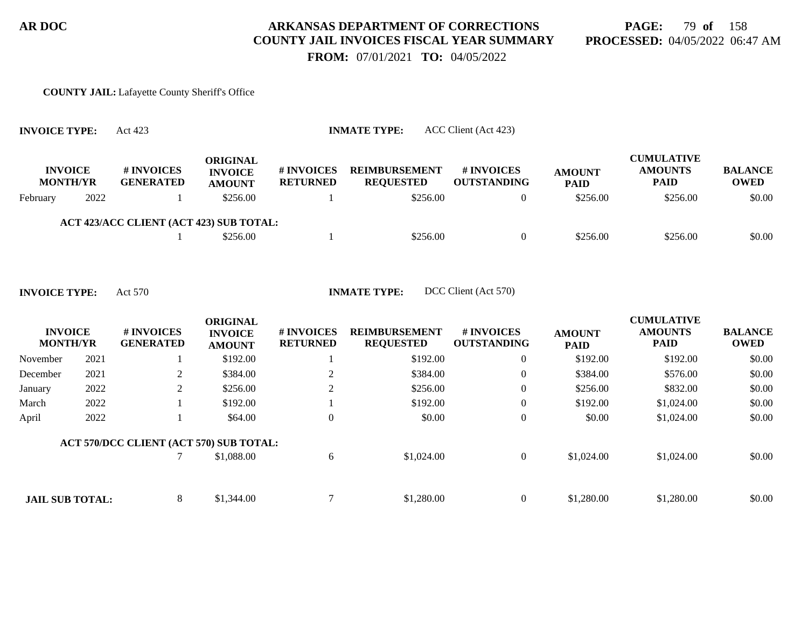**PAGE:** 79 **of** 158 **PROCESSED:** 04/05/2022 06:47 AM

 **FROM:** 07/01/2021 **TO:** 04/05/2022

#### **COUNTY JAIL:** Lafayette County Sheriff's Office

| <b>INVOICE TYPE:</b> |                                   | Act 423                                 |                                             |                                      | ACC Client (Act 423)<br><b>INMATE TYPE:</b> |                                         |                              |                                                    |                        |
|----------------------|-----------------------------------|-----------------------------------------|---------------------------------------------|--------------------------------------|---------------------------------------------|-----------------------------------------|------------------------------|----------------------------------------------------|------------------------|
|                      | <b>INVOICE</b><br><b>MONTH/YR</b> | <b># INVOICES</b><br><b>GENERATED</b>   | ORIGINAL<br><b>INVOICE</b><br><b>AMOUNT</b> | <b># INVOICES</b><br><b>RETURNED</b> | <b>REIMBURSEMENT</b><br><b>REQUESTED</b>    | <b># INVOICES</b><br><b>OUTSTANDING</b> | <b>AMOUNT</b><br><b>PAID</b> | <b>CUMULATIVE</b><br><b>AMOUNTS</b><br><b>PAID</b> | <b>BALANCE</b><br>OWED |
| February             | 2022                              |                                         | \$256.00                                    |                                      | \$256.00                                    | 0                                       | \$256.00                     | \$256.00                                           | \$0.00                 |
|                      |                                   | ACT 423/ACC CLIENT (ACT 423) SUB TOTAL: |                                             |                                      |                                             |                                         |                              |                                                    |                        |
|                      |                                   |                                         | \$256.00                                    |                                      | \$256.00                                    | $\Omega$                                | \$256.00                     | \$256.00                                           | \$0.00                 |

| <b>INVOICE</b><br><b>MONTH/YR</b> |      | # INVOICES<br><b>GENERATED</b>          | <b>ORIGINAL</b><br><b>INVOICE</b><br><b>AMOUNT</b> | # INVOICES<br><b>RETURNED</b> | <b>REIMBURSEMENT</b><br><b>REQUESTED</b> | # INVOICES<br><b>OUTSTANDING</b> | <b>AMOUNT</b><br><b>PAID</b> | <b>CUMULATIVE</b><br><b>AMOUNTS</b><br><b>PAID</b> | <b>BALANCE</b><br><b>OWED</b> |
|-----------------------------------|------|-----------------------------------------|----------------------------------------------------|-------------------------------|------------------------------------------|----------------------------------|------------------------------|----------------------------------------------------|-------------------------------|
| November                          | 2021 |                                         | \$192.00                                           |                               | \$192.00                                 | $\overline{0}$                   | \$192.00                     | \$192.00                                           | \$0.00                        |
| December                          | 2021 | 2                                       | \$384.00                                           |                               | \$384.00                                 | $\overline{0}$                   | \$384.00                     | \$576.00                                           | \$0.00                        |
| January                           | 2022 | 2                                       | \$256.00                                           |                               | \$256.00                                 | $\overline{0}$                   | \$256.00                     | \$832.00                                           | \$0.00                        |
| March                             | 2022 |                                         | \$192.00                                           |                               | \$192.00                                 | $\overline{0}$                   | \$192.00                     | \$1,024.00                                         | \$0.00                        |
| April                             | 2022 |                                         | \$64.00                                            | $\overline{0}$                | \$0.00                                   | $\overline{0}$                   | \$0.00                       | \$1,024.00                                         | \$0.00                        |
|                                   |      | ACT 570/DCC CLIENT (ACT 570) SUB TOTAL: |                                                    |                               |                                          |                                  |                              |                                                    |                               |
|                                   |      |                                         | \$1,088.00                                         | 6                             | \$1,024.00                               | $\overline{0}$                   | \$1,024.00                   | \$1,024.00                                         | \$0.00                        |
|                                   |      |                                         |                                                    |                               |                                          |                                  |                              |                                                    |                               |
| <b>JAIL SUB TOTAL:</b>            |      | 8                                       | \$1,344.00                                         | ⇁                             | \$1,280.00                               | $\overline{0}$                   | \$1,280.00                   | \$1,280.00                                         | \$0.00                        |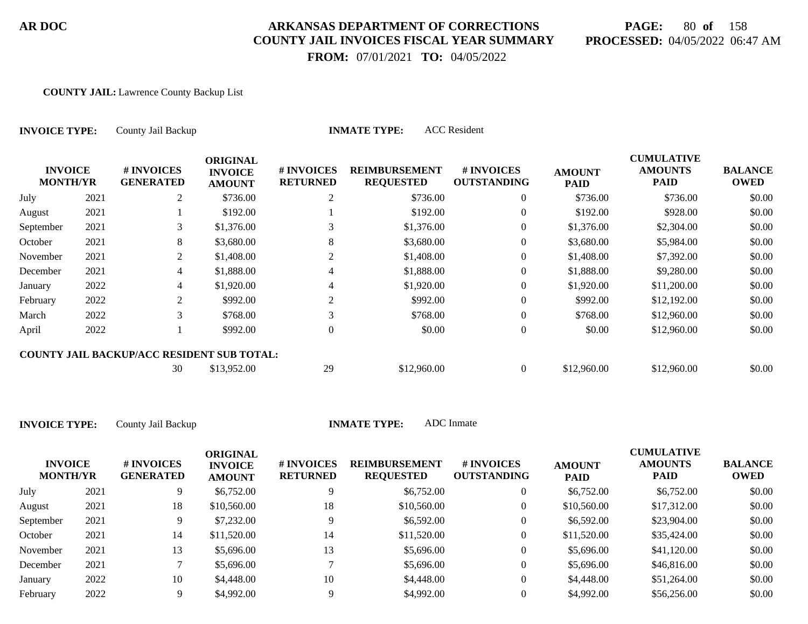## **PAGE:** 80 **of** 158 **PROCESSED:** 04/05/2022 06:47 AM

ration and the computer of the computer of the computer of the computer of the computer of the computer of the c<br>Computer of the computer of the computer of the computer of the computer of the computer of the computer of t

 **FROM:** 07/01/2021 **TO:** 04/05/2022

#### **COUNTY JAIL:** Lawrence County Backup List

| <b>INVOICE TYPE:</b><br><b>INVOICE</b><br><b>MONTH/YR</b> |      | County Jail Backup                                |                                                    | <b>INMATE TYPE:</b>           |                                          |                                  |                              |                                                    |                               |
|-----------------------------------------------------------|------|---------------------------------------------------|----------------------------------------------------|-------------------------------|------------------------------------------|----------------------------------|------------------------------|----------------------------------------------------|-------------------------------|
|                                                           |      | # INVOICES<br><b>GENERATED</b>                    | <b>ORIGINAL</b><br><b>INVOICE</b><br><b>AMOUNT</b> | # INVOICES<br><b>RETURNED</b> | <b>REIMBURSEMENT</b><br><b>REQUESTED</b> | # INVOICES<br><b>OUTSTANDING</b> | <b>AMOUNT</b><br><b>PAID</b> | <b>CUMULATIVE</b><br><b>AMOUNTS</b><br><b>PAID</b> | <b>BALANCE</b><br><b>OWED</b> |
| July                                                      | 2021 | 2                                                 | \$736.00                                           | 2                             | \$736.00                                 | $\overline{0}$                   | \$736.00                     | \$736.00                                           | \$0.00                        |
| August                                                    | 2021 |                                                   | \$192.00                                           |                               | \$192.00                                 | 0                                | \$192.00                     | \$928.00                                           | \$0.00                        |
| September                                                 | 2021 | 3                                                 | \$1,376.00                                         |                               | \$1,376.00                               | $\overline{0}$                   | \$1,376.00                   | \$2,304.00                                         | \$0.00                        |
| October                                                   | 2021 | 8                                                 | \$3,680.00                                         | 8                             | \$3,680.00                               | $\overline{0}$                   | \$3,680.00                   | \$5,984.00                                         | \$0.00                        |
| November                                                  | 2021 | 2                                                 | \$1,408.00                                         | 2                             | \$1,408.00                               | $\overline{0}$                   | \$1,408.00                   | \$7,392.00                                         | \$0.00                        |
| December                                                  | 2021 | 4                                                 | \$1,888.00                                         | 4                             | \$1,888.00                               | 0                                | \$1,888.00                   | \$9,280.00                                         | \$0.00                        |
| January                                                   | 2022 | 4                                                 | \$1,920.00                                         |                               | \$1,920.00                               | $\overline{0}$                   | \$1,920.00                   | \$11,200.00                                        | \$0.00                        |
| February                                                  | 2022 | 2                                                 | \$992.00                                           | 2                             | \$992.00                                 | $\Omega$                         | \$992.00                     | \$12,192.00                                        | \$0.00                        |
| March                                                     | 2022 | 3                                                 | \$768.00                                           |                               | \$768.00                                 | $\overline{0}$                   | \$768.00                     | \$12,960.00                                        | \$0.00                        |
| April                                                     | 2022 |                                                   | \$992.00                                           | $\theta$                      | \$0.00                                   | $\overline{0}$                   | \$0.00                       | \$12,960.00                                        | \$0.00                        |
|                                                           |      | <b>COUNTY JAIL BACKUP/ACC RESIDENT SUB TOTAL:</b> |                                                    |                               |                                          |                                  |                              |                                                    |                               |
|                                                           |      | 30                                                | \$13,952.00                                        | 29                            | \$12,960.00                              | $\overline{0}$                   | \$12,960.00                  | \$12,960.00                                        | \$0.00                        |

| <b>INVOICE</b><br><b>MONTH/YR</b> |      | # INVOICES<br><b>GENERATED</b> | <b>ORIGINAL</b><br><b>INVOICE</b><br><b>AMOUNT</b> | # INVOICES<br><b>RETURNED</b> | <b>REIMBURSEMENT</b><br><b>REQUESTED</b> | # INVOICES<br><b>OUTSTANDING</b> | <b>AMOUNT</b><br><b>PAID</b> | <b>CUMULATIVE</b><br><b>AMOUNTS</b><br>PAID | <b>BALANCE</b><br><b>OWED</b> |
|-----------------------------------|------|--------------------------------|----------------------------------------------------|-------------------------------|------------------------------------------|----------------------------------|------------------------------|---------------------------------------------|-------------------------------|
| July                              | 2021 | 9.                             | \$6,752.00                                         |                               | \$6,752.00                               | 0                                | \$6,752.00                   | \$6,752.00                                  | \$0.00                        |
| August                            | 2021 | 18                             | \$10,560.00                                        | 18                            | \$10,560.00                              | 0                                | \$10,560.00                  | \$17,312.00                                 | \$0.00                        |
| September                         | 2021 | 9                              | \$7,232.00                                         | 9                             | \$6,592.00                               | 0                                | \$6,592.00                   | \$23,904.00                                 | \$0.00                        |
| October                           | 2021 | 14                             | \$11,520.00                                        | 14                            | \$11,520.00                              | 0                                | \$11,520.00                  | \$35,424.00                                 | \$0.00                        |
| November                          | 2021 | 13                             | \$5,696.00                                         | 13                            | \$5,696.00                               | $\overline{0}$                   | \$5,696.00                   | \$41,120.00                                 | \$0.00                        |
| December                          | 2021 |                                | \$5,696.00                                         |                               | \$5,696.00                               | 0                                | \$5,696.00                   | \$46,816.00                                 | \$0.00                        |
| January                           | 2022 | 10                             | \$4,448.00                                         | 10                            | \$4,448.00                               | 0                                | \$4,448.00                   | \$51,264.00                                 | \$0.00                        |
| February                          | 2022 |                                | \$4,992.00                                         |                               | \$4,992.00                               |                                  | \$4,992.00                   | \$56,256.00                                 | \$0.00                        |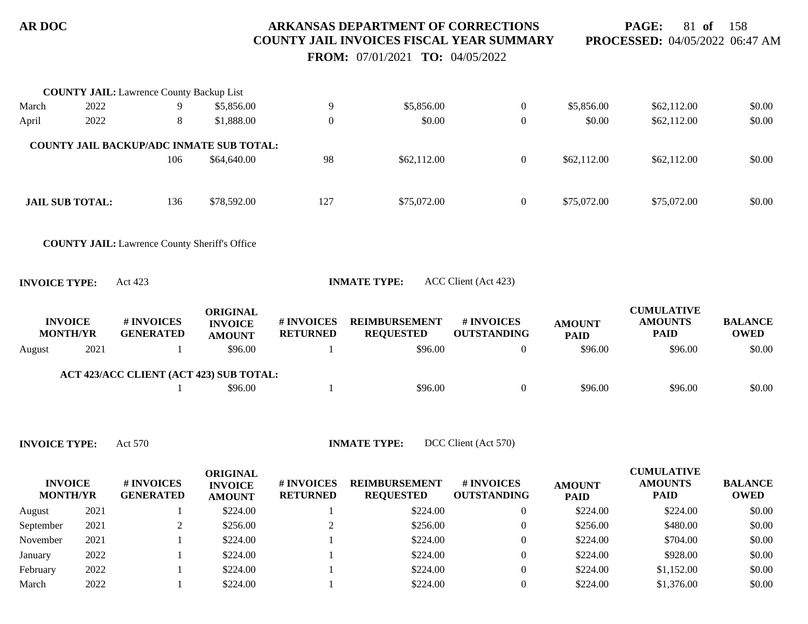**PAGE:** 81 **of** 158 **PROCESSED:** 04/05/2022 06:47 AM

 **FROM:** 07/01/2021 **TO:** 04/05/2022

|        |                                                                                                                      | <b>COUNTY JAIL:</b> Lawrence County Backup List      |                                                    |                               |                                          |                                        |                              |                                                    |                               |
|--------|----------------------------------------------------------------------------------------------------------------------|------------------------------------------------------|----------------------------------------------------|-------------------------------|------------------------------------------|----------------------------------------|------------------------------|----------------------------------------------------|-------------------------------|
| March  | 2022                                                                                                                 | 9                                                    | \$5,856.00                                         | 9                             | \$5,856.00                               | $\overline{0}$                         | \$5,856.00                   | \$62,112.00                                        | \$0.00                        |
| April  | 2022                                                                                                                 | 8                                                    | \$1,888.00                                         | $\overline{0}$                | \$0.00                                   | $\overline{0}$                         | \$0.00                       | \$62,112.00                                        | \$0.00                        |
|        |                                                                                                                      | COUNTY JAIL BACKUP/ADC INMATE SUB TOTAL:             |                                                    |                               |                                          |                                        |                              |                                                    |                               |
|        |                                                                                                                      | 106                                                  | \$64,640.00                                        | 98                            | \$62,112.00                              | $\overline{0}$                         | \$62,112.00                  | \$62,112.00                                        | \$0.00                        |
|        | <b>JAIL SUB TOTAL:</b>                                                                                               | 136                                                  | \$78,592.00                                        | 127                           | \$75,072.00                              | $\overline{0}$                         | \$75,072.00                  | \$75,072.00                                        | \$0.00                        |
|        |                                                                                                                      | <b>COUNTY JAIL:</b> Lawrence County Sheriff's Office |                                                    |                               |                                          |                                        |                              |                                                    |                               |
|        | <b>INVOICE TYPE:</b>                                                                                                 | Act 423                                              |                                                    |                               | <b>INMATE TYPE:</b>                      | ACC Client (Act 423)                   |                              |                                                    |                               |
|        | <b>INVOICE</b><br><b>MONTH/YR</b>                                                                                    | # INVOICES<br><b>GENERATED</b>                       | <b>ORIGINAL</b><br><b>INVOICE</b><br><b>AMOUNT</b> | # INVOICES<br><b>RETURNED</b> | <b>REIMBURSEMENT</b><br><b>REQUESTED</b> | <b>#INVOICES</b><br><b>OUTSTANDING</b> | <b>AMOUNT</b><br><b>PAID</b> | <b>CUMULATIVE</b><br><b>AMOUNTS</b><br><b>PAID</b> | <b>BALANCE</b><br><b>OWED</b> |
| August | 2021                                                                                                                 |                                                      | \$96.00                                            | -1                            | \$96.00                                  | $\overline{0}$                         | \$96.00                      | \$96.00                                            | \$0.00                        |
|        |                                                                                                                      | ACT 423/ACC CLIENT (ACT 423) SUB TOTAL:              |                                                    |                               |                                          |                                        |                              |                                                    |                               |
|        |                                                                                                                      |                                                      | \$96.00                                            | $\overline{1}$                | \$96.00                                  | $\boldsymbol{0}$                       | \$96.00                      | \$96.00                                            | \$0.00                        |
|        |                                                                                                                      |                                                      |                                                    |                               |                                          |                                        |                              |                                                    |                               |
|        | $\mathbf{N}$ $\mathbf{N}$ $\mathbf{N}$ $\mathbf{N}$ $\mathbf{N}$ $\mathbf{N}$ $\mathbf{N}$ $\mathbf{N}$ $\mathbf{N}$ | $\Lambda$ $\sim$ $570$                               |                                                    |                               | IMMATE TWDE.                             | $DCC$ Client $(A_{at}570)$             |                              |                                                    |                               |

| <b>INVOICE</b><br><b>MONTH/YR</b> |      | # INVOICES<br><b>GENERATED</b> | ORIGINAL<br><b>INVOICE</b><br><b>AMOUNT</b> | # INVOICES<br><b>RETURNED</b> | <b>REIMBURSEMENT</b><br><b>REQUESTED</b> | <b>#INVOICES</b><br><b>OUTSTANDING</b> | <b>AMOUNT</b><br><b>PAID</b> | <b>CUMULATIVE</b><br><b>AMOUNTS</b><br><b>PAID</b> | <b>BALANCE</b><br><b>OWED</b> |
|-----------------------------------|------|--------------------------------|---------------------------------------------|-------------------------------|------------------------------------------|----------------------------------------|------------------------------|----------------------------------------------------|-------------------------------|
| August                            | 2021 |                                | \$224.00                                    |                               | \$224.00                                 | $\overline{0}$                         | \$224.00                     | \$224.00                                           | \$0.00                        |
| September                         | 2021 |                                | \$256.00                                    |                               | \$256.00                                 | $\theta$                               | \$256.00                     | \$480.00                                           | \$0.00                        |
| November                          | 2021 |                                | \$224.00                                    |                               | \$224.00                                 | 0                                      | \$224.00                     | \$704.00                                           | \$0.00                        |
| January                           | 2022 |                                | \$224.00                                    |                               | \$224.00                                 | 0                                      | \$224.00                     | \$928.00                                           | \$0.00                        |
| February                          | 2022 |                                | \$224.00                                    |                               | \$224.00                                 | 0                                      | \$224.00                     | \$1,152.00                                         | \$0.00                        |
| March                             | 2022 |                                | \$224.00                                    |                               | \$224.00                                 |                                        | \$224.00                     | \$1,376.00                                         | \$0.00                        |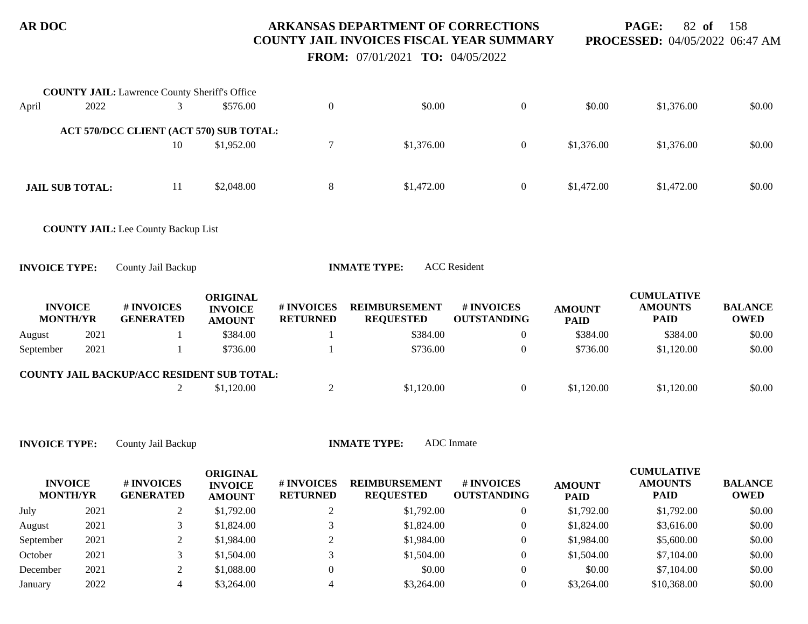**PAGE:** 82 **of** 158 **PROCESSED:** 04/05/2022 06:47 AM

 **FROM:** 07/01/2021 **TO:** 04/05/2022

|                                   |      | <b>COUNTY JAIL:</b> Lawrence County Sheriff's Office |                                                    |                               |                                          |                                  |                              |                                                    |                               |
|-----------------------------------|------|------------------------------------------------------|----------------------------------------------------|-------------------------------|------------------------------------------|----------------------------------|------------------------------|----------------------------------------------------|-------------------------------|
| April                             | 2022 | 3                                                    | \$576.00                                           | $\overline{0}$                | \$0.00                                   | $\boldsymbol{0}$                 | \$0.00                       | \$1,376.00                                         | \$0.00                        |
|                                   |      | ACT 570/DCC CLIENT (ACT 570) SUB TOTAL:              |                                                    |                               |                                          |                                  |                              |                                                    |                               |
|                                   |      | 10                                                   | \$1,952.00                                         | $\tau$                        | \$1,376.00                               | $\overline{0}$                   | \$1,376.00                   | \$1,376.00                                         | \$0.00                        |
| <b>JAIL SUB TOTAL:</b>            |      | 11                                                   | \$2,048.00                                         | $8\,$                         | \$1,472.00                               | $\boldsymbol{0}$                 | \$1,472.00                   | \$1,472.00                                         | \$0.00                        |
|                                   |      | <b>COUNTY JAIL:</b> Lee County Backup List           |                                                    |                               |                                          |                                  |                              |                                                    |                               |
| <b>INVOICE TYPE:</b>              |      | County Jail Backup                                   |                                                    |                               | <b>INMATE TYPE:</b>                      | <b>ACC</b> Resident              |                              |                                                    |                               |
| <b>INVOICE</b><br><b>MONTH/YR</b> |      | # INVOICES<br><b>GENERATED</b>                       | <b>ORIGINAL</b><br><b>INVOICE</b><br><b>AMOUNT</b> | # INVOICES<br><b>RETURNED</b> | <b>REIMBURSEMENT</b><br><b>REQUESTED</b> | # INVOICES<br><b>OUTSTANDING</b> | <b>AMOUNT</b><br><b>PAID</b> | <b>CUMULATIVE</b><br><b>AMOUNTS</b><br><b>PAID</b> | <b>BALANCE</b><br><b>OWED</b> |
| August                            | 2021 | 1                                                    | \$384.00                                           | 1                             | \$384.00                                 | $\overline{0}$                   | \$384.00                     | \$384.00                                           | \$0.00                        |
| September                         | 2021 | 1                                                    | \$736.00                                           |                               | \$736.00                                 | $\overline{0}$                   | \$736.00                     | \$1,120.00                                         | \$0.00                        |
|                                   |      | COUNTY JAIL BACKUP/ACC RESIDENT SUB TOTAL:           |                                                    |                               |                                          |                                  |                              |                                                    |                               |
|                                   |      | $\overline{2}$                                       | \$1,120.00                                         | $\overline{2}$                | \$1,120.00                               | $\overline{0}$                   | \$1,120.00                   | \$1,120.00                                         | \$0.00                        |
|                                   |      |                                                      |                                                    |                               |                                          |                                  |                              |                                                    |                               |
| <b>INVOICE TYPE:</b>              |      | County Jail Backup                                   |                                                    |                               | <b>INMATE TYPE:</b>                      | <b>ADC</b> Inmate                |                              |                                                    |                               |
| <b>INVOICE</b><br><b>MONTH/YR</b> |      | # INVOICES<br><b>GENERATED</b>                       | <b>ORIGINAL</b><br><b>INVOICE</b><br><b>AMOUNT</b> | # INVOICES<br><b>RETURNED</b> | <b>REIMBURSEMENT</b><br><b>REQUESTED</b> | # INVOICES<br><b>OUTSTANDING</b> | <b>AMOUNT</b><br><b>PAID</b> | <b>CUMULATIVE</b><br><b>AMOUNTS</b><br><b>PAID</b> | <b>BALANCE</b><br><b>OWED</b> |
| July                              | 2021 | $\overline{2}$                                       | \$1,792.00                                         | $\overline{c}$                | \$1,792.00                               | $\overline{0}$                   | \$1,792.00                   | \$1,792.00                                         | \$0.00                        |
| August                            | 2021 | 3                                                    | \$1,824.00                                         | 3                             | \$1,824.00                               | $\overline{0}$                   | \$1,824.00                   | \$3,616.00                                         | \$0.00                        |
| September                         | 2021 | $\overline{2}$                                       | \$1,984.00                                         | $\overline{c}$                | \$1,984.00                               | $\theta$                         | \$1,984.00                   | \$5,600.00                                         | \$0.00                        |
| October                           | 2021 | 3                                                    | \$1,504.00                                         | 3                             | \$1,504.00                               | $\theta$                         | \$1,504.00                   | \$7,104.00                                         | \$0.00                        |

December 2021 2 \$1,088.00 0 \$0.00 0 \$0.00 \$0.00 \$7,104.00 \$0.00 January 2022 4 \$3,264.00 4 \$3,264.00 0 \$3,264.00 \$10,368.00 \$0.00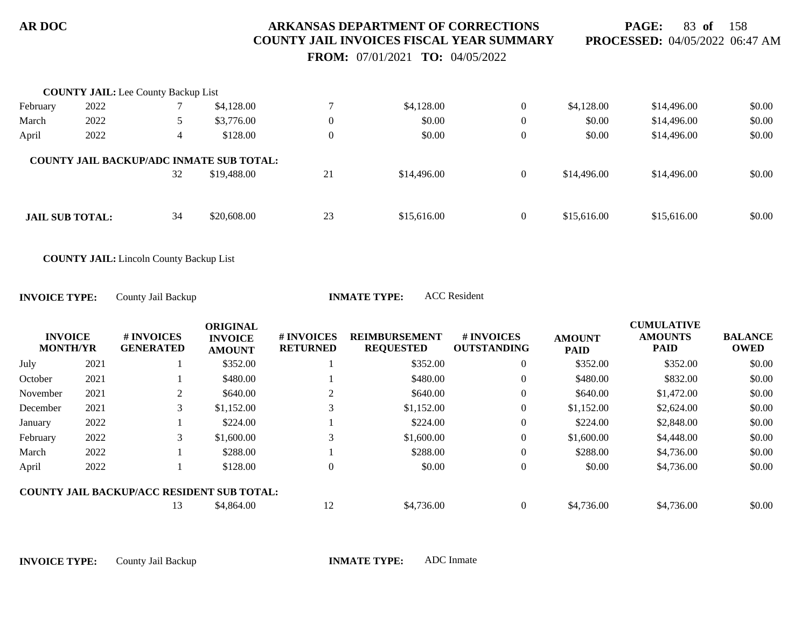**PAGE:** 83 **of** 158 **PROCESSED:** 04/05/2022 06:47 AM

 **FROM:** 07/01/2021 **TO:** 04/05/2022

|                        | <b>COUNTY JAIL:</b> Lee County Backup List |    |                                                                |                  |             |                |             |             |        |
|------------------------|--------------------------------------------|----|----------------------------------------------------------------|------------------|-------------|----------------|-------------|-------------|--------|
| February               | 2022                                       |    | \$4,128.00                                                     |                  | \$4,128.00  | $\overline{0}$ | \$4,128.00  | \$14,496.00 | \$0.00 |
| March                  | 2022                                       |    | \$3,776.00                                                     | $\boldsymbol{0}$ | \$0.00      | $\overline{0}$ | \$0.00      | \$14,496.00 | \$0.00 |
| April                  | 2022                                       | 4  | \$128.00                                                       | $\boldsymbol{0}$ | \$0.00      | $\overline{0}$ | \$0.00      | \$14,496.00 | \$0.00 |
|                        |                                            | 32 | <b>COUNTY JAIL BACKUP/ADC INMATE SUB TOTAL:</b><br>\$19,488.00 | 21               | \$14,496.00 | $\overline{0}$ | \$14,496.00 | \$14,496.00 | \$0.00 |
| <b>JAIL SUB TOTAL:</b> |                                            | 34 | \$20,608.00                                                    | 23               | \$15,616.00 | $\overline{0}$ | \$15,616.00 | \$15,616.00 | \$0.00 |

**COUNTY JAIL:** Lincoln County Backup List

**INVOICE TYPE:** County Jail Backup **INMATE TYPE:** ACC Resident

| <b>INVOICE</b><br><b>MONTH/YR</b> |      | # INVOICES<br><b>GENERATED</b>                    | <b>ORIGINAL</b><br><b>INVOICE</b><br><b>AMOUNT</b> | <b># INVOICES</b><br><b>RETURNED</b> | <b>REIMBURSEMENT</b><br><b>REQUESTED</b> | # INVOICES<br><b>OUTSTANDING</b> | <b>AMOUNT</b><br><b>PAID</b> | <b>CUMULATIVE</b><br><b>AMOUNTS</b><br><b>PAID</b> | <b>BALANCE</b><br><b>OWED</b> |
|-----------------------------------|------|---------------------------------------------------|----------------------------------------------------|--------------------------------------|------------------------------------------|----------------------------------|------------------------------|----------------------------------------------------|-------------------------------|
| July                              | 2021 |                                                   | \$352.00                                           |                                      | \$352.00                                 | 0                                | \$352.00                     | \$352.00                                           | \$0.00                        |
| October                           | 2021 |                                                   | \$480.00                                           |                                      | \$480.00                                 | $\overline{0}$                   | \$480.00                     | \$832.00                                           | \$0.00                        |
| November                          | 2021 | 2                                                 | \$640.00                                           |                                      | \$640.00                                 | $\theta$                         | \$640.00                     | \$1,472.00                                         | \$0.00                        |
| December                          | 2021 | 3                                                 | \$1,152.00                                         |                                      | \$1,152.00                               | $\overline{0}$                   | \$1,152.00                   | \$2,624.00                                         | \$0.00                        |
| January                           | 2022 |                                                   | \$224.00                                           |                                      | \$224.00                                 | $\theta$                         | \$224.00                     | \$2,848.00                                         | \$0.00                        |
| February                          | 2022 | 3                                                 | \$1,600.00                                         |                                      | \$1,600.00                               | $\overline{0}$                   | \$1,600.00                   | \$4,448.00                                         | \$0.00                        |
| March                             | 2022 |                                                   | \$288.00                                           |                                      | \$288.00                                 | $\overline{0}$                   | \$288.00                     | \$4,736.00                                         | \$0.00                        |
| April                             | 2022 |                                                   | \$128.00                                           |                                      | \$0.00                                   | $\overline{0}$                   | \$0.00                       | \$4,736.00                                         | \$0.00                        |
|                                   |      | <b>COUNTY JAIL BACKUP/ACC RESIDENT SUB TOTAL:</b> |                                                    |                                      |                                          |                                  |                              |                                                    |                               |
|                                   |      | 13                                                | \$4,864.00                                         | 12                                   | \$4,736.00                               | 0                                | \$4,736.00                   | \$4,736.00                                         | \$0.00                        |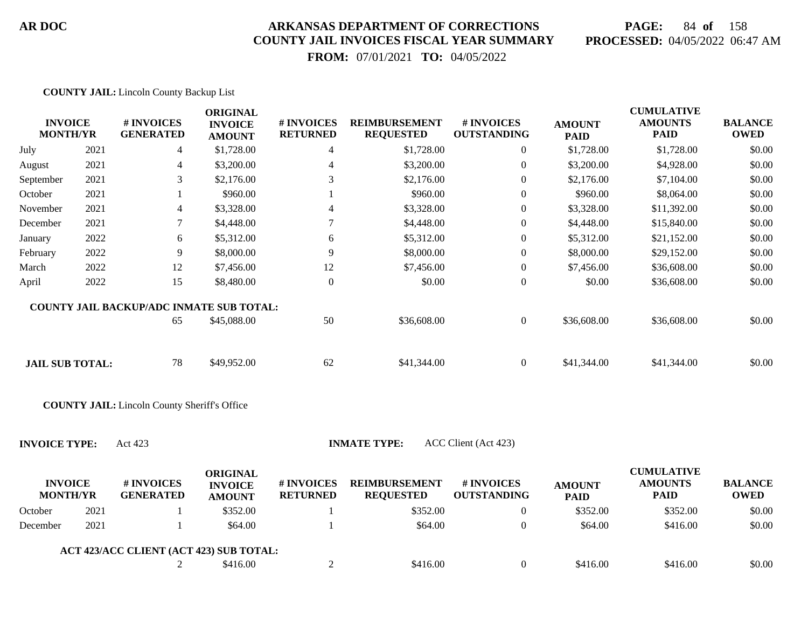## **PAGE:** 84 **of** 158 **PROCESSED:** 04/05/2022 06:47 AM

 **FROM:** 07/01/2021 **TO:** 04/05/2022

| <b>COUNTY JAIL:</b> Lincoln County Backup List |  |  |  |
|------------------------------------------------|--|--|--|
|                                                |  |  |  |

| <b>INVOICE</b><br><b>MONTH/YR</b> |      | # INVOICES<br><b>GENERATED</b>                              | <b>ORIGINAL</b><br><b>INVOICE</b><br><b>AMOUNT</b> | # INVOICES<br><b>RETURNED</b> | <b>REIMBURSEMENT</b><br><b>REQUESTED</b> | # INVOICES<br><b>OUTSTANDING</b> | <b>AMOUNT</b><br><b>PAID</b> | <b>CUMULATIVE</b><br><b>AMOUNTS</b><br><b>PAID</b> | <b>BALANCE</b><br><b>OWED</b> |
|-----------------------------------|------|-------------------------------------------------------------|----------------------------------------------------|-------------------------------|------------------------------------------|----------------------------------|------------------------------|----------------------------------------------------|-------------------------------|
| July                              | 2021 | 4                                                           | \$1,728.00                                         | 4                             | \$1,728.00                               | $\overline{0}$                   | \$1,728.00                   | \$1,728.00                                         | \$0.00                        |
| August                            | 2021 | 4                                                           | \$3,200.00                                         | 4                             | \$3,200.00                               | $\overline{0}$                   | \$3,200.00                   | \$4,928.00                                         | \$0.00                        |
| September                         | 2021 | 3                                                           | \$2,176.00                                         | 3                             | \$2,176.00                               | $\overline{0}$                   | \$2,176.00                   | \$7,104.00                                         | \$0.00                        |
| October                           | 2021 |                                                             | \$960.00                                           |                               | \$960.00                                 | 0                                | \$960.00                     | \$8,064.00                                         | \$0.00                        |
| November                          | 2021 | 4                                                           | \$3,328.00                                         | 4                             | \$3,328.00                               | 0                                | \$3,328.00                   | \$11,392.00                                        | \$0.00                        |
| December                          | 2021 | 7                                                           | \$4,448.00                                         |                               | \$4,448.00                               | $\overline{0}$                   | \$4,448.00                   | \$15,840.00                                        | \$0.00                        |
| January                           | 2022 | 6                                                           | \$5,312.00                                         | 6                             | \$5,312.00                               | $\overline{0}$                   | \$5,312.00                   | \$21,152.00                                        | \$0.00                        |
| February                          | 2022 | 9                                                           | \$8,000.00                                         | 9                             | \$8,000.00                               | $\boldsymbol{0}$                 | \$8,000.00                   | \$29,152.00                                        | \$0.00                        |
| March                             | 2022 | 12                                                          | \$7,456.00                                         | 12                            | \$7,456.00                               | $\boldsymbol{0}$                 | \$7,456.00                   | \$36,608.00                                        | \$0.00                        |
| April                             | 2022 | 15                                                          | \$8,480.00                                         | $\boldsymbol{0}$              | \$0.00                                   | $\boldsymbol{0}$                 | \$0.00                       | \$36,608.00                                        | \$0.00                        |
| <b>JAIL SUB TOTAL:</b>            |      | <b>COUNTY JAIL BACKUP/ADC INMATE SUB TOTAL:</b><br>65<br>78 | \$45,088.00<br>\$49,952.00                         | 50<br>62                      | \$36,608.00<br>\$41,344.00               | $\overline{0}$<br>$\overline{0}$ | \$36,608.00<br>\$41,344.00   | \$36,608.00<br>\$41,344.00                         | \$0.00<br>\$0.00              |
|                                   |      | <b>COUNTY JAIL:</b> Lincoln County Sheriff's Office         |                                                    |                               |                                          |                                  |                              |                                                    |                               |
| <b>INVOICE TYPE:</b>              |      | Act 423                                                     |                                                    |                               | <b>INMATE TYPE:</b>                      | ACC Client (Act 423)             |                              |                                                    |                               |
| <b>INVOICE</b><br><b>MONTH/YR</b> |      | # INVOICES<br><b>GENERATED</b>                              | <b>ORIGINAL</b><br><b>INVOICE</b><br><b>AMOUNT</b> | # INVOICES<br><b>RETURNED</b> | <b>REIMBURSEMENT</b><br><b>REQUESTED</b> | # INVOICES<br><b>OUTSTANDING</b> | <b>AMOUNT</b><br><b>PAID</b> | <b>CUMULATIVE</b><br><b>AMOUNTS</b><br><b>PAID</b> | <b>BALANCE</b><br><b>OWED</b> |
| October                           | 2021 |                                                             | \$352.00                                           |                               | \$352.00                                 | $\Omega$                         | \$352.00                     | \$352.00                                           | \$0.00                        |
| December                          | 2021 |                                                             | \$64.00                                            |                               | \$64.00                                  | $\Omega$                         | \$64.00                      | \$416.00                                           | \$0.00                        |

| <b>ACT 423/ACC CLIENT (ACT 423) SUB TOTAL:</b> |          |          |          |          |        |
|------------------------------------------------|----------|----------|----------|----------|--------|
|                                                | \$416.00 | \$416.00 | \$416.00 | \$416.00 | \$0.00 |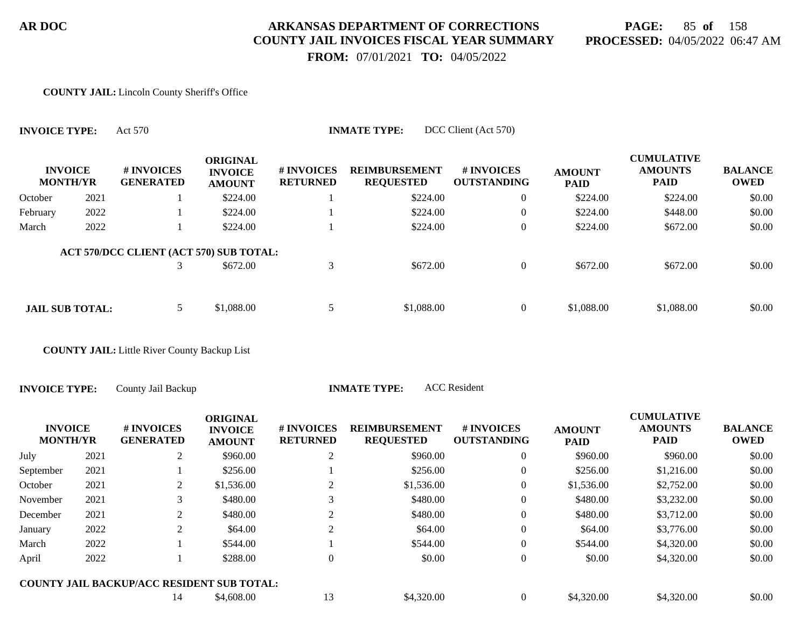## **PAGE:** 85 **of** 158 **PROCESSED:** 04/05/2022 06:47 AM

 **FROM:** 07/01/2021 **TO:** 04/05/2022

#### **COUNTY JAIL:** Lincoln County Sheriff's Office

**INVOICE TYPE:** Act 570 **INMATE TYPE:** DCC Client (Act 570)

|          | <b>INVOICE</b><br><b>MONTH/YR</b> | # INVOICES<br><b>GENERATED</b>          | <b>ORIGINAL</b><br><b>INVOICE</b><br><b>AMOUNT</b> | # INVOICES<br><b>RETURNED</b> | <b>REIMBURSEMENT</b><br><b>REQUESTED</b> | <b>#INVOICES</b><br><b>OUTSTANDING</b> | <b>AMOUNT</b><br><b>PAID</b> | <b>CUMULATIVE</b><br><b>AMOUNTS</b><br><b>PAID</b> | <b>BALANCE</b><br><b>OWED</b> |
|----------|-----------------------------------|-----------------------------------------|----------------------------------------------------|-------------------------------|------------------------------------------|----------------------------------------|------------------------------|----------------------------------------------------|-------------------------------|
| October  | 2021                              |                                         | \$224.00                                           |                               | \$224.00                                 | $\boldsymbol{0}$                       | \$224.00                     | \$224.00                                           | \$0.00                        |
| February | 2022                              |                                         | \$224.00                                           |                               | \$224.00                                 | $\overline{0}$                         | \$224.00                     | \$448.00                                           | \$0.00                        |
| March    | 2022                              |                                         | \$224.00                                           |                               | \$224.00                                 | $\mathbf{0}$                           | \$224.00                     | \$672.00                                           | \$0.00                        |
|          |                                   | ACT 570/DCC CLIENT (ACT 570) SUB TOTAL: |                                                    |                               |                                          |                                        |                              |                                                    |                               |
|          |                                   |                                         | \$672.00                                           | 3                             | \$672.00                                 | $\overline{0}$                         | \$672.00                     | \$672.00                                           | \$0.00                        |
|          |                                   |                                         |                                                    |                               |                                          |                                        |                              |                                                    |                               |
|          | <b>JAIL SUB TOTAL:</b>            |                                         | \$1,088.00                                         | 5                             | \$1,088.00                               | $\overline{0}$                         | \$1,088.00                   | \$1,088.00                                         | \$0.00                        |

**COUNTY JAIL:** Little River County Backup List

**INVOICE TYPE:** County Jail Backup **INMATE TYPE:** ACC Resident

| <b>INVOICE</b><br><b>MONTH/YR</b> |      | # INVOICES<br><b>GENERATED</b>             | <b>ORIGINAL</b><br><b>INVOICE</b><br><b>AMOUNT</b> | <b>#INVOICES</b><br><b>RETURNED</b> | <b>REIMBURSEMENT</b><br><b>REQUESTED</b> | <b>#INVOICES</b><br><b>OUTSTANDING</b> | <b>AMOUNT</b><br><b>PAID</b> | <b>CUMULATIVE</b><br><b>AMOUNTS</b><br><b>PAID</b> | <b>BALANCE</b><br><b>OWED</b> |
|-----------------------------------|------|--------------------------------------------|----------------------------------------------------|-------------------------------------|------------------------------------------|----------------------------------------|------------------------------|----------------------------------------------------|-------------------------------|
| July                              | 2021 | 2                                          | \$960.00                                           | 2                                   | \$960.00                                 | 0                                      | \$960.00                     | \$960.00                                           | \$0.00                        |
| September                         | 2021 |                                            | \$256.00                                           |                                     | \$256.00                                 | 0                                      | \$256.00                     | \$1,216.00                                         | \$0.00                        |
| October                           | 2021 | 2                                          | \$1,536.00                                         |                                     | \$1,536.00                               | 0                                      | \$1,536.00                   | \$2,752.00                                         | \$0.00                        |
| November                          | 2021 | 3                                          | \$480.00                                           |                                     | \$480.00                                 | $\boldsymbol{0}$                       | \$480.00                     | \$3,232.00                                         | \$0.00                        |
| December                          | 2021 | 2                                          | \$480.00                                           |                                     | \$480.00                                 | $\boldsymbol{0}$                       | \$480.00                     | \$3,712.00                                         | \$0.00                        |
| January                           | 2022 |                                            | \$64.00                                            |                                     | \$64.00                                  | $\overline{0}$                         | \$64.00                      | \$3,776.00                                         | \$0.00                        |
| March                             | 2022 |                                            | \$544.00                                           |                                     | \$544.00                                 | $\theta$                               | \$544.00                     | \$4,320.00                                         | \$0.00                        |
| April                             | 2022 |                                            | \$288.00                                           | 0                                   | \$0.00                                   | $\overline{0}$                         | \$0.00                       | \$4,320.00                                         | \$0.00                        |
|                                   |      | COUNTY JAIL BACKUP/ACC RESIDENT SUB TOTAL: |                                                    |                                     |                                          |                                        |                              |                                                    |                               |
|                                   |      | 14                                         | \$4,608.00                                         | 13                                  | \$4,320.00                               | 0                                      | \$4,320.00                   | \$4,320.00                                         | \$0.00                        |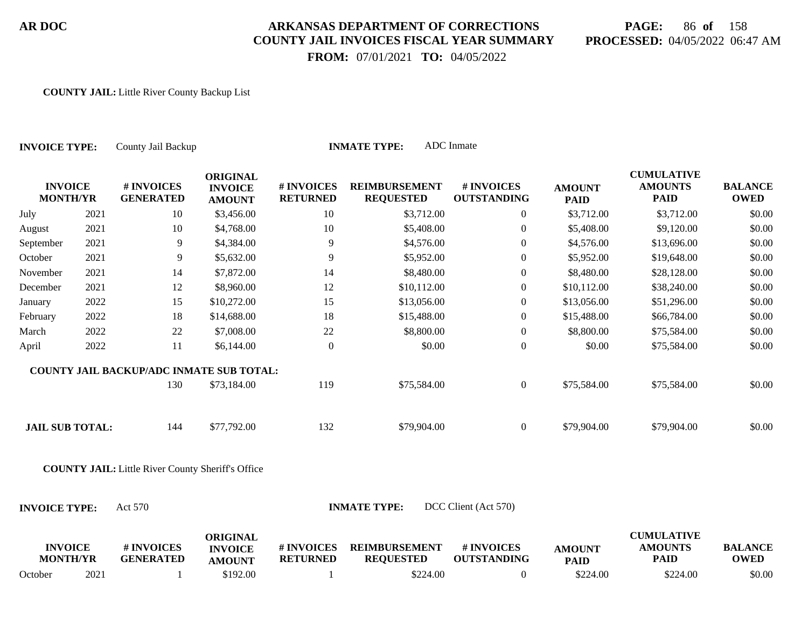## **PAGE:** 86 **of** 158 **PROCESSED:** 04/05/2022 06:47 AM

 **FROM:** 07/01/2021 **TO:** 04/05/2022

#### **COUNTY JAIL:** Little River County Backup List

| County Jail Backup<br><b>INVOICE TYPE:</b> |      |                                                          |                                                    |                               | <b>INMATE TYPE:</b>                      | ADC Inmate                       |                              |                                                    |                               |
|--------------------------------------------|------|----------------------------------------------------------|----------------------------------------------------|-------------------------------|------------------------------------------|----------------------------------|------------------------------|----------------------------------------------------|-------------------------------|
| <b>INVOICE</b><br><b>MONTH/YR</b>          |      | # INVOICES<br><b>GENERATED</b>                           | <b>ORIGINAL</b><br><b>INVOICE</b><br><b>AMOUNT</b> | # INVOICES<br><b>RETURNED</b> | <b>REIMBURSEMENT</b><br><b>REQUESTED</b> | # INVOICES<br><b>OUTSTANDING</b> | <b>AMOUNT</b><br><b>PAID</b> | <b>CUMULATIVE</b><br><b>AMOUNTS</b><br><b>PAID</b> | <b>BALANCE</b><br><b>OWED</b> |
| July                                       | 2021 | 10                                                       | \$3,456.00                                         | 10                            | \$3,712.00                               | $\overline{0}$                   | \$3,712.00                   | \$3,712.00                                         | \$0.00                        |
| August                                     | 2021 | 10                                                       | \$4,768.00                                         | 10                            | \$5,408.00                               | $\boldsymbol{0}$                 | \$5,408.00                   | \$9,120.00                                         | \$0.00                        |
| September                                  | 2021 | 9                                                        | \$4,384.00                                         | 9                             | \$4,576.00                               | $\theta$                         | \$4,576.00                   | \$13,696.00                                        | \$0.00                        |
| October                                    | 2021 | 9                                                        | \$5,632.00                                         | 9                             | \$5,952.00                               | $\boldsymbol{0}$                 | \$5,952.00                   | \$19,648.00                                        | \$0.00                        |
| November                                   | 2021 | 14                                                       | \$7,872.00                                         | 14                            | \$8,480.00                               | $\overline{0}$                   | \$8,480.00                   | \$28,128.00                                        | \$0.00                        |
| December                                   | 2021 | 12                                                       | \$8,960.00                                         | 12                            | \$10,112.00                              | $\boldsymbol{0}$                 | \$10,112.00                  | \$38,240.00                                        | \$0.00                        |
| January                                    | 2022 | 15                                                       | \$10,272.00                                        | 15                            | \$13,056.00                              | $\theta$                         | \$13,056.00                  | \$51,296.00                                        | \$0.00                        |
| February                                   | 2022 | 18                                                       | \$14,688.00                                        | 18                            | \$15,488.00                              | $\boldsymbol{0}$                 | \$15,488.00                  | \$66,784.00                                        | \$0.00                        |
| March                                      | 2022 | 22                                                       | \$7,008.00                                         | 22                            | \$8,800.00                               | $\overline{0}$                   | \$8,800.00                   | \$75,584.00                                        | \$0.00                        |
| April                                      | 2022 | 11                                                       | \$6,144.00                                         | $\boldsymbol{0}$              | \$0.00                                   | $\boldsymbol{0}$                 | \$0.00                       | \$75,584.00                                        | \$0.00                        |
|                                            |      | COUNTY JAIL BACKUP/ADC INMATE SUB TOTAL:                 |                                                    |                               |                                          |                                  |                              |                                                    |                               |
|                                            |      | 130                                                      | \$73,184.00                                        | 119                           | \$75,584.00                              | $\overline{0}$                   | \$75,584.00                  | \$75,584.00                                        | \$0.00                        |
| <b>JAIL SUB TOTAL:</b>                     |      | 144                                                      | \$77,792.00                                        | 132                           | \$79,904.00                              | $\boldsymbol{0}$                 | \$79,904.00                  | \$79,904.00                                        | \$0.00                        |
|                                            |      | <b>COUNTY JAIL:</b> Little River County Sheriff's Office |                                                    |                               |                                          |                                  |                              |                                                    |                               |
| <b>INVOICE TYPE:</b>                       |      | Act 570                                                  |                                                    |                               | <b>INMATE TYPE:</b>                      | DCC Client (Act 570)             |                              |                                                    |                               |
| <b>INVOICE</b><br><b>MONTH/YR</b>          |      | # INVOICES<br><b>GENERATED</b>                           | <b>ORIGINAL</b><br><b>INVOICE</b><br><b>AMOUNT</b> | # INVOICES<br><b>RETURNED</b> | <b>REIMBURSEMENT</b><br><b>REQUESTED</b> | # INVOICES<br><b>OUTSTANDING</b> | <b>AMOUNT</b><br><b>PAID</b> | <b>CUMULATIVE</b><br><b>AMOUNTS</b><br><b>PAID</b> | <b>BALANCE</b><br><b>OWED</b> |
| October                                    | 2021 |                                                          | \$192.00                                           |                               | \$224.00                                 | $\overline{0}$                   | \$224.00                     | \$224.00                                           | \$0.00                        |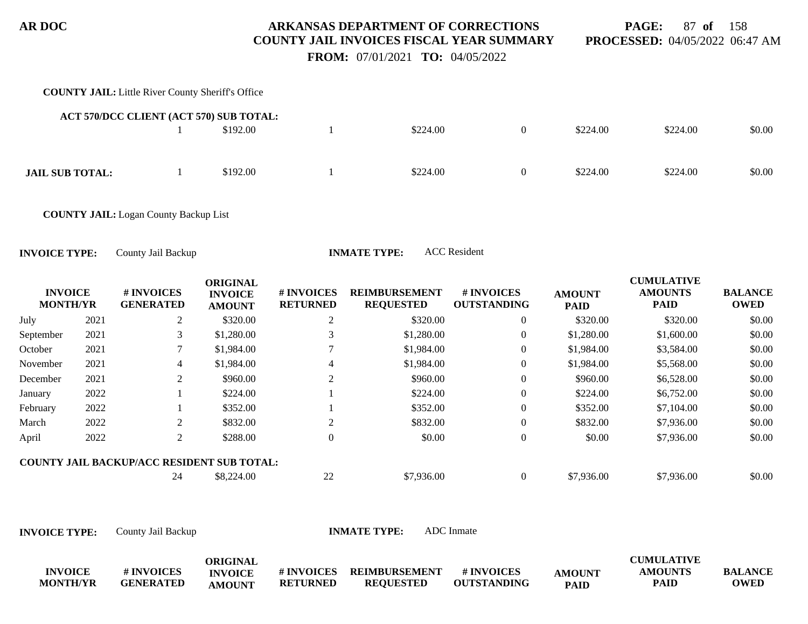**PAGE:** 87 **of** 158 **PROCESSED:** 04/05/2022 06:47 AM

 **FROM:** 07/01/2021 **TO:** 04/05/2022

# **COUNTY JAIL:** Little River County Sheriff's Office 1 \$192.00 1 \$224.00 0 \$224.00 \$224.00 \$0.00 **ACT 570/DCC CLIENT (ACT 570) SUB TOTAL: JAIL SUB TOTAL:** 1 \$192.00 1 \$224.00 0 \$224.00 \$224.00 \$224.00 \$0.00

**COUNTY JAIL:** Logan County Backup List

**INVOICE TYPE:** County Jail Backup **INMATE TYPE:** ACC Resident

|                                   |      |                                                   | <b>ORIGINAL</b>                 |                                      |                                          |                                  |                              | <b>CUMULATIVE</b>             |                               |
|-----------------------------------|------|---------------------------------------------------|---------------------------------|--------------------------------------|------------------------------------------|----------------------------------|------------------------------|-------------------------------|-------------------------------|
| <b>INVOICE</b><br><b>MONTH/YR</b> |      | # INVOICES<br><b>GENERATED</b>                    | <b>INVOICE</b><br><b>AMOUNT</b> | <b># INVOICES</b><br><b>RETURNED</b> | <b>REIMBURSEMENT</b><br><b>REQUESTED</b> | # INVOICES<br><b>OUTSTANDING</b> | <b>AMOUNT</b><br><b>PAID</b> | <b>AMOUNTS</b><br><b>PAID</b> | <b>BALANCE</b><br><b>OWED</b> |
| July                              | 2021 | 2                                                 | \$320.00                        | 2                                    | \$320.00                                 | $\overline{0}$                   | \$320.00                     | \$320.00                      | \$0.00                        |
| September                         | 2021 | 3                                                 | \$1,280.00                      |                                      | \$1,280.00                               | $\theta$                         | \$1,280.00                   | \$1,600.00                    | \$0.00                        |
| October                           | 2021 |                                                   | \$1,984.00                      |                                      | \$1,984.00                               | $\theta$                         | \$1,984.00                   | \$3,584.00                    | \$0.00                        |
| November                          | 2021 | 4                                                 | \$1,984.00                      | 4                                    | \$1,984.00                               | $\theta$                         | \$1,984.00                   | \$5,568.00                    | \$0.00                        |
| December                          | 2021 | 2                                                 | \$960.00                        | 2                                    | \$960.00                                 | $\overline{0}$                   | \$960.00                     | \$6,528.00                    | \$0.00                        |
| January                           | 2022 |                                                   | \$224.00                        |                                      | \$224.00                                 | $\overline{0}$                   | \$224.00                     | \$6,752.00                    | \$0.00                        |
| February                          | 2022 |                                                   | \$352.00                        |                                      | \$352.00                                 | $\Omega$                         | \$352.00                     | \$7,104.00                    | \$0.00                        |
| March                             | 2022 | 2                                                 | \$832.00                        | 2                                    | \$832.00                                 | $\theta$                         | \$832.00                     | \$7,936.00                    | \$0.00                        |
| April                             | 2022 | 2                                                 | \$288.00                        | $\Omega$                             | \$0.00                                   | $\theta$                         | \$0.00                       | \$7,936.00                    | \$0.00                        |
|                                   |      | <b>COUNTY JAIL BACKUP/ACC RESIDENT SUB TOTAL:</b> |                                 |                                      |                                          |                                  |                              |                               |                               |
|                                   |      | 24                                                | \$8,224.00                      | 22                                   | \$7,936.00                               |                                  | \$7,936.00                   | \$7,936.00                    | \$0.00                        |

**INVOICE TYPE:** County Jail Backup **INMATE TYPE:** ADC Inmate

**INVOICE MONTH/YR # INVOICES GENERATED ORIGINAL INVOICE AMOUNT # INVOICES REIMBURSEMENT RETURNED REQUESTED # INVOICES OUTSTANDING AMOUNT PAID CUMULATIVE AMOUNTS PAID BALANCE OWED**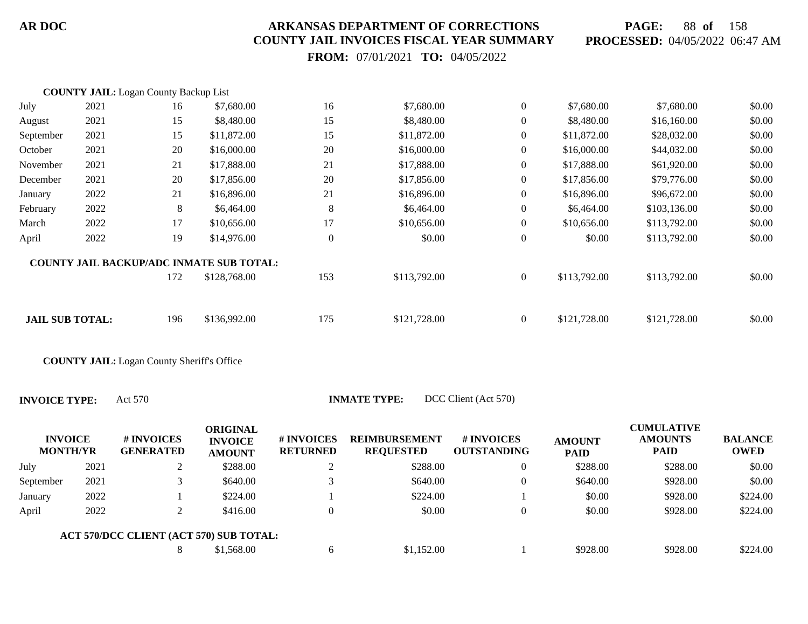**PAGE:** 88 **of** 158 **PROCESSED:** 04/05/2022 06:47 AM

 **FROM:** 07/01/2021 **TO:** 04/05/2022

|                        | <b>COUNTY JAIL:</b> Logan County Backup List |     |                                                 |                  |              |                  |              |              |        |
|------------------------|----------------------------------------------|-----|-------------------------------------------------|------------------|--------------|------------------|--------------|--------------|--------|
| July                   | 2021                                         | 16  | \$7,680.00                                      | 16               | \$7,680.00   | $\overline{0}$   | \$7,680.00   | \$7,680.00   | \$0.00 |
| August                 | 2021                                         | 15  | \$8,480.00                                      | 15               | \$8,480.00   | $\overline{0}$   | \$8,480.00   | \$16,160.00  | \$0.00 |
| September              | 2021                                         | 15  | \$11,872.00                                     | 15               | \$11,872.00  | $\overline{0}$   | \$11,872.00  | \$28,032.00  | \$0.00 |
| October                | 2021                                         | 20  | \$16,000.00                                     | 20               | \$16,000.00  | $\overline{0}$   | \$16,000.00  | \$44,032.00  | \$0.00 |
| November               | 2021                                         | 21  | \$17,888.00                                     | 21               | \$17,888.00  | $\overline{0}$   | \$17,888.00  | \$61,920.00  | \$0.00 |
| December               | 2021                                         | 20  | \$17,856.00                                     | 20               | \$17,856.00  | $\overline{0}$   | \$17,856.00  | \$79,776.00  | \$0.00 |
| January                | 2022                                         | 21  | \$16,896.00                                     | 21               | \$16,896.00  | $\overline{0}$   | \$16,896.00  | \$96,672.00  | \$0.00 |
| February               | 2022                                         | 8   | \$6,464.00                                      | 8                | \$6,464.00   | $\overline{0}$   | \$6,464.00   | \$103,136.00 | \$0.00 |
| March                  | 2022                                         | 17  | \$10,656.00                                     | 17               | \$10,656.00  | $\overline{0}$   | \$10,656.00  | \$113,792.00 | \$0.00 |
| April                  | 2022                                         | 19  | \$14,976.00                                     | $\boldsymbol{0}$ | \$0.00       | $\boldsymbol{0}$ | \$0.00       | \$113,792.00 | \$0.00 |
|                        |                                              |     | <b>COUNTY JAIL BACKUP/ADC INMATE SUB TOTAL:</b> |                  |              |                  |              |              |        |
|                        |                                              | 172 | \$128,768.00                                    | 153              | \$113,792.00 | $\boldsymbol{0}$ | \$113,792.00 | \$113,792.00 | \$0.00 |
|                        |                                              |     |                                                 |                  |              |                  |              |              |        |
| <b>JAIL SUB TOTAL:</b> |                                              | 196 | \$136,992.00                                    | 175              | \$121,728.00 | $\overline{0}$   | \$121,728.00 | \$121,728.00 | \$0.00 |
|                        |                                              |     |                                                 |                  |              |                  |              |              |        |

**COUNTY JAIL:** Logan County Sheriff's Office

| <b>INVOICE</b><br><b>MONTH/YR</b> |      | # INVOICES<br><b>GENERATED</b>          | ORIGINAL<br><b>INVOICE</b><br><b>AMOUNT</b> | # INVOICES<br><b>RETURNED</b> | <b>REIMBURSEMENT</b><br><b>REQUESTED</b> | <b># INVOICES</b><br><b>OUTSTANDING</b> | <b>AMOUNT</b><br><b>PAID</b> | <b>CUMULATIVE</b><br><b>AMOUNTS</b><br><b>PAID</b> | <b>BALANCE</b><br><b>OWED</b> |
|-----------------------------------|------|-----------------------------------------|---------------------------------------------|-------------------------------|------------------------------------------|-----------------------------------------|------------------------------|----------------------------------------------------|-------------------------------|
| July                              | 2021 |                                         | \$288.00                                    |                               | \$288.00                                 | 0                                       | \$288.00                     | \$288.00                                           | \$0.00                        |
| September                         | 2021 |                                         | \$640.00                                    |                               | \$640.00                                 | $\Omega$                                | \$640.00                     | \$928.00                                           | \$0.00                        |
| January                           | 2022 |                                         | \$224.00                                    |                               | \$224.00                                 |                                         | \$0.00                       | \$928.00                                           | \$224.00                      |
| April                             | 2022 |                                         | \$416.00                                    | $\Omega$                      | \$0.00                                   | $\Omega$                                | \$0.00                       | \$928.00                                           | \$224.00                      |
|                                   |      | ACT 570/DCC CLIENT (ACT 570) SUB TOTAL: |                                             |                               |                                          |                                         |                              |                                                    |                               |
|                                   |      |                                         | \$1,568.00                                  | 6                             | \$1,152.00                               |                                         | \$928.00                     | \$928.00                                           | \$224.00                      |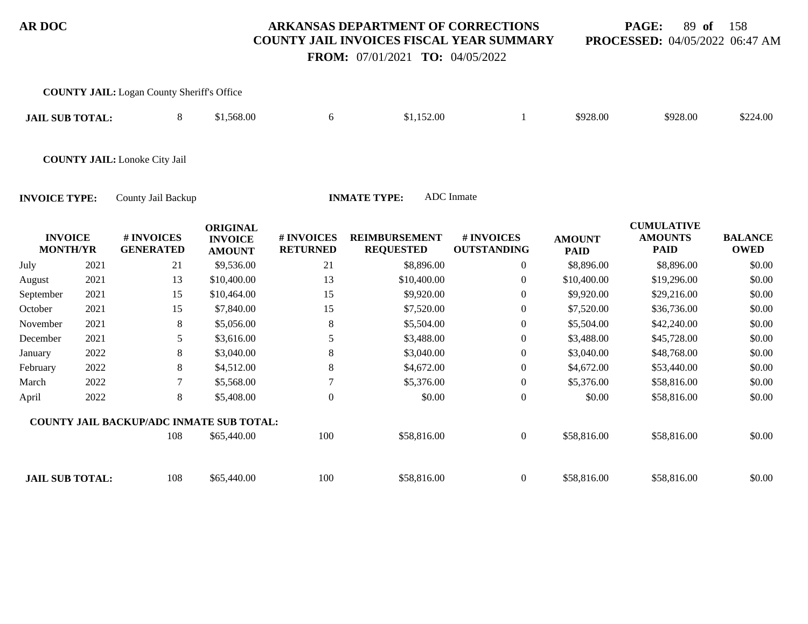**PAGE:** 89 **of** 158 **PROCESSED:** 04/05/2022 06:47 AM

 **FROM:** 07/01/2021 **TO:** 04/05/2022

|                                   |      | <b>COUNTY JAIL:</b> Logan County Sheriff's Office |                                                    |                               |                                          |                                  |                              |                                                    |                               |
|-----------------------------------|------|---------------------------------------------------|----------------------------------------------------|-------------------------------|------------------------------------------|----------------------------------|------------------------------|----------------------------------------------------|-------------------------------|
| <b>JAIL SUB TOTAL:</b>            |      | 8                                                 | \$1,568.00                                         | 6                             | \$1,152.00                               | 1                                | \$928.00                     | \$928.00                                           | \$224.00                      |
|                                   |      | <b>COUNTY JAIL:</b> Lonoke City Jail              |                                                    |                               |                                          |                                  |                              |                                                    |                               |
| <b>INVOICE TYPE:</b>              |      | County Jail Backup                                |                                                    |                               | <b>INMATE TYPE:</b>                      | ADC Inmate                       |                              |                                                    |                               |
| <b>INVOICE</b><br><b>MONTH/YR</b> |      | # INVOICES<br><b>GENERATED</b>                    | <b>ORIGINAL</b><br><b>INVOICE</b><br><b>AMOUNT</b> | # INVOICES<br><b>RETURNED</b> | <b>REIMBURSEMENT</b><br><b>REQUESTED</b> | # INVOICES<br><b>OUTSTANDING</b> | <b>AMOUNT</b><br><b>PAID</b> | <b>CUMULATIVE</b><br><b>AMOUNTS</b><br><b>PAID</b> | <b>BALANCE</b><br><b>OWED</b> |
| July                              | 2021 | 21                                                | \$9,536.00                                         | 21                            | \$8,896.00                               | 0                                | \$8,896.00                   | \$8,896.00                                         | \$0.00                        |
| August                            | 2021 | 13                                                | \$10,400.00                                        | 13                            | \$10,400.00                              | $\overline{0}$                   | \$10,400.00                  | \$19,296.00                                        | \$0.00                        |
| September                         | 2021 | 15                                                | \$10,464.00                                        | 15                            | \$9,920.00                               | 0                                | \$9,920.00                   | \$29,216.00                                        | \$0.00                        |
| October                           | 2021 | 15                                                | \$7,840.00                                         | 15                            | \$7,520.00                               | 0                                | \$7,520.00                   | \$36,736.00                                        | \$0.00                        |
| November                          | 2021 | 8                                                 | \$5,056.00                                         | 8                             | \$5,504.00                               | $\Omega$                         | \$5,504.00                   | \$42,240.00                                        | \$0.00                        |
| December                          | 2021 | 5                                                 | \$3,616.00                                         | 5                             | \$3,488.00                               | $\overline{0}$                   | \$3,488.00                   | \$45,728.00                                        | \$0.00                        |
| January                           | 2022 | 8                                                 | \$3,040.00                                         | 8                             | \$3,040.00                               | $\overline{0}$                   | \$3,040.00                   | \$48,768.00                                        | \$0.00                        |
| February                          | 2022 | 8                                                 | \$4,512.00                                         | 8                             | \$4,672.00                               | $\theta$                         | \$4,672.00                   | \$53,440.00                                        | \$0.00                        |
| March                             | 2022 | 7                                                 | \$5,568.00                                         | 7                             | \$5,376.00                               | $\boldsymbol{0}$                 | \$5,376.00                   | \$58,816.00                                        | \$0.00                        |
| April                             | 2022 | 8                                                 | \$5,408.00                                         | $\boldsymbol{0}$              | \$0.00                                   | $\theta$                         | \$0.00                       | \$58,816.00                                        | \$0.00                        |
|                                   |      | <b>COUNTY JAIL BACKUP/ADC INMATE SUB TOTAL:</b>   |                                                    |                               |                                          |                                  |                              |                                                    |                               |
|                                   |      | 108                                               | \$65,440.00                                        | 100                           | \$58,816.00                              | $\overline{0}$                   | \$58,816.00                  | \$58,816.00                                        | \$0.00                        |
| <b>JAIL SUB TOTAL:</b>            |      | 108                                               | \$65,440.00                                        | 100                           | \$58,816.00                              | $\overline{0}$                   | \$58,816.00                  | \$58,816.00                                        | \$0.00                        |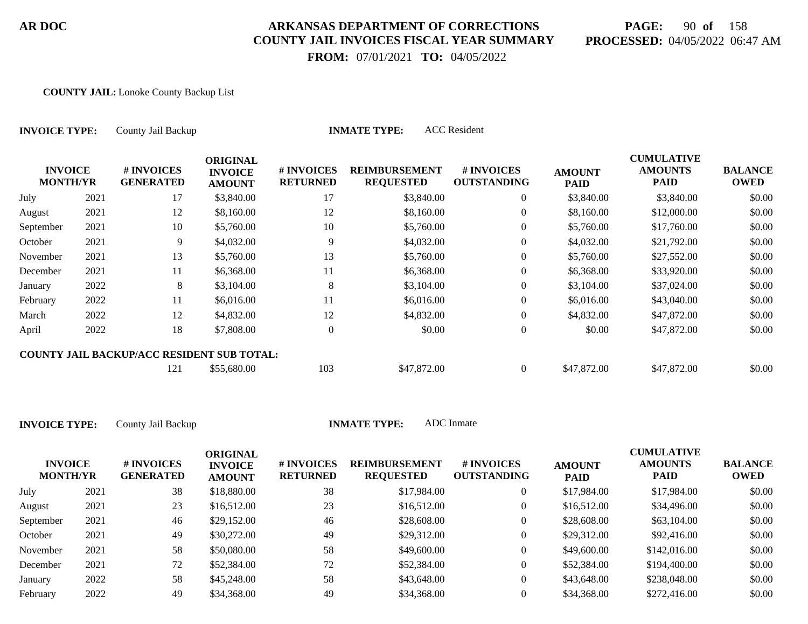## **PAGE:** 90 **of** 158 **PROCESSED:** 04/05/2022 06:47 AM

**CUMULATIVE**

 **FROM:** 07/01/2021 **TO:** 04/05/2022

#### **COUNTY JAIL:** Lonoke County Backup List

| <b>INVOICE TYPE:</b>              |      | County Jail Backup                                |                                                    |                               | <b>INMATE TYPE:</b>                      | <b>ACC</b> Resident              |                              |                                                    |                               |
|-----------------------------------|------|---------------------------------------------------|----------------------------------------------------|-------------------------------|------------------------------------------|----------------------------------|------------------------------|----------------------------------------------------|-------------------------------|
| <b>INVOICE</b><br><b>MONTH/YR</b> |      | # INVOICES<br><b>GENERATED</b>                    | <b>ORIGINAL</b><br><b>INVOICE</b><br><b>AMOUNT</b> | # INVOICES<br><b>RETURNED</b> | <b>REIMBURSEMENT</b><br><b>REQUESTED</b> | # INVOICES<br><b>OUTSTANDING</b> | <b>AMOUNT</b><br><b>PAID</b> | <b>CUMULATIVE</b><br><b>AMOUNTS</b><br><b>PAID</b> | <b>BALANCE</b><br><b>OWED</b> |
| July                              | 2021 | 17                                                | \$3,840.00                                         | 17                            | \$3,840.00                               | $\overline{0}$                   | \$3,840.00                   | \$3,840.00                                         | \$0.00                        |
| August                            | 2021 | 12                                                | \$8,160.00                                         | 12                            | \$8,160.00                               | $\theta$                         | \$8,160.00                   | \$12,000.00                                        | \$0.00                        |
| September                         | 2021 | 10                                                | \$5,760.00                                         | 10                            | \$5,760.00                               | $\theta$                         | \$5,760.00                   | \$17,760.00                                        | \$0.00                        |
| October                           | 2021 | 9                                                 | \$4,032.00                                         | 9                             | \$4,032.00                               | $\overline{0}$                   | \$4,032.00                   | \$21,792.00                                        | \$0.00                        |
| November                          | 2021 | 13                                                | \$5,760.00                                         | 13                            | \$5,760.00                               | $\overline{0}$                   | \$5,760.00                   | \$27,552.00                                        | \$0.00                        |
| December                          | 2021 | 11                                                | \$6,368.00                                         | 11                            | \$6,368.00                               | $\overline{0}$                   | \$6,368.00                   | \$33,920.00                                        | \$0.00                        |
| January                           | 2022 | 8                                                 | \$3,104.00                                         | 8                             | \$3,104.00                               | $\theta$                         | \$3,104.00                   | \$37,024.00                                        | \$0.00                        |
| February                          | 2022 | 11                                                | \$6,016.00                                         | 11                            | \$6,016.00                               | $\overline{0}$                   | \$6,016.00                   | \$43,040.00                                        | \$0.00                        |
| March                             | 2022 | 12                                                | \$4,832.00                                         | 12                            | \$4,832.00                               | $\overline{0}$                   | \$4,832.00                   | \$47,872.00                                        | \$0.00                        |
| April                             | 2022 | 18                                                | \$7,808.00                                         | $\overline{0}$                | \$0.00                                   | $\boldsymbol{0}$                 | \$0.00                       | \$47,872.00                                        | \$0.00                        |
|                                   |      | <b>COUNTY JAIL BACKUP/ACC RESIDENT SUB TOTAL:</b> |                                                    |                               |                                          |                                  |                              |                                                    |                               |
|                                   |      | 121                                               | \$55,680.00                                        | 103                           | \$47,872.00                              | $\overline{0}$                   | \$47,872.00                  | \$47,872.00                                        | \$0.00                        |

| <b>INVOICE</b><br><b>MONTH/YR</b> |      | # INVOICES<br><b>GENERATED</b> | ORIGINAL<br><b>INVOICE</b><br><b>AMOUNT</b> | # INVOICES<br><b>RETURNED</b> | <b>REIMBURSEMENT</b><br><b>REQUESTED</b> | <b>#INVOICES</b><br><b>OUTSTANDING</b> | <b>AMOUNT</b><br><b>PAID</b> | <b>CUMULATIVE</b><br><b>AMOUNTS</b><br><b>PAID</b> | <b>BALANCE</b><br><b>OWED</b> |
|-----------------------------------|------|--------------------------------|---------------------------------------------|-------------------------------|------------------------------------------|----------------------------------------|------------------------------|----------------------------------------------------|-------------------------------|
| July                              | 2021 | 38                             | \$18,880.00                                 | 38                            | \$17,984.00                              |                                        | \$17,984.00                  | \$17,984.00                                        | \$0.00                        |
| August                            | 2021 | 23                             | \$16,512.00                                 | 23                            | \$16,512.00                              |                                        | \$16,512.00                  | \$34,496.00                                        | \$0.00                        |
| September                         | 2021 | 46                             | \$29,152.00                                 | 46                            | \$28,608.00                              |                                        | \$28,608.00                  | \$63,104.00                                        | \$0.00                        |
| October                           | 2021 | 49                             | \$30,272.00                                 | 49                            | \$29,312.00                              | $\overline{0}$                         | \$29,312.00                  | \$92,416.00                                        | \$0.00                        |
| November                          | 2021 | 58                             | \$50,080,00                                 | 58                            | \$49,600.00                              |                                        | \$49,600.00                  | \$142,016.00                                       | \$0.00                        |
| December                          | 2021 | 72                             | \$52,384.00                                 | 72                            | \$52,384.00                              | $\overline{0}$                         | \$52,384.00                  | \$194,400.00                                       | \$0.00                        |
| January                           | 2022 | 58                             | \$45,248.00                                 | 58                            | \$43,648.00                              | $\overline{0}$                         | \$43,648.00                  | \$238,048.00                                       | \$0.00                        |
| February                          | 2022 | 49                             | \$34,368.00                                 | 49                            | \$34,368,00                              |                                        | \$34,368.00                  | \$272,416.00                                       | \$0.00                        |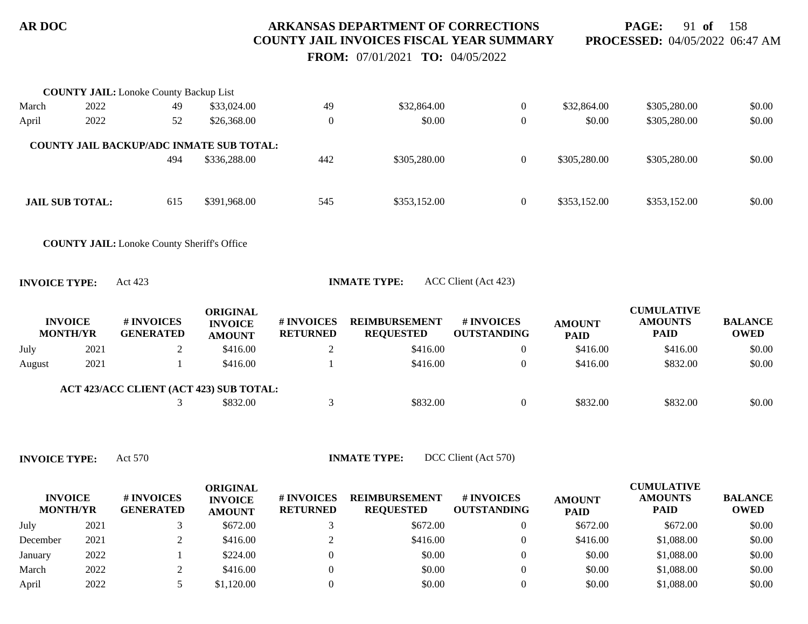**PAGE:** 91 **of** 158 **PROCESSED:** 04/05/2022 06:47 AM

 **FROM:** 07/01/2021 **TO:** 04/05/2022

|                      |                                   | <b>COUNTY JAIL:</b> Lonoke County Backup List      |                                                    |                               |                                          |                                  |                              |                                                    |                               |
|----------------------|-----------------------------------|----------------------------------------------------|----------------------------------------------------|-------------------------------|------------------------------------------|----------------------------------|------------------------------|----------------------------------------------------|-------------------------------|
| March                | 2022                              | 49                                                 | \$33,024.00                                        | 49                            | \$32,864.00                              | $\overline{0}$                   | \$32,864.00                  | \$305,280.00                                       | \$0.00                        |
| April                | 2022                              | 52                                                 | \$26,368.00                                        | $\boldsymbol{0}$              | \$0.00                                   | $\boldsymbol{0}$                 | \$0.00                       | \$305,280.00                                       | \$0.00                        |
|                      |                                   | <b>COUNTY JAIL BACKUP/ADC INMATE SUB TOTAL:</b>    |                                                    |                               |                                          |                                  |                              |                                                    |                               |
|                      |                                   | 494                                                | \$336,288.00                                       | 442                           | \$305,280.00                             | $\overline{0}$                   | \$305,280.00                 | \$305,280.00                                       | \$0.00                        |
|                      | <b>JAIL SUB TOTAL:</b>            | 615                                                | \$391,968.00                                       | 545                           | \$353,152.00                             | $\overline{0}$                   | \$353,152.00                 | \$353,152.00                                       | \$0.00                        |
|                      |                                   | <b>COUNTY JAIL:</b> Lonoke County Sheriff's Office |                                                    |                               |                                          |                                  |                              |                                                    |                               |
| <b>INVOICE TYPE:</b> |                                   | Act 423                                            |                                                    |                               | <b>INMATE TYPE:</b>                      | ACC Client (Act 423)             |                              |                                                    |                               |
|                      | <b>INVOICE</b><br><b>MONTH/YR</b> | # INVOICES<br><b>GENERATED</b>                     | <b>ORIGINAL</b><br><b>INVOICE</b><br><b>AMOUNT</b> | # INVOICES<br><b>RETURNED</b> | <b>REIMBURSEMENT</b><br><b>REQUESTED</b> | # INVOICES<br><b>OUTSTANDING</b> | <b>AMOUNT</b><br><b>PAID</b> | <b>CUMULATIVE</b><br><b>AMOUNTS</b><br><b>PAID</b> | <b>BALANCE</b><br><b>OWED</b> |
| July                 | 2021                              | $\overline{2}$                                     | \$416.00                                           | $\overline{2}$                | \$416.00                                 | $\overline{0}$                   | \$416.00                     | \$416.00                                           | \$0.00                        |
| August               | 2021                              |                                                    | \$416.00                                           |                               | \$416.00                                 | $\overline{0}$                   | \$416.00                     | \$832.00                                           | \$0.00                        |
|                      |                                   | ACT 423/ACC CLIENT (ACT 423) SUB TOTAL:            |                                                    |                               |                                          |                                  |                              |                                                    |                               |
|                      |                                   | 3                                                  | \$832.00                                           | 3                             | \$832.00                                 | $\overline{0}$                   | \$832.00                     | \$832.00                                           | \$0.00                        |
|                      |                                   |                                                    |                                                    |                               |                                          |                                  |                              |                                                    |                               |

| <b>INVOICE</b><br><b>MONTH/YR</b> |      | # INVOICES<br><b>GENERATED</b> | ORIGINAL<br><b>INVOICE</b><br><b>AMOUNT</b> | # INVOICES<br><b>RETURNED</b> | <b>REIMBURSEMENT</b><br><b>REOUESTED</b> | <b>#INVOICES</b><br><b>OUTSTANDING</b> | <b>AMOUNT</b><br><b>PAID</b> | <b>CUMULATIVE</b><br><b>AMOUNTS</b><br><b>PAID</b> | <b>BALANCE</b><br><b>OWED</b> |
|-----------------------------------|------|--------------------------------|---------------------------------------------|-------------------------------|------------------------------------------|----------------------------------------|------------------------------|----------------------------------------------------|-------------------------------|
| July                              | 2021 |                                | \$672.00                                    |                               | \$672.00                                 |                                        | \$672.00                     | \$672.00                                           | \$0.00                        |
| December                          | 2021 |                                | \$416.00                                    |                               | \$416.00                                 |                                        | \$416.00                     | \$1,088.00                                         | \$0.00                        |
| January                           | 2022 |                                | \$224.00                                    |                               | \$0.00                                   | $\Omega$                               | \$0.00                       | \$1,088.00                                         | \$0.00                        |
| March                             | 2022 |                                | \$416.00                                    |                               | \$0.00                                   | $\Omega$                               | \$0.00                       | \$1,088.00                                         | \$0.00                        |
| April                             | 2022 |                                | \$1,120.00                                  |                               | \$0.00                                   |                                        | \$0.00                       | \$1,088.00                                         | \$0.00                        |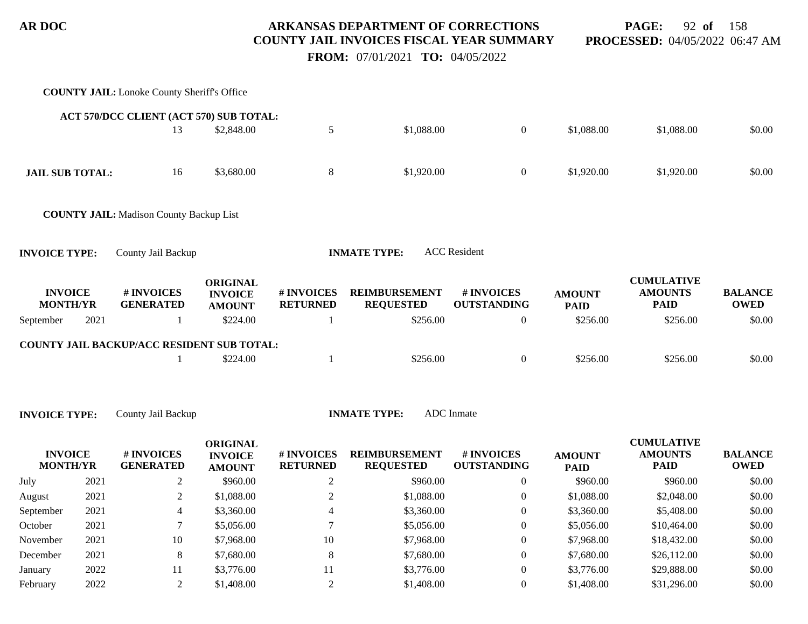**PAGE:** 92 **of** 158 **PROCESSED:** 04/05/2022 06:47 AM

 **FROM:** 07/01/2021 **TO:** 04/05/2022

|                                   |      | <b>COUNTY JAIL:</b> Lonoke County Sheriff's Office |                                                    |                               |                                          |                                  |                              |                                                    |                               |
|-----------------------------------|------|----------------------------------------------------|----------------------------------------------------|-------------------------------|------------------------------------------|----------------------------------|------------------------------|----------------------------------------------------|-------------------------------|
|                                   |      | ACT 570/DCC CLIENT (ACT 570) SUB TOTAL:            |                                                    |                               |                                          |                                  |                              |                                                    |                               |
|                                   |      | 13                                                 | \$2,848.00                                         | $\sqrt{5}$                    | \$1,088.00                               | $\boldsymbol{0}$                 | \$1,088.00                   | \$1,088.00                                         | \$0.00                        |
| <b>JAIL SUB TOTAL:</b>            |      | 16                                                 | \$3,680.00                                         | $8\,$                         | \$1,920.00                               | $\boldsymbol{0}$                 | \$1,920.00                   | \$1,920.00                                         | \$0.00                        |
|                                   |      | <b>COUNTY JAIL:</b> Madison County Backup List     |                                                    |                               |                                          |                                  |                              |                                                    |                               |
| <b>INVOICE TYPE:</b>              |      | County Jail Backup                                 |                                                    |                               | <b>INMATE TYPE:</b>                      | <b>ACC</b> Resident              |                              |                                                    |                               |
| <b>INVOICE</b><br><b>MONTH/YR</b> |      | # INVOICES<br><b>GENERATED</b>                     | <b>ORIGINAL</b><br><b>INVOICE</b><br><b>AMOUNT</b> | # INVOICES<br><b>RETURNED</b> | <b>REIMBURSEMENT</b><br><b>REQUESTED</b> | # INVOICES<br><b>OUTSTANDING</b> | <b>AMOUNT</b><br><b>PAID</b> | <b>CUMULATIVE</b><br><b>AMOUNTS</b><br><b>PAID</b> | <b>BALANCE</b><br><b>OWED</b> |
| September                         | 2021 | -1                                                 | \$224.00                                           | 1                             | \$256.00                                 | $\boldsymbol{0}$                 | \$256.00                     | \$256.00                                           | \$0.00                        |
|                                   |      | COUNTY JAIL BACKUP/ACC RESIDENT SUB TOTAL:         |                                                    |                               |                                          |                                  |                              |                                                    |                               |
|                                   |      |                                                    | \$224.00                                           | 1                             | \$256.00                                 | $\boldsymbol{0}$                 | \$256.00                     | \$256.00                                           | \$0.00                        |
| <b>INVOICE TYPE:</b>              |      | County Jail Backup                                 |                                                    |                               | <b>INMATE TYPE:</b>                      | <b>ADC</b> Inmate                |                              |                                                    |                               |
| <b>INVOICE</b><br><b>MONTH/YR</b> |      | # INVOICES<br><b>GENERATED</b>                     | <b>ORIGINAL</b><br><b>INVOICE</b><br><b>AMOUNT</b> | # INVOICES<br><b>RETURNED</b> | <b>REIMBURSEMENT</b><br><b>REQUESTED</b> | # INVOICES<br><b>OUTSTANDING</b> | <b>AMOUNT</b><br><b>PAID</b> | <b>CUMULATIVE</b><br><b>AMOUNTS</b><br><b>PAID</b> | <b>BALANCE</b><br><b>OWED</b> |
| July                              | 2021 | 2                                                  | \$960.00                                           | $\overline{c}$                | \$960.00                                 | $\boldsymbol{0}$                 | \$960.00                     | \$960.00                                           | \$0.00                        |
| August                            | 2021 | $\overline{2}$                                     | \$1,088.00                                         | 2                             | \$1,088.00                               | $\theta$                         | \$1,088.00                   | \$2,048.00                                         | \$0.00                        |
| September                         | 2021 | 4                                                  | \$3,360.00                                         | 4                             | \$3,360.00                               | $\boldsymbol{0}$                 | \$3,360.00                   | \$5,408.00                                         | \$0.00                        |
| October                           | 2021 | $\tau$                                             | \$5,056.00                                         | $\tau$                        | \$5,056.00                               | $\boldsymbol{0}$                 | \$5,056.00                   | \$10,464.00                                        | \$0.00                        |
| November                          | 2021 | 10                                                 | \$7,968.00                                         | 10                            | \$7,968.00                               | $\boldsymbol{0}$                 | \$7,968.00                   | \$18,432.00                                        | \$0.00                        |
| December                          | 2021 | $8\phantom{1}$                                     | \$7,680.00                                         | $8\phantom{1}$                | \$7,680.00                               | $\boldsymbol{0}$                 | \$7,680.00                   | \$26,112.00                                        | \$0.00                        |
| January                           | 2022 | 11                                                 | \$3,776.00                                         | 11                            | \$3,776.00                               | $\boldsymbol{0}$                 | \$3,776.00                   | \$29,888.00                                        | \$0.00                        |
| February                          | 2022 | $\mathfrak{2}$                                     | \$1,408.00                                         | $\overline{2}$                | \$1,408.00                               | $\boldsymbol{0}$                 | \$1,408.00                   | \$31,296.00                                        | \$0.00                        |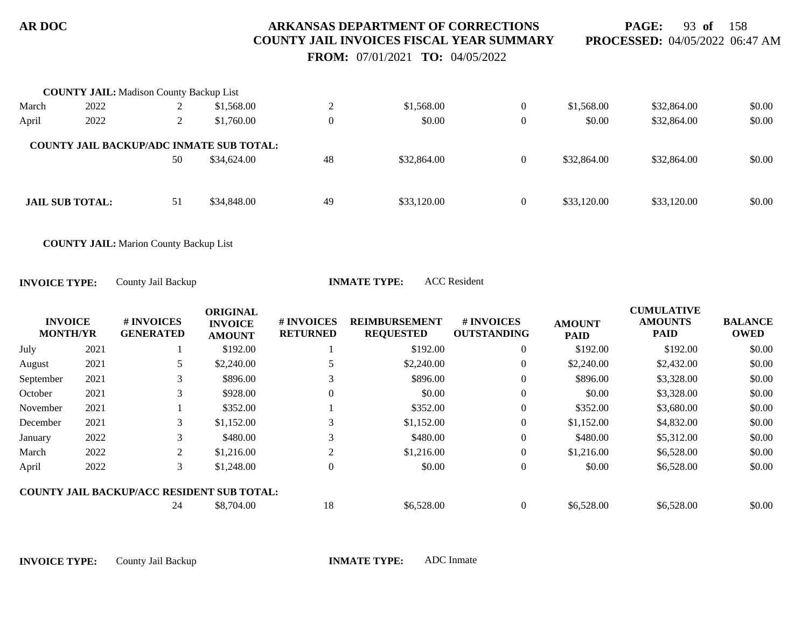**PAGE:** 93 **of** 158 **PROCESSED:** 04/05/2022 06:47 AM

 **FROM:** 07/01/2021 **TO:** 04/05/2022

|       | <b>COUNTY JAIL:</b> Madison County Backup List  |                |             |          |             |                |             |             |        |
|-------|-------------------------------------------------|----------------|-------------|----------|-------------|----------------|-------------|-------------|--------|
| March | 2022                                            | $\overline{ }$ | \$1,568.00  | ◠        | \$1,568.00  | $\theta$       | \$1,568.00  | \$32,864.00 | \$0.00 |
| April | 2022                                            |                | \$1,760.00  | $\theta$ | \$0.00      | $\theta$       | \$0.00      | \$32,864.00 | \$0.00 |
|       | <b>COUNTY JAIL BACKUP/ADC INMATE SUB TOTAL:</b> |                |             |          |             |                |             |             |        |
|       |                                                 | 50             | \$34,624.00 | 48       | \$32,864.00 | $\overline{0}$ | \$32,864.00 | \$32,864.00 | \$0.00 |
|       |                                                 |                |             |          |             |                |             |             |        |
|       | <b>JAIL SUB TOTAL:</b>                          | 51             | \$34,848.00 | 49       | \$33,120.00 | $\theta$       | \$33,120.00 | \$33,120.00 | \$0.00 |
|       |                                                 |                |             |          |             |                |             |             |        |

**COUNTY JAIL:** Marion County Backup List

**INVOICE TYPE:** County Jail Backup **INMATE TYPE:** ACC Resident

| <b>INVOICE</b><br><b>MONTH/YR</b> |      | # INVOICES<br><b>GENERATED</b>                    | <b>ORIGINAL</b><br><b>INVOICE</b><br><b>AMOUNT</b> | # INVOICES<br><b>RETURNED</b> | <b>REIMBURSEMENT</b><br><b>REQUESTED</b> | # INVOICES<br><b>OUTSTANDING</b> | <b>AMOUNT</b><br><b>PAID</b> | <b>CUMULATIVE</b><br><b>AMOUNTS</b><br><b>PAID</b> | <b>BALANCE</b><br><b>OWED</b> |
|-----------------------------------|------|---------------------------------------------------|----------------------------------------------------|-------------------------------|------------------------------------------|----------------------------------|------------------------------|----------------------------------------------------|-------------------------------|
| July                              | 2021 |                                                   | \$192.00                                           |                               | \$192.00                                 | $\overline{0}$                   | \$192.00                     | \$192.00                                           | \$0.00                        |
| August                            | 2021 |                                                   | \$2,240.00                                         |                               | \$2,240.00                               | 0                                | \$2,240.00                   | \$2,432.00                                         | \$0.00                        |
| September                         | 2021 | 3                                                 | \$896.00                                           |                               | \$896.00                                 | $\overline{0}$                   | \$896.00                     | \$3,328.00                                         | \$0.00                        |
| October                           | 2021 | 3                                                 | \$928.00                                           | $\Omega$                      | \$0.00                                   | $\overline{0}$                   | \$0.00                       | \$3,328.00                                         | \$0.00                        |
| November                          | 2021 |                                                   | \$352.00                                           |                               | \$352.00                                 | $\overline{0}$                   | \$352.00                     | \$3,680.00                                         | \$0.00                        |
| December                          | 2021 | 3                                                 | \$1,152.00                                         | 3                             | \$1,152.00                               | $\overline{0}$                   | \$1,152.00                   | \$4,832.00                                         | \$0.00                        |
| January                           | 2022 | 3                                                 | \$480.00                                           |                               | \$480.00                                 | $\theta$                         | \$480.00                     | \$5,312.00                                         | \$0.00                        |
| March                             | 2022 | 2                                                 | \$1,216.00                                         |                               | \$1,216.00                               | $\overline{0}$                   | \$1,216.00                   | \$6,528.00                                         | \$0.00                        |
| April                             | 2022 | 3                                                 | \$1,248.00                                         | 0                             | \$0.00                                   | $\boldsymbol{0}$                 | \$0.00                       | \$6,528.00                                         | \$0.00                        |
|                                   |      | <b>COUNTY JAIL BACKUP/ACC RESIDENT SUB TOTAL:</b> |                                                    |                               |                                          |                                  |                              |                                                    |                               |
|                                   |      | 24                                                | \$8,704.00                                         | 18                            | \$6,528.00                               | $\theta$                         | \$6,528.00                   | \$6,528.00                                         | \$0.00                        |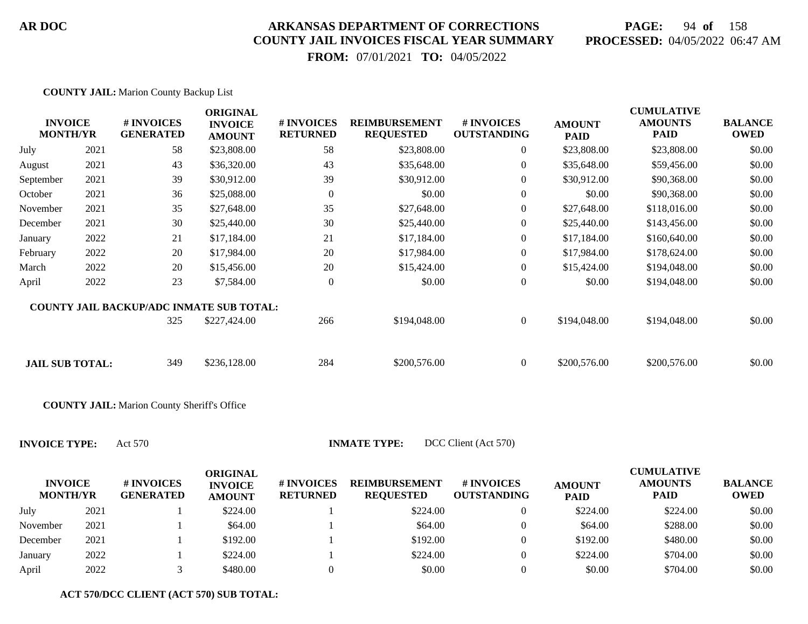## **PAGE:** 94 **of** 158 **PROCESSED:** 04/05/2022 06:47 AM

 **FROM:** 07/01/2021 **TO:** 04/05/2022

| <b>COUNTY JAIL:</b> Marion County Backup List |  |  |  |
|-----------------------------------------------|--|--|--|
|                                               |  |  |  |

| <b>INVOICE</b><br><b>MONTH/YR</b> |      | # INVOICES<br><b>GENERATED</b>                  | <b>ORIGINAL</b><br><b>INVOICE</b><br><b>AMOUNT</b> | # INVOICES<br><b>RETURNED</b> | <b>REIMBURSEMENT</b><br><b>REQUESTED</b> | # INVOICES<br><b>OUTSTANDING</b> | <b>AMOUNT</b><br><b>PAID</b> | <b>CUMULATIVE</b><br><b>AMOUNTS</b><br><b>PAID</b> | <b>BALANCE</b><br><b>OWED</b> |
|-----------------------------------|------|-------------------------------------------------|----------------------------------------------------|-------------------------------|------------------------------------------|----------------------------------|------------------------------|----------------------------------------------------|-------------------------------|
| July                              | 2021 | 58                                              | \$23,808.00                                        | 58                            | \$23,808.00                              | $\overline{0}$                   | \$23,808.00                  | \$23,808.00                                        | \$0.00                        |
| August                            | 2021 | 43                                              | \$36,320.00                                        | 43                            | \$35,648.00                              | $\overline{0}$                   | \$35,648.00                  | \$59,456.00                                        | \$0.00                        |
| September                         | 2021 | 39                                              | \$30,912.00                                        | 39                            | \$30,912.00                              | $\overline{0}$                   | \$30,912.00                  | \$90,368.00                                        | \$0.00                        |
| October                           | 2021 | 36                                              | \$25,088.00                                        | $\overline{0}$                | \$0.00                                   | $\overline{0}$                   | \$0.00                       | \$90,368.00                                        | \$0.00                        |
| November                          | 2021 | 35                                              | \$27,648.00                                        | 35                            | \$27,648.00                              | $\boldsymbol{0}$                 | \$27,648.00                  | \$118,016.00                                       | \$0.00                        |
| December                          | 2021 | 30                                              | \$25,440.00                                        | 30                            | \$25,440.00                              | $\boldsymbol{0}$                 | \$25,440.00                  | \$143,456.00                                       | \$0.00                        |
| January                           | 2022 | 21                                              | \$17,184.00                                        | 21                            | \$17,184.00                              | $\overline{0}$                   | \$17,184.00                  | \$160,640.00                                       | \$0.00                        |
| February                          | 2022 | 20                                              | \$17,984.00                                        | 20                            | \$17,984.00                              | $\overline{0}$                   | \$17,984.00                  | \$178,624.00                                       | \$0.00                        |
| March                             | 2022 | 20                                              | \$15,456.00                                        | 20                            | \$15,424.00                              | $\overline{0}$                   | \$15,424.00                  | \$194,048.00                                       | \$0.00                        |
| April                             | 2022 | 23                                              | \$7,584.00                                         | $\overline{0}$                | \$0.00                                   | $\boldsymbol{0}$                 | \$0.00                       | \$194,048.00                                       | \$0.00                        |
|                                   |      | <b>COUNTY JAIL BACKUP/ADC INMATE SUB TOTAL:</b> |                                                    |                               |                                          |                                  |                              |                                                    |                               |
|                                   |      | 325                                             | \$227,424.00                                       | 266                           | \$194,048.00                             | $\overline{0}$                   | \$194,048.00                 | \$194,048.00                                       | \$0.00                        |
|                                   |      |                                                 |                                                    |                               |                                          |                                  |                              |                                                    |                               |
| <b>JAIL SUB TOTAL:</b>            |      | 349                                             | \$236,128.00                                       | 284                           | \$200,576.00                             | $\overline{0}$                   | \$200,576.00                 | \$200,576.00                                       | \$0.00                        |

**COUNTY JAIL:** Marion County Sheriff's Office

**INVOICE TYPE:** Act 570 **INMATE T** 

| 'YPE: |  | DCC Client (Act 570) |
|-------|--|----------------------|
|-------|--|----------------------|

| <b>INVOICE</b><br><b>MONTH/YR</b> |      | # INVOICES<br><b>GENERATED</b> | <b>ORIGINAL</b><br><b>INVOICE</b><br><b>AMOUNT</b> | # INVOICES<br><b>RETURNED</b> | <b>REIMBURSEMENT</b><br><b>REQUESTED</b> | <b>#INVOICES</b><br><b>OUTSTANDING</b> | <b>AMOUNT</b><br><b>PAID</b> | <b>CUMULATIVE</b><br><b>AMOUNTS</b><br><b>PAID</b> | <b>BALANCE</b><br><b>OWED</b> |
|-----------------------------------|------|--------------------------------|----------------------------------------------------|-------------------------------|------------------------------------------|----------------------------------------|------------------------------|----------------------------------------------------|-------------------------------|
| July                              | 2021 |                                | \$224.00                                           |                               | \$224.00                                 |                                        | \$224.00                     | \$224.00                                           | \$0.00                        |
| November                          | 2021 |                                | \$64.00                                            |                               | \$64.00                                  |                                        | \$64.00                      | \$288.00                                           | \$0.00                        |
| December                          | 2021 |                                | \$192.00                                           |                               | \$192.00                                 |                                        | \$192.00                     | \$480.00                                           | \$0.00                        |
| January                           | 2022 |                                | \$224.00                                           |                               | \$224.00                                 |                                        | \$224.00                     | \$704.00                                           | \$0.00                        |
| April                             | 2022 |                                | \$480.00                                           |                               | \$0.00                                   |                                        | \$0.00                       | \$704.00                                           | \$0.00                        |

**ACT 570/DCC CLIENT (ACT 570) SUB TOTAL:**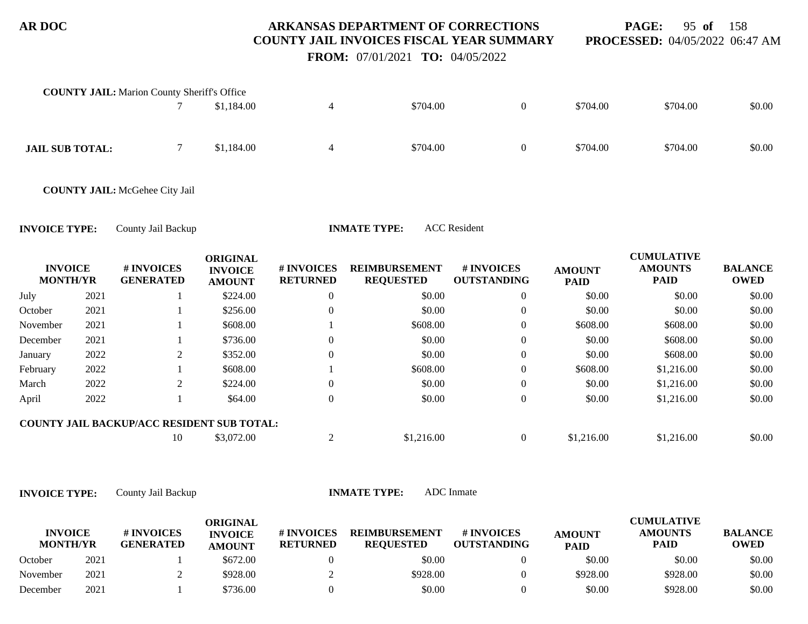**PAGE:** 95 **of** 158 **PROCESSED:** 04/05/2022 06:47 AM

 **FROM:** 07/01/2021 **TO:** 04/05/2022

|                                   |      | <b>COUNTY JAIL:</b> Marion County Sheriff's Office |                                                    |                               |                                          |                                  |                              |                                                    |                               |
|-----------------------------------|------|----------------------------------------------------|----------------------------------------------------|-------------------------------|------------------------------------------|----------------------------------|------------------------------|----------------------------------------------------|-------------------------------|
|                                   |      |                                                    | \$1,184.00                                         | $\overline{4}$                | \$704.00                                 | $\overline{0}$                   | \$704.00                     | \$704.00                                           | \$0.00                        |
| <b>JAIL SUB TOTAL:</b>            |      | 7                                                  | \$1,184.00                                         | $\overline{4}$                | \$704.00                                 | $\overline{0}$                   | \$704.00                     | \$704.00                                           | \$0.00                        |
|                                   |      | <b>COUNTY JAIL: McGehee City Jail</b>              |                                                    |                               |                                          |                                  |                              |                                                    |                               |
| <b>INVOICE TYPE:</b>              |      | County Jail Backup                                 |                                                    |                               | <b>INMATE TYPE:</b>                      | <b>ACC</b> Resident              |                              |                                                    |                               |
| <b>INVOICE</b><br><b>MONTH/YR</b> |      | # INVOICES<br><b>GENERATED</b>                     | <b>ORIGINAL</b><br><b>INVOICE</b><br><b>AMOUNT</b> | # INVOICES<br><b>RETURNED</b> | <b>REIMBURSEMENT</b><br><b>REQUESTED</b> | # INVOICES<br><b>OUTSTANDING</b> | <b>AMOUNT</b><br><b>PAID</b> | <b>CUMULATIVE</b><br><b>AMOUNTS</b><br><b>PAID</b> | <b>BALANCE</b><br><b>OWED</b> |
| July                              | 2021 |                                                    | \$224.00                                           | $\boldsymbol{0}$              | \$0.00                                   | $\overline{0}$                   | \$0.00                       | \$0.00                                             | \$0.00                        |
| October                           |      |                                                    |                                                    |                               |                                          |                                  |                              |                                                    |                               |
|                                   | 2021 |                                                    | \$256.00                                           | $\overline{0}$                | \$0.00                                   | $\theta$                         | \$0.00                       | \$0.00                                             | \$0.00                        |
| November                          | 2021 |                                                    | \$608.00                                           |                               | \$608.00                                 | $\overline{0}$                   | \$608.00                     | \$608.00                                           | \$0.00                        |
| December                          | 2021 |                                                    | \$736.00                                           | $\Omega$                      | \$0.00                                   | $\theta$                         | \$0.00                       | \$608.00                                           | \$0.00                        |
| January                           | 2022 | 2                                                  | \$352.00                                           | $\theta$                      | \$0.00                                   | $\theta$                         | \$0.00                       | \$608.00                                           | \$0.00                        |
| February                          | 2022 |                                                    | \$608.00                                           |                               | \$608.00                                 | $\theta$                         | \$608.00                     | \$1,216.00                                         | \$0.00                        |
| March                             | 2022 | 2                                                  | \$224.00                                           | $\theta$                      | \$0.00                                   | $\theta$                         | \$0.00                       | \$1,216.00                                         | \$0.00                        |
|                                   | 2022 |                                                    | \$64.00                                            | $\boldsymbol{0}$              | \$0.00                                   | $\boldsymbol{0}$                 | \$0.00                       | \$1,216.00                                         | \$0.00                        |
| April                             |      | COUNTY JAIL BACKUP/ACC RESIDENT SUB TOTAL:         |                                                    |                               |                                          |                                  |                              |                                                    |                               |

| <b>INVOICE</b><br><b>MONTH/YR</b> |      | # INVOICES<br><b>GENERATED</b> | ORIGINAL<br><b>INVOICE</b><br><b>AMOUNT</b> | # INVOICES<br><b>RETURNED</b> | <b>REIMBURSEMENT</b><br><b>REOUESTED</b> | # INVOICES<br><b>OUTSTANDING</b> | <b>AMOUNT</b><br><b>PAID</b> | <b>CUMULATIVE</b><br><b>AMOUNTS</b><br>PAID | <b>BALANCE</b><br><b>OWED</b> |
|-----------------------------------|------|--------------------------------|---------------------------------------------|-------------------------------|------------------------------------------|----------------------------------|------------------------------|---------------------------------------------|-------------------------------|
| October                           | 2021 |                                | \$672.00                                    |                               | \$0.00                                   |                                  | \$0.00                       | \$0.00                                      | \$0.00                        |
| November                          | 2021 |                                | \$928.00                                    |                               | \$928.00                                 |                                  | \$928.00                     | \$928.00                                    | \$0.00                        |
| December                          | 2021 |                                | \$736.00                                    |                               | \$0.00                                   |                                  | \$0.00                       | \$928.00                                    | \$0.00                        |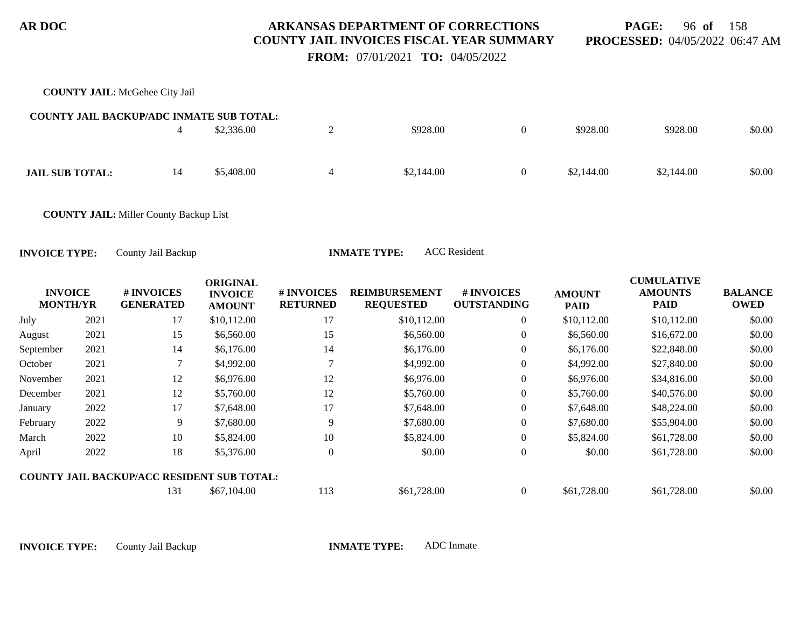**PAGE:** 96 **of** 158 **PROCESSED:** 04/05/2022 06:47 AM

 **FROM:** 07/01/2021 **TO:** 04/05/2022

|                                   |      | <b>COUNTY JAIL: McGehee City Jail</b>           |                                                    |                               |                                          |                                  |                              |                                                    |                               |
|-----------------------------------|------|-------------------------------------------------|----------------------------------------------------|-------------------------------|------------------------------------------|----------------------------------|------------------------------|----------------------------------------------------|-------------------------------|
|                                   |      | <b>COUNTY JAIL BACKUP/ADC INMATE SUB TOTAL:</b> |                                                    |                               |                                          |                                  |                              |                                                    |                               |
|                                   |      | $\overline{4}$                                  | \$2,336.00                                         | $\mathbf{2}$                  | \$928.00                                 | $\boldsymbol{0}$                 | \$928.00                     | \$928.00                                           | \$0.00                        |
|                                   |      |                                                 |                                                    |                               |                                          |                                  |                              |                                                    |                               |
| <b>JAIL SUB TOTAL:</b>            |      | 14                                              | \$5,408.00                                         | $\overline{4}$                | \$2,144.00                               | $\boldsymbol{0}$                 | \$2,144.00                   | \$2,144.00                                         | \$0.00                        |
|                                   |      |                                                 |                                                    |                               |                                          |                                  |                              |                                                    |                               |
|                                   |      | <b>COUNTY JAIL:</b> Miller County Backup List   |                                                    |                               |                                          |                                  |                              |                                                    |                               |
|                                   |      |                                                 |                                                    |                               |                                          |                                  |                              |                                                    |                               |
| <b>INVOICE TYPE:</b>              |      | County Jail Backup                              |                                                    |                               | <b>INMATE TYPE:</b>                      | <b>ACC</b> Resident              |                              |                                                    |                               |
| <b>INVOICE</b><br><b>MONTH/YR</b> |      | # INVOICES<br><b>GENERATED</b>                  | <b>ORIGINAL</b><br><b>INVOICE</b><br><b>AMOUNT</b> | # INVOICES<br><b>RETURNED</b> | <b>REIMBURSEMENT</b><br><b>REQUESTED</b> | # INVOICES<br><b>OUTSTANDING</b> | <b>AMOUNT</b><br><b>PAID</b> | <b>CUMULATIVE</b><br><b>AMOUNTS</b><br><b>PAID</b> | <b>BALANCE</b><br><b>OWED</b> |
| July                              | 2021 | 17                                              | \$10,112.00                                        | 17                            | \$10,112.00                              | $\mathbf{0}$                     | \$10,112.00                  | \$10,112.00                                        | \$0.00                        |
| August                            | 2021 | 15                                              | \$6,560.00                                         | 15                            | \$6,560.00                               | $\boldsymbol{0}$                 | \$6,560.00                   | \$16,672.00                                        | \$0.00                        |
| September                         | 2021 | 14                                              | \$6,176.00                                         | 14                            | \$6,176.00                               | $\Omega$                         | \$6,176.00                   | \$22,848.00                                        | \$0.00                        |
| October                           | 2021 |                                                 | \$4,992.00                                         |                               | \$4,992.00                               | $\theta$                         | \$4,992.00                   | \$27,840.00                                        | \$0.00                        |
| November                          | 2021 | 12                                              | \$6,976.00                                         | 12                            | \$6,976.00                               | $\theta$                         | \$6,976.00                   | \$34,816.00                                        | \$0.00                        |
| December                          | 2021 | 12                                              | \$5,760.00                                         | 12                            | \$5,760.00                               | $\boldsymbol{0}$                 | \$5,760.00                   | \$40,576.00                                        | \$0.00                        |
| January                           | 2022 | 17                                              | \$7,648.00                                         | 17                            | \$7,648.00                               | $\boldsymbol{0}$                 | \$7,648.00                   | \$48,224.00                                        | \$0.00                        |
| February                          | 2022 | 9                                               | \$7,680.00                                         | 9                             | \$7,680.00                               | $\theta$                         | \$7,680.00                   | \$55,904.00                                        | \$0.00                        |
| March                             | 2022 | 10                                              | \$5,824.00                                         | 10                            | \$5,824.00                               | $\boldsymbol{0}$                 | \$5,824.00                   | \$61,728.00                                        | \$0.00                        |
| April                             | 2022 | 18                                              | \$5,376.00                                         | $\boldsymbol{0}$              | \$0.00                                   | $\boldsymbol{0}$                 | \$0.00                       | \$61,728.00                                        | \$0.00                        |
|                                   |      | COUNTY IAIL DACKUD/ACC DESIDENT SUD TOTAL.      |                                                    |                               |                                          |                                  |                              |                                                    |                               |

#### **COUNTY JAIL BACKUP/ACC RESIDENT SUB TOTAL:**

131 \$67,104.00 113 \$61,728.00 0 \$61,728.00 \$61,728.00 \$67,104.00 \$0.00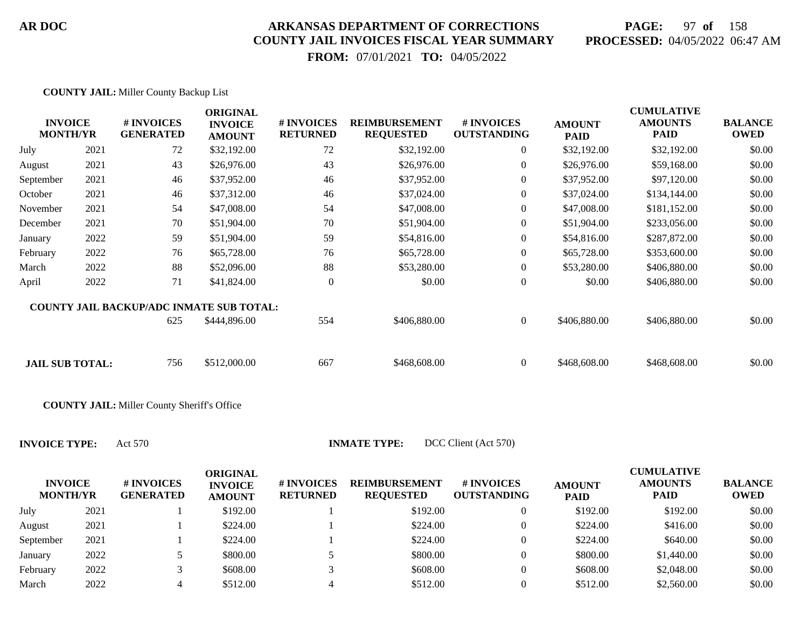## **PAGE:** 97 **of** 158 **PROCESSED:** 04/05/2022 06:47 AM

 **FROM:** 07/01/2021 **TO:** 04/05/2022

|           | <b>INVOICE</b><br><b>MONTH/YR</b> | # INVOICES<br><b>GENERATED</b>                  | <b>ORIGINAL</b><br><b>INVOICE</b><br><b>AMOUNT</b> | # INVOICES<br><b>RETURNED</b> | <b>REIMBURSEMENT</b><br><b>REQUESTED</b> | # INVOICES<br><b>OUTSTANDING</b> | <b>AMOUNT</b><br><b>PAID</b> | <b>CUMULATIVE</b><br><b>AMOUNTS</b><br><b>PAID</b> | <b>BALANCE</b><br><b>OWED</b> |
|-----------|-----------------------------------|-------------------------------------------------|----------------------------------------------------|-------------------------------|------------------------------------------|----------------------------------|------------------------------|----------------------------------------------------|-------------------------------|
| July      | 2021                              | 72                                              | \$32,192.00                                        | 72                            | \$32,192.00                              | $\overline{0}$                   | \$32,192.00                  | \$32,192.00                                        | \$0.00                        |
| August    | 2021                              | 43                                              | \$26,976.00                                        | 43                            | \$26,976.00                              | $\theta$                         | \$26,976.00                  | \$59,168.00                                        | \$0.00                        |
| September | 2021                              | 46                                              | \$37,952.00                                        | 46                            | \$37,952.00                              | $\theta$                         | \$37,952.00                  | \$97,120.00                                        | \$0.00                        |
| October   | 2021                              | 46                                              | \$37,312.00                                        | 46                            | \$37,024.00                              | $\theta$                         | \$37,024.00                  | \$134,144.00                                       | \$0.00                        |
| November  | 2021                              | 54                                              | \$47,008.00                                        | 54                            | \$47,008.00                              | $\overline{0}$                   | \$47,008.00                  | \$181,152.00                                       | \$0.00                        |
| December  | 2021                              | 70                                              | \$51,904.00                                        | 70                            | \$51,904.00                              | $\overline{0}$                   | \$51,904.00                  | \$233,056.00                                       | \$0.00                        |
| January   | 2022                              | 59                                              | \$51,904.00                                        | 59                            | \$54,816.00                              | $\overline{0}$                   | \$54,816.00                  | \$287,872.00                                       | \$0.00                        |
| February  | 2022                              | 76                                              | \$65,728.00                                        | 76                            | \$65,728.00                              | $\overline{0}$                   | \$65,728.00                  | \$353,600.00                                       | \$0.00                        |
| March     | 2022                              | 88                                              | \$52,096.00                                        | 88                            | \$53,280.00                              | $\overline{0}$                   | \$53,280.00                  | \$406,880.00                                       | \$0.00                        |
| April     | 2022                              | 71                                              | \$41,824.00                                        | $\overline{0}$                | \$0.00                                   | $\mathbf{0}$                     | \$0.00                       | \$406,880.00                                       | \$0.00                        |
|           |                                   | <b>COUNTY JAIL BACKUP/ADC INMATE SUB TOTAL:</b> |                                                    |                               |                                          |                                  |                              |                                                    |                               |
|           |                                   | 625                                             | \$444,896.00                                       | 554                           | \$406,880.00                             | $\Omega$                         | \$406,880.00                 | \$406,880.00                                       | \$0.00                        |
|           | <b>JAIL SUB TOTAL:</b>            | 756                                             | \$512,000.00                                       | 667                           | \$468,608.00                             | $\Omega$                         | \$468,608.00                 | \$468,608.00                                       | \$0.00                        |

**COUNTY JAIL:** Miller County Sheriff's Office

| <b>INVOICE</b><br><b>MONTH/YR</b> |      | # INVOICES<br><b>GENERATED</b> | ORIGINAL<br><b>INVOICE</b><br><b>AMOUNT</b> | # INVOICES<br><b>RETURNED</b> | <b>REIMBURSEMENT</b><br><b>REQUESTED</b> | <b>#INVOICES</b><br><b>OUTSTANDING</b> | <b>AMOUNT</b><br><b>PAID</b> | <b>CUMULATIVE</b><br><b>AMOUNTS</b><br><b>PAID</b> | <b>BALANCE</b><br><b>OWED</b> |
|-----------------------------------|------|--------------------------------|---------------------------------------------|-------------------------------|------------------------------------------|----------------------------------------|------------------------------|----------------------------------------------------|-------------------------------|
| July                              | 2021 |                                | \$192.00                                    |                               | \$192.00                                 |                                        | \$192.00                     | \$192.00                                           | \$0.00                        |
| August                            | 2021 |                                | \$224.00                                    |                               | \$224.00                                 |                                        | \$224.00                     | \$416.00                                           | \$0.00                        |
| September                         | 2021 |                                | \$224.00                                    |                               | \$224.00                                 |                                        | \$224.00                     | \$640.00                                           | \$0.00                        |
| January                           | 2022 |                                | \$800.00                                    |                               | \$800.00                                 |                                        | \$800.00                     | \$1,440.00                                         | \$0.00                        |
| February                          | 2022 |                                | \$608.00                                    |                               | \$608.00                                 |                                        | \$608.00                     | \$2,048.00                                         | \$0.00                        |
| March                             | 2022 |                                | \$512.00                                    |                               | \$512.00                                 |                                        | \$512.00                     | \$2,560.00                                         | \$0.00                        |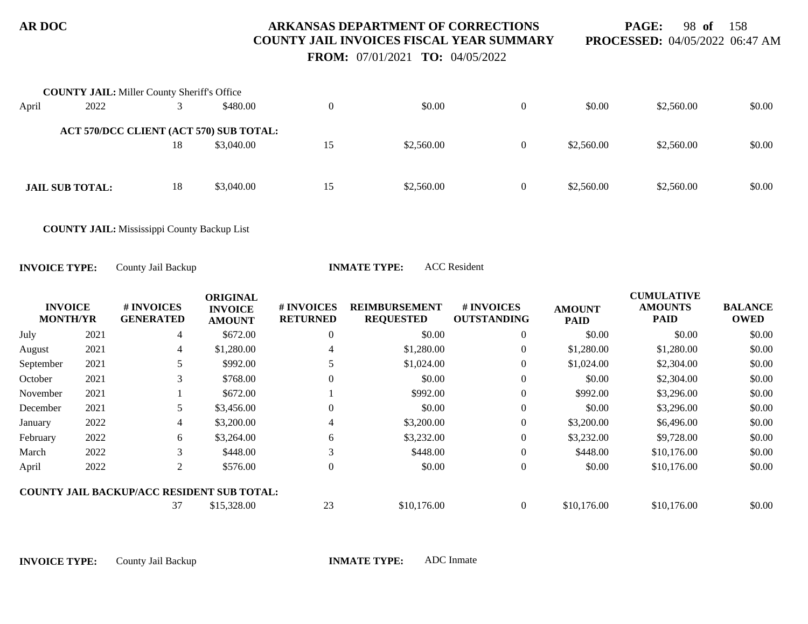**PAGE:** 98 **of** 158 **PROCESSED:** 04/05/2022 06:47 AM

 **FROM:** 07/01/2021 **TO:** 04/05/2022

|       | <b>COUNTY JAIL:</b> Miller County Sheriff's Office |    |            |    |            |            |            |        |
|-------|----------------------------------------------------|----|------------|----|------------|------------|------------|--------|
| April | 2022                                               |    | \$480.00   |    | \$0.00     | \$0.00     | \$2,560.00 | \$0.00 |
|       | ACT 570/DCC CLIENT (ACT 570) SUB TOTAL:            |    |            |    |            |            |            |        |
|       |                                                    | 18 | \$3,040.00 | 15 | \$2,560.00 | \$2,560.00 | \$2,560.00 | \$0.00 |
|       |                                                    |    |            |    |            |            |            |        |
|       | <b>JAIL SUB TOTAL:</b>                             | 18 | \$3,040.00 | 15 | \$2,560.00 | \$2,560.00 | \$2,560.00 | \$0.00 |
|       |                                                    |    |            |    |            |            |            |        |

**COUNTY JAIL:** Mississippi County Backup List

**INVOICE TYPE:** County Jail Backup **INMATE TYPE:** ACC Resident

|                                   |      |                                                   | <b>ORIGINAL</b>                 |                               |                                          |                                  |                              | <b>CUMULATIVE</b>             |                               |
|-----------------------------------|------|---------------------------------------------------|---------------------------------|-------------------------------|------------------------------------------|----------------------------------|------------------------------|-------------------------------|-------------------------------|
| <b>INVOICE</b><br><b>MONTH/YR</b> |      | # INVOICES<br><b>GENERATED</b>                    | <b>INVOICE</b><br><b>AMOUNT</b> | # INVOICES<br><b>RETURNED</b> | <b>REIMBURSEMENT</b><br><b>REQUESTED</b> | # INVOICES<br><b>OUTSTANDING</b> | <b>AMOUNT</b><br><b>PAID</b> | <b>AMOUNTS</b><br><b>PAID</b> | <b>BALANCE</b><br><b>OWED</b> |
| July                              | 2021 | $\overline{4}$                                    | \$672.00                        | $\mathbf{0}$                  | \$0.00                                   | 0                                | \$0.00                       | \$0.00                        | \$0.00                        |
| August                            | 2021 | $\overline{4}$                                    | \$1,280.00                      |                               | \$1,280.00                               | $\theta$                         | \$1,280.00                   | \$1,280.00                    | \$0.00                        |
| September                         | 2021 |                                                   | \$992.00                        |                               | \$1,024.00                               | $\Omega$                         | \$1,024.00                   | \$2,304.00                    | \$0.00                        |
| October                           | 2021 | 3                                                 | \$768.00                        | $\Omega$                      | \$0.00                                   | $\theta$                         | \$0.00                       | \$2,304.00                    | \$0.00                        |
| November                          | 2021 |                                                   | \$672.00                        |                               | \$992.00                                 | $\overline{0}$                   | \$992.00                     | \$3,296.00                    | \$0.00                        |
| December                          | 2021 | 5.                                                | \$3,456.00                      | $\Omega$                      | \$0.00                                   | $\Omega$                         | \$0.00                       | \$3,296.00                    | \$0.00                        |
| January                           | 2022 | $\overline{4}$                                    | \$3,200.00                      | 4                             | \$3,200.00                               | $\overline{0}$                   | \$3,200.00                   | \$6,496.00                    | \$0.00                        |
| February                          | 2022 | 6                                                 | \$3,264.00                      | 6                             | \$3,232.00                               | $\theta$                         | \$3,232.00                   | \$9,728.00                    | \$0.00                        |
| March                             | 2022 | 3                                                 | \$448.00                        | 3                             | \$448.00                                 | $\overline{0}$                   | \$448.00                     | \$10,176.00                   | \$0.00                        |
| April                             | 2022 | 2                                                 | \$576.00                        | $\Omega$                      | \$0.00                                   | $\overline{0}$                   | \$0.00                       | \$10,176.00                   | \$0.00                        |
|                                   |      | <b>COUNTY JAIL BACKUP/ACC RESIDENT SUB TOTAL:</b> |                                 |                               |                                          |                                  |                              |                               |                               |
|                                   |      | 37                                                | \$15,328.00                     | 23                            | \$10,176.00                              | $\theta$                         | \$10,176.00                  | \$10,176.00                   | \$0.00                        |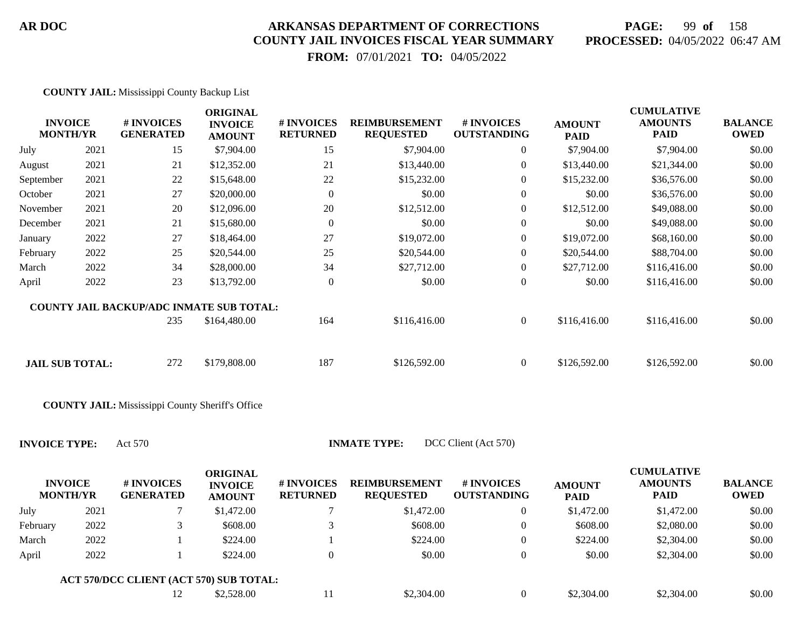## **PAGE:** 99 **of** 158 **PROCESSED:** 04/05/2022 06:47 AM

 **FROM:** 07/01/2021 **TO:** 04/05/2022

| <b>INVOICE</b><br><b>MONTH/YR</b> |      | # INVOICES<br><b>GENERATED</b>                  | <b>ORIGINAL</b><br><b>INVOICE</b><br><b>AMOUNT</b> | # INVOICES<br><b>RETURNED</b> | <b>REIMBURSEMENT</b><br><b>REQUESTED</b> | # INVOICES<br><b>OUTSTANDING</b> | <b>AMOUNT</b><br><b>PAID</b> | <b>CUMULATIVE</b><br><b>AMOUNTS</b><br><b>PAID</b> | <b>BALANCE</b><br><b>OWED</b> |
|-----------------------------------|------|-------------------------------------------------|----------------------------------------------------|-------------------------------|------------------------------------------|----------------------------------|------------------------------|----------------------------------------------------|-------------------------------|
| July                              | 2021 | 15                                              | \$7,904.00                                         | 15                            | \$7,904.00                               | $\overline{0}$                   | \$7,904.00                   | \$7,904.00                                         | \$0.00                        |
| August                            | 2021 | 21                                              | \$12,352.00                                        | 21                            | \$13,440.00                              | $\overline{0}$                   | \$13,440.00                  | \$21,344.00                                        | \$0.00                        |
| September                         | 2021 | 22                                              | \$15,648.00                                        | 22                            | \$15,232.00                              | $\overline{0}$                   | \$15,232.00                  | \$36,576.00                                        | \$0.00                        |
| October                           | 2021 | 27                                              | \$20,000.00                                        | $\Omega$                      | \$0.00                                   | $\boldsymbol{0}$                 | \$0.00                       | \$36,576.00                                        | \$0.00                        |
| November                          | 2021 | 20                                              | \$12,096.00                                        | 20                            | \$12,512.00                              | $\overline{0}$                   | \$12,512.00                  | \$49,088.00                                        | \$0.00                        |
| December                          | 2021 | 21                                              | \$15,680.00                                        | $\overline{0}$                | \$0.00                                   | $\overline{0}$                   | \$0.00                       | \$49,088.00                                        | \$0.00                        |
| January                           | 2022 | 27                                              | \$18,464.00                                        | 27                            | \$19,072.00                              | $\overline{0}$                   | \$19,072.00                  | \$68,160.00                                        | \$0.00                        |
| February                          | 2022 | 25                                              | \$20,544.00                                        | 25                            | \$20,544.00                              | $\overline{0}$                   | \$20,544.00                  | \$88,704.00                                        | \$0.00                        |
| March                             | 2022 | 34                                              | \$28,000.00                                        | 34                            | \$27,712.00                              | $\overline{0}$                   | \$27,712.00                  | \$116,416.00                                       | \$0.00                        |
| April                             | 2022 | 23                                              | \$13,792.00                                        | $\theta$                      | \$0.00                                   | $\boldsymbol{0}$                 | \$0.00                       | \$116,416.00                                       | \$0.00                        |
|                                   |      | <b>COUNTY JAIL BACKUP/ADC INMATE SUB TOTAL:</b> |                                                    |                               |                                          |                                  |                              |                                                    |                               |
|                                   |      | 235                                             | \$164,480.00                                       | 164                           | \$116,416.00                             | $\overline{0}$                   | \$116,416.00                 | \$116,416.00                                       | \$0.00                        |
| <b>JAIL SUB TOTAL:</b>            |      | 272                                             | \$179,808.00                                       | 187                           | \$126,592.00                             | $\overline{0}$                   | \$126,592.00                 | \$126,592.00                                       | \$0.00                        |
|                                   |      |                                                 |                                                    |                               |                                          |                                  |                              |                                                    |                               |

**COUNTY JAIL:** Mississippi County Sheriff's Office

|          | <b>INVOICE</b><br><b>MONTH/YR</b> | # INVOICES<br><b>GENERATED</b>          | ORIGINAL<br><b>INVOICE</b><br><b>AMOUNT</b> | <b># INVOICES</b><br><b>RETURNED</b> | <b>REIMBURSEMENT</b><br><b>REQUESTED</b> | <b># INVOICES</b><br><b>OUTSTANDING</b> | <b>AMOUNT</b><br><b>PAID</b> | <b>CUMULATIVE</b><br><b>AMOUNTS</b><br><b>PAID</b> | <b>BALANCE</b><br><b>OWED</b> |
|----------|-----------------------------------|-----------------------------------------|---------------------------------------------|--------------------------------------|------------------------------------------|-----------------------------------------|------------------------------|----------------------------------------------------|-------------------------------|
| July     | 2021                              |                                         | \$1,472.00                                  |                                      | \$1,472.00                               | 0                                       | \$1,472.00                   | \$1,472.00                                         | \$0.00                        |
| February | 2022                              |                                         | \$608.00                                    |                                      | \$608.00                                 | 0                                       | \$608.00                     | \$2,080.00                                         | \$0.00                        |
| March    | 2022                              |                                         | \$224.00                                    |                                      | \$224.00                                 | 0                                       | \$224.00                     | \$2,304.00                                         | \$0.00                        |
| April    | 2022                              |                                         | \$224.00                                    |                                      | \$0.00                                   | 0                                       | \$0.00                       | \$2,304.00                                         | \$0.00                        |
|          |                                   | ACT 570/DCC CLIENT (ACT 570) SUB TOTAL: |                                             |                                      |                                          |                                         |                              |                                                    |                               |
|          |                                   |                                         | \$2,528.00                                  |                                      | \$2,304.00                               | 0                                       | \$2,304.00                   | \$2,304.00                                         | \$0.00                        |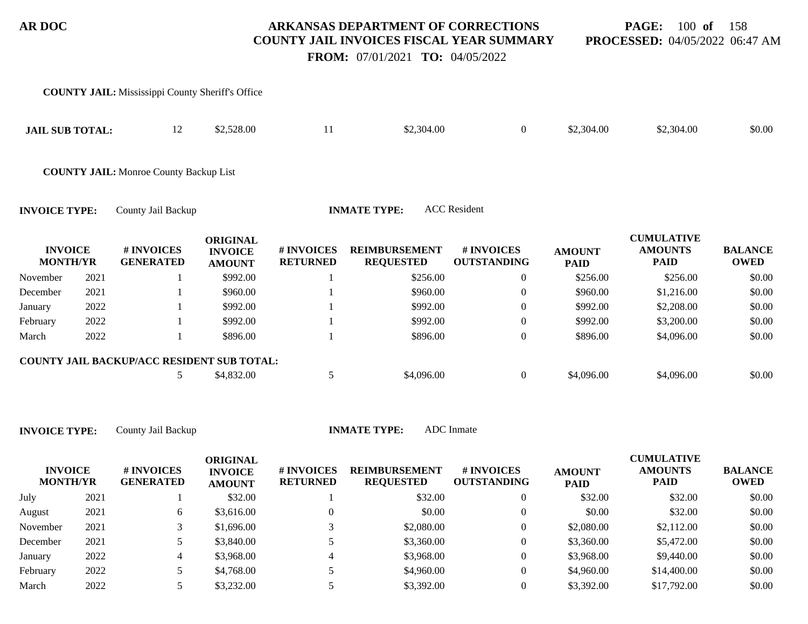**PAGE:** 100 **of** 158 **PROCESSED:** 04/05/2022 06:47 AM

 **FROM:** 07/01/2021 **TO:** 04/05/2022

|                                   |      | <b>COUNTY JAIL:</b> Mississippi County Sheriff's Office |                                                    |                               |                                          |                                  |                              |                                                    |                               |
|-----------------------------------|------|---------------------------------------------------------|----------------------------------------------------|-------------------------------|------------------------------------------|----------------------------------|------------------------------|----------------------------------------------------|-------------------------------|
| <b>JAIL SUB TOTAL:</b>            |      | 12                                                      | \$2,528.00                                         | 11                            | \$2,304.00                               | $\boldsymbol{0}$                 | \$2,304.00                   | \$2,304.00                                         | \$0.00                        |
|                                   |      | <b>COUNTY JAIL:</b> Monroe County Backup List           |                                                    |                               |                                          |                                  |                              |                                                    |                               |
| <b>INVOICE TYPE:</b>              |      | County Jail Backup                                      |                                                    |                               | <b>INMATE TYPE:</b>                      | <b>ACC</b> Resident              |                              |                                                    |                               |
| <b>INVOICE</b><br><b>MONTH/YR</b> |      | # INVOICES<br><b>GENERATED</b>                          | <b>ORIGINAL</b><br><b>INVOICE</b><br><b>AMOUNT</b> | # INVOICES<br><b>RETURNED</b> | <b>REIMBURSEMENT</b><br><b>REQUESTED</b> | # INVOICES<br><b>OUTSTANDING</b> | <b>AMOUNT</b><br><b>PAID</b> | <b>CUMULATIVE</b><br><b>AMOUNTS</b><br><b>PAID</b> | <b>BALANCE</b><br><b>OWED</b> |
| November                          | 2021 |                                                         | \$992.00                                           |                               | \$256.00                                 | $\boldsymbol{0}$                 | \$256.00                     | \$256.00                                           | \$0.00                        |
| December                          | 2021 |                                                         | \$960.00                                           |                               | \$960.00                                 | 0                                | \$960.00                     | \$1,216.00                                         | \$0.00                        |
| January                           | 2022 |                                                         | \$992.00                                           |                               | \$992.00                                 | $\theta$                         | \$992.00                     | \$2,208.00                                         | \$0.00                        |
| February                          | 2022 |                                                         | \$992.00                                           |                               | \$992.00                                 | 0                                | \$992.00                     | \$3,200.00                                         | \$0.00                        |
| March                             | 2022 |                                                         | \$896.00                                           |                               | \$896.00                                 | $\boldsymbol{0}$                 | \$896.00                     | \$4,096.00                                         | \$0.00                        |
|                                   |      | COUNTY JAIL BACKUP/ACC RESIDENT SUB TOTAL:              |                                                    |                               |                                          |                                  |                              |                                                    |                               |
|                                   |      | 5                                                       | \$4,832.00                                         | 5                             | \$4,096.00                               | $\overline{0}$                   | \$4,096.00                   | \$4,096.00                                         | \$0.00                        |

| <b>INVOICE</b><br><b>MONTH/YR</b> |      | # INVOICES<br><b>GENERATED</b> | ORIGINAL<br><b>INVOICE</b><br><b>AMOUNT</b> | # INVOICES<br><b>RETURNED</b> | <b>REIMBURSEMENT</b><br><b>REQUESTED</b> | # INVOICES<br><b>OUTSTANDING</b> | <b>AMOUNT</b><br><b>PAID</b> | <b>CUMULATIVE</b><br><b>AMOUNTS</b><br><b>PAID</b> | <b>BALANCE</b><br><b>OWED</b> |
|-----------------------------------|------|--------------------------------|---------------------------------------------|-------------------------------|------------------------------------------|----------------------------------|------------------------------|----------------------------------------------------|-------------------------------|
| July                              | 2021 |                                | \$32.00                                     |                               | \$32.00                                  | 0                                | \$32.00                      | \$32.00                                            | \$0.00                        |
| August                            | 2021 | 6                              | \$3,616.00                                  |                               | \$0.00                                   |                                  | \$0.00                       | \$32.00                                            | \$0.00                        |
| November                          | 2021 |                                | \$1,696.00                                  |                               | \$2,080.00                               | 0                                | \$2,080.00                   | \$2,112.00                                         | \$0.00                        |
| December                          | 2021 |                                | \$3,840.00                                  |                               | \$3,360.00                               | 0                                | \$3,360.00                   | \$5,472.00                                         | \$0.00                        |
| January                           | 2022 |                                | \$3,968.00                                  |                               | \$3,968.00                               | 0                                | \$3,968.00                   | \$9,440.00                                         | \$0.00                        |
| February                          | 2022 |                                | \$4,768.00                                  |                               | \$4,960.00                               | 0                                | \$4,960.00                   | \$14,400.00                                        | \$0.00                        |
| March                             | 2022 |                                | \$3,232.00                                  |                               | \$3,392.00                               |                                  | \$3,392.00                   | \$17,792.00                                        | \$0.00                        |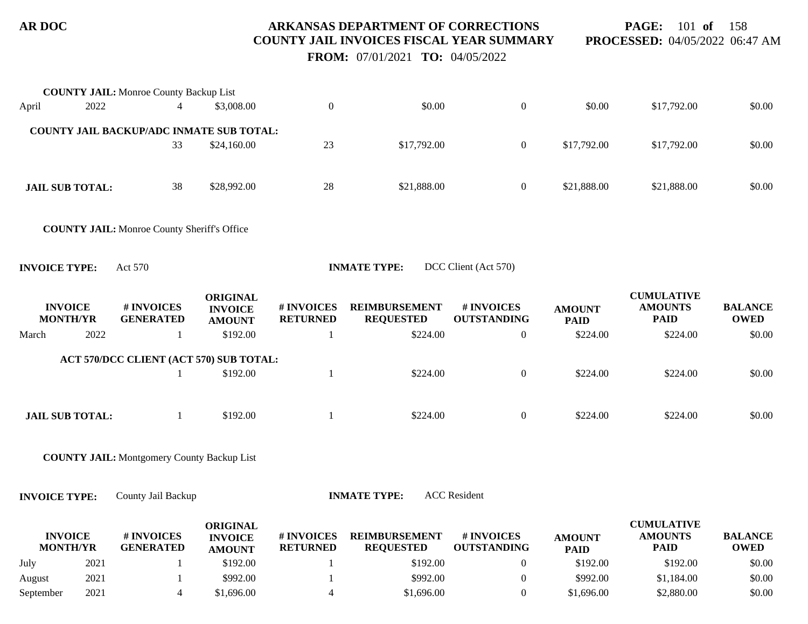**PAGE:** 101 **of** 158 **PROCESSED:** 04/05/2022 06:47 AM

 **FROM:** 07/01/2021 **TO:** 04/05/2022

|                      |                                   | <b>COUNTY JAIL: Monroe County Backup List</b>           |                                                    |                               |                                          |                                  |                              |                                                    |                               |
|----------------------|-----------------------------------|---------------------------------------------------------|----------------------------------------------------|-------------------------------|------------------------------------------|----------------------------------|------------------------------|----------------------------------------------------|-------------------------------|
| April                | 2022                              | 4                                                       | \$3,008.00                                         | $\boldsymbol{0}$              | \$0.00                                   | $\boldsymbol{0}$                 | \$0.00                       | \$17,792.00                                        | \$0.00                        |
|                      |                                   | <b>COUNTY JAIL BACKUP/ADC INMATE SUB TOTAL:</b>         |                                                    |                               |                                          |                                  |                              |                                                    |                               |
|                      |                                   | 33                                                      | \$24,160.00                                        | 23                            | \$17,792.00                              | $\boldsymbol{0}$                 | \$17,792.00                  | \$17,792.00                                        | \$0.00                        |
|                      | <b>JAIL SUB TOTAL:</b>            | 38                                                      | \$28,992.00                                        | 28                            | \$21,888.00                              | $\boldsymbol{0}$                 | \$21,888.00                  | \$21,888.00                                        | \$0.00                        |
|                      |                                   | <b>COUNTY JAIL:</b> Monroe County Sheriff's Office      |                                                    |                               |                                          |                                  |                              |                                                    |                               |
| <b>INVOICE TYPE:</b> |                                   | Act 570                                                 |                                                    |                               | <b>INMATE TYPE:</b>                      | DCC Client (Act 570)             |                              |                                                    |                               |
|                      | <b>INVOICE</b><br><b>MONTH/YR</b> | # INVOICES<br><b>GENERATED</b>                          | <b>ORIGINAL</b><br><b>INVOICE</b><br><b>AMOUNT</b> | # INVOICES<br><b>RETURNED</b> | <b>REIMBURSEMENT</b><br><b>REQUESTED</b> | # INVOICES<br><b>OUTSTANDING</b> | <b>AMOUNT</b><br><b>PAID</b> | <b>CUMULATIVE</b><br><b>AMOUNTS</b><br><b>PAID</b> | <b>BALANCE</b><br><b>OWED</b> |
| March                | 2022                              | 1                                                       | \$192.00                                           | $\mathbf{1}$                  | \$224.00                                 | $\mathbf{0}$                     | \$224.00                     | \$224.00                                           | \$0.00                        |
|                      |                                   |                                                         |                                                    |                               |                                          |                                  |                              |                                                    |                               |
|                      |                                   | ACT 570/DCC CLIENT (ACT 570) SUB TOTAL:<br>$\mathbf{1}$ | \$192.00                                           | $\mathbf{1}$                  | \$224.00                                 | $\boldsymbol{0}$                 | \$224.00                     | \$224.00                                           | \$0.00                        |
|                      |                                   |                                                         |                                                    |                               |                                          |                                  |                              |                                                    |                               |
|                      | <b>JAIL SUB TOTAL:</b>            | 1                                                       | \$192.00                                           | $\overline{1}$                | \$224.00                                 | $\boldsymbol{0}$                 | \$224.00                     | \$224.00                                           | \$0.00                        |
|                      |                                   | <b>COUNTY JAIL:</b> Montgomery County Backup List       |                                                    |                               |                                          |                                  |                              |                                                    |                               |
| <b>INVOICE TYPE:</b> |                                   | County Jail Backup                                      |                                                    |                               | <b>INMATE TYPE:</b>                      | <b>ACC</b> Resident              |                              |                                                    |                               |
|                      | <b>INVOICE</b><br><b>MONTH/YR</b> | # INVOICES<br><b>GENERATED</b>                          | <b>ORIGINAL</b><br><b>INVOICE</b><br><b>AMOUNT</b> | # INVOICES<br><b>RETURNED</b> | <b>REIMBURSEMENT</b><br><b>REQUESTED</b> | # INVOICES<br><b>OUTSTANDING</b> | <b>AMOUNT</b><br><b>PAID</b> | <b>CUMULATIVE</b><br><b>AMOUNTS</b><br><b>PAID</b> | <b>BALANCE</b><br><b>OWED</b> |
| July                 | 2021                              | -1                                                      | \$192.00                                           | $\mathbf{1}$                  | \$192.00                                 | $\mathbf{0}$                     | \$192.00                     | \$192.00                                           | \$0.00                        |
| August               | 2021                              | 1                                                       | \$992.00                                           | $\mathbf{1}$                  | \$992.00                                 | $\mathbf{0}$                     | \$992.00                     | \$1,184.00                                         | \$0.00                        |

September 2021 4 \$1,696.00 4 \$1,696.00 4 \$1,696.00 \$2,880.00 \$2,880.00 \$0.00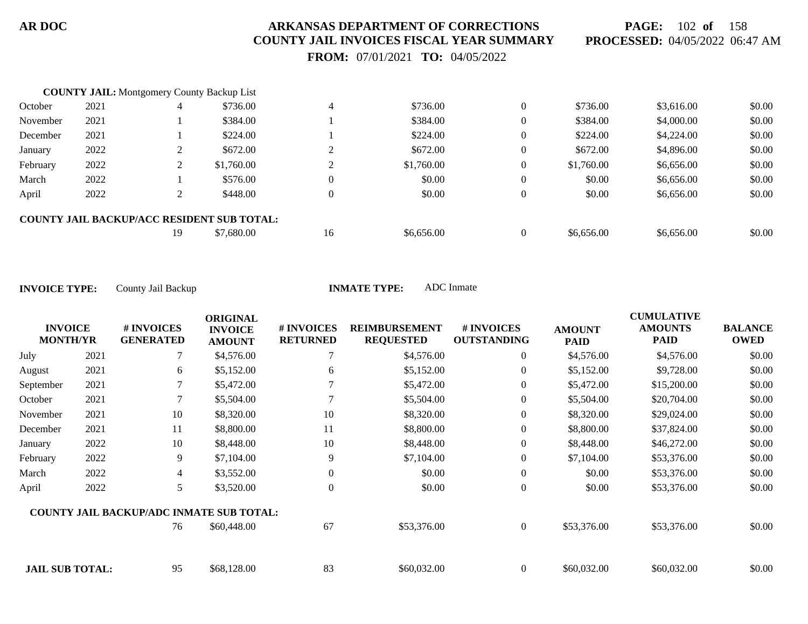**PAGE:** 102 **of** 158 **PROCESSED:** 04/05/2022 06:47 AM

 **FROM:** 07/01/2021 **TO:** 04/05/2022

|          | <b>COUNTY JAIL:</b> Montgomery County Backup List |    |                                                   |                |            |            |            |        |
|----------|---------------------------------------------------|----|---------------------------------------------------|----------------|------------|------------|------------|--------|
| October  | 2021                                              |    | \$736.00                                          | 4              | \$736.00   | \$736.00   | \$3,616.00 | \$0.00 |
| November | 2021                                              |    | \$384.00                                          |                | \$384.00   | \$384.00   | \$4,000.00 | \$0.00 |
| December | 2021                                              |    | \$224.00                                          |                | \$224.00   | \$224.00   | \$4,224.00 | \$0.00 |
| January  | 2022                                              |    | \$672.00                                          |                | \$672.00   | \$672.00   | \$4,896.00 | \$0.00 |
| February | 2022                                              |    | \$1,760.00                                        |                | \$1,760.00 | \$1,760.00 | \$6,656.00 | \$0.00 |
| March    | 2022                                              |    | \$576.00                                          | $\Omega$       | \$0.00     | \$0.00     | \$6,656.00 | \$0.00 |
| April    | 2022                                              |    | \$448.00                                          | $\overline{0}$ | \$0.00     | \$0.00     | \$6,656.00 | \$0.00 |
|          |                                                   |    | <b>COUNTY JAIL BACKUP/ACC RESIDENT SUB TOTAL:</b> |                |            |            |            |        |
|          |                                                   | 19 | \$7,680.00                                        | 16             | \$6,656.00 | \$6,656.00 | \$6,656.00 | \$0.00 |

|                                   |      |                                                 | <b>ORIGINAL</b>                 |                               |                                          |                                  |                              | <b>CUMULATIVE</b>             |                               |
|-----------------------------------|------|-------------------------------------------------|---------------------------------|-------------------------------|------------------------------------------|----------------------------------|------------------------------|-------------------------------|-------------------------------|
| <b>INVOICE</b><br><b>MONTH/YR</b> |      | # INVOICES<br><b>GENERATED</b>                  | <b>INVOICE</b><br><b>AMOUNT</b> | # INVOICES<br><b>RETURNED</b> | <b>REIMBURSEMENT</b><br><b>REQUESTED</b> | # INVOICES<br><b>OUTSTANDING</b> | <b>AMOUNT</b><br><b>PAID</b> | <b>AMOUNTS</b><br><b>PAID</b> | <b>BALANCE</b><br><b>OWED</b> |
| July                              | 2021 | 7                                               | \$4,576.00                      | 7                             | \$4,576.00                               | $\overline{0}$                   | \$4,576.00                   | \$4,576.00                    | \$0.00                        |
| August                            | 2021 | 6                                               | \$5,152.00                      | 6                             | \$5,152.00                               | $\overline{0}$                   | \$5,152.00                   | \$9,728.00                    | \$0.00                        |
| September                         | 2021 |                                                 | \$5,472.00                      |                               | \$5,472.00                               | $\overline{0}$                   | \$5,472.00                   | \$15,200.00                   | \$0.00                        |
| October                           | 2021 |                                                 | \$5,504.00                      |                               | \$5,504.00                               | $\overline{0}$                   | \$5,504.00                   | \$20,704.00                   | \$0.00                        |
| November                          | 2021 | 10                                              | \$8,320.00                      | 10                            | \$8,320.00                               | $\boldsymbol{0}$                 | \$8,320.00                   | \$29,024.00                   | \$0.00                        |
| December                          | 2021 | 11                                              | \$8,800.00                      | 11                            | \$8,800.00                               | $\overline{0}$                   | \$8,800.00                   | \$37,824.00                   | \$0.00                        |
| January                           | 2022 | 10                                              | \$8,448.00                      | 10                            | \$8,448.00                               | $\overline{0}$                   | \$8,448.00                   | \$46,272.00                   | \$0.00                        |
| February                          | 2022 | 9                                               | \$7,104.00                      | 9                             | \$7,104.00                               | $\overline{0}$                   | \$7,104.00                   | \$53,376.00                   | \$0.00                        |
| March                             | 2022 | 4                                               | \$3,552.00                      | $\theta$                      | \$0.00                                   | $\boldsymbol{0}$                 | \$0.00                       | \$53,376.00                   | \$0.00                        |
| April                             | 2022 | 5                                               | \$3,520.00                      | $\Omega$                      | \$0.00                                   | $\overline{0}$                   | \$0.00                       | \$53,376.00                   | \$0.00                        |
|                                   |      | <b>COUNTY JAIL BACKUP/ADC INMATE SUB TOTAL:</b> |                                 |                               |                                          |                                  |                              |                               |                               |
|                                   |      | 76                                              | \$60,448.00                     | 67                            | \$53,376.00                              | $\overline{0}$                   | \$53,376.00                  | \$53,376.00                   | \$0.00                        |
| <b>JAIL SUB TOTAL:</b>            |      | 95                                              | \$68,128.00                     | 83                            | \$60,032.00                              | $\overline{0}$                   | \$60,032.00                  | \$60,032.00                   | \$0.00                        |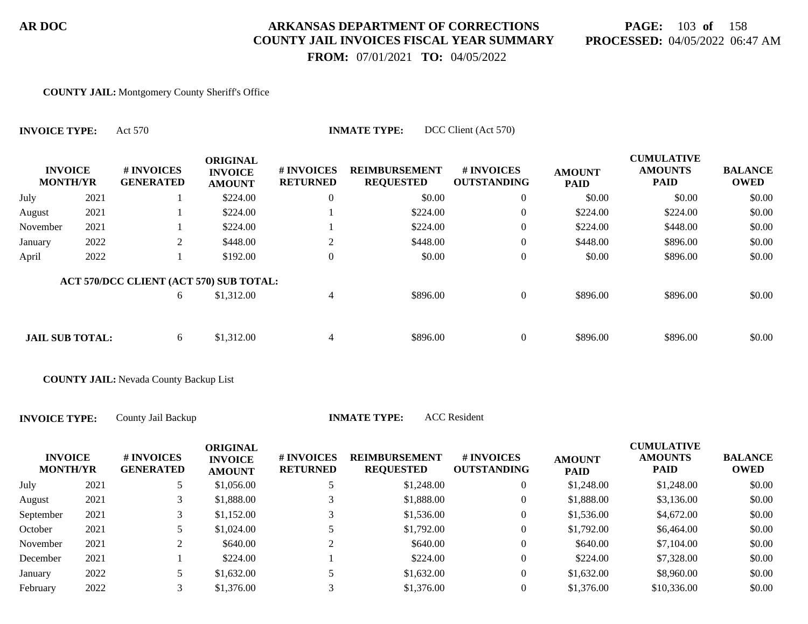# **PAGE:** 103 **of** 158 **PROCESSED:** 04/05/2022 06:47 AM

 **FROM:** 07/01/2021 **TO:** 04/05/2022

#### **COUNTY JAIL:** Montgomery County Sheriff's Office

| <b>INVOICE TYPE:</b>              |      | DCC Client (Act 570)<br><b>INMATE TYPE:</b><br>Act 570 |                                                    |                                     |                                          |                                        |                              |                                                    |                               |  |  |  |
|-----------------------------------|------|--------------------------------------------------------|----------------------------------------------------|-------------------------------------|------------------------------------------|----------------------------------------|------------------------------|----------------------------------------------------|-------------------------------|--|--|--|
| <b>INVOICE</b><br><b>MONTH/YR</b> |      | # INVOICES<br><b>GENERATED</b>                         | <b>ORIGINAL</b><br><b>INVOICE</b><br><b>AMOUNT</b> | <b>#INVOICES</b><br><b>RETURNED</b> | <b>REIMBURSEMENT</b><br><b>REQUESTED</b> | <b>#INVOICES</b><br><b>OUTSTANDING</b> | <b>AMOUNT</b><br><b>PAID</b> | <b>CUMULATIVE</b><br><b>AMOUNTS</b><br><b>PAID</b> | <b>BALANCE</b><br><b>OWED</b> |  |  |  |
| July                              | 2021 |                                                        | \$224.00                                           | $\overline{0}$                      | \$0.00                                   | $\overline{0}$                         | \$0.00                       | \$0.00                                             | \$0.00                        |  |  |  |
| August                            | 2021 |                                                        | \$224.00                                           |                                     | \$224.00                                 | $\overline{0}$                         | \$224.00                     | \$224.00                                           | \$0.00                        |  |  |  |
| November                          | 2021 |                                                        | \$224.00                                           |                                     | \$224.00                                 | $\overline{0}$                         | \$224.00                     | \$448.00                                           | \$0.00                        |  |  |  |
| January                           | 2022 | 2                                                      | \$448.00                                           | 2                                   | \$448.00                                 | $\overline{0}$                         | \$448.00                     | \$896.00                                           | \$0.00                        |  |  |  |
| April                             | 2022 |                                                        | \$192.00                                           | $\theta$                            | \$0.00                                   | $\overline{0}$                         | \$0.00                       | \$896.00                                           | \$0.00                        |  |  |  |
|                                   |      | ACT 570/DCC CLIENT (ACT 570) SUB TOTAL:                |                                                    |                                     |                                          |                                        |                              |                                                    |                               |  |  |  |
|                                   |      | 6                                                      | \$1,312.00                                         | 4                                   | \$896.00                                 | $\overline{0}$                         | \$896.00                     | \$896.00                                           | \$0.00                        |  |  |  |
| <b>JAIL SUB TOTAL:</b>            |      | 6                                                      | \$1,312.00                                         | $\overline{4}$                      | \$896.00                                 | $\overline{0}$                         | \$896.00                     | \$896.00                                           | \$0.00                        |  |  |  |
|                                   |      |                                                        |                                                    |                                     |                                          |                                        |                              |                                                    |                               |  |  |  |

**COUNTY JAIL:** Nevada County Backup List

**INVOICE TYPE:** County Jail Backup **INMATE TY** 

| <b>ACC</b> Resident<br>'PE: |
|-----------------------------|
|                             |

| <b>INVOICE</b><br><b>MONTH/YR</b> |      | # INVOICES<br><b>GENERATED</b> | <b>ORIGINAL</b><br><b>INVOICE</b><br><b>AMOUNT</b> | # INVOICES<br><b>RETURNED</b> | <b>REIMBURSEMENT</b><br><b>REQUESTED</b> | # INVOICES<br><b>OUTSTANDING</b> | <b>AMOUNT</b><br><b>PAID</b> | <b>CUMULATIVE</b><br><b>AMOUNTS</b><br>PAID | <b>BALANCE</b><br><b>OWED</b> |
|-----------------------------------|------|--------------------------------|----------------------------------------------------|-------------------------------|------------------------------------------|----------------------------------|------------------------------|---------------------------------------------|-------------------------------|
| July                              | 2021 |                                | \$1,056.00                                         |                               | \$1,248.00                               | 0                                | \$1,248.00                   | \$1,248.00                                  | \$0.00                        |
| August                            | 2021 |                                | \$1,888.00                                         |                               | \$1,888.00                               | 0                                | \$1,888.00                   | \$3,136.00                                  | \$0.00                        |
| September                         | 2021 |                                | \$1.152.00                                         |                               | \$1,536.00                               | 0                                | \$1,536.00                   | \$4,672.00                                  | \$0.00                        |
| October                           | 2021 | 5                              | \$1,024.00                                         |                               | \$1,792.00                               | 0                                | \$1,792.00                   | \$6,464.00                                  | \$0.00                        |
| November                          | 2021 | ◠<br>∠                         | \$640.00                                           |                               | \$640.00                                 | $\boldsymbol{0}$                 | \$640.00                     | \$7,104.00                                  | \$0.00                        |
| December                          | 2021 |                                | \$224.00                                           |                               | \$224.00                                 | $\overline{0}$                   | \$224.00                     | \$7,328.00                                  | \$0.00                        |
| January                           | 2022 |                                | \$1,632.00                                         |                               | \$1,632.00                               | $\overline{0}$                   | \$1,632.00                   | \$8,960.00                                  | \$0.00                        |
| February                          | 2022 |                                | \$1,376.00                                         |                               | \$1,376.00                               | $\theta$                         | \$1,376.00                   | \$10,336.00                                 | \$0.00                        |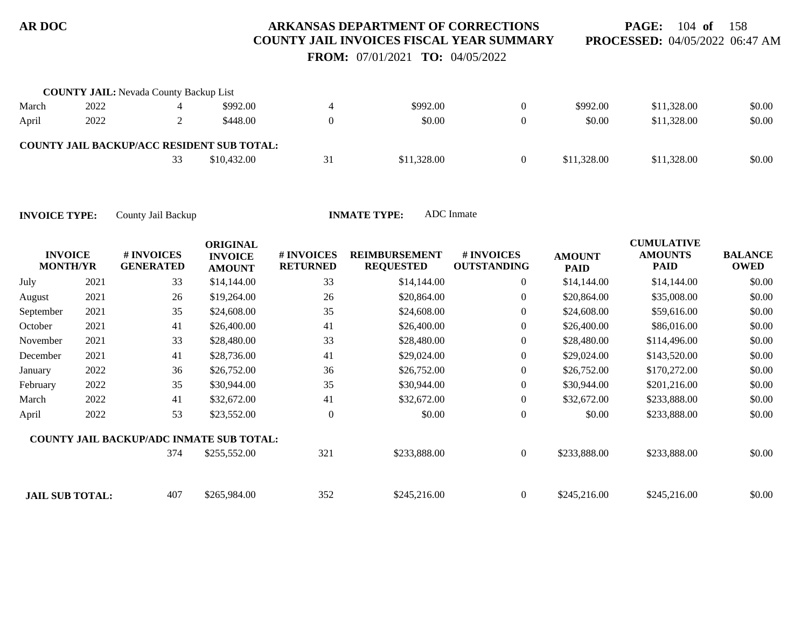**PAGE:** 104 **of** 158 **PROCESSED:** 04/05/2022 06:47 AM

 **FROM:** 07/01/2021 **TO:** 04/05/2022

|       | <b>COUNTY JAIL:</b> Nevada County Backup List |    |                                                   |    |             |          |             |             |        |
|-------|-----------------------------------------------|----|---------------------------------------------------|----|-------------|----------|-------------|-------------|--------|
| March | 2022                                          |    | \$992.00                                          |    | \$992.00    |          | \$992.00    | \$11,328.00 | \$0.00 |
| April | 2022                                          |    | \$448.00                                          |    | \$0.00      |          | \$0.00      | \$11,328.00 | \$0.00 |
|       |                                               |    | <b>COUNTY JAIL BACKUP/ACC RESIDENT SUB TOTAL:</b> |    |             |          |             |             |        |
|       |                                               | 33 | \$10,432.00                                       | 31 | \$11,328.00 | $\Omega$ | \$11,328.00 | \$11,328.00 | \$0.00 |

| <b>INVOICE</b><br><b>MONTH/YR</b> |      | # INVOICES<br><b>GENERATED</b>                  | <b>ORIGINAL</b><br><b>INVOICE</b><br><b>AMOUNT</b> | # INVOICES<br><b>RETURNED</b> | <b>REIMBURSEMENT</b><br><b>REQUESTED</b> | # INVOICES<br><b>OUTSTANDING</b> | <b>AMOUNT</b><br><b>PAID</b> | <b>CUMULATIVE</b><br><b>AMOUNTS</b><br><b>PAID</b> | <b>BALANCE</b><br><b>OWED</b> |
|-----------------------------------|------|-------------------------------------------------|----------------------------------------------------|-------------------------------|------------------------------------------|----------------------------------|------------------------------|----------------------------------------------------|-------------------------------|
| July                              | 2021 | 33                                              | \$14,144.00                                        | 33                            | \$14,144.00                              | $\overline{0}$                   | \$14,144.00                  | \$14,144.00                                        | \$0.00                        |
| August                            | 2021 | 26                                              | \$19,264.00                                        | 26                            | \$20,864.00                              | $\overline{0}$                   | \$20,864.00                  | \$35,008.00                                        | \$0.00                        |
| September                         | 2021 | 35                                              | \$24,608.00                                        | 35                            | \$24,608.00                              | $\mathbf{0}$                     | \$24,608.00                  | \$59,616.00                                        | \$0.00                        |
| October                           | 2021 | 41                                              | \$26,400.00                                        | 41                            | \$26,400.00                              | $\boldsymbol{0}$                 | \$26,400.00                  | \$86,016.00                                        | \$0.00                        |
| November                          | 2021 | 33                                              | \$28,480.00                                        | 33                            | \$28,480.00                              | $\boldsymbol{0}$                 | \$28,480.00                  | \$114,496.00                                       | \$0.00                        |
| December                          | 2021 | 41                                              | \$28,736.00                                        | 41                            | \$29,024.00                              | $\boldsymbol{0}$                 | \$29,024.00                  | \$143,520.00                                       | \$0.00                        |
| January                           | 2022 | 36                                              | \$26,752.00                                        | 36                            | \$26,752.00                              | $\overline{0}$                   | \$26,752.00                  | \$170,272.00                                       | \$0.00                        |
| February                          | 2022 | 35                                              | \$30,944.00                                        | 35                            | \$30,944.00                              | $\overline{0}$                   | \$30,944.00                  | \$201,216.00                                       | \$0.00                        |
| March                             | 2022 | 41                                              | \$32,672.00                                        | 41                            | \$32,672.00                              | $\boldsymbol{0}$                 | \$32,672.00                  | \$233,888.00                                       | \$0.00                        |
| April                             | 2022 | 53                                              | \$23,552.00                                        | $\theta$                      | \$0.00                                   | $\mathbf{0}$                     | \$0.00                       | \$233,888.00                                       | \$0.00                        |
|                                   |      | <b>COUNTY JAIL BACKUP/ADC INMATE SUB TOTAL:</b> |                                                    |                               |                                          |                                  |                              |                                                    |                               |
|                                   |      | 374                                             | \$255,552.00                                       | 321                           | \$233,888.00                             | $\boldsymbol{0}$                 | \$233,888.00                 | \$233,888.00                                       | \$0.00                        |
| <b>JAIL SUB TOTAL:</b>            |      | 407                                             | \$265,984.00                                       | 352                           | \$245,216.00                             | $\overline{0}$                   | \$245,216.00                 | \$245,216.00                                       | \$0.00                        |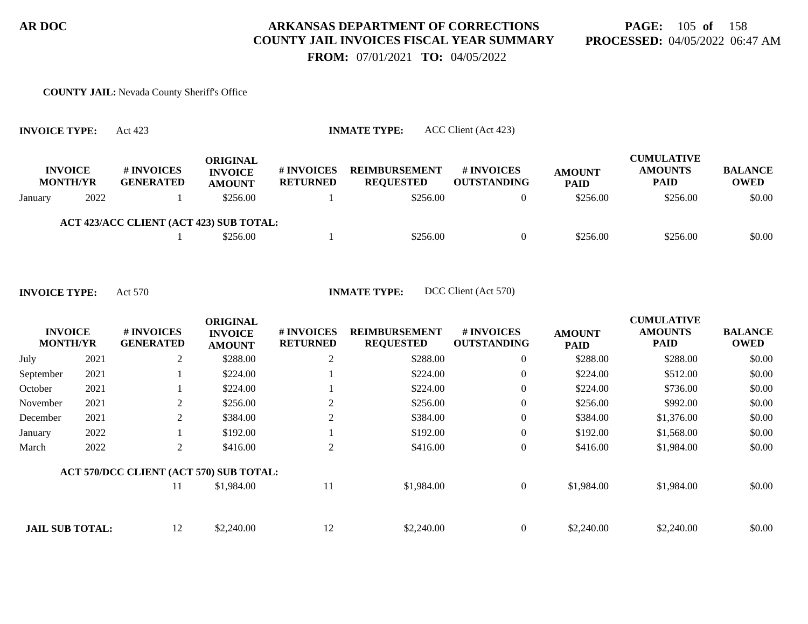# **PAGE:** 105 **of** 158 **PROCESSED:** 04/05/2022 06:47 AM

 **FROM:** 07/01/2021 **TO:** 04/05/2022

#### **COUNTY JAIL:** Nevada County Sheriff's Office

| <b>INVOICE TYPE:</b>              |      | ACC Client (Act 423)<br><b>INMATE TYPE:</b><br>Act 423 |                                             |                                      |                                          |                                         |                              |                                                    |                               |  |  |  |
|-----------------------------------|------|--------------------------------------------------------|---------------------------------------------|--------------------------------------|------------------------------------------|-----------------------------------------|------------------------------|----------------------------------------------------|-------------------------------|--|--|--|
| <b>INVOICE</b><br><b>MONTH/YR</b> |      | # INVOICES<br><b>GENERATED</b>                         | ORIGINAL<br><b>INVOICE</b><br><b>AMOUNT</b> | <b># INVOICES</b><br><b>RETURNED</b> | <b>REIMBURSEMENT</b><br><b>REQUESTED</b> | <b># INVOICES</b><br><b>OUTSTANDING</b> | <b>AMOUNT</b><br><b>PAID</b> | <b>CUMULATIVE</b><br><b>AMOUNTS</b><br><b>PAID</b> | <b>BALANCE</b><br><b>OWED</b> |  |  |  |
| January                           | 2022 |                                                        | \$256.00                                    |                                      | \$256.00                                 | $\Omega$                                | \$256.00                     | \$256.00                                           | \$0.00                        |  |  |  |
|                                   |      | <b>ACT 423/ACC CLIENT (ACT 423) SUB TOTAL:</b>         |                                             |                                      |                                          |                                         |                              |                                                    |                               |  |  |  |
|                                   |      |                                                        | \$256.00                                    |                                      | \$256.00                                 | $\Omega$                                | \$256.00                     | \$256.00                                           | \$0.00                        |  |  |  |

|                                   |      |                                         | <b>ORIGINAL</b>                 |                                      |                                          |                                  |                              | <b>CUMULATIVE</b>             |                               |
|-----------------------------------|------|-----------------------------------------|---------------------------------|--------------------------------------|------------------------------------------|----------------------------------|------------------------------|-------------------------------|-------------------------------|
| <b>INVOICE</b><br><b>MONTH/YR</b> |      | # INVOICES<br><b>GENERATED</b>          | <b>INVOICE</b><br><b>AMOUNT</b> | <b># INVOICES</b><br><b>RETURNED</b> | <b>REIMBURSEMENT</b><br><b>REQUESTED</b> | # INVOICES<br><b>OUTSTANDING</b> | <b>AMOUNT</b><br><b>PAID</b> | <b>AMOUNTS</b><br><b>PAID</b> | <b>BALANCE</b><br><b>OWED</b> |
| July                              | 2021 | 2                                       | \$288.00                        | 2                                    | \$288.00                                 | $\overline{0}$                   | \$288.00                     | \$288.00                      | \$0.00                        |
| September                         | 2021 |                                         | \$224.00                        |                                      | \$224.00                                 | $\overline{0}$                   | \$224.00                     | \$512.00                      | \$0.00                        |
| October                           | 2021 |                                         | \$224.00                        |                                      | \$224.00                                 | $\mathbf{0}$                     | \$224.00                     | \$736.00                      | \$0.00                        |
| November                          | 2021 | 2                                       | \$256.00                        | 2                                    | \$256.00                                 | $\boldsymbol{0}$                 | \$256.00                     | \$992.00                      | \$0.00                        |
| December                          | 2021 | 2                                       | \$384.00                        | 2                                    | \$384.00                                 | $\mathbf{0}$                     | \$384.00                     | \$1,376.00                    | \$0.00                        |
| January                           | 2022 |                                         | \$192.00                        |                                      | \$192.00                                 | $\mathbf{0}$                     | \$192.00                     | \$1,568.00                    | \$0.00                        |
| March                             | 2022 | 2                                       | \$416.00                        | 2                                    | \$416.00                                 | $\overline{0}$                   | \$416.00                     | \$1,984.00                    | \$0.00                        |
|                                   |      | ACT 570/DCC CLIENT (ACT 570) SUB TOTAL: |                                 |                                      |                                          |                                  |                              |                               |                               |
|                                   |      | 11                                      | \$1,984.00                      | 11                                   | \$1,984.00                               | $\mathbf{0}$                     | \$1,984.00                   | \$1,984.00                    | \$0.00                        |
|                                   |      |                                         |                                 |                                      |                                          |                                  |                              |                               |                               |
| <b>JAIL SUB TOTAL:</b>            |      | 12                                      | \$2,240.00                      | 12                                   | \$2,240.00                               | $\Omega$                         | \$2,240.00                   | \$2,240.00                    | \$0.00                        |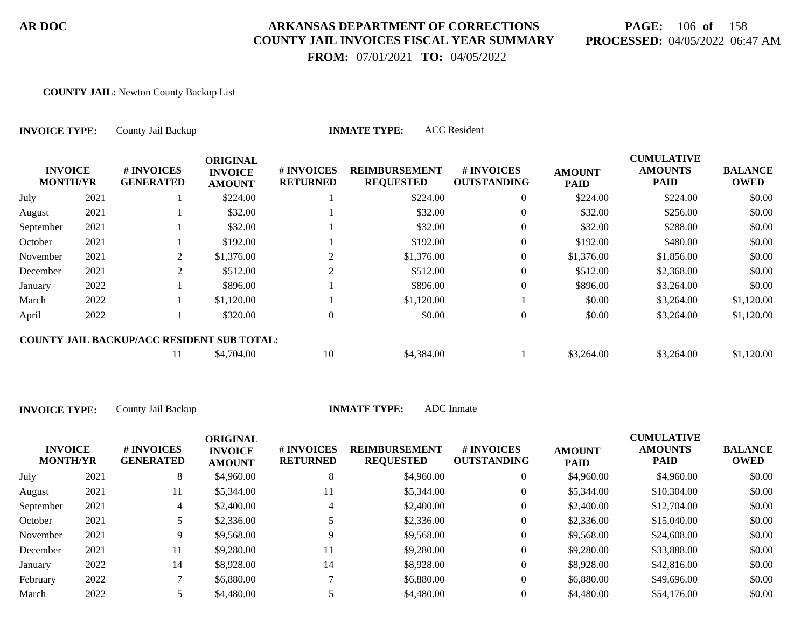# **PAGE:** 106 **of** 158 **PROCESSED:** 04/05/2022 06:47 AM

CUMU<del>LATIVE</del>

 **FROM:** 07/01/2021 **TO:** 04/05/2022

#### **COUNTY JAIL:** Newton County Backup List

| <b>INVOICE TYPE:</b><br><b>INVOICE</b><br><b>MONTH/YR</b> |      | County Jail Backup                                |                                                    | <b>INMATE TYPE:</b>           |                                          |                                  |                              |                                                    |                               |
|-----------------------------------------------------------|------|---------------------------------------------------|----------------------------------------------------|-------------------------------|------------------------------------------|----------------------------------|------------------------------|----------------------------------------------------|-------------------------------|
|                                                           |      | # INVOICES<br><b>GENERATED</b>                    | <b>ORIGINAL</b><br><b>INVOICE</b><br><b>AMOUNT</b> | # INVOICES<br><b>RETURNED</b> | <b>REIMBURSEMENT</b><br><b>REQUESTED</b> | # INVOICES<br><b>OUTSTANDING</b> | <b>AMOUNT</b><br><b>PAID</b> | <b>CUMULATIVE</b><br><b>AMOUNTS</b><br><b>PAID</b> | <b>BALANCE</b><br><b>OWED</b> |
| July                                                      | 2021 |                                                   | \$224.00                                           |                               | \$224.00                                 | $\overline{0}$                   | \$224.00                     | \$224.00                                           | \$0.00                        |
| August                                                    | 2021 |                                                   | \$32.00                                            |                               | \$32.00                                  | $\overline{0}$                   | \$32.00                      | \$256.00                                           | \$0.00                        |
| September                                                 | 2021 |                                                   | \$32.00                                            |                               | \$32.00                                  | $\overline{0}$                   | \$32.00                      | \$288.00                                           | \$0.00                        |
| October                                                   | 2021 |                                                   | \$192.00                                           |                               | \$192.00                                 | $\overline{0}$                   | \$192.00                     | \$480.00                                           | \$0.00                        |
| November                                                  | 2021 | 2                                                 | \$1,376.00                                         | 2                             | \$1,376.00                               | $\overline{0}$                   | \$1,376.00                   | \$1,856.00                                         | \$0.00                        |
| December                                                  | 2021 | 2                                                 | \$512.00                                           | $\overline{2}$                | \$512.00                                 | 0                                | \$512.00                     | \$2,368.00                                         | \$0.00                        |
| January                                                   | 2022 |                                                   | \$896.00                                           |                               | \$896.00                                 | $\overline{0}$                   | \$896.00                     | \$3,264.00                                         | \$0.00                        |
| March                                                     | 2022 |                                                   | \$1,120.00                                         |                               | \$1,120.00                               |                                  | \$0.00                       | \$3,264.00                                         | \$1,120.00                    |
| April                                                     | 2022 |                                                   | \$320.00                                           | $\overline{0}$                | \$0.00                                   | $\boldsymbol{0}$                 | \$0.00                       | \$3,264.00                                         | \$1,120.00                    |
|                                                           |      | <b>COUNTY JAIL BACKUP/ACC RESIDENT SUB TOTAL:</b> |                                                    |                               |                                          |                                  |                              |                                                    |                               |
|                                                           |      | 11                                                | \$4,704.00                                         | 10                            | \$4,384.00                               |                                  | \$3,264.00                   | \$3,264.00                                         | \$1,120.00                    |

| <b>INVOICE TYPE:</b> | County Jail Back |
|----------------------|------------------|
|                      |                  |

**INMATE TYPE:** ADC Inmate

| <b>INVOICE</b><br><b>MONTH/YR</b> |      | <b># INVOICES</b><br><b>GENERATED</b> | <b>ORIGINAL</b><br><b>INVOICE</b><br><b>AMOUNT</b> | # INVOICES<br><b>RETURNED</b> | <b>REIMBURSEMENT</b><br><b>REQUESTED</b> | <b>#INVOICES</b><br><b>OUTSTANDING</b> | <b>AMOUNT</b><br><b>PAID</b> | CUMULATIVE<br><b>AMOUNTS</b><br><b>PAID</b> | <b>BALANCE</b><br><b>OWED</b> |
|-----------------------------------|------|---------------------------------------|----------------------------------------------------|-------------------------------|------------------------------------------|----------------------------------------|------------------------------|---------------------------------------------|-------------------------------|
| July                              | 2021 | 8                                     | \$4,960.00                                         | 8                             | \$4,960.00                               | 0                                      | \$4,960.00                   | \$4,960.00                                  | \$0.00                        |
| August                            | 2021 | 11                                    | \$5,344.00                                         | 11                            | \$5,344.00                               | 0                                      | \$5,344.00                   | \$10,304.00                                 | \$0.00                        |
| September                         | 2021 |                                       | \$2,400.00                                         | 4                             | \$2,400.00                               | 0                                      | \$2,400.00                   | \$12,704.00                                 | \$0.00                        |
| October                           | 2021 |                                       | \$2,336.00                                         |                               | \$2,336.00                               | 0                                      | \$2,336.00                   | \$15,040.00                                 | \$0.00                        |
| November                          | 2021 | 9.                                    | \$9,568.00                                         | Q                             | \$9,568.00                               | 0                                      | \$9,568.00                   | \$24,608.00                                 | \$0.00                        |
| December                          | 2021 | 11                                    | \$9,280.00                                         | 11                            | \$9,280.00                               | 0                                      | \$9,280.00                   | \$33,888.00                                 | \$0.00                        |
| January                           | 2022 | 14                                    | \$8,928.00                                         | 14                            | \$8,928.00                               | 0                                      | \$8,928.00                   | \$42,816.00                                 | \$0.00                        |
| February                          | 2022 |                                       | \$6,880.00                                         |                               | \$6,880.00                               | 0                                      | \$6,880.00                   | \$49,696.00                                 | \$0.00                        |
| March                             | 2022 |                                       | \$4,480.00                                         |                               | \$4,480.00                               | 0                                      | \$4,480.00                   | \$54,176.00                                 | \$0.00                        |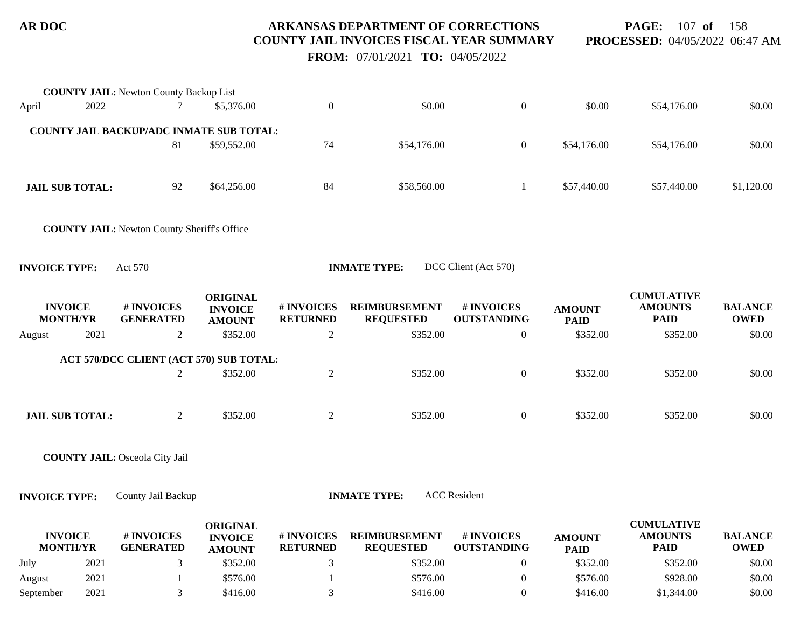**PAGE:** 107 **of** 158 **PROCESSED:** 04/05/2022 06:47 AM

 **FROM:** 07/01/2021 **TO:** 04/05/2022

|                      |                                   | <b>COUNTY JAIL: Newton County Backup List</b>      |                                                    |                               |                                          |                                  |                              |                                                    |                               |
|----------------------|-----------------------------------|----------------------------------------------------|----------------------------------------------------|-------------------------------|------------------------------------------|----------------------------------|------------------------------|----------------------------------------------------|-------------------------------|
| April                | 2022                              |                                                    | \$5,376.00                                         | $\boldsymbol{0}$              | \$0.00                                   | $\boldsymbol{0}$                 | \$0.00                       | \$54,176.00                                        | \$0.00                        |
|                      |                                   | COUNTY JAIL BACKUP/ADC INMATE SUB TOTAL:           |                                                    |                               |                                          |                                  |                              |                                                    |                               |
|                      |                                   | 81                                                 | \$59,552.00                                        | 74                            | \$54,176.00                              | $\boldsymbol{0}$                 | \$54,176.00                  | \$54,176.00                                        | \$0.00                        |
|                      | <b>JAIL SUB TOTAL:</b>            | 92                                                 | \$64,256.00                                        | 84                            | \$58,560.00                              | 1                                | \$57,440.00                  | \$57,440.00                                        | \$1,120.00                    |
|                      |                                   | <b>COUNTY JAIL:</b> Newton County Sheriff's Office |                                                    |                               |                                          |                                  |                              |                                                    |                               |
| <b>INVOICE TYPE:</b> |                                   | Act 570                                            |                                                    |                               | <b>INMATE TYPE:</b>                      | DCC Client (Act 570)             |                              |                                                    |                               |
|                      | <b>INVOICE</b><br><b>MONTH/YR</b> | # INVOICES<br><b>GENERATED</b>                     | <b>ORIGINAL</b><br><b>INVOICE</b><br><b>AMOUNT</b> | # INVOICES<br><b>RETURNED</b> | <b>REIMBURSEMENT</b><br><b>REQUESTED</b> | # INVOICES<br><b>OUTSTANDING</b> | <b>AMOUNT</b><br><b>PAID</b> | <b>CUMULATIVE</b><br><b>AMOUNTS</b><br><b>PAID</b> | <b>BALANCE</b><br><b>OWED</b> |
| August               | 2021                              | $\overline{2}$                                     | \$352.00                                           | 2                             | \$352.00                                 | $\boldsymbol{0}$                 | \$352.00                     | \$352.00                                           | \$0.00                        |
|                      |                                   | ACT 570/DCC CLIENT (ACT 570) SUB TOTAL:            |                                                    |                               |                                          |                                  |                              |                                                    |                               |
|                      |                                   | $\overline{2}$                                     | \$352.00                                           | $\overline{2}$                | \$352.00                                 | $\boldsymbol{0}$                 | \$352.00                     | \$352.00                                           | \$0.00                        |
|                      | <b>JAIL SUB TOTAL:</b>            | $\overline{2}$                                     | \$352.00                                           | $\overline{2}$                | \$352.00                                 | $\boldsymbol{0}$                 | \$352.00                     | \$352.00                                           | \$0.00                        |
|                      |                                   | <b>COUNTY JAIL: Osceola City Jail</b>              |                                                    |                               |                                          |                                  |                              |                                                    |                               |
| <b>INVOICE TYPE:</b> |                                   | County Jail Backup                                 |                                                    |                               | <b>INMATE TYPE:</b>                      | <b>ACC</b> Resident              |                              |                                                    |                               |
|                      | <b>INVOICE</b><br><b>MONTH/YR</b> | # INVOICES<br><b>GENERATED</b>                     | <b>ORIGINAL</b><br><b>INVOICE</b><br><b>AMOUNT</b> | # INVOICES<br><b>RETURNED</b> | <b>REIMBURSEMENT</b><br><b>REQUESTED</b> | # INVOICES<br><b>OUTSTANDING</b> | <b>AMOUNT</b><br><b>PAID</b> | <b>CUMULATIVE</b><br><b>AMOUNTS</b><br><b>PAID</b> | <b>BALANCE</b><br><b>OWED</b> |
| July                 | 2021                              | 3                                                  | \$352.00                                           | 3                             | \$352.00                                 | $\boldsymbol{0}$                 | \$352.00                     | \$352.00                                           | \$0.00                        |

August 2021 1 \$576.00 1 \$576.00 0 \$576.00 \$928.00 \$0.00 September 2021 3 \$416.00 3 \$416.00 3 \$416.00 \$1,344.00 \$0.00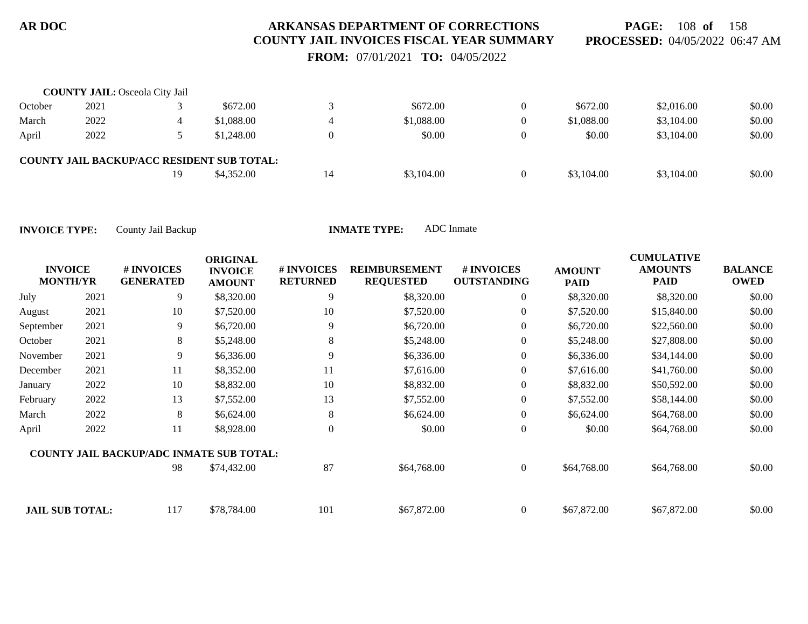**PAGE:** 108 **of** 158 **PROCESSED:** 04/05/2022 06:47 AM

 **FROM:** 07/01/2021 **TO:** 04/05/2022

|         | <b>COUNTY JAIL:</b> Osceola City Jail |    |                                                   |    |            |          |            |            |        |
|---------|---------------------------------------|----|---------------------------------------------------|----|------------|----------|------------|------------|--------|
| October | 2021                                  |    | \$672.00                                          |    | \$672.00   |          | \$672.00   | \$2,016.00 | \$0.00 |
| March   | 2022                                  |    | \$1,088.00                                        | 4  | \$1,088.00 | $\Omega$ | \$1,088.00 | \$3,104.00 | \$0.00 |
| April   | 2022                                  |    | \$1,248.00                                        |    | \$0.00     | $\Omega$ | \$0.00     | \$3,104.00 | \$0.00 |
|         |                                       |    | <b>COUNTY JAIL BACKUP/ACC RESIDENT SUB TOTAL:</b> |    |            |          |            |            |        |
|         |                                       | 19 | \$4,352.00                                        | 14 | \$3,104.00 | $\theta$ | \$3,104.00 | \$3,104.00 | \$0.00 |

| <b>INVOICE</b><br><b>MONTH/YR</b> |      | # INVOICES<br><b>GENERATED</b>                  | <b>ORIGINAL</b><br><b>INVOICE</b><br><b>AMOUNT</b> | # INVOICES<br><b>RETURNED</b> | <b>REIMBURSEMENT</b><br><b>REQUESTED</b> | # INVOICES<br><b>OUTSTANDING</b> | <b>AMOUNT</b><br><b>PAID</b> | <b>CUMULATIVE</b><br><b>AMOUNTS</b><br><b>PAID</b> | <b>BALANCE</b><br><b>OWED</b> |
|-----------------------------------|------|-------------------------------------------------|----------------------------------------------------|-------------------------------|------------------------------------------|----------------------------------|------------------------------|----------------------------------------------------|-------------------------------|
| July                              | 2021 | 9                                               | \$8,320.00                                         | 9                             | \$8,320.00                               | $\overline{0}$                   | \$8,320.00                   | \$8,320.00                                         | \$0.00                        |
| August                            | 2021 | 10                                              | \$7,520.00                                         | 10                            | \$7,520.00                               | $\overline{0}$                   | \$7,520.00                   | \$15,840.00                                        | \$0.00                        |
| September                         | 2021 | 9                                               | \$6,720.00                                         | 9                             | \$6,720.00                               | $\overline{0}$                   | \$6,720.00                   | \$22,560.00                                        | \$0.00                        |
| October                           | 2021 | 8                                               | \$5,248.00                                         | 8                             | \$5,248.00                               | $\overline{0}$                   | \$5,248.00                   | \$27,808.00                                        | \$0.00                        |
| November                          | 2021 | 9                                               | \$6,336.00                                         | 9                             | \$6,336.00                               | $\overline{0}$                   | \$6,336.00                   | \$34,144.00                                        | \$0.00                        |
| December                          | 2021 | 11                                              | \$8,352.00                                         | 11                            | \$7,616.00                               | $\overline{0}$                   | \$7,616.00                   | \$41,760.00                                        | \$0.00                        |
| January                           | 2022 | 10                                              | \$8,832.00                                         | 10                            | \$8,832.00                               | $\boldsymbol{0}$                 | \$8,832.00                   | \$50,592.00                                        | \$0.00                        |
| February                          | 2022 | 13                                              | \$7,552.00                                         | 13                            | \$7,552.00                               | $\boldsymbol{0}$                 | \$7,552.00                   | \$58,144.00                                        | \$0.00                        |
| March                             | 2022 | 8                                               | \$6,624.00                                         | 8                             | \$6,624.00                               | $\overline{0}$                   | \$6,624.00                   | \$64,768.00                                        | \$0.00                        |
| April                             | 2022 | 11                                              | \$8,928.00                                         | $\theta$                      | \$0.00                                   | $\overline{0}$                   | \$0.00                       | \$64,768.00                                        | \$0.00                        |
|                                   |      | <b>COUNTY JAIL BACKUP/ADC INMATE SUB TOTAL:</b> |                                                    |                               |                                          |                                  |                              |                                                    |                               |
|                                   |      | 98                                              | \$74,432.00                                        | 87                            | \$64,768.00                              | $\overline{0}$                   | \$64,768.00                  | \$64,768.00                                        | \$0.00                        |
| <b>JAIL SUB TOTAL:</b>            |      | 117                                             | \$78,784.00                                        | 101                           | \$67,872.00                              | $\overline{0}$                   | \$67,872.00                  | \$67,872.00                                        | \$0.00                        |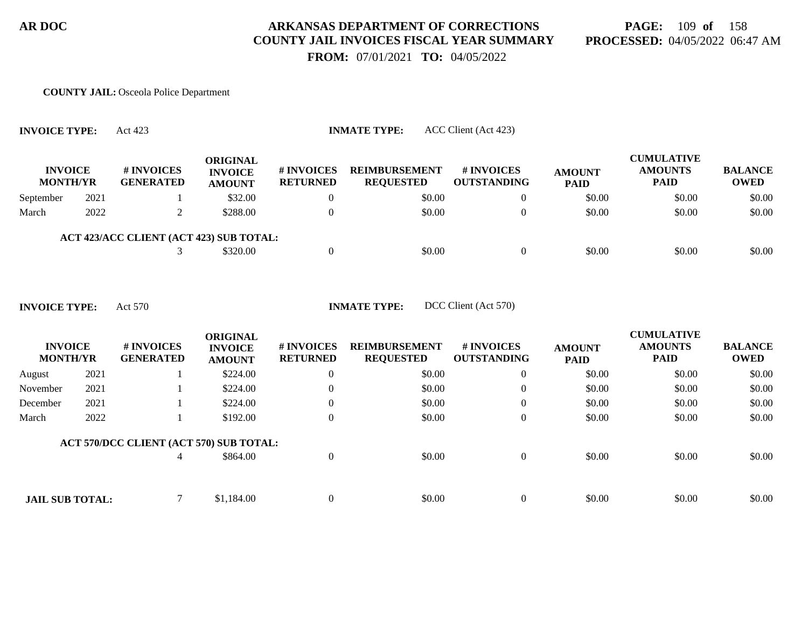### **PAGE:** 109 **of** 158 **PROCESSED:** 04/05/2022 06:47 AM

 **FROM:** 07/01/2021 **TO:** 04/05/2022

#### **COUNTY JAIL:** Osceola Police Department

| <b>INVOICE</b><br><b>MONTH/YR</b> |      | # INVOICES<br><b>GENERATED</b>          | <b>ORIGINAL</b><br><b>INVOICE</b><br><b>AMOUNT</b> | <b># INVOICES</b><br><b>RETURNED</b> | <b>REIMBURSEMENT</b><br><b>REQUESTED</b> | <b>#INVOICES</b><br><b>OUTSTANDING</b> | <b>AMOUNT</b><br><b>PAID</b> | <b>CUMULATIVE</b><br><b>AMOUNTS</b><br><b>PAID</b> | <b>BALANCE</b><br><b>OWED</b> |
|-----------------------------------|------|-----------------------------------------|----------------------------------------------------|--------------------------------------|------------------------------------------|----------------------------------------|------------------------------|----------------------------------------------------|-------------------------------|
| September                         | 2021 |                                         | \$32.00                                            |                                      | \$0.00                                   |                                        | \$0.00                       | \$0.00                                             | \$0.00                        |
| March                             | 2022 |                                         | \$288.00                                           |                                      | \$0.00                                   |                                        | \$0.00                       | \$0.00                                             | \$0.00                        |
|                                   |      | ACT 423/ACC CLIENT (ACT 423) SUB TOTAL: |                                                    |                                      |                                          |                                        |                              |                                                    |                               |

| <b>INVOICE TYPE:</b> |  |  | Act 570 |
|----------------------|--|--|---------|
|----------------------|--|--|---------|

**INVOICE TYPE:** Act 423 **INMATE TYPE:** ACC Client (Act 423)

**INMATE TYPE:** DCC Client (Act 570)

3 \$320.00 0 \$0.00 \$0.00 0 \$0.00 \$0.00 \$0.00 \$0.00

| <b>INVOICE</b><br><b>MONTH/YR</b> |      | # INVOICES<br><b>GENERATED</b>          | <b>ORIGINAL</b><br><b>INVOICE</b><br><b>AMOUNT</b> | # INVOICES<br><b>RETURNED</b> | <b>REIMBURSEMENT</b><br><b>REQUESTED</b> | # INVOICES<br><b>OUTSTANDING</b> | <b>AMOUNT</b><br><b>PAID</b> | <b>CUMULATIVE</b><br><b>AMOUNTS</b><br><b>PAID</b> | <b>BALANCE</b><br><b>OWED</b> |
|-----------------------------------|------|-----------------------------------------|----------------------------------------------------|-------------------------------|------------------------------------------|----------------------------------|------------------------------|----------------------------------------------------|-------------------------------|
| August                            | 2021 |                                         | \$224.00                                           |                               | \$0.00                                   | $\overline{0}$                   | \$0.00                       | \$0.00                                             | \$0.00                        |
| November                          | 2021 |                                         | \$224.00                                           |                               | \$0.00                                   | $\overline{0}$                   | \$0.00                       | \$0.00                                             | \$0.00                        |
| December                          | 2021 |                                         | \$224.00                                           |                               | \$0.00                                   | $\overline{0}$                   | \$0.00                       | \$0.00                                             | \$0.00                        |
| March                             | 2022 |                                         | \$192.00                                           |                               | \$0.00                                   | $\overline{0}$                   | \$0.00                       | \$0.00                                             | \$0.00                        |
|                                   |      | ACT 570/DCC CLIENT (ACT 570) SUB TOTAL: |                                                    |                               |                                          |                                  |                              |                                                    |                               |
|                                   |      |                                         | \$864.00                                           | $\Omega$                      | \$0.00                                   | $\Omega$                         | \$0.00                       | \$0.00                                             | \$0.00                        |
|                                   |      |                                         |                                                    |                               |                                          |                                  |                              |                                                    |                               |
| <b>JAIL SUB TOTAL:</b>            |      |                                         | \$1,184.00                                         |                               | \$0.00                                   | $\theta$                         | \$0.00                       | \$0.00                                             | \$0.00                        |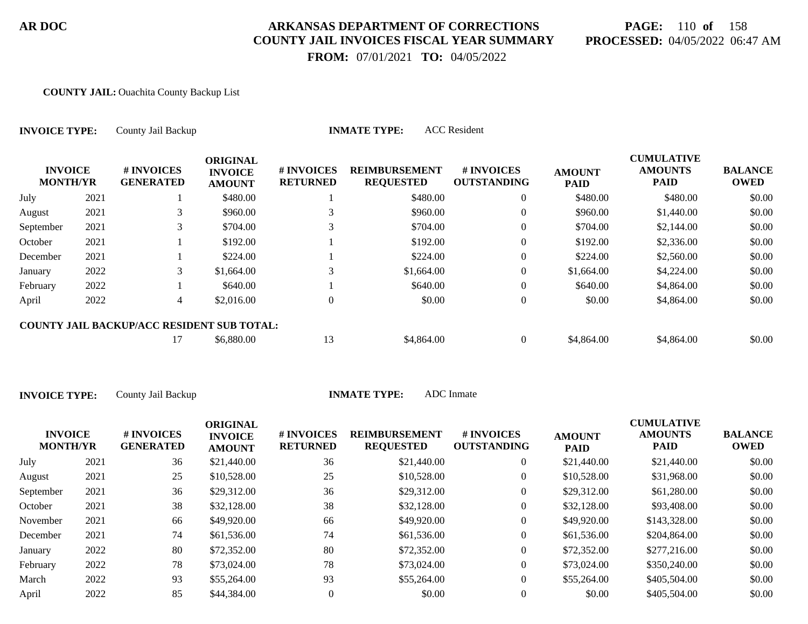# **PAGE:** 110 **of** 158 **PROCESSED:** 04/05/2022 06:47 AM

 **FROM:** 07/01/2021 **TO:** 04/05/2022

#### **COUNTY JAIL:** Ouachita County Backup List

| <b>INVOICE TYPE:</b>              |      | County Jail Backup                                |                                                    |                               | <b>ACC</b> Resident<br><b>INMATE TYPE:</b>           |                                  |                              |                                                    |                               |
|-----------------------------------|------|---------------------------------------------------|----------------------------------------------------|-------------------------------|------------------------------------------------------|----------------------------------|------------------------------|----------------------------------------------------|-------------------------------|
| <b>INVOICE</b><br><b>MONTH/YR</b> |      | # INVOICES<br><b>GENERATED</b>                    | <b>ORIGINAL</b><br><b>INVOICE</b><br><b>AMOUNT</b> | # INVOICES<br><b>RETURNED</b> | <b>REIMBURSEMENT</b><br><b>REQUESTED</b><br>\$480.00 | # INVOICES<br><b>OUTSTANDING</b> | <b>AMOUNT</b><br><b>PAID</b> | <b>CUMULATIVE</b><br><b>AMOUNTS</b><br><b>PAID</b> | <b>BALANCE</b><br><b>OWED</b> |
| July                              | 2021 |                                                   | \$480.00                                           |                               |                                                      | $\overline{0}$                   | \$480.00                     | \$480.00                                           | \$0.00                        |
| August                            | 2021 | 3                                                 | \$960.00                                           |                               | \$960.00                                             | $\overline{0}$                   | \$960.00                     | \$1,440.00                                         | \$0.00                        |
| September                         | 2021 | 3                                                 | \$704.00                                           |                               | \$704.00                                             | $\overline{0}$                   | \$704.00                     | \$2,144.00                                         | \$0.00                        |
| October                           | 2021 |                                                   | \$192.00                                           |                               | \$192.00                                             | 0                                | \$192.00                     | \$2,336.00                                         | \$0.00                        |
| December                          | 2021 |                                                   | \$224.00                                           |                               | \$224.00                                             | $\overline{0}$                   | \$224.00                     | \$2,560.00                                         | \$0.00                        |
| January                           | 2022 | 3                                                 | \$1,664.00                                         | 3                             | \$1,664.00                                           | $\overline{0}$                   | \$1,664.00                   | \$4,224.00                                         | \$0.00                        |
| February                          | 2022 |                                                   | \$640.00                                           |                               | \$640.00                                             | $\overline{0}$                   | \$640.00                     | \$4,864.00                                         | \$0.00                        |
| April                             | 2022 | $\overline{4}$                                    | \$2,016.00                                         | $\theta$                      | \$0.00                                               | $\overline{0}$                   | \$0.00                       | \$4,864.00                                         | \$0.00                        |
|                                   |      | <b>COUNTY JAIL BACKUP/ACC RESIDENT SUB TOTAL:</b> |                                                    |                               |                                                      |                                  |                              |                                                    |                               |
|                                   |      | 17                                                | \$6,880.00                                         | 13                            | \$4,864.00                                           | $\overline{0}$                   | \$4,864.00                   | \$4,864.00                                         | \$0.00                        |

| <b>INVOICE</b><br><b>MONTH/YR</b> |      | <b>#INVOICES</b><br><b>GENERATED</b> | <b>ORIGINAL</b><br><b>INVOICE</b><br><b>AMOUNT</b> | # INVOICES<br><b>RETURNED</b> | <b>REIMBURSEMENT</b><br><b>REQUESTED</b> | # INVOICES<br><b>OUTSTANDING</b> | <b>AMOUNT</b><br><b>PAID</b> | <b>CUMULATIVE</b><br><b>AMOUNTS</b><br>PAID | <b>BALANCE</b><br>OWED |
|-----------------------------------|------|--------------------------------------|----------------------------------------------------|-------------------------------|------------------------------------------|----------------------------------|------------------------------|---------------------------------------------|------------------------|
| July                              | 2021 | 36                                   | \$21,440.00                                        | 36                            | \$21,440.00                              | 0                                | \$21,440.00                  | \$21,440.00                                 | \$0.00                 |
| August                            | 2021 | 25                                   | \$10,528.00                                        | 25                            | \$10,528.00                              | 0                                | \$10,528.00                  | \$31,968.00                                 | \$0.00                 |
| September                         | 2021 | 36                                   | \$29,312.00                                        | 36                            | \$29,312.00                              | 0                                | \$29,312.00                  | \$61,280.00                                 | \$0.00                 |
| October                           | 2021 | 38                                   | \$32,128.00                                        | 38                            | \$32,128.00                              | 0                                | \$32,128.00                  | \$93,408.00                                 | \$0.00                 |
| November                          | 2021 | 66                                   | \$49,920.00                                        | 66                            | \$49,920.00                              | 0                                | \$49,920.00                  | \$143,328.00                                | \$0.00                 |
| December                          | 2021 | 74                                   | \$61,536.00                                        | 74                            | \$61,536.00                              | 0                                | \$61,536.00                  | \$204,864.00                                | \$0.00                 |
| January                           | 2022 | 80                                   | \$72,352.00                                        | 80                            | \$72,352.00                              | 0                                | \$72,352.00                  | \$277,216.00                                | \$0.00                 |
| February                          | 2022 | 78                                   | \$73,024.00                                        | 78                            | \$73,024.00                              | 0                                | \$73,024.00                  | \$350,240.00                                | \$0.00                 |
| March                             | 2022 | 93                                   | \$55,264.00                                        | 93                            | \$55,264.00                              | 0                                | \$55,264.00                  | \$405,504.00                                | \$0.00                 |
| April                             | 2022 | 85                                   | \$44,384.00                                        |                               | \$0.00                                   | 0                                | \$0.00                       | \$405,504.00                                | \$0.00                 |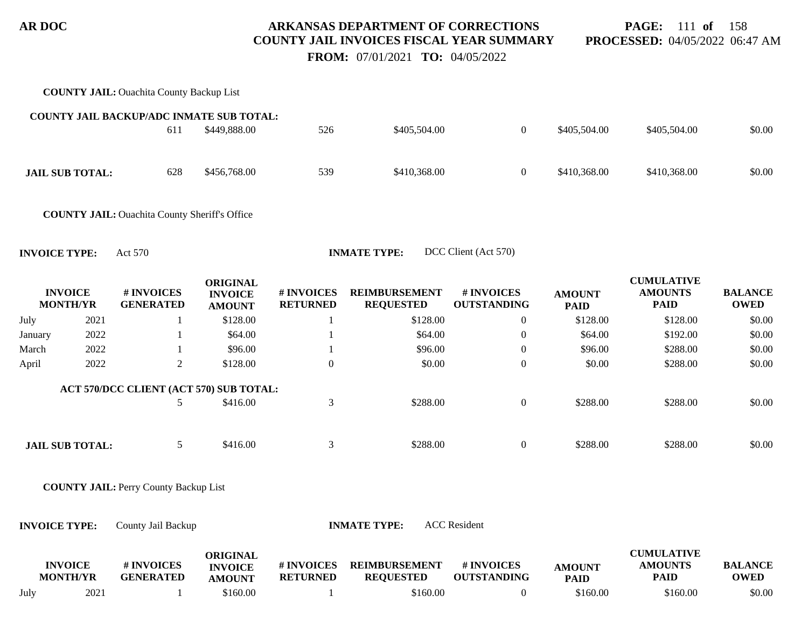**PAGE:** 111 **of** 158 **PROCESSED:** 04/05/2022 06:47 AM

 **FROM:** 07/01/2021 **TO:** 04/05/2022

|                      |                                   | <b>COUNTY JAIL:</b> Ouachita County Backup List      |                                                    |                               |                                          |                                  |                              |                                                    |                               |
|----------------------|-----------------------------------|------------------------------------------------------|----------------------------------------------------|-------------------------------|------------------------------------------|----------------------------------|------------------------------|----------------------------------------------------|-------------------------------|
|                      |                                   | COUNTY JAIL BACKUP/ADC INMATE SUB TOTAL:             |                                                    |                               |                                          |                                  |                              |                                                    |                               |
|                      |                                   | 611                                                  | \$449,888.00                                       | 526                           | \$405,504.00                             | $\overline{0}$                   | \$405,504.00                 | \$405,504.00                                       | \$0.00                        |
|                      | <b>JAIL SUB TOTAL:</b>            | 628                                                  | \$456,768.00                                       | 539                           | \$410,368.00                             | $\boldsymbol{0}$                 | \$410,368.00                 | \$410,368.00                                       | \$0.00                        |
|                      |                                   | <b>COUNTY JAIL: Ouachita County Sheriff's Office</b> |                                                    |                               |                                          |                                  |                              |                                                    |                               |
| <b>INVOICE TYPE:</b> |                                   | Act 570                                              |                                                    |                               | <b>INMATE TYPE:</b>                      | DCC Client (Act 570)             |                              |                                                    |                               |
|                      | <b>INVOICE</b><br><b>MONTH/YR</b> | # INVOICES<br><b>GENERATED</b>                       | <b>ORIGINAL</b><br><b>INVOICE</b><br><b>AMOUNT</b> | # INVOICES<br><b>RETURNED</b> | <b>REIMBURSEMENT</b><br><b>REQUESTED</b> | # INVOICES<br><b>OUTSTANDING</b> | <b>AMOUNT</b><br><b>PAID</b> | <b>CUMULATIVE</b><br><b>AMOUNTS</b><br><b>PAID</b> | <b>BALANCE</b><br><b>OWED</b> |
| July                 | 2021                              | $\mathbf{1}$                                         | \$128.00                                           | 1                             | \$128.00                                 | $\boldsymbol{0}$                 | \$128.00                     | \$128.00                                           | \$0.00                        |
| January              | 2022                              |                                                      | \$64.00                                            |                               | \$64.00                                  | $\boldsymbol{0}$                 | \$64.00                      | \$192.00                                           | \$0.00                        |
| March                | 2022                              | -1                                                   | \$96.00                                            | -1                            | \$96.00                                  | $\boldsymbol{0}$                 | \$96.00                      | \$288.00                                           | \$0.00                        |
| April                | 2022                              | $\overline{2}$                                       | \$128.00                                           | $\boldsymbol{0}$              | \$0.00                                   | $\boldsymbol{0}$                 | \$0.00                       | \$288.00                                           | \$0.00                        |
|                      |                                   | ACT 570/DCC CLIENT (ACT 570) SUB TOTAL:              |                                                    |                               |                                          |                                  |                              |                                                    |                               |
|                      |                                   | 5                                                    | \$416.00                                           | 3                             | \$288.00                                 | $\boldsymbol{0}$                 | \$288.00                     | \$288.00                                           | \$0.00                        |
|                      | <b>JAIL SUB TOTAL:</b>            | 5                                                    | \$416.00                                           | $\mathfrak{Z}$                | \$288.00                                 | $\boldsymbol{0}$                 | \$288.00                     | \$288.00                                           | \$0.00                        |
|                      |                                   | <b>COUNTY JAIL: Perry County Backup List</b>         |                                                    |                               |                                          |                                  |                              |                                                    |                               |
| <b>INVOICE TYPE:</b> |                                   | County Jail Backup                                   |                                                    |                               | <b>INMATE TYPE:</b>                      | <b>ACC</b> Resident              |                              |                                                    |                               |
|                      | <b>INVOICE</b>                    | # INVOICES                                           | <b>ORIGINAL</b><br><b>INVALUE</b>                  | # INVOICES                    | <b>REIMBURSEMENT</b>                     | <b># INVOICES</b>                | A MATINT                     | <b>CUMULATIVE</b><br><b>AMOUNTS</b>                | RALANCE                       |

|      | <b>INVOICE</b>  | # INVOICES       | <b>INVOICE</b> | # INVOICES      | <b>REIMBURSEMENT</b> | # INVOICES         | AMOUNT      | <b>AMOUNTS</b> | <b>BALANCE</b> |
|------|-----------------|------------------|----------------|-----------------|----------------------|--------------------|-------------|----------------|----------------|
|      | <b>MONTH/YR</b> | <b>GENERATED</b> | <b>AMOUNT</b>  | <b>RETURNED</b> | <b>REQUESTED</b>     | <b>OUTSTANDING</b> | <b>PAID</b> | PAID           | OWED           |
| July | 2021            |                  | \$160.00       |                 | 160.00 ۃ             |                    | \$160.00    | \$160.00       | \$0.00         |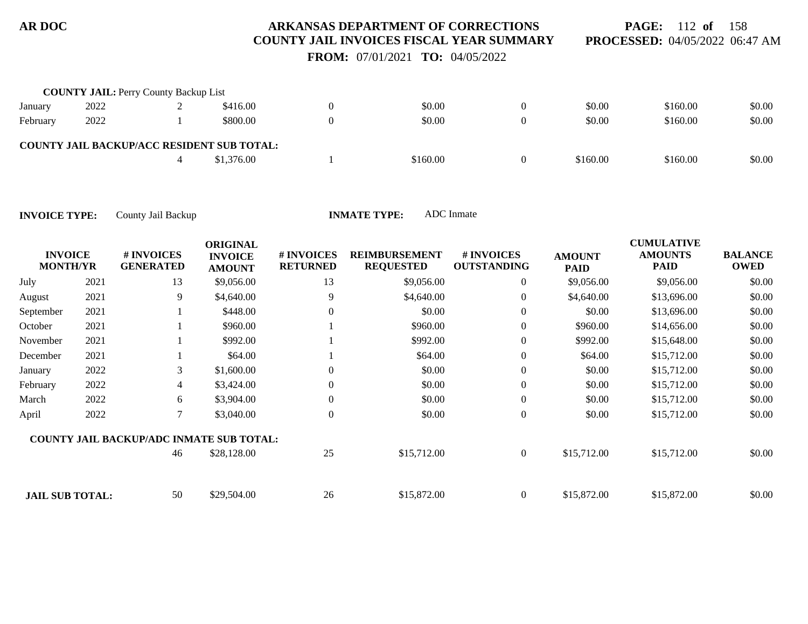**PAGE:** 112 **of** 158 **PROCESSED:** 04/05/2022 06:47 AM

 **FROM:** 07/01/2021 **TO:** 04/05/2022

|          | <b>COUNTY JAIL: Perry County Backup List</b> |                                                   |          |          |          |        |
|----------|----------------------------------------------|---------------------------------------------------|----------|----------|----------|--------|
| January  | 2022                                         | \$416.00                                          | \$0.00   | \$0.00   | \$160.00 | \$0.00 |
| February | 2022                                         | \$800.00                                          | \$0.00   | \$0.00   | \$160.00 | \$0.00 |
|          |                                              | <b>COUNTY JAIL BACKUP/ACC RESIDENT SUB TOTAL:</b> |          |          |          |        |
|          |                                              | \$1,376.00                                        | \$160.00 | \$160.00 | \$160.00 | \$0.00 |

| <b>INVOICE</b><br><b>MONTH/YR</b> |      | # INVOICES<br><b>GENERATED</b>                  | <b>ORIGINAL</b><br><b>INVOICE</b><br><b>AMOUNT</b> | # INVOICES<br><b>RETURNED</b> | <b>REIMBURSEMENT</b><br><b>REQUESTED</b> | # INVOICES<br><b>OUTSTANDING</b> | <b>AMOUNT</b><br><b>PAID</b> | <b>CUMULATIVE</b><br><b>AMOUNTS</b><br><b>PAID</b> | <b>BALANCE</b><br><b>OWED</b> |
|-----------------------------------|------|-------------------------------------------------|----------------------------------------------------|-------------------------------|------------------------------------------|----------------------------------|------------------------------|----------------------------------------------------|-------------------------------|
| July                              | 2021 | 13                                              | \$9,056.00                                         | 13                            | \$9,056.00                               | $\overline{0}$                   | \$9,056.00                   | \$9,056.00                                         | \$0.00                        |
| August                            | 2021 | 9                                               | \$4,640.00                                         | 9                             | \$4,640.00                               | $\overline{0}$                   | \$4,640.00                   | \$13,696.00                                        | \$0.00                        |
| September                         | 2021 |                                                 | \$448.00                                           | $\Omega$                      | \$0.00                                   | $\overline{0}$                   | \$0.00                       | \$13,696.00                                        | \$0.00                        |
| October                           | 2021 |                                                 | \$960.00                                           |                               | \$960.00                                 | $\overline{0}$                   | \$960.00                     | \$14,656.00                                        | \$0.00                        |
| November                          | 2021 |                                                 | \$992.00                                           |                               | \$992.00                                 | $\overline{0}$                   | \$992.00                     | \$15,648.00                                        | \$0.00                        |
| December                          | 2021 |                                                 | \$64.00                                            |                               | \$64.00                                  | $\boldsymbol{0}$                 | \$64.00                      | \$15,712.00                                        | \$0.00                        |
| January                           | 2022 | 3                                               | \$1,600.00                                         | $\Omega$                      | \$0.00                                   | $\boldsymbol{0}$                 | \$0.00                       | \$15,712.00                                        | \$0.00                        |
| February                          | 2022 | $\overline{4}$                                  | \$3,424.00                                         | $\Omega$                      | \$0.00                                   | $\overline{0}$                   | \$0.00                       | \$15,712.00                                        | \$0.00                        |
| March                             | 2022 | 6                                               | \$3,904.00                                         | $\overline{0}$                | \$0.00                                   | $\overline{0}$                   | \$0.00                       | \$15,712.00                                        | \$0.00                        |
| April                             | 2022 | 7                                               | \$3,040.00                                         | $\Omega$                      | \$0.00                                   | $\overline{0}$                   | \$0.00                       | \$15,712.00                                        | \$0.00                        |
|                                   |      | <b>COUNTY JAIL BACKUP/ADC INMATE SUB TOTAL:</b> |                                                    |                               |                                          |                                  |                              |                                                    |                               |
|                                   |      | 46                                              | \$28,128.00                                        | 25                            | \$15,712.00                              | $\boldsymbol{0}$                 | \$15,712.00                  | \$15,712.00                                        | \$0.00                        |
| <b>JAIL SUB TOTAL:</b>            |      | 50                                              | \$29,504.00                                        | 26                            | \$15,872.00                              | $\overline{0}$                   | \$15,872.00                  | \$15,872.00                                        | \$0.00                        |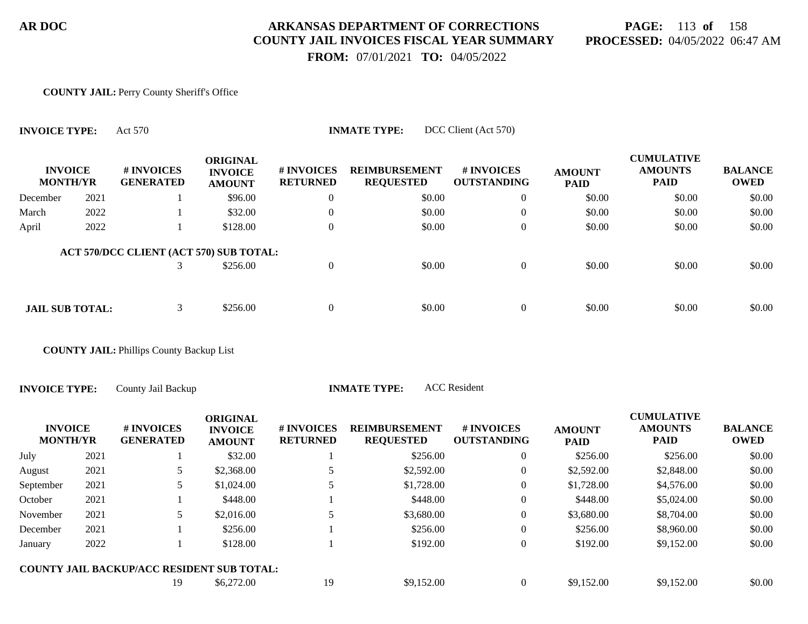# **PAGE:** 113 **of** 158 **PROCESSED:** 04/05/2022 06:47 AM

 **FROM:** 07/01/2021 **TO:** 04/05/2022

#### **COUNTY JAIL:** Perry County Sheriff's Office

| <b>INVOICE TYPE:</b>              |      | DCC Client (Act 570)<br><b>INMATE TYPE:</b><br>Act 570 |                                                    |                               |                                          |                                  |                              |                                                    |                               |  |  |  |  |
|-----------------------------------|------|--------------------------------------------------------|----------------------------------------------------|-------------------------------|------------------------------------------|----------------------------------|------------------------------|----------------------------------------------------|-------------------------------|--|--|--|--|
| <b>INVOICE</b><br><b>MONTH/YR</b> |      | # INVOICES<br><b>GENERATED</b>                         | <b>ORIGINAL</b><br><b>INVOICE</b><br><b>AMOUNT</b> | # INVOICES<br><b>RETURNED</b> | <b>REIMBURSEMENT</b><br><b>REQUESTED</b> | # INVOICES<br><b>OUTSTANDING</b> | <b>AMOUNT</b><br><b>PAID</b> | <b>CUMULATIVE</b><br><b>AMOUNTS</b><br><b>PAID</b> | <b>BALANCE</b><br><b>OWED</b> |  |  |  |  |
| December                          | 2021 |                                                        | \$96.00                                            | $\theta$                      | \$0.00                                   | $\overline{0}$                   | \$0.00                       | \$0.00                                             | \$0.00                        |  |  |  |  |
| March                             | 2022 |                                                        | \$32.00                                            | $\overline{0}$                | \$0.00                                   | $\overline{0}$                   | \$0.00                       | \$0.00                                             | \$0.00                        |  |  |  |  |
| April                             | 2022 |                                                        | \$128.00                                           | $\overline{0}$                | \$0.00                                   | $\overline{0}$                   | \$0.00                       | \$0.00                                             | \$0.00                        |  |  |  |  |
|                                   |      | ACT 570/DCC CLIENT (ACT 570) SUB TOTAL:                |                                                    |                               |                                          |                                  |                              |                                                    |                               |  |  |  |  |
|                                   |      | 3                                                      | \$256.00                                           | $\overline{0}$                | \$0.00                                   | $\overline{0}$                   | \$0.00                       | \$0.00                                             | \$0.00                        |  |  |  |  |
|                                   |      |                                                        |                                                    |                               |                                          |                                  |                              |                                                    |                               |  |  |  |  |
| <b>JAIL SUB TOTAL:</b>            |      | 3                                                      | \$256.00                                           | $\overline{0}$                | \$0.00                                   | $\overline{0}$                   | \$0.00                       | \$0.00                                             | \$0.00                        |  |  |  |  |

**COUNTY JAIL:** Phillips County Backup List

**INVOICE TYPE:** County Jail Backup **INMATE TYPE:** ACC Resident

| <b>INVOICE</b><br><b>MONTH/YR</b> |      | # INVOICES<br><b>GENERATED</b>                    | <b>ORIGINAL</b><br><b>INVOICE</b><br><b>AMOUNT</b> | # INVOICES<br><b>RETURNED</b> | <b>REIMBURSEMENT</b><br><b>REQUESTED</b> | # INVOICES<br><b>OUTSTANDING</b> | <b>AMOUNT</b><br><b>PAID</b> | <b>CUMULATIVE</b><br><b>AMOUNTS</b><br><b>PAID</b> | <b>BALANCE</b><br><b>OWED</b> |
|-----------------------------------|------|---------------------------------------------------|----------------------------------------------------|-------------------------------|------------------------------------------|----------------------------------|------------------------------|----------------------------------------------------|-------------------------------|
| July                              | 2021 |                                                   | \$32.00                                            |                               | \$256.00                                 | 0                                | \$256.00                     | \$256.00                                           | \$0.00                        |
| August                            | 2021 |                                                   | \$2,368.00                                         |                               | \$2,592.00                               | $\boldsymbol{0}$                 | \$2,592.00                   | \$2,848.00                                         | \$0.00                        |
| September                         | 2021 |                                                   | \$1,024.00                                         |                               | \$1,728.00                               | 0                                | \$1,728.00                   | \$4,576.00                                         | \$0.00                        |
| October                           | 2021 |                                                   | \$448.00                                           |                               | \$448.00                                 | $\theta$                         | \$448.00                     | \$5,024.00                                         | \$0.00                        |
| November                          | 2021 |                                                   | \$2,016.00                                         |                               | \$3,680.00                               | $\theta$                         | \$3,680.00                   | \$8,704.00                                         | \$0.00                        |
| December                          | 2021 |                                                   | \$256.00                                           |                               | \$256.00                                 | $\theta$                         | \$256.00                     | \$8,960.00                                         | \$0.00                        |
| January                           | 2022 |                                                   | \$128.00                                           |                               | \$192.00                                 | $\theta$                         | \$192.00                     | \$9,152.00                                         | \$0.00                        |
|                                   |      | <b>COUNTY JAIL BACKUP/ACC RESIDENT SUB TOTAL:</b> |                                                    |                               |                                          |                                  |                              |                                                    |                               |
|                                   |      | 19                                                | \$6,272.00                                         | 19                            | \$9,152.00                               | $\theta$                         | \$9,152.00                   | \$9,152.00                                         | \$0.00                        |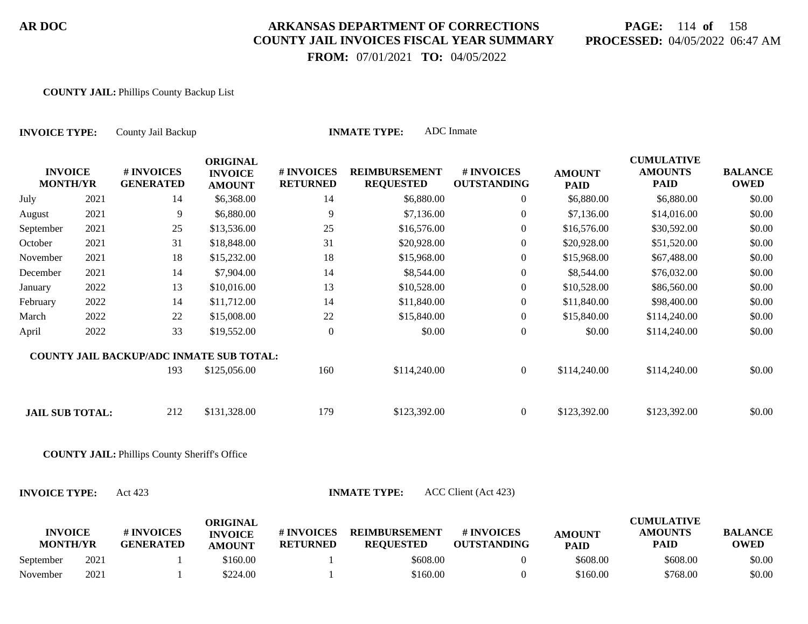# **PAGE:** 114 **of** 158 **PROCESSED:** 04/05/2022 06:47 AM

 **FROM:** 07/01/2021 **TO:** 04/05/2022

#### **COUNTY JAIL:** Phillips County Backup List

| <b>INVOICE TYPE:</b>              |      | County Jail Backup                                   |                                                    |                               | <b>INMATE TYPE:</b>                      | <b>ADC</b> Inmate                |                              |                                                    |                               |
|-----------------------------------|------|------------------------------------------------------|----------------------------------------------------|-------------------------------|------------------------------------------|----------------------------------|------------------------------|----------------------------------------------------|-------------------------------|
| <b>INVOICE</b><br><b>MONTH/YR</b> |      | # INVOICES<br><b>GENERATED</b>                       | <b>ORIGINAL</b><br><b>INVOICE</b><br><b>AMOUNT</b> | # INVOICES<br><b>RETURNED</b> | <b>REIMBURSEMENT</b><br><b>REQUESTED</b> | # INVOICES<br><b>OUTSTANDING</b> | <b>AMOUNT</b><br><b>PAID</b> | <b>CUMULATIVE</b><br><b>AMOUNTS</b><br><b>PAID</b> | <b>BALANCE</b><br><b>OWED</b> |
| July                              | 2021 | 14                                                   | \$6,368.00                                         | 14                            | \$6,880.00                               | $\boldsymbol{0}$                 | \$6,880.00                   | \$6,880.00                                         | \$0.00                        |
| August                            | 2021 | 9                                                    | \$6,880.00                                         | 9                             | \$7,136.00                               | $\overline{0}$                   | \$7,136.00                   | \$14,016.00                                        | \$0.00                        |
| September                         | 2021 | 25                                                   | \$13,536.00                                        | 25                            | \$16,576.00                              | $\overline{0}$                   | \$16,576.00                  | \$30,592.00                                        | \$0.00                        |
| October                           | 2021 | 31                                                   | \$18,848.00                                        | 31                            | \$20,928.00                              | $\overline{0}$                   | \$20,928.00                  | \$51,520.00                                        | \$0.00                        |
| November                          | 2021 | 18                                                   | \$15,232.00                                        | 18                            | \$15,968.00                              | $\boldsymbol{0}$                 | \$15,968.00                  | \$67,488.00                                        | \$0.00                        |
| December                          | 2021 | 14                                                   | \$7,904.00                                         | 14                            | \$8,544.00                               | $\overline{0}$                   | \$8,544.00                   | \$76,032.00                                        | \$0.00                        |
| January                           | 2022 | 13                                                   | \$10,016.00                                        | 13                            | \$10,528.00                              | $\boldsymbol{0}$                 | \$10,528.00                  | \$86,560.00                                        | \$0.00                        |
| February                          | 2022 | 14                                                   | \$11,712.00                                        | 14                            | \$11,840.00                              | $\overline{0}$                   | \$11,840.00                  | \$98,400.00                                        | \$0.00                        |
| March                             | 2022 | 22                                                   | \$15,008.00                                        | 22                            | \$15,840.00                              | $\overline{0}$                   | \$15,840.00                  | \$114,240.00                                       | \$0.00                        |
| April                             | 2022 | 33                                                   | \$19,552.00                                        | $\boldsymbol{0}$              | \$0.00                                   | $\boldsymbol{0}$                 | \$0.00                       | \$114,240.00                                       | \$0.00                        |
|                                   |      | <b>COUNTY JAIL BACKUP/ADC INMATE SUB TOTAL:</b>      |                                                    |                               |                                          |                                  |                              |                                                    |                               |
|                                   |      | 193                                                  | \$125,056.00                                       | 160                           | \$114,240.00                             | $\mathbf{0}$                     | \$114,240.00                 | \$114,240.00                                       | \$0.00                        |
| <b>JAIL SUB TOTAL:</b>            |      | 212                                                  | \$131,328.00                                       | 179                           | \$123,392.00                             | $\boldsymbol{0}$                 | \$123,392.00                 | \$123,392.00                                       | \$0.00                        |
|                                   |      | <b>COUNTY JAIL: Phillips County Sheriff's Office</b> |                                                    |                               |                                          |                                  |                              |                                                    |                               |
| <b>INVOICE TYPE:</b>              |      | Act 423                                              |                                                    |                               | <b>INMATE TYPE:</b>                      | ACC Client (Act 423)             |                              |                                                    |                               |
| <b>INVOICE</b><br><b>MONTH/YR</b> |      | # INVOICES<br><b>GENERATED</b>                       | <b>ORIGINAL</b><br><b>INVOICE</b><br><b>AMOUNT</b> | # INVOICES<br><b>RETURNED</b> | <b>REIMBURSEMENT</b><br><b>REQUESTED</b> | # INVOICES<br><b>OUTSTANDING</b> | <b>AMOUNT</b><br><b>PAID</b> | <b>CUMULATIVE</b><br><b>AMOUNTS</b><br><b>PAID</b> | <b>BALANCE</b><br><b>OWED</b> |
| September                         | 2021 |                                                      | \$160.00                                           |                               | \$608.00                                 | $\boldsymbol{0}$                 | \$608.00                     | \$608.00                                           | \$0.00                        |
| November                          | 2021 |                                                      | \$224.00                                           |                               | \$160.00                                 | $\overline{0}$                   | \$160.00                     | \$768.00                                           | \$0.00                        |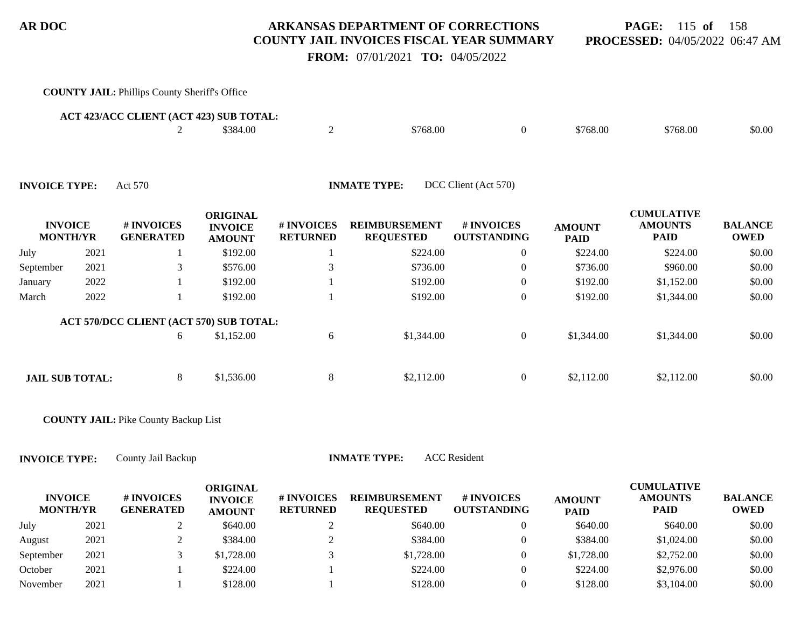**PAGE:** 115 **of** 158 **PROCESSED:** 04/05/2022 06:47 AM

 **FROM:** 07/01/2021 **TO:** 04/05/2022

#### **COUNTY JAIL:** Phillips County Sheriff's Office 2 \$384.00 2 \$768.00 \$768.00 \$768.00 \$768.00 \$0.00 **ACT 423/ACC CLIENT (ACT 423) SUB TOTAL: INVOICE MONTH/YR # INVOICES GENERATED ORIGINAL INVOICE AMOUNT # INVOICES RETURNED REIMBURSEMENT REQUESTED # INVOICES OUTSTANDING AMOUNT PAID CUMULATIVE AMOUNTS PAID BALANCE OWED INVOICE TYPE:** Act 570 **INMATE TYPE:** DCC Client (Act 570) July 2021 1 \$192.00 1 \$224.00 0 \$224.00 \$224.00 \$0.00 September 2021 3 \$576.00 3 \$736.00 3 \$736.00 \$736.00 \$960.00 \$960.00 January 2022 1 \$192.00 1 \$192.00 0 \$192.00 \$1,152.00 \$0.00 March 2022 1 \$192.00 1 \$192.00 0 \$192.00 \$1,344.00 \$0.00 6 \$1,152.00 6 \$1,344.00 0 \$1,344.00 \$1,344.00 \$0.00 **ACT 570/DCC CLIENT (ACT 570) SUB TOTAL: JAIL SUB TOTAL:** 8 \$1,536.00 8 \$2,112.00 0 \$2,112.00 \$2,112.00 \$2,112.00 \$2,112.00

**COUNTY JAIL:** Pike County Backup List

**INVOICE TYPE:** County Jail Backup **INMATE TYPE:** ACC Resident

**INVOICE MONTH/YR # INVOICES GENERATED ORIGINAL INVOICE AMOUNT # INVOICES RETURNED REIMBURSEMENT REQUESTED # INVOICES OUTSTANDING AMOUNT PAID CUMULATIVE AMOUNTS PAID BALANCE OWED** July 2021 2 \$640.00 2 \$640.00 2 \$640.00 \$640.00 \$640.00 \$640.00 \$60.00 August 2021 2 \$384.00 2 \$384.00 2 \$384.00 \$384.00 \$384.00 \$1,024.00 \$0.00 September 2021 3 \$1,728.00 3 \$1,728.00 3 \$1,728.00 \$2,752.00 \$0.00 October 2021 1 \$224.00 1 \$224.00 0 \$224.00 \$2,976.00 \$0.00 November 2021 1 \$128.00 1 \$128.00 0 \$128.00 \$3,104.00 \$0.00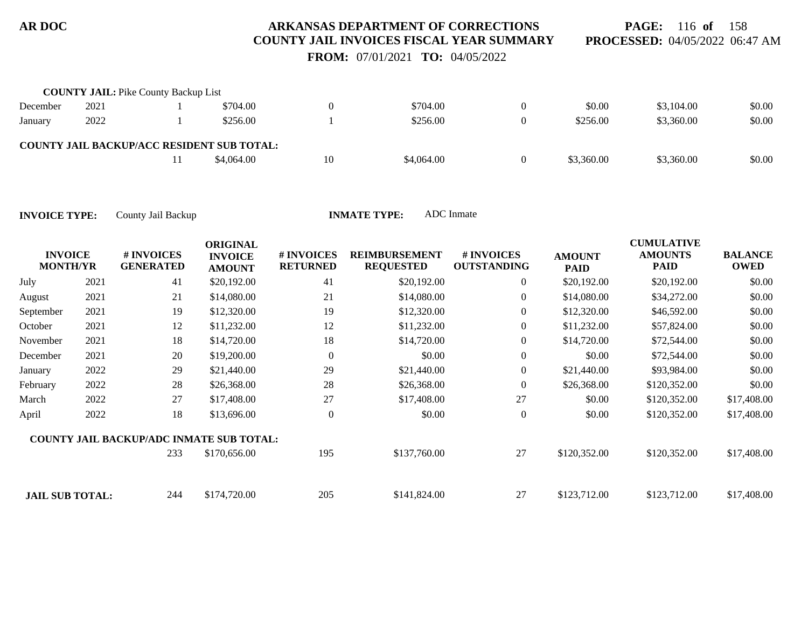**PAGE:** 116 **of** 158 **PROCESSED:** 04/05/2022 06:47 AM

 **FROM:** 07/01/2021 **TO:** 04/05/2022

|          | <b>COUNTY JAIL:</b> Pike County Backup List |                                                   |    |            |            |            |        |
|----------|---------------------------------------------|---------------------------------------------------|----|------------|------------|------------|--------|
| December | 2021                                        | \$704.00                                          |    | \$704.00   | \$0.00     | \$3,104.00 | \$0.00 |
| January  | 2022                                        | \$256.00                                          |    | \$256.00   | \$256.00   | \$3,360.00 | \$0.00 |
|          |                                             | <b>COUNTY JAIL BACKUP/ACC RESIDENT SUB TOTAL:</b> |    |            |            |            |        |
|          |                                             | \$4,064.00                                        | 10 | \$4,064.00 | \$3,360.00 | \$3,360.00 | \$0.00 |

| <b>MONTH/YR</b>        | <b>INVOICE</b> | # INVOICES<br><b>GENERATED</b>                  | <b>ORIGINAL</b><br><b>INVOICE</b><br><b>AMOUNT</b> | # INVOICES<br><b>RETURNED</b> | <b>REIMBURSEMENT</b><br><b>REQUESTED</b> | # INVOICES<br><b>OUTSTANDING</b> | <b>AMOUNT</b><br><b>PAID</b> | <b>CUMULATIVE</b><br><b>AMOUNTS</b><br><b>PAID</b> | <b>BALANCE</b><br><b>OWED</b> |
|------------------------|----------------|-------------------------------------------------|----------------------------------------------------|-------------------------------|------------------------------------------|----------------------------------|------------------------------|----------------------------------------------------|-------------------------------|
| July                   | 2021           | 41                                              | \$20,192.00                                        | 41                            | \$20,192.00                              | $\overline{0}$                   | \$20,192.00                  | \$20,192.00                                        | \$0.00                        |
| August                 | 2021           | 21                                              | \$14,080.00                                        | 21                            | \$14,080.00                              | $\overline{0}$                   | \$14,080.00                  | \$34,272.00                                        | \$0.00                        |
| September              | 2021           | 19                                              | \$12,320.00                                        | 19                            | \$12,320.00                              | $\mathbf{0}$                     | \$12,320.00                  | \$46,592.00                                        | \$0.00                        |
| October                | 2021           | 12                                              | \$11,232.00                                        | 12                            | \$11,232.00                              | $\boldsymbol{0}$                 | \$11,232.00                  | \$57,824.00                                        | \$0.00                        |
| November               | 2021           | 18                                              | \$14,720.00                                        | 18                            | \$14,720.00                              | $\overline{0}$                   | \$14,720.00                  | \$72,544.00                                        | \$0.00                        |
| December               | 2021           | 20                                              | \$19,200.00                                        | $\overline{0}$                | \$0.00                                   | $\boldsymbol{0}$                 | \$0.00                       | \$72,544.00                                        | \$0.00                        |
| January                | 2022           | 29                                              | \$21,440.00                                        | 29                            | \$21,440.00                              | $\overline{0}$                   | \$21,440.00                  | \$93,984.00                                        | \$0.00                        |
| February               | 2022           | 28                                              | \$26,368.00                                        | 28                            | \$26,368.00                              | $\overline{0}$                   | \$26,368.00                  | \$120,352.00                                       | \$0.00                        |
| March                  | 2022           | 27                                              | \$17,408.00                                        | 27                            | \$17,408.00                              | 27                               | \$0.00                       | \$120,352.00                                       | \$17,408.00                   |
| April                  | 2022           | 18                                              | \$13,696.00                                        | $\theta$                      | \$0.00                                   | $\overline{0}$                   | \$0.00                       | \$120,352.00                                       | \$17,408.00                   |
|                        |                | <b>COUNTY JAIL BACKUP/ADC INMATE SUB TOTAL:</b> |                                                    |                               |                                          |                                  |                              |                                                    |                               |
|                        |                | 233                                             | \$170,656.00                                       | 195                           | \$137,760.00                             | 27                               | \$120,352.00                 | \$120,352.00                                       | \$17,408.00                   |
| <b>JAIL SUB TOTAL:</b> |                | 244                                             | \$174,720.00                                       | 205                           | \$141,824.00                             | 27                               | \$123,712.00                 | \$123,712.00                                       | \$17,408.00                   |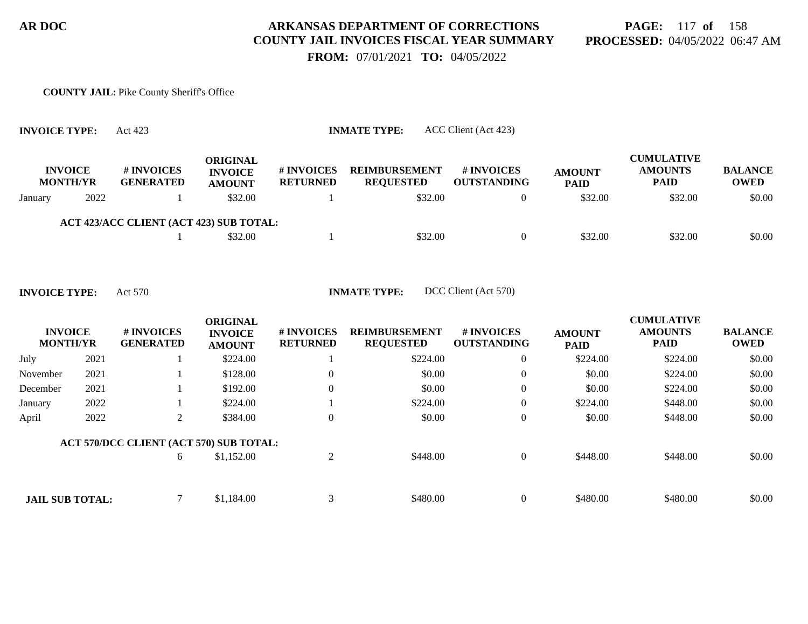# **PAGE:** 117 **of** 158 **PROCESSED:** 04/05/2022 06:47 AM

 **FROM:** 07/01/2021 **TO:** 04/05/2022

#### **COUNTY JAIL:** Pike County Sheriff's Office

|         | <b>INVOICE</b><br><b>MONTH/YR</b> | # INVOICES<br><b>GENERATED</b>          | <b>ORIGINAL</b><br><b>INVOICE</b><br><b>AMOUNT</b> | <b># INVOICES</b><br><b>RETURNED</b> | <b>REIMBURSEMENT</b><br><b>REOUESTED</b> | # INVOICES<br><b>OUTSTANDING</b> | <b>AMOUNT</b><br><b>PAID</b> | <b>CUMULATIVE</b><br><b>AMOUNTS</b><br><b>PAID</b> | <b>BALANCE</b><br><b>OWED</b> |
|---------|-----------------------------------|-----------------------------------------|----------------------------------------------------|--------------------------------------|------------------------------------------|----------------------------------|------------------------------|----------------------------------------------------|-------------------------------|
| January | 2022                              |                                         | \$32.00                                            |                                      | \$32.00                                  |                                  | \$32.00                      | \$32.00                                            | \$0.00                        |
|         |                                   | ACT 423/ACC CLIENT (ACT 423) SUB TOTAL: |                                                    |                                      |                                          |                                  |                              |                                                    |                               |
|         |                                   |                                         | \$32.00                                            |                                      | \$32.00                                  |                                  | \$32.00                      | \$32.00                                            | \$0.00                        |

**INVOICE TYPE:** Act 423 **INMATE TYPE:** ACC Client (Act 423)

**INVOICE TYPE:** Act 570 **INMATE TYPE:** DCC Client (Act 570)

| <b>INVOICE</b><br><b>MONTH/YR</b> |      | # INVOICES<br><b>GENERATED</b>          | <b>ORIGINAL</b><br><b>INVOICE</b><br><b>AMOUNT</b> | # INVOICES<br><b>RETURNED</b> | <b>REIMBURSEMENT</b><br><b>REQUESTED</b> | <b>#INVOICES</b><br><b>OUTSTANDING</b> | <b>AMOUNT</b><br><b>PAID</b> | <b>CUMULATIVE</b><br><b>AMOUNTS</b><br><b>PAID</b> | <b>BALANCE</b><br><b>OWED</b> |
|-----------------------------------|------|-----------------------------------------|----------------------------------------------------|-------------------------------|------------------------------------------|----------------------------------------|------------------------------|----------------------------------------------------|-------------------------------|
| July                              | 2021 |                                         | \$224.00                                           |                               | \$224.00                                 | $\overline{0}$                         | \$224.00                     | \$224.00                                           | \$0.00                        |
| November                          | 2021 |                                         | \$128.00                                           | $\theta$                      | \$0.00                                   | $\overline{0}$                         | \$0.00                       | \$224.00                                           | \$0.00                        |
| December                          | 2021 |                                         | \$192.00                                           | $\theta$                      | \$0.00                                   | $\overline{0}$                         | \$0.00                       | \$224.00                                           | \$0.00                        |
| January                           | 2022 |                                         | \$224.00                                           |                               | \$224.00                                 | $\overline{0}$                         | \$224.00                     | \$448.00                                           | \$0.00                        |
| April                             | 2022 | 2                                       | \$384.00                                           | $\theta$                      | \$0.00                                   | $\overline{0}$                         | \$0.00                       | \$448.00                                           | \$0.00                        |
|                                   |      | ACT 570/DCC CLIENT (ACT 570) SUB TOTAL: |                                                    |                               |                                          |                                        |                              |                                                    |                               |
|                                   |      | 6                                       | \$1,152.00                                         | 2                             | \$448.00                                 | $\overline{0}$                         | \$448.00                     | \$448.00                                           | \$0.00                        |
|                                   |      |                                         |                                                    |                               |                                          |                                        |                              |                                                    |                               |
| <b>JAIL SUB TOTAL:</b>            |      |                                         | \$1,184.00                                         | 3                             | \$480.00                                 | $\theta$                               | \$480.00                     | \$480.00                                           | \$0.00                        |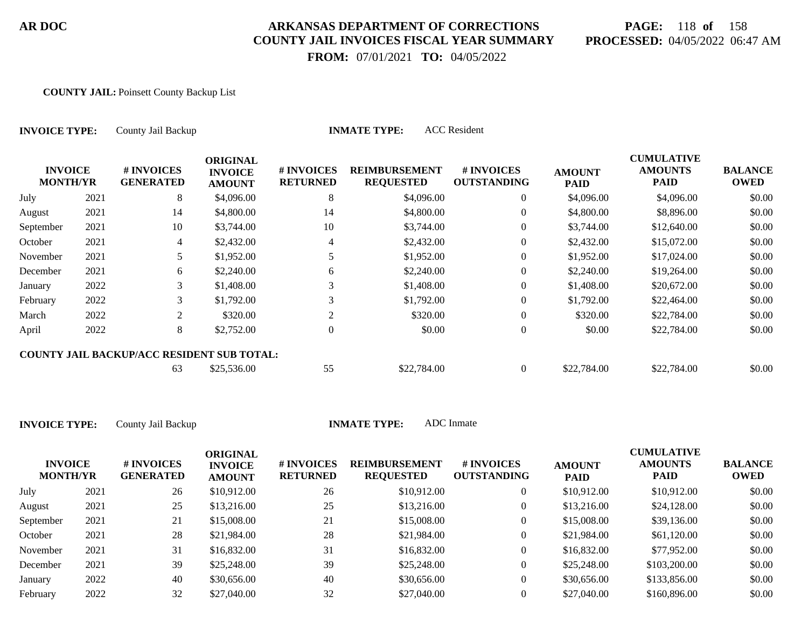# **PAGE:** 118 **of** 158 **PROCESSED:** 04/05/2022 06:47 AM

**CUMULATIVE**

 **FROM:** 07/01/2021 **TO:** 04/05/2022

#### **COUNTY JAIL:** Poinsett County Backup List

| <b>INVOICE TYPE:</b>              |      | <b>ACC</b> Resident<br><b>INMATE TYPE:</b><br>County Jail Backup |                                                    |                               |                                          |                                  |                              |                                                    |                               |  |  |  |
|-----------------------------------|------|------------------------------------------------------------------|----------------------------------------------------|-------------------------------|------------------------------------------|----------------------------------|------------------------------|----------------------------------------------------|-------------------------------|--|--|--|
| <b>INVOICE</b><br><b>MONTH/YR</b> |      | # INVOICES<br><b>GENERATED</b>                                   | <b>ORIGINAL</b><br><b>INVOICE</b><br><b>AMOUNT</b> | # INVOICES<br><b>RETURNED</b> | <b>REIMBURSEMENT</b><br><b>REQUESTED</b> | # INVOICES<br><b>OUTSTANDING</b> | <b>AMOUNT</b><br><b>PAID</b> | <b>CUMULATIVE</b><br><b>AMOUNTS</b><br><b>PAID</b> | <b>BALANCE</b><br><b>OWED</b> |  |  |  |
| July                              | 2021 | 8                                                                | \$4,096.00                                         | 8                             | \$4,096.00                               | $\overline{0}$                   | \$4,096.00                   | \$4,096.00                                         | \$0.00                        |  |  |  |
| August                            | 2021 | 14                                                               | \$4,800.00                                         | 14                            | \$4,800.00                               | 0                                | \$4,800.00                   | \$8,896.00                                         | \$0.00                        |  |  |  |
| September                         | 2021 | 10                                                               | \$3,744.00                                         | 10                            | \$3,744.00                               | $\overline{0}$                   | \$3,744.00                   | \$12,640.00                                        | \$0.00                        |  |  |  |
| October                           | 2021 | $\overline{4}$                                                   | \$2,432.00                                         | 4                             | \$2,432.00                               | $\overline{0}$                   | \$2,432.00                   | \$15,072.00                                        | \$0.00                        |  |  |  |
| November                          | 2021 | 5                                                                | \$1,952.00                                         | 5                             | \$1,952.00                               | $\overline{0}$                   | \$1,952.00                   | \$17,024.00                                        | \$0.00                        |  |  |  |
| December                          | 2021 | 6                                                                | \$2,240.00                                         | 6                             | \$2,240.00                               | 0                                | \$2,240.00                   | \$19,264.00                                        | \$0.00                        |  |  |  |
| January                           | 2022 | 3                                                                | \$1,408.00                                         | 3                             | \$1,408.00                               | $\overline{0}$                   | \$1,408.00                   | \$20,672.00                                        | \$0.00                        |  |  |  |
| February                          | 2022 | 3                                                                | \$1,792.00                                         | 3                             | \$1,792.00                               | $\overline{0}$                   | \$1,792.00                   | \$22,464.00                                        | \$0.00                        |  |  |  |
| March                             | 2022 | 2                                                                | \$320.00                                           | 2                             | \$320.00                                 | $\overline{0}$                   | \$320.00                     | \$22,784.00                                        | \$0.00                        |  |  |  |
| April                             | 2022 | 8                                                                | \$2,752.00                                         | $\theta$                      | \$0.00                                   | $\boldsymbol{0}$                 | \$0.00                       | \$22,784.00                                        | \$0.00                        |  |  |  |
|                                   |      | <b>COUNTY JAIL BACKUP/ACC RESIDENT SUB TOTAL:</b>                |                                                    |                               |                                          |                                  |                              |                                                    |                               |  |  |  |
|                                   |      | 63                                                               | \$25,536.00                                        | 55                            | \$22,784.00                              | $\overline{0}$                   | \$22,784.00                  | \$22,784.00                                        | \$0.00                        |  |  |  |

| <b>INVOICE</b><br><b>MONTH/YR</b> |      | # INVOICES<br><b>GENERATED</b> | ORIGINAL<br><b>INVOICE</b><br><b>AMOUNT</b> | # INVOICES<br><b>RETURNED</b> | <b>REIMBURSEMENT</b><br><b>REQUESTED</b> | <b>#INVOICES</b><br><b>OUTSTANDING</b> | <b>AMOUNT</b><br><b>PAID</b> | <b>CUMULATIVE</b><br><b>AMOUNTS</b><br><b>PAID</b> | <b>BALANCE</b><br><b>OWED</b> |
|-----------------------------------|------|--------------------------------|---------------------------------------------|-------------------------------|------------------------------------------|----------------------------------------|------------------------------|----------------------------------------------------|-------------------------------|
| July                              | 2021 | 26                             | \$10,912.00                                 | 26                            | \$10,912.00                              |                                        | \$10,912.00                  | \$10,912.00                                        | \$0.00                        |
| August                            | 2021 | 25                             | \$13,216.00                                 | 25                            | \$13,216.00                              |                                        | \$13,216.00                  | \$24,128.00                                        | \$0.00                        |
| September                         | 2021 | 21                             | \$15,008.00                                 | 21                            | \$15,008.00                              |                                        | \$15,008.00                  | \$39,136.00                                        | \$0.00                        |
| October                           | 2021 | 28                             | \$21,984.00                                 | 28                            | \$21,984.00                              | $\overline{0}$                         | \$21,984.00                  | \$61,120.00                                        | \$0.00                        |
| November                          | 2021 | 31                             | \$16,832.00                                 | 31                            | \$16,832.00                              |                                        | \$16,832.00                  | \$77,952.00                                        | \$0.00                        |
| December                          | 2021 | 39                             | \$25,248.00                                 | 39                            | \$25,248.00                              |                                        | \$25,248.00                  | \$103,200.00                                       | \$0.00                        |
| January                           | 2022 | 40                             | \$30,656.00                                 | 40                            | \$30,656.00                              | $\overline{0}$                         | \$30,656.00                  | \$133,856.00                                       | \$0.00                        |
| February                          | 2022 | 32                             | \$27,040.00                                 | 32                            | \$27,040.00                              |                                        | \$27,040.00                  | \$160,896.00                                       | \$0.00                        |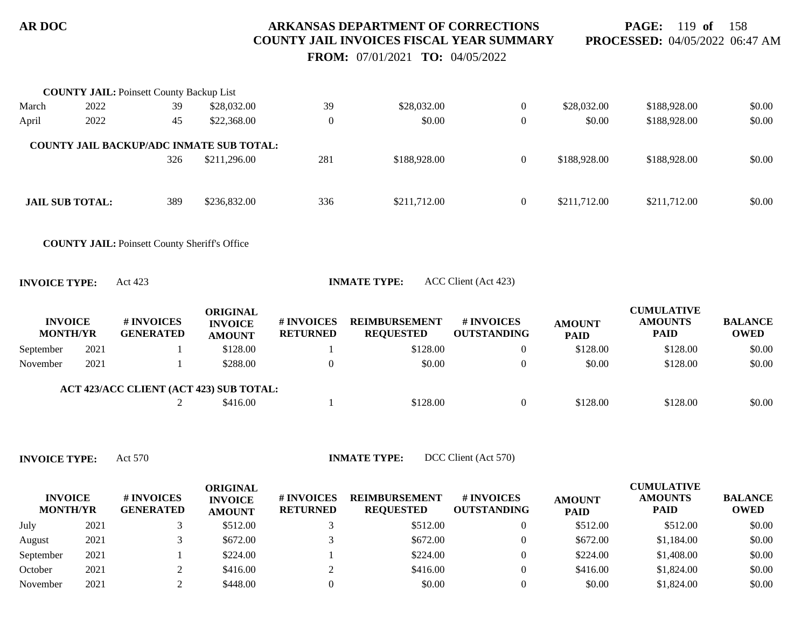**PAGE:** 119 **of** 158 **PROCESSED:** 04/05/2022 06:47 AM

 **FROM:** 07/01/2021 **TO:** 04/05/2022

|                                   |      | <b>COUNTY JAIL: Poinsett County Backup List</b>      |                                                    |                               |                                          |                                  |                              |                                                    |                               |
|-----------------------------------|------|------------------------------------------------------|----------------------------------------------------|-------------------------------|------------------------------------------|----------------------------------|------------------------------|----------------------------------------------------|-------------------------------|
| March                             | 2022 | 39                                                   | \$28,032.00                                        | 39                            | \$28,032.00                              | $\overline{0}$                   | \$28,032.00                  | \$188,928.00                                       | \$0.00                        |
| April                             | 2022 | 45                                                   | \$22,368.00                                        | $\boldsymbol{0}$              | \$0.00                                   | $\boldsymbol{0}$                 | \$0.00                       | \$188,928.00                                       | \$0.00                        |
|                                   |      | <b>COUNTY JAIL BACKUP/ADC INMATE SUB TOTAL:</b>      |                                                    |                               |                                          |                                  |                              |                                                    |                               |
|                                   |      | 326                                                  | \$211,296.00                                       | 281                           | \$188,928.00                             | $\overline{0}$                   | \$188,928.00                 | \$188,928.00                                       | \$0.00                        |
| <b>JAIL SUB TOTAL:</b>            |      | 389                                                  | \$236,832.00                                       | 336                           | \$211,712.00                             | $\overline{0}$                   | \$211,712.00                 | \$211,712.00                                       | \$0.00                        |
|                                   |      | <b>COUNTY JAIL: Poinsett County Sheriff's Office</b> |                                                    |                               |                                          |                                  |                              |                                                    |                               |
| <b>INVOICE TYPE:</b>              |      | Act 423                                              |                                                    |                               | <b>INMATE TYPE:</b>                      | ACC Client (Act 423)             |                              |                                                    |                               |
| <b>INVOICE</b><br><b>MONTH/YR</b> |      | # INVOICES<br><b>GENERATED</b>                       | <b>ORIGINAL</b><br><b>INVOICE</b><br><b>AMOUNT</b> | # INVOICES<br><b>RETURNED</b> | <b>REIMBURSEMENT</b><br><b>REQUESTED</b> | # INVOICES<br><b>OUTSTANDING</b> | <b>AMOUNT</b><br><b>PAID</b> | <b>CUMULATIVE</b><br><b>AMOUNTS</b><br><b>PAID</b> | <b>BALANCE</b><br><b>OWED</b> |
| September                         | 2021 |                                                      | \$128.00                                           |                               | \$128.00                                 | $\overline{0}$                   | \$128.00                     | \$128.00                                           | \$0.00                        |
| November                          | 2021 |                                                      | \$288.00                                           | $\boldsymbol{0}$              | \$0.00                                   | $\boldsymbol{0}$                 | \$0.00                       | \$128.00                                           | \$0.00                        |
|                                   |      | ACT 423/ACC CLIENT (ACT 423) SUB TOTAL:              |                                                    |                               |                                          |                                  |                              |                                                    |                               |
|                                   |      | 2                                                    | \$416.00                                           | -1                            | \$128.00                                 | $\overline{0}$                   | \$128.00                     | \$128.00                                           | \$0.00                        |

**INVOICE TYPE:** Act 570 **INMATE TYPE:** DCC Client (Act 570)

| <b>INVOICE</b><br><b>MONTH/YR</b> |      | # INVOICES<br><b>GENERATED</b> | ORIGINAL<br><b>INVOICE</b><br><b>AMOUNT</b> | # INVOICES<br><b>RETURNED</b> | <b>REIMBURSEMENT</b><br><b>REOUESTED</b> | <b>#INVOICES</b><br><b>OUTSTANDING</b> | <b>AMOUNT</b><br><b>PAID</b> | <b>CUMULATIVE</b><br><b>AMOUNTS</b><br><b>PAID</b> | <b>BALANCE</b><br><b>OWED</b> |
|-----------------------------------|------|--------------------------------|---------------------------------------------|-------------------------------|------------------------------------------|----------------------------------------|------------------------------|----------------------------------------------------|-------------------------------|
| July                              | 2021 |                                | \$512.00                                    |                               | \$512.00                                 |                                        | \$512.00                     | \$512.00                                           | \$0.00                        |
| August                            | 2021 |                                | \$672.00                                    |                               | \$672.00                                 |                                        | \$672.00                     | \$1,184.00                                         | \$0.00                        |
| September                         | 2021 |                                | \$224.00                                    |                               | \$224.00                                 |                                        | \$224.00                     | \$1,408.00                                         | \$0.00                        |
| October                           | 2021 |                                | \$416.00                                    |                               | \$416.00                                 |                                        | \$416.00                     | \$1,824.00                                         | \$0.00                        |
| November                          | 2021 |                                | \$448.00                                    |                               | \$0.00                                   |                                        | \$0.00                       | \$1,824.00                                         | \$0.00                        |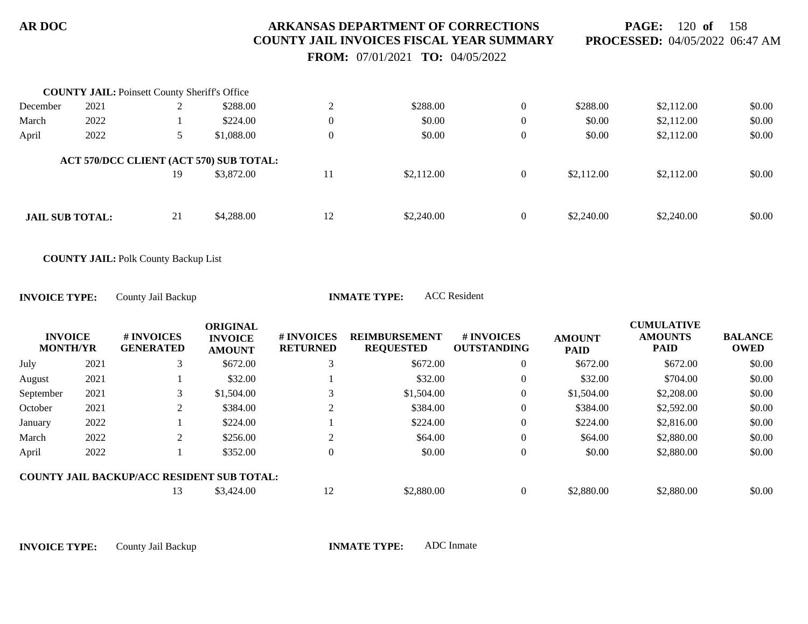**PAGE:** 120 **of** 158 **PROCESSED:** 04/05/2022 06:47 AM

 **FROM:** 07/01/2021 **TO:** 04/05/2022

|                        | <b>COUNTY JAIL:</b> Poinsett County Sheriff's Office |    |                                                       |                  |            |                |            |            |        |
|------------------------|------------------------------------------------------|----|-------------------------------------------------------|------------------|------------|----------------|------------|------------|--------|
| December               | 2021                                                 |    | \$288.00                                              | $\bigcap$        | \$288.00   | $\overline{0}$ | \$288.00   | \$2,112.00 | \$0.00 |
| March                  | 2022                                                 |    | \$224.00                                              | $\theta$         | \$0.00     | $\overline{0}$ | \$0.00     | \$2,112.00 | \$0.00 |
| April                  | 2022                                                 | 5  | \$1,088.00                                            | $\boldsymbol{0}$ | \$0.00     | $\overline{0}$ | \$0.00     | \$2,112.00 | \$0.00 |
|                        |                                                      | 19 | ACT 570/DCC CLIENT (ACT 570) SUB TOTAL:<br>\$3,872.00 | 11               | \$2,112.00 | $\overline{0}$ | \$2,112.00 | \$2,112.00 | \$0.00 |
| <b>JAIL SUB TOTAL:</b> |                                                      | 21 | \$4,288.00                                            | 12               | \$2,240.00 | $\overline{0}$ | \$2,240.00 | \$2,240.00 | \$0.00 |

**COUNTY JAIL:** Polk County Backup List

**INVOICE TYPE:** County Jail Backup **INMATE TYPE:** ACC Resident

| <b>INVOICE</b><br><b>MONTH/YR</b> |      | # INVOICES<br><b>GENERATED</b>                    | <b>ORIGINAL</b><br><b>INVOICE</b><br><b>AMOUNT</b> | # INVOICES<br><b>RETURNED</b> | <b>REIMBURSEMENT</b><br><b>REQUESTED</b> | # INVOICES<br><b>OUTSTANDING</b> | <b>AMOUNT</b><br><b>PAID</b> | <b>CUMULATIVE</b><br><b>AMOUNTS</b><br><b>PAID</b> | <b>BALANCE</b><br><b>OWED</b> |
|-----------------------------------|------|---------------------------------------------------|----------------------------------------------------|-------------------------------|------------------------------------------|----------------------------------|------------------------------|----------------------------------------------------|-------------------------------|
| July                              | 2021 |                                                   | \$672.00                                           |                               | \$672.00                                 | $\theta$                         | \$672.00                     | \$672.00                                           | \$0.00                        |
| August                            | 2021 |                                                   | \$32.00                                            |                               | \$32.00                                  | 0                                | \$32.00                      | \$704.00                                           | \$0.00                        |
| September                         | 2021 |                                                   | \$1,504.00                                         |                               | \$1,504.00                               | $\theta$                         | \$1,504.00                   | \$2,208.00                                         | \$0.00                        |
| October                           | 2021 |                                                   | \$384.00                                           |                               | \$384.00                                 | $\theta$                         | \$384.00                     | \$2,592.00                                         | \$0.00                        |
| January                           | 2022 |                                                   | \$224.00                                           |                               | \$224.00                                 | $\theta$                         | \$224.00                     | \$2,816.00                                         | \$0.00                        |
| March                             | 2022 | ◠                                                 | \$256.00                                           |                               | \$64.00                                  | $\theta$                         | \$64.00                      | \$2,880.00                                         | \$0.00                        |
| April                             | 2022 |                                                   | \$352.00                                           |                               | \$0.00                                   | $\overline{0}$                   | \$0.00                       | \$2,880.00                                         | \$0.00                        |
|                                   |      | <b>COUNTY JAIL BACKUP/ACC RESIDENT SUB TOTAL:</b> |                                                    |                               |                                          |                                  |                              |                                                    |                               |
|                                   |      | 13                                                | \$3,424.00                                         | 12                            | \$2,880.00                               |                                  | \$2,880.00                   | \$2,880.00                                         | \$0.00                        |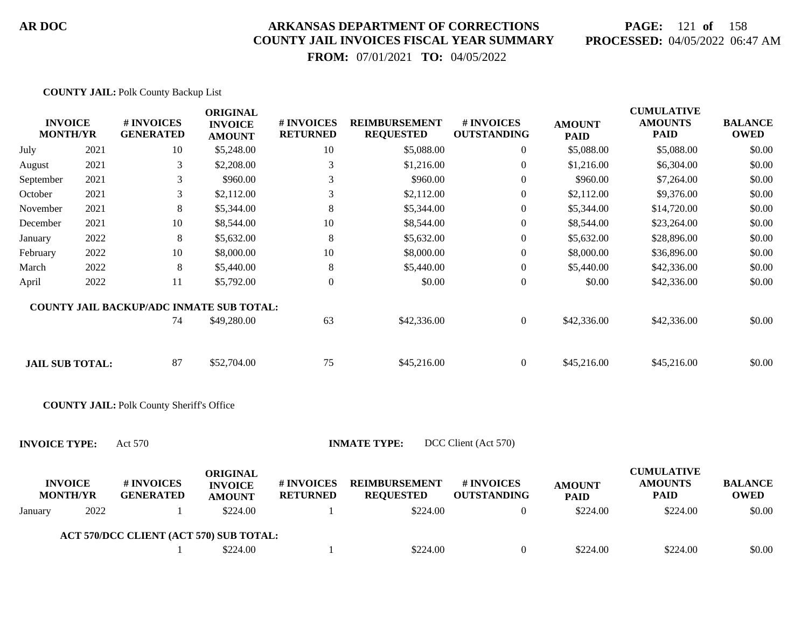**COUNTY JAIL:** Polk County Backup List

#### **AR DOC ARKANSAS DEPARTMENT OF CORRECTIONS COUNTY JAIL INVOICES FISCAL YEAR SUMMARY**

# **PAGE:** 121 **of** 158 **PROCESSED:** 04/05/2022 06:47 AM

 **FROM:** 07/01/2021 **TO:** 04/05/2022

| <b>INVOICE</b><br><b>MONTH/YR</b>            |      | # INVOICES<br><b>GENERATED</b>                                                                           | <b>ORIGINAL</b><br><b>INVOICE</b><br><b>AMOUNT</b>             | # INVOICES<br><b>RETURNED</b> | <b>REIMBURSEMENT</b><br><b>REQUESTED</b>             | # INVOICES<br><b>OUTSTANDING</b>                     | <b>AMOUNT</b><br><b>PAID</b>             | <b>CUMULATIVE</b><br><b>AMOUNTS</b><br><b>PAID</b>             | <b>BALANCE</b><br><b>OWED</b>           |
|----------------------------------------------|------|----------------------------------------------------------------------------------------------------------|----------------------------------------------------------------|-------------------------------|------------------------------------------------------|------------------------------------------------------|------------------------------------------|----------------------------------------------------------------|-----------------------------------------|
| July                                         | 2021 | 10                                                                                                       | \$5,248.00                                                     | 10                            | \$5,088.00                                           | $\overline{0}$                                       | \$5,088.00                               | \$5,088.00                                                     | \$0.00                                  |
| August                                       | 2021 | 3                                                                                                        | \$2,208.00                                                     | 3                             | \$1,216.00                                           | $\boldsymbol{0}$                                     | \$1,216.00                               | \$6,304.00                                                     | \$0.00                                  |
| September                                    | 2021 | 3                                                                                                        | \$960.00                                                       | 3                             | \$960.00                                             | $\overline{0}$                                       | \$960.00                                 | \$7,264.00                                                     | \$0.00                                  |
| October                                      | 2021 | 3                                                                                                        | \$2,112.00                                                     | 3                             | \$2,112.00                                           | $\boldsymbol{0}$                                     | \$2,112.00                               | \$9,376.00                                                     | \$0.00                                  |
| November                                     | 2021 | $\,8\,$                                                                                                  | \$5,344.00                                                     | 8                             | \$5,344.00                                           | $\mathbf{0}$                                         | \$5,344.00                               | \$14,720.00                                                    | \$0.00                                  |
| December                                     | 2021 | 10                                                                                                       | \$8,544.00                                                     | 10                            | \$8,544.00                                           | $\theta$                                             | \$8,544.00                               | \$23,264.00                                                    | \$0.00                                  |
| January                                      | 2022 | 8                                                                                                        | \$5,632.00                                                     | 8                             | \$5,632.00                                           | $\boldsymbol{0}$                                     | \$5,632.00                               | \$28,896.00                                                    | \$0.00                                  |
| February                                     | 2022 | 10                                                                                                       | \$8,000.00                                                     | 10                            | \$8,000.00                                           | $\overline{0}$                                       | \$8,000.00                               | \$36,896.00                                                    | \$0.00                                  |
| March                                        | 2022 | 8                                                                                                        | \$5,440.00                                                     | $8\phantom{1}$                | \$5,440.00                                           | $\boldsymbol{0}$                                     | \$5,440.00                               | \$42,336.00                                                    | \$0.00                                  |
| April                                        | 2022 | 11                                                                                                       | \$5,792.00                                                     | $\overline{0}$                | \$0.00                                               | $\boldsymbol{0}$                                     | \$0.00                                   | \$42,336.00                                                    | \$0.00                                  |
| <b>JAIL SUB TOTAL:</b>                       |      | COUNTY JAIL BACKUP/ADC INMATE SUB TOTAL:<br>74<br>87<br><b>COUNTY JAIL: Polk County Sheriff's Office</b> | \$49,280.00<br>\$52,704.00                                     | 63<br>75                      | \$42,336.00<br>\$45,216.00                           | $\boldsymbol{0}$<br>$\overline{0}$                   | \$42,336.00<br>\$45,216.00               | \$42,336.00<br>\$45,216.00                                     | \$0.00<br>\$0.00                        |
| <b>INVOICE TYPE:</b>                         |      | Act 570                                                                                                  |                                                                |                               | <b>INMATE TYPE:</b>                                  | DCC Client (Act 570)                                 |                                          |                                                                |                                         |
| <b>INVOICE</b><br><b>MONTH/YR</b><br>January | 2022 | # INVOICES<br><b>GENERATED</b>                                                                           | <b>ORIGINAL</b><br><b>INVOICE</b><br><b>AMOUNT</b><br>\$224.00 | # INVOICES<br><b>RETURNED</b> | <b>REIMBURSEMENT</b><br><b>REQUESTED</b><br>\$224.00 | # INVOICES<br><b>OUTSTANDING</b><br>$\boldsymbol{0}$ | <b>AMOUNT</b><br><b>PAID</b><br>\$224.00 | <b>CUMULATIVE</b><br><b>AMOUNTS</b><br><b>PAID</b><br>\$224.00 | <b>BALANCE</b><br><b>OWED</b><br>\$0.00 |
|                                              |      |                                                                                                          |                                                                |                               |                                                      |                                                      |                                          |                                                                |                                         |
|                                              |      | ACT 570/DCC CLIENT (ACT 570) SUB TOTAL:                                                                  |                                                                |                               |                                                      |                                                      |                                          |                                                                |                                         |
|                                              |      |                                                                                                          | \$224.00                                                       | -1                            | \$224.00                                             | $\overline{0}$                                       | \$224.00                                 | \$224.00                                                       | \$0.00                                  |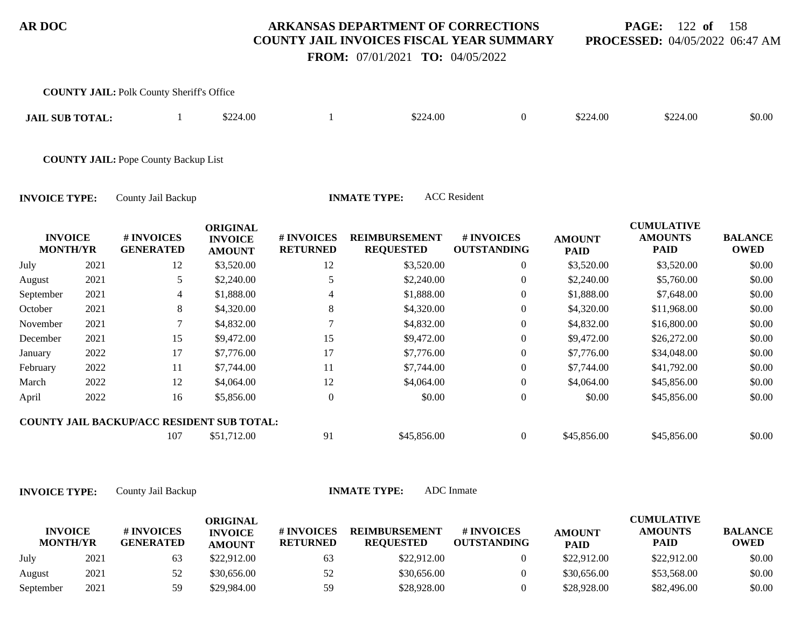**PAGE:** 122 **of** 158 **PROCESSED:** 04/05/2022 06:47 AM

 **FROM:** 07/01/2021 **TO:** 04/05/2022

|                                   |      | <b>COUNTY JAIL: Polk County Sheriff's Office</b> |                                                    |                               |                                          |                                  |                              |                                                    |                               |
|-----------------------------------|------|--------------------------------------------------|----------------------------------------------------|-------------------------------|------------------------------------------|----------------------------------|------------------------------|----------------------------------------------------|-------------------------------|
| <b>JAIL SUB TOTAL:</b>            |      |                                                  | \$224.00                                           |                               | \$224.00                                 | $\overline{0}$                   | \$224.00                     | \$224.00                                           | \$0.00                        |
|                                   |      | <b>COUNTY JAIL: Pope County Backup List</b>      |                                                    |                               |                                          |                                  |                              |                                                    |                               |
| <b>INVOICE TYPE:</b>              |      | County Jail Backup                               |                                                    |                               | <b>INMATE TYPE:</b>                      | <b>ACC</b> Resident              |                              |                                                    |                               |
| <b>INVOICE</b><br><b>MONTH/YR</b> |      | # INVOICES<br><b>GENERATED</b>                   | <b>ORIGINAL</b><br><b>INVOICE</b><br><b>AMOUNT</b> | # INVOICES<br><b>RETURNED</b> | <b>REIMBURSEMENT</b><br><b>REQUESTED</b> | # INVOICES<br><b>OUTSTANDING</b> | <b>AMOUNT</b><br><b>PAID</b> | <b>CUMULATIVE</b><br><b>AMOUNTS</b><br><b>PAID</b> | <b>BALANCE</b><br><b>OWED</b> |
| July                              | 2021 | 12                                               | \$3,520.00                                         | 12                            | \$3,520.00                               | 0                                | \$3,520.00                   | \$3,520.00                                         | \$0.00                        |
| August                            | 2021 | 5                                                | \$2,240.00                                         | 5                             | \$2,240.00                               | $\overline{0}$                   | \$2,240.00                   | \$5,760.00                                         | \$0.00                        |
| September                         | 2021 | 4                                                | \$1,888.00                                         | 4                             | \$1,888.00                               | 0                                | \$1,888.00                   | \$7,648.00                                         | \$0.00                        |
| October                           | 2021 | 8                                                | \$4,320.00                                         | 8                             | \$4,320.00                               | $\overline{0}$                   | \$4,320.00                   | \$11,968.00                                        | \$0.00                        |
| November                          | 2021 | 7                                                | \$4,832.00                                         | 7                             | \$4,832.00                               | 0                                | \$4,832.00                   | \$16,800.00                                        | \$0.00                        |
| December                          | 2021 | 15                                               | \$9,472.00                                         | 15                            | \$9,472.00                               | 0                                | \$9,472.00                   | \$26,272.00                                        | \$0.00                        |
| January                           | 2022 | 17                                               | \$7,776.00                                         | 17                            | \$7,776.00                               | $\overline{0}$                   | \$7,776.00                   | \$34,048.00                                        | \$0.00                        |
| February                          | 2022 | 11                                               | \$7,744.00                                         | 11                            | \$7,744.00                               | $\overline{0}$                   | \$7,744.00                   | \$41,792.00                                        | \$0.00                        |
| March                             | 2022 | 12                                               | \$4,064.00                                         | 12                            | \$4,064.00                               | $\boldsymbol{0}$                 | \$4,064.00                   | \$45,856.00                                        | \$0.00                        |
| April                             | 2022 | 16                                               | \$5,856.00                                         | $\theta$                      | \$0.00                                   | $\boldsymbol{0}$                 | \$0.00                       | \$45,856.00                                        | \$0.00                        |
|                                   |      | COUNTY JAIL BACKUP/ACC RESIDENT SUB TOTAL:       |                                                    |                               |                                          |                                  |                              |                                                    |                               |

107 \$51,712.00 91 \$45,856.00 0 \$45,856.00 \$45,856.00 \$0.00

|                                   |      |                                | <b>ORIGINAL</b>                 |                               |                                          |                           |                              | <b>CUMULATIVE</b>             |                               |
|-----------------------------------|------|--------------------------------|---------------------------------|-------------------------------|------------------------------------------|---------------------------|------------------------------|-------------------------------|-------------------------------|
| <b>INVOICE</b><br><b>MONTH/YR</b> |      | # INVOICES<br><b>GENERATED</b> | <b>INVOICE</b><br><b>AMOUNT</b> | # INVOICES<br><b>RETURNED</b> | <b>REIMBURSEMENT</b><br><b>REQUESTED</b> | # INVOICES<br>OUTSTANDING | <b>AMOUNT</b><br><b>PAID</b> | <b>AMOUNTS</b><br><b>PAID</b> | <b>BALANCE</b><br><b>OWED</b> |
| July                              | 2021 |                                | \$22,912.00                     | 63                            | \$22,912.00                              |                           | \$22,912.00                  | \$22,912.00                   | \$0.00                        |
| August                            | 2021 | 52                             | \$30,656.00                     | 52                            | \$30,656.00                              |                           | \$30,656,00                  | \$53,568.00                   | \$0.00                        |
| September                         | 2021 | 59                             | \$29,984.00                     | 59                            | \$28,928.00                              |                           | \$28,928.00                  | \$82,496.00                   | \$0.00                        |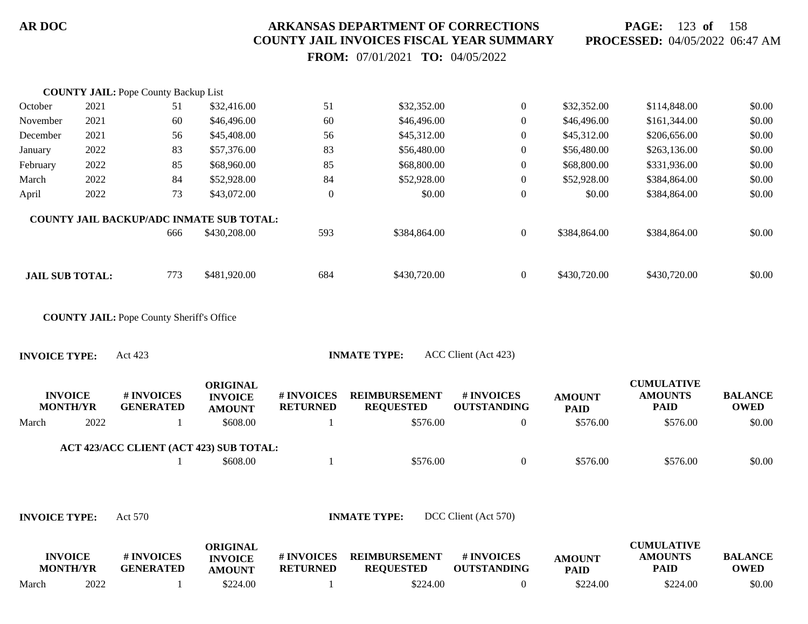**PAGE:** 123 **of** 158 **PROCESSED:** 04/05/2022 06:47 AM

 **FROM:** 07/01/2021 **TO:** 04/05/2022

|                                   |      | <b>COUNTY JAIL: Pope County Backup List</b>      |                                                    |                               |                                          |                                  |                              |                                                    |                               |
|-----------------------------------|------|--------------------------------------------------|----------------------------------------------------|-------------------------------|------------------------------------------|----------------------------------|------------------------------|----------------------------------------------------|-------------------------------|
| October                           | 2021 | 51                                               | \$32,416.00                                        | 51                            | \$32,352.00                              | $\boldsymbol{0}$                 | \$32,352.00                  | \$114,848.00                                       | \$0.00                        |
| November                          | 2021 | 60                                               | \$46,496.00                                        | 60                            | \$46,496.00                              | $\boldsymbol{0}$                 | \$46,496.00                  | \$161,344.00                                       | \$0.00                        |
| December                          | 2021 | 56                                               | \$45,408.00                                        | 56                            | \$45,312.00                              | $\boldsymbol{0}$                 | \$45,312.00                  | \$206,656.00                                       | \$0.00                        |
| January                           | 2022 | 83                                               | \$57,376.00                                        | 83                            | \$56,480.00                              | $\overline{0}$                   | \$56,480.00                  | \$263,136.00                                       | \$0.00                        |
| February                          | 2022 | 85                                               | \$68,960.00                                        | 85                            | \$68,800.00                              | $\boldsymbol{0}$                 | \$68,800.00                  | \$331,936.00                                       | \$0.00                        |
| March                             | 2022 | 84                                               | \$52,928.00                                        | 84                            | \$52,928.00                              | $\boldsymbol{0}$                 | \$52,928.00                  | \$384,864.00                                       | \$0.00                        |
| April                             | 2022 | 73                                               | \$43,072.00                                        | $\boldsymbol{0}$              | \$0.00                                   | $\boldsymbol{0}$                 | \$0.00                       | \$384,864.00                                       | \$0.00                        |
|                                   |      | <b>COUNTY JAIL BACKUP/ADC INMATE SUB TOTAL:</b>  |                                                    |                               |                                          |                                  |                              |                                                    |                               |
|                                   |      | 666                                              | \$430,208.00                                       | 593                           | \$384,864.00                             | $\boldsymbol{0}$                 | \$384,864.00                 | \$384,864.00                                       | \$0.00                        |
| <b>JAIL SUB TOTAL:</b>            |      | 773                                              | \$481,920.00                                       | 684                           | \$430,720.00                             | $\boldsymbol{0}$                 | \$430,720.00                 | \$430,720.00                                       | \$0.00                        |
|                                   |      | <b>COUNTY JAIL: Pope County Sheriff's Office</b> |                                                    |                               |                                          |                                  |                              |                                                    |                               |
| <b>INVOICE TYPE:</b>              |      | Act 423                                          |                                                    |                               | <b>INMATE TYPE:</b>                      | ACC Client (Act 423)             |                              |                                                    |                               |
| <b>INVOICE</b><br><b>MONTH/YR</b> |      | # INVOICES<br><b>GENERATED</b>                   | <b>ORIGINAL</b><br><b>INVOICE</b><br><b>AMOUNT</b> | # INVOICES<br><b>RETURNED</b> | <b>REIMBURSEMENT</b><br><b>REQUESTED</b> | # INVOICES<br><b>OUTSTANDING</b> | <b>AMOUNT</b><br><b>PAID</b> | <b>CUMULATIVE</b><br><b>AMOUNTS</b><br><b>PAID</b> | <b>BALANCE</b><br><b>OWED</b> |
| March                             | 2022 | 1                                                | \$608.00                                           | $\mathbf{1}$                  | \$576.00                                 | $\boldsymbol{0}$                 | \$576.00                     | \$576.00                                           | \$0.00                        |
|                                   |      | ACT 423/ACC CLIENT (ACT 423) SUB TOTAL:          |                                                    |                               |                                          |                                  |                              |                                                    |                               |
|                                   |      |                                                  | \$608.00                                           | -1                            | \$576.00                                 | $\boldsymbol{0}$                 | \$576.00                     | \$576.00                                           | \$0.00                        |
|                                   |      |                                                  |                                                    |                               |                                          |                                  |                              |                                                    |                               |
|                                   |      |                                                  |                                                    |                               |                                          |                                  |                              |                                                    |                               |
|                                   |      |                                                  |                                                    |                               |                                          |                                  |                              |                                                    |                               |

|       | INVOICE<br><b>MONTH/YR</b> | # INVOICES<br><b>GENERATED</b> | ORIGINAL<br><b>INVOICE</b><br><b>AMOUNT</b> | # INVOICES<br><b>RETURNED</b> | <b>REIMBURSEMENT</b><br><b>REOUESTED</b> | # INVOICES<br><b>OUTSTANDING</b> | <b>AMOUNT</b><br><b>PAID</b> | <b>CUMULATIVE</b><br>AMOUNTS<br>PAID | <b>BALANCE</b><br><b>OWED</b> |
|-------|----------------------------|--------------------------------|---------------------------------------------|-------------------------------|------------------------------------------|----------------------------------|------------------------------|--------------------------------------|-------------------------------|
| March | 2022                       |                                | \$224.00                                    |                               | \$224.00                                 |                                  | \$224.00                     | \$224.00                             | \$0.00                        |

**INVOICE TYPE:** Act 570 **INMATE TYPE:** DCC Client (Act 570)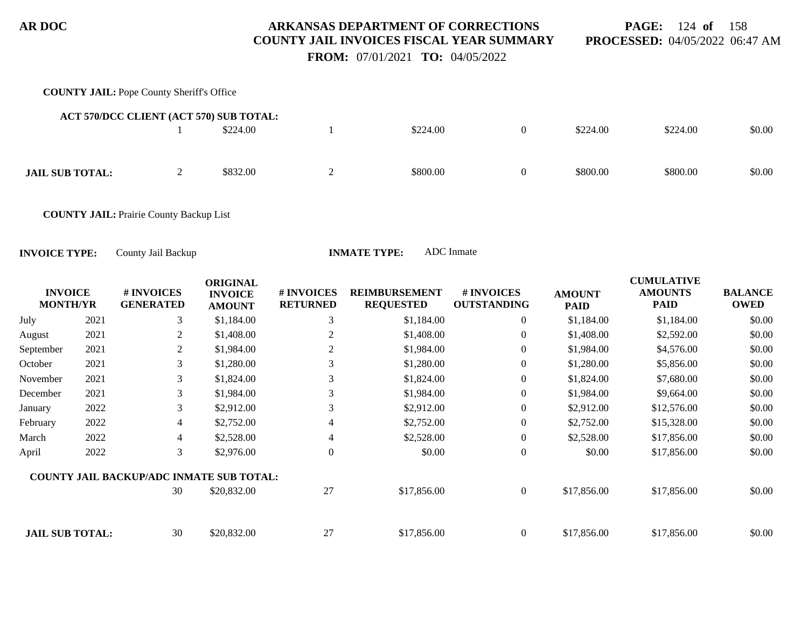**PAGE:** 124 **of** 158 **PROCESSED:** 04/05/2022 06:47 AM

 **FROM:** 07/01/2021 **TO:** 04/05/2022

# **COUNTY JAIL:** Pope County Sheriff's Office 1 \$224.00 1 \$224.00 \$224.00 \$224.00 \$224.00 \$0.00 **ACT 570/DCC CLIENT (ACT 570) SUB TOTAL: JAIL SUB TOTAL:** 2 \$832.00 2 \$800.00 0 \$800.00 \$800.00 \$800.00 \$0.00

**COUNTY JAIL:** Prairie County Backup List

| <b>INVOICE</b><br><b>MONTH/YR</b> |      | # INVOICES<br><b>GENERATED</b>                  | <b>ORIGINAL</b><br><b>INVOICE</b><br><b>AMOUNT</b> | <b># INVOICES</b><br><b>RETURNED</b> | <b>REIMBURSEMENT</b><br><b>REQUESTED</b> | # INVOICES<br><b>OUTSTANDING</b> | <b>AMOUNT</b><br><b>PAID</b> | <b>CUMULATIVE</b><br><b>AMOUNTS</b><br><b>PAID</b> | <b>BALANCE</b><br><b>OWED</b> |
|-----------------------------------|------|-------------------------------------------------|----------------------------------------------------|--------------------------------------|------------------------------------------|----------------------------------|------------------------------|----------------------------------------------------|-------------------------------|
| July                              | 2021 | 3                                               | \$1,184.00                                         | 3                                    | \$1,184.00                               | $\overline{0}$                   | \$1,184.00                   | \$1,184.00                                         | \$0.00                        |
| August                            | 2021 | 2                                               | \$1,408.00                                         | 2                                    | \$1,408.00                               | $\overline{0}$                   | \$1,408.00                   | \$2,592.00                                         | \$0.00                        |
| September                         | 2021 | 2                                               | \$1,984.00                                         | 2                                    | \$1,984.00                               | $\overline{0}$                   | \$1,984.00                   | \$4,576.00                                         | \$0.00                        |
| October                           | 2021 | 3                                               | \$1,280.00                                         |                                      | \$1,280.00                               | $\overline{0}$                   | \$1,280.00                   | \$5,856.00                                         | \$0.00                        |
| November                          | 2021 | 3                                               | \$1,824.00                                         | 3                                    | \$1,824.00                               | $\overline{0}$                   | \$1,824.00                   | \$7,680.00                                         | \$0.00                        |
| December                          | 2021 | 3                                               | \$1,984.00                                         | 3                                    | \$1,984.00                               | $\overline{0}$                   | \$1,984.00                   | \$9,664.00                                         | \$0.00                        |
| January                           | 2022 | 3                                               | \$2,912.00                                         | 3                                    | \$2,912.00                               | $\overline{0}$                   | \$2,912.00                   | \$12,576.00                                        | \$0.00                        |
| February                          | 2022 | 4                                               | \$2,752.00                                         | 4                                    | \$2,752.00                               | $\overline{0}$                   | \$2,752.00                   | \$15,328.00                                        | \$0.00                        |
| March                             | 2022 | 4                                               | \$2,528.00                                         | 4                                    | \$2,528.00                               | $\overline{0}$                   | \$2,528.00                   | \$17,856.00                                        | \$0.00                        |
| April                             | 2022 | 3                                               | \$2,976.00                                         | $\overline{0}$                       | \$0.00                                   | $\overline{0}$                   | \$0.00                       | \$17,856.00                                        | \$0.00                        |
|                                   |      | <b>COUNTY JAIL BACKUP/ADC INMATE SUB TOTAL:</b> |                                                    |                                      |                                          |                                  |                              |                                                    |                               |
|                                   |      | 30                                              | \$20,832.00                                        | 27                                   | \$17,856.00                              | $\overline{0}$                   | \$17,856.00                  | \$17,856.00                                        | \$0.00                        |
| <b>JAIL SUB TOTAL:</b>            |      | 30                                              | \$20,832.00                                        | 27                                   | \$17,856.00                              | $\overline{0}$                   | \$17,856.00                  | \$17,856.00                                        | \$0.00                        |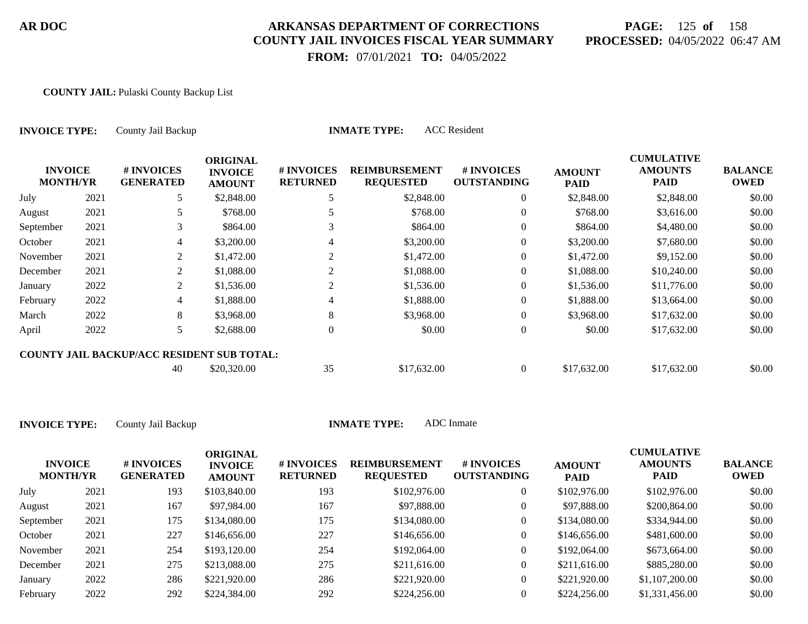# **PAGE:** 125 **of** 158 **PROCESSED:** 04/05/2022 06:47 AM

 **FROM:** 07/01/2021 **TO:** 04/05/2022

#### **COUNTY JAIL:** Pulaski County Backup List

| <b>INVOICE TYPE:</b>              |      | County Jail Backup                                |                                                    |                               | <b>ACC</b> Resident<br><b>INMATE TYPE:</b> |                                  |                              |                                                    |                               |
|-----------------------------------|------|---------------------------------------------------|----------------------------------------------------|-------------------------------|--------------------------------------------|----------------------------------|------------------------------|----------------------------------------------------|-------------------------------|
| <b>INVOICE</b><br><b>MONTH/YR</b> |      | # INVOICES<br><b>GENERATED</b>                    | <b>ORIGINAL</b><br><b>INVOICE</b><br><b>AMOUNT</b> | # INVOICES<br><b>RETURNED</b> | <b>REIMBURSEMENT</b><br><b>REQUESTED</b>   | # INVOICES<br><b>OUTSTANDING</b> | <b>AMOUNT</b><br><b>PAID</b> | <b>CUMULATIVE</b><br><b>AMOUNTS</b><br><b>PAID</b> | <b>BALANCE</b><br><b>OWED</b> |
| July                              | 2021 | 5                                                 | \$2,848.00                                         |                               | \$2,848.00                                 | $\overline{0}$                   | \$2,848.00                   | \$2,848.00                                         | \$0.00                        |
| August                            | 2021 | 5                                                 | \$768.00                                           |                               | \$768.00                                   | $\overline{0}$                   | \$768.00                     | \$3,616.00                                         | \$0.00                        |
| September                         | 2021 | 3                                                 | \$864.00                                           |                               | \$864.00                                   | $\overline{0}$                   | \$864.00                     | \$4,480.00                                         | \$0.00                        |
| October                           | 2021 | 4                                                 | \$3,200.00                                         | 4                             | \$3,200.00                                 | $\overline{0}$                   | \$3,200.00                   | \$7,680.00                                         | \$0.00                        |
| November                          | 2021 | 2                                                 | \$1,472.00                                         | $\overline{2}$                | \$1,472.00                                 | $\overline{0}$                   | \$1,472.00                   | \$9,152.00                                         | \$0.00                        |
| December                          | 2021 | 2                                                 | \$1,088.00                                         | 2                             | \$1,088.00                                 | $\overline{0}$                   | \$1,088.00                   | \$10,240.00                                        | \$0.00                        |
| January                           | 2022 | 2                                                 | \$1,536.00                                         | 2                             | \$1,536.00                                 | $\overline{0}$                   | \$1,536.00                   | \$11,776.00                                        | \$0.00                        |
| February                          | 2022 | 4                                                 | \$1,888.00                                         |                               | \$1,888.00                                 | $\Omega$                         | \$1,888.00                   | \$13,664.00                                        | \$0.00                        |
| March                             | 2022 | 8                                                 | \$3,968.00                                         | 8                             | \$3,968.00                                 | $\overline{0}$                   | \$3,968.00                   | \$17,632.00                                        | \$0.00                        |
| April                             | 2022 | 5                                                 | \$2,688.00                                         | $\theta$                      | \$0.00                                     | $\overline{0}$                   | \$0.00                       | \$17,632.00                                        | \$0.00                        |
|                                   |      | <b>COUNTY JAIL BACKUP/ACC RESIDENT SUB TOTAL:</b> |                                                    |                               |                                            |                                  |                              |                                                    |                               |
|                                   |      | 40                                                | \$20,320.00                                        | 35                            | \$17,632.00                                | $\overline{0}$                   | \$17,632.00                  | \$17,632.00                                        | \$0.00                        |

| <b>INVOICE</b><br><b>MONTH/YR</b> |      | # INVOICES<br><b>GENERATED</b> | ORIGINAL<br><b>INVOICE</b><br><b>AMOUNT</b> | <b># INVOICES</b><br><b>RETURNED</b> | <b>REIMBURSEMENT</b><br><b>REQUESTED</b> | # INVOICES<br><b>OUTSTANDING</b> | <b>AMOUNT</b><br><b>PAID</b> | <b>CUMULATIVE</b><br><b>AMOUNTS</b><br><b>PAID</b> | <b>BALANCE</b><br><b>OWED</b> |
|-----------------------------------|------|--------------------------------|---------------------------------------------|--------------------------------------|------------------------------------------|----------------------------------|------------------------------|----------------------------------------------------|-------------------------------|
| July                              | 2021 | 193                            | \$103,840.00                                | 193                                  | \$102,976.00                             | 0                                | \$102,976.00                 | \$102,976.00                                       | \$0.00                        |
| August                            | 2021 | 167                            | \$97,984.00                                 | 167                                  | \$97,888.00                              | 0                                | \$97,888.00                  | \$200,864.00                                       | \$0.00                        |
| September                         | 2021 | 175                            | \$134,080.00                                | 175                                  | \$134,080.00                             | 0                                | \$134,080.00                 | \$334,944.00                                       | \$0.00                        |
| October                           | 2021 | 227                            | \$146,656.00                                | 227                                  | \$146,656.00                             | 0                                | \$146,656.00                 | \$481,600.00                                       | \$0.00                        |
| November                          | 2021 | 254                            | \$193,120.00                                | 254                                  | \$192,064.00                             | 0                                | \$192,064.00                 | \$673,664.00                                       | \$0.00                        |
| December                          | 2021 | 275                            | \$213,088.00                                | 275                                  | \$211,616.00                             | 0                                | \$211,616.00                 | \$885,280.00                                       | \$0.00                        |
| January                           | 2022 | 286                            | \$221,920.00                                | 286                                  | \$221,920.00                             | $\overline{0}$                   | \$221,920.00                 | \$1,107,200.00                                     | \$0.00                        |
| February                          | 2022 | 292                            | \$224,384.00                                | 292                                  | \$224,256.00                             |                                  | \$224,256.00                 | \$1,331,456.00                                     | \$0.00                        |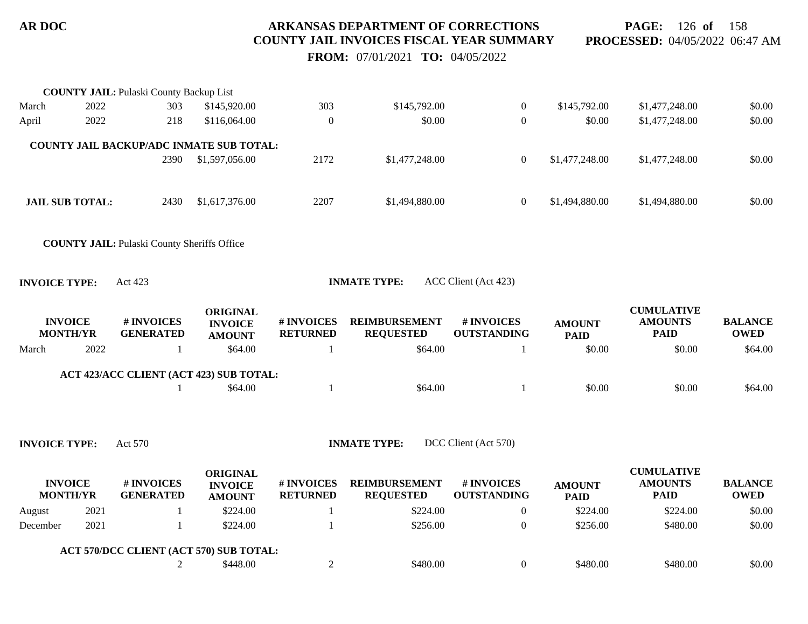**PAGE:** 126 **of** 158 **PROCESSED:** 04/05/2022 06:47 AM

 **FROM:** 07/01/2021 **TO:** 04/05/2022

|                      |                                   | <b>COUNTY JAIL: Pulaski County Backup List</b>     |                 |                               |                                          |                                  |                       |                               |                               |
|----------------------|-----------------------------------|----------------------------------------------------|-----------------|-------------------------------|------------------------------------------|----------------------------------|-----------------------|-------------------------------|-------------------------------|
| March                | 2022                              | 303                                                | \$145,920.00    | 303                           | \$145,792.00                             | $\boldsymbol{0}$                 | \$145,792.00          | \$1,477,248.00                | \$0.00                        |
| April                | 2022                              | 218                                                | \$116,064.00    | $\theta$                      | \$0.00                                   | $\boldsymbol{0}$                 | \$0.00                | \$1,477,248.00                | \$0.00                        |
|                      |                                   |                                                    |                 |                               |                                          |                                  |                       |                               |                               |
|                      |                                   | COUNTY JAIL BACKUP/ADC INMATE SUB TOTAL:           |                 |                               |                                          |                                  |                       |                               |                               |
|                      |                                   | 2390                                               | \$1,597,056.00  | 2172                          | \$1,477,248.00                           | $\boldsymbol{0}$                 | \$1,477,248.00        | \$1,477,248.00                | \$0.00                        |
|                      |                                   |                                                    |                 |                               |                                          |                                  |                       |                               |                               |
|                      | <b>JAIL SUB TOTAL:</b>            | 2430                                               | \$1,617,376.00  | 2207                          | \$1,494,880.00                           | $\boldsymbol{0}$                 | \$1,494,880.00        | \$1,494,880.00                | \$0.00                        |
|                      |                                   |                                                    |                 |                               |                                          |                                  |                       |                               |                               |
|                      |                                   | <b>COUNTY JAIL: Pulaski County Sheriffs Office</b> |                 |                               |                                          |                                  |                       |                               |                               |
|                      |                                   |                                                    |                 |                               |                                          |                                  |                       |                               |                               |
| <b>INVOICE TYPE:</b> |                                   | Act 423                                            |                 |                               | <b>INMATE TYPE:</b>                      | ACC Client (Act 423)             |                       |                               |                               |
|                      |                                   |                                                    |                 |                               |                                          |                                  |                       |                               |                               |
|                      |                                   |                                                    | <b>ORIGINAL</b> |                               |                                          |                                  |                       | <b>CUMULATIVE</b>             |                               |
|                      | <b>INVOICE</b><br><b>MONTH/YR</b> | # INVOICES<br><b>GENERATED</b>                     | <b>INVOICE</b>  | # INVOICES<br><b>RETURNED</b> | <b>REIMBURSEMENT</b><br><b>REQUESTED</b> | # INVOICES<br><b>OUTSTANDING</b> | <b>AMOUNT</b>         | <b>AMOUNTS</b><br><b>PAID</b> | <b>BALANCE</b><br><b>OWED</b> |
|                      | 2022                              |                                                    | <b>AMOUNT</b>   |                               | \$64.00                                  |                                  | <b>PAID</b><br>\$0.00 | \$0.00                        |                               |
| March                |                                   | 1                                                  | \$64.00         | -1                            |                                          | 1                                |                       |                               | \$64.00                       |
|                      |                                   | ACT 423/ACC CLIENT (ACT 423) SUB TOTAL:            |                 |                               |                                          |                                  |                       |                               |                               |
|                      |                                   |                                                    | \$64.00         | -1                            | \$64.00                                  | 1                                | \$0.00                | \$0.00                        | \$64.00                       |
|                      |                                   |                                                    |                 |                               |                                          |                                  |                       |                               |                               |
|                      |                                   |                                                    |                 |                               |                                          |                                  |                       |                               |                               |
| <b>INVOICE TYPE:</b> |                                   | Act 570                                            |                 |                               |                                          |                                  |                       |                               |                               |
|                      |                                   |                                                    |                 |                               | <b>INMATE TYPE:</b>                      | DCC Client (Act 570)             |                       |                               |                               |
|                      |                                   |                                                    |                 |                               |                                          |                                  |                       |                               |                               |
|                      |                                   |                                                    | <b>ORIGINAL</b> |                               |                                          |                                  |                       | <b>CUMULATIVE</b>             |                               |
|                      | <b>INVOICE</b>                    | # INVOICES                                         | <b>INVOICE</b>  | # INVOICES                    | <b>REIMBURSEMENT</b>                     | # INVOICES                       | <b>AMOUNT</b>         | <b>AMOUNTS</b>                | <b>BALANCE</b>                |
|                      | <b>MONTH/YR</b>                   | <b>GENERATED</b>                                   | <b>AMOUNT</b>   | <b>RETURNED</b>               | <b>REQUESTED</b>                         | <b>OUTSTANDING</b>               | <b>PAID</b>           | <b>PAID</b>                   | <b>OWED</b>                   |
| August               | 2021                              | 1<br>-1                                            | \$224.00        | -1                            | \$224.00                                 | $\boldsymbol{0}$                 | \$224.00              | \$224.00                      | \$0.00                        |
| December             | 2021                              |                                                    | \$224.00        | $\mathbf{1}$                  | \$256.00                                 | $\boldsymbol{0}$                 | \$256.00              | \$480.00                      | \$0.00                        |
|                      |                                   | ACT 570/DCC CLIENT (ACT 570) SUB TOTAL:            | \$448.00        |                               | \$480.00                                 | $\boldsymbol{0}$                 | \$480.00              | \$480.00                      | \$0.00                        |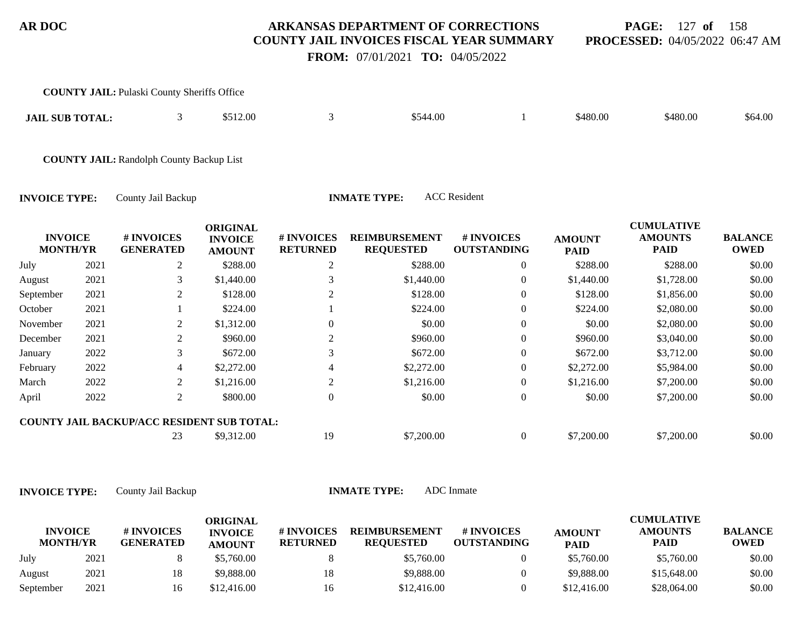#### **PAGE:** 127 **of** 158 **PROCESSED:** 04/05/2022 06:47 AM

 **FROM:** 07/01/2021 **TO:** 04/05/2022

|                                   |      | <b>COUNTY JAIL: Pulaski County Sheriffs Office</b> |                                                    |                                     |                                          |                                  |                              |                                                    |                               |
|-----------------------------------|------|----------------------------------------------------|----------------------------------------------------|-------------------------------------|------------------------------------------|----------------------------------|------------------------------|----------------------------------------------------|-------------------------------|
| <b>JAIL SUB TOTAL:</b>            |      | 3                                                  | \$512.00                                           | 3                                   | \$544.00                                 |                                  | \$480.00                     | \$480.00                                           | \$64.00                       |
|                                   |      | <b>COUNTY JAIL: Randolph County Backup List</b>    |                                                    |                                     |                                          |                                  |                              |                                                    |                               |
| <b>INVOICE TYPE:</b>              |      | County Jail Backup                                 |                                                    |                                     | <b>INMATE TYPE:</b>                      | <b>ACC</b> Resident              |                              |                                                    |                               |
| <b>INVOICE</b><br><b>MONTH/YR</b> |      | # INVOICES<br><b>GENERATED</b>                     | <b>ORIGINAL</b><br><b>INVOICE</b><br><b>AMOUNT</b> | <b>#INVOICES</b><br><b>RETURNED</b> | <b>REIMBURSEMENT</b><br><b>REQUESTED</b> | # INVOICES<br><b>OUTSTANDING</b> | <b>AMOUNT</b><br><b>PAID</b> | <b>CUMULATIVE</b><br><b>AMOUNTS</b><br><b>PAID</b> | <b>BALANCE</b><br><b>OWED</b> |
| July                              | 2021 | 2                                                  | \$288.00                                           | $\overline{c}$                      | \$288.00                                 | $\overline{0}$                   | \$288.00                     | \$288.00                                           | \$0.00                        |
| August                            | 2021 | 3                                                  | \$1,440.00                                         | 3                                   | \$1,440.00                               | $\overline{0}$                   | \$1,440.00                   | \$1,728.00                                         | \$0.00                        |
| September                         | 2021 | 2                                                  | \$128.00                                           | 2                                   | \$128.00                                 | $\overline{0}$                   | \$128.00                     | \$1,856.00                                         | \$0.00                        |
| October                           | 2021 |                                                    | \$224.00                                           |                                     | \$224.00                                 | $\overline{0}$                   | \$224.00                     | \$2,080.00                                         | \$0.00                        |
| November                          | 2021 | 2                                                  | \$1,312.00                                         | $\Omega$                            | \$0.00                                   | $\Omega$                         | \$0.00                       | \$2,080.00                                         | \$0.00                        |
| December                          | 2021 | 2                                                  | \$960.00                                           | $\overline{2}$                      | \$960.00                                 | $\theta$                         | \$960.00                     | \$3,040.00                                         | \$0.00                        |
| January                           | 2022 | 3                                                  | \$672.00                                           | 3                                   | \$672.00                                 | $\theta$                         | \$672.00                     | \$3,712.00                                         | \$0.00                        |
| February                          | 2022 | 4                                                  | \$2,272.00                                         | 4                                   | \$2,272.00                               | $\theta$                         | \$2,272.00                   | \$5,984.00                                         | \$0.00                        |
| March                             | 2022 | 2                                                  | \$1,216.00                                         | 2                                   | \$1,216.00                               | $\theta$                         | \$1,216.00                   | \$7,200.00                                         | \$0.00                        |

**COUNTY JAIL BACKUP/ACC RESIDENT SUB TOTAL:**

23 \$9,312.00 19 \$7,200.00 0 \$7,200.00 \$7,200.00 \$0.00

**INVOICE TYPE:** County Jail Backup **INMATE TYPE:** ADC Inmate

|                                   |      |                                | ORIGINAL                        |                               |                                          |                           |                              | <b>CUMULATIVE</b>             |                               |
|-----------------------------------|------|--------------------------------|---------------------------------|-------------------------------|------------------------------------------|---------------------------|------------------------------|-------------------------------|-------------------------------|
| <b>INVOICE</b><br><b>MONTH/YR</b> |      | # INVOICES<br><b>GENERATED</b> | <b>INVOICE</b><br><b>AMOUNT</b> | # INVOICES<br><b>RETURNED</b> | <b>REIMBURSEMENT</b><br><b>REQUESTED</b> | # INVOICES<br>OUTSTANDING | <b>AMOUNT</b><br><b>PAID</b> | <b>AMOUNTS</b><br><b>PAID</b> | <b>BALANCE</b><br><b>OWED</b> |
| July                              | 2021 |                                | \$5,760.00                      |                               | \$5,760.00                               |                           | \$5,760.00                   | \$5,760.00                    | \$0.00                        |
| August                            | 2021 | 18                             | \$9,888.00                      |                               | \$9,888.00                               |                           | \$9,888.00                   | \$15,648.00                   | \$0.00                        |
| September                         | 2021 | 16                             | \$12,416.00                     | 16                            | \$12,416.00                              |                           | \$12,416.00                  | \$28,064.00                   | \$0.00                        |

April 2022 2 \$800.00 0 \$0.00 0 \$0.00 \$7,200.00 \$0.00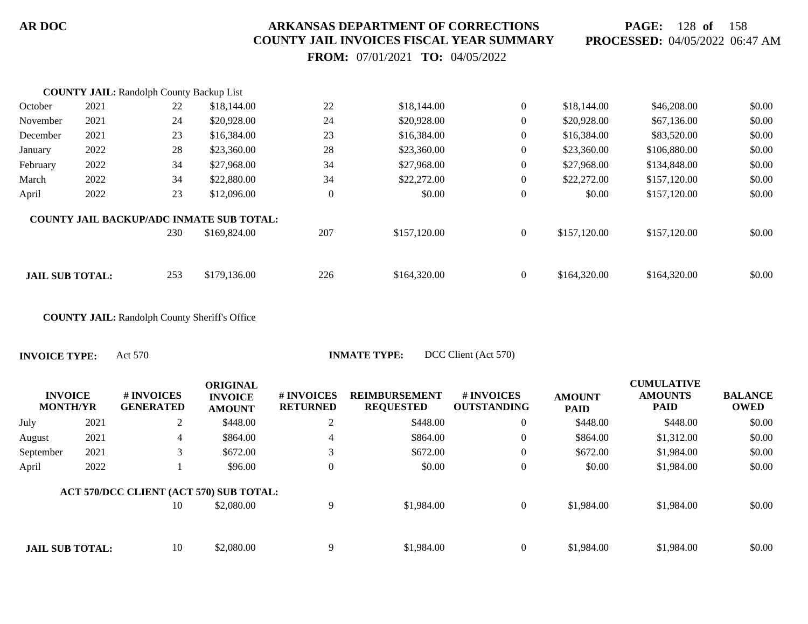**PAGE:** 128 **of** 158 **PROCESSED:** 04/05/2022 06:47 AM

 **FROM:** 07/01/2021 **TO:** 04/05/2022

|                        | <b>COUNTY JAIL: Randolph County Backup List</b> |     |                                                 |          |              |                |              |              |        |
|------------------------|-------------------------------------------------|-----|-------------------------------------------------|----------|--------------|----------------|--------------|--------------|--------|
| October                | 2021                                            | 22  | \$18,144.00                                     | 22       | \$18,144.00  | $\overline{0}$ | \$18,144.00  | \$46,208.00  | \$0.00 |
| November               | 2021                                            | 24  | \$20,928.00                                     | 24       | \$20,928.00  | $\overline{0}$ | \$20,928.00  | \$67,136.00  | \$0.00 |
| December               | 2021                                            | 23  | \$16,384.00                                     | 23       | \$16,384.00  | $\overline{0}$ | \$16,384.00  | \$83,520.00  | \$0.00 |
| January                | 2022                                            | 28  | \$23,360.00                                     | 28       | \$23,360.00  | $\overline{0}$ | \$23,360.00  | \$106,880.00 | \$0.00 |
| February               | 2022                                            | 34  | \$27,968.00                                     | 34       | \$27,968.00  | $\overline{0}$ | \$27,968.00  | \$134,848.00 | \$0.00 |
| March                  | 2022                                            | 34  | \$22,880.00                                     | 34       | \$22,272.00  | $\overline{0}$ | \$22,272.00  | \$157,120.00 | \$0.00 |
| April                  | 2022                                            | 23  | \$12,096.00                                     | $\theta$ | \$0.00       | $\bf{0}$       | \$0.00       | \$157,120.00 | \$0.00 |
|                        |                                                 |     | <b>COUNTY JAIL BACKUP/ADC INMATE SUB TOTAL:</b> |          |              |                |              |              |        |
|                        |                                                 | 230 | \$169,824.00                                    | 207      | \$157,120.00 | $\theta$       | \$157,120.00 | \$157,120.00 | \$0.00 |
|                        |                                                 |     |                                                 |          |              |                |              |              |        |
| <b>JAIL SUB TOTAL:</b> |                                                 | 253 | \$179,136.00                                    | 226      | \$164,320.00 | $\Omega$       | \$164,320.00 | \$164,320.00 | \$0.00 |

**COUNTY JAIL:** Randolph County Sheriff's Office

**INVOICE TYPE:** Act 570 **INMATE TYPE:** DCC Client (Act 570)

| <b>INVOICE</b><br><b>MONTH/YR</b> |      | <b>#INVOICES</b><br><b>GENERATED</b>          | <b>ORIGINAL</b><br><b>INVOICE</b><br><b>AMOUNT</b> | # INVOICES<br><b>RETURNED</b> | <b>REIMBURSEMENT</b><br><b>REQUESTED</b> | # INVOICES<br><b>OUTSTANDING</b> | <b>AMOUNT</b><br><b>PAID</b> | <b>CUMULATIVE</b><br><b>AMOUNTS</b><br><b>PAID</b> | <b>BALANCE</b><br><b>OWED</b> |
|-----------------------------------|------|-----------------------------------------------|----------------------------------------------------|-------------------------------|------------------------------------------|----------------------------------|------------------------------|----------------------------------------------------|-------------------------------|
| July                              | 2021 | 2                                             | \$448.00                                           | 2                             | \$448.00                                 | $\overline{0}$                   | \$448.00                     | \$448.00                                           | \$0.00                        |
| August                            | 2021 | 4                                             | \$864.00                                           | $\overline{4}$                | \$864.00                                 | $\overline{0}$                   | \$864.00                     | \$1,312.00                                         | \$0.00                        |
| September                         | 2021 | 3                                             | \$672.00                                           | 3                             | \$672.00                                 | $\overline{0}$                   | \$672.00                     | \$1,984.00                                         | \$0.00                        |
| April                             | 2022 |                                               | \$96.00                                            | $\boldsymbol{0}$              | \$0.00                                   | $\boldsymbol{0}$                 | \$0.00                       | \$1,984.00                                         | \$0.00                        |
|                                   |      | ACT 570/DCC CLIENT (ACT 570) SUB TOTAL:<br>10 | \$2,080.00                                         | 9                             | \$1,984.00                               | $\overline{0}$                   | \$1,984.00                   | \$1,984.00                                         | \$0.00                        |
|                                   |      |                                               |                                                    |                               |                                          |                                  |                              |                                                    |                               |
| <b>JAIL SUB TOTAL:</b>            |      | 10                                            | \$2,080.00                                         | 9                             | \$1,984.00                               | $\overline{0}$                   | \$1,984.00                   | \$1,984.00                                         | \$0.00                        |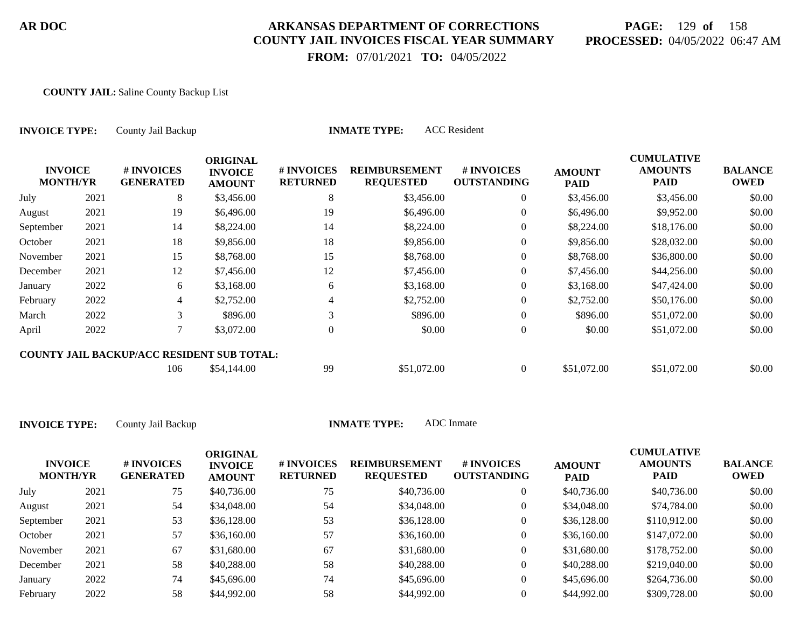# **PAGE:** 129 **of** 158 **PROCESSED:** 04/05/2022 06:47 AM

**CUMULATIVE**

 **FROM:** 07/01/2021 **TO:** 04/05/2022

#### **COUNTY JAIL:** Saline County Backup List

| <b>INVOICE TYPE:</b>              |      | County Jail Backup                                |                                                    |                               | <b>INMATE TYPE:</b>                      | <b>ACC</b> Resident              |                              |                                                    |                               |
|-----------------------------------|------|---------------------------------------------------|----------------------------------------------------|-------------------------------|------------------------------------------|----------------------------------|------------------------------|----------------------------------------------------|-------------------------------|
| <b>INVOICE</b><br><b>MONTH/YR</b> |      | # INVOICES<br><b>GENERATED</b>                    | <b>ORIGINAL</b><br><b>INVOICE</b><br><b>AMOUNT</b> | # INVOICES<br><b>RETURNED</b> | <b>REIMBURSEMENT</b><br><b>REQUESTED</b> | # INVOICES<br><b>OUTSTANDING</b> | <b>AMOUNT</b><br><b>PAID</b> | <b>CUMULATIVE</b><br><b>AMOUNTS</b><br><b>PAID</b> | <b>BALANCE</b><br><b>OWED</b> |
| July                              | 2021 | 8                                                 | \$3,456.00                                         | 8                             | \$3,456.00                               | $\overline{0}$                   | \$3,456.00                   | \$3,456.00                                         | \$0.00                        |
| August                            | 2021 | 19                                                | \$6,496.00                                         | 19                            | \$6,496.00                               | $\theta$                         | \$6,496.00                   | \$9,952.00                                         | \$0.00                        |
| September                         | 2021 | 14                                                | \$8,224.00                                         | 14                            | \$8,224.00                               | $\theta$                         | \$8,224.00                   | \$18,176.00                                        | \$0.00                        |
| October                           | 2021 | 18                                                | \$9,856.00                                         | 18                            | \$9,856.00                               | $\overline{0}$                   | \$9,856.00                   | \$28,032.00                                        | \$0.00                        |
| November                          | 2021 | 15                                                | \$8,768.00                                         | 15                            | \$8,768.00                               | $\boldsymbol{0}$                 | \$8,768.00                   | \$36,800.00                                        | \$0.00                        |
| December                          | 2021 | 12                                                | \$7,456.00                                         | 12                            | \$7,456.00                               | $\theta$                         | \$7,456.00                   | \$44,256.00                                        | \$0.00                        |
| January                           | 2022 | 6                                                 | \$3,168.00                                         | 6                             | \$3,168.00                               | $\mathbf{0}$                     | \$3,168.00                   | \$47,424.00                                        | \$0.00                        |
| February                          | 2022 | $\overline{4}$                                    | \$2,752.00                                         | 4                             | \$2,752.00                               | $\overline{0}$                   | \$2,752.00                   | \$50,176.00                                        | \$0.00                        |
| March                             | 2022 | 3                                                 | \$896.00                                           | 3                             | \$896.00                                 | $\boldsymbol{0}$                 | \$896.00                     | \$51,072.00                                        | \$0.00                        |
| April                             | 2022 | 7                                                 | \$3,072.00                                         | $\theta$                      | \$0.00                                   | $\boldsymbol{0}$                 | \$0.00                       | \$51,072.00                                        | \$0.00                        |
|                                   |      | <b>COUNTY JAIL BACKUP/ACC RESIDENT SUB TOTAL:</b> |                                                    |                               |                                          |                                  |                              |                                                    |                               |
|                                   |      | 106                                               | \$54,144.00                                        | 99                            | \$51,072.00                              | $\overline{0}$                   | \$51,072.00                  | \$51,072.00                                        | \$0.00                        |

| <b>INVOICE</b><br><b>MONTH/YR</b> |      | # INVOICES<br><b>GENERATED</b> | ORIGINAL<br><b>INVOICE</b><br><b>AMOUNT</b> | # INVOICES<br><b>RETURNED</b> | <b>REIMBURSEMENT</b><br><b>REQUESTED</b> | <b># INVOICES</b><br><b>OUTSTANDING</b> | <b>AMOUNT</b><br><b>PAID</b> | CUMULATIVE<br><b>AMOUNTS</b><br>PAID | <b>BALANCE</b><br><b>OWED</b> |
|-----------------------------------|------|--------------------------------|---------------------------------------------|-------------------------------|------------------------------------------|-----------------------------------------|------------------------------|--------------------------------------|-------------------------------|
| July                              | 2021 | 75                             | \$40,736.00                                 | 75                            | \$40,736.00                              | $\theta$                                | \$40,736.00                  | \$40,736.00                          | \$0.00                        |
| August                            | 2021 | 54                             | \$34,048.00                                 | 54                            | \$34,048.00                              | $\overline{0}$                          | \$34,048.00                  | \$74,784.00                          | \$0.00                        |
| September                         | 2021 | 53                             | \$36,128.00                                 | 53                            | \$36,128.00                              | $\theta$                                | \$36,128.00                  | \$110,912.00                         | \$0.00                        |
| October                           | 2021 | 57                             | \$36,160.00                                 | 57                            | \$36,160.00                              | $\theta$                                | \$36,160.00                  | \$147,072.00                         | \$0.00                        |
| November                          | 2021 | 67                             | \$31,680.00                                 | 67                            | \$31,680.00                              | $\theta$                                | \$31,680.00                  | \$178,752.00                         | \$0.00                        |
| December                          | 2021 | 58                             | \$40,288.00                                 | 58                            | \$40,288.00                              | $\overline{0}$                          | \$40,288.00                  | \$219,040.00                         | \$0.00                        |
| January                           | 2022 | 74                             | \$45,696.00                                 | 74                            | \$45,696.00                              | $\overline{0}$                          | \$45,696.00                  | \$264,736.00                         | \$0.00                        |
| February                          | 2022 | 58                             | \$44,992.00                                 | 58                            | \$44,992.00                              |                                         | \$44,992.00                  | \$309,728.00                         | \$0.00                        |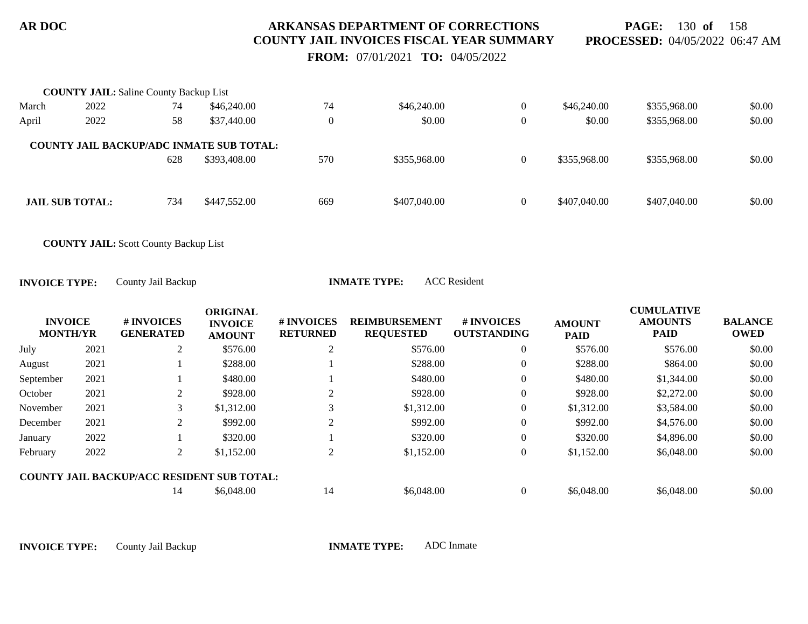**PAGE:** 130 **of** 158 **PROCESSED:** 04/05/2022 06:47 AM

 **FROM:** 07/01/2021 **TO:** 04/05/2022

|       | <b>COUNTY JAIL:</b> Saline County Backup List   |     |              |                |              |                |              |              |        |
|-------|-------------------------------------------------|-----|--------------|----------------|--------------|----------------|--------------|--------------|--------|
| March | 2022                                            | 74  | \$46,240.00  | 74             | \$46,240.00  | $\overline{0}$ | \$46,240.00  | \$355,968.00 | \$0.00 |
| April | 2022                                            | 58  | \$37,440.00  | $\overline{0}$ | \$0.00       | $\overline{0}$ | \$0.00       | \$355,968.00 | \$0.00 |
|       | <b>COUNTY JAIL BACKUP/ADC INMATE SUB TOTAL:</b> |     |              |                |              |                |              |              |        |
|       |                                                 | 628 | \$393,408.00 | 570            | \$355,968.00 | $\overline{0}$ | \$355,968.00 | \$355,968.00 | \$0.00 |
|       |                                                 |     |              |                |              |                |              |              |        |
|       | <b>JAIL SUB TOTAL:</b>                          | 734 | \$447,552.00 | 669            | \$407,040.00 | $\theta$       | \$407,040.00 | \$407,040.00 | \$0.00 |
|       |                                                 |     |              |                |              |                |              |              |        |

**COUNTY JAIL:** Scott County Backup List

**INVOICE TYPE:** County Jail Backup **INMATE TYPE:** ACC Resident

| <b>INVOICE</b><br><b>MONTH/YR</b> |      | # INVOICES<br><b>GENERATED</b>                    | <b>ORIGINAL</b><br><b>INVOICE</b><br><b>AMOUNT</b> | # INVOICES<br><b>RETURNED</b> | <b>REIMBURSEMENT</b><br><b>REQUESTED</b> | # INVOICES<br><b>OUTSTANDING</b> | <b>AMOUNT</b><br><b>PAID</b> | <b>CUMULATIVE</b><br><b>AMOUNTS</b><br><b>PAID</b> | <b>BALANCE</b><br><b>OWED</b> |
|-----------------------------------|------|---------------------------------------------------|----------------------------------------------------|-------------------------------|------------------------------------------|----------------------------------|------------------------------|----------------------------------------------------|-------------------------------|
| July                              | 2021 | 2                                                 | \$576.00                                           |                               | \$576.00                                 | $\theta$                         | \$576.00                     | \$576.00                                           | \$0.00                        |
| August                            | 2021 |                                                   | \$288.00                                           |                               | \$288.00                                 | $\theta$                         | \$288.00                     | \$864.00                                           | \$0.00                        |
| September                         | 2021 |                                                   | \$480.00                                           |                               | \$480.00                                 | $\overline{0}$                   | \$480.00                     | \$1,344.00                                         | \$0.00                        |
| October                           | 2021 | 2                                                 | \$928.00                                           |                               | \$928.00                                 | $\theta$                         | \$928.00                     | \$2,272.00                                         | \$0.00                        |
| November                          | 2021 | 3                                                 | \$1,312.00                                         |                               | \$1,312.00                               | $\theta$                         | \$1,312.00                   | \$3,584.00                                         | \$0.00                        |
| December                          | 2021 | 2                                                 | \$992.00                                           |                               | \$992.00                                 | $\Omega$                         | \$992.00                     | \$4,576.00                                         | \$0.00                        |
| January                           | 2022 |                                                   | \$320.00                                           |                               | \$320.00                                 | $\theta$                         | \$320.00                     | \$4,896.00                                         | \$0.00                        |
| February                          | 2022 | $\overline{2}$                                    | \$1,152.00                                         | 2                             | \$1,152.00                               | $\theta$                         | \$1,152.00                   | \$6,048.00                                         | \$0.00                        |
|                                   |      | <b>COUNTY JAIL BACKUP/ACC RESIDENT SUB TOTAL:</b> |                                                    |                               |                                          |                                  |                              |                                                    |                               |
|                                   |      | 14                                                | \$6,048.00                                         | 14                            | \$6,048.00                               |                                  | \$6,048.00                   | \$6,048.00                                         | \$0.00                        |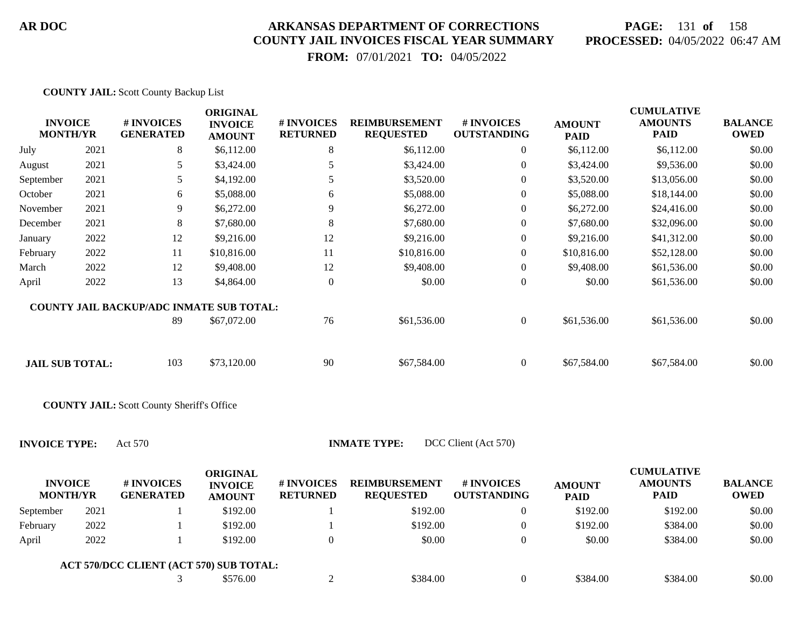**COUNTY JAIL:** Scott County Backup List

**ACT 570/DCC CLIENT (ACT 570) SUB TOTAL:**

#### **AR DOC ARKANSAS DEPARTMENT OF CORRECTIONS COUNTY JAIL INVOICES FISCAL YEAR SUMMARY**

# **PAGE:** 131 **of** 158 **PROCESSED:** 04/05/2022 06:47 AM

 **FROM:** 07/01/2021 **TO:** 04/05/2022

| <b>INVOICE</b><br><b>MONTH/YR</b> |      | # INVOICES<br><b>GENERATED</b>                    | <b>ORIGINAL</b><br><b>INVOICE</b><br><b>AMOUNT</b> | # INVOICES<br><b>RETURNED</b> | <b>REIMBURSEMENT</b><br><b>REQUESTED</b> | # INVOICES<br><b>OUTSTANDING</b> | <b>AMOUNT</b><br><b>PAID</b> | <b>CUMULATIVE</b><br><b>AMOUNTS</b><br><b>PAID</b> | <b>BALANCE</b><br><b>OWED</b> |
|-----------------------------------|------|---------------------------------------------------|----------------------------------------------------|-------------------------------|------------------------------------------|----------------------------------|------------------------------|----------------------------------------------------|-------------------------------|
| July                              | 2021 | 8                                                 | \$6,112.00                                         | 8                             | \$6,112.00                               | $\overline{0}$                   | \$6,112.00                   | \$6,112.00                                         | \$0.00                        |
| August                            | 2021 | 5                                                 | \$3,424.00                                         | 5                             | \$3,424.00                               | $\boldsymbol{0}$                 | \$3,424.00                   | \$9,536.00                                         | \$0.00                        |
| September                         | 2021 | 5                                                 | \$4,192.00                                         | 5                             | \$3,520.00                               | $\overline{0}$                   | \$3,520.00                   | \$13,056.00                                        | \$0.00                        |
| October                           | 2021 | 6                                                 | \$5,088.00                                         | 6                             | \$5,088.00                               | $\boldsymbol{0}$                 | \$5,088.00                   | \$18,144.00                                        | \$0.00                        |
| November                          | 2021 | 9                                                 | \$6,272.00                                         | 9                             | \$6,272.00                               | $\boldsymbol{0}$                 | \$6,272.00                   | \$24,416.00                                        | \$0.00                        |
| December                          | 2021 | 8                                                 | \$7,680.00                                         | 8                             | \$7,680.00                               | $\overline{0}$                   | \$7,680.00                   | \$32,096.00                                        | \$0.00                        |
| January                           | 2022 | 12                                                | \$9,216.00                                         | 12                            | \$9,216.00                               | 0                                | \$9,216.00                   | \$41,312.00                                        | \$0.00                        |
| February                          | 2022 | 11                                                | \$10,816.00                                        | 11                            | \$10,816.00                              | $\boldsymbol{0}$                 | \$10,816.00                  | \$52,128.00                                        | \$0.00                        |
| March                             | 2022 | 12                                                | \$9,408.00                                         | 12                            | \$9,408.00                               | $\overline{0}$                   | \$9,408.00                   | \$61,536.00                                        | \$0.00                        |
| April                             | 2022 | 13                                                | \$4,864.00                                         | $\boldsymbol{0}$              | \$0.00                                   | $\boldsymbol{0}$                 | \$0.00                       | \$61,536.00                                        | \$0.00                        |
|                                   |      | <b>COUNTY JAIL BACKUP/ADC INMATE SUB TOTAL:</b>   |                                                    |                               |                                          |                                  |                              |                                                    |                               |
|                                   |      | 89                                                | \$67,072.00                                        | 76                            | \$61,536.00                              | $\overline{0}$                   | \$61,536.00                  | \$61,536.00                                        | \$0.00                        |
| <b>JAIL SUB TOTAL:</b>            |      | 103                                               | \$73,120.00                                        | 90                            | \$67,584.00                              | $\overline{0}$                   | \$67,584.00                  | \$67,584.00                                        | \$0.00                        |
|                                   |      | <b>COUNTY JAIL:</b> Scott County Sheriff's Office |                                                    |                               |                                          |                                  |                              |                                                    |                               |
| <b>INVOICE TYPE:</b>              |      | Act 570                                           |                                                    |                               | <b>INMATE TYPE:</b>                      | DCC Client (Act 570)             |                              |                                                    |                               |
| <b>INVOICE</b><br><b>MONTH/YR</b> |      | # INVOICES<br><b>GENERATED</b>                    | <b>ORIGINAL</b><br><b>INVOICE</b><br><b>AMOUNT</b> | # INVOICES<br><b>RETURNED</b> | <b>REIMBURSEMENT</b><br><b>REQUESTED</b> | # INVOICES<br><b>OUTSTANDING</b> | <b>AMOUNT</b><br><b>PAID</b> | <b>CUMULATIVE</b><br><b>AMOUNTS</b><br><b>PAID</b> | <b>BALANCE</b><br><b>OWED</b> |
| September                         | 2021 |                                                   | \$192.00                                           |                               | \$192.00                                 | $\overline{0}$                   | \$192.00                     | \$192.00                                           | \$0.00                        |
|                                   |      |                                                   |                                                    |                               |                                          |                                  |                              |                                                    |                               |

February 2022 1 \$192.00 1 \$192.00 0 \$192.00 \$384.00 \$0.00 April 2022 1 \$192.00 0 \$0.00 0 \$0.00 \$384.00 \$0.00

3 \$576.00 2 \$384.00 0 \$384.00 \$3884.00 \$384.00 \$0.00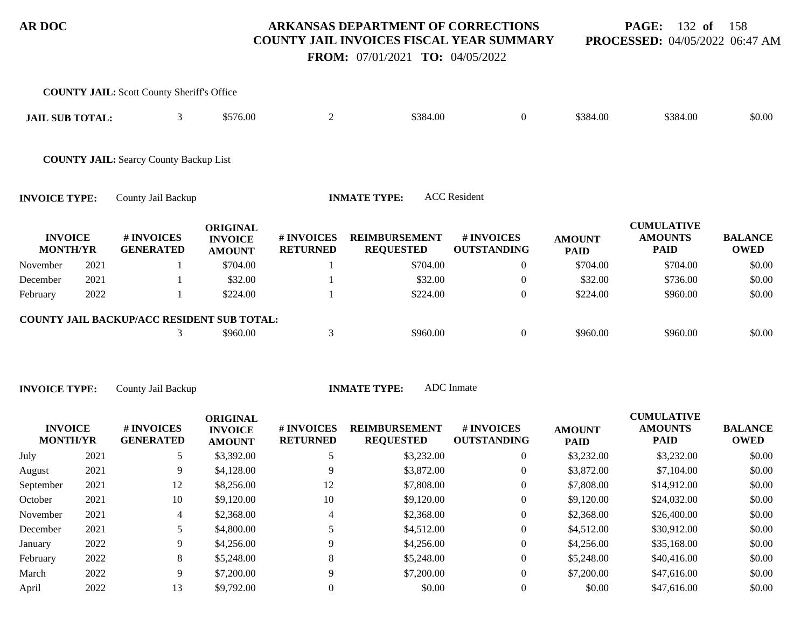**PAGE:** 132 **of** 158 **PROCESSED:** 04/05/2022 06:47 AM

 **FROM:** 07/01/2021 **TO:** 04/05/2022

|                                   |      | <b>COUNTY JAIL:</b> Scott County Sheriff's Office |                                                    |                               |                                          |                                  |                              |                                                    |                               |
|-----------------------------------|------|---------------------------------------------------|----------------------------------------------------|-------------------------------|------------------------------------------|----------------------------------|------------------------------|----------------------------------------------------|-------------------------------|
| <b>JAIL SUB TOTAL:</b>            |      | 3                                                 | \$576.00                                           | $\overline{2}$                | \$384.00                                 | $\overline{0}$                   | \$384.00                     | \$384.00                                           | \$0.00                        |
|                                   |      | <b>COUNTY JAIL: Searcy County Backup List</b>     |                                                    |                               |                                          |                                  |                              |                                                    |                               |
| <b>INVOICE TYPE:</b>              |      | County Jail Backup                                |                                                    |                               | <b>INMATE TYPE:</b>                      | <b>ACC</b> Resident              |                              |                                                    |                               |
| <b>INVOICE</b><br><b>MONTH/YR</b> |      | # INVOICES<br><b>GENERATED</b>                    | <b>ORIGINAL</b><br><b>INVOICE</b><br><b>AMOUNT</b> | # INVOICES<br><b>RETURNED</b> | <b>REIMBURSEMENT</b><br><b>REQUESTED</b> | # INVOICES<br><b>OUTSTANDING</b> | <b>AMOUNT</b><br><b>PAID</b> | <b>CUMULATIVE</b><br><b>AMOUNTS</b><br><b>PAID</b> | <b>BALANCE</b><br><b>OWED</b> |
| November                          | 2021 |                                                   | \$704.00                                           |                               | \$704.00                                 | $\overline{0}$                   | \$704.00                     | \$704.00                                           | \$0.00                        |
| December                          | 2021 |                                                   | \$32.00                                            |                               | \$32.00                                  | $\boldsymbol{0}$                 | \$32.00                      | \$736.00                                           | \$0.00                        |
| February                          | 2022 |                                                   | \$224.00                                           |                               | \$224.00                                 | $\overline{0}$                   | \$224.00                     | \$960.00                                           | \$0.00                        |
|                                   |      | COUNTY JAIL BACKUP/ACC RESIDENT SUB TOTAL:        |                                                    |                               |                                          |                                  |                              |                                                    |                               |
|                                   |      | 3                                                 | \$960.00                                           | 3                             | \$960.00                                 | $\overline{0}$                   | \$960.00                     | \$960.00                                           | \$0.00                        |
|                                   |      |                                                   |                                                    |                               |                                          |                                  |                              |                                                    |                               |
| <b>INVOICE TYPE:</b>              |      | County Jail Backup                                |                                                    |                               | <b>INMATE TYPE:</b>                      | ADC Inmate                       |                              |                                                    |                               |

| <b>INVOICE</b><br><b>MONTH/YR</b> |      | # INVOICES<br><b>GENERATED</b> | <b>ORIGINAL</b><br><b>INVOICE</b><br><b>AMOUNT</b> | # INVOICES<br><b>RETURNED</b> | <b>REIMBURSEMENT</b><br><b>REQUESTED</b> | <b>#INVOICES</b><br><b>OUTSTANDING</b> | <b>AMOUNT</b><br><b>PAID</b> | <b>CUMULATIVE</b><br><b>AMOUNTS</b><br><b>PAID</b> | <b>BALANCE</b><br><b>OWED</b> |
|-----------------------------------|------|--------------------------------|----------------------------------------------------|-------------------------------|------------------------------------------|----------------------------------------|------------------------------|----------------------------------------------------|-------------------------------|
| July                              | 2021 |                                | \$3,392.00                                         |                               | \$3,232.00                               | $\overline{0}$                         | \$3,232.00                   | \$3,232.00                                         | \$0.00                        |
| August                            | 2021 | 9                              | \$4,128.00                                         |                               | \$3,872.00                               | $\Omega$                               | \$3,872.00                   | \$7,104.00                                         | \$0.00                        |
| September                         | 2021 | 12                             | \$8,256.00                                         | 12                            | \$7,808.00                               | $\overline{0}$                         | \$7,808.00                   | \$14,912.00                                        | \$0.00                        |
| October                           | 2021 | 10                             | \$9,120.00                                         | 10                            | \$9,120.00                               | $\Omega$                               | \$9,120.00                   | \$24,032.00                                        | \$0.00                        |
| November                          | 2021 | 4                              | \$2,368.00                                         | 4                             | \$2,368.00                               | $\overline{0}$                         | \$2,368.00                   | \$26,400.00                                        | \$0.00                        |
| December                          | 2021 |                                | \$4,800.00                                         |                               | \$4,512.00                               | $\overline{0}$                         | \$4,512.00                   | \$30,912.00                                        | \$0.00                        |
| January                           | 2022 | 9                              | \$4,256.00                                         |                               | \$4,256.00                               | $\Omega$                               | \$4,256.00                   | \$35,168.00                                        | \$0.00                        |
| February                          | 2022 | 8                              | \$5,248.00                                         | 8                             | \$5,248,00                               | $\overline{0}$                         | \$5,248.00                   | \$40,416.00                                        | \$0.00                        |
| March                             | 2022 | 9                              | \$7,200.00                                         |                               | \$7,200.00                               | $\Omega$                               | \$7,200.00                   | \$47,616.00                                        | \$0.00                        |
| April                             | 2022 | 13                             | \$9,792.00                                         |                               | \$0.00                                   | $\theta$                               | \$0.00                       | \$47,616.00                                        | \$0.00                        |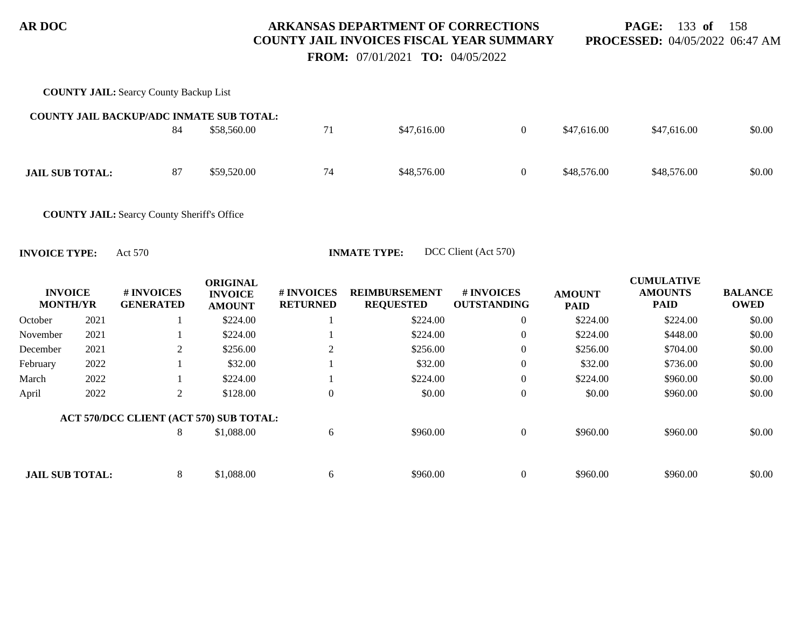**PAGE:** 133 **of** 158 **PROCESSED:** 04/05/2022 06:47 AM

 **FROM:** 07/01/2021 **TO:** 04/05/2022

|                                   |      | <b>COUNTY JAIL: Searcy County Backup List</b>      |                                                    |                               |                                          |                                  |                              |                                                    |                               |
|-----------------------------------|------|----------------------------------------------------|----------------------------------------------------|-------------------------------|------------------------------------------|----------------------------------|------------------------------|----------------------------------------------------|-------------------------------|
|                                   |      | <b>COUNTY JAIL BACKUP/ADC INMATE SUB TOTAL:</b>    |                                                    |                               |                                          |                                  |                              |                                                    |                               |
|                                   |      | 84                                                 | \$58,560.00                                        | 71                            | \$47,616.00                              | $\overline{0}$                   | \$47,616.00                  | \$47,616.00                                        | \$0.00                        |
| <b>JAIL SUB TOTAL:</b>            |      | 87                                                 | \$59,520.00                                        | 74                            | \$48,576.00                              | $\mathbf{0}$                     | \$48,576.00                  | \$48,576.00                                        | \$0.00                        |
|                                   |      | <b>COUNTY JAIL:</b> Searcy County Sheriff's Office |                                                    |                               |                                          |                                  |                              |                                                    |                               |
| <b>INVOICE TYPE:</b>              |      | Act 570                                            |                                                    |                               | <b>INMATE TYPE:</b>                      | DCC Client (Act 570)             |                              |                                                    |                               |
| <b>INVOICE</b><br><b>MONTH/YR</b> |      | # INVOICES<br><b>GENERATED</b>                     | <b>ORIGINAL</b><br><b>INVOICE</b><br><b>AMOUNT</b> | # INVOICES<br><b>RETURNED</b> | <b>REIMBURSEMENT</b><br><b>REQUESTED</b> | # INVOICES<br><b>OUTSTANDING</b> | <b>AMOUNT</b><br><b>PAID</b> | <b>CUMULATIVE</b><br><b>AMOUNTS</b><br><b>PAID</b> | <b>BALANCE</b><br><b>OWED</b> |
| October                           | 2021 |                                                    | \$224.00                                           |                               | \$224.00                                 | $\overline{0}$                   | \$224.00                     | \$224.00                                           | \$0.00                        |
| November                          | 2021 |                                                    | \$224.00                                           |                               | \$224.00                                 | $\overline{0}$                   | \$224.00                     | \$448.00                                           | \$0.00                        |
| December                          | 2021 | 2                                                  | \$256.00                                           | $\overline{2}$                | \$256.00                                 | $\overline{0}$                   | \$256.00                     | \$704.00                                           | \$0.00                        |
| February                          | 2022 |                                                    | \$32.00                                            |                               | \$32.00                                  | $\theta$                         | \$32.00                      | \$736.00                                           | \$0.00                        |
| March                             | 2022 |                                                    | \$224.00                                           |                               | \$224.00                                 | $\overline{0}$                   | \$224.00                     | \$960.00                                           | \$0.00                        |
| April                             | 2022 | $\overline{2}$                                     | \$128.00                                           | $\boldsymbol{0}$              | \$0.00                                   | $\boldsymbol{0}$                 | \$0.00                       | \$960.00                                           | \$0.00                        |
|                                   |      | ACT 570/DCC CLIENT (ACT 570) SUB TOTAL:            |                                                    |                               |                                          |                                  |                              |                                                    |                               |
|                                   |      | 8                                                  | \$1,088.00                                         | 6                             | \$960.00                                 | $\boldsymbol{0}$                 | \$960.00                     | \$960.00                                           | \$0.00                        |
| <b>JAIL SUB TOTAL:</b>            |      | 8                                                  | \$1,088.00                                         | 6                             | \$960.00                                 | $\mathbf{0}$                     | \$960.00                     | \$960.00                                           | \$0.00                        |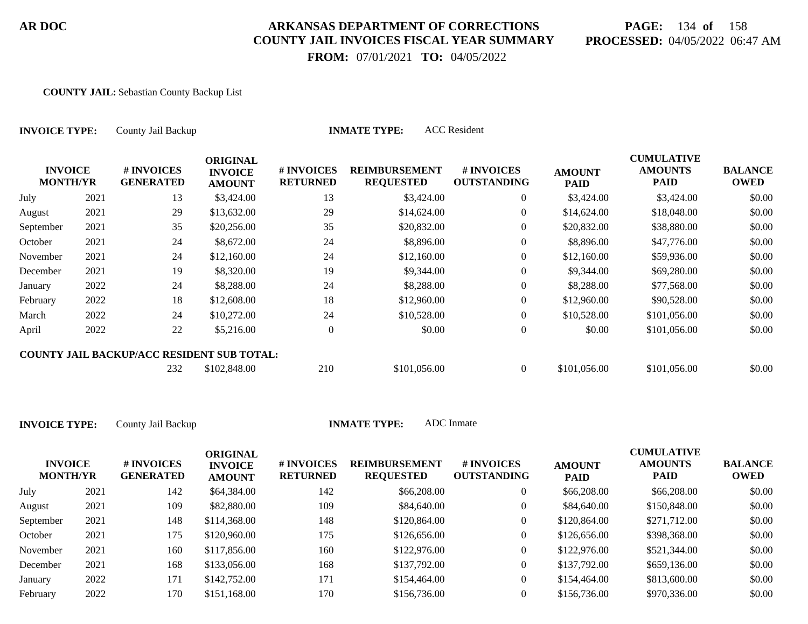# **PAGE:** 134 **of** 158 **PROCESSED:** 04/05/2022 06:47 AM

CUMU<del>LATIVE</del>

 **FROM:** 07/01/2021 **TO:** 04/05/2022

#### **COUNTY JAIL:** Sebastian County Backup List

| <b>INVOICE TYPE:</b>              |      | <b>ACC</b> Resident<br><b>INMATE TYPE:</b><br>County Jail Backup |                                                    |                               |                                          |                                  |                              |                                                    |                               |  |  |  |
|-----------------------------------|------|------------------------------------------------------------------|----------------------------------------------------|-------------------------------|------------------------------------------|----------------------------------|------------------------------|----------------------------------------------------|-------------------------------|--|--|--|
| <b>INVOICE</b><br><b>MONTH/YR</b> |      | # INVOICES<br><b>GENERATED</b>                                   | <b>ORIGINAL</b><br><b>INVOICE</b><br><b>AMOUNT</b> | # INVOICES<br><b>RETURNED</b> | <b>REIMBURSEMENT</b><br><b>REQUESTED</b> | # INVOICES<br><b>OUTSTANDING</b> | <b>AMOUNT</b><br><b>PAID</b> | <b>CUMULATIVE</b><br><b>AMOUNTS</b><br><b>PAID</b> | <b>BALANCE</b><br><b>OWED</b> |  |  |  |
| July                              | 2021 | 13                                                               | \$3,424.00                                         | 13                            | \$3,424.00                               | $\overline{0}$                   | \$3,424.00                   | \$3,424.00                                         | \$0.00                        |  |  |  |
| August                            | 2021 | 29                                                               | \$13,632.00                                        | 29                            | \$14,624.00                              | $\overline{0}$                   | \$14,624.00                  | \$18,048.00                                        | \$0.00                        |  |  |  |
| September                         | 2021 | 35                                                               | \$20,256.00                                        | 35                            | \$20,832.00                              | $\overline{0}$                   | \$20,832.00                  | \$38,880.00                                        | \$0.00                        |  |  |  |
| October                           | 2021 | 24                                                               | \$8,672.00                                         | 24                            | \$8,896.00                               | $\overline{0}$                   | \$8,896.00                   | \$47,776.00                                        | \$0.00                        |  |  |  |
| November                          | 2021 | 24                                                               | \$12,160.00                                        | 24                            | \$12,160.00                              | $\overline{0}$                   | \$12,160.00                  | \$59,936.00                                        | \$0.00                        |  |  |  |
| December                          | 2021 | 19                                                               | \$8,320.00                                         | 19                            | \$9,344.00                               | $\overline{0}$                   | \$9,344.00                   | \$69,280.00                                        | \$0.00                        |  |  |  |
| January                           | 2022 | 24                                                               | \$8,288.00                                         | 24                            | \$8,288.00                               | $\overline{0}$                   | \$8,288.00                   | \$77,568.00                                        | \$0.00                        |  |  |  |
| February                          | 2022 | 18                                                               | \$12,608.00                                        | 18                            | \$12,960.00                              | $\Omega$                         | \$12,960.00                  | \$90,528.00                                        | \$0.00                        |  |  |  |
| March                             | 2022 | 24                                                               | \$10,272.00                                        | 24                            | \$10,528.00                              | $\overline{0}$                   | \$10,528.00                  | \$101,056.00                                       | \$0.00                        |  |  |  |
| April                             | 2022 | 22                                                               | \$5,216.00                                         | $\theta$                      | \$0.00                                   | $\overline{0}$                   | \$0.00                       | \$101,056.00                                       | \$0.00                        |  |  |  |
|                                   |      | <b>COUNTY JAIL BACKUP/ACC RESIDENT SUB TOTAL:</b>                |                                                    |                               |                                          |                                  |                              |                                                    |                               |  |  |  |
|                                   |      | 232                                                              | \$102,848.00                                       | 210                           | \$101,056.00                             | $\overline{0}$                   | \$101,056.00                 | \$101,056.00                                       | \$0.00                        |  |  |  |

| <b>INVOICE</b><br><b>MONTH/YR</b> |      | # INVOICES<br><b>GENERATED</b> | ORIGINAL<br><b>INVOICE</b><br><b>AMOUNT</b> | <b># INVOICES</b><br><b>RETURNED</b> | <b>REIMBURSEMENT</b><br><b>REQUESTED</b> | # INVOICES<br><b>OUTSTANDING</b> | <b>AMOUNT</b><br><b>PAID</b> | <b>CUMULATIVE</b><br><b>AMOUNTS</b><br><b>PAID</b> | <b>BALANCE</b><br><b>OWED</b> |
|-----------------------------------|------|--------------------------------|---------------------------------------------|--------------------------------------|------------------------------------------|----------------------------------|------------------------------|----------------------------------------------------|-------------------------------|
| July                              | 2021 | 142                            | \$64,384.00                                 | 142                                  | \$66,208.00                              |                                  | \$66,208.00                  | \$66,208.00                                        | \$0.00                        |
| August                            | 2021 | 109                            | \$82,880.00                                 | 109                                  | \$84,640.00                              |                                  | \$84,640.00                  | \$150,848.00                                       | \$0.00                        |
| September                         | 2021 | 148                            | \$114,368,00                                | 148                                  | \$120,864.00                             |                                  | \$120,864.00                 | \$271,712.00                                       | \$0.00                        |
| October                           | 2021 | 175                            | \$120,960.00                                | 175                                  | \$126,656.00                             |                                  | \$126,656.00                 | \$398,368.00                                       | \$0.00                        |
| November                          | 2021 | 160                            | \$117,856.00                                | 160                                  | \$122,976.00                             |                                  | \$122,976.00                 | \$521,344.00                                       | \$0.00                        |
| December                          | 2021 | 168                            | \$133,056.00                                | 168                                  | \$137,792.00                             |                                  | \$137,792.00                 | \$659,136.00                                       | \$0.00                        |
| January                           | 2022 | 171                            | \$142,752.00                                | 171                                  | \$154,464.00                             |                                  | \$154,464.00                 | \$813,600.00                                       | \$0.00                        |
| February                          | 2022 | 170                            | \$151,168.00                                | 170                                  | \$156,736.00                             |                                  | \$156,736.00                 | \$970,336.00                                       | \$0.00                        |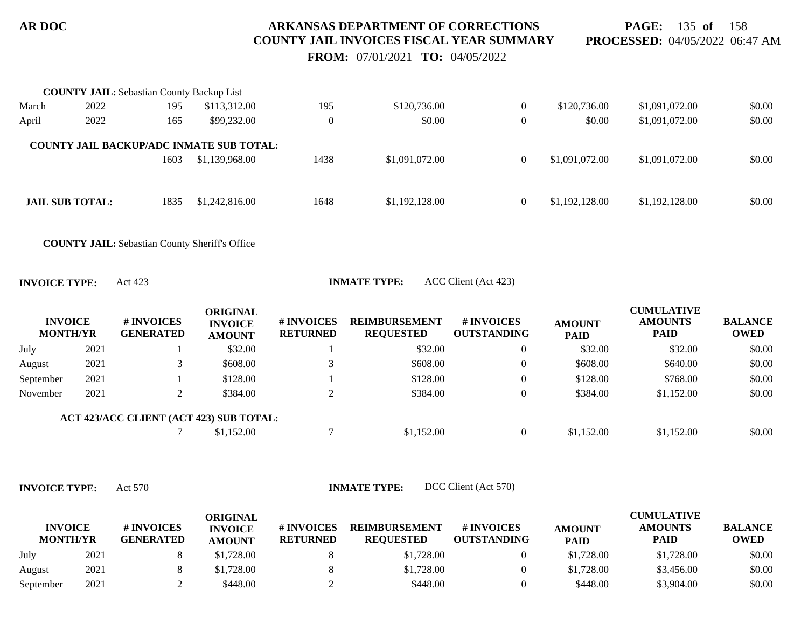**PAGE:** 135 **of** 158 **PROCESSED:** 04/05/2022 06:47 AM

 **FROM:** 07/01/2021 **TO:** 04/05/2022

|                                   |      | <b>COUNTY JAIL:</b> Sebastian County Backup List      |                                                 |                 |                      |                                  |                              |                               |                               |
|-----------------------------------|------|-------------------------------------------------------|-------------------------------------------------|-----------------|----------------------|----------------------------------|------------------------------|-------------------------------|-------------------------------|
| March                             | 2022 | 195                                                   | \$113,312.00                                    | 195             | \$120,736.00         | $\overline{0}$                   | \$120,736.00                 | \$1,091,072.00                | \$0.00                        |
| April                             | 2022 | 165                                                   | \$99,232.00                                     | $\overline{0}$  | \$0.00               | $\boldsymbol{0}$                 | \$0.00                       | \$1,091,072.00                | \$0.00                        |
|                                   |      |                                                       | <b>COUNTY JAIL BACKUP/ADC INMATE SUB TOTAL:</b> |                 |                      |                                  |                              |                               |                               |
|                                   |      | 1603                                                  | \$1,139,968.00                                  | 1438            | \$1,091,072.00       | $\overline{0}$                   | \$1,091,072.00               | \$1,091,072.00                | \$0.00                        |
| <b>JAIL SUB TOTAL:</b>            |      | 1835                                                  | \$1,242,816.00                                  | 1648            | \$1,192,128.00       | $\overline{0}$                   | \$1,192,128.00               | \$1,192,128.00                | \$0.00                        |
|                                   |      | <b>COUNTY JAIL:</b> Sebastian County Sheriff's Office |                                                 |                 |                      |                                  |                              |                               |                               |
| <b>INVOICE TYPE:</b>              |      | Act 423                                               |                                                 |                 | <b>INMATE TYPE:</b>  | ACC Client (Act 423)             |                              |                               |                               |
| <b>INVOICE</b><br><b>MONTH/YR</b> |      | # INVOICES                                            | <b>ORIGINAL</b><br><b>INVOICE</b>               | # INVOICES      | <b>REIMBURSEMENT</b> |                                  |                              | <b>CUMULATIVE</b>             |                               |
|                                   |      | <b>GENERATED</b>                                      | <b>AMOUNT</b>                                   | <b>RETURNED</b> | <b>REQUESTED</b>     | # INVOICES<br><b>OUTSTANDING</b> | <b>AMOUNT</b><br><b>PAID</b> | <b>AMOUNTS</b><br><b>PAID</b> | <b>BALANCE</b><br><b>OWED</b> |
| July                              | 2021 |                                                       | \$32.00                                         |                 | \$32.00              | $\mathbf{0}$                     | \$32.00                      | \$32.00                       | \$0.00                        |
| August                            | 2021 | 3                                                     | \$608.00                                        | 3               | \$608.00             | $\boldsymbol{0}$                 | \$608.00                     | \$640.00                      | \$0.00                        |
| September                         | 2021 |                                                       | \$128.00                                        |                 | \$128.00             | $\boldsymbol{0}$                 | \$128.00                     | \$768.00                      | \$0.00                        |
| November                          | 2021 | 2                                                     | \$384.00                                        | 2               | \$384.00             | $\overline{0}$                   | \$384.00                     | \$1,152.00                    | \$0.00                        |
|                                   |      |                                                       | ACT 423/ACC CLIENT (ACT 423) SUB TOTAL:         |                 |                      |                                  |                              |                               |                               |

**INVOICE TYPE:** Act 570 **INMATE TYPE:** DCC Client (Act 570)

| <b>INVOICE</b><br><b>MONTH/YR</b> |      | # INVOICES<br><b>GENERATED</b> | <b>ORIGINAL</b><br><b>INVOICE</b><br><b>AMOUNT</b> | # INVOICES<br><b>RETURNED</b> | <b>REIMBURSEMENT</b><br><b>REOUESTED</b> | # INVOICES<br><b>OUTSTANDING</b> | <b>AMOUNT</b><br><b>PAID</b> | CUMULATIVE<br><b>AMOUNTS</b><br><b>PAID</b> | <b>BALANCE</b><br><b>OWED</b> |
|-----------------------------------|------|--------------------------------|----------------------------------------------------|-------------------------------|------------------------------------------|----------------------------------|------------------------------|---------------------------------------------|-------------------------------|
| July                              | 2021 |                                | \$1.728.00                                         |                               | \$1,728.00                               |                                  | \$1,728.00                   | \$1,728.00                                  | \$0.00                        |
| August                            | 2021 |                                | \$1,728.00                                         |                               | \$1,728.00                               |                                  | \$1,728.00                   | \$3,456.00                                  | \$0.00                        |
| September                         | 2021 |                                | \$448.00                                           |                               | \$448.00                                 |                                  | \$448.00                     | \$3,904.00                                  | \$0.00                        |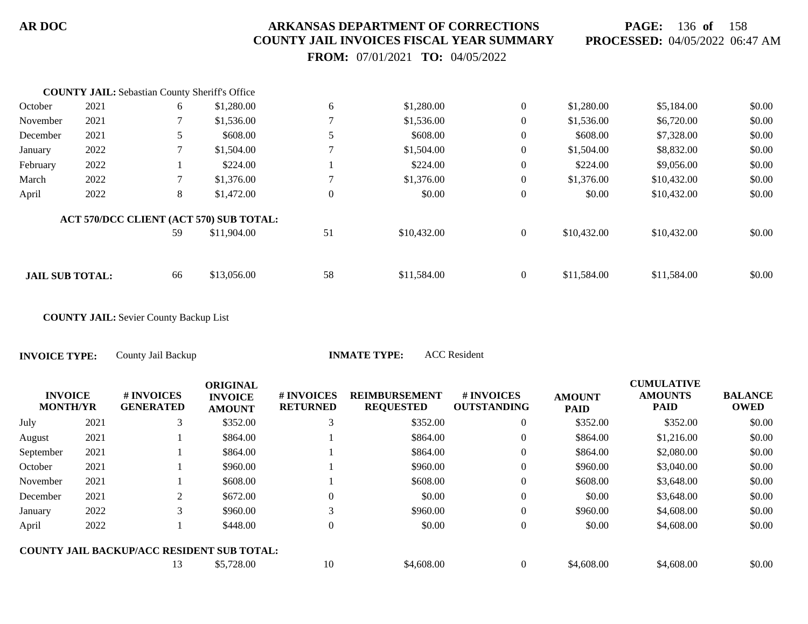**PAGE:** 136 **of** 158 **PROCESSED:** 04/05/2022 06:47 AM

 **FROM:** 07/01/2021 **TO:** 04/05/2022

|                        | <b>COUNTY JAIL:</b> Sebastian County Sheriff's Office |    |                                         |                |             |                  |             |             |        |
|------------------------|-------------------------------------------------------|----|-----------------------------------------|----------------|-------------|------------------|-------------|-------------|--------|
| October                | 2021                                                  | 6  | \$1,280.00                              | 6              | \$1,280.00  | $\boldsymbol{0}$ | \$1,280.00  | \$5,184.00  | \$0.00 |
| November               | 2021                                                  |    | \$1,536.00                              |                | \$1,536.00  | $\theta$         | \$1,536.00  | \$6,720.00  | \$0.00 |
| December               | 2021                                                  | 5. | \$608.00                                |                | \$608.00    | $\theta$         | \$608.00    | \$7,328.00  | \$0.00 |
| January                | 2022                                                  |    | \$1,504.00                              |                | \$1,504.00  | $\overline{0}$   | \$1,504.00  | \$8,832.00  | \$0.00 |
| February               | 2022                                                  |    | \$224.00                                |                | \$224.00    | $\overline{0}$   | \$224.00    | \$9,056.00  | \$0.00 |
| March                  | 2022                                                  |    | \$1,376.00                              |                | \$1,376.00  | $\overline{0}$   | \$1,376.00  | \$10,432.00 | \$0.00 |
| April                  | 2022                                                  | 8  | \$1,472.00                              | $\overline{0}$ | \$0.00      | $\overline{0}$   | \$0.00      | \$10,432.00 | \$0.00 |
|                        |                                                       |    | ACT 570/DCC CLIENT (ACT 570) SUB TOTAL: |                |             |                  |             |             |        |
|                        |                                                       | 59 | \$11,904.00                             | 51             | \$10,432.00 | $\overline{0}$   | \$10,432.00 | \$10,432.00 | \$0.00 |
|                        |                                                       |    |                                         |                |             |                  |             |             |        |
| <b>JAIL SUB TOTAL:</b> |                                                       | 66 | \$13,056.00                             | 58             | \$11,584.00 | $\overline{0}$   | \$11,584.00 | \$11,584.00 | \$0.00 |

**COUNTY JAIL:** Sevier County Backup List

**INVOICE TYPE:** County Jail Backup **INMATE TYPE:** ACC Resident

|           | <b>INVOICE</b><br><b>MONTH/YR</b> | # INVOICES<br><b>GENERATED</b>                    | <b>ORIGINAL</b><br><b>INVOICE</b><br><b>AMOUNT</b> | # INVOICES<br><b>RETURNED</b> | <b>REIMBURSEMENT</b><br><b>REQUESTED</b> | # INVOICES<br><b>OUTSTANDING</b> | <b>AMOUNT</b><br><b>PAID</b> | <b>CUMULATIVE</b><br><b>AMOUNTS</b><br><b>PAID</b> | <b>BALANCE</b><br><b>OWED</b> |
|-----------|-----------------------------------|---------------------------------------------------|----------------------------------------------------|-------------------------------|------------------------------------------|----------------------------------|------------------------------|----------------------------------------------------|-------------------------------|
| July      | 2021                              | 3                                                 | \$352.00                                           |                               | \$352.00                                 | $\overline{0}$                   | \$352.00                     | \$352.00                                           | \$0.00                        |
| August    | 2021                              |                                                   | \$864.00                                           |                               | \$864.00                                 | $\overline{0}$                   | \$864.00                     | \$1,216.00                                         | \$0.00                        |
| September | 2021                              |                                                   | \$864.00                                           |                               | \$864.00                                 | $\theta$                         | \$864.00                     | \$2,080.00                                         | \$0.00                        |
| October   | 2021                              |                                                   | \$960.00                                           |                               | \$960.00                                 | $\Omega$                         | \$960.00                     | \$3,040.00                                         | \$0.00                        |
| November  | 2021                              |                                                   | \$608.00                                           |                               | \$608.00                                 | $\overline{0}$                   | \$608.00                     | \$3,648.00                                         | \$0.00                        |
| December  | 2021                              |                                                   | \$672.00                                           |                               | \$0.00                                   | $\overline{0}$                   | \$0.00                       | \$3,648.00                                         | \$0.00                        |
| January   | 2022                              |                                                   | \$960.00                                           |                               | \$960.00                                 |                                  | \$960.00                     | \$4,608.00                                         | \$0.00                        |
| April     | 2022                              |                                                   | \$448.00                                           |                               | \$0.00                                   | $\overline{0}$                   | \$0.00                       | \$4,608.00                                         | \$0.00                        |
|           |                                   | <b>COUNTY JAIL BACKUP/ACC RESIDENT SUB TOTAL:</b> |                                                    |                               |                                          |                                  |                              |                                                    |                               |
|           |                                   | 13                                                | \$5,728.00                                         | 10                            | \$4,608,00                               |                                  | \$4,608.00                   | \$4,608.00                                         | \$0.00                        |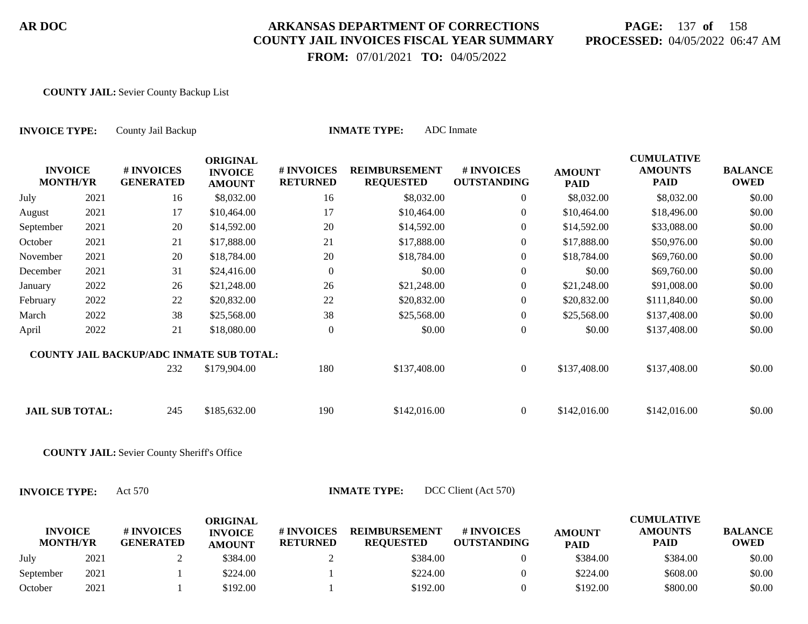# **PAGE:** 137 **of** 158 **PROCESSED:** 04/05/2022 06:47 AM

 **FROM:** 07/01/2021 **TO:** 04/05/2022

#### **COUNTY JAIL:** Sevier County Backup List

| <b>INVOICE TYPE:</b>                            |      | County Jail Backup                                 |                                                    | <b>INMATE TYPE:</b>           |                                          |                                  |                              |                                                    |                               |
|-------------------------------------------------|------|----------------------------------------------------|----------------------------------------------------|-------------------------------|------------------------------------------|----------------------------------|------------------------------|----------------------------------------------------|-------------------------------|
| <b>INVOICE</b><br><b>MONTH/YR</b>               |      | # INVOICES<br><b>GENERATED</b>                     | <b>ORIGINAL</b><br><b>INVOICE</b><br><b>AMOUNT</b> | # INVOICES<br><b>RETURNED</b> | <b>REIMBURSEMENT</b><br><b>REQUESTED</b> | # INVOICES<br><b>OUTSTANDING</b> | <b>AMOUNT</b><br><b>PAID</b> | <b>CUMULATIVE</b><br><b>AMOUNTS</b><br><b>PAID</b> | <b>BALANCE</b><br><b>OWED</b> |
| July                                            | 2021 | 16                                                 | \$8,032.00                                         | 16                            | \$8,032.00                               | $\overline{0}$                   | \$8,032.00                   | \$8,032.00                                         | \$0.00                        |
| August                                          | 2021 | 17                                                 | \$10,464.00                                        | 17                            | \$10,464.00                              | $\overline{0}$                   | \$10,464.00                  | \$18,496.00                                        | \$0.00                        |
| September                                       | 2021 | 20                                                 | \$14,592.00                                        | 20                            | \$14,592.00                              | $\overline{0}$                   | \$14,592.00                  | \$33,088.00                                        | \$0.00                        |
| October                                         | 2021 | 21                                                 | \$17,888.00                                        | 21                            | \$17,888.00                              | $\overline{0}$                   | \$17,888.00                  | \$50,976.00                                        | \$0.00                        |
| November                                        | 2021 | 20                                                 | \$18,784.00                                        | 20                            | \$18,784.00                              | $\theta$                         | \$18,784.00                  | \$69,760.00                                        | \$0.00                        |
| December                                        | 2021 | 31                                                 | \$24,416.00                                        | $\boldsymbol{0}$              | \$0.00                                   | $\boldsymbol{0}$                 | \$0.00                       | \$69,760.00                                        | \$0.00                        |
| January                                         | 2022 | 26                                                 | \$21,248.00                                        | 26                            | \$21,248.00                              | $\overline{0}$                   | \$21,248.00                  | \$91,008.00                                        | \$0.00                        |
| February                                        | 2022 | 22                                                 | \$20,832.00                                        | 22                            | \$20,832.00                              | $\overline{0}$                   | \$20,832.00                  | \$111,840.00                                       | \$0.00                        |
| March                                           | 2022 | 38                                                 | \$25,568.00                                        | 38                            | \$25,568.00                              | $\boldsymbol{0}$                 | \$25,568.00                  | \$137,408.00                                       | \$0.00                        |
| April                                           | 2022 | 21                                                 | \$18,080.00                                        | $\boldsymbol{0}$              | \$0.00                                   | $\boldsymbol{0}$                 | \$0.00                       | \$137,408.00                                       | \$0.00                        |
| <b>COUNTY JAIL BACKUP/ADC INMATE SUB TOTAL:</b> |      |                                                    |                                                    |                               |                                          |                                  |                              |                                                    |                               |
|                                                 |      | 232                                                | \$179,904.00                                       | 180                           | \$137,408.00                             | $\overline{0}$                   | \$137,408.00                 | \$137,408.00                                       | \$0.00                        |
| <b>JAIL SUB TOTAL:</b>                          |      | 245                                                | \$185,632.00                                       | 190                           | \$142,016.00                             | $\overline{0}$                   | \$142,016.00                 | \$142,016.00                                       | \$0.00                        |
|                                                 |      | <b>COUNTY JAIL:</b> Sevier County Sheriff's Office |                                                    |                               |                                          |                                  |                              |                                                    |                               |
| <b>INVOICE TYPE:</b>                            |      | Act 570                                            |                                                    |                               | <b>INMATE TYPE:</b>                      | DCC Client (Act 570)             |                              |                                                    |                               |
| <b>INVOICE</b><br><b>MONTH/YR</b>               |      | # INVOICES<br><b>GENERATED</b>                     | <b>ORIGINAL</b><br><b>INVOICE</b><br><b>AMOUNT</b> | # INVOICES<br><b>RETURNED</b> | <b>REIMBURSEMENT</b><br><b>REQUESTED</b> | # INVOICES<br><b>OUTSTANDING</b> | <b>AMOUNT</b><br><b>PAID</b> | <b>CUMULATIVE</b><br><b>AMOUNTS</b><br><b>PAID</b> | <b>BALANCE</b><br><b>OWED</b> |

| <b>MONTH/YR</b> |      | <b>GENERATED</b> | <b>AMOUNT</b> | <b>RETURNED</b> | <b>REOUESTED</b> | <b>OUTSTANDING</b> | <b>PAID</b> | <b>PAID</b> | <b>OWED</b> |
|-----------------|------|------------------|---------------|-----------------|------------------|--------------------|-------------|-------------|-------------|
| July            | 2021 |                  | \$384.00      |                 | \$384.00         |                    | \$384.00    | \$384.00    | \$0.00      |
| September       | 2021 |                  | \$224.00      |                 | \$224.00         |                    | \$224.00    | \$608.00    | \$0.00      |
| October         | 2021 |                  | \$192.00      |                 | \$192.00         |                    | \$192.00    | \$800.00    | \$0.00      |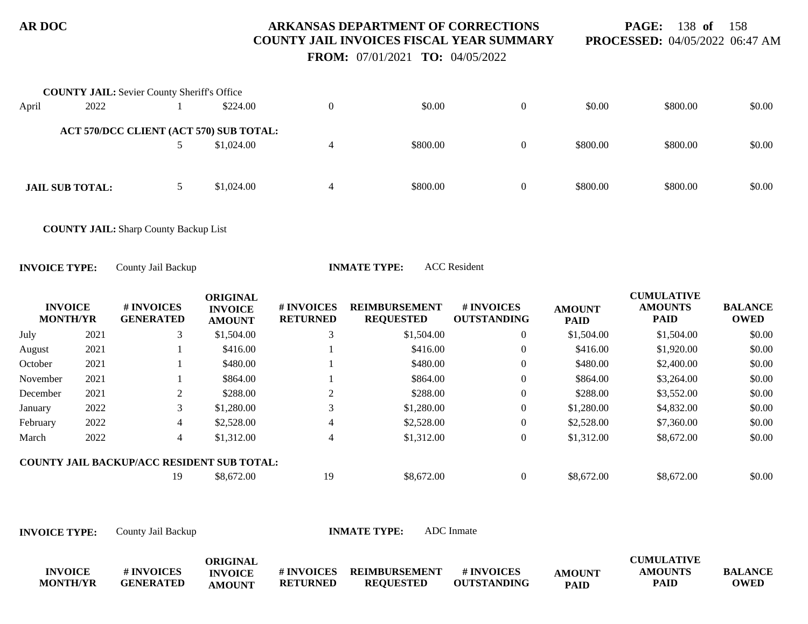**PAGE:** 138 **of** 158 **PROCESSED:** 04/05/2022 06:47 AM

 **FROM:** 07/01/2021 **TO:** 04/05/2022

| \$0.00 |
|--------|
|        |
|        |
| \$0.00 |
|        |
| \$0.00 |
|        |

**COUNTY JAIL:** Sharp County Backup List

**INVOICE TYPE:** County Jail Backup **INMATE TYPE:** ACC Resident

| <b>INVOICE</b><br><b>MONTH/YR</b> |      | <b>#INVOICES</b><br><b>GENERATED</b>              | <b>ORIGINAL</b><br><b>INVOICE</b><br><b>AMOUNT</b> | # INVOICES<br><b>RETURNED</b> | <b>REIMBURSEMENT</b><br><b>REQUESTED</b> | <b>#INVOICES</b><br><b>OUTSTANDING</b> | <b>AMOUNT</b><br><b>PAID</b> | <b>CUMULATIVE</b><br><b>AMOUNTS</b><br><b>PAID</b> | <b>BALANCE</b><br><b>OWED</b> |
|-----------------------------------|------|---------------------------------------------------|----------------------------------------------------|-------------------------------|------------------------------------------|----------------------------------------|------------------------------|----------------------------------------------------|-------------------------------|
| July                              | 2021 | 3                                                 | \$1,504.00                                         | 3                             | \$1,504.00                               | 0                                      | \$1,504.00                   | \$1,504.00                                         | \$0.00                        |
| August                            | 2021 |                                                   | \$416.00                                           |                               | \$416.00                                 | 0                                      | \$416.00                     | \$1,920.00                                         | \$0.00                        |
| October                           | 2021 |                                                   | \$480.00                                           |                               | \$480.00                                 | 0                                      | \$480.00                     | \$2,400.00                                         | \$0.00                        |
| November                          | 2021 |                                                   | \$864.00                                           |                               | \$864.00                                 | 0                                      | \$864.00                     | \$3,264.00                                         | \$0.00                        |
| December                          | 2021 | 2                                                 | \$288.00                                           |                               | \$288.00                                 | 0                                      | \$288.00                     | \$3,552.00                                         | \$0.00                        |
| January                           | 2022 | 3                                                 | \$1,280.00                                         |                               | \$1,280.00                               | 0                                      | \$1,280.00                   | \$4,832.00                                         | \$0.00                        |
| February                          | 2022 | $\overline{4}$                                    | \$2,528.00                                         | 4                             | \$2,528.00                               | 0                                      | \$2,528.00                   | \$7,360.00                                         | \$0.00                        |
| March                             | 2022 | 4                                                 | \$1,312.00                                         |                               | \$1,312.00                               | 0                                      | \$1,312.00                   | \$8,672.00                                         | \$0.00                        |
|                                   |      | <b>COUNTY JAIL BACKUP/ACC RESIDENT SUB TOTAL:</b> |                                                    |                               |                                          |                                        |                              |                                                    |                               |
|                                   |      | 19                                                | \$8,672.00                                         | 19                            | \$8,672.00                               | 0                                      | \$8,672.00                   | \$8,672.00                                         | \$0.00                        |

|                 |                  | ORIGINAL       |                   |                      |                    |               | <b>CUMULATIVE</b> |                |
|-----------------|------------------|----------------|-------------------|----------------------|--------------------|---------------|-------------------|----------------|
| <b>INVOICE</b>  | # INVOICES       | <b>INVOICE</b> | <b># INVOICES</b> | <b>REIMBURSEMENT</b> | # INVOICES         | <b>AMOUNT</b> | <b>AMOUNTS</b>    | <b>BALANCE</b> |
| <b>MONTH/YR</b> | <b>GENERATED</b> | <b>AMOUNT</b>  | <b>RETURNED</b>   | <b>REQUESTED</b>     | <b>OUTSTANDING</b> | <b>PAID</b>   | PAID              | <b>OWED</b>    |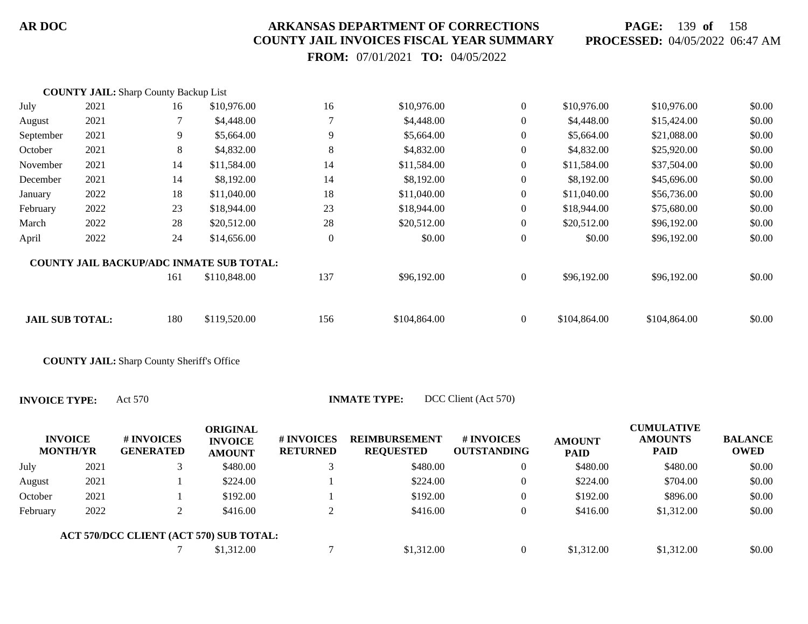**PAGE:** 139 **of** 158 **PROCESSED:** 04/05/2022 06:47 AM

 **FROM:** 07/01/2021 **TO:** 04/05/2022

|                        | <b>COUNTY JAIL:</b> Sharp County Backup List |     |                                                 |                |              |                  |              |              |        |
|------------------------|----------------------------------------------|-----|-------------------------------------------------|----------------|--------------|------------------|--------------|--------------|--------|
| July                   | 2021                                         | 16  | \$10,976.00                                     | 16             | \$10,976.00  | $\overline{0}$   | \$10,976.00  | \$10,976.00  | \$0.00 |
| August                 | 2021                                         |     | \$4,448.00                                      |                | \$4,448.00   | $\overline{0}$   | \$4,448.00   | \$15,424.00  | \$0.00 |
| September              | 2021                                         | 9   | \$5,664.00                                      | 9              | \$5,664.00   | $\boldsymbol{0}$ | \$5,664.00   | \$21,088.00  | \$0.00 |
| October                | 2021                                         | 8   | \$4,832.00                                      | 8              | \$4,832.00   | $\boldsymbol{0}$ | \$4,832.00   | \$25,920.00  | \$0.00 |
| November               | 2021                                         | 14  | \$11,584.00                                     | 14             | \$11,584.00  | $\boldsymbol{0}$ | \$11,584.00  | \$37,504.00  | \$0.00 |
| December               | 2021                                         | 14  | \$8,192.00                                      | 14             | \$8,192.00   | $\boldsymbol{0}$ | \$8,192.00   | \$45,696.00  | \$0.00 |
| January                | 2022                                         | 18  | \$11,040.00                                     | 18             | \$11,040.00  | $\overline{0}$   | \$11,040.00  | \$56,736.00  | \$0.00 |
| February               | 2022                                         | 23  | \$18,944.00                                     | 23             | \$18,944.00  | $\overline{0}$   | \$18,944.00  | \$75,680.00  | \$0.00 |
| March                  | 2022                                         | 28  | \$20,512.00                                     | 28             | \$20,512.00  | $\overline{0}$   | \$20,512.00  | \$96,192.00  | \$0.00 |
| April                  | 2022                                         | 24  | \$14,656.00                                     | $\overline{0}$ | \$0.00       | $\boldsymbol{0}$ | \$0.00       | \$96,192.00  | \$0.00 |
|                        |                                              |     | <b>COUNTY JAIL BACKUP/ADC INMATE SUB TOTAL:</b> |                |              |                  |              |              |        |
|                        |                                              | 161 | \$110,848.00                                    | 137            | \$96,192.00  | $\overline{0}$   | \$96,192.00  | \$96,192.00  | \$0.00 |
| <b>JAIL SUB TOTAL:</b> |                                              | 180 | \$119,520.00                                    | 156            | \$104,864.00 | $\overline{0}$   | \$104,864.00 | \$104,864.00 | \$0.00 |
|                        |                                              |     |                                                 |                |              |                  |              |              |        |

**COUNTY JAIL:** Sharp County Sheriff's Office

**INVOICE TYPE:** Act 570 **INMATE TYPE:** DCC Client (Act 570)

|          | <b>INVOICE</b><br><b>MONTH/YR</b> | # INVOICES<br><b>GENERATED</b>          | ORIGINAL<br><b>INVOICE</b><br><b>AMOUNT</b> | # INVOICES<br><b>RETURNED</b> | <b>REIMBURSEMENT</b><br><b>REQUESTED</b> | # INVOICES<br><b>OUTSTANDING</b> | <b>AMOUNT</b><br><b>PAID</b> | <b>CUMULATIVE</b><br><b>AMOUNTS</b><br><b>PAID</b> | <b>BALANCE</b><br><b>OWED</b> |
|----------|-----------------------------------|-----------------------------------------|---------------------------------------------|-------------------------------|------------------------------------------|----------------------------------|------------------------------|----------------------------------------------------|-------------------------------|
| July     | 2021                              |                                         | \$480.00                                    |                               | \$480.00                                 | $\overline{0}$                   | \$480.00                     | \$480.00                                           | \$0.00                        |
| August   | 2021                              |                                         | \$224.00                                    |                               | \$224.00                                 | $\left($                         | \$224.00                     | \$704.00                                           | \$0.00                        |
| October  | 2021                              |                                         | \$192.00                                    |                               | \$192.00                                 | $\Omega$                         | \$192.00                     | \$896.00                                           | \$0.00                        |
| February | 2022                              |                                         | \$416.00                                    |                               | \$416.00                                 | $\theta$                         | \$416.00                     | \$1,312.00                                         | \$0.00                        |
|          |                                   | ACT 570/DCC CLIENT (ACT 570) SUB TOTAL: |                                             |                               |                                          |                                  |                              |                                                    |                               |
|          |                                   |                                         | \$1,312.00                                  |                               | \$1,312.00                               |                                  | \$1,312.00                   | \$1,312.00                                         | \$0.00                        |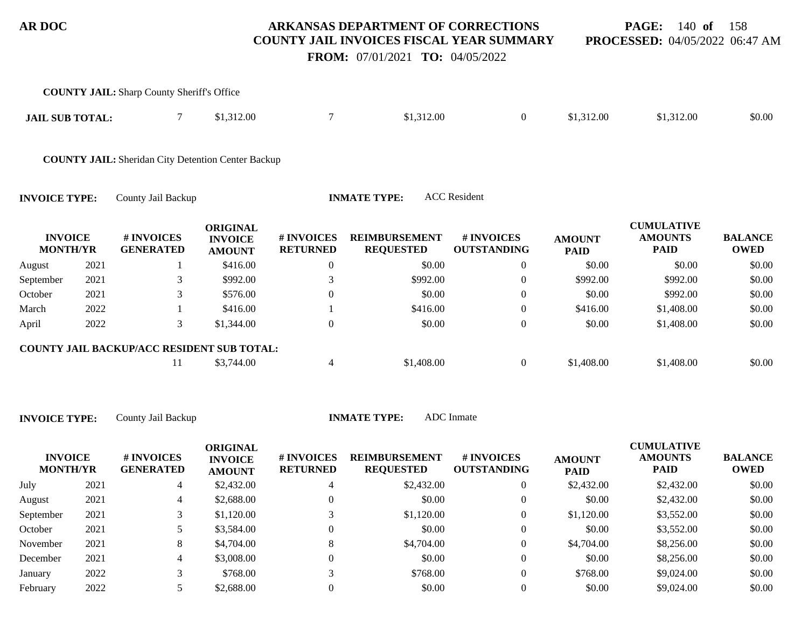**PAGE:** 140 **of** 158 **PROCESSED:** 04/05/2022 06:47 AM

 **FROM:** 07/01/2021 **TO:** 04/05/2022

|                                   |      | <b>COUNTY JAIL:</b> Sharp County Sheriff's Office         |                                                    |                               |                                          |                                  |                              |                                                    |                               |
|-----------------------------------|------|-----------------------------------------------------------|----------------------------------------------------|-------------------------------|------------------------------------------|----------------------------------|------------------------------|----------------------------------------------------|-------------------------------|
| <b>JAIL SUB TOTAL:</b>            |      | $\tau$                                                    | \$1,312.00                                         | $\overline{7}$                | \$1,312.00                               | $\overline{0}$                   | \$1,312.00                   | \$1,312.00                                         | \$0.00                        |
|                                   |      | <b>COUNTY JAIL:</b> Sheridan City Detention Center Backup |                                                    |                               |                                          |                                  |                              |                                                    |                               |
| <b>INVOICE TYPE:</b>              |      | County Jail Backup                                        |                                                    |                               | <b>INMATE TYPE:</b>                      | <b>ACC</b> Resident              |                              |                                                    |                               |
| <b>INVOICE</b><br><b>MONTH/YR</b> |      | # INVOICES<br><b>GENERATED</b>                            | <b>ORIGINAL</b><br><b>INVOICE</b><br><b>AMOUNT</b> | # INVOICES<br><b>RETURNED</b> | <b>REIMBURSEMENT</b><br><b>REQUESTED</b> | # INVOICES<br><b>OUTSTANDING</b> | <b>AMOUNT</b><br><b>PAID</b> | <b>CUMULATIVE</b><br><b>AMOUNTS</b><br><b>PAID</b> | <b>BALANCE</b><br><b>OWED</b> |
| August                            | 2021 |                                                           | \$416.00                                           | $\boldsymbol{0}$              | \$0.00                                   | $\overline{0}$                   | \$0.00                       | \$0.00                                             | \$0.00                        |
| September                         | 2021 | 3                                                         | \$992.00                                           | 3                             | \$992.00                                 | $\overline{0}$                   | \$992.00                     | \$992.00                                           | \$0.00                        |
| October                           | 2021 | 3                                                         | \$576.00                                           | $\boldsymbol{0}$              | \$0.00                                   | $\boldsymbol{0}$                 | \$0.00                       | \$992.00                                           | \$0.00                        |
| March                             | 2022 |                                                           | \$416.00                                           |                               | \$416.00                                 | $\overline{0}$                   | \$416.00                     | \$1,408.00                                         | \$0.00                        |
| April                             | 2022 | 3                                                         | \$1,344.00                                         | $\boldsymbol{0}$              | \$0.00                                   | $\boldsymbol{0}$                 | \$0.00                       | \$1,408.00                                         | \$0.00                        |
|                                   |      | COUNTY JAIL BACKUP/ACC RESIDENT SUB TOTAL:                |                                                    |                               |                                          |                                  |                              |                                                    |                               |
|                                   |      | 11                                                        | \$3,744.00                                         | $\overline{4}$                | \$1,408.00                               | $\overline{0}$                   | \$1,408.00                   | \$1,408.00                                         | \$0.00                        |
|                                   |      |                                                           |                                                    |                               |                                          |                                  |                              |                                                    |                               |
|                                   |      |                                                           |                                                    |                               |                                          |                                  |                              |                                                    |                               |

| <b>INVOICE TYPE:</b> | County Jail Back |
|----------------------|------------------|
|----------------------|------------------|

**INMATE TYPE:** 

| <b>INVOICE</b><br><b>MONTH/YR</b> |      | # INVOICES<br><b>GENERATED</b> | <b>ORIGINAL</b><br><b>INVOICE</b><br><b>AMOUNT</b> | # INVOICES<br><b>RETURNED</b> | <b>REIMBURSEMENT</b><br><b>REQUESTED</b> | # INVOICES<br><b>OUTSTANDING</b> | <b>AMOUNT</b><br><b>PAID</b> | <b>CUMULATIVE</b><br><b>AMOUNTS</b><br>PAID | <b>BALANCE</b><br><b>OWED</b> |
|-----------------------------------|------|--------------------------------|----------------------------------------------------|-------------------------------|------------------------------------------|----------------------------------|------------------------------|---------------------------------------------|-------------------------------|
| July                              | 2021 | 4                              | \$2,432.00                                         |                               | \$2,432.00                               | $\overline{0}$                   | \$2,432.00                   | \$2,432.00                                  | \$0.00                        |
| August                            | 2021 | 4                              | \$2,688.00                                         | 0                             | \$0.00                                   | $\mathbf{0}$                     | \$0.00                       | \$2,432.00                                  | \$0.00                        |
| September                         | 2021 |                                | \$1,120.00                                         |                               | \$1,120.00                               | 0                                | \$1,120.00                   | \$3,552.00                                  | \$0.00                        |
| October                           | 2021 | ◡                              | \$3,584.00                                         | 0                             | \$0.00                                   | $\overline{0}$                   | \$0.00                       | \$3,552.00                                  | \$0.00                        |
| November                          | 2021 | 8                              | \$4,704.00                                         | 8                             | \$4,704.00                               | $\overline{0}$                   | \$4,704.00                   | \$8,256.00                                  | \$0.00                        |
| December                          | 2021 | 4                              | \$3,008.00                                         | $\Omega$                      | \$0.00                                   | $\overline{0}$                   | \$0.00                       | \$8,256.00                                  | \$0.00                        |
| January                           | 2022 |                                | \$768.00                                           | $\mathbf{\overline{3}}$       | \$768.00                                 | 0                                | \$768.00                     | \$9,024.00                                  | \$0.00                        |
| February                          | 2022 |                                | \$2,688.00                                         |                               | \$0.00                                   |                                  | \$0.00                       | \$9,024.00                                  | \$0.00                        |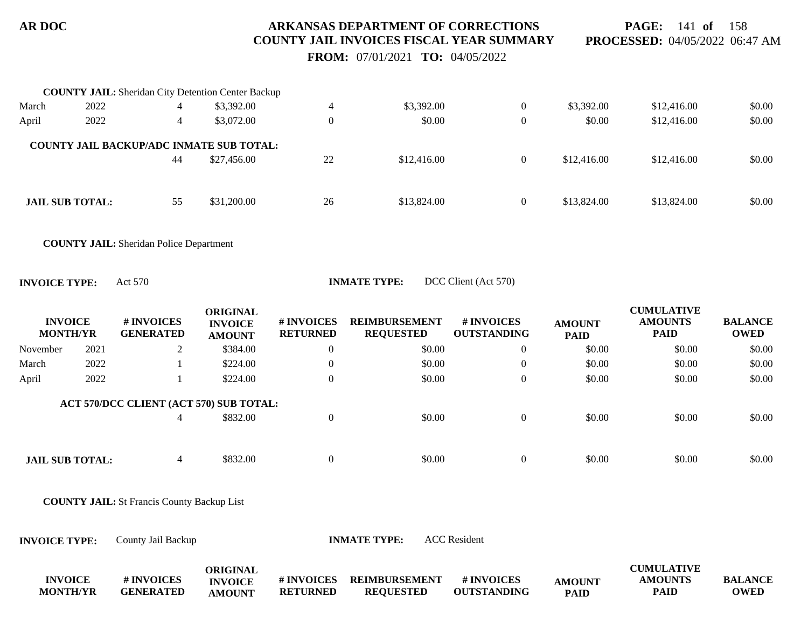**PAGE:** 141 **of** 158 **PROCESSED:** 04/05/2022 06:47 AM

 **FROM:** 07/01/2021 **TO:** 04/05/2022

|       | <b>COUNTY JAIL:</b> Sheridan City Detention Center Backup |    |             |    |             |                |             |             |        |
|-------|-----------------------------------------------------------|----|-------------|----|-------------|----------------|-------------|-------------|--------|
| March | 2022                                                      | 4  | \$3,392.00  | 4  | \$3,392.00  | $\theta$       | \$3,392.00  | \$12,416.00 | \$0.00 |
| April | 2022                                                      | 4  | \$3,072.00  |    | \$0.00      | $\overline{0}$ | \$0.00      | \$12,416.00 | \$0.00 |
|       | <b>COUNTY JAIL BACKUP/ADC INMATE SUB TOTAL:</b>           |    |             |    |             |                |             |             |        |
|       |                                                           | 44 | \$27,456.00 | 22 | \$12,416.00 | $\Omega$       | \$12,416.00 | \$12,416.00 | \$0.00 |
|       |                                                           |    |             |    |             |                |             |             |        |
|       | <b>JAIL SUB TOTAL:</b>                                    | 55 | \$31,200.00 | 26 | \$13,824.00 | $\theta$       | \$13,824.00 | \$13,824.00 | \$0.00 |
|       |                                                           |    |             |    |             |                |             |             |        |

**COUNTY JAIL:** Sheridan Police Department

**INVOICE TYPE:** Act 570 **INMATE TYPE:** DCC Client (Act 570)

| <b>INVOICE</b><br><b>MONTH/YR</b> |      | # INVOICES<br><b>GENERATED</b>          | ORIGINAL<br><b>INVOICE</b><br><b>AMOUNT</b> | <b># INVOICES</b><br><b>RETURNED</b> | <b>REIMBURSEMENT</b><br><b>REQUESTED</b> | # INVOICES<br><b>OUTSTANDING</b> | <b>AMOUNT</b><br><b>PAID</b> | <b>CUMULATIVE</b><br><b>AMOUNTS</b><br><b>PAID</b> | <b>BALANCE</b><br><b>OWED</b> |
|-----------------------------------|------|-----------------------------------------|---------------------------------------------|--------------------------------------|------------------------------------------|----------------------------------|------------------------------|----------------------------------------------------|-------------------------------|
| November                          | 2021 | $\overline{L}$                          | \$384.00                                    | $\theta$                             | \$0.00                                   | $\theta$                         | \$0.00                       | \$0.00                                             | \$0.00                        |
| March                             | 2022 |                                         | \$224.00                                    |                                      | \$0.00                                   | $\theta$                         | \$0.00                       | \$0.00                                             | \$0.00                        |
| April                             | 2022 |                                         | \$224.00                                    | $\overline{0}$                       | \$0.00                                   | $\theta$                         | \$0.00                       | \$0.00                                             | \$0.00                        |
|                                   |      | ACT 570/DCC CLIENT (ACT 570) SUB TOTAL: |                                             |                                      |                                          |                                  |                              |                                                    |                               |
|                                   |      | 4                                       | \$832.00                                    |                                      | \$0.00                                   | 0                                | \$0.00                       | \$0.00                                             | \$0.00                        |
|                                   |      |                                         |                                             |                                      |                                          |                                  |                              |                                                    |                               |
| <b>JAIL SUB TOTAL:</b>            |      |                                         | \$832.00                                    |                                      | \$0.00                                   | 0                                | \$0.00                       | \$0.00                                             | \$0.00                        |

**COUNTY JAIL:** St Francis County Backup List

**INVOICE TYPE:** County Jail Backup **INMATE TYPE:** ACC Resident

|                 |            | ORIGINAL       |                   |                      |                    |               | <b>CUMULATIVE</b> |             |
|-----------------|------------|----------------|-------------------|----------------------|--------------------|---------------|-------------------|-------------|
| <b>INVOICE</b>  | # INVOICES | <b>INVOICE</b> | <b># INVOICES</b> | <b>REIMBURSEMENT</b> | # INVOICES         | <b>AMOUNT</b> | <b>AMOUNTS</b>    | BALANCE     |
| <b>MONTH/YR</b> | GENERATED  | <b>AMOUNT</b>  | <b>RETURNED</b>   | <b>REOUESTED</b>     | <b>OUTSTANDING</b> | <b>PAID</b>   | <b>PAID</b>       | <b>OWED</b> |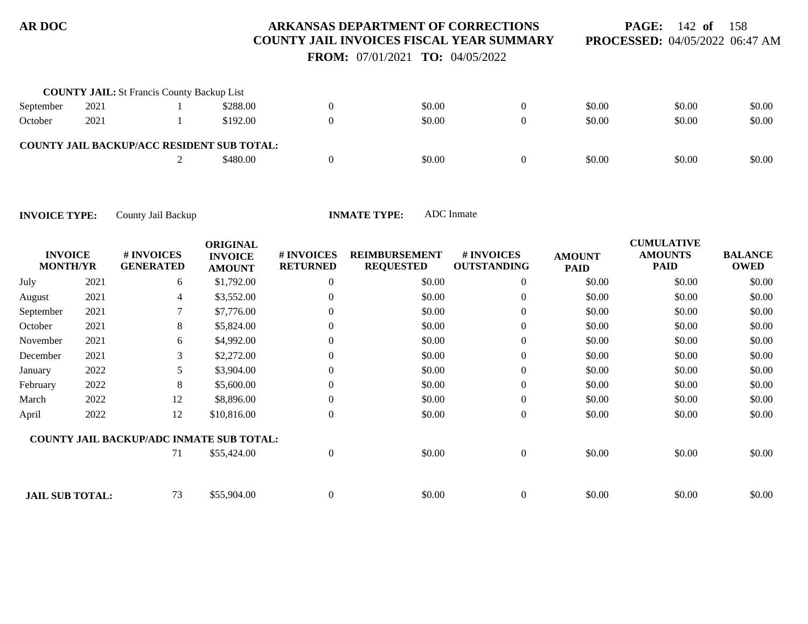**PAGE:** 142 **of** 158 **PROCESSED:** 04/05/2022 06:47 AM

 **FROM:** 07/01/2021 **TO:** 04/05/2022

|           | <b>COUNTY JAIL:</b> St Francis County Backup List |                                                   |        |          |        |        |        |
|-----------|---------------------------------------------------|---------------------------------------------------|--------|----------|--------|--------|--------|
| September | 2021                                              | \$288.00                                          | \$0.00 |          | \$0.00 | \$0.00 | \$0.00 |
| October   | 2021                                              | \$192.00                                          | \$0.00 | $\theta$ | \$0.00 | \$0.00 | \$0.00 |
|           |                                                   | <b>COUNTY JAIL BACKUP/ACC RESIDENT SUB TOTAL:</b> |        |          |        |        |        |
|           |                                                   | \$480.00                                          | \$0.00 |          | \$0.00 | \$0.00 | \$0.00 |

| <b>INVOICE</b><br><b>MONTH/YR</b> |      | # INVOICES<br><b>GENERATED</b>                  | <b>ORIGINAL</b><br><b>INVOICE</b><br><b>AMOUNT</b> | # INVOICES<br><b>RETURNED</b> | <b>REIMBURSEMENT</b><br><b>REQUESTED</b> | <b>#INVOICES</b><br><b>OUTSTANDING</b> | <b>AMOUNT</b><br><b>PAID</b> | <b>CUMULATIVE</b><br><b>AMOUNTS</b><br><b>PAID</b> | <b>BALANCE</b><br><b>OWED</b> |
|-----------------------------------|------|-------------------------------------------------|----------------------------------------------------|-------------------------------|------------------------------------------|----------------------------------------|------------------------------|----------------------------------------------------|-------------------------------|
| July                              | 2021 | 6                                               | \$1,792.00                                         | $\overline{0}$                | \$0.00                                   | $\overline{0}$                         | \$0.00                       | \$0.00                                             | \$0.00                        |
| August                            | 2021 | 4                                               | \$3,552.00                                         |                               | \$0.00                                   | $\overline{0}$                         | \$0.00                       | \$0.00                                             | \$0.00                        |
| September                         | 2021 | 7                                               | \$7,776.00                                         |                               | \$0.00                                   | $\overline{0}$                         | \$0.00                       | \$0.00                                             | \$0.00                        |
| October                           | 2021 | 8                                               | \$5,824.00                                         |                               | \$0.00                                   | $\overline{0}$                         | \$0.00                       | \$0.00                                             | \$0.00                        |
| November                          | 2021 | 6                                               | \$4,992.00                                         |                               | \$0.00                                   | $\overline{0}$                         | \$0.00                       | \$0.00                                             | \$0.00                        |
| December                          | 2021 | 3                                               | \$2,272.00                                         |                               | \$0.00                                   | $\boldsymbol{0}$                       | \$0.00                       | \$0.00                                             | \$0.00                        |
| January                           | 2022 | 5                                               | \$3,904.00                                         |                               | \$0.00                                   | $\overline{0}$                         | \$0.00                       | \$0.00                                             | \$0.00                        |
| February                          | 2022 | 8                                               | \$5,600.00                                         |                               | \$0.00                                   | $\overline{0}$                         | \$0.00                       | \$0.00                                             | \$0.00                        |
| March                             | 2022 | 12                                              | \$8,896.00                                         | $\overline{0}$                | \$0.00                                   | $\boldsymbol{0}$                       | \$0.00                       | \$0.00                                             | \$0.00                        |
| April                             | 2022 | 12                                              | \$10,816.00                                        | $\overline{0}$                | \$0.00                                   | $\overline{0}$                         | \$0.00                       | \$0.00                                             | \$0.00                        |
|                                   |      | <b>COUNTY JAIL BACKUP/ADC INMATE SUB TOTAL:</b> |                                                    |                               |                                          |                                        |                              |                                                    |                               |
|                                   |      | 71                                              | \$55,424.00                                        | $\boldsymbol{0}$              | \$0.00                                   | $\overline{0}$                         | \$0.00                       | \$0.00                                             | \$0.00                        |
| <b>JAIL SUB TOTAL:</b>            |      | 73                                              | \$55,904.00                                        | $\boldsymbol{0}$              | \$0.00                                   | $\boldsymbol{0}$                       | \$0.00                       | \$0.00                                             | \$0.00                        |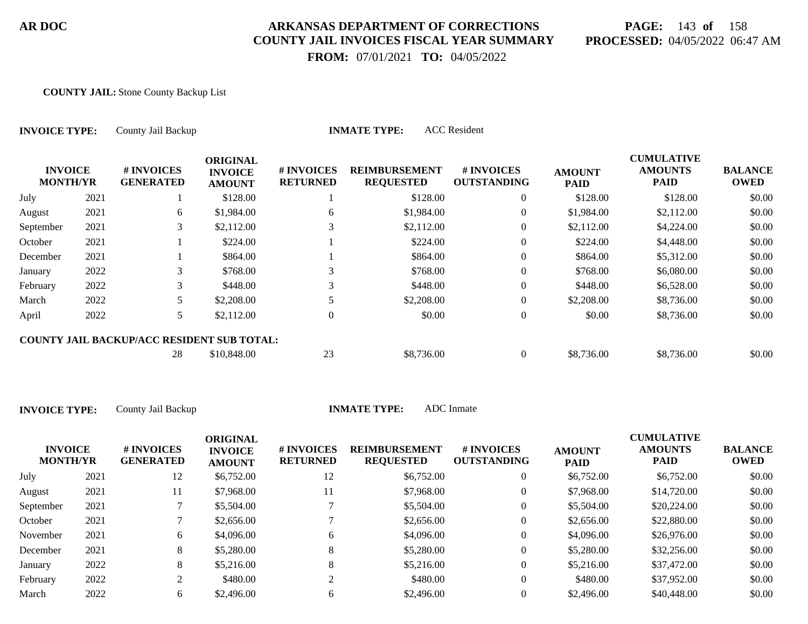# **PAGE:** 143 **of** 158 **PROCESSED:** 04/05/2022 06:47 AM

CUMU<del>LATIVE</del>

 **FROM:** 07/01/2021 **TO:** 04/05/2022

#### **COUNTY JAIL:** Stone County Backup List

| <b>INVOICE TYPE:</b><br><b>INVOICE</b><br><b>MONTH/YR</b> |      | County Jail Backup                                |                                                    |                               | <b>ACC</b> Resident<br><b>INMATE TYPE:</b> |                                  |                              |                                                    |                               |
|-----------------------------------------------------------|------|---------------------------------------------------|----------------------------------------------------|-------------------------------|--------------------------------------------|----------------------------------|------------------------------|----------------------------------------------------|-------------------------------|
|                                                           |      | # INVOICES<br><b>GENERATED</b>                    | <b>ORIGINAL</b><br><b>INVOICE</b><br><b>AMOUNT</b> | # INVOICES<br><b>RETURNED</b> | <b>REIMBURSEMENT</b><br><b>REQUESTED</b>   | # INVOICES<br><b>OUTSTANDING</b> | <b>AMOUNT</b><br><b>PAID</b> | <b>CUMULATIVE</b><br><b>AMOUNTS</b><br><b>PAID</b> | <b>BALANCE</b><br><b>OWED</b> |
| July                                                      | 2021 |                                                   | \$128.00                                           |                               | \$128.00                                   | $\overline{0}$                   | \$128.00                     | \$128.00                                           | \$0.00                        |
| August                                                    | 2021 | 6                                                 | \$1,984.00                                         | 6                             | \$1,984.00                                 | $\overline{0}$                   | \$1,984.00                   | \$2,112.00                                         | \$0.00                        |
| September                                                 | 2021 | 3                                                 | \$2,112.00                                         |                               | \$2,112.00                                 | $\overline{0}$                   | \$2,112.00                   | \$4,224.00                                         | \$0.00                        |
| October                                                   | 2021 |                                                   | \$224.00                                           |                               | \$224.00                                   | $\overline{0}$                   | \$224.00                     | \$4,448.00                                         | \$0.00                        |
| December                                                  | 2021 |                                                   | \$864.00                                           |                               | \$864.00                                   | $\overline{0}$                   | \$864.00                     | \$5,312.00                                         | \$0.00                        |
| January                                                   | 2022 | 3                                                 | \$768.00                                           |                               | \$768.00                                   | $\overline{0}$                   | \$768.00                     | \$6,080.00                                         | \$0.00                        |
| February                                                  | 2022 | 3                                                 | \$448.00                                           | 3                             | \$448.00                                   | $\overline{0}$                   | \$448.00                     | \$6,528.00                                         | \$0.00                        |
| March                                                     | 2022 | 5                                                 | \$2,208.00                                         |                               | \$2,208.00                                 | $\Omega$                         | \$2,208.00                   | \$8,736.00                                         | \$0.00                        |
| April                                                     | 2022 | 5                                                 | \$2,112.00                                         | $\overline{0}$                | \$0.00                                     | $\overline{0}$                   | \$0.00                       | \$8,736.00                                         | \$0.00                        |
|                                                           |      | <b>COUNTY JAIL BACKUP/ACC RESIDENT SUB TOTAL:</b> |                                                    |                               |                                            |                                  |                              |                                                    |                               |
|                                                           |      | 28                                                | \$10,848.00                                        | 23                            | \$8,736.00                                 | $\overline{0}$                   | \$8,736.00                   | \$8,736.00                                         | \$0.00                        |

| <b>INVOICE</b><br><b>MONTH/YR</b> |      | # INVOICES<br><b>GENERATED</b> | <b>ORIGINAL</b><br><b>INVOICE</b><br><b>AMOUNT</b> | # INVOICES<br><b>RETURNED</b> | <b>REIMBURSEMENT</b><br><b>REQUESTED</b> | # INVOICES<br><b>OUTSTANDING</b> | <b>AMOUNT</b><br><b>PAID</b> | <b>CUMULATIVE</b><br><b>AMOUNTS</b><br><b>PAID</b> | <b>BALANCE</b><br><b>OWED</b> |
|-----------------------------------|------|--------------------------------|----------------------------------------------------|-------------------------------|------------------------------------------|----------------------------------|------------------------------|----------------------------------------------------|-------------------------------|
| July                              | 2021 | 12                             | \$6,752.00                                         | 12                            | \$6,752.00                               | 0                                | \$6,752.00                   | \$6,752.00                                         | \$0.00                        |
| August                            | 2021 | 11                             | \$7,968.00                                         | 11                            | \$7,968.00                               | 0                                | \$7,968.00                   | \$14,720.00                                        | \$0.00                        |
| September                         | 2021 |                                | \$5,504.00                                         |                               | \$5,504.00                               | 0                                | \$5,504.00                   | \$20,224.00                                        | \$0.00                        |
| October                           | 2021 |                                | \$2,656.00                                         |                               | \$2,656.00                               | 0                                | \$2,656.00                   | \$22,880.00                                        | \$0.00                        |
| November                          | 2021 | 6                              | \$4,096.00                                         | 6                             | \$4,096.00                               | 0                                | \$4,096.00                   | \$26,976.00                                        | \$0.00                        |
| December                          | 2021 | 8                              | \$5,280.00                                         | 8                             | \$5,280.00                               | 0                                | \$5,280.00                   | \$32,256.00                                        | \$0.00                        |
| January                           | 2022 | 8                              | \$5,216.00                                         | 8                             | \$5,216.00                               | 0                                | \$5,216.00                   | \$37,472.00                                        | \$0.00                        |
| February                          | 2022 | ◠                              | \$480.00                                           |                               | \$480.00                                 | 0                                | \$480.00                     | \$37,952.00                                        | \$0.00                        |
| March                             | 2022 | 6.                             | \$2,496.00                                         | h.                            | \$2,496.00                               |                                  | \$2,496.00                   | \$40,448.00                                        | \$0.00                        |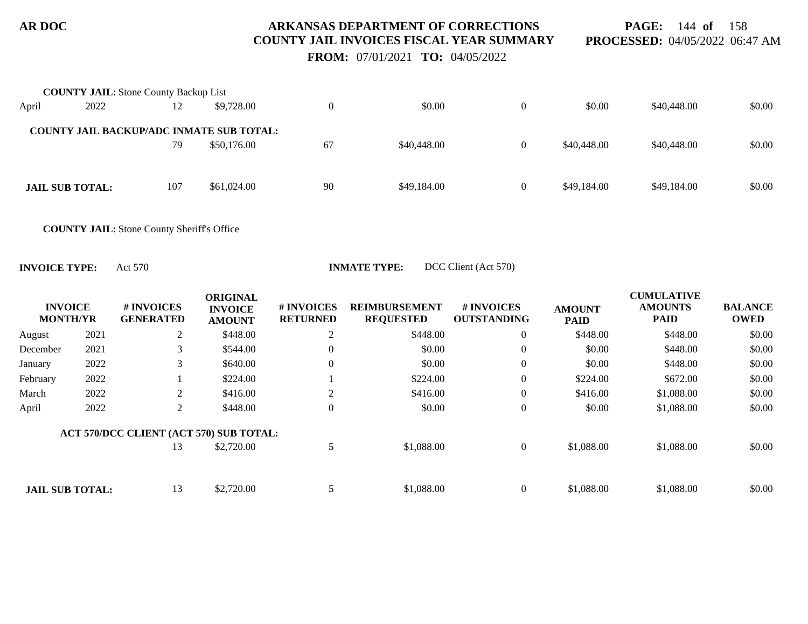**PAGE:** 144 **of** 158 **PROCESSED:** 04/05/2022 06:47 AM

 **FROM:** 07/01/2021 **TO:** 04/05/2022

|       | <b>COUNTY JAIL:</b> Stone County Backup List    |     |             |          |             |                |             |             |        |
|-------|-------------------------------------------------|-----|-------------|----------|-------------|----------------|-------------|-------------|--------|
| April | 2022                                            | 12  | \$9,728.00  | $\Omega$ | \$0.00      |                | \$0.00      | \$40,448.00 | \$0.00 |
|       | <b>COUNTY JAIL BACKUP/ADC INMATE SUB TOTAL:</b> |     |             |          |             |                |             |             |        |
|       |                                                 | 79  | \$50,176.00 | 67       | \$40,448.00 | $\theta$       | \$40,448.00 | \$40,448.00 | \$0.00 |
|       |                                                 |     |             |          |             |                |             |             |        |
|       | <b>JAIL SUB TOTAL:</b>                          | 107 | \$61,024.00 | 90       | \$49,184.00 | $\overline{0}$ | \$49,184.00 | \$49,184.00 | \$0.00 |
|       |                                                 |     |             |          |             |                |             |             |        |

**COUNTY JAIL:** Stone County Sheriff's Office

**INVOICE TYPE:** Act 570 **INMATE TYPE:** DCC Client (Act 570)

| <b>INVOICE</b><br><b>MONTH/YR</b> |      | # INVOICES<br><b>GENERATED</b>          | <b>ORIGINAL</b><br><b>INVOICE</b><br><b>AMOUNT</b> | # INVOICES<br><b>RETURNED</b> | <b>REIMBURSEMENT</b><br><b>REQUESTED</b> | # INVOICES<br><b>OUTSTANDING</b> | <b>AMOUNT</b><br><b>PAID</b> | <b>CUMULATIVE</b><br><b>AMOUNTS</b><br><b>PAID</b> | <b>BALANCE</b><br><b>OWED</b> |
|-----------------------------------|------|-----------------------------------------|----------------------------------------------------|-------------------------------|------------------------------------------|----------------------------------|------------------------------|----------------------------------------------------|-------------------------------|
| August                            | 2021 | 2                                       | \$448.00                                           | $\angle$                      | \$448.00                                 | $\theta$                         | \$448.00                     | \$448.00                                           | \$0.00                        |
| December                          | 2021 | 3                                       | \$544.00                                           | 0                             | \$0.00                                   | $\overline{0}$                   | \$0.00                       | \$448.00                                           | \$0.00                        |
| January                           | 2022 | 3                                       | \$640.00                                           | $\Omega$                      | \$0.00                                   | $\overline{0}$                   | \$0.00                       | \$448.00                                           | \$0.00                        |
| February                          | 2022 |                                         | \$224.00                                           |                               | \$224.00                                 | $\mathbf{0}$                     | \$224.00                     | \$672.00                                           | \$0.00                        |
| March                             | 2022 | 2                                       | \$416.00                                           |                               | \$416.00                                 | $\mathbf{0}$                     | \$416.00                     | \$1,088.00                                         | \$0.00                        |
| April                             | 2022 | 2                                       | \$448.00                                           | $\Omega$                      | \$0.00                                   | $\overline{0}$                   | \$0.00                       | \$1,088.00                                         | \$0.00                        |
|                                   |      | ACT 570/DCC CLIENT (ACT 570) SUB TOTAL: |                                                    |                               |                                          |                                  |                              |                                                    |                               |
|                                   |      | 13                                      | \$2,720.00                                         |                               | \$1,088.00                               | $\mathbf{0}$                     | \$1,088.00                   | \$1,088.00                                         | \$0.00                        |
|                                   |      |                                         |                                                    |                               |                                          |                                  |                              |                                                    |                               |
| <b>JAIL SUB TOTAL:</b>            |      | 13                                      | \$2,720.00                                         |                               | \$1,088.00                               | $\Omega$                         | \$1,088.00                   | \$1,088.00                                         | \$0.00                        |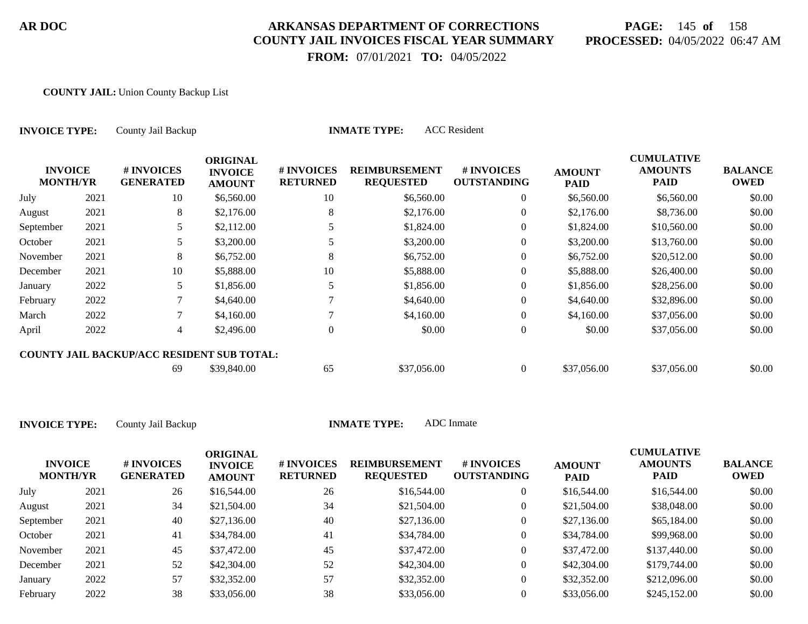# **PAGE:** 145 **of** 158 **PROCESSED:** 04/05/2022 06:47 AM

**CUMULATIVE**

 **FROM:** 07/01/2021 **TO:** 04/05/2022

### **COUNTY JAIL:** Union County Backup List

| <b>INVOICE TYPE:</b>              |      | County Jail Backup                                |                                                    |                               | <b>ACC</b> Resident<br><b>INMATE TYPE:</b> |                                  |                              |                                                    |                               |
|-----------------------------------|------|---------------------------------------------------|----------------------------------------------------|-------------------------------|--------------------------------------------|----------------------------------|------------------------------|----------------------------------------------------|-------------------------------|
| <b>INVOICE</b><br><b>MONTH/YR</b> |      | # INVOICES<br><b>GENERATED</b>                    | <b>ORIGINAL</b><br><b>INVOICE</b><br><b>AMOUNT</b> | # INVOICES<br><b>RETURNED</b> | <b>REIMBURSEMENT</b><br><b>REQUESTED</b>   | # INVOICES<br><b>OUTSTANDING</b> | <b>AMOUNT</b><br><b>PAID</b> | <b>CUMULATIVE</b><br><b>AMOUNTS</b><br><b>PAID</b> | <b>BALANCE</b><br><b>OWED</b> |
| July                              | 2021 | 10                                                | \$6,560.00                                         | 10                            | \$6,560.00                                 | $\overline{0}$                   | \$6,560.00                   | \$6,560.00                                         | \$0.00                        |
| August                            | 2021 | 8                                                 | \$2,176.00                                         | 8                             | \$2,176.00                                 | $\theta$                         | \$2,176.00                   | \$8,736.00                                         | \$0.00                        |
| September                         | 2021 | 5                                                 | \$2,112.00                                         |                               | \$1,824.00                                 | $\overline{0}$                   | \$1,824.00                   | \$10,560.00                                        | \$0.00                        |
| October                           | 2021 | 5.                                                | \$3,200.00                                         | 5                             | \$3,200.00                                 | $\overline{0}$                   | \$3,200.00                   | \$13,760.00                                        | \$0.00                        |
| November                          | 2021 | 8                                                 | \$6,752.00                                         | 8                             | \$6,752.00                                 | $\mathbf{0}$                     | \$6,752.00                   | \$20,512.00                                        | \$0.00                        |
| December                          | 2021 | 10                                                | \$5,888.00                                         | 10                            | \$5,888.00                                 | $\theta$                         | \$5,888.00                   | \$26,400.00                                        | \$0.00                        |
| January                           | 2022 | 5                                                 | \$1,856.00                                         |                               | \$1,856.00                                 | $\theta$                         | \$1,856.00                   | \$28,256.00                                        | \$0.00                        |
| February                          | 2022 |                                                   | \$4,640.00                                         |                               | \$4,640.00                                 | $\theta$                         | \$4,640.00                   | \$32,896.00                                        | \$0.00                        |
| March                             | 2022 |                                                   | \$4,160.00                                         |                               | \$4,160.00                                 | $\overline{0}$                   | \$4,160.00                   | \$37,056.00                                        | \$0.00                        |
| April                             | 2022 | $\overline{4}$                                    | \$2,496.00                                         | $\Omega$                      | \$0.00                                     | $\boldsymbol{0}$                 | \$0.00                       | \$37,056.00                                        | \$0.00                        |
|                                   |      | <b>COUNTY JAIL BACKUP/ACC RESIDENT SUB TOTAL:</b> |                                                    |                               |                                            |                                  |                              |                                                    |                               |
|                                   |      | 69                                                | \$39,840.00                                        | 65                            | \$37,056.00                                | $\overline{0}$                   | \$37,056.00                  | \$37,056.00                                        | \$0.00                        |

| <b>INVOICE</b><br><b>MONTH/YR</b> |      | # INVOICES<br><b>GENERATED</b> | ORIGINAL<br><b>INVOICE</b><br><b>AMOUNT</b> | # INVOICES<br><b>RETURNED</b> | <b>REIMBURSEMENT</b><br><b>REQUESTED</b> | <b>#INVOICES</b><br><b>OUTSTANDING</b> | <b>AMOUNT</b><br><b>PAID</b> | <b>CUMULATIVE</b><br><b>AMOUNTS</b><br><b>PAID</b> | <b>BALANCE</b><br><b>OWED</b> |
|-----------------------------------|------|--------------------------------|---------------------------------------------|-------------------------------|------------------------------------------|----------------------------------------|------------------------------|----------------------------------------------------|-------------------------------|
| July                              | 2021 | 26                             | \$16,544.00                                 | 26                            | \$16,544.00                              |                                        | \$16,544.00                  | \$16,544.00                                        | \$0.00                        |
| August                            | 2021 | 34                             | \$21,504.00                                 | 34                            | \$21,504.00                              |                                        | \$21,504.00                  | \$38,048.00                                        | \$0.00                        |
| September                         | 2021 | 40                             | \$27,136.00                                 | 40                            | \$27,136.00                              |                                        | \$27,136.00                  | \$65,184.00                                        | \$0.00                        |
| October                           | 2021 | 41                             | \$34,784.00                                 | 41                            | \$34,784.00                              | $\overline{0}$                         | \$34,784.00                  | \$99,968.00                                        | \$0.00                        |
| November                          | 2021 | 45                             | \$37,472.00                                 | 45                            | \$37,472.00                              |                                        | \$37,472.00                  | \$137,440.00                                       | \$0.00                        |
| December                          | 2021 | 52                             | \$42,304.00                                 | 52                            | \$42,304.00                              | $\overline{0}$                         | \$42,304.00                  | \$179,744.00                                       | \$0.00                        |
| January                           | 2022 | 57                             | \$32,352.00                                 | 57                            | \$32,352.00                              | $\overline{0}$                         | \$32,352.00                  | \$212,096.00                                       | \$0.00                        |
| February                          | 2022 | 38                             | \$33,056.00                                 | 38                            | \$33,056.00                              |                                        | \$33,056.00                  | \$245,152.00                                       | \$0.00                        |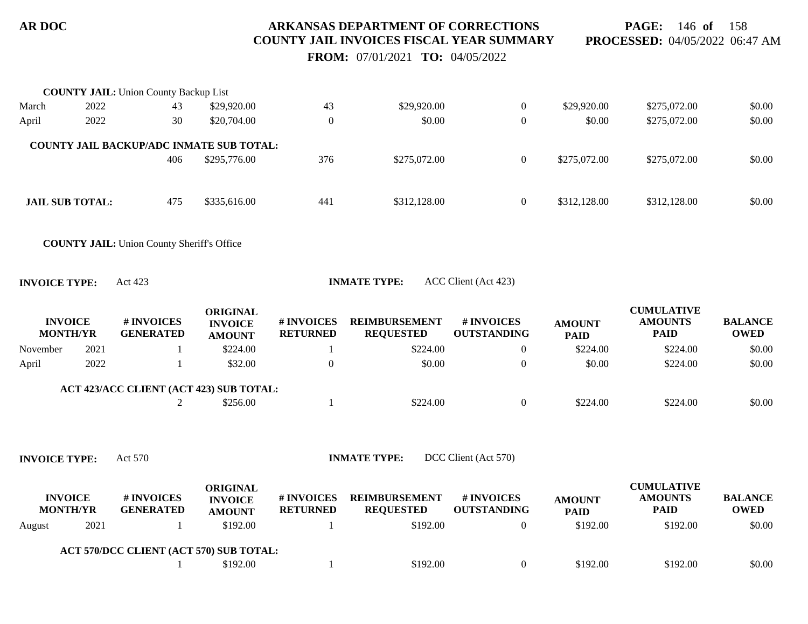**PAGE:** 146 **of** 158 **PROCESSED:** 04/05/2022 06:47 AM

 **FROM:** 07/01/2021 **TO:** 04/05/2022

|                      |                        | <b>COUNTY JAIL:</b> Union County Backup List      |                 |                 |                      |                      |               |                   |                |
|----------------------|------------------------|---------------------------------------------------|-----------------|-----------------|----------------------|----------------------|---------------|-------------------|----------------|
| March                | 2022                   | 43                                                | \$29,920.00     | 43              | \$29,920.00          | $\boldsymbol{0}$     | \$29,920.00   | \$275,072.00      | \$0.00         |
| April                | 2022                   | 30                                                | \$20,704.00     | $\overline{0}$  | \$0.00               | $\boldsymbol{0}$     | \$0.00        | \$275,072.00      | \$0.00         |
|                      |                        |                                                   |                 |                 |                      |                      |               |                   |                |
|                      |                        | COUNTY JAIL BACKUP/ADC INMATE SUB TOTAL:<br>406   | \$295,776.00    | 376             | \$275,072.00         | $\boldsymbol{0}$     | \$275,072.00  | \$275,072.00      | \$0.00         |
|                      |                        |                                                   |                 |                 |                      |                      |               |                   |                |
|                      |                        |                                                   |                 |                 |                      |                      |               |                   |                |
|                      | <b>JAIL SUB TOTAL:</b> | 475                                               | \$335,616.00    | 441             | \$312,128.00         | $\boldsymbol{0}$     | \$312,128.00  | \$312,128.00      | \$0.00         |
|                      |                        |                                                   |                 |                 |                      |                      |               |                   |                |
|                      |                        | <b>COUNTY JAIL: Union County Sheriff's Office</b> |                 |                 |                      |                      |               |                   |                |
|                      |                        |                                                   |                 |                 |                      |                      |               |                   |                |
| <b>INVOICE TYPE:</b> |                        | Act 423                                           |                 |                 | <b>INMATE TYPE:</b>  | ACC Client (Act 423) |               |                   |                |
|                      |                        |                                                   | <b>ORIGINAL</b> |                 |                      |                      |               | <b>CUMULATIVE</b> |                |
|                      | <b>INVOICE</b>         | # INVOICES                                        | <b>INVOICE</b>  | # INVOICES      | <b>REIMBURSEMENT</b> | # INVOICES           | <b>AMOUNT</b> | <b>AMOUNTS</b>    | <b>BALANCE</b> |
|                      | <b>MONTH/YR</b>        | <b>GENERATED</b>                                  | <b>AMOUNT</b>   | <b>RETURNED</b> | <b>REQUESTED</b>     | <b>OUTSTANDING</b>   | <b>PAID</b>   | <b>PAID</b>       | <b>OWED</b>    |
| November             | 2021                   | 1                                                 | \$224.00        | -1              | \$224.00             | $\boldsymbol{0}$     | \$224.00      | \$224.00          | \$0.00         |
| April                | 2022                   | 1                                                 | \$32.00         | $\theta$        | \$0.00               | $\boldsymbol{0}$     | \$0.00        | \$224.00          | \$0.00         |
|                      |                        | ACT 423/ACC CLIENT (ACT 423) SUB TOTAL:           |                 |                 |                      |                      |               |                   |                |
|                      |                        | 2                                                 | \$256.00        | $\mathbf{1}$    | \$224.00             | $\boldsymbol{0}$     | \$224.00      | \$224.00          | \$0.00         |
|                      |                        |                                                   |                 |                 |                      |                      |               |                   |                |
|                      |                        |                                                   |                 |                 |                      |                      |               |                   |                |
| <b>INVOICE TYPE:</b> |                        | Act 570                                           |                 |                 | <b>INMATE TYPE:</b>  | DCC Client (Act 570) |               |                   |                |
|                      |                        |                                                   | <b>ORIGINAL</b> |                 |                      |                      |               | <b>CUMULATIVE</b> |                |
|                      | <b>INVOICE</b>         | # INVOICES                                        | <b>INVOICE</b>  | # INVOICES      | <b>REIMBURSEMENT</b> | # INVOICES           | <b>AMOUNT</b> | <b>AMOUNTS</b>    | <b>BALANCE</b> |
|                      | <b>MONTH/YR</b>        | <b>GENERATED</b>                                  | <b>AMOUNT</b>   | <b>RETURNED</b> | <b>REQUESTED</b>     | <b>OUTSTANDING</b>   | <b>PAID</b>   | <b>PAID</b>       | <b>OWED</b>    |
| August               | 2021                   | 1                                                 | \$192.00        | 1               | \$192.00             | $\boldsymbol{0}$     | \$192.00      | \$192.00          | \$0.00         |
|                      |                        | ACT 570/DCC CLIENT (ACT 570) SUB TOTAL:           |                 |                 |                      |                      |               |                   |                |
|                      |                        |                                                   | \$192.00        |                 | \$192.00             | $\boldsymbol{0}$     | \$192.00      | \$192.00          | \$0.00         |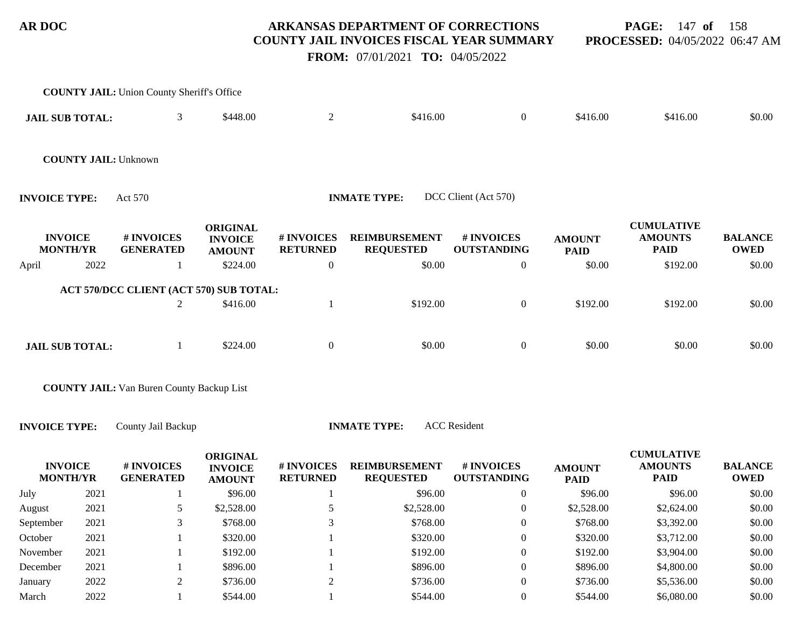**PAGE:** 147 **of** 158 **PROCESSED:** 04/05/2022 06:47 AM

 **FROM:** 07/01/2021 **TO:** 04/05/2022

|                        |                 | <b>COUNTY JAIL:</b> Union County Sheriff's Office |                                                    |                               |                                          |                                  |                              |                                                    |                               |
|------------------------|-----------------|---------------------------------------------------|----------------------------------------------------|-------------------------------|------------------------------------------|----------------------------------|------------------------------|----------------------------------------------------|-------------------------------|
| <b>JAIL SUB TOTAL:</b> |                 | 3                                                 | \$448.00                                           | $\overline{2}$                | \$416.00                                 | $\overline{0}$                   | \$416.00                     | \$416.00                                           | \$0.00                        |
|                        |                 | <b>COUNTY JAIL: Unknown</b>                       |                                                    |                               |                                          |                                  |                              |                                                    |                               |
| <b>INVOICE TYPE:</b>   |                 | Act 570                                           |                                                    |                               | <b>INMATE TYPE:</b>                      | DCC Client (Act 570)             |                              |                                                    |                               |
| <b>INVOICE</b>         | <b>MONTH/YR</b> | # INVOICES<br><b>GENERATED</b>                    | <b>ORIGINAL</b><br><b>INVOICE</b><br><b>AMOUNT</b> | # INVOICES<br><b>RETURNED</b> | <b>REIMBURSEMENT</b><br><b>REQUESTED</b> | # INVOICES<br><b>OUTSTANDING</b> | <b>AMOUNT</b><br><b>PAID</b> | <b>CUMULATIVE</b><br><b>AMOUNTS</b><br><b>PAID</b> | <b>BALANCE</b><br><b>OWED</b> |
| April                  | 2022            |                                                   | \$224.00                                           | $\overline{0}$                | \$0.00                                   | $\overline{0}$                   | \$0.00                       | \$192.00                                           | \$0.00                        |
|                        |                 | ACT 570/DCC CLIENT (ACT 570) SUB TOTAL:           |                                                    |                               |                                          |                                  |                              |                                                    |                               |
|                        |                 | 2                                                 | \$416.00                                           |                               | \$192.00                                 | $\overline{0}$                   | \$192.00                     | \$192.00                                           | \$0.00                        |
|                        |                 |                                                   |                                                    |                               |                                          |                                  |                              |                                                    |                               |
| <b>JAIL SUB TOTAL:</b> |                 |                                                   | \$224.00                                           | $\overline{0}$                | \$0.00                                   | $\overline{0}$                   | \$0.00                       | \$0.00                                             | \$0.00                        |
|                        |                 |                                                   |                                                    |                               |                                          |                                  |                              |                                                    |                               |

**COUNTY JAIL:** Van Buren County Backup List

**INVOICE TYPE:** County Jail Backup **INMATE TYPE:** ACC Resident

| <b>INVOICE</b><br><b>MONTH/YR</b> |      | # INVOICES<br><b>GENERATED</b> | <b>ORIGINAL</b><br><b>INVOICE</b><br><b>AMOUNT</b> | # INVOICES<br><b>RETURNED</b> | <b>REIMBURSEMENT</b><br><b>REQUESTED</b> | # INVOICES<br><b>OUTSTANDING</b> | <b>AMOUNT</b><br><b>PAID</b> | <b>CUMULATIVE</b><br><b>AMOUNTS</b><br><b>PAID</b> | <b>BALANCE</b><br><b>OWED</b> |
|-----------------------------------|------|--------------------------------|----------------------------------------------------|-------------------------------|------------------------------------------|----------------------------------|------------------------------|----------------------------------------------------|-------------------------------|
| July                              | 2021 |                                | \$96.00                                            |                               | \$96.00                                  |                                  | \$96.00                      | \$96.00                                            | \$0.00                        |
| August                            | 2021 |                                | \$2,528.00                                         |                               | \$2,528.00                               | 0                                | \$2,528.00                   | \$2,624.00                                         | \$0.00                        |
| September                         | 2021 |                                | \$768.00                                           |                               | \$768.00                                 | 0                                | \$768.00                     | \$3,392.00                                         | \$0.00                        |
| October                           | 2021 |                                | \$320.00                                           |                               | \$320.00                                 | 0                                | \$320.00                     | \$3,712.00                                         | \$0.00                        |
| November                          | 2021 |                                | \$192.00                                           |                               | \$192.00                                 | $\theta$                         | \$192.00                     | \$3,904.00                                         | \$0.00                        |
| December                          | 2021 |                                | \$896.00                                           |                               | \$896.00                                 | 0                                | \$896.00                     | \$4,800.00                                         | \$0.00                        |
| January                           | 2022 |                                | \$736.00                                           |                               | \$736.00                                 | 0                                | \$736.00                     | \$5,536.00                                         | \$0.00                        |
| March                             | 2022 |                                | \$544.00                                           |                               | \$544.00                                 |                                  | \$544.00                     | \$6,080.00                                         | \$0.00                        |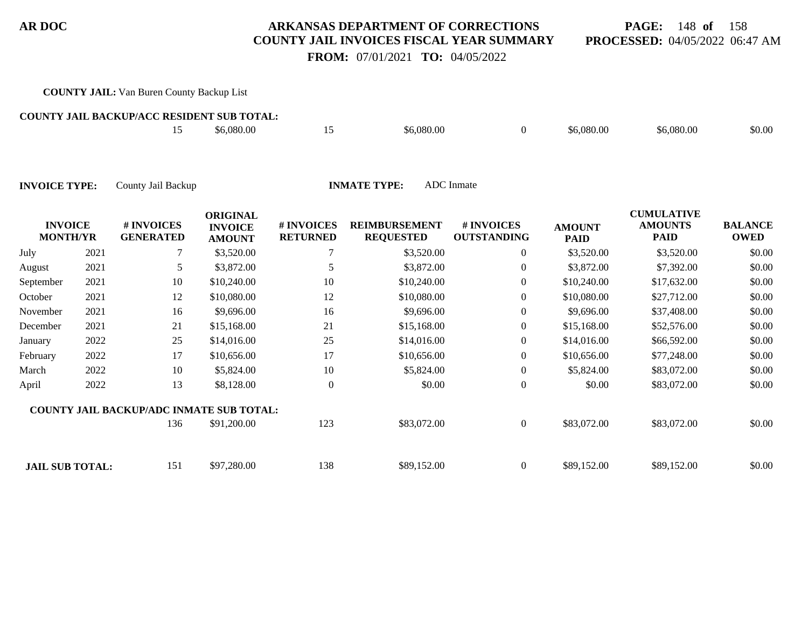## **PAGE:** 148 **of** 158 **PROCESSED:** 04/05/2022 06:47 AM

 **FROM:** 07/01/2021 **TO:** 04/05/2022

### **COUNTY JAIL:** Van Buren County Backup List

#### **COUNTY JAIL BACKUP/ACC RESIDENT SUB TOTAL:**

|  | \$6,080.00 | \$6,080.00 | \$6,080.00 | \$6,080.00 | \$0.00 |
|--|------------|------------|------------|------------|--------|
|  |            |            |            |            |        |

| <b>INVOICE</b><br><b>MONTH/YR</b> |      | # INVOICES<br><b>GENERATED</b>                  | <b>ORIGINAL</b><br><b>INVOICE</b><br><b>AMOUNT</b> | # INVOICES<br><b>RETURNED</b> | <b>REIMBURSEMENT</b><br><b>REQUESTED</b> | # INVOICES<br><b>OUTSTANDING</b> | <b>AMOUNT</b><br><b>PAID</b> | <b>CUMULATIVE</b><br><b>AMOUNTS</b><br><b>PAID</b> | <b>BALANCE</b><br><b>OWED</b> |
|-----------------------------------|------|-------------------------------------------------|----------------------------------------------------|-------------------------------|------------------------------------------|----------------------------------|------------------------------|----------------------------------------------------|-------------------------------|
| July                              | 2021 |                                                 | \$3,520.00                                         |                               | \$3,520.00                               | $\overline{0}$                   | \$3,520.00                   | \$3,520.00                                         | \$0.00                        |
| August                            | 2021 | 5                                               | \$3,872.00                                         | 5                             | \$3,872.00                               | $\boldsymbol{0}$                 | \$3,872.00                   | \$7,392.00                                         | \$0.00                        |
| September                         | 2021 | 10                                              | \$10,240.00                                        | 10                            | \$10,240.00                              | $\boldsymbol{0}$                 | \$10,240.00                  | \$17,632.00                                        | \$0.00                        |
| October                           | 2021 | 12                                              | \$10,080.00                                        | 12                            | \$10,080.00                              | $\overline{0}$                   | \$10,080.00                  | \$27,712.00                                        | \$0.00                        |
| November                          | 2021 | 16                                              | \$9,696.00                                         | 16                            | \$9,696.00                               | $\overline{0}$                   | \$9,696.00                   | \$37,408.00                                        | \$0.00                        |
| December                          | 2021 | 21                                              | \$15,168.00                                        | 21                            | \$15,168.00                              | $\boldsymbol{0}$                 | \$15,168.00                  | \$52,576.00                                        | \$0.00                        |
| January                           | 2022 | 25                                              | \$14,016.00                                        | 25                            | \$14,016.00                              | $\overline{0}$                   | \$14,016.00                  | \$66,592.00                                        | \$0.00                        |
| February                          | 2022 | 17                                              | \$10,656.00                                        | 17                            | \$10,656.00                              | $\boldsymbol{0}$                 | \$10,656.00                  | \$77,248.00                                        | \$0.00                        |
| March                             | 2022 | 10                                              | \$5,824.00                                         | 10                            | \$5,824.00                               | $\boldsymbol{0}$                 | \$5,824.00                   | \$83,072.00                                        | \$0.00                        |
| April                             | 2022 | 13                                              | \$8,128.00                                         | $\overline{0}$                | \$0.00                                   | $\overline{0}$                   | \$0.00                       | \$83,072.00                                        | \$0.00                        |
|                                   |      | <b>COUNTY JAIL BACKUP/ADC INMATE SUB TOTAL:</b> |                                                    |                               |                                          |                                  |                              |                                                    |                               |
|                                   |      | 136                                             | \$91,200.00                                        | 123                           | \$83,072.00                              | $\overline{0}$                   | \$83,072.00                  | \$83,072.00                                        | \$0.00                        |
| <b>JAIL SUB TOTAL:</b>            |      | 151                                             | \$97,280.00                                        | 138                           | \$89,152.00                              | $\overline{0}$                   | \$89,152.00                  | \$89,152.00                                        | \$0.00                        |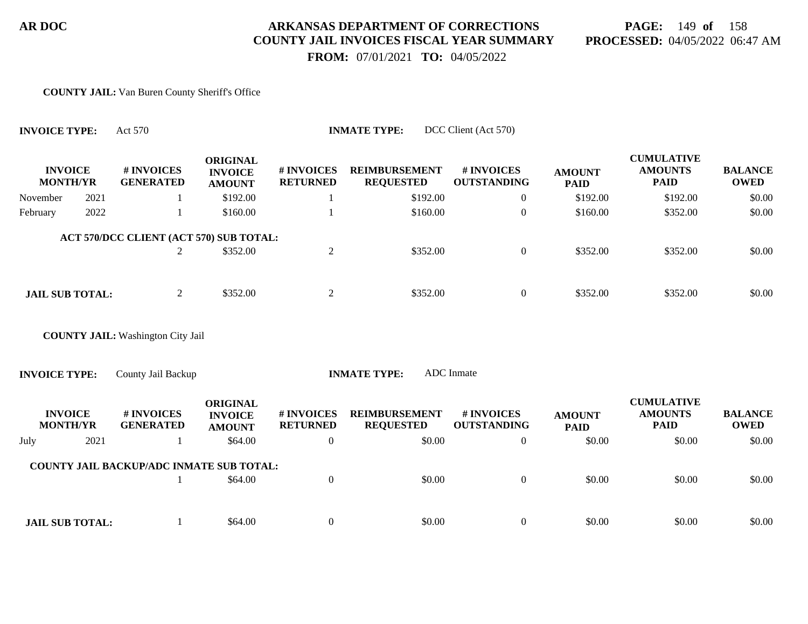# **PAGE:** 149 **of** 158 **PROCESSED:** 04/05/2022 06:47 AM

 **FROM:** 07/01/2021 **TO:** 04/05/2022

#### **COUNTY JAIL:** Van Buren County Sheriff's Office

| <b>INVOICE TYPE:</b> |                                   | Act 570                                         |                                                    |                               | <b>INMATE TYPE:</b>                      | DCC Client (Act 570)             |                              |                                                    |                               |
|----------------------|-----------------------------------|-------------------------------------------------|----------------------------------------------------|-------------------------------|------------------------------------------|----------------------------------|------------------------------|----------------------------------------------------|-------------------------------|
|                      | <b>INVOICE</b><br><b>MONTH/YR</b> | # INVOICES<br><b>GENERATED</b>                  | <b>ORIGINAL</b><br><b>INVOICE</b><br><b>AMOUNT</b> | # INVOICES<br><b>RETURNED</b> | <b>REIMBURSEMENT</b><br><b>REQUESTED</b> | # INVOICES<br><b>OUTSTANDING</b> | <b>AMOUNT</b><br><b>PAID</b> | <b>CUMULATIVE</b><br><b>AMOUNTS</b><br><b>PAID</b> | <b>BALANCE</b><br><b>OWED</b> |
| November             | 2021                              | 1                                               | \$192.00                                           |                               | \$192.00                                 | $\overline{0}$                   | \$192.00                     | \$192.00                                           | \$0.00                        |
| February             | 2022                              |                                                 | \$160.00                                           |                               | \$160.00                                 | $\overline{0}$                   | \$160.00                     | \$352.00                                           | \$0.00                        |
|                      |                                   | ACT 570/DCC CLIENT (ACT 570) SUB TOTAL:         |                                                    |                               |                                          |                                  |                              |                                                    |                               |
|                      |                                   | 2                                               | \$352.00                                           | $\overline{2}$                | \$352.00                                 | $\overline{0}$                   | \$352.00                     | \$352.00                                           | \$0.00                        |
|                      |                                   |                                                 |                                                    |                               |                                          |                                  |                              |                                                    |                               |
|                      | <b>JAIL SUB TOTAL:</b>            | $\overline{2}$                                  | \$352.00                                           | $\overline{2}$                | \$352.00                                 | $\overline{0}$                   | \$352.00                     | \$352.00                                           | \$0.00                        |
|                      |                                   |                                                 |                                                    |                               |                                          |                                  |                              |                                                    |                               |
|                      |                                   | <b>COUNTY JAIL:</b> Washington City Jail        |                                                    |                               |                                          |                                  |                              |                                                    |                               |
| <b>INVOICE TYPE:</b> |                                   | County Jail Backup                              |                                                    |                               | <b>INMATE TYPE:</b>                      | <b>ADC</b> Inmate                |                              |                                                    |                               |
|                      | <b>INVOICE</b><br><b>MONTH/YR</b> | # INVOICES<br><b>GENERATED</b>                  | <b>ORIGINAL</b><br><b>INVOICE</b><br><b>AMOUNT</b> | # INVOICES<br><b>RETURNED</b> | <b>REIMBURSEMENT</b><br><b>REQUESTED</b> | # INVOICES<br><b>OUTSTANDING</b> | <b>AMOUNT</b><br><b>PAID</b> | <b>CUMULATIVE</b><br><b>AMOUNTS</b><br><b>PAID</b> | <b>BALANCE</b><br><b>OWED</b> |
| July                 | 2021                              | 1                                               | \$64.00                                            | $\boldsymbol{0}$              | \$0.00                                   | $\overline{0}$                   | \$0.00                       | \$0.00                                             | \$0.00                        |
|                      |                                   | <b>COUNTY JAIL BACKUP/ADC INMATE SUB TOTAL:</b> |                                                    |                               |                                          |                                  |                              |                                                    |                               |
|                      |                                   |                                                 | \$64.00                                            | $\mathbf{0}$                  | \$0.00                                   | $\mathbf{0}$                     | \$0.00                       | \$0.00                                             | \$0.00                        |
|                      |                                   |                                                 |                                                    |                               |                                          |                                  |                              |                                                    |                               |
|                      | <b>JAIL SUB TOTAL:</b>            | 1                                               | \$64.00                                            | $\overline{0}$                | \$0.00                                   | $\overline{0}$                   | \$0.00                       | \$0.00                                             | \$0.00                        |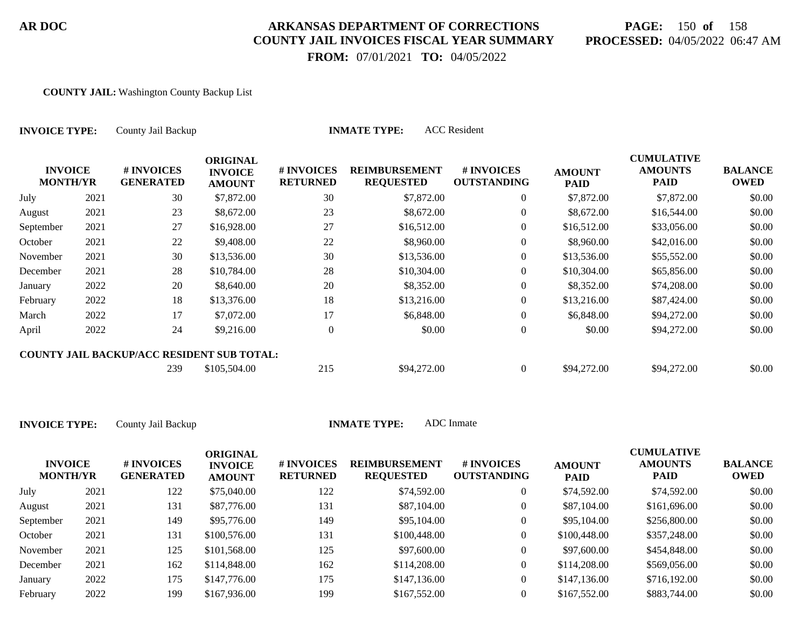# **PAGE:** 150 **of** 158 **PROCESSED:** 04/05/2022 06:47 AM

 **FROM:** 07/01/2021 **TO:** 04/05/2022

#### **COUNTY JAIL:** Washington County Backup List

| <b>INVOICE TYPE:</b>              |      | <b>ACC</b> Resident<br><b>INMATE TYPE:</b><br>County Jail Backup |                                                    |                               |                                          |                                  |                              |                                                    |                               |  |  |
|-----------------------------------|------|------------------------------------------------------------------|----------------------------------------------------|-------------------------------|------------------------------------------|----------------------------------|------------------------------|----------------------------------------------------|-------------------------------|--|--|
| <b>INVOICE</b><br><b>MONTH/YR</b> |      | # INVOICES<br><b>GENERATED</b>                                   | <b>ORIGINAL</b><br><b>INVOICE</b><br><b>AMOUNT</b> | # INVOICES<br><b>RETURNED</b> | <b>REIMBURSEMENT</b><br><b>REQUESTED</b> | # INVOICES<br><b>OUTSTANDING</b> | <b>AMOUNT</b><br><b>PAID</b> | <b>CUMULATIVE</b><br><b>AMOUNTS</b><br><b>PAID</b> | <b>BALANCE</b><br><b>OWED</b> |  |  |
| July                              | 2021 | 30                                                               | \$7,872.00                                         | 30                            | \$7,872.00                               | $\overline{0}$                   | \$7,872.00                   | \$7,872.00                                         | \$0.00                        |  |  |
| August                            | 2021 | 23                                                               | \$8,672.00                                         | 23                            | \$8,672.00                               | $\overline{0}$                   | \$8,672.00                   | \$16,544.00                                        | \$0.00                        |  |  |
| September                         | 2021 | 27                                                               | \$16,928.00                                        | 27                            | \$16,512.00                              | $\overline{0}$                   | \$16,512.00                  | \$33,056.00                                        | \$0.00                        |  |  |
| October                           | 2021 | 22                                                               | \$9,408.00                                         | 22                            | \$8,960.00                               | $\overline{0}$                   | \$8,960.00                   | \$42,016.00                                        | \$0.00                        |  |  |
| November                          | 2021 | 30                                                               | \$13,536.00                                        | 30                            | \$13,536.00                              | $\overline{0}$                   | \$13,536.00                  | \$55,552.00                                        | \$0.00                        |  |  |
| December                          | 2021 | 28                                                               | \$10,784.00                                        | 28                            | \$10,304.00                              | $\overline{0}$                   | \$10,304.00                  | \$65,856.00                                        | \$0.00                        |  |  |
| January                           | 2022 | 20                                                               | \$8,640.00                                         | 20                            | \$8,352.00                               | $\overline{0}$                   | \$8,352.00                   | \$74,208.00                                        | \$0.00                        |  |  |
| February                          | 2022 | 18                                                               | \$13,376.00                                        | 18                            | \$13,216.00                              | $\overline{0}$                   | \$13,216.00                  | \$87,424.00                                        | \$0.00                        |  |  |
| March                             | 2022 | 17                                                               | \$7,072.00                                         | 17                            | \$6,848.00                               | $\overline{0}$                   | \$6,848.00                   | \$94,272.00                                        | \$0.00                        |  |  |
| April                             | 2022 | 24                                                               | \$9,216.00                                         | $\overline{0}$                | \$0.00                                   | $\boldsymbol{0}$                 | \$0.00                       | \$94,272.00                                        | \$0.00                        |  |  |
|                                   |      | <b>COUNTY JAIL BACKUP/ACC RESIDENT SUB TOTAL:</b>                |                                                    |                               |                                          |                                  |                              |                                                    |                               |  |  |
|                                   |      | 239                                                              | \$105,504.00                                       | 215                           | \$94,272.00                              | $\boldsymbol{0}$                 | \$94,272.00                  | \$94,272.00                                        | \$0.00                        |  |  |

| <b>INVOICE</b><br><b>MONTH/YR</b> |      | # INVOICES<br><b>GENERATED</b> | <b>ORIGINAL</b><br><b>INVOICE</b><br><b>AMOUNT</b> | <b># INVOICES</b><br><b>RETURNED</b> | <b>REIMBURSEMENT</b><br><b>REQUESTED</b> | # INVOICES<br><b>OUTSTANDING</b> | <b>AMOUNT</b><br><b>PAID</b> | <b>CUMULATIVE</b><br><b>AMOUNTS</b><br><b>PAID</b> | <b>BALANCE</b><br><b>OWED</b> |
|-----------------------------------|------|--------------------------------|----------------------------------------------------|--------------------------------------|------------------------------------------|----------------------------------|------------------------------|----------------------------------------------------|-------------------------------|
| July                              | 2021 | 122                            | \$75,040.00                                        | 122                                  | \$74,592.00                              | 0                                | \$74,592.00                  | \$74,592.00                                        | \$0.00                        |
| August                            | 2021 | 131                            | \$87,776.00                                        | 131                                  | \$87,104.00                              | 0                                | \$87,104.00                  | \$161,696.00                                       | \$0.00                        |
| September                         | 2021 | 149                            | \$95,776.00                                        | 149                                  | \$95,104.00                              | 0                                | \$95,104.00                  | \$256,800.00                                       | \$0.00                        |
| October                           | 2021 | 131                            | \$100,576.00                                       | 131                                  | \$100,448.00                             | 0                                | \$100,448.00                 | \$357,248.00                                       | \$0.00                        |
| November                          | 2021 | 125                            | \$101,568.00                                       | 125                                  | \$97,600.00                              | 0                                | \$97,600.00                  | \$454,848.00                                       | \$0.00                        |
| December                          | 2021 | 162                            | \$114,848.00                                       | 162                                  | \$114,208.00                             | 0                                | \$114,208.00                 | \$569,056.00                                       | \$0.00                        |
| January                           | 2022 | 175                            | \$147,776.00                                       | 175                                  | \$147,136.00                             | 0                                | \$147,136.00                 | \$716,192.00                                       | \$0.00                        |
| February                          | 2022 | 199                            | \$167,936.00                                       | 199                                  | \$167,552.00                             |                                  | \$167,552.00                 | \$883,744.00                                       | \$0.00                        |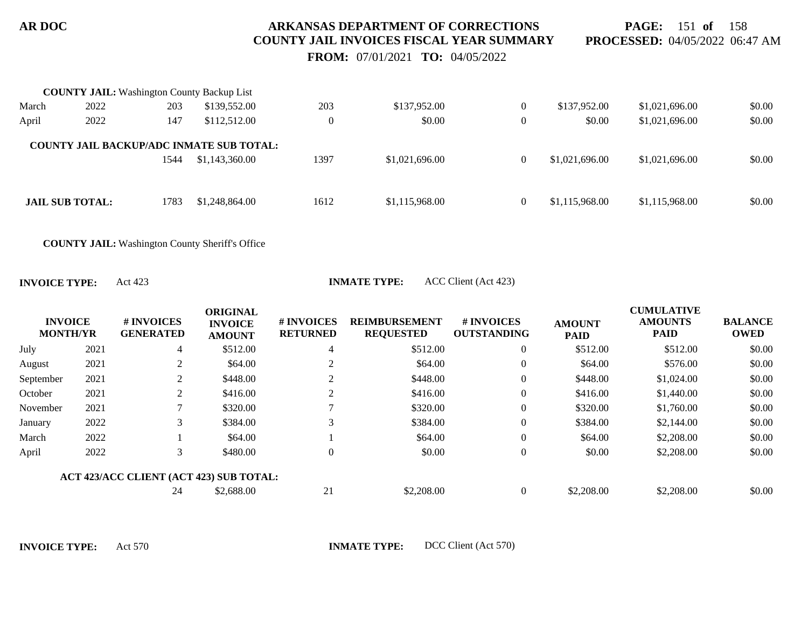**PAGE:** 151 **of** 158 **PROCESSED:** 04/05/2022 06:47 AM

 **FROM:** 07/01/2021 **TO:** 04/05/2022

|       | <b>COUNTY JAIL:</b> Washington County Backup List |      |                                                                   |          |                |                |                |                |        |
|-------|---------------------------------------------------|------|-------------------------------------------------------------------|----------|----------------|----------------|----------------|----------------|--------|
| March | 2022                                              | 203  | \$139,552.00                                                      | 203      | \$137,952.00   | $\overline{0}$ | \$137,952.00   | \$1,021,696.00 | \$0.00 |
| April | 2022                                              | 147  | \$112,512.00                                                      | $\theta$ | \$0.00         | $\theta$       | \$0.00         | \$1,021,696.00 | \$0.00 |
|       |                                                   | 1544 | <b>COUNTY JAIL BACKUP/ADC INMATE SUB TOTAL:</b><br>\$1,143,360.00 | 1397     | \$1,021,696.00 | $\overline{0}$ | \$1,021,696.00 | \$1,021,696.00 | \$0.00 |
|       | <b>JAIL SUB TOTAL:</b>                            | 1783 | \$1,248,864.00                                                    | 1612     | \$1,115,968.00 | $\overline{0}$ | \$1,115,968.00 | \$1,115,968.00 | \$0.00 |

**COUNTY JAIL:** Washington County Sheriff's Office

**INVOICE TYPE:** Act 423 **INMATE TYPE:** ACC Client (Act 423)

| <b>INVOICE</b><br><b>MONTH/YR</b> |      | # INVOICES<br><b>GENERATED</b>          | <b>ORIGINAL</b><br><b>INVOICE</b><br><b>AMOUNT</b> | # INVOICES<br><b>RETURNED</b> | <b>REIMBURSEMENT</b><br><b>REQUESTED</b> | # INVOICES<br><b>OUTSTANDING</b> | <b>AMOUNT</b><br><b>PAID</b> | <b>CUMULATIVE</b><br><b>AMOUNTS</b><br><b>PAID</b> | <b>BALANCE</b><br><b>OWED</b> |
|-----------------------------------|------|-----------------------------------------|----------------------------------------------------|-------------------------------|------------------------------------------|----------------------------------|------------------------------|----------------------------------------------------|-------------------------------|
| July                              | 2021 | 4                                       | \$512.00                                           | 4                             | \$512.00                                 | $\boldsymbol{0}$                 | \$512.00                     | \$512.00                                           | \$0.00                        |
| August                            | 2021 | 2                                       | \$64.00                                            | $\gamma$                      | \$64.00                                  | $\theta$                         | \$64.00                      | \$576.00                                           | \$0.00                        |
| September                         | 2021 | 2                                       | \$448.00                                           | ◠                             | \$448.00                                 | $\boldsymbol{0}$                 | \$448.00                     | \$1,024.00                                         | \$0.00                        |
| October                           | 2021 | 2                                       | \$416.00                                           |                               | \$416.00                                 | $\boldsymbol{0}$                 | \$416.00                     | \$1,440.00                                         | \$0.00                        |
| November                          | 2021 |                                         | \$320.00                                           |                               | \$320.00                                 | $\theta$                         | \$320.00                     | \$1,760.00                                         | \$0.00                        |
| January                           | 2022 | 3                                       | \$384.00                                           |                               | \$384.00                                 | $\mathbf{0}$                     | \$384.00                     | \$2,144.00                                         | \$0.00                        |
| March                             | 2022 |                                         | \$64.00                                            |                               | \$64.00                                  | $\mathbf{0}$                     | \$64.00                      | \$2,208.00                                         | \$0.00                        |
| April                             | 2022 | 3                                       | \$480.00                                           | $\Omega$                      | \$0.00                                   | $\mathbf{0}$                     | \$0.00                       | \$2,208.00                                         | \$0.00                        |
|                                   |      | ACT 423/ACC CLIENT (ACT 423) SUB TOTAL: |                                                    |                               |                                          |                                  |                              |                                                    |                               |
|                                   |      | 24                                      | \$2,688.00                                         | 21                            | \$2,208.00                               | $\mathbf{0}$                     | \$2,208.00                   | \$2,208.00                                         | \$0.00                        |

**INVOICE TYPE:** Act 570 **INMATE TYPE:** DCC Client (Act 570)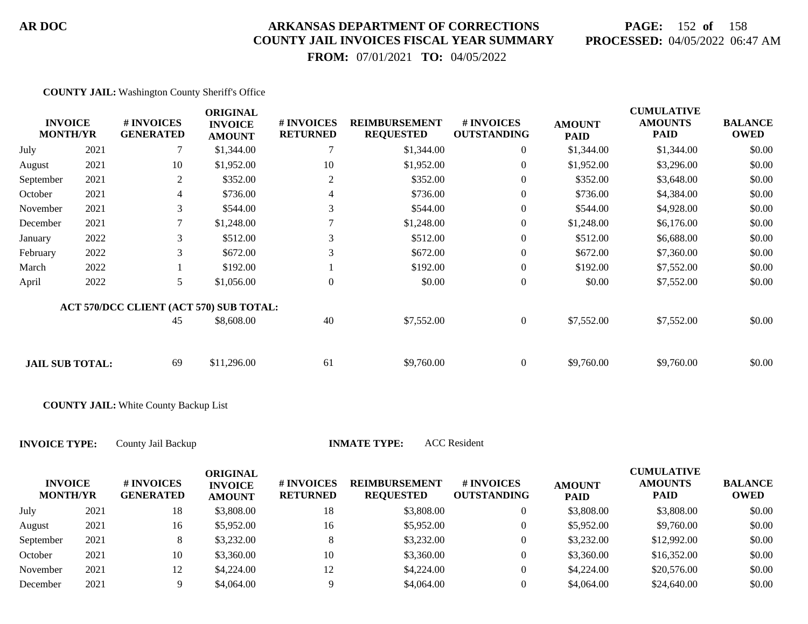# **PAGE:** 152 **of** 158 **PROCESSED:** 04/05/2022 06:47 AM

 **FROM:** 07/01/2021 **TO:** 04/05/2022

**COUNTY JAIL:** Washington County Sheriff's Office

|           | <b>INVOICE</b><br><b>MONTH/YR</b> | <b># INVOICES</b><br><b>GENERATED</b>   | <b>ORIGINAL</b><br><b>INVOICE</b><br><b>AMOUNT</b> | # INVOICES<br><b>RETURNED</b> | <b>REIMBURSEMENT</b><br><b>REQUESTED</b> | # INVOICES<br><b>OUTSTANDING</b> | <b>AMOUNT</b><br><b>PAID</b> | <b>CUMULATIVE</b><br><b>AMOUNTS</b><br><b>PAID</b> | <b>BALANCE</b><br><b>OWED</b> |
|-----------|-----------------------------------|-----------------------------------------|----------------------------------------------------|-------------------------------|------------------------------------------|----------------------------------|------------------------------|----------------------------------------------------|-------------------------------|
| July      | 2021                              | 7                                       | \$1,344.00                                         |                               | \$1,344.00                               | $\overline{0}$                   | \$1,344.00                   | \$1,344.00                                         | \$0.00                        |
| August    | 2021                              | 10                                      | \$1,952.00                                         | 10                            | \$1,952.00                               | $\overline{0}$                   | \$1,952.00                   | \$3,296.00                                         | \$0.00                        |
| September | 2021                              | $\mathbf{2}$                            | \$352.00                                           | 2                             | \$352.00                                 | $\overline{0}$                   | \$352.00                     | \$3,648.00                                         | \$0.00                        |
| October   | 2021                              | 4                                       | \$736.00                                           | 4                             | \$736.00                                 | $\overline{0}$                   | \$736.00                     | \$4,384.00                                         | \$0.00                        |
| November  | 2021                              | 3                                       | \$544.00                                           | 3                             | \$544.00                                 | $\overline{0}$                   | \$544.00                     | \$4,928.00                                         | \$0.00                        |
| December  | 2021                              |                                         | \$1,248.00                                         |                               | \$1,248.00                               | $\overline{0}$                   | \$1,248.00                   | \$6,176.00                                         | \$0.00                        |
| January   | 2022                              | 3                                       | \$512.00                                           | 3                             | \$512.00                                 | $\boldsymbol{0}$                 | \$512.00                     | \$6,688.00                                         | \$0.00                        |
| February  | 2022                              | 3                                       | \$672.00                                           | 3                             | \$672.00                                 | $\overline{0}$                   | \$672.00                     | \$7,360.00                                         | \$0.00                        |
| March     | 2022                              |                                         | \$192.00                                           |                               | \$192.00                                 | $\overline{0}$                   | \$192.00                     | \$7,552.00                                         | \$0.00                        |
| April     | 2022                              | 5                                       | \$1,056.00                                         | $\mathbf{0}$                  | \$0.00                                   | $\boldsymbol{0}$                 | \$0.00                       | \$7,552.00                                         | \$0.00                        |
|           |                                   | ACT 570/DCC CLIENT (ACT 570) SUB TOTAL: |                                                    |                               |                                          |                                  |                              |                                                    |                               |
|           |                                   | 45                                      | \$8,608.00                                         | 40                            | \$7,552.00                               | $\overline{0}$                   | \$7,552.00                   | \$7,552.00                                         | \$0.00                        |
|           |                                   |                                         |                                                    |                               |                                          |                                  |                              |                                                    |                               |
|           | <b>JAIL SUB TOTAL:</b>            | 69                                      | \$11,296.00                                        | 61                            | \$9,760.00                               | $\overline{0}$                   | \$9,760.00                   | \$9,760.00                                         | \$0.00                        |

**COUNTY JAIL:** White County Backup List

**INVOICE TYPE:** County Jail Backup **INMATE TYPE:** ACC Resident

| <b>INVOICE</b><br><b>MONTH/YR</b> |      | # INVOICES<br><b>GENERATED</b> | ORIGINAL<br><b>INVOICE</b><br><b>AMOUNT</b> | # INVOICES<br><b>RETURNED</b> | <b>REIMBURSEMENT</b><br><b>REQUESTED</b> | <b>#INVOICES</b><br><b>OUTSTANDING</b> | <b>AMOUNT</b><br><b>PAID</b> | <b>CUMULATIVE</b><br><b>AMOUNTS</b><br><b>PAID</b> | <b>BALANCE</b><br><b>OWED</b> |
|-----------------------------------|------|--------------------------------|---------------------------------------------|-------------------------------|------------------------------------------|----------------------------------------|------------------------------|----------------------------------------------------|-------------------------------|
| July                              | 2021 | 18                             | \$3,808.00                                  | 18                            | \$3,808.00                               |                                        | \$3,808.00                   | \$3,808.00                                         | \$0.00                        |
| August                            | 2021 | 16                             | \$5,952.00                                  | 16                            | \$5,952.00                               |                                        | \$5,952.00                   | \$9,760.00                                         | \$0.00                        |
| September                         | 2021 | 8                              | \$3,232.00                                  |                               | \$3,232.00                               |                                        | \$3,232.00                   | \$12,992.00                                        | \$0.00                        |
| October                           | 2021 | 10                             | \$3,360.00                                  | 10                            | \$3,360.00                               |                                        | \$3,360.00                   | \$16,352.00                                        | \$0.00                        |
| November                          | 2021 | 12                             | \$4,224.00                                  | 12                            | \$4,224.00                               |                                        | \$4,224.00                   | \$20,576.00                                        | \$0.00                        |
| December                          | 2021 |                                | \$4,064.00                                  |                               | \$4,064.00                               |                                        | \$4,064.00                   | \$24,640.00                                        | \$0.00                        |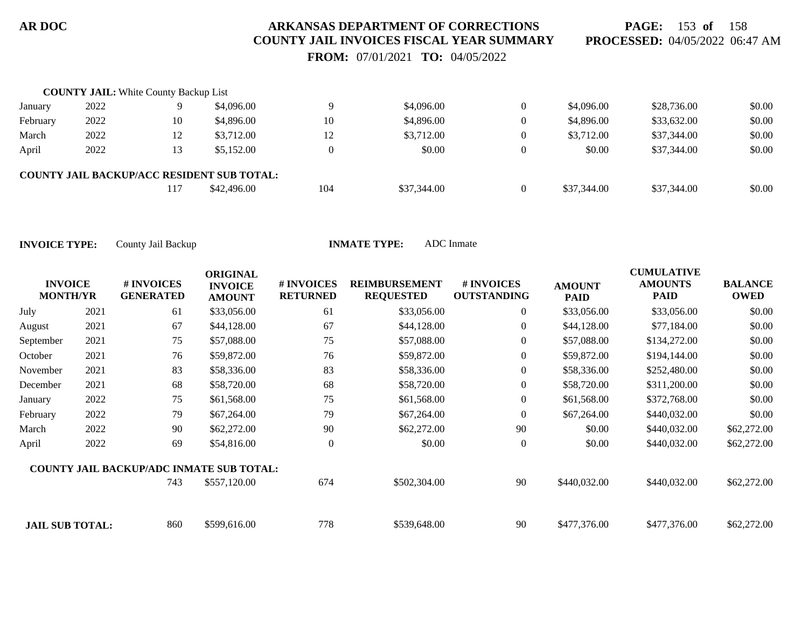**PAGE:** 153 **of** 158 **PROCESSED:** 04/05/2022 06:47 AM

 **FROM:** 07/01/2021 **TO:** 04/05/2022

|          | <b>COUNTY JAIL:</b> White County Backup List |     |                                                   |     |             |             |             |        |
|----------|----------------------------------------------|-----|---------------------------------------------------|-----|-------------|-------------|-------------|--------|
| January  | 2022                                         |     | \$4,096.00                                        |     | \$4,096.00  | \$4,096.00  | \$28,736.00 | \$0.00 |
| February | 2022                                         | 10  | \$4,896.00                                        | 10  | \$4,896.00  | \$4,896.00  | \$33,632.00 | \$0.00 |
| March    | 2022                                         | 12  | \$3,712.00                                        | 12  | \$3,712.00  | \$3,712.00  | \$37,344.00 | \$0.00 |
| April    | 2022                                         | 13  | \$5,152.00                                        |     | \$0.00      | \$0.00      | \$37,344.00 | \$0.00 |
|          |                                              |     | <b>COUNTY JAIL BACKUP/ACC RESIDENT SUB TOTAL:</b> |     |             |             |             |        |
|          |                                              | 117 | \$42,496.00                                       | 104 | \$37,344.00 | \$37,344.00 | \$37,344.00 | \$0.00 |

| <b>INVOICE</b><br><b>MONTH/YR</b> |      | # INVOICES<br><b>GENERATED</b>                  | <b>ORIGINAL</b><br><b>INVOICE</b><br><b>AMOUNT</b> | # INVOICES<br><b>RETURNED</b> | <b>REIMBURSEMENT</b><br><b>REQUESTED</b> | <b>#INVOICES</b><br><b>OUTSTANDING</b> | <b>AMOUNT</b><br><b>PAID</b> | <b>CUMULATIVE</b><br><b>AMOUNTS</b><br><b>PAID</b> | <b>BALANCE</b><br><b>OWED</b> |
|-----------------------------------|------|-------------------------------------------------|----------------------------------------------------|-------------------------------|------------------------------------------|----------------------------------------|------------------------------|----------------------------------------------------|-------------------------------|
| July                              | 2021 | 61                                              | \$33,056.00                                        | 61                            | \$33,056.00                              | $\overline{0}$                         | \$33,056.00                  | \$33,056.00                                        | \$0.00                        |
| August                            | 2021 | 67                                              | \$44,128.00                                        | 67                            | \$44,128.00                              | $\overline{0}$                         | \$44,128.00                  | \$77,184.00                                        | \$0.00                        |
| September                         | 2021 | 75                                              | \$57,088.00                                        | 75                            | \$57,088.00                              | $\overline{0}$                         | \$57,088.00                  | \$134,272.00                                       | \$0.00                        |
| October                           | 2021 | 76                                              | \$59,872.00                                        | 76                            | \$59,872.00                              | $\boldsymbol{0}$                       | \$59,872.00                  | \$194,144.00                                       | \$0.00                        |
| November                          | 2021 | 83                                              | \$58,336.00                                        | 83                            | \$58,336.00                              | $\overline{0}$                         | \$58,336.00                  | \$252,480.00                                       | \$0.00                        |
| December                          | 2021 | 68                                              | \$58,720.00                                        | 68                            | \$58,720.00                              | $\overline{0}$                         | \$58,720.00                  | \$311,200.00                                       | \$0.00                        |
| January                           | 2022 | 75                                              | \$61,568.00                                        | 75                            | \$61,568.00                              | $\overline{0}$                         | \$61,568.00                  | \$372,768.00                                       | \$0.00                        |
| February                          | 2022 | 79                                              | \$67,264.00                                        | 79                            | \$67,264.00                              | $\overline{0}$                         | \$67,264.00                  | \$440,032.00                                       | \$0.00                        |
| March                             | 2022 | 90                                              | \$62,272.00                                        | 90                            | \$62,272.00                              | 90                                     | \$0.00                       | \$440,032.00                                       | \$62,272.00                   |
| April                             | 2022 | 69                                              | \$54,816.00                                        | $\theta$                      | \$0.00                                   | $\overline{0}$                         | \$0.00                       | \$440,032.00                                       | \$62,272.00                   |
|                                   |      | <b>COUNTY JAIL BACKUP/ADC INMATE SUB TOTAL:</b> |                                                    |                               |                                          |                                        |                              |                                                    |                               |
|                                   |      | 743                                             | \$557,120.00                                       | 674                           | \$502,304.00                             | 90                                     | \$440,032.00                 | \$440,032.00                                       | \$62,272.00                   |
| <b>JAIL SUB TOTAL:</b>            |      | 860                                             | \$599,616.00                                       | 778                           | \$539,648.00                             | 90                                     | \$477,376.00                 | \$477,376.00                                       | \$62,272.00                   |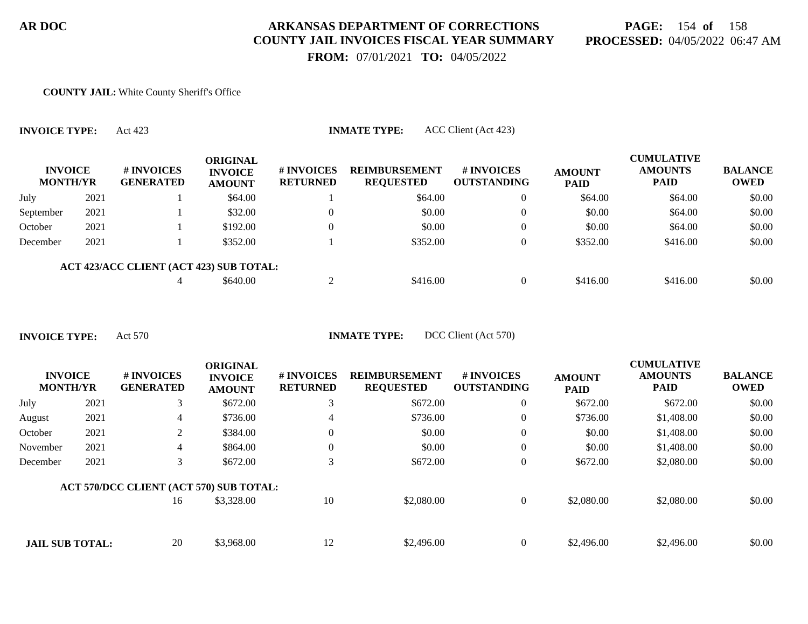# **PAGE:** 154 **of** 158 **PROCESSED:** 04/05/2022 06:47 AM

 **FROM:** 07/01/2021 **TO:** 04/05/2022

#### **COUNTY JAIL:** White County Sheriff's Office

**INVOICE TYPE:** Act 423 **INMATE TYPE:** ACC Client (Act 423)

| <b>INVOICE</b><br><b>MONTH/YR</b> |      | # INVOICES<br><b>GENERATED</b>          | <b>ORIGINAL</b><br><b>INVOICE</b><br><b>AMOUNT</b> | <b># INVOICES</b><br><b>RETURNED</b> | <b>REIMBURSEMENT</b><br><b>REQUESTED</b> | # INVOICES<br><b>OUTSTANDING</b> | <b>AMOUNT</b><br><b>PAID</b> | <b>CUMULATIVE</b><br><b>AMOUNTS</b><br><b>PAID</b> | <b>BALANCE</b><br><b>OWED</b> |
|-----------------------------------|------|-----------------------------------------|----------------------------------------------------|--------------------------------------|------------------------------------------|----------------------------------|------------------------------|----------------------------------------------------|-------------------------------|
| July                              | 2021 |                                         | \$64.00                                            |                                      | \$64.00                                  | 0                                | \$64.00                      | \$64.00                                            | \$0.00                        |
| September                         | 2021 |                                         | \$32.00                                            |                                      | \$0.00                                   | 0                                | \$0.00                       | \$64.00                                            | \$0.00                        |
| October                           | 2021 |                                         | \$192.00                                           |                                      | \$0.00                                   | $\overline{0}$                   | \$0.00                       | \$64.00                                            | \$0.00                        |
| December                          | 2021 |                                         | \$352.00                                           |                                      | \$352.00                                 |                                  | \$352.00                     | \$416.00                                           | \$0.00                        |
|                                   |      | ACT 423/ACC CLIENT (ACT 423) SUB TOTAL: |                                                    |                                      |                                          |                                  |                              |                                                    |                               |
|                                   |      |                                         | \$640.00                                           |                                      | \$416.00                                 |                                  | \$416.00                     | \$416.00                                           | \$0.00                        |

**INVOICE TYPE:** Act 570 **INMATE TYPE:** DCC Client (Act 570)

| <b>INVOICE</b><br><b>MONTH/YR</b> |      | # INVOICES<br><b>GENERATED</b>          | <b>ORIGINAL</b><br><b>INVOICE</b><br><b>AMOUNT</b> | # INVOICES<br><b>RETURNED</b> | <b>REIMBURSEMENT</b><br><b>REQUESTED</b> | # INVOICES<br><b>OUTSTANDING</b> | <b>AMOUNT</b><br><b>PAID</b> | <b>CUMULATIVE</b><br><b>AMOUNTS</b><br><b>PAID</b> | <b>BALANCE</b><br><b>OWED</b> |
|-----------------------------------|------|-----------------------------------------|----------------------------------------------------|-------------------------------|------------------------------------------|----------------------------------|------------------------------|----------------------------------------------------|-------------------------------|
| July                              | 2021 | 3                                       | \$672.00                                           | 3                             | \$672.00                                 | $\overline{0}$                   | \$672.00                     | \$672.00                                           | \$0.00                        |
| August                            | 2021 | 4                                       | \$736.00                                           | $\overline{4}$                | \$736.00                                 | $\overline{0}$                   | \$736.00                     | \$1,408.00                                         | \$0.00                        |
| October                           | 2021 | 2                                       | \$384.00                                           | $\overline{0}$                | \$0.00                                   | $\overline{0}$                   | \$0.00                       | \$1,408.00                                         | \$0.00                        |
| November                          | 2021 | 4                                       | \$864.00                                           | $\overline{0}$                | \$0.00                                   | $\overline{0}$                   | \$0.00                       | \$1,408.00                                         | \$0.00                        |
| December                          | 2021 | 3                                       | \$672.00                                           | 3                             | \$672.00                                 | $\overline{0}$                   | \$672.00                     | \$2,080.00                                         | \$0.00                        |
|                                   |      | ACT 570/DCC CLIENT (ACT 570) SUB TOTAL: |                                                    |                               |                                          |                                  |                              |                                                    |                               |
|                                   |      | 16                                      | \$3,328.00                                         | 10                            | \$2,080.00                               | $\overline{0}$                   | \$2,080.00                   | \$2,080.00                                         | \$0.00                        |
|                                   |      |                                         |                                                    |                               |                                          |                                  |                              |                                                    |                               |
| <b>JAIL SUB TOTAL:</b>            |      | 20                                      | \$3,968.00                                         | 12                            | \$2,496.00                               | $\overline{0}$                   | \$2,496.00                   | \$2,496.00                                         | \$0.00                        |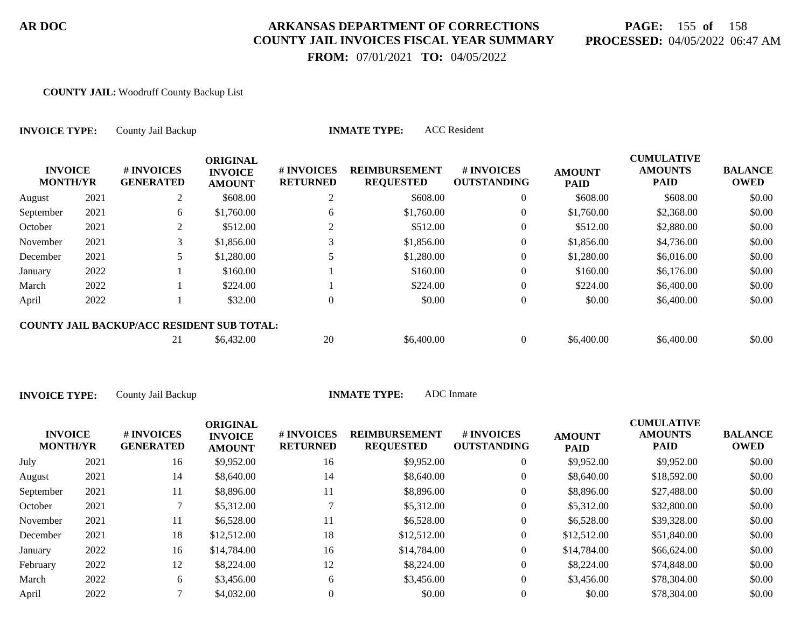# **PAGE:** 155 **of** 158 **PROCESSED:** 04/05/2022 06:47 AM

 **FROM:** 07/01/2021 **TO:** 04/05/2022

#### **COUNTY JAIL:** Woodruff County Backup List

| <b>INVOICE TYPE:</b><br><b>INVOICE</b><br><b>MONTH/YR</b> |      | County Jail Backup                                |                                                    |                               | <b>ACC</b> Resident<br><b>INMATE TYPE:</b> |                                  |                              |                                             |                               |
|-----------------------------------------------------------|------|---------------------------------------------------|----------------------------------------------------|-------------------------------|--------------------------------------------|----------------------------------|------------------------------|---------------------------------------------|-------------------------------|
|                                                           |      | # INVOICES<br><b>GENERATED</b>                    | <b>ORIGINAL</b><br><b>INVOICE</b><br><b>AMOUNT</b> | # INVOICES<br><b>RETURNED</b> | <b>REIMBURSEMENT</b><br><b>REQUESTED</b>   | # INVOICES<br><b>OUTSTANDING</b> | <b>AMOUNT</b><br><b>PAID</b> | <b>CUMULATIVE</b><br><b>AMOUNTS</b><br>PAID | <b>BALANCE</b><br><b>OWED</b> |
| August                                                    | 2021 | 2                                                 | \$608.00                                           | 2                             | \$608.00                                   | $\overline{0}$                   | \$608.00                     | \$608.00                                    | \$0.00                        |
| September                                                 | 2021 | 6                                                 | \$1,760.00                                         | 6                             | \$1,760.00                                 | $\overline{0}$                   | \$1,760.00                   | \$2,368.00                                  | \$0.00                        |
| October                                                   | 2021 | 2                                                 | \$512.00                                           | 2                             | \$512.00                                   | $\overline{0}$                   | \$512.00                     | \$2,880.00                                  | \$0.00                        |
| November                                                  | 2021 | 3                                                 | \$1,856.00                                         |                               | \$1,856.00                                 | $\theta$                         | \$1,856.00                   | \$4,736.00                                  | \$0.00                        |
| December                                                  | 2021 | 5                                                 | \$1,280.00                                         |                               | \$1,280.00                                 | $\theta$                         | \$1,280.00                   | \$6,016.00                                  | \$0.00                        |
| January                                                   | 2022 |                                                   | \$160.00                                           |                               | \$160.00                                   | $\overline{0}$                   | \$160.00                     | \$6,176.00                                  | \$0.00                        |
| March                                                     | 2022 |                                                   | \$224.00                                           |                               | \$224.00                                   | $\mathbf{0}$                     | \$224.00                     | \$6,400.00                                  | \$0.00                        |
| April                                                     | 2022 |                                                   | \$32.00                                            | $\Omega$                      | \$0.00                                     | $\mathbf{0}$                     | \$0.00                       | \$6,400.00                                  | \$0.00                        |
|                                                           |      | <b>COUNTY JAIL BACKUP/ACC RESIDENT SUB TOTAL:</b> |                                                    |                               |                                            |                                  |                              |                                             |                               |
|                                                           |      | 21                                                | \$6,432.00                                         | 20                            | \$6,400.00                                 | $\overline{0}$                   | \$6,400.00                   | \$6,400.00                                  | \$0.00                        |

| <b>INVOICE</b><br><b>MONTH/YR</b> | # INVOICES<br><b>GENERATED</b> | <b>ORIGINAL</b><br><b>INVOICE</b><br><b>AMOUNT</b> | # INVOICES<br><b>RETURNED</b> | <b>REIMBURSEMENT</b><br><b>REQUESTED</b> | # INVOICES<br><b>OUTSTANDING</b> | <b>AMOUNT</b><br><b>PAID</b> | <b>CUMULATIVE</b><br><b>AMOUNTS</b><br><b>PAID</b> | <b>BALANCE</b><br><b>OWED</b> |
|-----------------------------------|--------------------------------|----------------------------------------------------|-------------------------------|------------------------------------------|----------------------------------|------------------------------|----------------------------------------------------|-------------------------------|
| 2021                              | 16                             | \$9,952.00                                         | 16                            | \$9,952.00                               | 0                                | \$9,952.00                   | \$9,952.00                                         | \$0.00                        |
| 2021                              | 14                             | \$8,640.00                                         | 14                            | \$8,640.00                               | 0                                | \$8,640.00                   | \$18,592.00                                        | \$0.00                        |
| 2021                              | 11                             | \$8,896.00                                         | 11                            | \$8,896.00                               | 0                                | \$8,896.00                   | \$27,488.00                                        | \$0.00                        |
| 2021                              |                                | \$5,312.00                                         |                               | \$5,312.00                               | 0                                | \$5,312.00                   | \$32,800.00                                        | \$0.00                        |
| 2021                              | 11                             | \$6,528.00                                         | 11                            | \$6,528.00                               | 0                                | \$6,528.00                   | \$39,328.00                                        | \$0.00                        |
| 2021                              | 18                             | \$12,512.00                                        | 18                            | \$12,512.00                              | 0                                | \$12,512.00                  | \$51,840.00                                        | \$0.00                        |
| 2022                              | 16                             | \$14,784.00                                        | 16                            | \$14,784.00                              | 0                                | \$14,784.00                  | \$66,624.00                                        | \$0.00                        |
| 2022                              | 12                             | \$8,224.00                                         | 12                            | \$8,224.00                               | $\theta$                         | \$8,224.00                   | \$74,848.00                                        | \$0.00                        |
| 2022                              | 6                              | \$3,456.00                                         | 6                             | \$3,456.00                               | 0                                | \$3,456.00                   | \$78,304.00                                        | \$0.00                        |
| 2022                              |                                | \$4,032.00                                         |                               | \$0.00                                   |                                  | \$0.00                       | \$78,304.00                                        | \$0.00                        |
|                                   |                                |                                                    |                               |                                          |                                  |                              |                                                    |                               |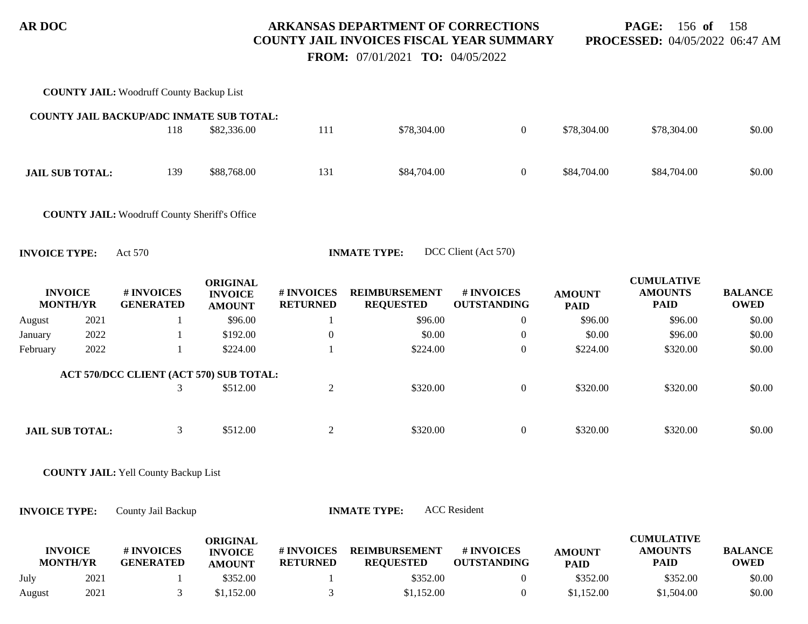**PAGE:** 156 **of** 158 **PROCESSED:** 04/05/2022 06:47 AM

 **FROM:** 07/01/2021 **TO:** 04/05/2022

|                                   |      | <b>COUNTY JAIL: Woodruff County Backup List</b>      |                                                    |                               |                                          |                                  |                              |                                                    |                               |
|-----------------------------------|------|------------------------------------------------------|----------------------------------------------------|-------------------------------|------------------------------------------|----------------------------------|------------------------------|----------------------------------------------------|-------------------------------|
|                                   |      | COUNTY JAIL BACKUP/ADC INMATE SUB TOTAL:             |                                                    |                               |                                          |                                  |                              |                                                    |                               |
|                                   |      | 118                                                  | \$82,336.00                                        | 111                           | \$78,304.00                              | $\boldsymbol{0}$                 | \$78,304.00                  | \$78,304.00                                        | \$0.00                        |
| <b>JAIL SUB TOTAL:</b>            |      | 139                                                  | \$88,768.00                                        | 131                           | \$84,704.00                              | $\overline{0}$                   | \$84,704.00                  | \$84,704.00                                        | \$0.00                        |
|                                   |      | <b>COUNTY JAIL:</b> Woodruff County Sheriff's Office |                                                    |                               |                                          |                                  |                              |                                                    |                               |
| <b>INVOICE TYPE:</b>              |      | Act 570                                              |                                                    |                               | <b>INMATE TYPE:</b>                      | DCC Client (Act 570)             |                              |                                                    |                               |
| <b>INVOICE</b><br><b>MONTH/YR</b> |      | # INVOICES<br><b>GENERATED</b>                       | <b>ORIGINAL</b><br><b>INVOICE</b><br><b>AMOUNT</b> | # INVOICES<br><b>RETURNED</b> | <b>REIMBURSEMENT</b><br><b>REQUESTED</b> | # INVOICES<br><b>OUTSTANDING</b> | <b>AMOUNT</b><br><b>PAID</b> | <b>CUMULATIVE</b><br><b>AMOUNTS</b><br><b>PAID</b> | <b>BALANCE</b><br><b>OWED</b> |
| August                            | 2021 |                                                      | \$96.00                                            | $\mathbf{1}$                  | \$96.00                                  | $\boldsymbol{0}$                 | \$96.00                      | \$96.00                                            | \$0.00                        |
| January                           | 2022 | 1                                                    | \$192.00                                           | $\boldsymbol{0}$              | \$0.00                                   | $\boldsymbol{0}$                 | \$0.00                       | \$96.00                                            | \$0.00                        |
| February                          | 2022 | 1                                                    | \$224.00                                           | 1                             | \$224.00                                 | $\boldsymbol{0}$                 | \$224.00                     | \$320.00                                           | \$0.00                        |
|                                   |      | ACT 570/DCC CLIENT (ACT 570) SUB TOTAL:              |                                                    |                               |                                          |                                  |                              |                                                    |                               |
|                                   |      | 3                                                    | \$512.00                                           | $\mathbf{2}$                  | \$320.00                                 | $\boldsymbol{0}$                 | \$320.00                     | \$320.00                                           | \$0.00                        |
| <b>JAIL SUB TOTAL:</b>            |      | 3                                                    | \$512.00                                           | $\mathbf{2}$                  | \$320.00                                 | $\boldsymbol{0}$                 | \$320.00                     | \$320.00                                           | \$0.00                        |
|                                   |      | <b>COUNTY JAIL: Yell County Backup List</b>          |                                                    |                               |                                          |                                  |                              |                                                    |                               |
| <b>INVOICE TYPE:</b>              |      | County Jail Backup                                   |                                                    |                               | <b>INMATE TYPE:</b>                      | <b>ACC</b> Resident              |                              |                                                    |                               |
| <b>INVOICE</b><br><b>MONTH/YR</b> |      | # INVOICES<br><b>GENERATED</b>                       | <b>ORIGINAL</b><br><b>INVOICE</b><br><b>AMOUNT</b> | # INVOICES<br><b>RETURNED</b> | <b>REIMBURSEMENT</b><br><b>REQUESTED</b> | # INVOICES<br><b>OUTSTANDING</b> | <b>AMOUNT</b><br><b>PAID</b> | <b>CUMULATIVE</b><br><b>AMOUNTS</b><br><b>PAID</b> | <b>BALANCE</b><br><b>OWED</b> |
| July                              | 2021 | -1                                                   | \$352.00                                           | 1                             | \$352.00                                 | $\theta$                         | \$352.00                     | \$352.00                                           | \$0.00                        |

August 2021 3 \$1,152.00 3 \$1,152.00 0 \$1,152.00 \$0.00 \$0.00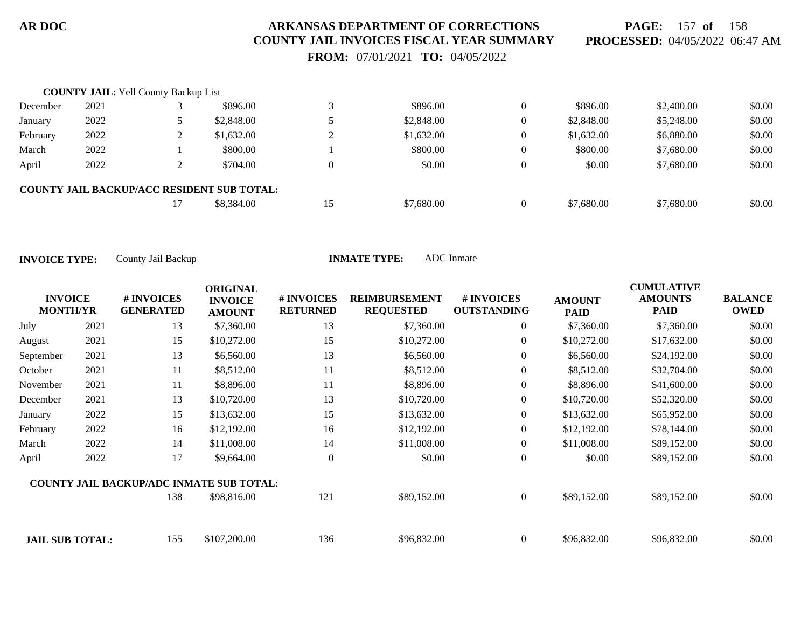**PAGE:** 157 **of** 158 **PROCESSED:** 04/05/2022 06:47 AM

 **FROM:** 07/01/2021 **TO:** 04/05/2022

|          | <b>COUNTY JAIL:</b> Yell County Backup List |                                                   |    |            |                |            |            |        |
|----------|---------------------------------------------|---------------------------------------------------|----|------------|----------------|------------|------------|--------|
| December | 2021                                        | \$896.00                                          | ⌒  | \$896.00   | $\Omega$       | \$896.00   | \$2,400.00 | \$0.00 |
| January  | 2022                                        | \$2,848.00                                        |    | \$2,848.00 | $\overline{0}$ | \$2,848.00 | \$5,248.00 | \$0.00 |
| February | 2022                                        | \$1,632,00                                        |    | \$1,632.00 | $\overline{0}$ | \$1,632.00 | \$6,880.00 | \$0.00 |
| March    | 2022                                        | \$800.00                                          |    | \$800.00   | $\Omega$       | \$800.00   | \$7,680.00 | \$0.00 |
| April    | 2022                                        | \$704.00                                          |    | \$0.00     | $\theta$       | \$0.00     | \$7,680.00 | \$0.00 |
|          |                                             | <b>COUNTY JAIL BACKUP/ACC RESIDENT SUB TOTAL:</b> |    |            |                |            |            |        |
|          |                                             | \$8,384.00                                        | 15 | \$7,680.00 | $\Omega$       | \$7,680.00 | \$7,680.00 | \$0.00 |

| <b>INVOICE</b><br><b>MONTH/YR</b> | # INVOICES<br><b>GENERATED</b> | <b>ORIGINAL</b><br><b>INVOICE</b><br><b>AMOUNT</b> | # INVOICES<br><b>RETURNED</b> | <b>REIMBURSEMENT</b><br><b>REQUESTED</b>        | # INVOICES<br><b>OUTSTANDING</b> | <b>AMOUNT</b><br><b>PAID</b> | <b>CUMULATIVE</b><br><b>AMOUNTS</b><br><b>PAID</b> | <b>BALANCE</b><br><b>OWED</b> |
|-----------------------------------|--------------------------------|----------------------------------------------------|-------------------------------|-------------------------------------------------|----------------------------------|------------------------------|----------------------------------------------------|-------------------------------|
| 2021                              | 13                             | \$7,360.00                                         | 13                            | \$7,360.00                                      | $\overline{0}$                   | \$7,360.00                   | \$7,360.00                                         | \$0.00                        |
| 2021                              | 15                             | \$10,272.00                                        | 15                            | \$10,272.00                                     | $\overline{0}$                   | \$10,272.00                  | \$17,632.00                                        | \$0.00                        |
| 2021                              | 13                             | \$6,560.00                                         | 13                            | \$6,560.00                                      | $\overline{0}$                   | \$6,560.00                   | \$24,192.00                                        | \$0.00                        |
| 2021                              | 11                             | \$8,512.00                                         | 11                            | \$8,512.00                                      | $\overline{0}$                   | \$8,512.00                   | \$32,704.00                                        | \$0.00                        |
| 2021                              | 11                             | \$8,896.00                                         | 11                            | \$8,896.00                                      | $\overline{0}$                   | \$8,896.00                   | \$41,600.00                                        | \$0.00                        |
| 2021                              | 13                             | \$10,720.00                                        | 13                            | \$10,720.00                                     | $\overline{0}$                   | \$10,720.00                  | \$52,320.00                                        | \$0.00                        |
| 2022                              | 15                             | \$13,632.00                                        | 15                            | \$13,632.00                                     | $\overline{0}$                   | \$13,632.00                  | \$65,952.00                                        | \$0.00                        |
| 2022                              | 16                             | \$12,192.00                                        | 16                            | \$12,192.00                                     | $\overline{0}$                   | \$12,192.00                  | \$78,144.00                                        | \$0.00                        |
| 2022                              | 14                             | \$11,008.00                                        | 14                            | \$11,008.00                                     | $\overline{0}$                   | \$11,008.00                  | \$89,152.00                                        | \$0.00                        |
| 2022                              | 17                             | \$9,664.00                                         | $\overline{0}$                | \$0.00                                          | $\boldsymbol{0}$                 | \$0.00                       | \$89,152.00                                        | \$0.00                        |
|                                   |                                |                                                    |                               |                                                 |                                  |                              |                                                    |                               |
|                                   | 138                            | \$98,816.00                                        | 121                           | \$89,152.00                                     | $\overline{0}$                   | \$89,152.00                  | \$89,152.00                                        | \$0.00                        |
|                                   | 155                            | \$107,200.00                                       | 136                           | \$96,832.00                                     | $\overline{0}$                   | \$96,832.00                  | \$96,832.00                                        | \$0.00                        |
|                                   |                                | <b>JAIL SUB TOTAL:</b>                             |                               | <b>COUNTY JAIL BACKUP/ADC INMATE SUB TOTAL:</b> |                                  |                              |                                                    |                               |